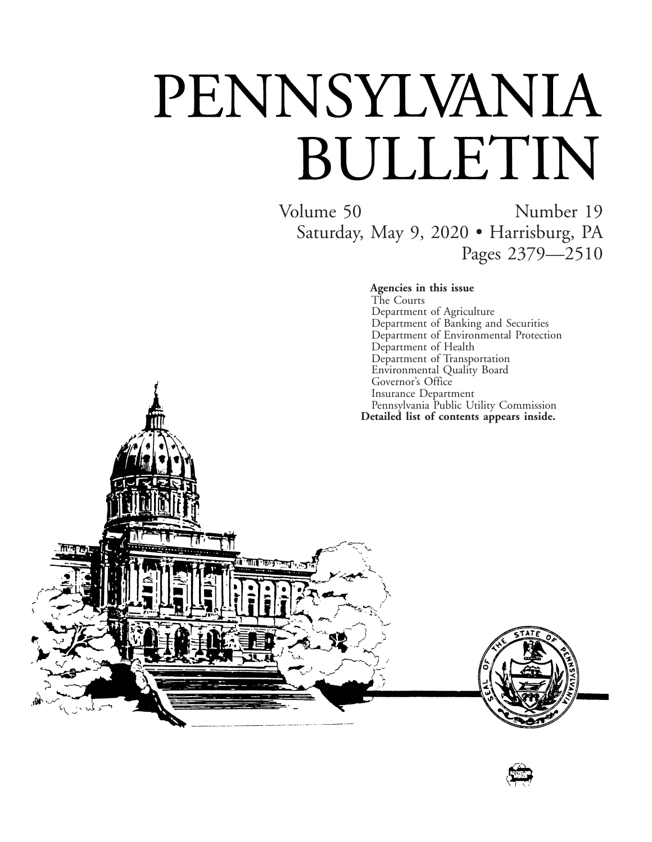# PENNSYLVANIA BULLETIN

ातान

Volume 50 Number 19 Saturday, May 9, 2020 • Harrisburg, PA Pages 2379—2510

> **Agencies in this issue** The Courts Department of Agriculture Department of Banking and Securities Department of Environmental Protection Department of Health Department of Transportation Environmental Quality Board Governor's Office Insurance Department Pennsylvania Public Utility Commission **Detailed list of contents appears inside.**



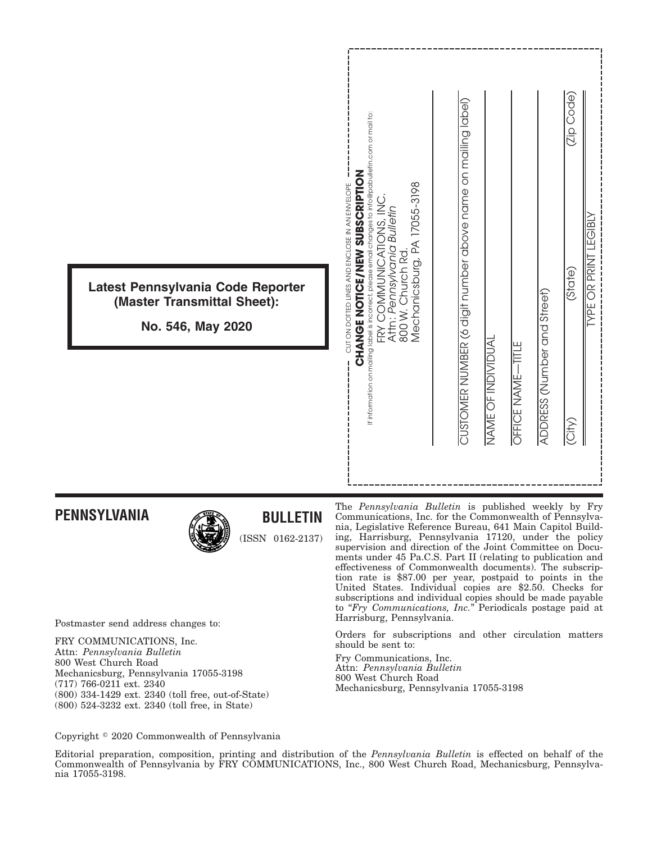| Latest Pennsylvania Code Reporter<br>(Master Transmittal Sheet):<br>No. 546, May 2020 | If information on mailing label is incorrect, please email changes to info@pabulletin.com or mail to:<br><b>CHANGE NOTICE/WEW SUBSCRIPTION</b><br>CUT ON DOTTED LINES AND ENCLOSE IN AN ENVELOPE<br>Mechanicsburg, PA 17055-3198<br>FRY COMMUNICATIONS, INC<br>Attn: Pennsylvania Bulletin<br>800 W. Church Rd | (Zip Code)<br>CUSTOMER NUMBER (6 digit number above name on mailing label)<br><b>GIBL</b><br><b>INISIO 34</b><br>(State)<br>ADDRESS (Number and Street)<br>NAME OF INDIVIDUAL<br>OFFICE NAME-TITLE<br>$\overline{\text{City}}$ |
|---------------------------------------------------------------------------------------|----------------------------------------------------------------------------------------------------------------------------------------------------------------------------------------------------------------------------------------------------------------------------------------------------------------|--------------------------------------------------------------------------------------------------------------------------------------------------------------------------------------------------------------------------------|
|                                                                                       |                                                                                                                                                                                                                                                                                                                |                                                                                                                                                                                                                                |

# **PENNSYLVANIA**



# **BULLETIN**

(ISSN 0162-2137)

Postmaster send address changes to:

FRY COMMUNICATIONS, Inc. Attn: *Pennsylvania Bulletin* 800 West Church Road Mechanicsburg, Pennsylvania 17055-3198 (717) 766-0211 ext. 2340 (800) 334-1429 ext. 2340 (toll free, out-of-State) (800) 524-3232 ext. 2340 (toll free, in State)

The *Pennsylvania Bulletin* is published weekly by Fry Communications, Inc. for the Commonwealth of Pennsylvania, Legislative Reference Bureau, 641 Main Capitol Building, Harrisburg, Pennsylvania 17120, under the policy supervision and direction of the Joint Committee on Documents under 45 Pa.C.S. Part II (relating to publication and effectiveness of Commonwealth documents). The subscription rate is \$87.00 per year, postpaid to points in the United States. Individual copies are \$2.50. Checks for subscriptions and individual copies should be made payable to "*Fry Communications, Inc.*" Periodicals postage paid at Harrisburg, Pennsylvania.

Orders for subscriptions and other circulation matters should be sent to:

Fry Communications, Inc. Attn: *Pennsylvania Bulletin* 800 West Church Road Mechanicsburg, Pennsylvania 17055-3198

Copyright <sup>©</sup> 2020 Commonwealth of Pennsylvania

Editorial preparation, composition, printing and distribution of the *Pennsylvania Bulletin* is effected on behalf of the Commonwealth of Pennsylvania by FRY COMMUNICATIONS, Inc., 800 West Church Road, Mechanicsburg, Pennsylvania 17055-3198.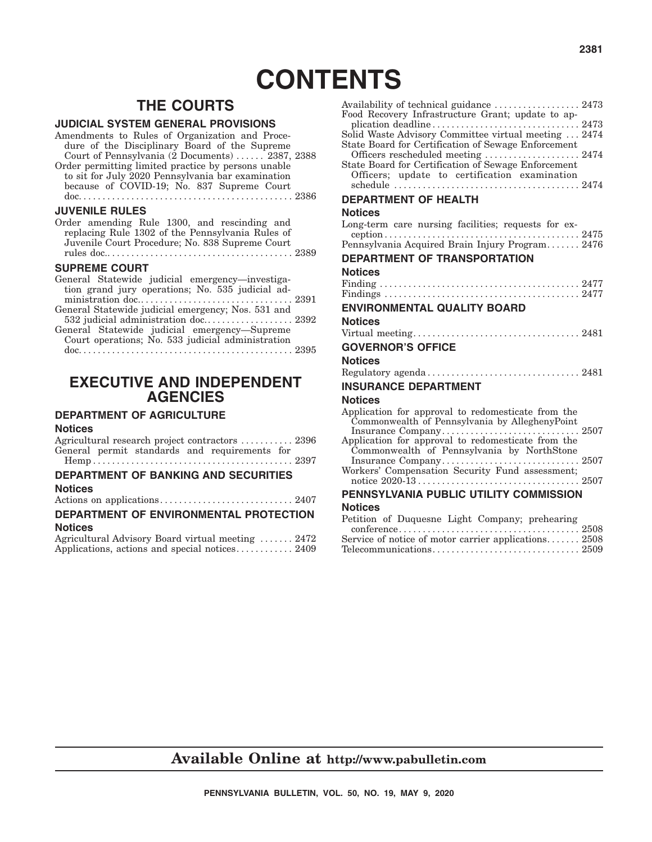# **CONTENTS**

# **THE COURTS**

#### **JUDICIAL SYSTEM GENERAL PROVISIONS**

| Amendments to Rules of Organization and Proce-      |  |
|-----------------------------------------------------|--|
| dure of the Disciplinary Board of the Supreme       |  |
| Court of Pennsylvania (2 Documents)  2387, 2388     |  |
| Order permitting limited practice by persons unable |  |
| to sit for July 2020 Pennsylvania bar examination   |  |
| because of COVID-19; No. 837 Supreme Court          |  |
|                                                     |  |
| <b>JUVENILE RULES</b>                               |  |

|  |  | Order amending Rule 1300, and rescinding and     |  |
|--|--|--------------------------------------------------|--|
|  |  | replacing Rule 1302 of the Pennsylvania Rules of |  |
|  |  | Juvenile Court Procedure; No. 838 Supreme Court  |  |
|  |  |                                                  |  |

#### **SUPREME COURT**

| General Statewide judicial emergency—investiga-    |  |
|----------------------------------------------------|--|
| tion grand jury operations; No. 535 judicial ad-   |  |
|                                                    |  |
| General Statewide judicial emergency; Nos. 531 and |  |
| 532 judicial administration doc 2392               |  |
| General Statewide judicial emergency—Supreme       |  |
| Court operations; No. 533 judicial administration  |  |
|                                                    |  |

doc. ............................................ 2395

# **EXECUTIVE AND INDEPENDENT AGENCIES**

## **DEPARTMENT OF AGRICULTURE**

#### **Notices**

| Agricultural research project contractors  2396 |  |
|-------------------------------------------------|--|
| General permit standards and requirements for   |  |
|                                                 |  |
| <b>DEPARTMENT OF BANKING AND SECURITIES</b>     |  |

#### **Notices**

|--|--|

#### **DEPARTMENT OF ENVIRONMENTAL PROTECTION Notices**

| Agricultural Advisory Board virtual meeting  2472 |  |  |  |
|---------------------------------------------------|--|--|--|
| Applications, actions and special notices 2409    |  |  |  |

| Availability of technical guidance  2473<br>Food Recovery Infrastructure Grant; update to ap-        |  |
|------------------------------------------------------------------------------------------------------|--|
|                                                                                                      |  |
| Solid Waste Advisory Committee virtual meeting  2474                                                 |  |
| State Board for Certification of Sewage Enforcement                                                  |  |
| Officers rescheduled meeting  2474<br>State Board for Certification of Sewage Enforcement            |  |
| Officers; update to certification examination                                                        |  |
|                                                                                                      |  |
| <b>DEPARTMENT OF HEALTH</b>                                                                          |  |
| <b>Notices</b>                                                                                       |  |
| Long-term care nursing facilities; requests for ex-                                                  |  |
| Pennsylvania Acquired Brain Injury Program 2476                                                      |  |
|                                                                                                      |  |
| <b>DEPARTMENT OF TRANSPORTATION</b>                                                                  |  |
| <b>Notices</b>                                                                                       |  |
|                                                                                                      |  |
|                                                                                                      |  |
| <b>ENVIRONMENTAL QUALITY BOARD</b>                                                                   |  |
| <b>Notices</b>                                                                                       |  |
|                                                                                                      |  |
| <b>GOVERNOR'S OFFICE</b>                                                                             |  |
| <b>Notices</b>                                                                                       |  |
| Regulatory agenda 2481                                                                               |  |
| <b>INSURANCE DEPARTMENT</b>                                                                          |  |
| <b>Notices</b>                                                                                       |  |
| Application for approval to redomesticate from the<br>Commonwealth of Pennsylvania by AlleghenyPoint |  |
| $\ldots \ldots 2507$<br>Insurance Company                                                            |  |
| Application for approval to redomesticate from the                                                   |  |
| Commonwealth of Pennsylvania by NorthStone                                                           |  |
|                                                                                                      |  |
|                                                                                                      |  |
| PENNSYLVANIA PUBLIC UTILITY COMMISSION                                                               |  |
| <b>Notices</b>                                                                                       |  |
| Petition of Duquesne Light Company; prehearing                                                       |  |
| $\text{confidence} \dots \dots \dots \dots \dots$                                                    |  |
| Service of notice of motor carrier applications 2508                                                 |  |
|                                                                                                      |  |

# **Available Online at http://www.pabulletin.com**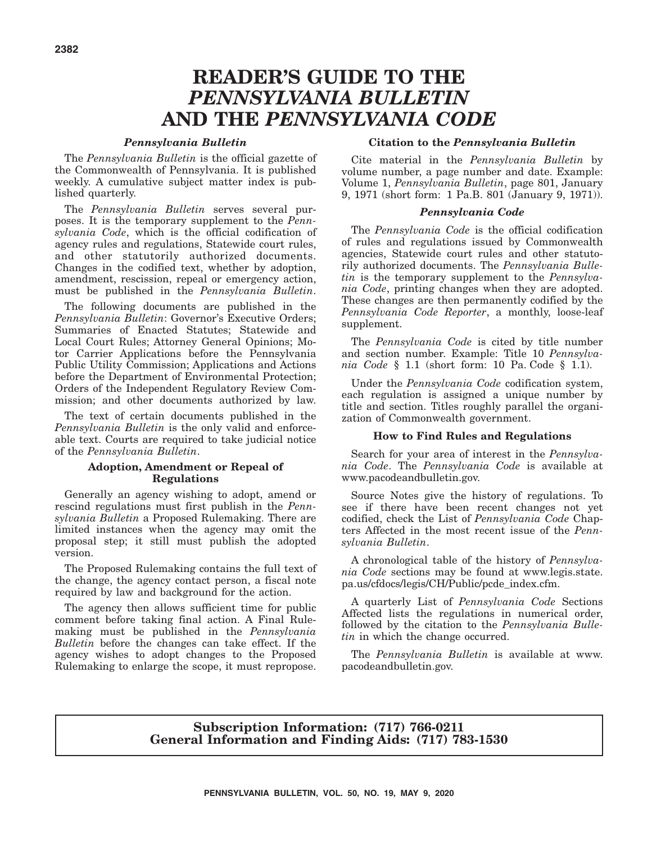# **READER'S GUIDE TO THE** *PENNSYLVANIA BULLETIN* **AND THE** *PENNSYLVANIA CODE*

#### *Pennsylvania Bulletin*

The *Pennsylvania Bulletin* is the official gazette of the Commonwealth of Pennsylvania. It is published weekly. A cumulative subject matter index is published quarterly.

The *Pennsylvania Bulletin* serves several purposes. It is the temporary supplement to the *Pennsylvania Code*, which is the official codification of agency rules and regulations, Statewide court rules, and other statutorily authorized documents. Changes in the codified text, whether by adoption, amendment, rescission, repeal or emergency action, must be published in the *Pennsylvania Bulletin*.

The following documents are published in the *Pennsylvania Bulletin*: Governor's Executive Orders; Summaries of Enacted Statutes; Statewide and Local Court Rules; Attorney General Opinions; Motor Carrier Applications before the Pennsylvania Public Utility Commission; Applications and Actions before the Department of Environmental Protection; Orders of the Independent Regulatory Review Commission; and other documents authorized by law.

The text of certain documents published in the *Pennsylvania Bulletin* is the only valid and enforceable text. Courts are required to take judicial notice of the *Pennsylvania Bulletin*.

#### **Adoption, Amendment or Repeal of Regulations**

Generally an agency wishing to adopt, amend or rescind regulations must first publish in the *Pennsylvania Bulletin* a Proposed Rulemaking. There are limited instances when the agency may omit the proposal step; it still must publish the adopted version.

The Proposed Rulemaking contains the full text of the change, the agency contact person, a fiscal note required by law and background for the action.

The agency then allows sufficient time for public comment before taking final action. A Final Rulemaking must be published in the *Pennsylvania Bulletin* before the changes can take effect. If the agency wishes to adopt changes to the Proposed Rulemaking to enlarge the scope, it must repropose.

#### **Citation to the** *Pennsylvania Bulletin*

Cite material in the *Pennsylvania Bulletin* by volume number, a page number and date. Example: Volume 1, *Pennsylvania Bulletin*, page 801, January 9, 1971 (short form: 1 Pa.B. 801 (January 9, 1971)).

#### *Pennsylvania Code*

The *Pennsylvania Code* is the official codification of rules and regulations issued by Commonwealth agencies, Statewide court rules and other statutorily authorized documents. The *Pennsylvania Bulletin* is the temporary supplement to the *Pennsylvania Code*, printing changes when they are adopted. These changes are then permanently codified by the *Pennsylvania Code Reporter*, a monthly, loose-leaf supplement.

The *Pennsylvania Code* is cited by title number and section number. Example: Title 10 *Pennsylvania Code* § 1.1 (short form: 10 Pa. Code § 1.1).

Under the *Pennsylvania Code* codification system, each regulation is assigned a unique number by title and section. Titles roughly parallel the organization of Commonwealth government.

#### **How to Find Rules and Regulations**

Search for your area of interest in the *Pennsylvania Code*. The *Pennsylvania Code* is available at www.pacodeandbulletin.gov.

Source Notes give the history of regulations. To see if there have been recent changes not yet codified, check the List of *Pennsylvania Code* Chapters Affected in the most recent issue of the *Pennsylvania Bulletin*.

A chronological table of the history of *Pennsylvania Code* sections may be found at www.legis.state. pa.us/cfdocs/legis/CH/Public/pcde\_index.cfm.

A quarterly List of *Pennsylvania Code* Sections Affected lists the regulations in numerical order, followed by the citation to the *Pennsylvania Bulletin* in which the change occurred.

The *Pennsylvania Bulletin* is available at www. pacodeandbulletin.gov.

#### **Subscription Information: (717) 766-0211 General Information and Finding Aids: (717) 783-1530**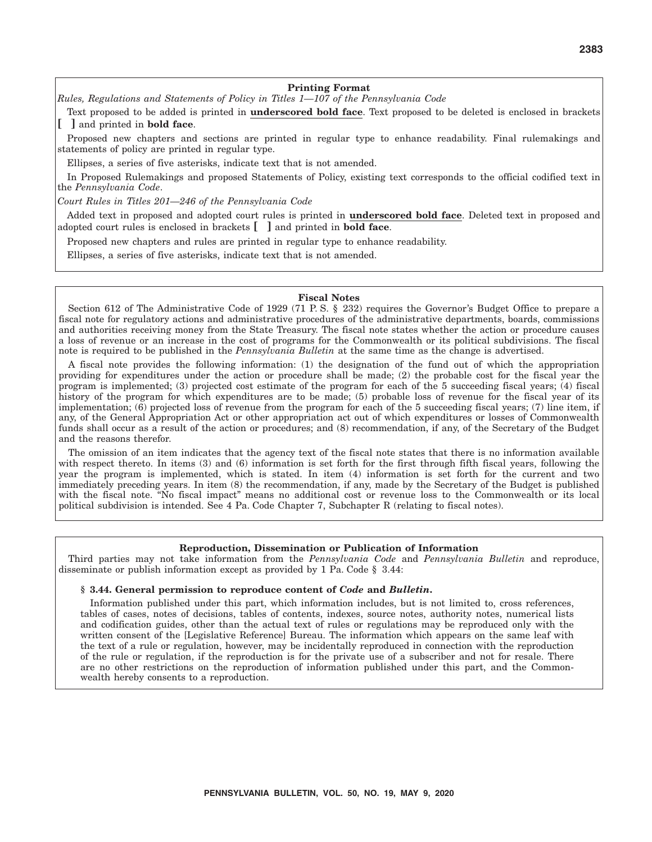#### **Printing Format**

#### *Rules, Regulations and Statements of Policy in Titles 1—107 of the Pennsylvania Code*

Text proposed to be added is printed in **underscored bold face**. Text proposed to be deleted is enclosed in brackets **[ ]** and printed in **bold face**.

Proposed new chapters and sections are printed in regular type to enhance readability. Final rulemakings and statements of policy are printed in regular type.

Ellipses, a series of five asterisks, indicate text that is not amended.

In Proposed Rulemakings and proposed Statements of Policy, existing text corresponds to the official codified text in the *Pennsylvania Code*.

*Court Rules in Titles 201—246 of the Pennsylvania Code*

Added text in proposed and adopted court rules is printed in **underscored bold face**. Deleted text in proposed and adopted court rules is enclosed in brackets **[ ]** and printed in **bold face**.

Proposed new chapters and rules are printed in regular type to enhance readability.

Ellipses, a series of five asterisks, indicate text that is not amended.

#### **Fiscal Notes**

Section 612 of The Administrative Code of 1929 (71 P.S. § 232) requires the Governor's Budget Office to prepare a fiscal note for regulatory actions and administrative procedures of the administrative departments, boards, commissions and authorities receiving money from the State Treasury. The fiscal note states whether the action or procedure causes a loss of revenue or an increase in the cost of programs for the Commonwealth or its political subdivisions. The fiscal note is required to be published in the *Pennsylvania Bulletin* at the same time as the change is advertised.

A fiscal note provides the following information: (1) the designation of the fund out of which the appropriation providing for expenditures under the action or procedure shall be made; (2) the probable cost for the fiscal year the program is implemented; (3) projected cost estimate of the program for each of the 5 succeeding fiscal years; (4) fiscal history of the program for which expenditures are to be made; (5) probable loss of revenue for the fiscal year of its implementation; (6) projected loss of revenue from the program for each of the 5 succeeding fiscal years; (7) line item, if any, of the General Appropriation Act or other appropriation act out of which expenditures or losses of Commonwealth funds shall occur as a result of the action or procedures; and (8) recommendation, if any, of the Secretary of the Budget and the reasons therefor.

The omission of an item indicates that the agency text of the fiscal note states that there is no information available with respect thereto. In items (3) and (6) information is set forth for the first through fifth fiscal years, following the year the program is implemented, which is stated. In item (4) information is set forth for the current and two immediately preceding years. In item (8) the recommendation, if any, made by the Secretary of the Budget is published with the fiscal note. "No fiscal impact" means no additional cost or revenue loss to the Commonwealth or its local political subdivision is intended. See 4 Pa. Code Chapter 7, Subchapter R (relating to fiscal notes).

#### **Reproduction, Dissemination or Publication of Information**

Third parties may not take information from the *Pennsylvania Code* and *Pennsylvania Bulletin* and reproduce, disseminate or publish information except as provided by 1 Pa. Code § 3.44:

#### **§ 3.44. General permission to reproduce content of** *Code* **and** *Bulletin***.**

Information published under this part, which information includes, but is not limited to, cross references, tables of cases, notes of decisions, tables of contents, indexes, source notes, authority notes, numerical lists and codification guides, other than the actual text of rules or regulations may be reproduced only with the written consent of the [Legislative Reference] Bureau. The information which appears on the same leaf with the text of a rule or regulation, however, may be incidentally reproduced in connection with the reproduction of the rule or regulation, if the reproduction is for the private use of a subscriber and not for resale. There are no other restrictions on the reproduction of information published under this part, and the Commonwealth hereby consents to a reproduction.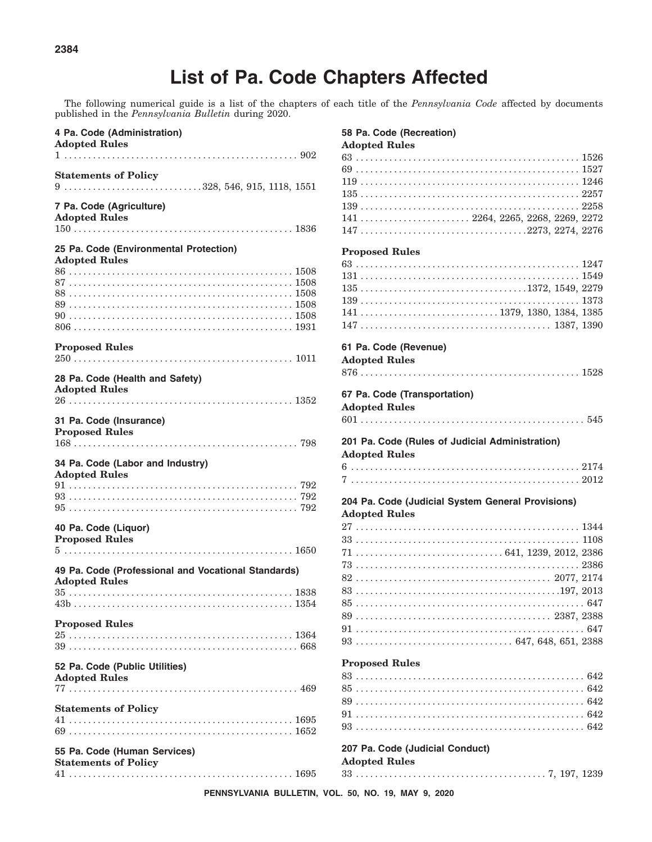# **List of Pa. Code Chapters Affected**

The following numerical guide is a list of the chapters of each title of the *Pennsylvania Code* affected by documents published in the *Pennsylvania Bulletin* during 2020.

| 4 Pa. Code (Administration)<br><b>Adopted Rules</b>                                                                                                          |
|--------------------------------------------------------------------------------------------------------------------------------------------------------------|
| <b>Statements of Policy</b><br>$9 \ldots \ldots \ldots \ldots \ldots \ldots \ldots \ldots \ldots \ldots \ldots 328, 546, 915, 1118, 1551$                    |
| 7 Pa. Code (Agriculture)<br><b>Adopted Rules</b>                                                                                                             |
| 25 Pa. Code (Environmental Protection)                                                                                                                       |
| <b>Adopted Rules</b>                                                                                                                                         |
| <b>Proposed Rules</b>                                                                                                                                        |
| 28 Pa. Code (Health and Safety)<br><b>Adopted Rules</b><br>$26\,\dots\dots\dots\dots\dots\dots\dots\dots\dots\dots\dots\dots\dots\dots\dots\dots\dots\ 1352$ |
| 31 Pa. Code (Insurance)<br><b>Proposed Rules</b>                                                                                                             |
| 34 Pa. Code (Labor and Industry)<br><b>Adopted Rules</b>                                                                                                     |
|                                                                                                                                                              |
| 40 Pa. Code (Liquor)<br><b>Proposed Rules</b>                                                                                                                |
| 49 Pa. Code (Professional and Vocational Standards)                                                                                                          |
| <b>Adopted Rules</b>                                                                                                                                         |
| <b>Proposed Rules</b><br>$25\,\dots\dots\dots\dots\dots\dots\dots\dots\dots\dots\dots\dots\dots\dots\dots\dots\,1364$                                        |
| 52 Pa. Code (Public Utilities)<br><b>Adopted Rules</b>                                                                                                       |
| <b>Statements of Policy</b>                                                                                                                                  |
| 55 Pa. Code (Human Services)<br><b>Statements of Policy</b>                                                                                                  |

| 58 Pa. Code (Recreation)                                                                                                                                                                                                                                               |  |
|------------------------------------------------------------------------------------------------------------------------------------------------------------------------------------------------------------------------------------------------------------------------|--|
| <b>Adopted Rules</b>                                                                                                                                                                                                                                                   |  |
|                                                                                                                                                                                                                                                                        |  |
|                                                                                                                                                                                                                                                                        |  |
|                                                                                                                                                                                                                                                                        |  |
|                                                                                                                                                                                                                                                                        |  |
|                                                                                                                                                                                                                                                                        |  |
|                                                                                                                                                                                                                                                                        |  |
| $141 \ldots \ldots \ldots \ldots \ldots \ldots \ldots \ldots 2264, 2265, 2268, 2269, 2272$                                                                                                                                                                             |  |
|                                                                                                                                                                                                                                                                        |  |
| <b>Proposed Rules</b>                                                                                                                                                                                                                                                  |  |
|                                                                                                                                                                                                                                                                        |  |
|                                                                                                                                                                                                                                                                        |  |
|                                                                                                                                                                                                                                                                        |  |
|                                                                                                                                                                                                                                                                        |  |
|                                                                                                                                                                                                                                                                        |  |
| $141 \ldots \ldots \ldots \ldots \ldots \ldots \ldots \ldots \ldots \ldots 1379, 1380, 1384, 1385$                                                                                                                                                                     |  |
|                                                                                                                                                                                                                                                                        |  |
|                                                                                                                                                                                                                                                                        |  |
| 61 Pa. Code (Revenue)                                                                                                                                                                                                                                                  |  |
| <b>Adopted Rules</b>                                                                                                                                                                                                                                                   |  |
|                                                                                                                                                                                                                                                                        |  |
|                                                                                                                                                                                                                                                                        |  |
| 67 Pa. Code (Transportation)                                                                                                                                                                                                                                           |  |
|                                                                                                                                                                                                                                                                        |  |
|                                                                                                                                                                                                                                                                        |  |
|                                                                                                                                                                                                                                                                        |  |
|                                                                                                                                                                                                                                                                        |  |
|                                                                                                                                                                                                                                                                        |  |
|                                                                                                                                                                                                                                                                        |  |
|                                                                                                                                                                                                                                                                        |  |
|                                                                                                                                                                                                                                                                        |  |
|                                                                                                                                                                                                                                                                        |  |
|                                                                                                                                                                                                                                                                        |  |
|                                                                                                                                                                                                                                                                        |  |
|                                                                                                                                                                                                                                                                        |  |
|                                                                                                                                                                                                                                                                        |  |
|                                                                                                                                                                                                                                                                        |  |
|                                                                                                                                                                                                                                                                        |  |
| <b>Adopted Rules</b><br>201 Pa. Code (Rules of Judicial Administration)<br><b>Adopted Rules</b><br>204 Pa. Code (Judicial System General Provisions)<br><b>Adopted Rules</b><br>$73\,\dots\dots\dots\dots\dots\dots\dots\dots\dots\dots\dots\dots\dots\dots\dots 2386$ |  |
|                                                                                                                                                                                                                                                                        |  |
|                                                                                                                                                                                                                                                                        |  |
|                                                                                                                                                                                                                                                                        |  |
|                                                                                                                                                                                                                                                                        |  |
|                                                                                                                                                                                                                                                                        |  |
|                                                                                                                                                                                                                                                                        |  |
|                                                                                                                                                                                                                                                                        |  |
|                                                                                                                                                                                                                                                                        |  |
|                                                                                                                                                                                                                                                                        |  |
|                                                                                                                                                                                                                                                                        |  |
|                                                                                                                                                                                                                                                                        |  |
|                                                                                                                                                                                                                                                                        |  |
|                                                                                                                                                                                                                                                                        |  |
| <b>Proposed Rules</b>                                                                                                                                                                                                                                                  |  |

#### **207 Pa. Code (Judicial Conduct) Adopted Rules**

33 . . . . . . . . . . . . . . . . . . . . . . . . . . . . . . . . . . . . . . . . 7, 197, 1239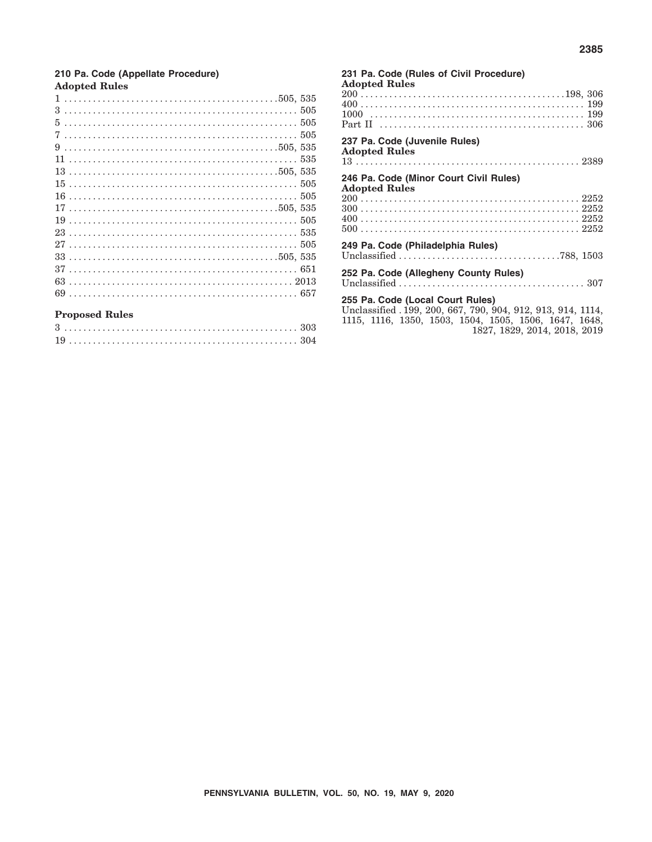#### 210 Pa. Code (Appellate Procedure) **Adopted Rules**

|  |  |  |  |  |  |  |  |  |  |  |  |  |  |  |  |  |  |  |  |  |  |  |  | $5505$ |
|--|--|--|--|--|--|--|--|--|--|--|--|--|--|--|--|--|--|--|--|--|--|--|--|--------|
|  |  |  |  |  |  |  |  |  |  |  |  |  |  |  |  |  |  |  |  |  |  |  |  |        |
|  |  |  |  |  |  |  |  |  |  |  |  |  |  |  |  |  |  |  |  |  |  |  |  |        |
|  |  |  |  |  |  |  |  |  |  |  |  |  |  |  |  |  |  |  |  |  |  |  |  |        |
|  |  |  |  |  |  |  |  |  |  |  |  |  |  |  |  |  |  |  |  |  |  |  |  |        |
|  |  |  |  |  |  |  |  |  |  |  |  |  |  |  |  |  |  |  |  |  |  |  |  |        |
|  |  |  |  |  |  |  |  |  |  |  |  |  |  |  |  |  |  |  |  |  |  |  |  |        |
|  |  |  |  |  |  |  |  |  |  |  |  |  |  |  |  |  |  |  |  |  |  |  |  |        |
|  |  |  |  |  |  |  |  |  |  |  |  |  |  |  |  |  |  |  |  |  |  |  |  |        |
|  |  |  |  |  |  |  |  |  |  |  |  |  |  |  |  |  |  |  |  |  |  |  |  |        |
|  |  |  |  |  |  |  |  |  |  |  |  |  |  |  |  |  |  |  |  |  |  |  |  |        |
|  |  |  |  |  |  |  |  |  |  |  |  |  |  |  |  |  |  |  |  |  |  |  |  |        |
|  |  |  |  |  |  |  |  |  |  |  |  |  |  |  |  |  |  |  |  |  |  |  |  |        |
|  |  |  |  |  |  |  |  |  |  |  |  |  |  |  |  |  |  |  |  |  |  |  |  |        |
|  |  |  |  |  |  |  |  |  |  |  |  |  |  |  |  |  |  |  |  |  |  |  |  |        |
|  |  |  |  |  |  |  |  |  |  |  |  |  |  |  |  |  |  |  |  |  |  |  |  |        |

#### **Proposed Rules**

| 231 Pa. Code (Rules of Civil Procedure)<br><b>Adopted Rules</b>                                  |
|--------------------------------------------------------------------------------------------------|
|                                                                                                  |
|                                                                                                  |
|                                                                                                  |
| 237 Pa. Code (Juvenile Rules)<br><b>Adopted Rules</b>                                            |
|                                                                                                  |
| 246 Pa. Code (Minor Court Civil Rules)<br><b>Adopted Rules</b>                                   |
|                                                                                                  |
|                                                                                                  |
|                                                                                                  |
| 249 Pa. Code (Philadelphia Rules)                                                                |
|                                                                                                  |
| 252 Pa. Code (Allegheny County Rules)                                                            |
|                                                                                                  |
| 255 Pa. Code (Local Court Rules)<br>Unclassified . 199, 200, 667, 790, 904, 912, 913, 914, 1114, |
| 1115, 1116, 1350, 1503, 1504, 1505, 1506, 1647, 1648,                                            |
| 1827, 1829, 2014, 2018, 2019                                                                     |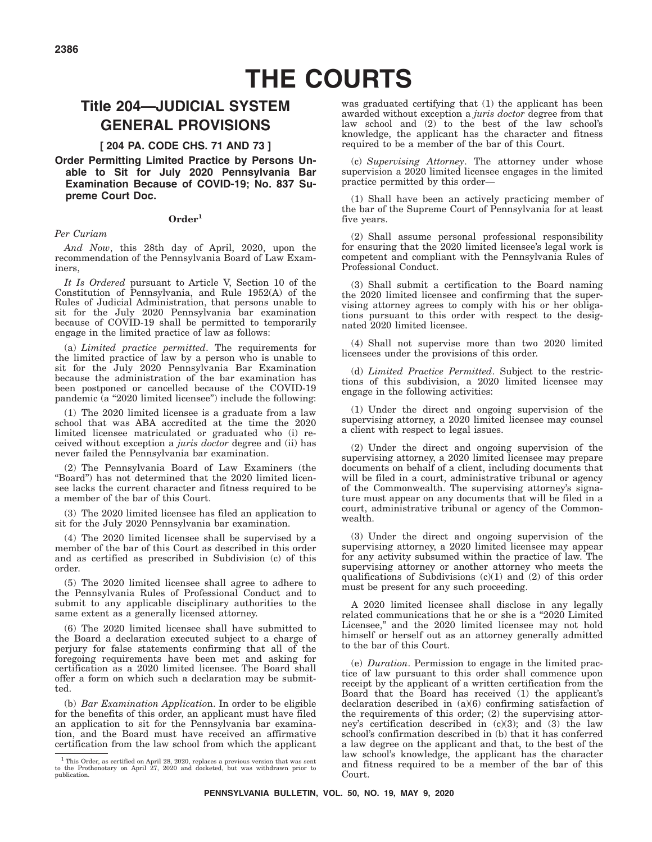# **THE COURTS**

# **Title 204—JUDICIAL SYSTEM GENERAL PROVISIONS**

#### **[ 204 PA. CODE CHS. 71 AND 73 ]**

#### **Order Permitting Limited Practice by Persons Unable to Sit for July 2020 Pennsylvania Bar Examination Because of COVID-19; No. 837 Supreme Court Doc.**

#### **Order1**

#### *Per Curiam*

*And Now*, this 28th day of April, 2020, upon the recommendation of the Pennsylvania Board of Law Examiners,

*It Is Ordered* pursuant to Article V, Section 10 of the Constitution of Pennsylvania, and Rule 1952(A) of the Rules of Judicial Administration, that persons unable to sit for the July 2020 Pennsylvania bar examination because of COVID-19 shall be permitted to temporarily engage in the limited practice of law as follows:

(a) *Limited practice permitted*. The requirements for the limited practice of law by a person who is unable to sit for the July 2020 Pennsylvania Bar Examination because the administration of the bar examination has been postponed or cancelled because of the COVID-19 pandemic  $(a$  "2020 limited licensee") include the following:

(1) The 2020 limited licensee is a graduate from a law school that was ABA accredited at the time the 2020 limited licensee matriculated or graduated who (i) received without exception a *juris doctor* degree and (ii) has never failed the Pennsylvania bar examination.

(2) The Pennsylvania Board of Law Examiners (the ''Board'') has not determined that the 2020 limited licensee lacks the current character and fitness required to be a member of the bar of this Court.

(3) The 2020 limited licensee has filed an application to sit for the July 2020 Pennsylvania bar examination.

(4) The 2020 limited licensee shall be supervised by a member of the bar of this Court as described in this order and as certified as prescribed in Subdivision (c) of this order.

(5) The 2020 limited licensee shall agree to adhere to the Pennsylvania Rules of Professional Conduct and to submit to any applicable disciplinary authorities to the same extent as a generally licensed attorney.

(6) The 2020 limited licensee shall have submitted to the Board a declaration executed subject to a charge of perjury for false statements confirming that all of the foregoing requirements have been met and asking for certification as a 2020 limited licensee. The Board shall offer a form on which such a declaration may be submitted.

(b) *Bar Examination Applicatio*n. In order to be eligible for the benefits of this order, an applicant must have filed an application to sit for the Pennsylvania bar examination, and the Board must have received an affirmative certification from the law school from which the applicant was graduated certifying that (1) the applicant has been awarded without exception a *juris doctor* degree from that law school and (2) to the best of the law school's knowledge, the applicant has the character and fitness required to be a member of the bar of this Court.

(c) *Supervising Attorney*. The attorney under whose supervision a 2020 limited licensee engages in the limited practice permitted by this order—

(1) Shall have been an actively practicing member of the bar of the Supreme Court of Pennsylvania for at least five years.

(2) Shall assume personal professional responsibility for ensuring that the 2020 limited licensee's legal work is competent and compliant with the Pennsylvania Rules of Professional Conduct.

(3) Shall submit a certification to the Board naming the 2020 limited licensee and confirming that the supervising attorney agrees to comply with his or her obligations pursuant to this order with respect to the designated 2020 limited licensee.

(4) Shall not supervise more than two 2020 limited licensees under the provisions of this order.

(d) *Limited Practice Permitted*. Subject to the restrictions of this subdivision, a 2020 limited licensee may engage in the following activities:

(1) Under the direct and ongoing supervision of the supervising attorney, a 2020 limited licensee may counsel a client with respect to legal issues.

(2) Under the direct and ongoing supervision of the supervising attorney, a 2020 limited licensee may prepare documents on behalf of a client, including documents that will be filed in a court, administrative tribunal or agency of the Commonwealth. The supervising attorney's signature must appear on any documents that will be filed in a court, administrative tribunal or agency of the Commonwealth.

(3) Under the direct and ongoing supervision of the supervising attorney, a 2020 limited licensee may appear for any activity subsumed within the practice of law. The supervising attorney or another attorney who meets the qualifications of Subdivisions (c)(1) and (2) of this order must be present for any such proceeding.

A 2020 limited licensee shall disclose in any legally related communications that he or she is a "2020 Limited Licensee," and the 2020 limited licensee may not hold himself or herself out as an attorney generally admitted to the bar of this Court.

(e) *Duration*. Permission to engage in the limited practice of law pursuant to this order shall commence upon receipt by the applicant of a written certification from the Board that the Board has received (1) the applicant's declaration described in (a)(6) confirming satisfaction of the requirements of this order; (2) the supervising attorney's certification described in  $(c)(3)$ ; and  $(3)$  the law school's confirmation described in (b) that it has conferred a law degree on the applicant and that, to the best of the law school's knowledge, the applicant has the character and fitness required to be a member of the bar of this Court.

<sup>1</sup> This Order, as certified on April 28, 2020, replaces a previous version that was sent to the Prothonotary on April 27, 2020 and docketed, but was withdrawn prior to publication.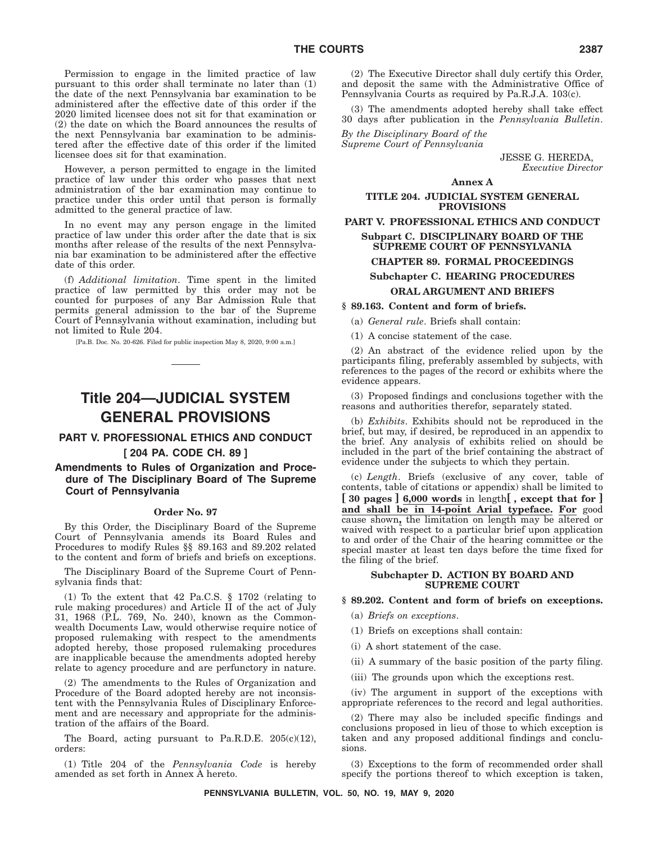Permission to engage in the limited practice of law pursuant to this order shall terminate no later than (1) the date of the next Pennsylvania bar examination to be administered after the effective date of this order if the 2020 limited licensee does not sit for that examination or (2) the date on which the Board announces the results of the next Pennsylvania bar examination to be administered after the effective date of this order if the limited licensee does sit for that examination.

However, a person permitted to engage in the limited practice of law under this order who passes that next administration of the bar examination may continue to practice under this order until that person is formally admitted to the general practice of law.

In no event may any person engage in the limited practice of law under this order after the date that is six months after release of the results of the next Pennsylvania bar examination to be administered after the effective date of this order.

(f) *Additional limitation*. Time spent in the limited practice of law permitted by this order may not be counted for purposes of any Bar Admission Rule that permits general admission to the bar of the Supreme Court of Pennsylvania without examination, including but not limited to Rule 204.

[Pa.B. Doc. No. 20-626. Filed for public inspection May 8, 2020, 9:00 a.m.]

# **Title 204—JUDICIAL SYSTEM GENERAL PROVISIONS**

#### **PART V. PROFESSIONAL ETHICS AND CONDUCT**

#### **[ 204 PA. CODE CH. 89 ]**

**Amendments to Rules of Organization and Procedure of The Disciplinary Board of The Supreme Court of Pennsylvania**

#### **Order No. 97**

By this Order, the Disciplinary Board of the Supreme Court of Pennsylvania amends its Board Rules and Procedures to modify Rules §§ 89.163 and 89.202 related to the content and form of briefs and briefs on exceptions.

The Disciplinary Board of the Supreme Court of Pennsylvania finds that:

(1) To the extent that 42 Pa.C.S. § 1702 (relating to rule making procedures) and Article II of the act of July 31, 1968 (P.L. 769, No. 240), known as the Commonwealth Documents Law, would otherwise require notice of proposed rulemaking with respect to the amendments adopted hereby, those proposed rulemaking procedures are inapplicable because the amendments adopted hereby relate to agency procedure and are perfunctory in nature.

(2) The amendments to the Rules of Organization and Procedure of the Board adopted hereby are not inconsistent with the Pennsylvania Rules of Disciplinary Enforcement and are necessary and appropriate for the administration of the affairs of the Board.

The Board, acting pursuant to Pa.R.D.E.  $205(c)(12)$ , orders:

(1) Title 204 of the *Pennsylvania Code* is hereby amended as set forth in Annex A hereto.

(2) The Executive Director shall duly certify this Order, and deposit the same with the Administrative Office of Pennsylvania Courts as required by Pa.R.J.A. 103(c).

(3) The amendments adopted hereby shall take effect 30 days after publication in the *Pennsylvania Bulletin*.

*By the Disciplinary Board of the Supreme Court of Pennsylvania*

> JESSE G. HEREDA, *Executive Director*

#### **Annex A**

**TITLE 204. JUDICIAL SYSTEM GENERAL PROVISIONS**

**PART V. PROFESSIONAL ETHICS AND CONDUCT Subpart C. DISCIPLINARY BOARD OF THE SUPREME COURT OF PENNSYLVANIA CHAPTER 89. FORMAL PROCEEDINGS Subchapter C. HEARING PROCEDURES**

#### **ORAL ARGUMENT AND BRIEFS**

**§ 89.163. Content and form of briefs.**

(a) *General rule*. Briefs shall contain:

(1) A concise statement of the case.

(2) An abstract of the evidence relied upon by the participants filing, preferably assembled by subjects, with references to the pages of the record or exhibits where the evidence appears.

(3) Proposed findings and conclusions together with the reasons and authorities therefor, separately stated.

(b) *Exhibits*. Exhibits should not be reproduced in the brief, but may, if desired, be reproduced in an appendix to the brief. Any analysis of exhibits relied on should be included in the part of the brief containing the abstract of evidence under the subjects to which they pertain.

(c) *Length*. Briefs (exclusive of any cover, table of contents, table of citations or appendix) shall be limited to **[ 30 pages ] 6,000 words** in length**[ , except that for ] and shall be in 14-point Arial typeface. For** good cause shown**,** the limitation on length may be altered or waived with respect to a particular brief upon application to and order of the Chair of the hearing committee or the special master at least ten days before the time fixed for the filing of the brief.

#### **Subchapter D. ACTION BY BOARD AND SUPREME COURT**

#### **§ 89.202. Content and form of briefs on exceptions.**

- (a) *Briefs on exceptions*.
- (1) Briefs on exceptions shall contain:
- (i) A short statement of the case.
- (ii) A summary of the basic position of the party filing.
- (iii) The grounds upon which the exceptions rest.

(iv) The argument in support of the exceptions with appropriate references to the record and legal authorities.

(2) There may also be included specific findings and conclusions proposed in lieu of those to which exception is taken and any proposed additional findings and conclusions.

(3) Exceptions to the form of recommended order shall specify the portions thereof to which exception is taken,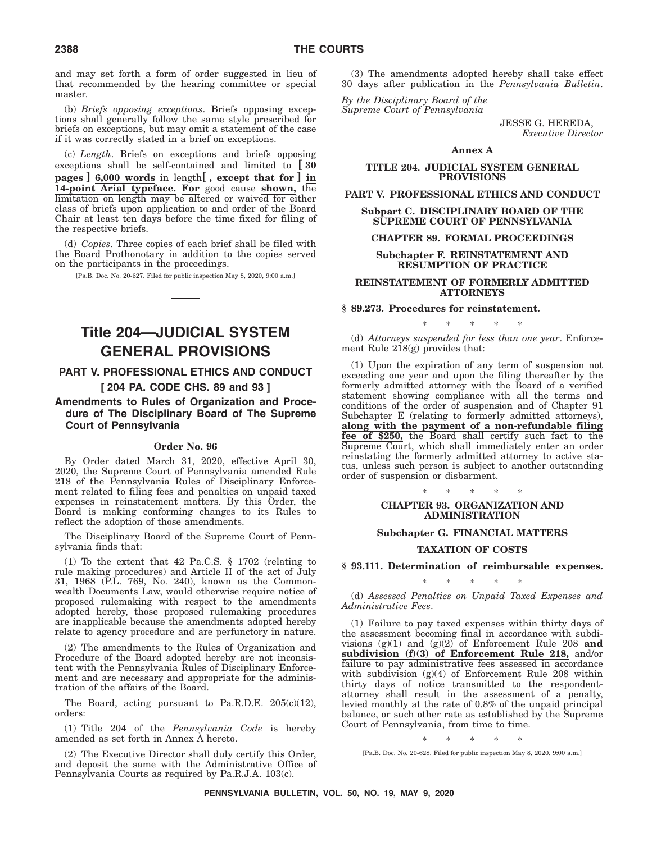and may set forth a form of order suggested in lieu of that recommended by the hearing committee or special master.

(b) *Briefs opposing exceptions*. Briefs opposing exceptions shall generally follow the same style prescribed for briefs on exceptions, but may omit a statement of the case if it was correctly stated in a brief on exceptions.

(c) *Length*. Briefs on exceptions and briefs opposing exceptions shall be self-contained and limited to **[ 30 pages ] 6,000 words** in length**[ , except that for ] in 14-point Arial typeface. For** good cause **shown,** the limitation on length may be altered or waived for either class of briefs upon application to and order of the Board Chair at least ten days before the time fixed for filing of the respective briefs.

(d) *Copies*. Three copies of each brief shall be filed with the Board Prothonotary in addition to the copies served on the participants in the proceedings.

[Pa.B. Doc. No. 20-627. Filed for public inspection May 8, 2020, 9:00 a.m.]

# **Title 204—JUDICIAL SYSTEM GENERAL PROVISIONS**

#### **PART V. PROFESSIONAL ETHICS AND CONDUCT [ 204 PA. CODE CHS. 89 and 93 ]**

#### **Amendments to Rules of Organization and Procedure of The Disciplinary Board of The Supreme Court of Pennsylvania**

#### **Order No. 96**

By Order dated March 31, 2020, effective April 30, 2020, the Supreme Court of Pennsylvania amended Rule 218 of the Pennsylvania Rules of Disciplinary Enforcement related to filing fees and penalties on unpaid taxed expenses in reinstatement matters. By this Order, the Board is making conforming changes to its Rules to reflect the adoption of those amendments.

The Disciplinary Board of the Supreme Court of Pennsylvania finds that:

(1) To the extent that 42 Pa.C.S. § 1702 (relating to rule making procedures) and Article II of the act of July 31, 1968 (P.L. 769, No. 240), known as the Commonwealth Documents Law, would otherwise require notice of proposed rulemaking with respect to the amendments adopted hereby, those proposed rulemaking procedures are inapplicable because the amendments adopted hereby relate to agency procedure and are perfunctory in nature.

(2) The amendments to the Rules of Organization and Procedure of the Board adopted hereby are not inconsistent with the Pennsylvania Rules of Disciplinary Enforcement and are necessary and appropriate for the administration of the affairs of the Board.

The Board, acting pursuant to Pa.R.D.E.  $205(c)(12)$ , orders:

(1) Title 204 of the *Pennsylvania Code* is hereby amended as set forth in Annex A hereto.

(2) The Executive Director shall duly certify this Order, and deposit the same with the Administrative Office of Pennsylvania Courts as required by Pa.R.J.A. 103(c).

(3) The amendments adopted hereby shall take effect 30 days after publication in the *Pennsylvania Bulletin*.

*By the Disciplinary Board of the Supreme Court of Pennsylvania*

> JESSE G. HEREDA, *Executive Director*

#### **Annex A**

#### **TITLE 204. JUDICIAL SYSTEM GENERAL PROVISIONS**

**PART V. PROFESSIONAL ETHICS AND CONDUCT**

**Subpart C. DISCIPLINARY BOARD OF THE SUPREME COURT OF PENNSYLVANIA**

#### **CHAPTER 89. FORMAL PROCEEDINGS**

#### **Subchapter F. REINSTATEMENT AND RESUMPTION OF PRACTICE**

#### **REINSTATEMENT OF FORMERLY ADMITTED ATTORNEYS**

#### **§ 89.273. Procedures for reinstatement.**

\*\*\*\*\* (d) *Attorneys suspended for less than one year*. Enforcement Rule 218(g) provides that:

(1) Upon the expiration of any term of suspension not exceeding one year and upon the filing thereafter by the formerly admitted attorney with the Board of a verified statement showing compliance with all the terms and conditions of the order of suspension and of Chapter 91 Subchapter E (relating to formerly admitted attorneys), **along with the payment of a non-refundable filing fee of \$250,** the Board shall certify such fact to the Supreme Court, which shall immediately enter an order reinstating the formerly admitted attorney to active status, unless such person is subject to another outstanding order of suspension or disbarment.

#### \*\*\*\*\* **CHAPTER 93. ORGANIZATION AND ADMINISTRATION**

#### **Subchapter G. FINANCIAL MATTERS**

#### **TAXATION OF COSTS**

**§ 93.111. Determination of reimbursable expenses.**

\*\*\*\*\*

(d) *Assessed Penalties on Unpaid Taxed Expenses and Administrative Fees*.

(1) Failure to pay taxed expenses within thirty days of the assessment becoming final in accordance with subdivisions (g)(1) and (g)(2) of Enforcement Rule 208 **and subdivision (f)(3) of Enforcement Rule 218,** and/or failure to pay administrative fees assessed in accordance with subdivision (g)(4) of Enforcement Rule 208 within thirty days of notice transmitted to the respondentattorney shall result in the assessment of a penalty, levied monthly at the rate of 0.8% of the unpaid principal balance, or such other rate as established by the Supreme Court of Pennsylvania, from time to time.

\*\*\*\*\*

[Pa.B. Doc. No. 20-628. Filed for public inspection May 8, 2020, 9:00 a.m.]

**PENNSYLVANIA BULLETIN, VOL. 50, NO. 19, MAY 9, 2020**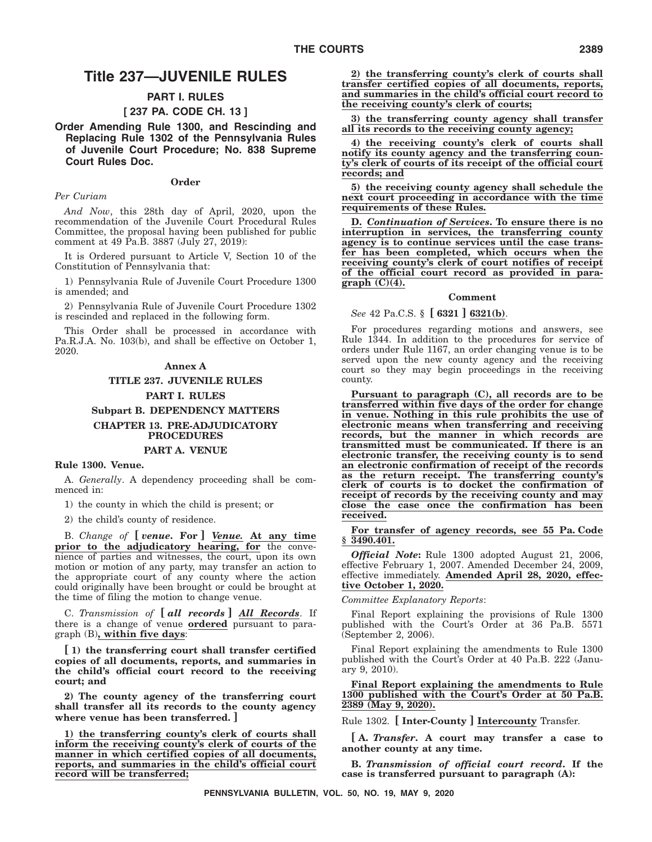## **Title 237—JUVENILE RULES**

#### **PART I. RULES**

#### **[ 237 PA. CODE CH. 13 ]**

**Order Amending Rule 1300, and Rescinding and Replacing Rule 1302 of the Pennsylvania Rules of Juvenile Court Procedure; No. 838 Supreme Court Rules Doc.**

#### **Order**

#### *Per Curiam*

*And Now*, this 28th day of April, 2020, upon the recommendation of the Juvenile Court Procedural Rules Committee, the proposal having been published for public comment at 49 Pa.B. 3887 (July 27, 2019):

It is Ordered pursuant to Article V, Section 10 of the Constitution of Pennsylvania that:

1) Pennsylvania Rule of Juvenile Court Procedure 1300 is amended; and

2) Pennsylvania Rule of Juvenile Court Procedure 1302 is rescinded and replaced in the following form.

This Order shall be processed in accordance with Pa.R.J.A. No. 103(b), and shall be effective on October 1, 2020.

#### **Annex A**

#### **TITLE 237. JUVENILE RULES**

#### **PART I. RULES**

#### **Subpart B. DEPENDENCY MATTERS**

#### **CHAPTER 13. PRE-ADJUDICATORY PROCEDURES PART A. VENUE**

#### **Rule 1300. Venue.**

A. *Generally*. A dependency proceeding shall be commenced in:

1) the county in which the child is present; or

2) the child's county of residence.

B. *Change of* **[** *venue***. For ]** *Venue.* **At any time prior to the adjudicatory hearing, for** the convenience of parties and witnesses, the court, upon its own motion or motion of any party, may transfer an action to the appropriate court of any county where the action could originally have been brought or could be brought at the time of filing the motion to change venue.

C. *Transmission of* **[** *all records* **]** *All Records*. If there is a change of venue **ordered** pursuant to paragraph (B)**, within five days**:

**[ 1) the transferring court shall transfer certified copies of all documents, reports, and summaries in the child's official court record to the receiving court; and**

**2) The county agency of the transferring court shall transfer all its records to the county agency where venue has been transferred. ]**

**1) the transferring county's clerk of courts shall inform the receiving county's clerk of courts of the manner in which certified copies of all documents, reports, and summaries in the child's official court record will be transferred;**

**2) the transferring county's clerk of courts shall transfer certified copies of all documents, reports, and summaries in the child's official court record to the receiving county's clerk of courts;**

**3) the transferring county agency shall transfer all its records to the receiving county agency;**

**4) the receiving county's clerk of courts shall notify its county agency and the transferring county's clerk of courts of its receipt of the official court records; and**

**5) the receiving county agency shall schedule the next court proceeding in accordance with the time requirements of these Rules.**

**D.** *Continuation of Services***. To ensure there is no interruption in services, the transferring county agency is to continue services until the case transfer has been completed, which occurs when the receiving county's clerk of court notifies of receipt of the official court record as provided in paragraph (C)(4).**

#### **Comment**

#### *See* 42 Pa.C.S. § **[ 6321 ] 6321(b)**.

For procedures regarding motions and answers, see Rule 1344. In addition to the procedures for service of orders under Rule 1167, an order changing venue is to be served upon the new county agency and the receiving court so they may begin proceedings in the receiving county.

**Pursuant to paragraph (C), all records are to be transferred within five days of the order for change in venue. Nothing in this rule prohibits the use of electronic means when transferring and receiving records, but the manner in which records are transmitted must be communicated. If there is an electronic transfer, the receiving county is to send an electronic confirmation of receipt of the records as the return receipt. The transferring county's clerk of courts is to docket the confirmation of receipt of records by the receiving county and may close the case once the confirmation has been received.**

**For transfer of agency records, see 55 Pa. Code § 3490.401.**

*Official Note***:** Rule 1300 adopted August 21, 2006, effective February 1, 2007. Amended December 24, 2009, effective immediately. **Amended April 28, 2020, effective October 1, 2020.**

#### *Committee Explanatory Reports*:

Final Report explaining the provisions of Rule 1300 published with the Court's Order at 36 Pa.B. 5571 (September 2, 2006).

Final Report explaining the amendments to Rule 1300 published with the Court's Order at 40 Pa.B. 222 (January 9, 2010).

**Final Report explaining the amendments to Rule 1300 published with the Court's Order at 50 Pa.B. 2389 (May 9, 2020).**

Rule 1302. **[ Inter-County ] Intercounty** Transfer.

**[ A.** *Transfer***. A court may transfer a case to another county at any time.**

**B.** *Transmission of official court record***. If the case is transferred pursuant to paragraph (A):**

**PENNSYLVANIA BULLETIN, VOL. 50, NO. 19, MAY 9, 2020**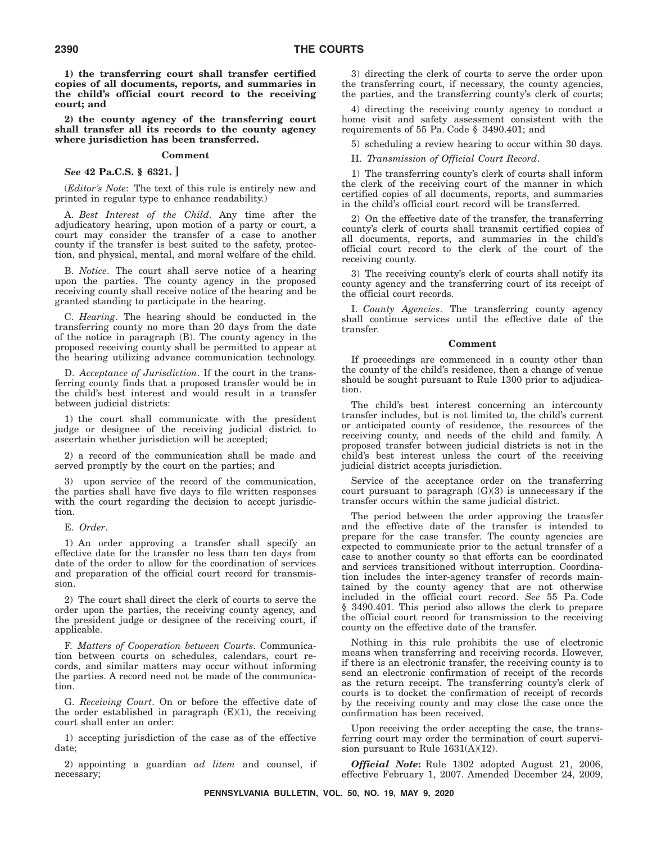**1) the transferring court shall transfer certified copies of all documents, reports, and summaries in the child's official court record to the receiving court; and**

**2) the county agency of the transferring court shall transfer all its records to the county agency where jurisdiction has been transferred.**

#### **Comment**

*See* **42 Pa.C.S. § 6321. ]**

(*Editor's Note*: The text of this rule is entirely new and printed in regular type to enhance readability.)

A. *Best Interest of the Child*. Any time after the adjudicatory hearing, upon motion of a party or court, a court may consider the transfer of a case to another county if the transfer is best suited to the safety, protection, and physical, mental, and moral welfare of the child.

B. *Notice*. The court shall serve notice of a hearing upon the parties. The county agency in the proposed receiving county shall receive notice of the hearing and be granted standing to participate in the hearing.

C. *Hearing*. The hearing should be conducted in the transferring county no more than 20 days from the date of the notice in paragraph (B). The county agency in the proposed receiving county shall be permitted to appear at the hearing utilizing advance communication technology.

D. *Acceptance of Jurisdiction*. If the court in the transferring county finds that a proposed transfer would be in the child's best interest and would result in a transfer between judicial districts:

1) the court shall communicate with the president judge or designee of the receiving judicial district to ascertain whether jurisdiction will be accepted;

2) a record of the communication shall be made and served promptly by the court on the parties; and

3) upon service of the record of the communication, the parties shall have five days to file written responses with the court regarding the decision to accept jurisdiction.

E. *Order*.

1) An order approving a transfer shall specify an effective date for the transfer no less than ten days from date of the order to allow for the coordination of services and preparation of the official court record for transmission.

2) The court shall direct the clerk of courts to serve the order upon the parties, the receiving county agency, and the president judge or designee of the receiving court, if applicable.

F. *Matters of Cooperation between Courts*. Communication between courts on schedules, calendars, court records, and similar matters may occur without informing the parties. A record need not be made of the communication.

G. *Receiving Court*. On or before the effective date of the order established in paragraph  $(E)(1)$ , the receiving court shall enter an order:

1) accepting jurisdiction of the case as of the effective date;

2) appointing a guardian *ad litem* and counsel, if necessary;

3) directing the clerk of courts to serve the order upon the transferring court, if necessary, the county agencies, the parties, and the transferring county's clerk of courts;

4) directing the receiving county agency to conduct a home visit and safety assessment consistent with the requirements of 55 Pa. Code § 3490.401; and

5) scheduling a review hearing to occur within 30 days.

H. *Transmission of Official Court Record*.

1) The transferring county's clerk of courts shall inform the clerk of the receiving court of the manner in which certified copies of all documents, reports, and summaries in the child's official court record will be transferred.

2) On the effective date of the transfer, the transferring county's clerk of courts shall transmit certified copies of all documents, reports, and summaries in the child's official court record to the clerk of the court of the receiving county.

3) The receiving county's clerk of courts shall notify its county agency and the transferring court of its receipt of the official court records.

I. *County Agencies*. The transferring county agency shall continue services until the effective date of the transfer.

#### **Comment**

If proceedings are commenced in a county other than the county of the child's residence, then a change of venue should be sought pursuant to Rule 1300 prior to adjudication.

The child's best interest concerning an intercounty transfer includes, but is not limited to, the child's current or anticipated county of residence, the resources of the receiving county, and needs of the child and family. A proposed transfer between judicial districts is not in the child's best interest unless the court of the receiving judicial district accepts jurisdiction.

Service of the acceptance order on the transferring court pursuant to paragraph (G)(3) is unnecessary if the transfer occurs within the same judicial district.

The period between the order approving the transfer and the effective date of the transfer is intended to prepare for the case transfer. The county agencies are expected to communicate prior to the actual transfer of a case to another county so that efforts can be coordinated and services transitioned without interruption. Coordination includes the inter-agency transfer of records maintained by the county agency that are not otherwise included in the official court record. *See* 55 Pa. Code § 3490.401. This period also allows the clerk to prepare the official court record for transmission to the receiving county on the effective date of the transfer.

Nothing in this rule prohibits the use of electronic means when transferring and receiving records. However, if there is an electronic transfer, the receiving county is to send an electronic confirmation of receipt of the records as the return receipt. The transferring county's clerk of courts is to docket the confirmation of receipt of records by the receiving county and may close the case once the confirmation has been received.

Upon receiving the order accepting the case, the transferring court may order the termination of court supervision pursuant to Rule 1631(A)(12).

*Official Note***:** Rule 1302 adopted August 21, 2006, effective February 1, 2007. Amended December 24, 2009,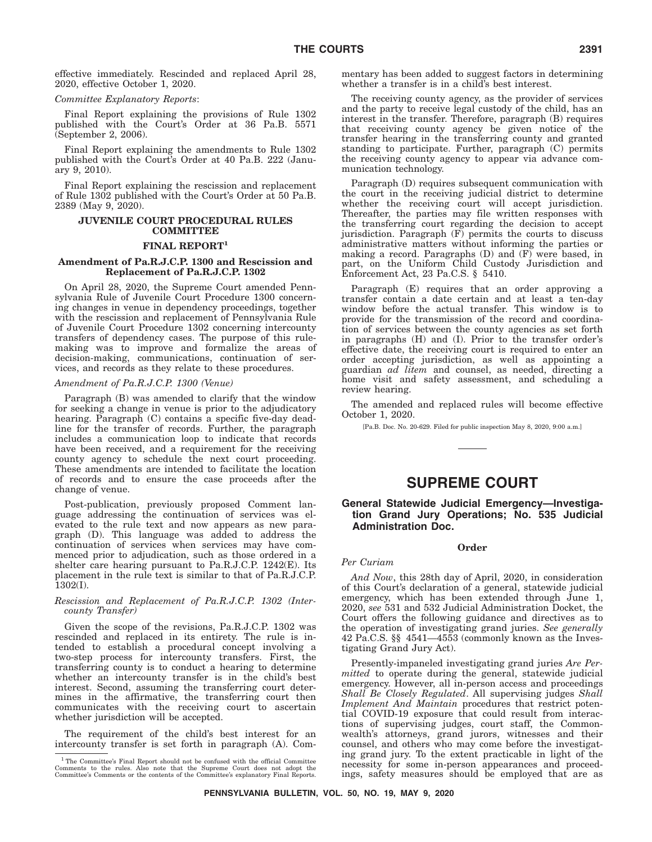effective immediately. Rescinded and replaced April 28, 2020, effective October 1, 2020.

#### *Committee Explanatory Reports*:

Final Report explaining the provisions of Rule 1302 published with the Court's Order at 36 Pa.B. 5571 (September 2, 2006).

Final Report explaining the amendments to Rule 1302 published with the Court's Order at 40 Pa.B. 222 (January 9, 2010).

Final Report explaining the rescission and replacement of Rule 1302 published with the Court's Order at 50 Pa.B. 2389 (May 9, 2020).

#### **JUVENILE COURT PROCEDURAL RULES COMMITTEE**

#### **FINAL REPORT1**

#### **Amendment of Pa.R.J.C.P. 1300 and Rescission and Replacement of Pa.R.J.C.P. 1302**

On April 28, 2020, the Supreme Court amended Pennsylvania Rule of Juvenile Court Procedure 1300 concerning changes in venue in dependency proceedings, together with the rescission and replacement of Pennsylvania Rule of Juvenile Court Procedure 1302 concerning intercounty transfers of dependency cases. The purpose of this rulemaking was to improve and formalize the areas of decision-making, communications, continuation of services, and records as they relate to these procedures.

#### *Amendment of Pa.R.J.C.P. 1300 (Venue)*

Paragraph (B) was amended to clarify that the window for seeking a change in venue is prior to the adjudicatory hearing. Paragraph (C) contains a specific five-day deadline for the transfer of records. Further, the paragraph includes a communication loop to indicate that records have been received, and a requirement for the receiving county agency to schedule the next court proceeding. These amendments are intended to facilitate the location of records and to ensure the case proceeds after the change of venue.

Post-publication, previously proposed Comment language addressing the continuation of services was elevated to the rule text and now appears as new paragraph (D). This language was added to address the continuation of services when services may have commenced prior to adjudication, such as those ordered in a shelter care hearing pursuant to Pa.R.J.C.P. 1242(E). Its placement in the rule text is similar to that of Pa.R.J.C.P. 1302(I).

#### *Rescission and Replacement of Pa.R.J.C.P. 1302 (Intercounty Transfer)*

Given the scope of the revisions, Pa.R.J.C.P. 1302 was rescinded and replaced in its entirety. The rule is intended to establish a procedural concept involving a two-step process for intercounty transfers. First, the transferring county is to conduct a hearing to determine whether an intercounty transfer is in the child's best interest. Second, assuming the transferring court determines in the affirmative, the transferring court then communicates with the receiving court to ascertain whether jurisdiction will be accepted.

The requirement of the child's best interest for an intercounty transfer is set forth in paragraph (A). Commentary has been added to suggest factors in determining whether a transfer is in a child's best interest.

The receiving county agency, as the provider of services and the party to receive legal custody of the child, has an interest in the transfer. Therefore, paragraph (B) requires that receiving county agency be given notice of the transfer hearing in the transferring county and granted standing to participate. Further, paragraph (C) permits the receiving county agency to appear via advance communication technology.

Paragraph (D) requires subsequent communication with the court in the receiving judicial district to determine whether the receiving court will accept jurisdiction. Thereafter, the parties may file written responses with the transferring court regarding the decision to accept jurisdiction. Paragraph (F) permits the courts to discuss administrative matters without informing the parties or making a record. Paragraphs  $(D)$  and  $(F)$  were based, in part, on the Uniform Child Custody Jurisdiction and Enforcement Act, 23 Pa.C.S. § 5410.

Paragraph (E) requires that an order approving a transfer contain a date certain and at least a ten-day window before the actual transfer. This window is to provide for the transmission of the record and coordination of services between the county agencies as set forth in paragraphs (H) and (I). Prior to the transfer order's effective date, the receiving court is required to enter an order accepting jurisdiction, as well as appointing a guardian *ad litem* and counsel, as needed, directing a home visit and safety assessment, and scheduling a review hearing.

The amended and replaced rules will become effective October 1, 2020.

[Pa.B. Doc. No. 20-629. Filed for public inspection May 8, 2020, 9:00 a.m.]

#### **SUPREME COURT**

#### **General Statewide Judicial Emergency—Investigation Grand Jury Operations; No. 535 Judicial Administration Doc.**

#### **Order**

#### *Per Curiam*

*And Now*, this 28th day of April, 2020, in consideration of this Court's declaration of a general, statewide judicial emergency, which has been extended through June 1, 2020, *see* 531 and 532 Judicial Administration Docket, the Court offers the following guidance and directives as to the operation of investigating grand juries. *See generally* 42 Pa.C.S. §§ 4541—4553 (commonly known as the Investigating Grand Jury Act).

Presently-impaneled investigating grand juries *Are Permitted* to operate during the general, statewide judicial emergency. However, all in-person access and proceedings *Shall Be Closely Regulated*. All supervising judges *Shall Implement And Maintain* procedures that restrict potential COVID-19 exposure that could result from interactions of supervising judges, court staff, the Commonwealth's attorneys, grand jurors, witnesses and their counsel, and others who may come before the investigating grand jury. To the extent practicable in light of the necessity for some in-person appearances and proceedings, safety measures should be employed that are as

 $1$  The Committee's Final Report should not be confused with the official Committee Comments to the rules. Also note that the Supreme Court does not adopt the Committee's Comments or the contents of the Committee's explan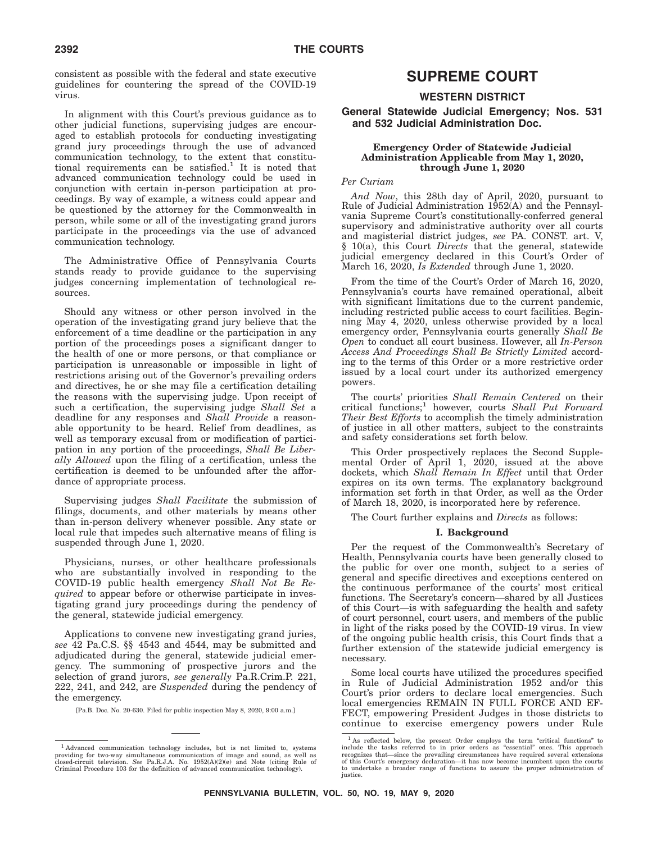consistent as possible with the federal and state executive guidelines for countering the spread of the COVID-19 virus.

In alignment with this Court's previous guidance as to other judicial functions, supervising judges are encouraged to establish protocols for conducting investigating grand jury proceedings through the use of advanced communication technology, to the extent that constitutional requirements can be satisfied.<sup>1</sup> It is noted that advanced communication technology could be used in conjunction with certain in-person participation at proceedings. By way of example, a witness could appear and be questioned by the attorney for the Commonwealth in person, while some or all of the investigating grand jurors participate in the proceedings via the use of advanced communication technology.

The Administrative Office of Pennsylvania Courts stands ready to provide guidance to the supervising judges concerning implementation of technological resources.

Should any witness or other person involved in the operation of the investigating grand jury believe that the enforcement of a time deadline or the participation in any portion of the proceedings poses a significant danger to the health of one or more persons, or that compliance or participation is unreasonable or impossible in light of restrictions arising out of the Governor's prevailing orders and directives, he or she may file a certification detailing the reasons with the supervising judge. Upon receipt of such a certification, the supervising judge *Shall Set* a deadline for any responses and *Shall Provide* a reasonable opportunity to be heard. Relief from deadlines, as well as temporary excusal from or modification of participation in any portion of the proceedings, *Shall Be Liberally Allowed* upon the filing of a certification, unless the certification is deemed to be unfounded after the affordance of appropriate process.

Supervising judges *Shall Facilitate* the submission of filings, documents, and other materials by means other than in-person delivery whenever possible. Any state or local rule that impedes such alternative means of filing is suspended through June 1, 2020.

Physicians, nurses, or other healthcare professionals who are substantially involved in responding to the COVID-19 public health emergency *Shall Not Be Required* to appear before or otherwise participate in investigating grand jury proceedings during the pendency of the general, statewide judicial emergency.

Applications to convene new investigating grand juries, *see* 42 Pa.C.S. §§ 4543 and 4544, may be submitted and adjudicated during the general, statewide judicial emergency. The summoning of prospective jurors and the selection of grand jurors, *see generally* Pa.R.Crim.P. 221, 222, 241, and 242, are *Suspended* during the pendency of the emergency.

[Pa.B. Doc. No. 20-630. Filed for public inspection May 8, 2020, 9:00 a.m.]

# **SUPREME COURT**

#### **WESTERN DISTRICT**

**General Statewide Judicial Emergency; Nos. 531 and 532 Judicial Administration Doc.**

#### **Emergency Order of Statewide Judicial Administration Applicable from May 1, 2020, through June 1, 2020**

#### *Per Curiam*

*And Now*, this 28th day of April, 2020, pursuant to Rule of Judicial Administration 1952(A) and the Pennsylvania Supreme Court's constitutionally-conferred general supervisory and administrative authority over all courts and magisterial district judges, *see* PA. CONST. art. V, § 10(a), this Court *Directs* that the general, statewide judicial emergency declared in this Court's Order of March 16, 2020, *Is Extended* through June 1, 2020.

From the time of the Court's Order of March 16, 2020, Pennsylvania's courts have remained operational, albeit with significant limitations due to the current pandemic, including restricted public access to court facilities. Beginning May 4, 2020, unless otherwise provided by a local emergency order, Pennsylvania courts generally *Shall Be Open* to conduct all court business. However, all *In-Person Access And Proceedings Shall Be Strictly Limited* according to the terms of this Order or a more restrictive order issued by a local court under its authorized emergency powers.

The courts' priorities *Shall Remain Centered* on their critical functions;1 however, courts *Shall Put Forward Their Best Efforts* to accomplish the timely administration of justice in all other matters, subject to the constraints and safety considerations set forth below.

This Order prospectively replaces the Second Supplemental Order of April 1, 2020, issued at the above dockets, which *Shall Remain In Effect* until that Order expires on its own terms. The explanatory background information set forth in that Order, as well as the Order of March 18, 2020, is incorporated here by reference.

The Court further explains and *Directs* as follows:

#### **I. Background**

Per the request of the Commonwealth's Secretary of Health, Pennsylvania courts have been generally closed to the public for over one month, subject to a series of general and specific directives and exceptions centered on the continuous performance of the courts' most critical functions. The Secretary's concern—shared by all Justices of this Court—is with safeguarding the health and safety of court personnel, court users, and members of the public in light of the risks posed by the COVID-19 virus. In view of the ongoing public health crisis, this Court finds that a further extension of the statewide judicial emergency is necessary.

Some local courts have utilized the procedures specified in Rule of Judicial Administration 1952 and/or this Court's prior orders to declare local emergencies. Such local emergencies REMAIN IN FULL FORCE AND EF-FECT, empowering President Judges in those districts to continue to exercise emergency powers under Rule

<sup>&</sup>lt;sup>1</sup> Advanced communication technology includes, but is not limited to, systems providing for two-way simultaneous communication of image and sound, as well as closed-circuit television. *See* Pa.R.J.A. No. 1952(A)(2)(e) and Note (citing Rule of Criminal Procedure 103 for the definition of advanced communication technology).

<sup>&</sup>lt;sup>1</sup> As reflected below, the present Order employs the term "critical functions" to include the tasks referred to in prior orders as "essential" ones. This approach recognizes that—since the prevailing circumstances have r of this Court's emergency declaration—it has now become incumbent upon the courts to undertake a broader range of functions to assure the proper administration of justice.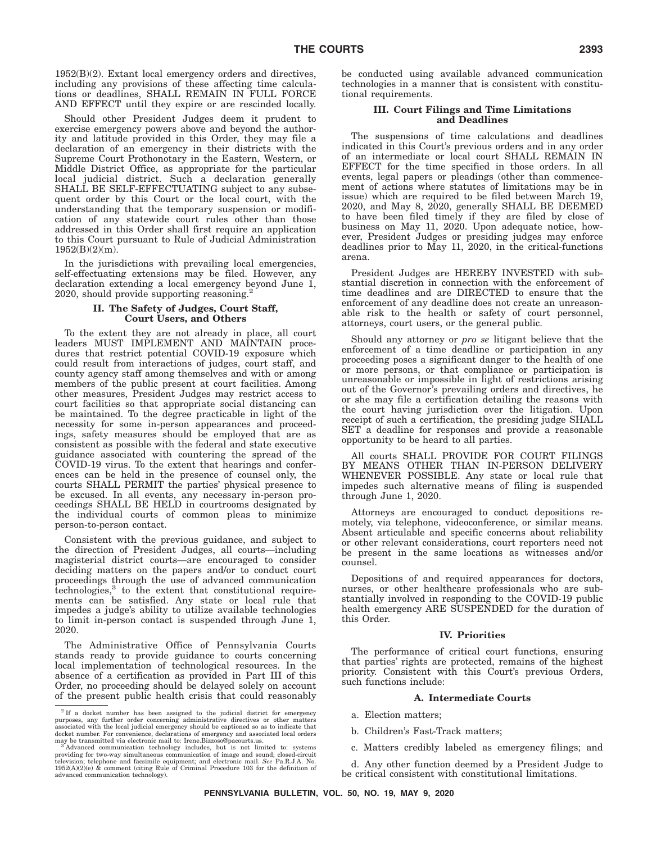1952(B)(2). Extant local emergency orders and directives, including any provisions of these affecting time calculations or deadlines, SHALL REMAIN IN FULL FORCE AND EFFECT until they expire or are rescinded locally.

Should other President Judges deem it prudent to exercise emergency powers above and beyond the authority and latitude provided in this Order, they may file a declaration of an emergency in their districts with the Supreme Court Prothonotary in the Eastern, Western, or Middle District Office, as appropriate for the particular local judicial district. Such a declaration generally SHALL BE SELF-EFFECTUATING subject to any subsequent order by this Court or the local court, with the understanding that the temporary suspension or modification of any statewide court rules other than those addressed in this Order shall first require an application to this Court pursuant to Rule of Judicial Administration 1952(B)(2)(m).

In the jurisdictions with prevailing local emergencies, self-effectuating extensions may be filed. However, any declaration extending a local emergency beyond June 1, 2020, should provide supporting reasoning.<sup>2</sup>

#### **II. The Safety of Judges, Court Staff, Court Users, and Others**

To the extent they are not already in place, all court leaders MUST IMPLEMENT AND MAINTAIN procedures that restrict potential COVID-19 exposure which could result from interactions of judges, court staff, and county agency staff among themselves and with or among members of the public present at court facilities. Among other measures, President Judges may restrict access to court facilities so that appropriate social distancing can be maintained. To the degree practicable in light of the necessity for some in-person appearances and proceedings, safety measures should be employed that are as consistent as possible with the federal and state executive guidance associated with countering the spread of the COVID-19 virus. To the extent that hearings and conferences can be held in the presence of counsel only, the courts SHALL PERMIT the parties' physical presence to be excused. In all events, any necessary in-person proceedings SHALL BE HELD in courtrooms designated by the individual courts of common pleas to minimize person-to-person contact.

Consistent with the previous guidance, and subject to the direction of President Judges, all courts—including magisterial district courts—are encouraged to consider deciding matters on the papers and/or to conduct court proceedings through the use of advanced communication technologies,<sup>3</sup> to the extent that constitutional requirements can be satisfied. Any state or local rule that impedes a judge's ability to utilize available technologies to limit in-person contact is suspended through June 1, 2020.

The Administrative Office of Pennsylvania Courts stands ready to provide guidance to courts concerning local implementation of technological resources. In the absence of a certification as provided in Part III of this Order, no proceeding should be delayed solely on account of the present public health crisis that could reasonably

be conducted using available advanced communication technologies in a manner that is consistent with constitutional requirements.

#### **III. Court Filings and Time Limitations and Deadlines**

The suspensions of time calculations and deadlines indicated in this Court's previous orders and in any order of an intermediate or local court SHALL REMAIN IN EFFECT for the time specified in those orders. In all events, legal papers or pleadings (other than commencement of actions where statutes of limitations may be in issue) which are required to be filed between March 19, 2020, and May 8, 2020, generally SHALL BE DEEMED to have been filed timely if they are filed by close of business on May 11, 2020. Upon adequate notice, however, President Judges or presiding judges may enforce deadlines prior to May 11, 2020, in the critical-functions arena.

President Judges are HEREBY INVESTED with substantial discretion in connection with the enforcement of time deadlines and are DIRECTED to ensure that the enforcement of any deadline does not create an unreasonable risk to the health or safety of court personnel, attorneys, court users, or the general public.

Should any attorney or *pro se* litigant believe that the enforcement of a time deadline or participation in any proceeding poses a significant danger to the health of one or more persons, or that compliance or participation is unreasonable or impossible in light of restrictions arising out of the Governor's prevailing orders and directives, he or she may file a certification detailing the reasons with the court having jurisdiction over the litigation. Upon receipt of such a certification, the presiding judge SHALL SET a deadline for responses and provide a reasonable opportunity to be heard to all parties.

All courts SHALL PROVIDE FOR COURT FILINGS BY MEANS OTHER THAN IN-PERSON DELIVERY WHENEVER POSSIBLE. Any state or local rule that impedes such alternative means of filing is suspended through June 1, 2020.

Attorneys are encouraged to conduct depositions remotely, via telephone, videoconference, or similar means. Absent articulable and specific concerns about reliability or other relevant considerations, court reporters need not be present in the same locations as witnesses and/or counsel.

Depositions of and required appearances for doctors, nurses, or other healthcare professionals who are substantially involved in responding to the COVID-19 public health emergency ARE SUSPENDED for the duration of this Order.

#### **IV. Priorities**

The performance of critical court functions, ensuring that parties' rights are protected, remains of the highest priority. Consistent with this Court's previous Orders, such functions include:

#### **A. Intermediate Courts**

- a. Election matters;
- b. Children's Fast-Track matters;
- c. Matters credibly labeled as emergency filings; and

d. Any other function deemed by a President Judge to be critical consistent with constitutional limitations.

<sup>2</sup> If a docket number has been assigned to the judicial district for emergency purposes, any further order concerning administrative directives or other matters associated with the local judicial emergency should be captioned so as to indicate that docket number. For convenience, declarations of emergency and associated local orders may be transmitted via electronic mail to: Irene.Bizzoso@pacourts.us.

may be transmitted via electronic mail to: Irene.Bizzoso@pacourts.us.<br><sup>3</sup> Advanced communication technology includes, but is not limited to: systems<br>providing for two-way simultaneous communication of image and so television; telephone and facsimile equipment; and electronic mail. *See* Pa.R.J.A. No.<br>1952(A)(2)(e) & comment (citing Rule of Criminal Procedure 103 for the definition of<br>advanced communication technology).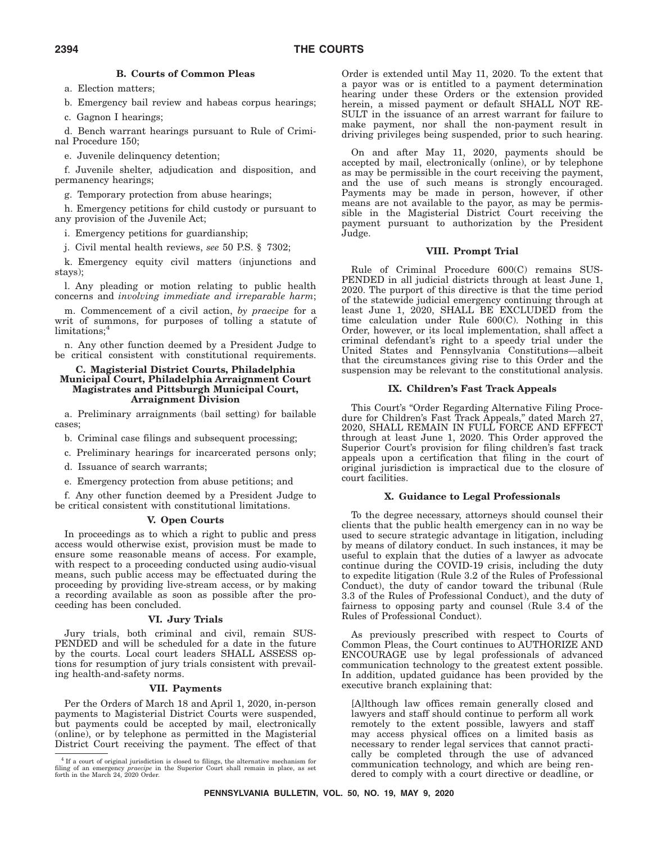#### **B. Courts of Common Pleas**

a. Election matters;

b. Emergency bail review and habeas corpus hearings;

c. Gagnon I hearings;

d. Bench warrant hearings pursuant to Rule of Criminal Procedure 150;

e. Juvenile delinquency detention;

f. Juvenile shelter, adjudication and disposition, and permanency hearings;

g. Temporary protection from abuse hearings;

h. Emergency petitions for child custody or pursuant to any provision of the Juvenile Act;

i. Emergency petitions for guardianship;

j. Civil mental health reviews, *see* 50 P.S. § 7302;

k. Emergency equity civil matters (injunctions and stays);

l. Any pleading or motion relating to public health concerns and *involving immediate and irreparable harm*;

m. Commencement of a civil action, *by praecipe* for a writ of summons, for purposes of tolling a statute of limitations;<sup>4</sup>

n. Any other function deemed by a President Judge to be critical consistent with constitutional requirements.

#### **C. Magisterial District Courts, Philadelphia Municipal Court, Philadelphia Arraignment Court Magistrates and Pittsburgh Municipal Court, Arraignment Division**

a. Preliminary arraignments (bail setting) for bailable cases;

b. Criminal case filings and subsequent processing;

c. Preliminary hearings for incarcerated persons only;

d. Issuance of search warrants;

e. Emergency protection from abuse petitions; and

f. Any other function deemed by a President Judge to be critical consistent with constitutional limitations.

#### **V. Open Courts**

In proceedings as to which a right to public and press access would otherwise exist, provision must be made to ensure some reasonable means of access. For example, with respect to a proceeding conducted using audio-visual means, such public access may be effectuated during the proceeding by providing live-stream access, or by making a recording available as soon as possible after the proceeding has been concluded.

#### **VI. Jury Trials**

Jury trials, both criminal and civil, remain SUS-PENDED and will be scheduled for a date in the future by the courts. Local court leaders SHALL ASSESS options for resumption of jury trials consistent with prevailing health-and-safety norms.

#### **VII. Payments**

Per the Orders of March 18 and April 1, 2020, in-person payments to Magisterial District Courts were suspended, but payments could be accepted by mail, electronically (online), or by telephone as permitted in the Magisterial District Court receiving the payment. The effect of that Order is extended until May 11, 2020. To the extent that a payor was or is entitled to a payment determination hearing under these Orders or the extension provided herein, a missed payment or default SHALL NOT RE-SULT in the issuance of an arrest warrant for failure to make payment, nor shall the non-payment result in driving privileges being suspended, prior to such hearing.

On and after May 11, 2020, payments should be accepted by mail, electronically (online), or by telephone as may be permissible in the court receiving the payment, and the use of such means is strongly encouraged. Payments may be made in person, however, if other means are not available to the payor, as may be permissible in the Magisterial District Court receiving the payment pursuant to authorization by the President Judge.

#### **VIII. Prompt Trial**

Rule of Criminal Procedure 600(C) remains SUS-PENDED in all judicial districts through at least June 1, 2020. The purport of this directive is that the time period of the statewide judicial emergency continuing through at least June 1, 2020, SHALL BE EXCLUDED from the time calculation under Rule 600(C). Nothing in this Order, however, or its local implementation, shall affect a criminal defendant's right to a speedy trial under the United States and Pennsylvania Constitutions—albeit that the circumstances giving rise to this Order and the suspension may be relevant to the constitutional analysis.

#### **IX. Children's Fast Track Appeals**

This Court's "Order Regarding Alternative Filing Procedure for Children's Fast Track Appeals,'' dated March 27, 2020, SHALL REMAIN IN FULL FORCE AND EFFECT through at least June 1, 2020. This Order approved the Superior Court's provision for filing children's fast track appeals upon a certification that filing in the court of original jurisdiction is impractical due to the closure of court facilities.

#### **X. Guidance to Legal Professionals**

To the degree necessary, attorneys should counsel their clients that the public health emergency can in no way be used to secure strategic advantage in litigation, including by means of dilatory conduct. In such instances, it may be useful to explain that the duties of a lawyer as advocate continue during the COVID-19 crisis, including the duty to expedite litigation (Rule 3.2 of the Rules of Professional Conduct), the duty of candor toward the tribunal (Rule 3.3 of the Rules of Professional Conduct), and the duty of fairness to opposing party and counsel (Rule 3.4 of the Rules of Professional Conduct).

As previously prescribed with respect to Courts of Common Pleas, the Court continues to AUTHORIZE AND ENCOURAGE use by legal professionals of advanced communication technology to the greatest extent possible. In addition, updated guidance has been provided by the executive branch explaining that:

[A]lthough law offices remain generally closed and lawyers and staff should continue to perform all work remotely to the extent possible, lawyers and staff may access physical offices on a limited basis as necessary to render legal services that cannot practically be completed through the use of advanced communication technology, and which are being rendered to comply with a court directive or deadline, or

<sup>4</sup> If a court of original jurisdiction is closed to filings, the alternative mechanism for filing of an emergency *praecipe* in the Superior Court shall remain in place, as set forth in the March 24, 2020 Order.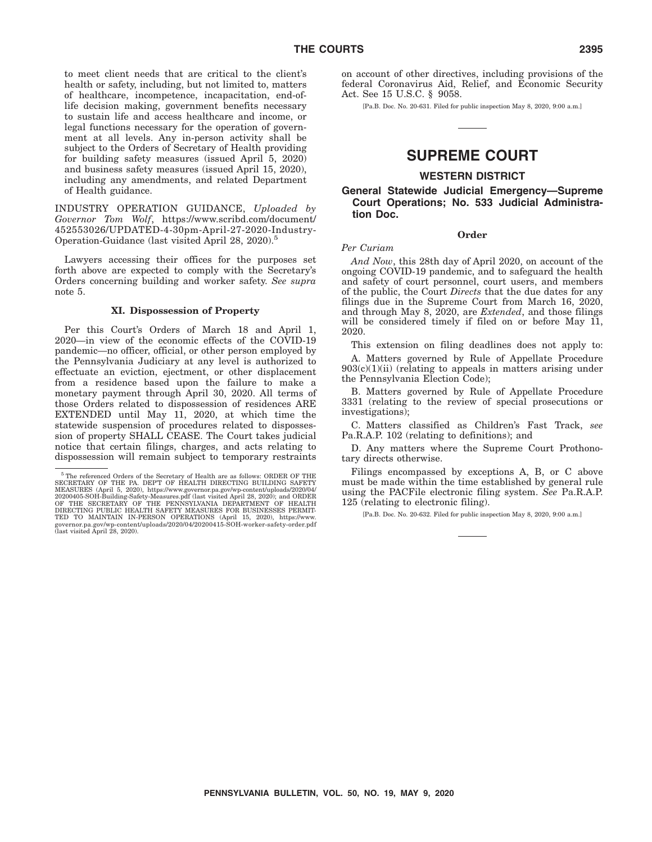to meet client needs that are critical to the client's health or safety, including, but not limited to, matters of healthcare, incompetence, incapacitation, end-oflife decision making, government benefits necessary to sustain life and access healthcare and income, or legal functions necessary for the operation of government at all levels. Any in-person activity shall be subject to the Orders of Secretary of Health providing for building safety measures (issued April 5, 2020) and business safety measures (issued April 15, 2020), including any amendments, and related Department of Health guidance.

INDUSTRY OPERATION GUIDANCE, *Uploaded by Governor Tom Wolf*, https://www.scribd.com/document/ 452553026/UPDATED-4-30pm-April-27-2020-Industry-Operation-Guidance (last visited April 28, 2020).5

Lawyers accessing their offices for the purposes set forth above are expected to comply with the Secretary's Orders concerning building and worker safety. *See supra* note 5.

#### **XI. Dispossession of Property**

Per this Court's Orders of March 18 and April 1, 2020—in view of the economic effects of the COVID-19 pandemic—no officer, official, or other person employed by the Pennsylvania Judiciary at any level is authorized to effectuate an eviction, ejectment, or other displacement from a residence based upon the failure to make a monetary payment through April 30, 2020. All terms of those Orders related to dispossession of residences ARE EXTENDED until May 11, 2020, at which time the statewide suspension of procedures related to dispossession of property SHALL CEASE. The Court takes judicial notice that certain filings, charges, and acts relating to dispossession will remain subject to temporary restraints

on account of other directives, including provisions of the federal Coronavirus Aid, Relief, and Economic Security Act. See 15 U.S.C. § 9058.

[Pa.B. Doc. No. 20-631. Filed for public inspection May 8, 2020, 9:00 a.m.]

# **SUPREME COURT**

#### **WESTERN DISTRICT**

#### **General Statewide Judicial Emergency—Supreme Court Operations; No. 533 Judicial Administration Doc.**

**Order**

#### *Per Curiam*

*And Now*, this 28th day of April 2020, on account of the ongoing COVID-19 pandemic, and to safeguard the health and safety of court personnel, court users, and members of the public, the Court *Directs* that the due dates for any filings due in the Supreme Court from March 16, 2020, and through May 8, 2020, are *Extended*, and those filings will be considered timely if filed on or before May 11, 2020.

This extension on filing deadlines does not apply to: A. Matters governed by Rule of Appellate Procedure  $903(c)(1)(ii)$  (relating to appeals in matters arising under the Pennsylvania Election Code);

B. Matters governed by Rule of Appellate Procedure 3331 (relating to the review of special prosecutions or investigations);

C. Matters classified as Children's Fast Track, *see* Pa.R.A.P. 102 (relating to definitions); and

D. Any matters where the Supreme Court Prothonotary directs otherwise.

Filings encompassed by exceptions A, B, or C above must be made within the time established by general rule using the PACFile electronic filing system. *See* Pa.R.A.P. 125 (relating to electronic filing).

[Pa.B. Doc. No. 20-632. Filed for public inspection May 8, 2020, 9:00 a.m.]

 $^5$  The referenced Orders of the Secretary of Health are as follows: ORDER OF THE SECRETARY OF THE PA. DEPT OF HEALTH DIRECTING BUILDING SAFETY MEASURES (April 5, 2020), https://www.governor.pa.gov/wp-content/uploads/2020/04/<br>20200405-SOH-Building-Safety-Measures.pdf (last visited April 28, 2020); and ORDER<br>OF THE SECRETARY OF THE PENNSYLVANIA DEPARTMENT OF HEALTH DIRECTING PUBLIC HEALTH SAFETY MEASURES FOR BUSINESSES PERMIT-TED TO MAINTAIN IN-PERSON OPERATIONS (April 15, 2020), https://www. governor.pa.gov/wp-content/uploads/2020/04/20200415-SOH-worker-safety-order.pdf (last visited April 28, 2020).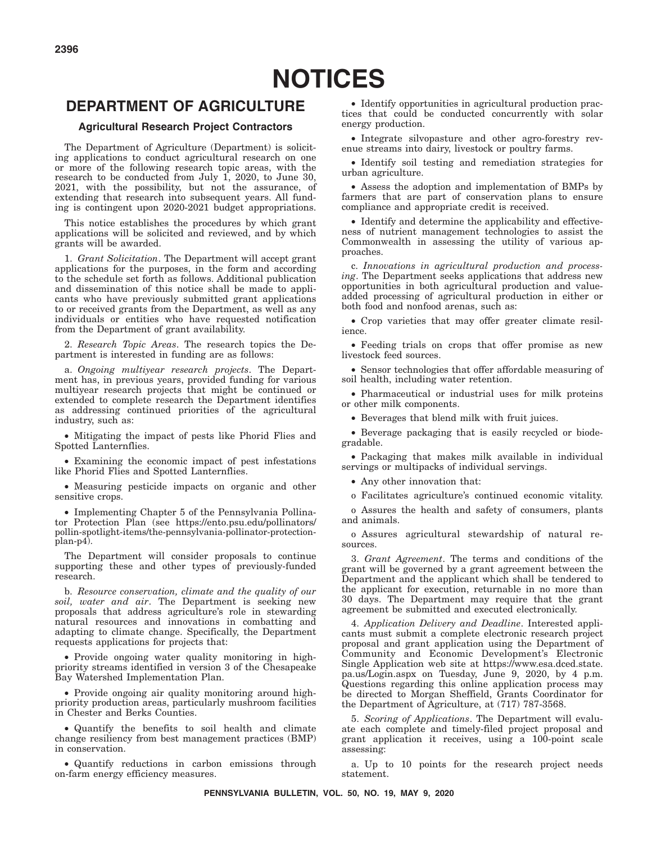# **DEPARTMENT OF AGRICULTURE**

#### **Agricultural Research Project Contractors**

The Department of Agriculture (Department) is soliciting applications to conduct agricultural research on one or more of the following research topic areas, with the research to be conducted from July 1, 2020, to June 30, 2021, with the possibility, but not the assurance, of extending that research into subsequent years. All funding is contingent upon 2020-2021 budget appropriations.

This notice establishes the procedures by which grant applications will be solicited and reviewed, and by which grants will be awarded.

1. *Grant Solicitation*. The Department will accept grant applications for the purposes, in the form and according to the schedule set forth as follows. Additional publication and dissemination of this notice shall be made to applicants who have previously submitted grant applications to or received grants from the Department, as well as any individuals or entities who have requested notification from the Department of grant availability.

2. *Research Topic Areas*. The research topics the Department is interested in funding are as follows:

a. *Ongoing multiyear research projects*. The Department has, in previous years, provided funding for various multiyear research projects that might be continued or extended to complete research the Department identifies as addressing continued priorities of the agricultural industry, such as:

• Mitigating the impact of pests like Phorid Flies and Spotted Lanternflies.

• Examining the economic impact of pest infestations like Phorid Flies and Spotted Lanternflies.

• Measuring pesticide impacts on organic and other sensitive crops.

• Implementing Chapter 5 of the Pennsylvania Pollinator Protection Plan (see https://ento.psu.edu/pollinators/ pollin-spotlight-items/the-pennsylvania-pollinator-protectionplan-p4).

The Department will consider proposals to continue supporting these and other types of previously-funded research.

b. *Resource conservation, climate and the quality of our soil, water and air*. The Department is seeking new proposals that address agriculture's role in stewarding natural resources and innovations in combatting and adapting to climate change. Specifically, the Department requests applications for projects that:

• Provide ongoing water quality monitoring in highpriority streams identified in version 3 of the Chesapeake Bay Watershed Implementation Plan.

• Provide ongoing air quality monitoring around highpriority production areas, particularly mushroom facilities in Chester and Berks Counties.

• Quantify the benefits to soil health and climate change resiliency from best management practices (BMP) in conservation.

• Quantify reductions in carbon emissions through on-farm energy efficiency measures.

• Identify opportunities in agricultural production practices that could be conducted concurrently with solar energy production.

• Integrate silvopasture and other agro-forestry revenue streams into dairy, livestock or poultry farms.

• Identify soil testing and remediation strategies for urban agriculture.

• Assess the adoption and implementation of BMPs by farmers that are part of conservation plans to ensure compliance and appropriate credit is received.

• Identify and determine the applicability and effectiveness of nutrient management technologies to assist the Commonwealth in assessing the utility of various approaches.

c. *Innovations in agricultural production and processing*. The Department seeks applications that address new opportunities in both agricultural production and valueadded processing of agricultural production in either or both food and nonfood arenas, such as:

• Crop varieties that may offer greater climate resilience.

• Feeding trials on crops that offer promise as new livestock feed sources.

• Sensor technologies that offer affordable measuring of soil health, including water retention.

• Pharmaceutical or industrial uses for milk proteins or other milk components.

• Beverages that blend milk with fruit juices.

• Beverage packaging that is easily recycled or biodegradable.

• Packaging that makes milk available in individual servings or multipacks of individual servings.

• Any other innovation that:

o Facilitates agriculture's continued economic vitality.

o Assures the health and safety of consumers, plants and animals.

o Assures agricultural stewardship of natural resources.

3. *Grant Agreement*. The terms and conditions of the grant will be governed by a grant agreement between the Department and the applicant which shall be tendered to the applicant for execution, returnable in no more than 30 days. The Department may require that the grant agreement be submitted and executed electronically.

4. *Application Delivery and Deadline*. Interested applicants must submit a complete electronic research project proposal and grant application using the Department of Community and Economic Development's Electronic Single Application web site at https://www.esa.dced.state. pa.us/Login.aspx on Tuesday, June 9, 2020, by 4 p.m. Questions regarding this online application process may be directed to Morgan Sheffield, Grants Coordinator for the Department of Agriculture, at (717) 787-3568.

5. *Scoring of Applications*. The Department will evaluate each complete and timely-filed project proposal and grant application it receives, using a 100-point scale assessing:

a. Up to 10 points for the research project needs statement.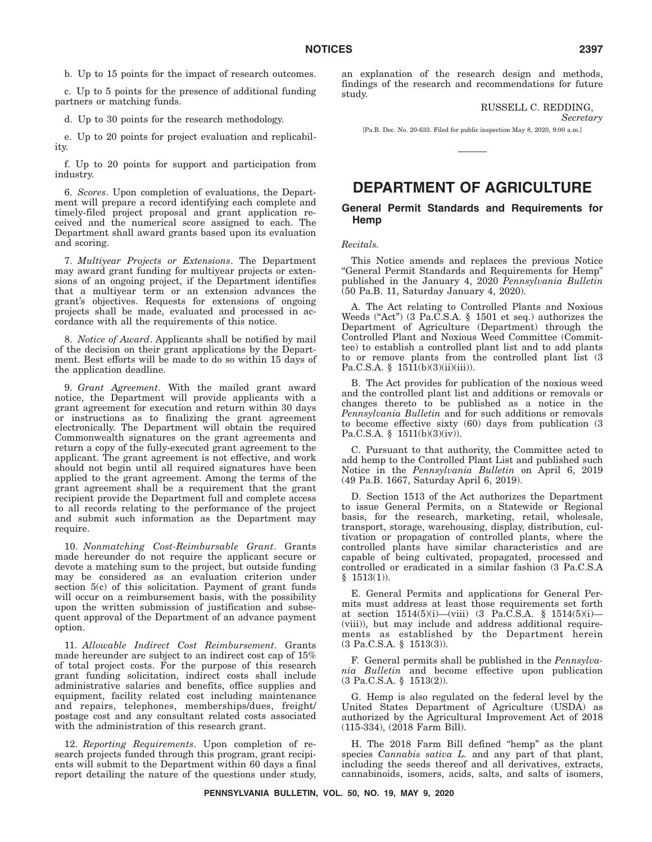b. Up to 15 points for the impact of research outcomes.

c. Up to 5 points for the presence of additional funding partners or matching funds.

d. Up to 30 points for the research methodology.

e. Up to 20 points for project evaluation and replicability.

f. Up to 20 points for support and participation from industry.

6. *Scores*. Upon completion of evaluations, the Department will prepare a record identifying each complete and timely-filed project proposal and grant application received and the numerical score assigned to each. The Department shall award grants based upon its evaluation and scoring.

7. *Multiyear Projects or Extensions*. The Department may award grant funding for multiyear projects or extensions of an ongoing project, if the Department identifies that a multiyear term or an extension advances the grant's objectives. Requests for extensions of ongoing projects shall be made, evaluated and processed in accordance with all the requirements of this notice.

8. *Notice of Award*. Applicants shall be notified by mail of the decision on their grant applications by the Department. Best efforts will be made to do so within 15 days of the application deadline.

9. *Grant Agreement*. With the mailed grant award notice, the Department will provide applicants with a grant agreement for execution and return within 30 days or instructions as to finalizing the grant agreement electronically. The Department will obtain the required Commonwealth signatures on the grant agreements and return a copy of the fully-executed grant agreement to the applicant. The grant agreement is not effective, and work should not begin until all required signatures have been applied to the grant agreement. Among the terms of the grant agreement shall be a requirement that the grant recipient provide the Department full and complete access to all records relating to the performance of the project and submit such information as the Department may require.

10. *Nonmatching Cost-Reimbursable Grant*. Grants made hereunder do not require the applicant secure or devote a matching sum to the project, but outside funding may be considered as an evaluation criterion under section 5(c) of this solicitation. Payment of grant funds will occur on a reimbursement basis, with the possibility upon the written submission of justification and subsequent approval of the Department of an advance payment option.

11. *Allowable Indirect Cost Reimbursement*. Grants made hereunder are subject to an indirect cost cap of 15% of total project costs. For the purpose of this research grant funding solicitation, indirect costs shall include administrative salaries and benefits, office supplies and equipment, facility related cost including maintenance and repairs, telephones, memberships/dues, freight/ postage cost and any consultant related costs associated with the administration of this research grant.

12. *Reporting Requirements*. Upon completion of research projects funded through this program, grant recipients will submit to the Department within 60 days a final report detailing the nature of the questions under study, an explanation of the research design and methods, findings of the research and recommendations for future study.

> RUSSELL C. REDDING, *Secretary*

[Pa.B. Doc. No. 20-633. Filed for public inspection May 8, 2020, 9:00 a.m.]

# **DEPARTMENT OF AGRICULTURE**

#### **General Permit Standards and Requirements for Hemp**

#### *Recitals.*

This Notice amends and replaces the previous Notice ''General Permit Standards and Requirements for Hemp'' published in the January 4, 2020 *Pennsylvania Bulletin* (50 Pa.B. 11, Saturday January 4, 2020).

A. The Act relating to Controlled Plants and Noxious Weeds ("Act") (3 Pa.C.S.A. § 1501 et seq.) authorizes the Department of Agriculture (Department) through the Controlled Plant and Noxious Weed Committee (Committee) to establish a controlled plant list and to add plants to or remove plants from the controlled plant list (3 Pa.C.S.A. §  $1511(b)(3)(ii)(iii)$ .

B. The Act provides for publication of the noxious weed and the controlled plant list and additions or removals or changes thereto to be published as a notice in the *Pennsylvania Bulletin* and for such additions or removals to become effective sixty (60) days from publication (3 Pa.C.S.A. § 1511(b)(3)(iv)).

C. Pursuant to that authority, the Committee acted to add hemp to the Controlled Plant List and published such Notice in the *Pennsylvania Bulletin* on April 6, 2019 (49 Pa.B. 1667, Saturday April 6, 2019).

D. Section 1513 of the Act authorizes the Department to issue General Permits, on a Statewide or Regional basis, for the research, marketing, retail, wholesale, transport, storage, warehousing, display, distribution, cultivation or propagation of controlled plants, where the controlled plants have similar characteristics and are capable of being cultivated, propagated, processed and controlled or eradicated in a similar fashion (3 Pa.C.S.A  $§$  1513(1)).

E. General Permits and applications for General Permits must address at least those requirements set forth at section 1514(5)(i)—(viii) (3 Pa.C.S.A. § 1514(5)(i)— (viii)), but may include and address additional requirements as established by the Department herein (3 Pa.C.S.A. § 1513(3)).

F. General permits shall be published in the *Pennsylvania Bulletin* and become effective upon publication (3 Pa.C.S.A. § 1513(2)).

G. Hemp is also regulated on the federal level by the United States Department of Agriculture (USDA) as authorized by the Agricultural Improvement Act of 2018 (115-334), (2018 Farm Bill).

H. The 2018 Farm Bill defined ''hemp'' as the plant species *Cannabis sativa L.* and any part of that plant, including the seeds thereof and all derivatives, extracts, cannabinoids, isomers, acids, salts, and salts of isomers,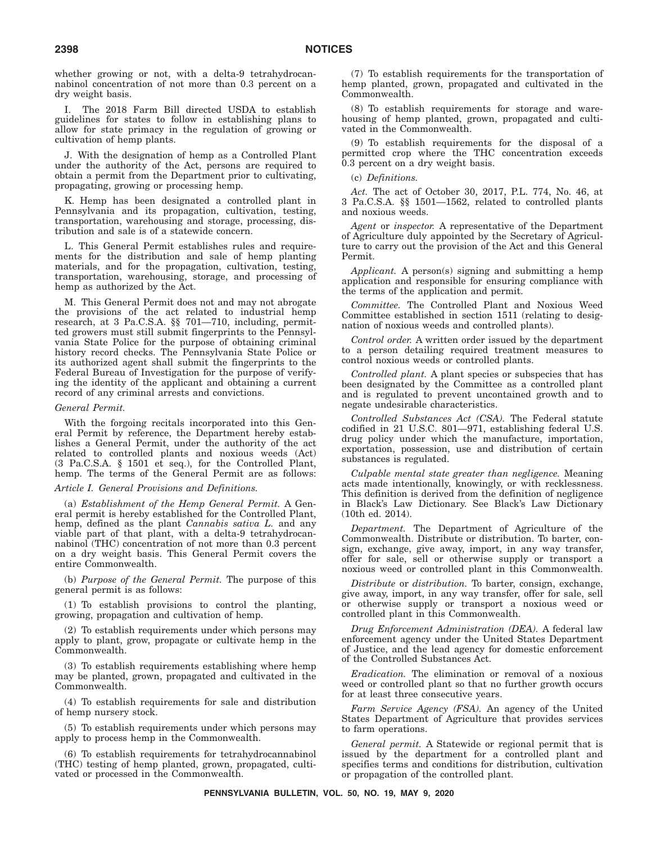whether growing or not, with a delta-9 tetrahydrocannabinol concentration of not more than 0.3 percent on a dry weight basis.

I. The 2018 Farm Bill directed USDA to establish guidelines for states to follow in establishing plans to allow for state primacy in the regulation of growing or cultivation of hemp plants.

J. With the designation of hemp as a Controlled Plant under the authority of the Act, persons are required to obtain a permit from the Department prior to cultivating, propagating, growing or processing hemp.

K. Hemp has been designated a controlled plant in Pennsylvania and its propagation, cultivation, testing, transportation, warehousing and storage, processing, distribution and sale is of a statewide concern.

L. This General Permit establishes rules and requirements for the distribution and sale of hemp planting materials, and for the propagation, cultivation, testing, transportation, warehousing, storage, and processing of hemp as authorized by the Act.

M. This General Permit does not and may not abrogate the provisions of the act related to industrial hemp research, at 3 Pa.C.S.A. §§ 701—710, including, permitted growers must still submit fingerprints to the Pennsylvania State Police for the purpose of obtaining criminal history record checks. The Pennsylvania State Police or its authorized agent shall submit the fingerprints to the Federal Bureau of Investigation for the purpose of verifying the identity of the applicant and obtaining a current record of any criminal arrests and convictions.

#### *General Permit.*

With the forgoing recitals incorporated into this General Permit by reference, the Department hereby establishes a General Permit, under the authority of the act related to controlled plants and noxious weeds (Act) (3 Pa.C.S.A. § 1501 et seq.), for the Controlled Plant, hemp. The terms of the General Permit are as follows:

#### *Article I. General Provisions and Definitions.*

(a) *Establishment of the Hemp General Permit.* A General permit is hereby established for the Controlled Plant, hemp, defined as the plant *Cannabis sativa L.* and any viable part of that plant, with a delta-9 tetrahydrocannabinol (THC) concentration of not more than 0.3 percent on a dry weight basis. This General Permit covers the entire Commonwealth.

(b) *Purpose of the General Permit.* The purpose of this general permit is as follows:

(1) To establish provisions to control the planting, growing, propagation and cultivation of hemp.

(2) To establish requirements under which persons may apply to plant, grow, propagate or cultivate hemp in the Commonwealth.

(3) To establish requirements establishing where hemp may be planted, grown, propagated and cultivated in the Commonwealth.

(4) To establish requirements for sale and distribution of hemp nursery stock.

(5) To establish requirements under which persons may apply to process hemp in the Commonwealth.

(6) To establish requirements for tetrahydrocannabinol (THC) testing of hemp planted, grown, propagated, cultivated or processed in the Commonwealth.

(7) To establish requirements for the transportation of hemp planted, grown, propagated and cultivated in the Commonwealth.

(8) To establish requirements for storage and warehousing of hemp planted, grown, propagated and cultivated in the Commonwealth.

(9) To establish requirements for the disposal of a permitted crop where the THC concentration exceeds 0.3 percent on a dry weight basis.

#### (c) *Definitions.*

*Act.* The act of October 30, 2017, P.L. 774, No. 46, at 3 Pa.C.S.A. §§ 1501—1562, related to controlled plants and noxious weeds.

*Agent* or *inspector.* A representative of the Department of Agriculture duly appointed by the Secretary of Agriculture to carry out the provision of the Act and this General Permit.

*Applicant.* A person(s) signing and submitting a hemp application and responsible for ensuring compliance with the terms of the application and permit.

*Committee.* The Controlled Plant and Noxious Weed Committee established in section 1511 (relating to designation of noxious weeds and controlled plants).

*Control order.* A written order issued by the department to a person detailing required treatment measures to control noxious weeds or controlled plants.

*Controlled plant.* A plant species or subspecies that has been designated by the Committee as a controlled plant and is regulated to prevent uncontained growth and to negate undesirable characteristics.

*Controlled Substances Act (CSA).* The Federal statute codified in 21 U.S.C. 801—971, establishing federal U.S. drug policy under which the manufacture, importation, exportation, possession, use and distribution of certain substances is regulated.

*Culpable mental state greater than negligence.* Meaning acts made intentionally, knowingly, or with recklessness. This definition is derived from the definition of negligence in Black's Law Dictionary. See Black's Law Dictionary (10th ed. 2014).

*Department.* The Department of Agriculture of the Commonwealth. Distribute or distribution. To barter, consign, exchange, give away, import, in any way transfer, offer for sale, sell or otherwise supply or transport a noxious weed or controlled plant in this Commonwealth.

*Distribute* or *distribution.* To barter, consign, exchange, give away, import, in any way transfer, offer for sale, sell or otherwise supply or transport a noxious weed or controlled plant in this Commonwealth.

*Drug Enforcement Administration (DEA).* A federal law enforcement agency under the United States Department of Justice, and the lead agency for domestic enforcement of the Controlled Substances Act.

*Eradication.* The elimination or removal of a noxious weed or controlled plant so that no further growth occurs for at least three consecutive years.

*Farm Service Agency (FSA).* An agency of the United States Department of Agriculture that provides services to farm operations.

*General permit.* A Statewide or regional permit that is issued by the department for a controlled plant and specifies terms and conditions for distribution, cultivation or propagation of the controlled plant.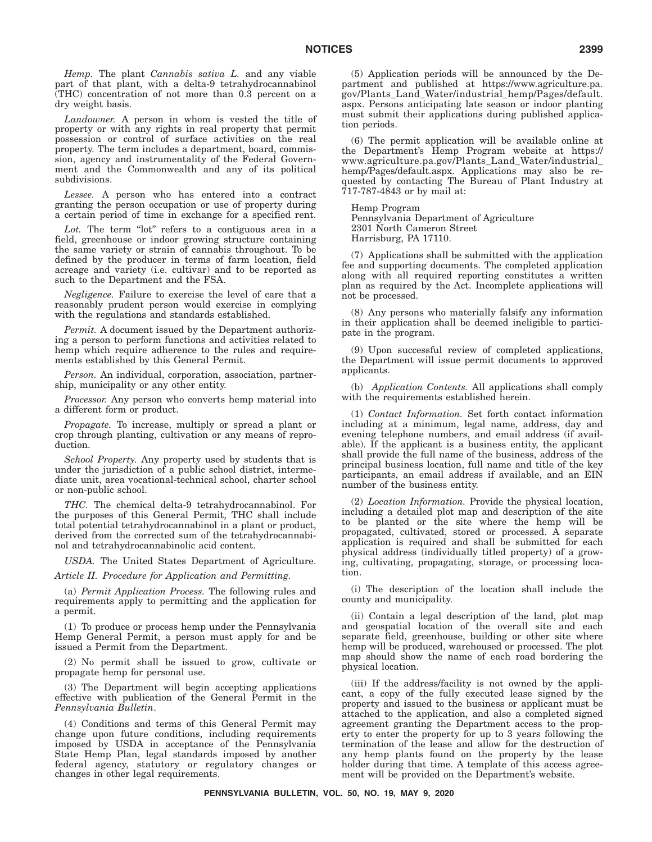*Hemp.* The plant *Cannabis sativa L.* and any viable part of that plant, with a delta-9 tetrahydrocannabinol (THC) concentration of not more than 0.3 percent on a dry weight basis.

*Landowner.* A person in whom is vested the title of property or with any rights in real property that permit possession or control of surface activities on the real property. The term includes a department, board, commission, agency and instrumentality of the Federal Government and the Commonwealth and any of its political subdivisions.

*Lessee.* A person who has entered into a contract granting the person occupation or use of property during a certain period of time in exchange for a specified rent.

Lot. The term "lot" refers to a contiguous area in a field, greenhouse or indoor growing structure containing the same variety or strain of cannabis throughout. To be defined by the producer in terms of farm location, field acreage and variety (i.e. cultivar) and to be reported as such to the Department and the FSA.

*Negligence.* Failure to exercise the level of care that a reasonably prudent person would exercise in complying with the regulations and standards established.

*Permit.* A document issued by the Department authorizing a person to perform functions and activities related to hemp which require adherence to the rules and requirements established by this General Permit.

*Person.* An individual, corporation, association, partnership, municipality or any other entity.

*Processor.* Any person who converts hemp material into a different form or product.

*Propagate.* To increase, multiply or spread a plant or crop through planting, cultivation or any means of reproduction.

*School Property.* Any property used by students that is under the jurisdiction of a public school district, intermediate unit, area vocational-technical school, charter school or non-public school.

*THC.* The chemical delta-9 tetrahydrocannabinol. For the purposes of this General Permit, THC shall include total potential tetrahydrocannabinol in a plant or product, derived from the corrected sum of the tetrahydrocannabinol and tetrahydrocannabinolic acid content.

*USDA.* The United States Department of Agriculture.

*Article II. Procedure for Application and Permitting.*

(a) *Permit Application Process.* The following rules and requirements apply to permitting and the application for a permit.

(1) To produce or process hemp under the Pennsylvania Hemp General Permit, a person must apply for and be issued a Permit from the Department.

(2) No permit shall be issued to grow, cultivate or propagate hemp for personal use.

(3) The Department will begin accepting applications effective with publication of the General Permit in the *Pennsylvania Bulletin*.

(4) Conditions and terms of this General Permit may change upon future conditions, including requirements imposed by USDA in acceptance of the Pennsylvania State Hemp Plan, legal standards imposed by another federal agency, statutory or regulatory changes or changes in other legal requirements.

(5) Application periods will be announced by the Department and published at https://www.agriculture.pa. gov/Plants\_Land\_Water/industrial\_hemp/Pages/default. aspx. Persons anticipating late season or indoor planting must submit their applications during published application periods.

(6) The permit application will be available online at the Department's Hemp Program website at https:// www.agriculture.pa.gov/Plants\_Land\_Water/industrial\_ hemp/Pages/default.aspx. Applications may also be requested by contacting The Bureau of Plant Industry at 717-787-4843 or by mail at:

Hemp Program Pennsylvania Department of Agriculture 2301 North Cameron Street Harrisburg, PA 17110.

(7) Applications shall be submitted with the application fee and supporting documents. The completed application along with all required reporting constitutes a written plan as required by the Act. Incomplete applications will not be processed.

(8) Any persons who materially falsify any information in their application shall be deemed ineligible to participate in the program.

(9) Upon successful review of completed applications, the Department will issue permit documents to approved applicants.

(b) *Application Contents.* All applications shall comply with the requirements established herein.

(1) *Contact Information.* Set forth contact information including at a minimum, legal name, address, day and evening telephone numbers, and email address (if available). If the applicant is a business entity, the applicant shall provide the full name of the business, address of the principal business location, full name and title of the key participants, an email address if available, and an EIN number of the business entity.

(2) *Location Information.* Provide the physical location, including a detailed plot map and description of the site to be planted or the site where the hemp will be propagated, cultivated, stored or processed. A separate application is required and shall be submitted for each physical address (individually titled property) of a growing, cultivating, propagating, storage, or processing location.

(i) The description of the location shall include the county and municipality.

(ii) Contain a legal description of the land, plot map and geospatial location of the overall site and each separate field, greenhouse, building or other site where hemp will be produced, warehoused or processed. The plot map should show the name of each road bordering the physical location.

(iii) If the address/facility is not owned by the applicant, a copy of the fully executed lease signed by the property and issued to the business or applicant must be attached to the application, and also a completed signed agreement granting the Department access to the property to enter the property for up to 3 years following the termination of the lease and allow for the destruction of any hemp plants found on the property by the lease holder during that time. A template of this access agreement will be provided on the Department's website.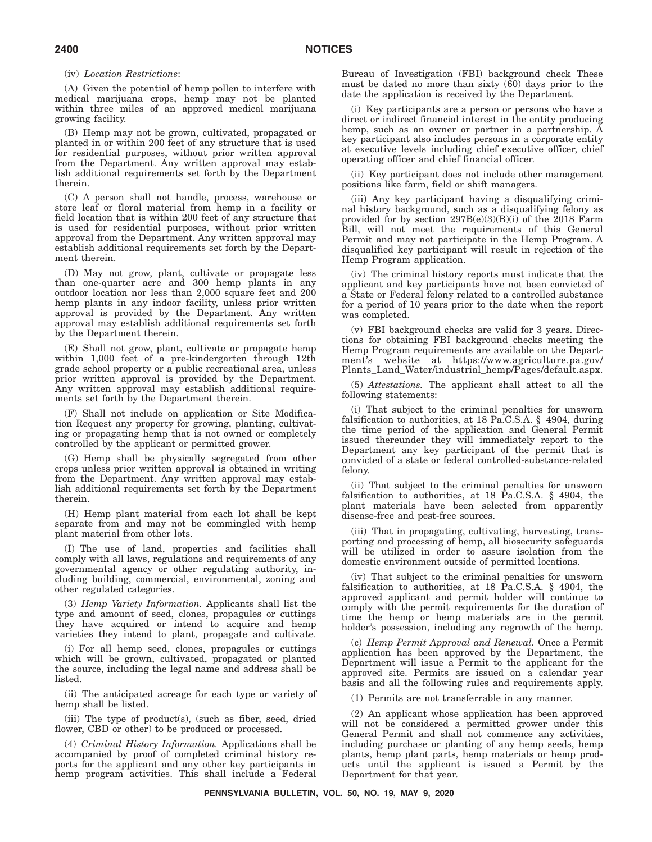#### (iv) *Location Restrictions*:

(A) Given the potential of hemp pollen to interfere with medical marijuana crops, hemp may not be planted within three miles of an approved medical marijuana growing facility.

(B) Hemp may not be grown, cultivated, propagated or planted in or within 200 feet of any structure that is used for residential purposes, without prior written approval from the Department. Any written approval may establish additional requirements set forth by the Department therein.

(C) A person shall not handle, process, warehouse or store leaf or floral material from hemp in a facility or field location that is within 200 feet of any structure that is used for residential purposes, without prior written approval from the Department. Any written approval may establish additional requirements set forth by the Department therein.

(D) May not grow, plant, cultivate or propagate less than one-quarter acre and 300 hemp plants in any outdoor location nor less than 2,000 square feet and 200 hemp plants in any indoor facility, unless prior written approval is provided by the Department. Any written approval may establish additional requirements set forth by the Department therein.

(E) Shall not grow, plant, cultivate or propagate hemp within 1,000 feet of a pre-kindergarten through 12th grade school property or a public recreational area, unless prior written approval is provided by the Department. Any written approval may establish additional requirements set forth by the Department therein.

(F) Shall not include on application or Site Modification Request any property for growing, planting, cultivating or propagating hemp that is not owned or completely controlled by the applicant or permitted grower.

(G) Hemp shall be physically segregated from other crops unless prior written approval is obtained in writing from the Department. Any written approval may establish additional requirements set forth by the Department therein.

(H) Hemp plant material from each lot shall be kept separate from and may not be commingled with hemp plant material from other lots.

(I) The use of land, properties and facilities shall comply with all laws, regulations and requirements of any governmental agency or other regulating authority, including building, commercial, environmental, zoning and other regulated categories.

(3) *Hemp Variety Information.* Applicants shall list the type and amount of seed, clones, propagules or cuttings they have acquired or intend to acquire and hemp varieties they intend to plant, propagate and cultivate.

(i) For all hemp seed, clones, propagules or cuttings which will be grown, cultivated, propagated or planted the source, including the legal name and address shall be listed.

(ii) The anticipated acreage for each type or variety of hemp shall be listed.

(iii) The type of product(s), (such as fiber, seed, dried flower, CBD or other) to be produced or processed.

(4) *Criminal History Information.* Applications shall be accompanied by proof of completed criminal history reports for the applicant and any other key participants in hemp program activities. This shall include a Federal Bureau of Investigation (FBI) background check These must be dated no more than sixty  $(60)$  days prior to the date the application is received by the Department.

(i) Key participants are a person or persons who have a direct or indirect financial interest in the entity producing hemp, such as an owner or partner in a partnership. A key participant also includes persons in a corporate entity at executive levels including chief executive officer, chief operating officer and chief financial officer.

(ii) Key participant does not include other management positions like farm, field or shift managers.

(iii) Any key participant having a disqualifying criminal history background, such as a disqualifying felony as provided for by section  $297B(e)(3)(B)(i)$  of the 2018 Farm Bill, will not meet the requirements of this General Permit and may not participate in the Hemp Program. A disqualified key participant will result in rejection of the Hemp Program application.

(iv) The criminal history reports must indicate that the applicant and key participants have not been convicted of a State or Federal felony related to a controlled substance for a period of 10 years prior to the date when the report was completed.

(v) FBI background checks are valid for 3 years. Directions for obtaining FBI background checks meeting the Hemp Program requirements are available on the Department's website at https://www.agriculture.pa.gov/ Plants\_Land\_Water/industrial\_hemp/Pages/default.aspx.

(5) *Attestations.* The applicant shall attest to all the following statements:

(i) That subject to the criminal penalties for unsworn falsification to authorities, at 18 Pa.C.S.A. § 4904, during the time period of the application and General Permit issued thereunder they will immediately report to the Department any key participant of the permit that is convicted of a state or federal controlled-substance-related felony.

(ii) That subject to the criminal penalties for unsworn falsification to authorities, at 18 Pa.C.S.A. § 4904, the plant materials have been selected from apparently disease-free and pest-free sources.

(iii) That in propagating, cultivating, harvesting, transporting and processing of hemp, all biosecurity safeguards will be utilized in order to assure isolation from the domestic environment outside of permitted locations.

(iv) That subject to the criminal penalties for unsworn falsification to authorities, at 18 Pa.C.S.A. § 4904, the approved applicant and permit holder will continue to comply with the permit requirements for the duration of time the hemp or hemp materials are in the permit holder's possession, including any regrowth of the hemp.

(c) *Hemp Permit Approval and Renewal.* Once a Permit application has been approved by the Department, the Department will issue a Permit to the applicant for the approved site. Permits are issued on a calendar year basis and all the following rules and requirements apply.

(1) Permits are not transferrable in any manner.

(2) An applicant whose application has been approved will not be considered a permitted grower under this General Permit and shall not commence any activities, including purchase or planting of any hemp seeds, hemp plants, hemp plant parts, hemp materials or hemp products until the applicant is issued a Permit by the Department for that year.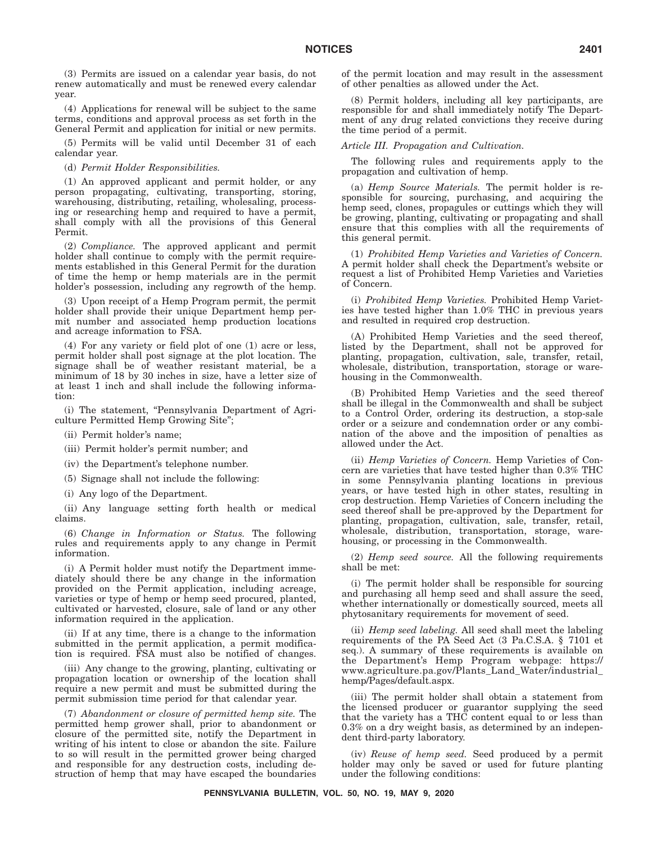(3) Permits are issued on a calendar year basis, do not renew automatically and must be renewed every calendar year.

(4) Applications for renewal will be subject to the same terms, conditions and approval process as set forth in the General Permit and application for initial or new permits.

(5) Permits will be valid until December 31 of each calendar year.

(d) *Permit Holder Responsibilities.*

(1) An approved applicant and permit holder, or any person propagating, cultivating, transporting, storing, warehousing, distributing, retailing, wholesaling, processing or researching hemp and required to have a permit, shall comply with all the provisions of this General Permit.

(2) *Compliance.* The approved applicant and permit holder shall continue to comply with the permit requirements established in this General Permit for the duration of time the hemp or hemp materials are in the permit holder's possession, including any regrowth of the hemp.

(3) Upon receipt of a Hemp Program permit, the permit holder shall provide their unique Department hemp permit number and associated hemp production locations and acreage information to FSA.

(4) For any variety or field plot of one (1) acre or less, permit holder shall post signage at the plot location. The signage shall be of weather resistant material, be a minimum of 18 by 30 inches in size, have a letter size of at least 1 inch and shall include the following information:

(i) The statement, ''Pennsylvania Department of Agriculture Permitted Hemp Growing Site'';

- (ii) Permit holder's name;
- (iii) Permit holder's permit number; and

(iv) the Department's telephone number.

(5) Signage shall not include the following:

(i) Any logo of the Department.

(ii) Any language setting forth health or medical claims.

(6) *Change in Information or Status.* The following rules and requirements apply to any change in Permit information.

(i) A Permit holder must notify the Department immediately should there be any change in the information provided on the Permit application, including acreage, varieties or type of hemp or hemp seed procured, planted, cultivated or harvested, closure, sale of land or any other information required in the application.

(ii) If at any time, there is a change to the information submitted in the permit application, a permit modification is required. FSA must also be notified of changes.

(iii) Any change to the growing, planting, cultivating or propagation location or ownership of the location shall require a new permit and must be submitted during the permit submission time period for that calendar year.

(7) *Abandonment or closure of permitted hemp site.* The permitted hemp grower shall, prior to abandonment or closure of the permitted site, notify the Department in writing of his intent to close or abandon the site. Failure to so will result in the permitted grower being charged and responsible for any destruction costs, including destruction of hemp that may have escaped the boundaries of the permit location and may result in the assessment of other penalties as allowed under the Act.

(8) Permit holders, including all key participants, are responsible for and shall immediately notify The Department of any drug related convictions they receive during the time period of a permit.

#### *Article III. Propagation and Cultivation.*

The following rules and requirements apply to the propagation and cultivation of hemp.

(a) *Hemp Source Materials.* The permit holder is responsible for sourcing, purchasing, and acquiring the hemp seed, clones, propagules or cuttings which they will be growing, planting, cultivating or propagating and shall ensure that this complies with all the requirements of this general permit.

(1) *Prohibited Hemp Varieties and Varieties of Concern.* A permit holder shall check the Department's website or request a list of Prohibited Hemp Varieties and Varieties of Concern.

(i) *Prohibited Hemp Varieties.* Prohibited Hemp Varieties have tested higher than 1.0% THC in previous years and resulted in required crop destruction.

(A) Prohibited Hemp Varieties and the seed thereof, listed by the Department, shall not be approved for planting, propagation, cultivation, sale, transfer, retail, wholesale, distribution, transportation, storage or warehousing in the Commonwealth.

(B) Prohibited Hemp Varieties and the seed thereof shall be illegal in the Commonwealth and shall be subject to a Control Order, ordering its destruction, a stop-sale order or a seizure and condemnation order or any combination of the above and the imposition of penalties as allowed under the Act.

(ii) *Hemp Varieties of Concern.* Hemp Varieties of Concern are varieties that have tested higher than 0.3% THC in some Pennsylvania planting locations in previous years, or have tested high in other states, resulting in crop destruction. Hemp Varieties of Concern including the seed thereof shall be pre-approved by the Department for planting, propagation, cultivation, sale, transfer, retail, wholesale, distribution, transportation, storage, warehousing, or processing in the Commonwealth.

(2) *Hemp seed source.* All the following requirements shall be met:

(i) The permit holder shall be responsible for sourcing and purchasing all hemp seed and shall assure the seed, whether internationally or domestically sourced, meets all phytosanitary requirements for movement of seed.

(ii) *Hemp seed labeling.* All seed shall meet the labeling requirements of the PA Seed Act (3 Pa.C.S.A. § 7101 et seq.). A summary of these requirements is available on the Department's Hemp Program webpage: https:// www.agriculture.pa.gov/Plants\_Land\_Water/industrial\_ hemp/Pages/default.aspx.

(iii) The permit holder shall obtain a statement from the licensed producer or guarantor supplying the seed that the variety has a THC content equal to or less than 0.3% on a dry weight basis, as determined by an independent third-party laboratory.

(iv) *Reuse of hemp seed.* Seed produced by a permit holder may only be saved or used for future planting under the following conditions: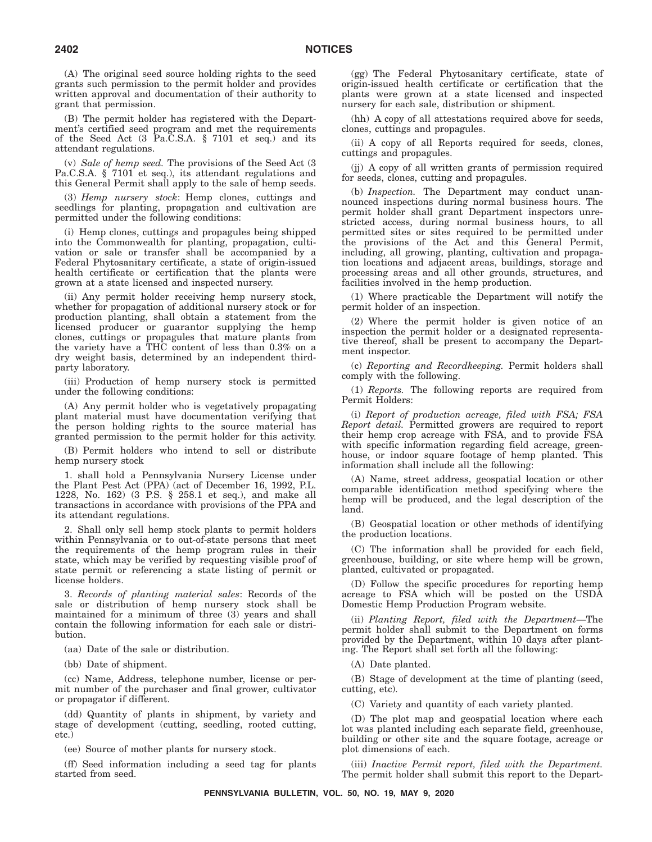(A) The original seed source holding rights to the seed grants such permission to the permit holder and provides written approval and documentation of their authority to grant that permission.

(B) The permit holder has registered with the Department's certified seed program and met the requirements of the Seed Act (3 Pa.C.S.A. § 7101 et seq.) and its attendant regulations.

(v) *Sale of hemp seed.* The provisions of the Seed Act (3 Pa.C.S.A. § 7101 et seq.), its attendant regulations and this General Permit shall apply to the sale of hemp seeds.

(3) *Hemp nursery stock*: Hemp clones, cuttings and seedlings for planting, propagation and cultivation are permitted under the following conditions:

(i) Hemp clones, cuttings and propagules being shipped into the Commonwealth for planting, propagation, cultivation or sale or transfer shall be accompanied by a Federal Phytosanitary certificate, a state of origin-issued health certificate or certification that the plants were grown at a state licensed and inspected nursery.

(ii) Any permit holder receiving hemp nursery stock, whether for propagation of additional nursery stock or for production planting, shall obtain a statement from the licensed producer or guarantor supplying the hemp clones, cuttings or propagules that mature plants from the variety have a THC content of less than 0.3% on a dry weight basis, determined by an independent thirdparty laboratory.

(iii) Production of hemp nursery stock is permitted under the following conditions:

(A) Any permit holder who is vegetatively propagating plant material must have documentation verifying that the person holding rights to the source material has granted permission to the permit holder for this activity.

(B) Permit holders who intend to sell or distribute hemp nursery stock

1. shall hold a Pennsylvania Nursery License under the Plant Pest Act (PPA) (act of December 16, 1992, P.L. 1228, No. 162) (3 P.S. § 258.1 et seq.), and make all transactions in accordance with provisions of the PPA and its attendant regulations.

2. Shall only sell hemp stock plants to permit holders within Pennsylvania or to out-of-state persons that meet the requirements of the hemp program rules in their state, which may be verified by requesting visible proof of state permit or referencing a state listing of permit or license holders.

3. *Records of planting material sales*: Records of the sale or distribution of hemp nursery stock shall be maintained for a minimum of three (3) years and shall contain the following information for each sale or distribution.

(aa) Date of the sale or distribution.

(bb) Date of shipment.

(cc) Name, Address, telephone number, license or permit number of the purchaser and final grower, cultivator or propagator if different.

(dd) Quantity of plants in shipment, by variety and stage of development (cutting, seedling, rooted cutting, etc.)

(ee) Source of mother plants for nursery stock.

(ff) Seed information including a seed tag for plants started from seed.

(gg) The Federal Phytosanitary certificate, state of origin-issued health certificate or certification that the plants were grown at a state licensed and inspected nursery for each sale, distribution or shipment.

(hh) A copy of all attestations required above for seeds, clones, cuttings and propagules.

(ii) A copy of all Reports required for seeds, clones, cuttings and propagules.

(jj) A copy of all written grants of permission required for seeds, clones, cutting and propagules.

(b) *Inspection.* The Department may conduct unannounced inspections during normal business hours. The permit holder shall grant Department inspectors unrestricted access, during normal business hours, to all permitted sites or sites required to be permitted under the provisions of the Act and this General Permit, including, all growing, planting, cultivation and propagation locations and adjacent areas, buildings, storage and processing areas and all other grounds, structures, and facilities involved in the hemp production.

(1) Where practicable the Department will notify the permit holder of an inspection.

(2) Where the permit holder is given notice of an inspection the permit holder or a designated representative thereof, shall be present to accompany the Department inspector.

(c) *Reporting and Recordkeeping.* Permit holders shall comply with the following.

(1) *Reports.* The following reports are required from Permit Holders:

(i) *Report of production acreage, filed with FSA; FSA Report detail.* Permitted growers are required to report their hemp crop acreage with FSA, and to provide FSA with specific information regarding field acreage, greenhouse, or indoor square footage of hemp planted. This information shall include all the following:

(A) Name, street address, geospatial location or other comparable identification method specifying where the hemp will be produced, and the legal description of the land.

(B) Geospatial location or other methods of identifying the production locations.

(C) The information shall be provided for each field, greenhouse, building, or site where hemp will be grown, planted, cultivated or propagated.

(D) Follow the specific procedures for reporting hemp acreage to FSA which will be posted on the USDA Domestic Hemp Production Program website.

(ii) *Planting Report, filed with the Department*—The permit holder shall submit to the Department on forms provided by the Department, within 10 days after planting. The Report shall set forth all the following:

(A) Date planted.

(B) Stage of development at the time of planting (seed, cutting, etc).

(C) Variety and quantity of each variety planted.

(D) The plot map and geospatial location where each lot was planted including each separate field, greenhouse, building or other site and the square footage, acreage or plot dimensions of each.

(iii) *Inactive Permit report, filed with the Department.* The permit holder shall submit this report to the Depart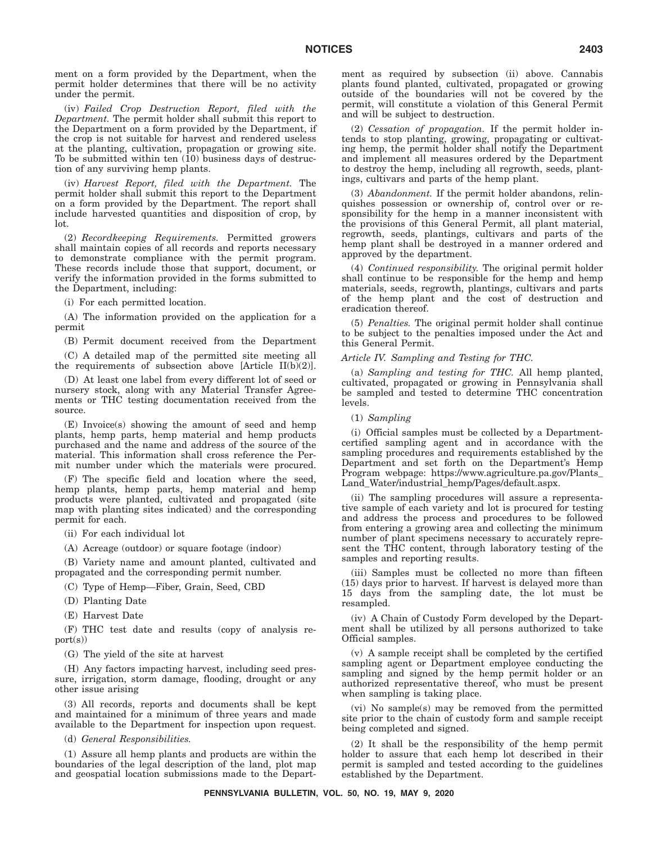ment on a form provided by the Department, when the permit holder determines that there will be no activity under the permit.

(iv) *Failed Crop Destruction Report, filed with the Department.* The permit holder shall submit this report to the Department on a form provided by the Department, if the crop is not suitable for harvest and rendered useless at the planting, cultivation, propagation or growing site. To be submitted within ten (10) business days of destruction of any surviving hemp plants.

(iv) *Harvest Report, filed with the Department.* The permit holder shall submit this report to the Department on a form provided by the Department. The report shall include harvested quantities and disposition of crop, by lot.

(2) *Recordkeeping Requirements.* Permitted growers shall maintain copies of all records and reports necessary to demonstrate compliance with the permit program. These records include those that support, document, or verify the information provided in the forms submitted to the Department, including:

(i) For each permitted location.

(A) The information provided on the application for a permit

(B) Permit document received from the Department

(C) A detailed map of the permitted site meeting all the requirements of subsection above [Article II(b)(2)].

(D) At least one label from every different lot of seed or nursery stock, along with any Material Transfer Agreements or THC testing documentation received from the source.

(E) Invoice(s) showing the amount of seed and hemp plants, hemp parts, hemp material and hemp products purchased and the name and address of the source of the material. This information shall cross reference the Permit number under which the materials were procured.

(F) The specific field and location where the seed, hemp plants, hemp parts, hemp material and hemp products were planted, cultivated and propagated (site map with planting sites indicated) and the corresponding permit for each.

(ii) For each individual lot

(A) Acreage (outdoor) or square footage (indoor)

(B) Variety name and amount planted, cultivated and propagated and the corresponding permit number.

(C) Type of Hemp—Fiber, Grain, Seed, CBD

(D) Planting Date

(E) Harvest Date

(F) THC test date and results (copy of analysis report(s))

(G) The yield of the site at harvest

(H) Any factors impacting harvest, including seed pressure, irrigation, storm damage, flooding, drought or any other issue arising

(3) All records, reports and documents shall be kept and maintained for a minimum of three years and made available to the Department for inspection upon request.

(d) *General Responsibilities.*

(1) Assure all hemp plants and products are within the boundaries of the legal description of the land, plot map and geospatial location submissions made to the Department as required by subsection (ii) above. Cannabis plants found planted, cultivated, propagated or growing outside of the boundaries will not be covered by the permit, will constitute a violation of this General Permit and will be subject to destruction.

(2) *Cessation of propagation.* If the permit holder intends to stop planting, growing, propagating or cultivating hemp, the permit holder shall notify the Department and implement all measures ordered by the Department to destroy the hemp, including all regrowth, seeds, plantings, cultivars and parts of the hemp plant.

(3) *Abandonment.* If the permit holder abandons, relinquishes possession or ownership of, control over or responsibility for the hemp in a manner inconsistent with the provisions of this General Permit, all plant material, regrowth, seeds, plantings, cultivars and parts of the hemp plant shall be destroyed in a manner ordered and approved by the department.

(4) *Continued responsibility.* The original permit holder shall continue to be responsible for the hemp and hemp materials, seeds, regrowth, plantings, cultivars and parts of the hemp plant and the cost of destruction and eradication thereof.

(5) *Penalties.* The original permit holder shall continue to be subject to the penalties imposed under the Act and this General Permit.

#### *Article IV. Sampling and Testing for THC.*

(a) *Sampling and testing for THC.* All hemp planted, cultivated, propagated or growing in Pennsylvania shall be sampled and tested to determine THC concentration levels.

#### (1) *Sampling*

(i) Official samples must be collected by a Departmentcertified sampling agent and in accordance with the sampling procedures and requirements established by the Department and set forth on the Department's Hemp Program webpage: https://www.agriculture.pa.gov/Plants\_ Land\_Water/industrial\_hemp/Pages/default.aspx.

(ii) The sampling procedures will assure a representative sample of each variety and lot is procured for testing and address the process and procedures to be followed from entering a growing area and collecting the minimum number of plant specimens necessary to accurately represent the THC content, through laboratory testing of the samples and reporting results.

(iii) Samples must be collected no more than fifteen (15) days prior to harvest. If harvest is delayed more than 15 days from the sampling date, the lot must be resampled.

(iv) A Chain of Custody Form developed by the Department shall be utilized by all persons authorized to take Official samples.

(v) A sample receipt shall be completed by the certified sampling agent or Department employee conducting the sampling and signed by the hemp permit holder or an authorized representative thereof, who must be present when sampling is taking place.

(vi) No sample(s) may be removed from the permitted site prior to the chain of custody form and sample receipt being completed and signed.

(2) It shall be the responsibility of the hemp permit holder to assure that each hemp lot described in their permit is sampled and tested according to the guidelines established by the Department.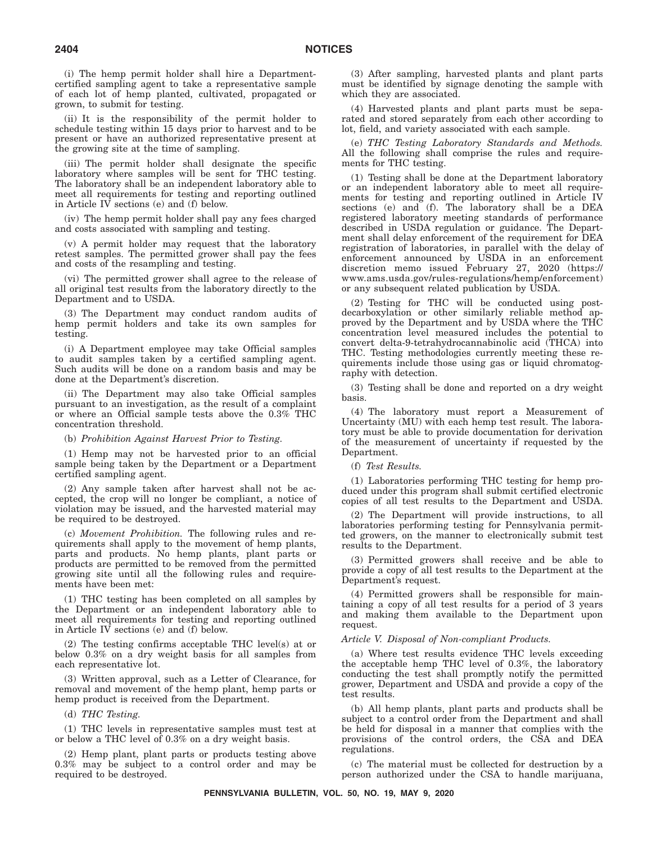(i) The hemp permit holder shall hire a Departmentcertified sampling agent to take a representative sample of each lot of hemp planted, cultivated, propagated or grown, to submit for testing.

(ii) It is the responsibility of the permit holder to schedule testing within 15 days prior to harvest and to be present or have an authorized representative present at the growing site at the time of sampling.

(iii) The permit holder shall designate the specific laboratory where samples will be sent for THC testing. The laboratory shall be an independent laboratory able to meet all requirements for testing and reporting outlined in Article IV sections (e) and (f) below.

(iv) The hemp permit holder shall pay any fees charged and costs associated with sampling and testing.

(v) A permit holder may request that the laboratory retest samples. The permitted grower shall pay the fees and costs of the resampling and testing.

(vi) The permitted grower shall agree to the release of all original test results from the laboratory directly to the Department and to USDA.

(3) The Department may conduct random audits of hemp permit holders and take its own samples for testing.

(i) A Department employee may take Official samples to audit samples taken by a certified sampling agent. Such audits will be done on a random basis and may be done at the Department's discretion.

(ii) The Department may also take Official samples pursuant to an investigation, as the result of a complaint or where an Official sample tests above the 0.3% THC concentration threshold.

#### (b) *Prohibition Against Harvest Prior to Testing.*

(1) Hemp may not be harvested prior to an official sample being taken by the Department or a Department certified sampling agent.

(2) Any sample taken after harvest shall not be accepted, the crop will no longer be compliant, a notice of violation may be issued, and the harvested material may be required to be destroyed.

(c) *Movement Prohibition.* The following rules and requirements shall apply to the movement of hemp plants, parts and products. No hemp plants, plant parts or products are permitted to be removed from the permitted growing site until all the following rules and requirements have been met:

(1) THC testing has been completed on all samples by the Department or an independent laboratory able to meet all requirements for testing and reporting outlined in Article IV sections (e) and (f) below.

(2) The testing confirms acceptable THC level(s) at or below 0.3% on a dry weight basis for all samples from each representative lot.

(3) Written approval, such as a Letter of Clearance, for removal and movement of the hemp plant, hemp parts or hemp product is received from the Department.

#### (d) *THC Testing.*

(1) THC levels in representative samples must test at or below a THC level of 0.3% on a dry weight basis.

(2) Hemp plant, plant parts or products testing above 0.3% may be subject to a control order and may be required to be destroyed.

(3) After sampling, harvested plants and plant parts must be identified by signage denoting the sample with which they are associated.

(4) Harvested plants and plant parts must be separated and stored separately from each other according to lot, field, and variety associated with each sample.

(e) *THC Testing Laboratory Standards and Methods.* All the following shall comprise the rules and requirements for THC testing.

(1) Testing shall be done at the Department laboratory or an independent laboratory able to meet all requirements for testing and reporting outlined in Article IV sections (e) and (f). The laboratory shall be a DEA registered laboratory meeting standards of performance described in USDA regulation or guidance. The Department shall delay enforcement of the requirement for DEA registration of laboratories, in parallel with the delay of enforcement announced by USDA in an enforcement discretion memo issued February 27, 2020 (https:// www.ams.usda.gov/rules-regulations/hemp/enforcement) or any subsequent related publication by USDA.

(2) Testing for THC will be conducted using postdecarboxylation or other similarly reliable method approved by the Department and by USDA where the THC concentration level measured includes the potential to convert delta-9-tetrahydrocannabinolic acid (THCA) into THC. Testing methodologies currently meeting these requirements include those using gas or liquid chromatography with detection.

(3) Testing shall be done and reported on a dry weight basis.

(4) The laboratory must report a Measurement of Uncertainty (MU) with each hemp test result. The laboratory must be able to provide documentation for derivation of the measurement of uncertainty if requested by the Department.

#### (f) *Test Results.*

(1) Laboratories performing THC testing for hemp produced under this program shall submit certified electronic copies of all test results to the Department and USDA.

(2) The Department will provide instructions, to all laboratories performing testing for Pennsylvania permitted growers, on the manner to electronically submit test results to the Department.

(3) Permitted growers shall receive and be able to provide a copy of all test results to the Department at the Department's request.

(4) Permitted growers shall be responsible for maintaining a copy of all test results for a period of 3 years and making them available to the Department upon request.

#### *Article V. Disposal of Non-compliant Products.*

(a) Where test results evidence THC levels exceeding the acceptable hemp THC level of 0.3%, the laboratory conducting the test shall promptly notify the permitted grower, Department and USDA and provide a copy of the test results.

(b) All hemp plants, plant parts and products shall be subject to a control order from the Department and shall be held for disposal in a manner that complies with the provisions of the control orders, the CSA and DEA regulations.

(c) The material must be collected for destruction by a person authorized under the CSA to handle marijuana,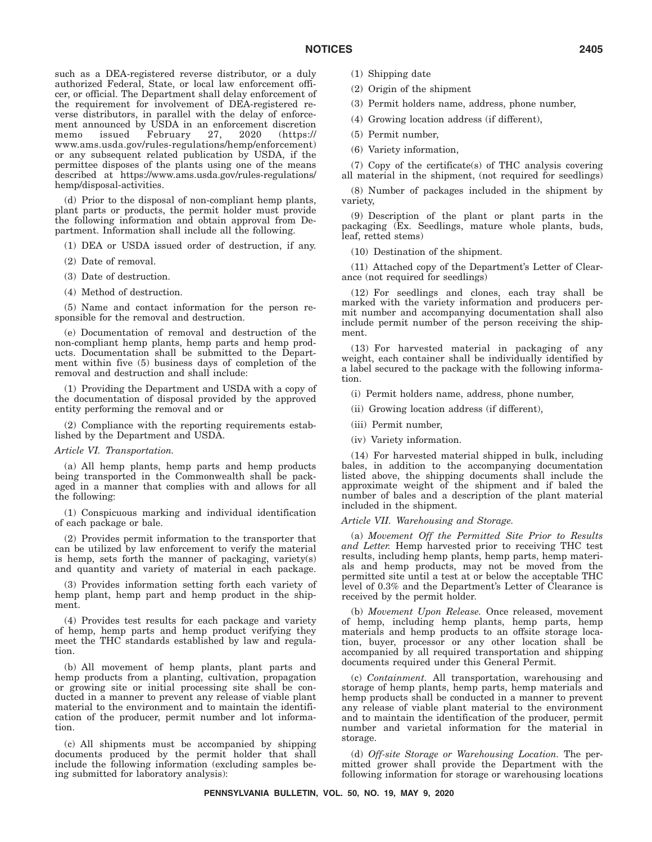such as a DEA-registered reverse distributor, or a duly authorized Federal, State, or local law enforcement officer, or official. The Department shall delay enforcement of the requirement for involvement of DEA-registered reverse distributors, in parallel with the delay of enforcement announced by USDA in an enforcement discretion memo issued February 27, 2020 (https:// www.ams.usda.gov/rules-regulations/hemp/enforcement) or any subsequent related publication by USDA, if the permittee disposes of the plants using one of the means described at https://www.ams.usda.gov/rules-regulations/ hemp/disposal-activities.

(d) Prior to the disposal of non-compliant hemp plants, plant parts or products, the permit holder must provide the following information and obtain approval from Department. Information shall include all the following.

(1) DEA or USDA issued order of destruction, if any.

(2) Date of removal.

(3) Date of destruction.

(4) Method of destruction.

(5) Name and contact information for the person responsible for the removal and destruction.

(e) Documentation of removal and destruction of the non-compliant hemp plants, hemp parts and hemp products. Documentation shall be submitted to the Department within five (5) business days of completion of the removal and destruction and shall include:

(1) Providing the Department and USDA with a copy of the documentation of disposal provided by the approved entity performing the removal and or

(2) Compliance with the reporting requirements established by the Department and USDA.

#### *Article VI. Transportation.*

(a) All hemp plants, hemp parts and hemp products being transported in the Commonwealth shall be packaged in a manner that complies with and allows for all the following:

(1) Conspicuous marking and individual identification of each package or bale.

(2) Provides permit information to the transporter that can be utilized by law enforcement to verify the material is hemp, sets forth the manner of packaging, variety(s) and quantity and variety of material in each package.

(3) Provides information setting forth each variety of hemp plant, hemp part and hemp product in the shipment.

(4) Provides test results for each package and variety of hemp, hemp parts and hemp product verifying they meet the THC standards established by law and regulation.

(b) All movement of hemp plants, plant parts and hemp products from a planting, cultivation, propagation or growing site or initial processing site shall be conducted in a manner to prevent any release of viable plant material to the environment and to maintain the identification of the producer, permit number and lot information.

(c) All shipments must be accompanied by shipping documents produced by the permit holder that shall include the following information (excluding samples being submitted for laboratory analysis):

- (1) Shipping date
- (2) Origin of the shipment
- (3) Permit holders name, address, phone number,
- (4) Growing location address (if different),
- (5) Permit number,
- (6) Variety information,

(7) Copy of the certificate(s) of THC analysis covering all material in the shipment, (not required for seedlings)

(8) Number of packages included in the shipment by variety,

(9) Description of the plant or plant parts in the packaging (Ex. Seedlings, mature whole plants, buds, leaf, retted stems)

(10) Destination of the shipment.

(11) Attached copy of the Department's Letter of Clearance (not required for seedlings)

(12) For seedlings and clones, each tray shall be marked with the variety information and producers permit number and accompanying documentation shall also include permit number of the person receiving the shipment.

(13) For harvested material in packaging of any weight, each container shall be individually identified by a label secured to the package with the following information.

(i) Permit holders name, address, phone number,

- (ii) Growing location address (if different),
- (iii) Permit number,
- (iv) Variety information.

(14) For harvested material shipped in bulk, including bales, in addition to the accompanying documentation listed above, the shipping documents shall include the approximate weight of the shipment and if baled the number of bales and a description of the plant material included in the shipment.

#### *Article VII. Warehousing and Storage.*

(a) *Movement Off the Permitted Site Prior to Results and Letter.* Hemp harvested prior to receiving THC test results, including hemp plants, hemp parts, hemp materials and hemp products, may not be moved from the permitted site until a test at or below the acceptable THC level of 0.3% and the Department's Letter of Clearance is received by the permit holder.

(b) *Movement Upon Release.* Once released, movement of hemp, including hemp plants, hemp parts, hemp materials and hemp products to an offsite storage location, buyer, processor or any other location shall be accompanied by all required transportation and shipping documents required under this General Permit.

(c) *Containment.* All transportation, warehousing and storage of hemp plants, hemp parts, hemp materials and hemp products shall be conducted in a manner to prevent any release of viable plant material to the environment and to maintain the identification of the producer, permit number and varietal information for the material in storage.

(d) *Off-site Storage or Warehousing Location.* The permitted grower shall provide the Department with the following information for storage or warehousing locations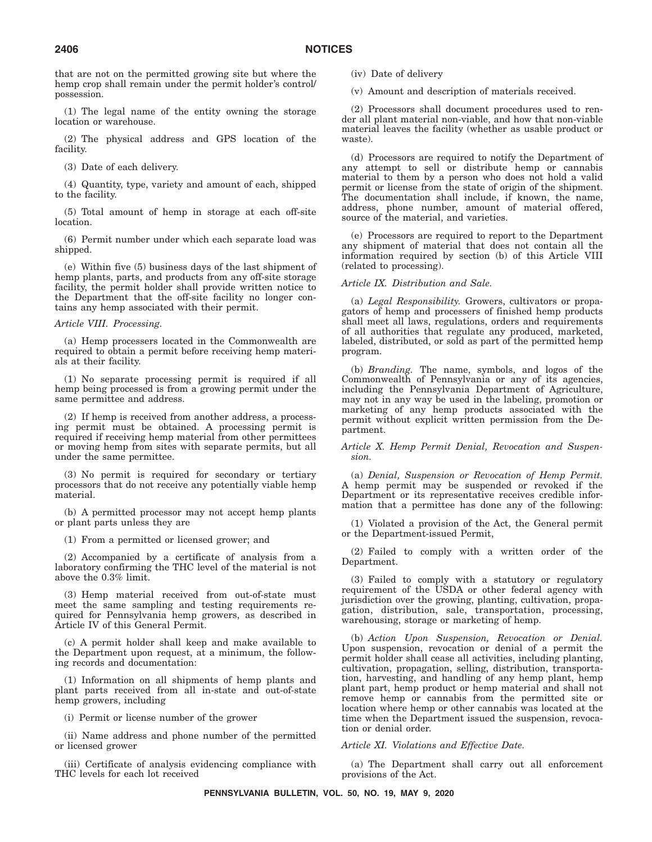that are not on the permitted growing site but where the hemp crop shall remain under the permit holder's control/ possession.

(1) The legal name of the entity owning the storage location or warehouse.

(2) The physical address and GPS location of the facility.

(3) Date of each delivery.

(4) Quantity, type, variety and amount of each, shipped to the facility.

(5) Total amount of hemp in storage at each off-site location.

(6) Permit number under which each separate load was shipped.

(e) Within five (5) business days of the last shipment of hemp plants, parts, and products from any off-site storage facility, the permit holder shall provide written notice to the Department that the off-site facility no longer contains any hemp associated with their permit.

#### *Article VIII. Processing.*

(a) Hemp processers located in the Commonwealth are required to obtain a permit before receiving hemp materials at their facility.

(1) No separate processing permit is required if all hemp being processed is from a growing permit under the same permittee and address.

(2) If hemp is received from another address, a processing permit must be obtained. A processing permit is required if receiving hemp material from other permittees or moving hemp from sites with separate permits, but all under the same permittee.

(3) No permit is required for secondary or tertiary processors that do not receive any potentially viable hemp material.

(b) A permitted processor may not accept hemp plants or plant parts unless they are

(1) From a permitted or licensed grower; and

(2) Accompanied by a certificate of analysis from a laboratory confirming the THC level of the material is not above the 0.3% limit.

(3) Hemp material received from out-of-state must meet the same sampling and testing requirements required for Pennsylvania hemp growers, as described in Article IV of this General Permit.

(c) A permit holder shall keep and make available to the Department upon request, at a minimum, the following records and documentation:

(1) Information on all shipments of hemp plants and plant parts received from all in-state and out-of-state hemp growers, including

(i) Permit or license number of the grower

(ii) Name address and phone number of the permitted or licensed grower

(iii) Certificate of analysis evidencing compliance with THC levels for each lot received

(iv) Date of delivery

(v) Amount and description of materials received.

(2) Processors shall document procedures used to render all plant material non-viable, and how that non-viable material leaves the facility (whether as usable product or waste).

(d) Processors are required to notify the Department of any attempt to sell or distribute hemp or cannabis material to them by a person who does not hold a valid permit or license from the state of origin of the shipment. The documentation shall include, if known, the name, address, phone number, amount of material offered, source of the material, and varieties.

(e) Processors are required to report to the Department any shipment of material that does not contain all the information required by section (b) of this Article VIII (related to processing).

#### *Article IX. Distribution and Sale.*

(a) *Legal Responsibility.* Growers, cultivators or propagators of hemp and processers of finished hemp products shall meet all laws, regulations, orders and requirements of all authorities that regulate any produced, marketed, labeled, distributed, or sold as part of the permitted hemp program.

(b) *Branding.* The name, symbols, and logos of the Commonwealth of Pennsylvania or any of its agencies, including the Pennsylvania Department of Agriculture, may not in any way be used in the labeling, promotion or marketing of any hemp products associated with the permit without explicit written permission from the Department.

#### *Article X. Hemp Permit Denial, Revocation and Suspension.*

(a) *Denial, Suspension or Revocation of Hemp Permit.* A hemp permit may be suspended or revoked if the Department or its representative receives credible information that a permittee has done any of the following:

(1) Violated a provision of the Act, the General permit or the Department-issued Permit,

(2) Failed to comply with a written order of the Department.

(3) Failed to comply with a statutory or regulatory requirement of the USDA or other federal agency with jurisdiction over the growing, planting, cultivation, propagation, distribution, sale, transportation, processing, warehousing, storage or marketing of hemp.

(b) *Action Upon Suspension, Revocation or Denial.* Upon suspension, revocation or denial of a permit the permit holder shall cease all activities, including planting, cultivation, propagation, selling, distribution, transportation, harvesting, and handling of any hemp plant, hemp plant part, hemp product or hemp material and shall not remove hemp or cannabis from the permitted site or location where hemp or other cannabis was located at the time when the Department issued the suspension, revocation or denial order.

#### *Article XI. Violations and Effective Date.*

(a) The Department shall carry out all enforcement provisions of the Act.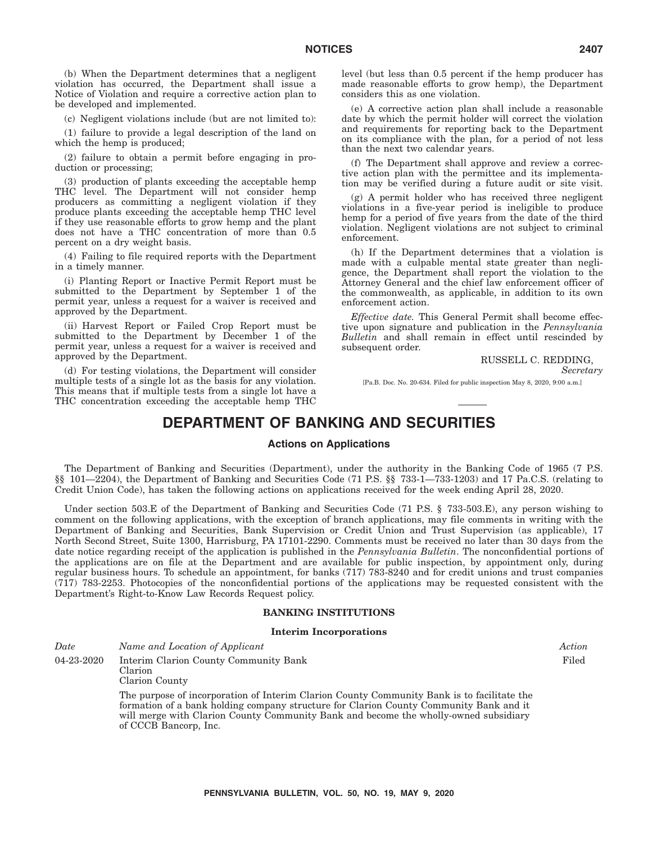(b) When the Department determines that a negligent violation has occurred, the Department shall issue a Notice of Violation and require a corrective action plan to be developed and implemented.

(c) Negligent violations include (but are not limited to):

(1) failure to provide a legal description of the land on which the hemp is produced;

(2) failure to obtain a permit before engaging in production or processing;

(3) production of plants exceeding the acceptable hemp THC level. The Department will not consider hemp producers as committing a negligent violation if they produce plants exceeding the acceptable hemp THC level if they use reasonable efforts to grow hemp and the plant does not have a THC concentration of more than 0.5 percent on a dry weight basis.

(4) Failing to file required reports with the Department in a timely manner.

(i) Planting Report or Inactive Permit Report must be submitted to the Department by September 1 of the permit year, unless a request for a waiver is received and approved by the Department.

(ii) Harvest Report or Failed Crop Report must be submitted to the Department by December 1 of the permit year, unless a request for a waiver is received and approved by the Department.

(d) For testing violations, the Department will consider multiple tests of a single lot as the basis for any violation. This means that if multiple tests from a single lot have a THC concentration exceeding the acceptable hemp THC

level (but less than 0.5 percent if the hemp producer has made reasonable efforts to grow hemp), the Department considers this as one violation.

(e) A corrective action plan shall include a reasonable date by which the permit holder will correct the violation and requirements for reporting back to the Department on its compliance with the plan, for a period of not less than the next two calendar years.

(f) The Department shall approve and review a corrective action plan with the permittee and its implementation may be verified during a future audit or site visit.

(g) A permit holder who has received three negligent violations in a five-year period is ineligible to produce hemp for a period of five years from the date of the third violation. Negligent violations are not subject to criminal enforcement.

(h) If the Department determines that a violation is made with a culpable mental state greater than negligence, the Department shall report the violation to the Attorney General and the chief law enforcement officer of the commonwealth, as applicable, in addition to its own enforcement action.

*Effective date.* This General Permit shall become effective upon signature and publication in the *Pennsylvania Bulletin* and shall remain in effect until rescinded by subsequent order.

RUSSELL C. REDDING,

*Secretary*

[Pa.B. Doc. No. 20-634. Filed for public inspection May 8, 2020, 9:00 a.m.]

# **DEPARTMENT OF BANKING AND SECURITIES**

#### **Actions on Applications**

The Department of Banking and Securities (Department), under the authority in the Banking Code of 1965 (7 P.S. §§ 101—2204), the Department of Banking and Securities Code (71 P.S. §§ 733-1—733-1203) and 17 Pa.C.S. (relating to Credit Union Code), has taken the following actions on applications received for the week ending April 28, 2020.

Under section 503.E of the Department of Banking and Securities Code (71 P.S. § 733-503.E), any person wishing to comment on the following applications, with the exception of branch applications, may file comments in writing with the Department of Banking and Securities, Bank Supervision or Credit Union and Trust Supervision (as applicable), 17 North Second Street, Suite 1300, Harrisburg, PA 17101-2290. Comments must be received no later than 30 days from the date notice regarding receipt of the application is published in the *Pennsylvania Bulletin*. The nonconfidential portions of the applications are on file at the Department and are available for public inspection, by appointment only, during regular business hours. To schedule an appointment, for banks (717) 783-8240 and for credit unions and trust companies (717) 783-2253. Photocopies of the nonconfidential portions of the applications may be requested consistent with the Department's Right-to-Know Law Records Request policy.

#### **BANKING INSTITUTIONS**

#### **Interim Incorporations**

| Date       | Name and Location of Applicant                                                             | Action |
|------------|--------------------------------------------------------------------------------------------|--------|
| 04-23-2020 | Interim Clarion County Community Bank                                                      | Filed  |
|            | Clarion<br>Clarion County                                                                  |        |
|            | The purpose of incorporation of Interim Clarion County Community Bank is to facilitate the |        |
|            | formation of a bank holding company structure for Clarion County Community Bank and it     |        |

ng company structure for Clarion County Con will merge with Clarion County Community Bank and become the wholly-owned subsidiary of CCCB Bancorp, Inc.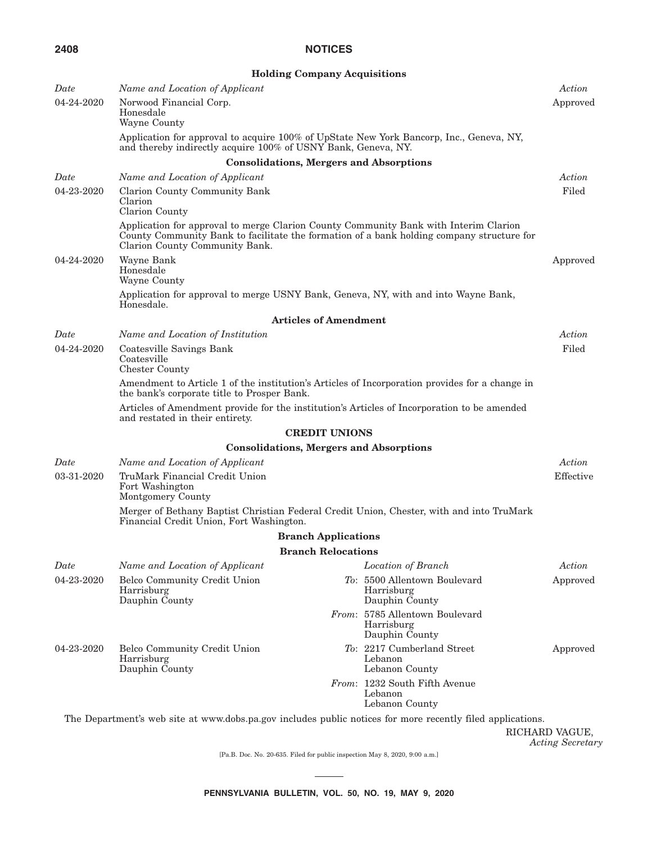|            |                                                                                                                                                          | <b>Holding Company Acquisitions</b> |                                                                                                            |                |
|------------|----------------------------------------------------------------------------------------------------------------------------------------------------------|-------------------------------------|------------------------------------------------------------------------------------------------------------|----------------|
| Date       | Name and Location of Applicant                                                                                                                           |                                     |                                                                                                            | Action         |
| 04-24-2020 | Norwood Financial Corp.<br>Honesdale<br>Wayne County                                                                                                     |                                     |                                                                                                            | Approved       |
|            | Application for approval to acquire 100% of UpState New York Bancorp, Inc., Geneva, NY,<br>and thereby indirectly acquire 100% of USNY Bank, Geneva, NY. |                                     |                                                                                                            |                |
|            |                                                                                                                                                          |                                     | <b>Consolidations, Mergers and Absorptions</b>                                                             |                |
| Date       | Name and Location of Applicant                                                                                                                           |                                     |                                                                                                            | Action         |
| 04-23-2020 | Clarion County Community Bank<br>Clarion<br>Clarion County                                                                                               |                                     |                                                                                                            | Filed          |
|            | Application for approval to merge Clarion County Community Bank with Interim Clarion<br>Clarion County Community Bank.                                   |                                     | County Community Bank to facilitate the formation of a bank holding company structure for                  |                |
| 04-24-2020 | Wayne Bank<br>Honesdale<br>Wayne County                                                                                                                  |                                     |                                                                                                            | Approved       |
|            | Application for approval to merge USNY Bank, Geneva, NY, with and into Wayne Bank,<br>Honesdale.                                                         |                                     |                                                                                                            |                |
|            |                                                                                                                                                          | <b>Articles of Amendment</b>        |                                                                                                            |                |
| Date       | Name and Location of Institution                                                                                                                         |                                     |                                                                                                            | Action         |
| 04-24-2020 | Coatesville Savings Bank<br>Coatesville<br><b>Chester County</b>                                                                                         |                                     |                                                                                                            | Filed          |
|            | the bank's corporate title to Prosper Bank.                                                                                                              |                                     | Amendment to Article 1 of the institution's Articles of Incorporation provides for a change in             |                |
|            | Articles of Amendment provide for the institution's Articles of Incorporation to be amended<br>and restated in their entirety.                           |                                     |                                                                                                            |                |
|            |                                                                                                                                                          | <b>CREDIT UNIONS</b>                |                                                                                                            |                |
|            |                                                                                                                                                          |                                     | <b>Consolidations, Mergers and Absorptions</b>                                                             |                |
| Date       | Name and Location of Applicant                                                                                                                           |                                     |                                                                                                            | Action         |
| 03-31-2020 | TruMark Financial Credit Union<br>Fort Washington<br>Montgomery County                                                                                   |                                     |                                                                                                            | Effective      |
|            | Merger of Bethany Baptist Christian Federal Credit Union, Chester, with and into TruMark<br>Financial Credit Union, Fort Washington.                     |                                     |                                                                                                            |                |
|            |                                                                                                                                                          | <b>Branch Applications</b>          |                                                                                                            |                |
|            |                                                                                                                                                          | <b>Branch Relocations</b>           |                                                                                                            |                |
| Date       | Name and Location of Applicant                                                                                                                           |                                     | Location of Branch                                                                                         | Action         |
| 04-23-2020 | Belco Community Credit Union<br>Harrisburg<br>Dauphin County                                                                                             |                                     | To: 5500 Allentown Boulevard<br>Harrisburg<br>Dauphin County                                               | Approved       |
|            |                                                                                                                                                          |                                     | From: 5785 Allentown Boulevard<br>Harrisburg<br>Dauphin County                                             |                |
| 04-23-2020 | Belco Community Credit Union<br>Harrisburg<br>Dauphin County                                                                                             |                                     | To: 2217 Cumberland Street<br>Lebanon<br>Lebanon County                                                    | Approved       |
|            |                                                                                                                                                          |                                     | From: 1232 South Fifth Avenue<br>Lebanon<br>Lebanon County                                                 |                |
|            |                                                                                                                                                          |                                     | The Department's web site at www.dobs.pa.gov includes public notices for more recently filed applications. | RICHARD VAGUE, |

*Acting Secretary*

[Pa.B. Doc. No. 20-635. Filed for public inspection May 8, 2020, 9:00 a.m.]

 $\overline{\phantom{a}}$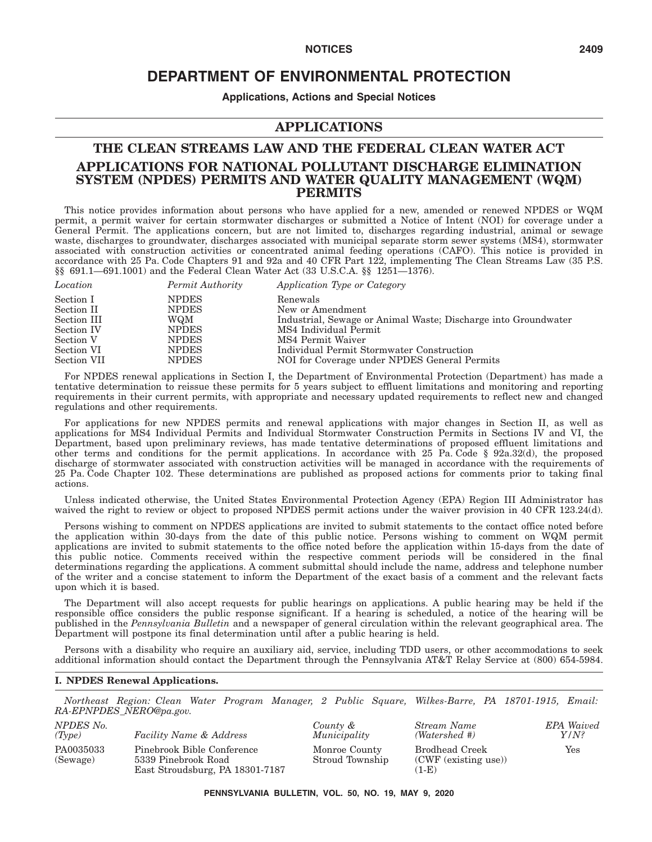## **DEPARTMENT OF ENVIRONMENTAL PROTECTION**

**Applications, Actions and Special Notices**

#### **APPLICATIONS**

## **THE CLEAN STREAMS LAW AND THE FEDERAL CLEAN WATER ACT APPLICATIONS FOR NATIONAL POLLUTANT DISCHARGE ELIMINATION SYSTEM (NPDES) PERMITS AND WATER QUALITY MANAGEMENT (WQM) PERMITS**

This notice provides information about persons who have applied for a new, amended or renewed NPDES or WQM permit, a permit waiver for certain stormwater discharges or submitted a Notice of Intent (NOI) for coverage under a General Permit. The applications concern, but are not limited to, discharges regarding industrial, animal or sewage waste, discharges to groundwater, discharges associated with municipal separate storm sewer systems (MS4), stormwater associated with construction activities or concentrated animal feeding operations (CAFO). This notice is provided in accordance with 25 Pa. Code Chapters 91 and 92a and 40 CFR Part 122, implementing The Clean Streams Law (35 P.S. §§ 691.1—691.1001) and the Federal Clean Water Act (33 U.S.C.A. §§ 1251—1376).

| Location    | Permit Authority | Application Type or Category                                   |
|-------------|------------------|----------------------------------------------------------------|
| Section I   | <b>NPDES</b>     | Renewals                                                       |
| Section II  | <b>NPDES</b>     | New or Amendment                                               |
| Section III | WQM              | Industrial, Sewage or Animal Waste; Discharge into Groundwater |
| Section IV  | <b>NPDES</b>     | MS4 Individual Permit                                          |
| Section V   | <b>NPDES</b>     | MS4 Permit Waiver                                              |
| Section VI  | <b>NPDES</b>     | Individual Permit Stormwater Construction                      |
| Section VII | <b>NPDES</b>     | NOI for Coverage under NPDES General Permits                   |

For NPDES renewal applications in Section I, the Department of Environmental Protection (Department) has made a tentative determination to reissue these permits for 5 years subject to effluent limitations and monitoring and reporting requirements in their current permits, with appropriate and necessary updated requirements to reflect new and changed regulations and other requirements.

For applications for new NPDES permits and renewal applications with major changes in Section II, as well as applications for MS4 Individual Permits and Individual Stormwater Construction Permits in Sections IV and VI, the Department, based upon preliminary reviews, has made tentative determinations of proposed effluent limitations and other terms and conditions for the permit applications. In accordance with 25 Pa. Code § 92a.32(d), the proposed discharge of stormwater associated with construction activities will be managed in accordance with the requirements of 25 Pa. Code Chapter 102. These determinations are published as proposed actions for comments prior to taking final actions.

Unless indicated otherwise, the United States Environmental Protection Agency (EPA) Region III Administrator has waived the right to review or object to proposed NPDES permit actions under the waiver provision in 40 CFR 123.24(d).

Persons wishing to comment on NPDES applications are invited to submit statements to the contact office noted before the application within 30-days from the date of this public notice. Persons wishing to comment on WQM permit applications are invited to submit statements to the office noted before the application within 15-days from the date of this public notice. Comments received within the respective comment periods will be considered in the final determinations regarding the applications. A comment submittal should include the name, address and telephone number of the writer and a concise statement to inform the Department of the exact basis of a comment and the relevant facts upon which it is based.

The Department will also accept requests for public hearings on applications. A public hearing may be held if the responsible office considers the public response significant. If a hearing is scheduled, a notice of the hearing will be published in the *Pennsylvania Bulletin* and a newspaper of general circulation within the relevant geographical area. The Department will postpone its final determination until after a public hearing is held.

Persons with a disability who require an auxiliary aid, service, including TDD users, or other accommodations to seek additional information should contact the Department through the Pennsylvania AT&T Relay Service at (800) 654-5984.

#### **I. NPDES Renewal Applications.**

*Northeast Region: Clean Water Program Manager, 2 Public Square, Wilkes-Barre, PA 18701-1915, Email: RA-EPNPDES\_NERO@pa.gov.*

| NPDES No.<br>(Tvpe)   | <b>Facility Name &amp; Address</b>                                                   | County &<br>Municipality         | Stream Name<br>(Watershed #)                             | <b>EPA</b> Waived<br>Y/N? |
|-----------------------|--------------------------------------------------------------------------------------|----------------------------------|----------------------------------------------------------|---------------------------|
|                       |                                                                                      |                                  |                                                          |                           |
| PA0035033<br>(Sewage) | Pinebrook Bible Conference<br>5339 Pinebrook Road<br>East Stroudsburg, PA 18301-7187 | Monroe County<br>Stroud Township | <b>Brodhead Creek</b><br>(CWF (existing use))<br>$(1-E)$ | Yes                       |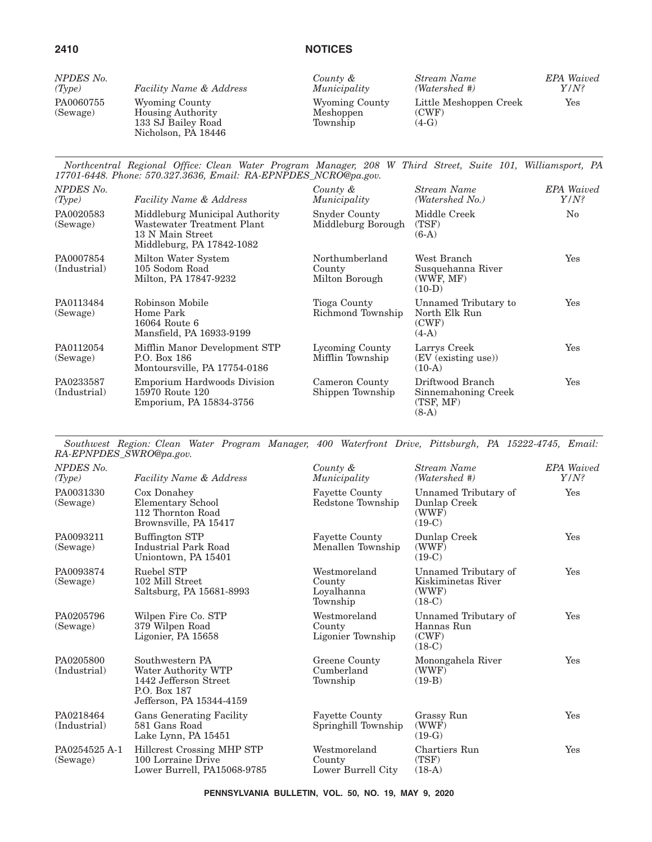| NPDES No.             | <b>Facility Name &amp; Address</b>                                                      | County &                                | Stream Name                                | <b>EPA</b> Waived |
|-----------------------|-----------------------------------------------------------------------------------------|-----------------------------------------|--------------------------------------------|-------------------|
| (Tvpe)                |                                                                                         | Municipality                            | (Watershed #)                              | $Y/N$ ?           |
| PA0060755<br>(Sewage) | Wyoming County<br><b>Housing Authority</b><br>133 SJ Bailey Road<br>Nicholson, PA 18446 | Wyoming County<br>Meshoppen<br>Township | Little Meshoppen Creek<br>(CWF)<br>$(4-G)$ | Yes               |

*Northcentral Regional Office: Clean Water Program Manager, 208 W Third Street, Suite 101, Williamsport, PA 17701-6448. Phone: 570.327.3636, Email: RA-EPNPDES\_NCRO@pa.gov.*

| NPDES No.<br>(Type)       | <b>Facility Name &amp; Address</b>                                                                            | County &<br>Municipality                   | Stream Name<br>(Watershed No.)                                  | <b>EPA</b> Waived<br>$Y/N$ ? |
|---------------------------|---------------------------------------------------------------------------------------------------------------|--------------------------------------------|-----------------------------------------------------------------|------------------------------|
| PA0020583<br>(Sewage)     | Middleburg Municipal Authority<br>Wastewater Treatment Plant<br>13 N Main Street<br>Middleburg, PA 17842-1082 | Snyder County<br>Middleburg Borough        | Middle Creek<br>(TSF)<br>$(6-A)$                                | $\rm No$                     |
| PA0007854<br>(Industrial) | Milton Water System<br>105 Sodom Road<br>Milton, PA 17847-9232                                                | Northumberland<br>County<br>Milton Borough | West Branch<br>Susquehanna River<br>(WWF, MF)<br>$(10-D)$       | Yes                          |
| PA0113484<br>(Sewage)     | Robinson Mobile<br>Home Park<br>16064 Route 6<br>Mansfield, PA 16933-9199                                     | Tioga County<br>Richmond Township          | Unnamed Tributary to<br>North Elk Run<br>(CWF)<br>$(4-A)$       | Yes                          |
| PA0112054<br>(Sewage)     | Mifflin Manor Development STP<br>P.O. Box 186<br>Montoursville, PA 17754-0186                                 | Lycoming County<br>Mifflin Township        | Larrys Creek<br>(EV (existing use))<br>$(10-A)$                 | Yes                          |
| PA0233587<br>(Industrial) | <b>Emporium Hardwoods Division</b><br>15970 Route 120<br>Emporium, PA 15834-3756                              | Cameron County<br>Shippen Township         | Driftwood Branch<br>Sinnemahoning Creek<br>(TSF, MF)<br>$(8-A)$ | Yes                          |

*Southwest Region: Clean Water Program Manager, 400 Waterfront Drive, Pittsburgh, PA 15222-4745, Email: RA-EPNPDES\_SWRO@pa.gov.*

| NPDES No.<br>(Type)       | <b>Facility Name &amp; Address</b>                                                                          | County &<br>Municipality                         | Stream Name<br>(Watershed #)                                    | <b>EPA</b> Waived<br>$Y/N$ ? |
|---------------------------|-------------------------------------------------------------------------------------------------------------|--------------------------------------------------|-----------------------------------------------------------------|------------------------------|
| PA0031330<br>(Sewage)     | Cox Donahey<br>Elementary School<br>112 Thornton Road<br>Brownsville, PA 15417                              | <b>Fayette County</b><br>Redstone Township       | Unnamed Tributary of<br>Dunlap Creek<br>(WWF)<br>$(19-C)$       | Yes                          |
| PA0093211<br>(Sewage)     | Buffington STP<br>Industrial Park Road<br>Uniontown, PA 15401                                               | <b>Fayette County</b><br>Menallen Township       | Dunlap Creek<br>(WWF)<br>$(19-C)$                               | Yes                          |
| PA0093874<br>(Sewage)     | Ruebel STP<br>102 Mill Street<br>Saltsburg, PA 15681-8993                                                   | Westmoreland<br>County<br>Loyalhanna<br>Township | Unnamed Tributary of<br>Kiskiminetas River<br>(WWF)<br>$(18-C)$ | Yes                          |
| PA0205796<br>(Sewage)     | Wilpen Fire Co. STP<br>379 Wilpen Road<br>Ligonier, PA 15658                                                | Westmoreland<br>County<br>Ligonier Township      | Unnamed Tributary of<br>Hannas Run<br>(CWF)<br>$(18-C)$         | Yes                          |
| PA0205800<br>(Industrial) | Southwestern PA<br>Water Authority WTP<br>1442 Jefferson Street<br>P.O. Box 187<br>Jefferson, PA 15344-4159 | Greene County<br>Cumberland<br>Township          | Monongahela River<br>(WWF)<br>$(19-B)$                          | Yes                          |
| PA0218464<br>(Industrial) | <b>Gans Generating Facility</b><br>581 Gans Road<br>Lake Lynn, PA 15451                                     | <b>Fayette County</b><br>Springhill Township     | Grassy Run<br>(WWF)<br>$(19-G)$                                 | Yes                          |
| PA0254525 A-1<br>(Sewage) | Hillcrest Crossing MHP STP<br>100 Lorraine Drive<br>Lower Burrell, PA15068-9785                             | Westmoreland<br>County<br>Lower Burrell City     | Chartiers Run<br>(TSF)<br>$(18-A)$                              | Yes                          |

**PENNSYLVANIA BULLETIN, VOL. 50, NO. 19, MAY 9, 2020**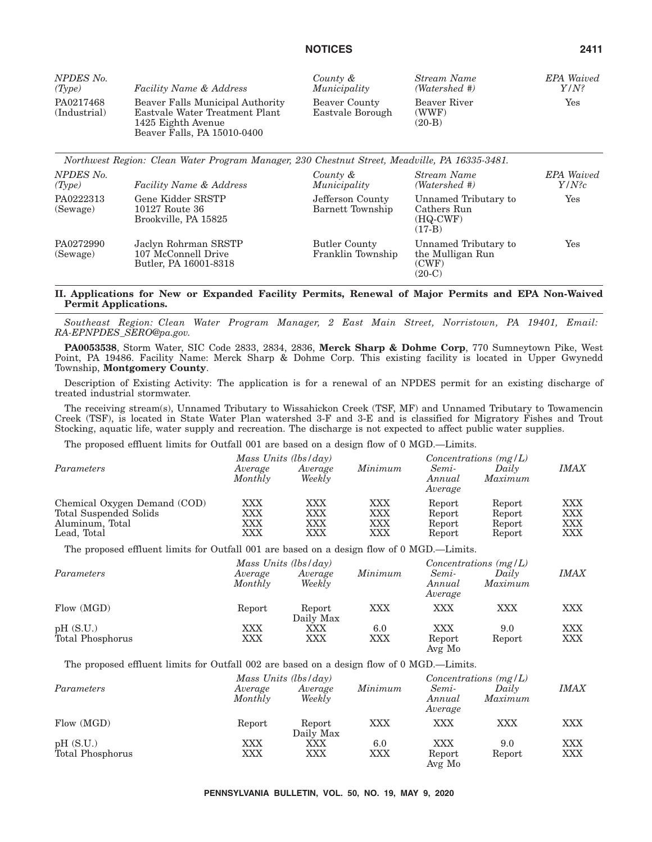| NPDES No.                 | <b>Facility Name &amp; Address</b>                                                                                      | County &                          | Stream Name                       | <b>EPA</b> Waived |
|---------------------------|-------------------------------------------------------------------------------------------------------------------------|-----------------------------------|-----------------------------------|-------------------|
| (Type)                    |                                                                                                                         | Municipality                      | (Watershed #)                     | $Y/N$ ?           |
| PA0217468<br>(Industrial) | Beaver Falls Municipal Authority<br>Eastvale Water Treatment Plant<br>1425 Eighth Avenue<br>Beaver Falls, PA 15010-0400 | Beaver County<br>Eastvale Borough | Beaver River<br>(WWF)<br>$(20-B)$ | Yes               |

|                       | Northwest Region: Clean Water Program Manager, 230 Chestnut Street, Meadville, PA 16335-3481. |                                           |                                                               |                               |
|-----------------------|-----------------------------------------------------------------------------------------------|-------------------------------------------|---------------------------------------------------------------|-------------------------------|
| NPDES No.<br>(Type)   | <b>Facility Name &amp; Address</b>                                                            | County &<br>Municipality                  | Stream Name<br>(Watershed #)                                  | <b>EPA</b> Waived<br>$Y/N$ ?c |
| PA0222313<br>(Sewage) | Gene Kidder SRSTP<br>10127 Route 36<br>Brookville, PA 15825                                   | Jefferson County<br>Barnett Township      | Unnamed Tributary to<br>Cathers Run<br>$(HQ-CWF)$<br>$(17-B)$ | $\operatorname{Yes}$          |
| PA0272990<br>(Sewage) | Jaclyn Rohrman SRSTP<br>107 McConnell Drive<br>Butler, PA 16001-8318                          | <b>Butler County</b><br>Franklin Township | Unnamed Tributary to<br>the Mulligan Run<br>(CWF)<br>$(20-C)$ | Yes                           |

#### **II. Applications for New or Expanded Facility Permits, Renewal of Major Permits and EPA Non-Waived Permit Applications.**

*Southeast Region: Clean Water Program Manager, 2 East Main Street, Norristown, PA 19401, Email: RA-EPNPDES\_SERO@pa.gov.*

**PA0053538**, Storm Water, SIC Code 2833, 2834, 2836, **Merck Sharp & Dohme Corp**, 770 Sumneytown Pike, West Point, PA 19486. Facility Name: Merck Sharp & Dohme Corp. This existing facility is located in Upper Gwynedd Township, **Montgomery County**.

Description of Existing Activity: The application is for a renewal of an NPDES permit for an existing discharge of treated industrial stormwater.

The receiving stream(s), Unnamed Tributary to Wissahickon Creek (TSF, MF) and Unnamed Tributary to Towamencin Creek (TSF), is located in State Water Plan watershed 3-F and 3-E and is classified for Migratory Fishes and Trout Stocking, aquatic life, water supply and recreation. The discharge is not expected to affect public water supplies.

The proposed effluent limits for Outfall 001 are based on a design flow of 0 MGD.—Limits.

|                              | Mass Units $(lbs/day)$ |                   |         | Concentrations $(mg/L)$    |                  |             |
|------------------------------|------------------------|-------------------|---------|----------------------------|------------------|-------------|
| Parameters                   | Average<br>Monthly     | Average<br>Weekly | Minimum | Semi-<br>Annual<br>Average | Daily<br>Maximum | <b>IMAX</b> |
| Chemical Oxygen Demand (COD) | $\rm XXX$              | XXX               | XXX     | Report                     | Report           | XXX         |
| Total Suspended Solids       | $\rm XXX$              | XXX               | XXX     | Report                     | Report           | <b>XXX</b>  |
| Aluminum, Total              | XXX                    | <b>XXX</b>        | XXX     | Report                     | Report           | <b>XXX</b>  |
| Lead, Total                  | $\rm XXX$              | XXX               | XXX     | Report                     | Report           | XXX         |

The proposed effluent limits for Outfall 001 are based on a design flow of 0 MGD.—Limits.

|                              | Mass Units $(lbs/day)$ |                     |            |                            | Concentrations $(mg/L)$ |                   |
|------------------------------|------------------------|---------------------|------------|----------------------------|-------------------------|-------------------|
| Parameters                   | Average<br>Monthly     | Average<br>Weekly   | Minimum    | Semi-<br>Annual<br>Average | Dailv<br>Maximum        | <b>IMAX</b>       |
| Flow (MGD)                   | Report                 | Report<br>Daily Max | <b>XXX</b> | XXX                        | XXX                     | <b>XXX</b>        |
| pH(S.U.)<br>Total Phosphorus | XXX<br>XXX             | XXX<br>XXX          | 6.0<br>XXX | XXX<br>Report<br>Avg Mo    | 9.0<br>Report           | XXX<br><b>XXX</b> |

The proposed effluent limits for Outfall 002 are based on a design flow of 0 MGD.—Limits.

|                              |                    | Mass Units $(lbs/day)$ |            |                            | Concentrations $(mg/L)$ |                          |  |
|------------------------------|--------------------|------------------------|------------|----------------------------|-------------------------|--------------------------|--|
| Parameters                   | Average<br>Monthly | Average<br>Weekly      | Minimum    | Semi-<br>Annual<br>Average | Daily<br>Maximum        | <b>IMAX</b>              |  |
| Flow (MGD)                   | Report             | Report<br>Daily Max    | XXX        | XXX                        | XXX                     | <b>XXX</b>               |  |
| pH(S.U.)<br>Total Phosphorus | XXX<br>XXX         | XXX<br>XXX             | 6.0<br>XXX | XXX<br>Report<br>Avg Mo    | 9.0<br>Report           | <b>XXX</b><br><b>XXX</b> |  |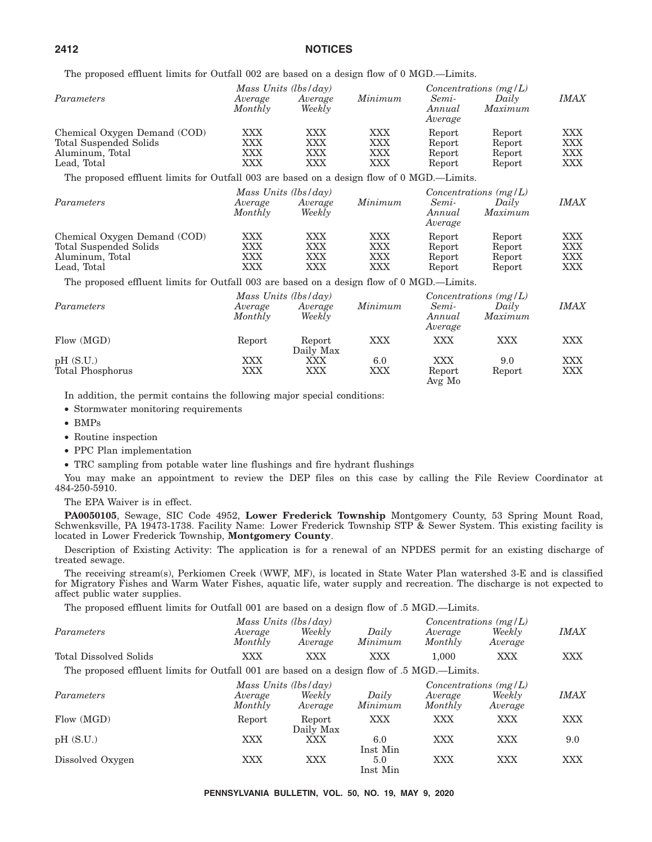The proposed effluent limits for Outfall 002 are based on a design flow of 0 MGD.—Limits.

|                                                                                           |                          | Mass Units $(lbs/day)$                      |                                               |                                      | Concentrations $(mg/L)$                     |                          |
|-------------------------------------------------------------------------------------------|--------------------------|---------------------------------------------|-----------------------------------------------|--------------------------------------|---------------------------------------------|--------------------------|
| Parameters                                                                                | Average<br>Monthly       | Average<br>Weekly                           | Minimum                                       | Semi-<br>Annual<br>Average           | Daily<br>Maximum                            | <i>IMAX</i>              |
| Chemical Oxygen Demand (COD)<br>Total Suspended Solids<br>Aluminum, Total<br>Lead, Total  | XXX<br>XXX<br>XXX<br>XXX | XXX<br>XXX<br>XXX<br><b>XXX</b>             | <b>XXX</b><br><b>XXX</b><br><b>XXX</b><br>XXX | Report<br>Report<br>Report<br>Report | Report<br>Report<br>Report<br>Report        | XXX<br>XXX<br>XXX<br>XXX |
| The proposed effluent limits for Outfall 003 are based on a design flow of 0 MGD.—Limits. |                          |                                             |                                               |                                      |                                             |                          |
| Parameters                                                                                | Average<br>Monthly       | Mass Units $(lbs/day)$<br>Average<br>Weekly | Minimum                                       | Semi-<br>Annual<br>Average           | Concentrations $(mg/L)$<br>Daily<br>Maximum | <i>IMAX</i>              |
| Chemical Oxygen Demand (COD)<br>Total Suspended Solids<br>Aluminum, Total<br>Lead, Total  | XXX<br>XXX<br>XXX<br>XXX | XXX<br>XXX<br>XXX<br>XXX                    | XXX<br><b>XXX</b><br>XXX<br><b>XXX</b>        | Report<br>Report<br>Report<br>Report | Report<br>Report<br>Report<br>Report        | XXX<br>XXX<br>XXX<br>XXX |
| The proposed effluent limits for Outfall 003 are based on a design flow of 0 MGD.—Limits. |                          |                                             |                                               |                                      |                                             |                          |
| Parameters                                                                                | Average<br>Monthly       | Mass Units $(lbs/day)$<br>Average<br>Weekly | Minimum                                       | Semi-<br>Annual<br>Average           | Concentrations $(mg/L)$<br>Daily<br>Maximum | <i>IMAX</i>              |
| Flow (MGD)                                                                                | Report                   | Report                                      | XXX                                           | XXX                                  | XXX                                         | XXX                      |

Daily Max

Avg Mo

9.0 XXX<br>Report XXX

pH (S.U.) XXX XXX 6.0 XXX 9.0 XXX Total Phosphorus XXX XXX XXX Report

In addition, the permit contains the following major special conditions:

- Stormwater monitoring requirements
- BMPs
- Routine inspection
- PPC Plan implementation
- TRC sampling from potable water line flushings and fire hydrant flushings

You may make an appointment to review the DEP files on this case by calling the File Review Coordinator at 484-250-5910.

The EPA Waiver is in effect.

**PA0050105**, Sewage, SIC Code 4952, **Lower Frederick Township** Montgomery County, 53 Spring Mount Road, Schwenksville, PA 19473-1738. Facility Name: Lower Frederick Township STP & Sewer System. This existing facility is located in Lower Frederick Township, **Montgomery County**.

Description of Existing Activity: The application is for a renewal of an NPDES permit for an existing discharge of treated sewage.

The receiving stream(s), Perkiomen Creek (WWF, MF), is located in State Water Plan watershed 3-E and is classified for Migratory Fishes and Warm Water Fishes, aquatic life, water supply and recreation. The discharge is not expected to affect public water supplies.

The proposed effluent limits for Outfall 001 are based on a design flow of .5 MGD.—Limits.

|                        |                    | Mass Units $(lbs/day)$ |                  | Concentrations $(mg/L)$ |                   |             |
|------------------------|--------------------|------------------------|------------------|-------------------------|-------------------|-------------|
| Parameters             | Average<br>Monthly | Weekly<br>Average      | Daily<br>Minimum | Average<br>Monthly      | Weekly<br>Average | <i>IMAX</i> |
| Total Dissolved Solids | XXX                | XXX                    | XXX              | $1.000\,$               | XXX               | XXX         |

The proposed effluent limits for Outfall 001 are based on a design flow of .5 MGD.—Limits.

|                  |                    | Mass Units $(lbs/day)$ |                  |                    | Concentrations $(mg/L)$ |             |  |
|------------------|--------------------|------------------------|------------------|--------------------|-------------------------|-------------|--|
| Parameters       | Average<br>Monthly | Weekly<br>Average      | Daily<br>Minimum | Average<br>Monthly | Weekly<br>Average       | <b>IMAX</b> |  |
| Flow (MGD)       | Report             | Report<br>Daily Max    | XXX              | XXX                | XXX                     | <b>XXX</b>  |  |
| pH(S.U.)         | XXX                | XXX                    | 6.0<br>Inst Min  | XXX                | XXX                     | 9.0         |  |
| Dissolved Oxygen | XXX                | XXX                    | 5.0<br>Inst Min  | <b>XXX</b>         | <b>XXX</b>              | XXX         |  |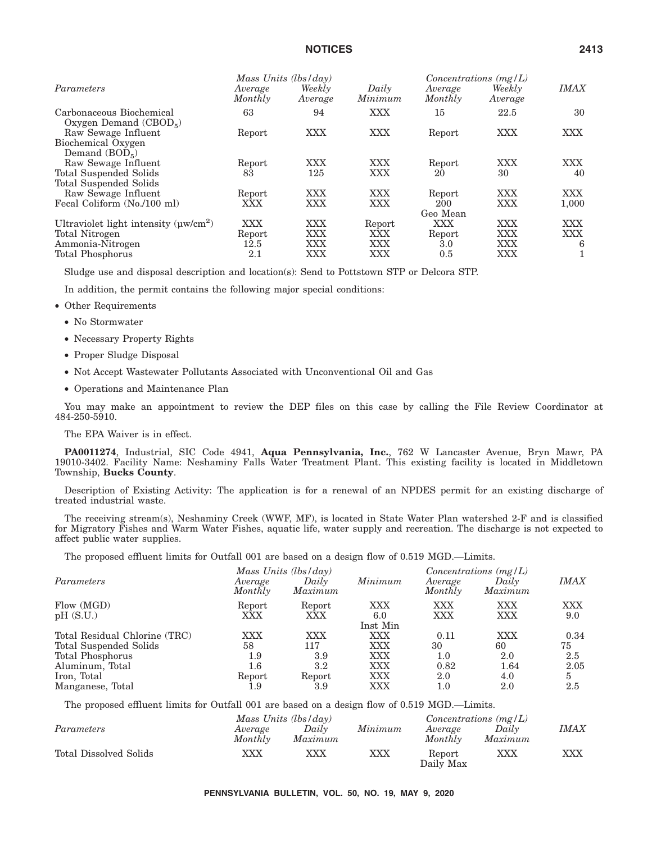|                                                     | Mass Units $(lbs/day)$ |                   |                  | Concentrations $(mg/L)$ |                   |             |
|-----------------------------------------------------|------------------------|-------------------|------------------|-------------------------|-------------------|-------------|
| Parameters                                          | Average<br>Monthly     | Weekly<br>Average | Daily<br>Minimum | Average<br>Monthly      | Weekly<br>Average | <b>IMAX</b> |
| Carbonaceous Biochemical<br>Oxygen Demand $(CBOD5)$ | 63                     | 94                | <b>XXX</b>       | 15                      | 22.5              | 30          |
| Raw Sewage Influent                                 | Report                 | XXX               | <b>XXX</b>       | Report                  | XXX               | XXX.        |
| Biochemical Oxygen                                  |                        |                   |                  |                         |                   |             |
| Demand $(BOD5)$                                     |                        |                   |                  |                         |                   |             |
| Raw Sewage Influent                                 | Report                 | XXX               | XXX              | Report                  | XXX               | XXX.        |
| Total Suspended Solids                              | 83                     | 125               | XXX              | 20                      | 30                | 40          |
| <b>Total Suspended Solids</b>                       |                        |                   |                  |                         |                   |             |
| Raw Sewage Influent                                 | Report                 | XXX               | <b>XXX</b>       | Report                  | XXX               | XXX.        |
| Fecal Coliform (No./100 ml)                         | XXX                    | XXX               | <b>XXX</b>       | 200                     | XXX               | 1,000       |
|                                                     |                        |                   |                  | Geo Mean                |                   |             |
| Ultraviolet light intensity $(\mu w/cm^2)$          | XXX                    | <b>XXX</b>        | Report           | <b>XXX</b>              | XXX               | <b>XXX</b>  |
| Total Nitrogen                                      | Report                 | <b>XXX</b>        | XXX              | Report                  | XXX               | XXX.        |
| Ammonia-Nitrogen                                    | 12.5                   | <b>XXX</b>        | <b>XXX</b>       | 3.0                     | XXX               | 6           |
| Total Phosphorus                                    | 2.1                    | XXX               | XXX              | 0.5                     | XXX               |             |
|                                                     |                        |                   |                  |                         |                   |             |

Sludge use and disposal description and location(s): Send to Pottstown STP or Delcora STP.

In addition, the permit contains the following major special conditions:

- Other Requirements
	- No Stormwater
	- Necessary Property Rights
	- Proper Sludge Disposal
	- Not Accept Wastewater Pollutants Associated with Unconventional Oil and Gas
	- Operations and Maintenance Plan

You may make an appointment to review the DEP files on this case by calling the File Review Coordinator at 484-250-5910.

The EPA Waiver is in effect.

**PA0011274**, Industrial, SIC Code 4941, **Aqua Pennsylvania, Inc.**, 762 W Lancaster Avenue, Bryn Mawr, PA 19010-3402. Facility Name: Neshaminy Falls Water Treatment Plant. This existing facility is located in Middletown Township, **Bucks County**.

Description of Existing Activity: The application is for a renewal of an NPDES permit for an existing discharge of treated industrial waste.

The receiving stream(s), Neshaminy Creek (WWF, MF), is located in State Water Plan watershed 2-F and is classified for Migratory Fishes and Warm Water Fishes, aquatic life, water supply and recreation. The discharge is not expected to affect public water supplies.

The proposed effluent limits for Outfall 001 are based on a design flow of 0.519 MGD.—Limits.

|                               |                    | Mass Units $(lbs/day)$ | Concentrations $(mg/L)$ |                    |                  |             |
|-------------------------------|--------------------|------------------------|-------------------------|--------------------|------------------|-------------|
| Parameters                    | Average<br>Monthly | Daily<br>Maximum       | Minimum                 | Average<br>Monthly | Daily<br>Maximum | <b>IMAX</b> |
| Flow (MGD)                    | Report             | Report                 | XXX                     | <b>XXX</b>         | XXX              | <b>XXX</b>  |
| pH(S.U.)                      | XXX                | XXX                    | 6.0                     | XXX                | XXX              | 9.0         |
|                               |                    |                        | Inst Min                |                    |                  |             |
| Total Residual Chlorine (TRC) | <b>XXX</b>         | XXX                    | XXX                     | 0.11               | <b>XXX</b>       | 0.34        |
| Total Suspended Solids        | 58                 | 117                    | XXX                     | 30                 | 60               | 75          |
| Total Phosphorus              | $1.9\,$            | 3.9                    | XXX                     | 1.0                | 2.0              | 2.5         |
| Aluminum, Total               | $1.6\,$            | $3.2\,$                | XXX                     | 0.82               | 1.64             | 2.05        |
| Iron, Total                   | Report             | Report                 | XXX                     | 2.0                | 4.0              | 5           |
| Manganese, Total              | $1.9\,$            | 3.9                    | XXX                     | $1.0\,$            | 2.0              | 2.5         |

The proposed effluent limits for Outfall 001 are based on a design flow of 0.519 MGD.—Limits.

|                        |         | Mass Units $(lbs/day)$ |         |                     | Concentrations $(mg/L)$ |             |  |
|------------------------|---------|------------------------|---------|---------------------|-------------------------|-------------|--|
| Parameters             | Average | Daily                  | Minimum | Average             | Daily                   | <i>IMAX</i> |  |
|                        | Monthly | Maximum                |         | Monthly             | Maximum                 |             |  |
| Total Dissolved Solids | XXX     | XXX                    | XXX     | Report<br>Daily Max | XXX                     | XXX         |  |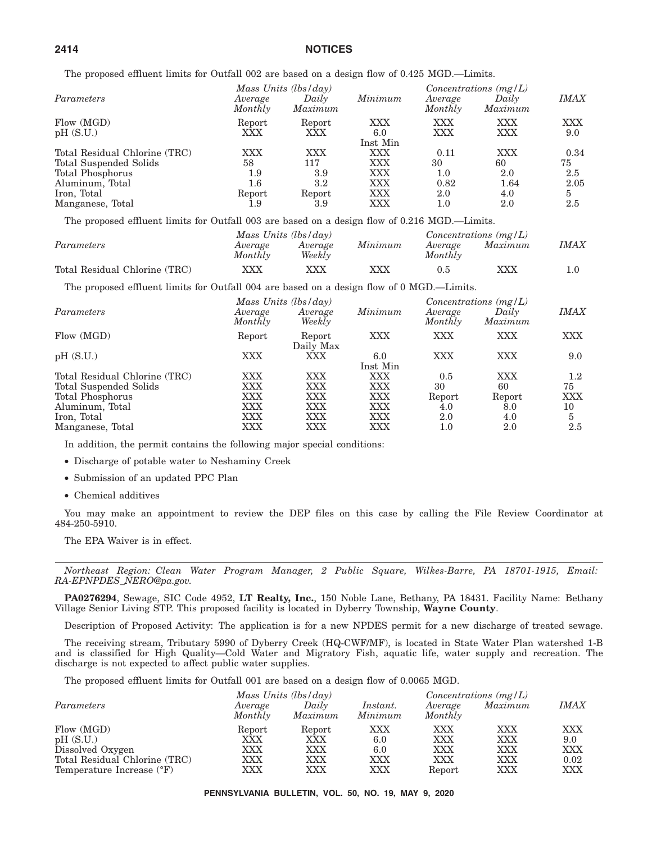The proposed effluent limits for Outfall 002 are based on a design flow of 0.425 MGD.—Limits.

|                               |                    | Mass Units $(lbs/day)$ |          | $Concentrations$ (mg/L) |                  |                  |  |
|-------------------------------|--------------------|------------------------|----------|-------------------------|------------------|------------------|--|
| Parameters                    | Average<br>Monthly | Daily<br>Maximum       | Minimum  | Average<br>Monthly      | Daily<br>Maximum | <i>IMAX</i>      |  |
| Flow (MGD)                    | Report             | Report                 | XXX      | XXX                     | XXX              | <b>XXX</b>       |  |
| pH(S.U.)                      | XXX                | XXX                    | 6.0      | XXX                     | XXX              | 9.0              |  |
|                               |                    |                        | Inst Min |                         |                  |                  |  |
| Total Residual Chlorine (TRC) | XXX                | XXX                    | XXX      | 0.11                    | XXX              | 0.34             |  |
| Total Suspended Solids        | 58                 | 117                    | XXX      | 30                      | 60               | 75               |  |
| Total Phosphorus              | 1.9                | 3.9                    | XXX      | 1.0                     | 2.0              | $2.5\phantom{0}$ |  |
| Aluminum, Total               | $1.6\,$            | $3.2\,$                | XXX      | 0.82                    | 1.64             | 2.05             |  |
| Iron, Total                   | Report             | Report                 | XXX      | $2.0\,$                 | 4.0              | 5                |  |
| Manganese, Total              | 1.9                | 3.9                    | XXX      | $1.0\,$                 | 2.0              | 2.5              |  |

The proposed effluent limits for Outfall 003 are based on a design flow of 0.216 MGD.—Limits.

|                               |                    | Mass Units $(lbs/day)$ |         |                    | Concentrations $(mg/L)$ |             |  |
|-------------------------------|--------------------|------------------------|---------|--------------------|-------------------------|-------------|--|
| Parameters                    | Average<br>Monthly | Average<br>Weekly      | Minimum | Average<br>Monthly | Maximum                 | <i>IMAX</i> |  |
| Total Residual Chlorine (TRC) | XXX                |                        | XXX     | 0.5                | XXX                     |             |  |

The proposed effluent limits for Outfall 004 are based on a design flow of 0 MGD.—Limits.

| Average<br>Monthly | Average<br>Weekly   | Minimum              | Average<br>Monthly | Daily<br>Maximum | <i><b>IMAX</b></i>      |
|--------------------|---------------------|----------------------|--------------------|------------------|-------------------------|
| Report             | Report<br>Daily Max | XXX                  | XXX                | XXX              | <b>XXX</b>              |
| XXX                | XXX                 | 6.0<br>Inst Min      | XXX                | XXX              | 9.0                     |
| XXX                | XXX                 | XXX                  | 0.5                | XXX              | $1.2\,$                 |
| XXX                | XXX                 | XXX                  | 30                 | 60               | 75                      |
| XXX                | XXX                 | XXX                  | Report             | Report           | <b>XXX</b>              |
| XXX                | XXX                 | XXX                  | 4.0                | 8.0              | 10                      |
| XXX                | XXX                 | XXX                  | 2.0                | 4.0              | 5                       |
| XXX                | XXX                 | XXX                  | $1.0\,$            | 2.0              | 2.5                     |
|                    |                     | Mass Units (lbs/day) |                    |                  | Concentrations $(mg/L)$ |

In addition, the permit contains the following major special conditions:

- Discharge of potable water to Neshaminy Creek
- Submission of an updated PPC Plan
- Chemical additives

You may make an appointment to review the DEP files on this case by calling the File Review Coordinator at 484-250-5910.

The EPA Waiver is in effect.

*Northeast Region: Clean Water Program Manager, 2 Public Square, Wilkes-Barre, PA 18701-1915, Email: RA-EPNPDES\_NERO@pa.gov.*

**PA0276294**, Sewage, SIC Code 4952, **LT Realty, Inc.**, 150 Noble Lane, Bethany, PA 18431. Facility Name: Bethany Village Senior Living STP. This proposed facility is located in Dyberry Township, **Wayne County**.

Description of Proposed Activity: The application is for a new NPDES permit for a new discharge of treated sewage.

The receiving stream, Tributary 5990 of Dyberry Creek (HQ-CWF/MF), is located in State Water Plan watershed 1-B and is classified for High Quality—Cold Water and Migratory Fish, aquatic life, water supply and recreation. The discharge is not expected to affect public water supplies.

The proposed effluent limits for Outfall 001 are based on a design flow of 0.0065 MGD.

| Parameters                                                 | Average<br>Monthly | Mass Units $(lbs/day)$<br>Daily<br>Maximum | <i>Instant.</i><br>Minimum | Average<br>Monthly | Concentrations $(mg/L)$<br>Maximum | <i>IMAX</i>        |
|------------------------------------------------------------|--------------------|--------------------------------------------|----------------------------|--------------------|------------------------------------|--------------------|
| Flow (MGD)                                                 | Report             | Report                                     | XXX                        | XXX                | XXX                                | XXX                |
| pH(S.U.)                                                   | XXX                | XXX                                        | 6.0                        | XXX                | XXX                                | 9.0                |
| Dissolved Oxygen                                           | $\rm XXX$          | XXX                                        | 6.0                        | <b>XXX</b>         | XXX                                | <b>XXX</b>         |
| Total Residual Chlorine (TRC)<br>Temperature Increase (°F) | XXX<br>XXX         | XXX<br>XXX                                 | XXX<br>XXX                 | XXX<br>Report      | XXX<br>XXX                         | 0.02<br><b>XXX</b> |

**PENNSYLVANIA BULLETIN, VOL. 50, NO. 19, MAY 9, 2020**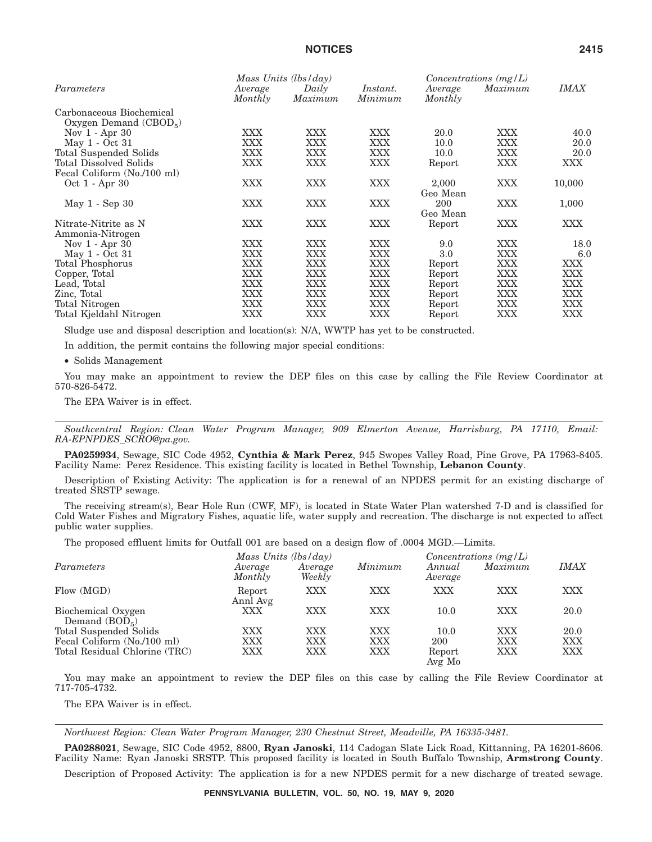|                                                     | Mass Units $(lbs/day)$ |                  |                            | Concentrations $(mg/L)$ |            |             |
|-----------------------------------------------------|------------------------|------------------|----------------------------|-------------------------|------------|-------------|
| Parameters                                          | Average<br>Monthly     | Daily<br>Maximum | <i>Instant.</i><br>Minimum | Average<br>Monthly      | Maximum    | <b>IMAX</b> |
| Carbonaceous Biochemical<br>Oxygen Demand $(CBOD5)$ |                        |                  |                            |                         |            |             |
| Nov $1 -$ Apr 30                                    | XXX                    | XXX              | XXX                        | 20.0                    | <b>XXX</b> | 40.0        |
| May 1 - Oct 31                                      | XXX                    | XXX              | XXX                        | 10.0                    | XXX        | 20.0        |
| Total Suspended Solids                              | XXX                    | XXX              | XXX                        | 10.0                    | XXX        | 20.0        |
| Total Dissolved Solids                              | XXX                    | <b>XXX</b>       | XXX                        | Report                  | XXX        | XXX         |
| Fecal Coliform (No./100 ml)                         |                        |                  |                            |                         |            |             |
| Oct 1 - Apr 30                                      | <b>XXX</b>             | <b>XXX</b>       | XXX                        | 2,000<br>Geo Mean       | <b>XXX</b> | 10,000      |
| May $1 - \text{Sep } 30$                            | XXX                    | <b>XXX</b>       | XXX                        | 200<br>Geo Mean         | <b>XXX</b> | 1,000       |
| Nitrate-Nitrite as N<br>Ammonia-Nitrogen            | XXX                    | <b>XXX</b>       | XXX                        | Report                  | XXX        | XXX         |
| Nov 1 - Apr 30                                      | XXX                    | XXX              | XXX                        | 9.0                     | <b>XXX</b> | 18.0        |
| May 1 - Oct 31                                      | XXX                    | XXX              | XXX                        | 3.0                     | XXX        | 6.0         |
| <b>Total Phosphorus</b>                             | XXX                    | XXX              | XXX                        | Report                  | <b>XXX</b> | XXX         |
| Copper, Total                                       | <b>XXX</b>             | <b>XXX</b>       | XXX                        | Report                  | XXX        | XXX         |
| Lead, Total                                         | XXX                    | XXX              | XXX                        | Report                  | <b>XXX</b> | XXX         |
| Zinc, Total                                         | XXX                    | XXX              | XXX                        | Report                  | XXX        | XXX         |
| Total Nitrogen                                      | XXX                    | <b>XXX</b>       | XXX                        | Report                  | XXX        | XXX         |
| Total Kjeldahl Nitrogen                             | XXX                    | XXX              | XXX                        | Report                  | XXX        | XXX         |

Sludge use and disposal description and location(s): N/A, WWTP has yet to be constructed.

In addition, the permit contains the following major special conditions:

• Solids Management

You may make an appointment to review the DEP files on this case by calling the File Review Coordinator at 570-826-5472.

The EPA Waiver is in effect.

*Southcentral Region: Clean Water Program Manager, 909 Elmerton Avenue, Harrisburg, PA 17110, Email: RA-EPNPDES\_SCRO@pa.gov.*

**PA0259934**, Sewage, SIC Code 4952, **Cynthia & Mark Perez**, 945 Swopes Valley Road, Pine Grove, PA 17963-8405. Facility Name: Perez Residence. This existing facility is located in Bethel Township, **Lebanon County**.

Description of Existing Activity: The application is for a renewal of an NPDES permit for an existing discharge of treated SRSTP sewage.

The receiving stream(s), Bear Hole Run (CWF, MF), is located in State Water Plan watershed 7-D and is classified for Cold Water Fishes and Migratory Fishes, aquatic life, water supply and recreation. The discharge is not expected to affect public water supplies.

The proposed effluent limits for Outfall 001 are based on a design flow of .0004 MGD.—Limits.

|                                       | Mass Units $(lbs/day)$ |                   |            | Concentrations $(mg/L)$ |            |             |
|---------------------------------------|------------------------|-------------------|------------|-------------------------|------------|-------------|
| Parameters                            | Average<br>Monthly     | Average<br>Weekly | Minimum    | Annual<br>Average       | Maximum    | <i>IMAX</i> |
| Flow (MGD)                            | Report<br>Annl Avg     | XXX               | XXX        | XXX                     | XXX        | <b>XXX</b>  |
| Biochemical Oxygen<br>Demand $(BOD5)$ | <b>XXX</b>             | XXX               | <b>XXX</b> | 10.0                    | <b>XXX</b> | 20.0        |
| Total Suspended Solids                | XXX                    | XXX               | <b>XXX</b> | 10.0                    | XXX        | 20.0        |
| Fecal Coliform (No./100 ml)           | <b>XXX</b>             | XXX               | XXX        | 200                     | XXX        | XXX         |
| Total Residual Chlorine (TRC)         | XXX                    | XXX               | XXX        | Report<br>Avg Mo        | <b>XXX</b> | <b>XXX</b>  |

You may make an appointment to review the DEP files on this case by calling the File Review Coordinator at 717-705-4732.

The EPA Waiver is in effect.

*Northwest Region: Clean Water Program Manager, 230 Chestnut Street, Meadville, PA 16335-3481.*

**PA0288021**, Sewage, SIC Code 4952, 8800, **Ryan Janoski**, 114 Cadogan Slate Lick Road, Kittanning, PA 16201-8606. Facility Name: Ryan Janoski SRSTP. This proposed facility is located in South Buffalo Township, **Armstrong County**.

Description of Proposed Activity: The application is for a new NPDES permit for a new discharge of treated sewage.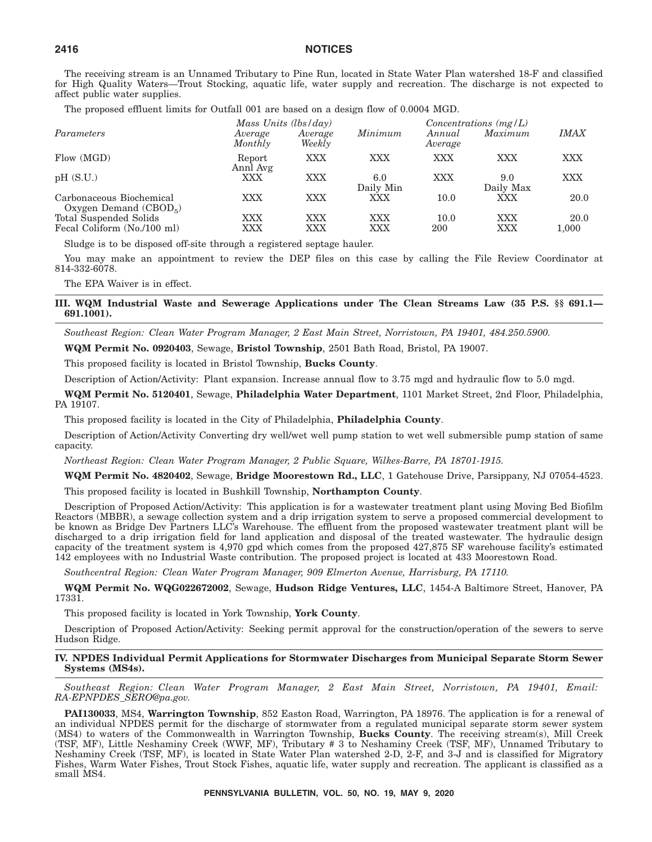The receiving stream is an Unnamed Tributary to Pine Run, located in State Water Plan watershed 18-F and classified for High Quality Waters—Trout Stocking, aquatic life, water supply and recreation. The discharge is not expected to affect public water supplies.

The proposed effluent limits for Outfall 001 are based on a design flow of 0.0004 MGD.

|                                                       | Mass Units (lbs/day) |                   |                   | Concentrations $(mg/L)$ |                   |               |
|-------------------------------------------------------|----------------------|-------------------|-------------------|-------------------------|-------------------|---------------|
| Parameters                                            | Average<br>Monthly   | Average<br>Weekly | Minimum           | Annual<br>Average       | Maximum           | <i>IMAX</i>   |
| Flow (MGD)                                            | Report<br>Annl Avg   | XXX               | XXX               | <b>XXX</b>              | XXX               | XXX           |
| pH(S.U.)                                              | XXX                  | XXX               | 6.0<br>Daily Min  | <b>XXX</b>              | 9.0<br>Daily Max  | XXX           |
| Carbonaceous Biochemical<br>Oxygen Demand $(CBOD5)$   | XXX                  | XXX               | XXX               | 10.0                    | <b>XXX</b>        | 20.0          |
| Total Suspended Solids<br>Fecal Coliform (No./100 ml) | <b>XXX</b><br>XXX    | <b>XXX</b><br>XXX | <b>XXX</b><br>XXX | 10.0<br>200             | <b>XXX</b><br>XXX | 20.0<br>1,000 |

Sludge is to be disposed off-site through a registered septage hauler.

You may make an appointment to review the DEP files on this case by calling the File Review Coordinator at 814-332-6078.

The EPA Waiver is in effect.

**III. WQM Industrial Waste and Sewerage Applications under The Clean Streams Law (35 P.S. §§ 691.1— 691.1001).**

*Southeast Region: Clean Water Program Manager, 2 East Main Street, Norristown, PA 19401, 484.250.5900.*

**WQM Permit No. 0920403**, Sewage, **Bristol Township**, 2501 Bath Road, Bristol, PA 19007.

This proposed facility is located in Bristol Township, **Bucks County**.

Description of Action/Activity: Plant expansion. Increase annual flow to 3.75 mgd and hydraulic flow to 5.0 mgd.

**WQM Permit No. 5120401**, Sewage, **Philadelphia Water Department**, 1101 Market Street, 2nd Floor, Philadelphia, PA 19107.

This proposed facility is located in the City of Philadelphia, **Philadelphia County**.

Description of Action/Activity Converting dry well/wet well pump station to wet well submersible pump station of same capacity.

*Northeast Region: Clean Water Program Manager, 2 Public Square, Wilkes-Barre, PA 18701-1915.*

**WQM Permit No. 4820402**, Sewage, **Bridge Moorestown Rd., LLC**, 1 Gatehouse Drive, Parsippany, NJ 07054-4523.

This proposed facility is located in Bushkill Township, **Northampton County**.

Description of Proposed Action/Activity: This application is for a wastewater treatment plant using Moving Bed Biofilm Reactors (MBBR), a sewage collection system and a drip irrigation system to serve a proposed commercial development to be known as Bridge Dev Partners LLC's Warehouse. The effluent from the proposed wastewater treatment plant will be discharged to a drip irrigation field for land application and disposal of the treated wastewater. The hydraulic design capacity of the treatment system is 4,970 gpd which comes from the proposed 427,875 SF warehouse facility's estimated 142 employees with no Industrial Waste contribution. The proposed project is located at 433 Moorestown Road.

*Southcentral Region: Clean Water Program Manager, 909 Elmerton Avenue, Harrisburg, PA 17110.*

**WQM Permit No. WQG022672002**, Sewage, **Hudson Ridge Ventures, LLC**, 1454-A Baltimore Street, Hanover, PA 17331.

This proposed facility is located in York Township, **York County**.

Description of Proposed Action/Activity: Seeking permit approval for the construction/operation of the sewers to serve Hudson Ridge.

#### **IV. NPDES Individual Permit Applications for Stormwater Discharges from Municipal Separate Storm Sewer Systems (MS4s).**

*Southeast Region: Clean Water Program Manager, 2 East Main Street, Norristown, PA 19401, Email: RA-EPNPDES\_SERO@pa.gov.*

**PAI130033**, MS4, **Warrington Township**, 852 Easton Road, Warrington, PA 18976. The application is for a renewal of an individual NPDES permit for the discharge of stormwater from a regulated municipal separate storm sewer system (MS4) to waters of the Commonwealth in Warrington Township, **Bucks County**. The receiving stream(s), Mill Creek (TSF, MF), Little Neshaminy Creek (WWF, MF), Tributary # 3 to Neshaminy Creek (TSF, MF), Unnamed Tributary to Neshaminy Creek (TSF, MF), is located in State Water Plan watershed 2-D, 2-F, and 3-J and is classified for Migratory Fishes, Warm Water Fishes, Trout Stock Fishes, aquatic life, water supply and recreation. The applicant is classified as a small MS4.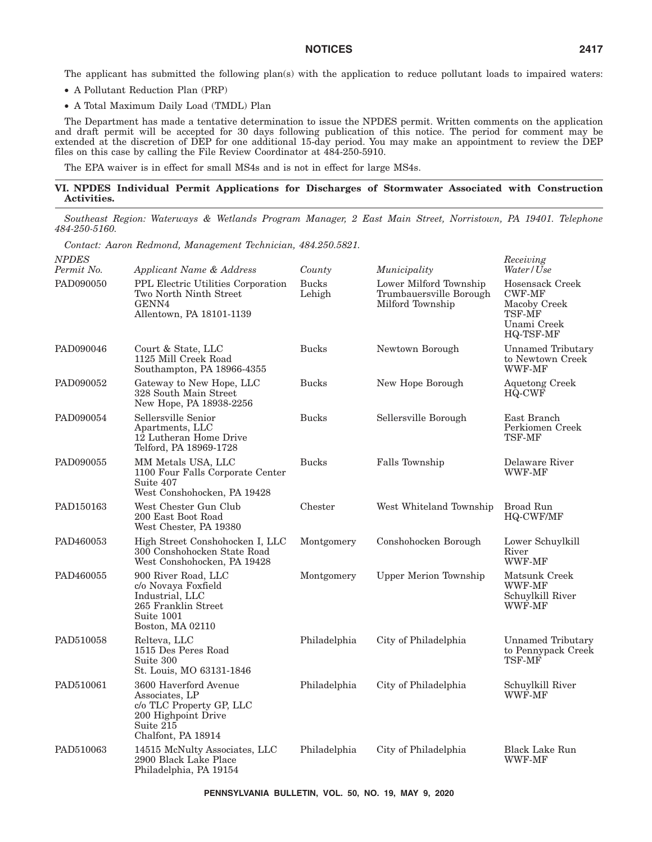The applicant has submitted the following plan(s) with the application to reduce pollutant loads to impaired waters:

- A Pollutant Reduction Plan (PRP)
- A Total Maximum Daily Load (TMDL) Plan

The Department has made a tentative determination to issue the NPDES permit. Written comments on the application and draft permit will be accepted for 30 days following publication of this notice. The period for comment may be extended at the discretion of DEP for one additional 15-day period. You may make an appointment to review the DEP files on this case by calling the File Review Coordinator at 484-250-5910.

The EPA waiver is in effect for small MS4s and is not in effect for large MS4s.

## **VI. NPDES Individual Permit Applications for Discharges of Stormwater Associated with Construction Activities.**

*Southeast Region: Waterways & Wetlands Program Manager, 2 East Main Street, Norristown, PA 19401. Telephone 484-250-5160.*

*Contact: Aaron Redmond, Management Technician, 484.250.5821.*

| NPDES<br>Permit No. | Applicant Name & Address                                                                                                      | County                 | Municipality                                                          | Receiving<br>Water/Use                                                                        |
|---------------------|-------------------------------------------------------------------------------------------------------------------------------|------------------------|-----------------------------------------------------------------------|-----------------------------------------------------------------------------------------------|
| PAD090050           | PPL Electric Utilities Corporation<br>Two North Ninth Street<br>GENN4<br>Allentown, PA 18101-1139                             | <b>Bucks</b><br>Lehigh | Lower Milford Township<br>Trumbauersville Borough<br>Milford Township | Hosensack Creek<br><b>CWF-MF</b><br>Macoby Creek<br><b>TSF-MF</b><br>Unami Creek<br>HQ-TSF-MF |
| PAD090046           | Court & State, LLC<br>1125 Mill Creek Road<br>Southampton, PA 18966-4355                                                      | <b>Bucks</b>           | Newtown Borough                                                       | Unnamed Tributary<br>to Newtown Creek<br>WWF-MF                                               |
| PAD090052           | Gateway to New Hope, LLC<br>328 South Main Street<br>New Hope, PA 18938-2256                                                  | <b>Bucks</b>           | New Hope Borough                                                      | <b>Aquetong Creek</b><br>HQ-CWF                                                               |
| PAD090054           | Sellersville Senior<br>Apartments, LLC<br>12 Lutheran Home Drive<br>Telford, PA 18969-1728                                    | <b>Bucks</b>           | Sellersville Borough                                                  | East Branch<br>Perkiomen Creek<br><b>TSF-MF</b>                                               |
| PAD090055           | MM Metals USA, LLC<br>1100 Four Falls Corporate Center<br>Suite 407<br>West Conshohocken, PA 19428                            | <b>Bucks</b>           | Falls Township                                                        | Delaware River<br>WWF-MF                                                                      |
| PAD150163           | West Chester Gun Club<br>200 East Boot Road<br>West Chester, PA 19380                                                         | Chester                | West Whiteland Township                                               | Broad Run<br><b>HQ-CWF/MF</b>                                                                 |
| PAD460053           | High Street Conshohocken I, LLC<br>300 Conshohocken State Road<br>West Conshohocken, PA 19428                                 | Montgomery             | Conshohocken Borough                                                  | Lower Schuylkill<br>River<br>WWF-MF                                                           |
| PAD460055           | 900 River Road, LLC<br>c/o Novaya Foxfield<br>Industrial. LLC<br>265 Franklin Street<br>Suite 1001<br>Boston, MA 02110        | Montgomery             | <b>Upper Merion Township</b>                                          | Matsunk Creek<br>WWF-MF<br>Schuylkill River<br><b>WWF-MF</b>                                  |
| PAD510058           | Relteva, LLC<br>1515 Des Peres Road<br>Suite 300<br>St. Louis, MO 63131-1846                                                  | Philadelphia           | City of Philadelphia                                                  | Unnamed Tributary<br>to Pennypack Creek<br>TSF-MF                                             |
| PAD510061           | 3600 Haverford Avenue<br>Associates, LP<br>c/o TLC Property GP, LLC<br>200 Highpoint Drive<br>Suite 215<br>Chalfont, PA 18914 | Philadelphia           | City of Philadelphia                                                  | Schuylkill River<br>WWF-MF                                                                    |
| PAD510063           | 14515 McNulty Associates, LLC<br>2900 Black Lake Place<br>Philadelphia, PA 19154                                              | Philadelphia           | City of Philadelphia                                                  | <b>Black Lake Run</b><br>WWF-MF                                                               |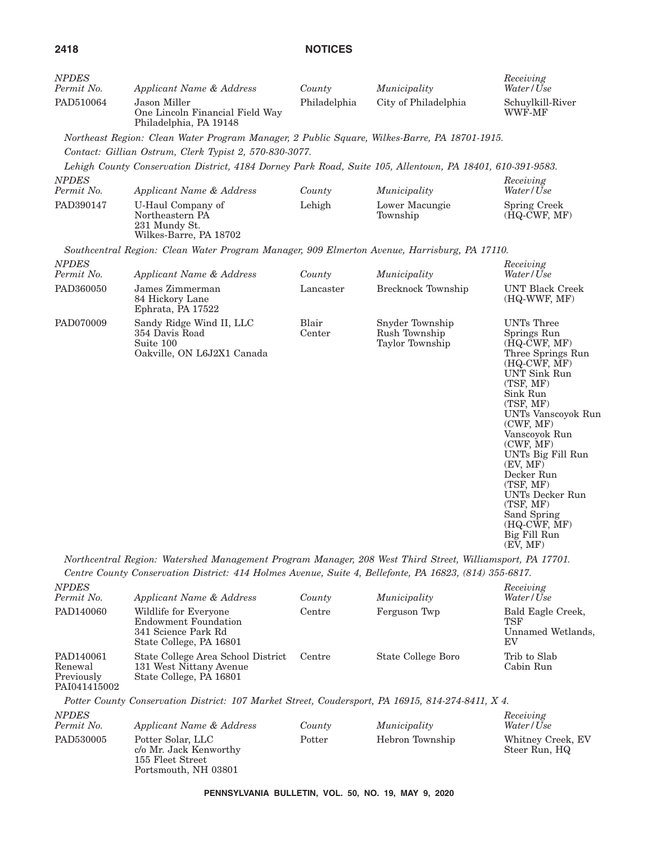| <b>NPDES</b><br>Permit No. | Applicant Name & Address                                                                                  | County          | Municipality                                        | Receiving<br>Water / Use                                                                                                                                                                                                                                                                      |
|----------------------------|-----------------------------------------------------------------------------------------------------------|-----------------|-----------------------------------------------------|-----------------------------------------------------------------------------------------------------------------------------------------------------------------------------------------------------------------------------------------------------------------------------------------------|
| PAD510064                  | Jason Miller<br>One Lincoln Financial Field Way<br>Philadelphia, PA 19148                                 | Philadelphia    | City of Philadelphia                                | Schuylkill-River<br>WWF-MF                                                                                                                                                                                                                                                                    |
|                            | Northeast Region: Clean Water Program Manager, 2 Public Square, Wilkes-Barre, PA 18701-1915.              |                 |                                                     |                                                                                                                                                                                                                                                                                               |
|                            | Contact: Gillian Ostrum, Clerk Typist 2, 570-830-3077.                                                    |                 |                                                     |                                                                                                                                                                                                                                                                                               |
|                            | Lehigh County Conservation District, 4184 Dorney Park Road, Suite 105, Allentown, PA 18401, 610-391-9583. |                 |                                                     |                                                                                                                                                                                                                                                                                               |
| <b>NPDES</b><br>Permit No. | Applicant Name & Address                                                                                  | County          | Municipality                                        | Receiving<br>Water / Use                                                                                                                                                                                                                                                                      |
| PAD390147                  | U-Haul Company of<br>Northeastern PA<br>231 Mundy St.<br>Wilkes-Barre, PA 18702                           | Lehigh          | Lower Macungie<br>Township                          | Spring Creek<br>$(HQ-CWF, MF)$                                                                                                                                                                                                                                                                |
|                            | Southcentral Region: Clean Water Program Manager, 909 Elmerton Avenue, Harrisburg, PA 17110.              |                 |                                                     |                                                                                                                                                                                                                                                                                               |
| <b>NPDES</b><br>Permit No. | Applicant Name & Address                                                                                  | County          | Municipality                                        | Receiving<br>Water / Use                                                                                                                                                                                                                                                                      |
| PAD360050                  | James Zimmerman<br>84 Hickory Lane<br>Ephrata, PA 17522                                                   | Lancaster       | Brecknock Township                                  | <b>UNT Black Creek</b><br>(HQ-WWF, MF)                                                                                                                                                                                                                                                        |
| PAD070009                  | Sandy Ridge Wind II, LLC<br>354 Davis Road<br>Suite 100<br>Oakville, ON L6J2X1 Canada                     | Blair<br>Center | Snyder Township<br>Rush Township<br>Taylor Township | UNTs Three<br>Springs Run<br>$(HQ-CWF, MF)$<br>Three Springs Run<br>(HQ-CWF, MF)<br><b>UNT Sink Run</b><br>(TSF, MF)<br>Sink Run<br>(TSF, MF)<br>UNTs Vanscoyok Run<br>(CWF, MF)<br>Vanscoyok Run<br>(CWF, MF)<br>UNTs Big Fill Run<br>(EV, MF)<br>Decker Run<br>(TSF, MF)<br>UNTs Decker Run |

(EV, MF) *Northcentral Region: Watershed Management Program Manager, 208 West Third Street, Williamsport, PA 17701.*

*Centre County Conservation District: 414 Holmes Avenue, Suite 4, Bellefonte, PA 16823, (814) 355-6817. NPDES Receiving*

| <i>INPLES</i><br>Permit No.                        | Applicant Name & Address                                                                        | County | Municipality       | Receiving<br>Water/Use                                     |
|----------------------------------------------------|-------------------------------------------------------------------------------------------------|--------|--------------------|------------------------------------------------------------|
| PAD140060                                          | Wildlife for Everyone<br>Endowment Foundation<br>341 Science Park Rd<br>State College, PA 16801 | Centre | Ferguson Twp       | Bald Eagle Creek,<br><b>TSF</b><br>Unnamed Wetlands,<br>ΕV |
| PAD140061<br>Renewal<br>Previously<br>PAI041415002 | State College Area School District<br>131 West Nittany Avenue<br>State College, PA 16801        | Centre | State College Boro | Trib to Slab<br>Cabin Run                                  |

(TSF, MF) Sand Spring (HQ-CWF, MF) Big Fill Run

*Potter County Conservation District: 107 Market Street, Coudersport, PA 16915, 814-274-8411, X 4. NPDES*

| <b>NPDES</b><br>Permit No. | Applicant Name & Address                                                                | County | Municipality    | Receiving<br>Water/Use             |
|----------------------------|-----------------------------------------------------------------------------------------|--------|-----------------|------------------------------------|
| PAD530005                  | Potter Solar, LLC<br>c/o Mr. Jack Kenworthy<br>155 Fleet Street<br>Portsmouth, NH 03801 | Potter | Hebron Township | Whitney Creek, EV<br>Steer Run, HQ |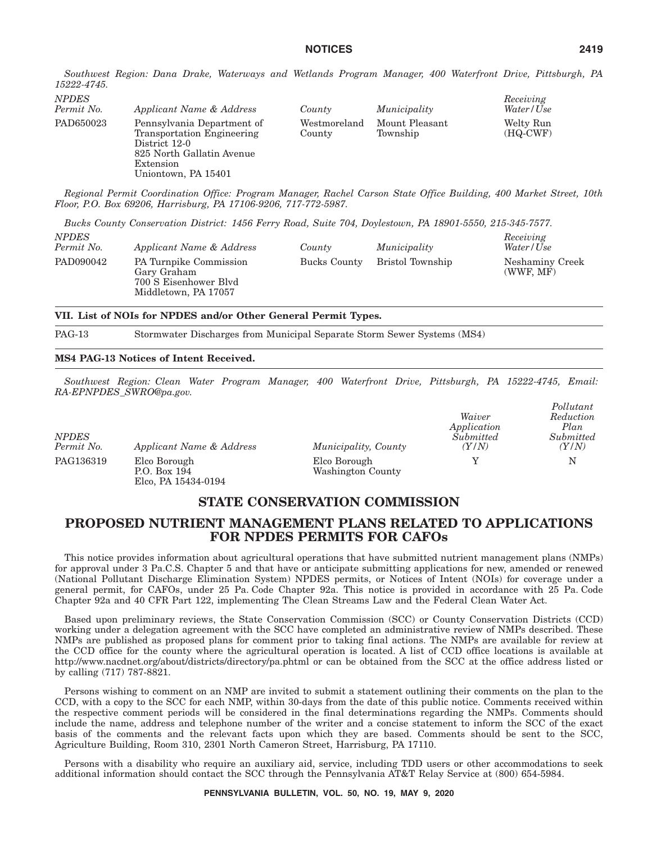*Southwest Region: Dana Drake, Waterways and Wetlands Program Manager, 400 Waterfront Drive, Pittsburgh, PA 15222-4745.*

| <i>NPDES</i><br>Permit No. | Applicant Name & Address                                                                                                                   | County                 | Municipality               | Receiving<br>Water/Use  |
|----------------------------|--------------------------------------------------------------------------------------------------------------------------------------------|------------------------|----------------------------|-------------------------|
| PAD650023                  | Pennsylvania Department of<br>Transportation Engineering<br>District 12-0<br>825 North Gallatin Avenue<br>Extension<br>Uniontown, PA 15401 | Westmoreland<br>County | Mount Pleasant<br>Township | Welty Run<br>$(HQ-CWF)$ |

*Regional Permit Coordination Office: Program Manager, Rachel Carson State Office Building, 400 Market Street, 10th Floor, P.O. Box 69206, Harrisburg, PA 17106-9206, 717-772-5987.*

*Bucks County Conservation District: 1456 Ferry Road, Suite 704, Doylestown, PA 18901-5550, 215-345-7577.*

| <b>NPDES</b><br>Permit No. | Applicant Name & Address                                                                      | County       | Municipality     | Receiving<br>Water/Use       |
|----------------------------|-----------------------------------------------------------------------------------------------|--------------|------------------|------------------------------|
| PAD090042                  | <b>PA Turnpike Commission</b><br>Gary Graham<br>700 S Eisenhower Blvd<br>Middletown, PA 17057 | Bucks County | Bristol Township | Neshaminy Creek<br>(WWF, MF) |

**VII. List of NOIs for NPDES and/or Other General Permit Types.**

PAG-13 Stormwater Discharges from Municipal Separate Storm Sewer Systems (MS4)

## **MS4 PAG-13 Notices of Intent Received.**

*Southwest Region: Clean Water Program Manager, 400 Waterfront Drive, Pittsburgh, PA 15222-4745, Email: RA-EPNPDES\_SWRO@pa.gov.*

| <b>NPDES</b><br>Permit No. | Applicant Name & Address                            | Municipality, County              | Waiver<br>Application<br>Submitted<br>(Y/N) | Pollutant<br>Reduction<br>Plan<br>Submitted<br>(Y/N) |
|----------------------------|-----------------------------------------------------|-----------------------------------|---------------------------------------------|------------------------------------------------------|
| PAG136319                  | Elco Borough<br>P.O. Box 194<br>Elco. PA 15434-0194 | Elco Borough<br>Washington County |                                             | N                                                    |

# **STATE CONSERVATION COMMISSION**

# **PROPOSED NUTRIENT MANAGEMENT PLANS RELATED TO APPLICATIONS FOR NPDES PERMITS FOR CAFOs**

This notice provides information about agricultural operations that have submitted nutrient management plans (NMPs) for approval under 3 Pa.C.S. Chapter 5 and that have or anticipate submitting applications for new, amended or renewed (National Pollutant Discharge Elimination System) NPDES permits, or Notices of Intent (NOIs) for coverage under a general permit, for CAFOs, under 25 Pa. Code Chapter 92a. This notice is provided in accordance with 25 Pa. Code Chapter 92a and 40 CFR Part 122, implementing The Clean Streams Law and the Federal Clean Water Act.

Based upon preliminary reviews, the State Conservation Commission (SCC) or County Conservation Districts (CCD) working under a delegation agreement with the SCC have completed an administrative review of NMPs described. These NMPs are published as proposed plans for comment prior to taking final actions. The NMPs are available for review at the CCD office for the county where the agricultural operation is located. A list of CCD office locations is available at http://www.nacdnet.org/about/districts/directory/pa.phtml or can be obtained from the SCC at the office address listed or by calling (717) 787-8821.

Persons wishing to comment on an NMP are invited to submit a statement outlining their comments on the plan to the CCD, with a copy to the SCC for each NMP, within 30-days from the date of this public notice. Comments received within the respective comment periods will be considered in the final determinations regarding the NMPs. Comments should include the name, address and telephone number of the writer and a concise statement to inform the SCC of the exact basis of the comments and the relevant facts upon which they are based. Comments should be sent to the SCC, Agriculture Building, Room 310, 2301 North Cameron Street, Harrisburg, PA 17110.

Persons with a disability who require an auxiliary aid, service, including TDD users or other accommodations to seek additional information should contact the SCC through the Pennsylvania AT&T Relay Service at (800) 654-5984.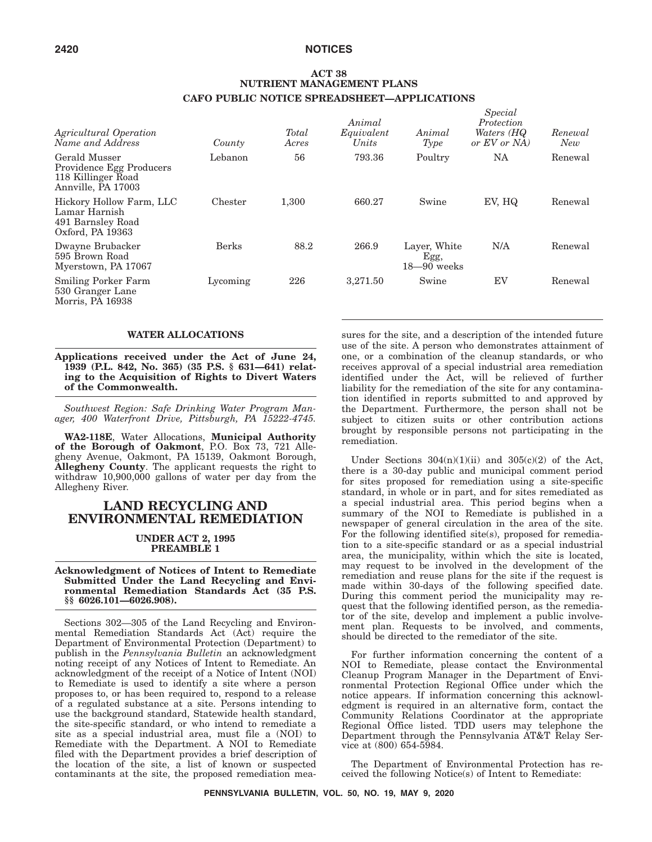## **ACT 38 NUTRIENT MANAGEMENT PLANS CAFO PUBLIC NOTICE SPREADSHEET—APPLICATIONS**

| Agricultural Operation<br>Name and Address                                            | County   | Total<br>Acres | Animal<br>Equivalent<br>Units | Animal<br>Type                          | Special<br>Protection<br>Waters (HQ<br>or EV or NA | Renewal<br>New |
|---------------------------------------------------------------------------------------|----------|----------------|-------------------------------|-----------------------------------------|----------------------------------------------------|----------------|
| Gerald Musser<br>Providence Egg Producers<br>118 Killinger Road<br>Annville, PA 17003 | Lebanon  | 56             | 793.36                        | Poultry                                 | NA                                                 | Renewal        |
| Hickory Hollow Farm, LLC<br>Lamar Harnish<br>491 Barnsley Road<br>Oxford, PA 19363    | Chester  | 1,300          | 660.27                        | Swine                                   | EV, HQ                                             | Renewal        |
| Dwayne Brubacker<br>595 Brown Road<br>Myerstown, PA 17067                             | Berks    | 88.2           | 266.9                         | Layer, White<br>Egg,<br>$18 - 90$ weeks | N/A                                                | Renewal        |
| <b>Smiling Porker Farm</b><br>530 Granger Lane<br>Morris, PA 16938                    | Lycoming | 226            | 3,271.50                      | Swine                                   | EV                                                 | Renewal        |

#### **WATER ALLOCATIONS**

**Applications received under the Act of June 24, 1939 (P.L. 842, No. 365) (35 P.S. § 631—641) relating to the Acquisition of Rights to Divert Waters of the Commonwealth.**

*Southwest Region: Safe Drinking Water Program Manager, 400 Waterfront Drive, Pittsburgh, PA 15222-4745.*

**WA2-118E**, Water Allocations, **Municipal Authority of the Borough of Oakmont**, P.O. Box 73, 721 Allegheny Avenue, Oakmont, PA 15139, Oakmont Borough, **Allegheny County**. The applicant requests the right to withdraw 10,900,000 gallons of water per day from the Allegheny River.

## **LAND RECYCLING AND ENVIRONMENTAL REMEDIATION**

#### **UNDER ACT 2, 1995 PREAMBLE 1**

#### **Acknowledgment of Notices of Intent to Remediate Submitted Under the Land Recycling and Environmental Remediation Standards Act (35 P.S. §§ 6026.101—6026.908).**

Sections 302—305 of the Land Recycling and Environmental Remediation Standards Act (Act) require the Department of Environmental Protection (Department) to publish in the *Pennsylvania Bulletin* an acknowledgment noting receipt of any Notices of Intent to Remediate. An acknowledgment of the receipt of a Notice of Intent (NOI) to Remediate is used to identify a site where a person proposes to, or has been required to, respond to a release of a regulated substance at a site. Persons intending to use the background standard, Statewide health standard, the site-specific standard, or who intend to remediate a site as a special industrial area, must file a (NOI) to Remediate with the Department. A NOI to Remediate filed with the Department provides a brief description of the location of the site, a list of known or suspected contaminants at the site, the proposed remediation measures for the site, and a description of the intended future use of the site. A person who demonstrates attainment of one, or a combination of the cleanup standards, or who receives approval of a special industrial area remediation identified under the Act, will be relieved of further liability for the remediation of the site for any contamination identified in reports submitted to and approved by the Department. Furthermore, the person shall not be subject to citizen suits or other contribution actions brought by responsible persons not participating in the remediation.

Under Sections  $304(n)(1)(ii)$  and  $305(c)(2)$  of the Act, there is a 30-day public and municipal comment period for sites proposed for remediation using a site-specific standard, in whole or in part, and for sites remediated as a special industrial area. This period begins when a summary of the NOI to Remediate is published in a newspaper of general circulation in the area of the site. For the following identified site(s), proposed for remediation to a site-specific standard or as a special industrial area, the municipality, within which the site is located, may request to be involved in the development of the remediation and reuse plans for the site if the request is made within 30-days of the following specified date. During this comment period the municipality may request that the following identified person, as the remediator of the site, develop and implement a public involvement plan. Requests to be involved, and comments, should be directed to the remediator of the site.

For further information concerning the content of a NOI to Remediate, please contact the Environmental Cleanup Program Manager in the Department of Environmental Protection Regional Office under which the notice appears. If information concerning this acknowledgment is required in an alternative form, contact the Community Relations Coordinator at the appropriate Regional Office listed. TDD users may telephone the Department through the Pennsylvania AT&T Relay Service at (800) 654-5984.

The Department of Environmental Protection has received the following Notice(s) of Intent to Remediate: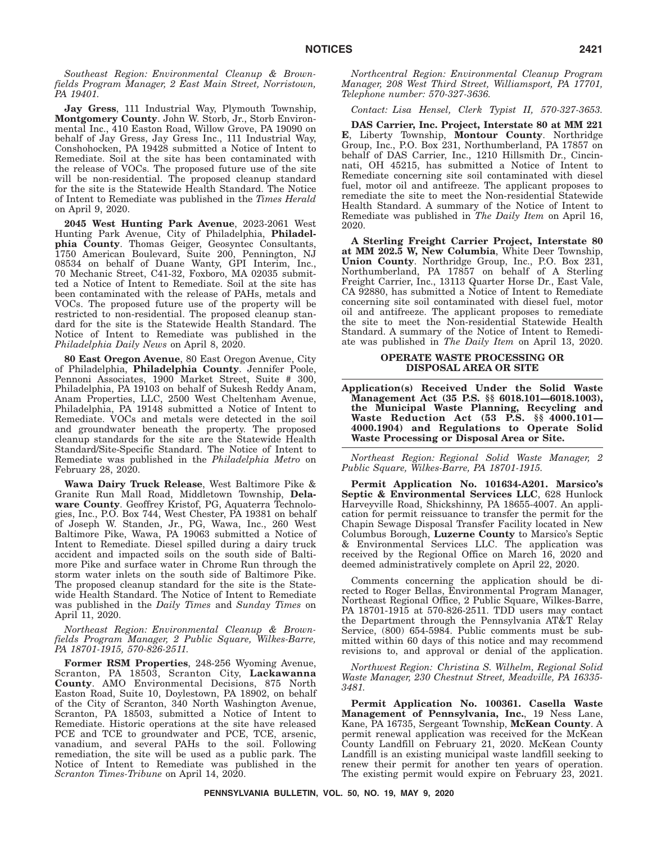*Southeast Region: Environmental Cleanup & Brownfields Program Manager, 2 East Main Street, Norristown, PA 19401.*

**Jay Gress**, 111 Industrial Way, Plymouth Township, **Montgomery County**. John W. Storb, Jr., Storb Environmental Inc., 410 Easton Road, Willow Grove, PA 19090 on behalf of Jay Gress, Jay Gress Inc., 111 Industrial Way, Conshohocken, PA 19428 submitted a Notice of Intent to Remediate. Soil at the site has been contaminated with the release of VOCs. The proposed future use of the site will be non-residential. The proposed cleanup standard for the site is the Statewide Health Standard. The Notice of Intent to Remediate was published in the *Times Herald* on April 9, 2020.

**2045 West Hunting Park Avenue**, 2023-2061 West Hunting Park Avenue, City of Philadelphia, Philadel**phia County**. Thomas Geiger, Geosyntec Consultants, 1750 American Boulevard, Suite 200, Pennington, NJ 08534 on behalf of Duane Wanty, GPI Interim, Inc., 70 Mechanic Street, C41-32, Foxboro, MA 02035 submitted a Notice of Intent to Remediate. Soil at the site has been contaminated with the release of PAHs, metals and VOCs. The proposed future use of the property will be restricted to non-residential. The proposed cleanup standard for the site is the Statewide Health Standard. The Notice of Intent to Remediate was published in the *Philadelphia Daily News* on April 8, 2020.

**80 East Oregon Avenue**, 80 East Oregon Avenue, City of Philadelphia, **Philadelphia County**. Jennifer Poole, Pennoni Associates, 1900 Market Street, Suite # 300, Philadelphia, PA 19103 on behalf of Sukesh Reddy Anam, Anam Properties, LLC, 2500 West Cheltenham Avenue, Philadelphia, PA 19148 submitted a Notice of Intent to Remediate. VOCs and metals were detected in the soil and groundwater beneath the property. The proposed cleanup standards for the site are the Statewide Health Standard/Site-Specific Standard. The Notice of Intent to Remediate was published in the *Philadelphia Metro* on February 28, 2020.

**Wawa Dairy Truck Release**, West Baltimore Pike & Granite Run Mall Road, Middletown Township, **Delaware County**. Geoffrey Kristof, PG, Aquaterra Technologies, Inc., P.O. Box 744, West Chester, PA 19381 on behalf of Joseph W. Standen, Jr., PG, Wawa, Inc., 260 West Baltimore Pike, Wawa, PA 19063 submitted a Notice of Intent to Remediate. Diesel spilled during a dairy truck accident and impacted soils on the south side of Baltimore Pike and surface water in Chrome Run through the storm water inlets on the south side of Baltimore Pike. The proposed cleanup standard for the site is the Statewide Health Standard. The Notice of Intent to Remediate was published in the *Daily Times* and *Sunday Times* on April 11, 2020.

*Northeast Region: Environmental Cleanup & Brownfields Program Manager, 2 Public Square, Wilkes-Barre, PA 18701-1915, 570-826-2511.*

**Former RSM Properties**, 248-256 Wyoming Avenue, Scranton, PA 18503, Scranton City, **Lackawanna County**. AMO Environmental Decisions, 875 North Easton Road, Suite 10, Doylestown, PA 18902, on behalf of the City of Scranton, 340 North Washington Avenue, Scranton, PA 18503, submitted a Notice of Intent to Remediate. Historic operations at the site have released PCE and TCE to groundwater and PCE, TCE, arsenic, vanadium, and several PAHs to the soil. Following remediation, the site will be used as a public park. The Notice of Intent to Remediate was published in the *Scranton Times-Tribune* on April 14, 2020.

*Northcentral Region: Environmental Cleanup Program Manager, 208 West Third Street, Williamsport, PA 17701, Telephone number: 570-327-3636.*

*Contact: Lisa Hensel, Clerk Typist II, 570-327-3653.*

**DAS Carrier, Inc. Project, Interstate 80 at MM 221 E**, Liberty Township, **Montour County**. Northridge Group, Inc., P.O. Box 231, Northumberland, PA 17857 on behalf of DAS Carrier, Inc., 1210 Hillsmith Dr., Cincinnati, OH 45215, has submitted a Notice of Intent to Remediate concerning site soil contaminated with diesel fuel, motor oil and antifreeze. The applicant proposes to remediate the site to meet the Non-residential Statewide Health Standard. A summary of the Notice of Intent to Remediate was published in *The Daily Item* on April 16, 2020.

**A Sterling Freight Carrier Project, Interstate 80 at MM 202.5 W, New Columbia**, White Deer Township, **Union County**. Northridge Group, Inc., P.O. Box 231, Northumberland, PA 17857 on behalf of A Sterling Freight Carrier, Inc., 13113 Quarter Horse Dr., East Vale, CA 92880, has submitted a Notice of Intent to Remediate concerning site soil contaminated with diesel fuel, motor oil and antifreeze. The applicant proposes to remediate the site to meet the Non-residential Statewide Health Standard. A summary of the Notice of Intent to Remediate was published in *The Daily Item* on April 13, 2020.

#### **OPERATE WASTE PROCESSING OR DISPOSAL AREA OR SITE**

**Application(s) Received Under the Solid Waste Management Act (35 P.S. §§ 6018.101—6018.1003), the Municipal Waste Planning, Recycling and Waste Reduction Act (53 P.S. §§ 4000.101— 4000.1904) and Regulations to Operate Solid Waste Processing or Disposal Area or Site.**

*Northeast Region: Regional Solid Waste Manager, 2 Public Square, Wilkes-Barre, PA 18701-1915.*

**Permit Application No. 101634-A201. Marsico's Septic & Environmental Services LLC**, 628 Hunlock Harveyville Road, Shickshinny, PA 18655-4007. An application for permit reissuance to transfer the permit for the Chapin Sewage Disposal Transfer Facility located in New Columbus Borough, **Luzerne County** to Marsico's Septic & Environmental Services LLC. The application was received by the Regional Office on March 16, 2020 and deemed administratively complete on April 22, 2020.

Comments concerning the application should be directed to Roger Bellas, Environmental Program Manager, Northeast Regional Office, 2 Public Square, Wilkes-Barre, PA 18701-1915 at 570-826-2511. TDD users may contact the Department through the Pennsylvania AT&T Relay Service, (800) 654-5984. Public comments must be submitted within 60 days of this notice and may recommend revisions to, and approval or denial of the application.

*Northwest Region: Christina S. Wilhelm, Regional Solid Waste Manager, 230 Chestnut Street, Meadville, PA 16335- 3481.*

**Permit Application No. 100361. Casella Waste Management of Pennsylvania, Inc.**, 19 Ness Lane, Kane, PA 16735, Sergeant Township, **McKean County**. A permit renewal application was received for the McKean County Landfill on February 21, 2020. McKean County Landfill is an existing municipal waste landfill seeking to renew their permit for another ten years of operation. The existing permit would expire on February 23, 2021.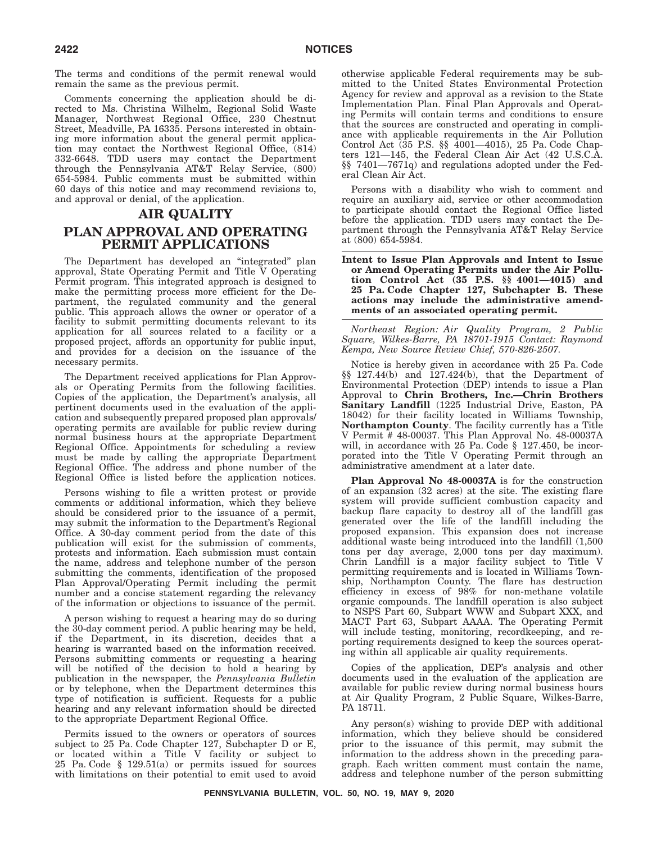The terms and conditions of the permit renewal would remain the same as the previous permit.

Comments concerning the application should be directed to Ms. Christina Wilhelm, Regional Solid Waste Manager, Northwest Regional Office, 230 Chestnut Street, Meadville, PA 16335. Persons interested in obtaining more information about the general permit application may contact the Northwest Regional Office, (814) 332-6648. TDD users may contact the Department through the Pennsylvania AT&T Relay Service, (800) 654-5984. Public comments must be submitted within 60 days of this notice and may recommend revisions to, and approval or denial, of the application.

# **AIR QUALITY PLAN APPROVAL AND OPERATING PERMIT APPLICATIONS**

The Department has developed an ''integrated'' plan approval, State Operating Permit and Title V Operating Permit program. This integrated approach is designed to make the permitting process more efficient for the Department, the regulated community and the general public. This approach allows the owner or operator of a facility to submit permitting documents relevant to its application for all sources related to a facility or a proposed project, affords an opportunity for public input, and provides for a decision on the issuance of the necessary permits.

The Department received applications for Plan Approvals or Operating Permits from the following facilities. Copies of the application, the Department's analysis, all pertinent documents used in the evaluation of the application and subsequently prepared proposed plan approvals/ operating permits are available for public review during normal business hours at the appropriate Department Regional Office. Appointments for scheduling a review must be made by calling the appropriate Department Regional Office. The address and phone number of the Regional Office is listed before the application notices.

Persons wishing to file a written protest or provide comments or additional information, which they believe should be considered prior to the issuance of a permit, may submit the information to the Department's Regional Office. A 30-day comment period from the date of this publication will exist for the submission of comments, protests and information. Each submission must contain the name, address and telephone number of the person submitting the comments, identification of the proposed Plan Approval/Operating Permit including the permit number and a concise statement regarding the relevancy of the information or objections to issuance of the permit.

A person wishing to request a hearing may do so during the 30-day comment period. A public hearing may be held, if the Department, in its discretion, decides that a hearing is warranted based on the information received. Persons submitting comments or requesting a hearing will be notified of the decision to hold a hearing by publication in the newspaper, the *Pennsylvania Bulletin* or by telephone, when the Department determines this type of notification is sufficient. Requests for a public hearing and any relevant information should be directed to the appropriate Department Regional Office.

Permits issued to the owners or operators of sources subject to 25 Pa. Code Chapter 127, Subchapter D or E, or located within a Title V facility or subject to 25 Pa. Code § 129.51(a) or permits issued for sources with limitations on their potential to emit used to avoid otherwise applicable Federal requirements may be submitted to the United States Environmental Protection Agency for review and approval as a revision to the State Implementation Plan. Final Plan Approvals and Operating Permits will contain terms and conditions to ensure that the sources are constructed and operating in compliance with applicable requirements in the Air Pollution Control Act (35 P.S. §§ 4001—4015), 25 Pa. Code Chapters 121—145, the Federal Clean Air Act (42 U.S.C.A. §§ 7401—7671q) and regulations adopted under the Federal Clean Air Act.

Persons with a disability who wish to comment and require an auxiliary aid, service or other accommodation to participate should contact the Regional Office listed before the application. TDD users may contact the Department through the Pennsylvania AT&T Relay Service at (800) 654-5984.

#### **Intent to Issue Plan Approvals and Intent to Issue or Amend Operating Permits under the Air Pollution Control Act (35 P.S. §§ 4001—4015) and 25 Pa. Code Chapter 127, Subchapter B. These actions may include the administrative amendments of an associated operating permit.**

*Northeast Region: Air Quality Program, 2 Public Square, Wilkes-Barre, PA 18701-1915 Contact: Raymond Kempa, New Source Review Chief, 570-826-2507.*

Notice is hereby given in accordance with 25 Pa. Code §§ 127.44(b) and 127.424(b), that the Department of Environmental Protection (DEP) intends to issue a Plan Approval to **Chrin Brothers, Inc.—Chrin Brothers Sanitary Landfill** (1225 Industrial Drive, Easton, PA 18042) for their facility located in Williams Township, **Northampton County**. The facility currently has a Title V Permit  $\hat{\mathcal{H}}$  48-00037. This Plan Approval No. 48-00037A will, in accordance with 25 Pa. Code § 127.450, be incorporated into the Title V Operating Permit through an administrative amendment at a later date.

**Plan Approval No 48-00037A** is for the construction of an expansion (32 acres) at the site. The existing flare system will provide sufficient combustion capacity and backup flare capacity to destroy all of the landfill gas generated over the life of the landfill including the proposed expansion. This expansion does not increase additional waste being introduced into the landfill (1,500 tons per day average, 2,000 tons per day maximum). Chrin Landfill is a major facility subject to Title V permitting requirements and is located in Williams Township, Northampton County. The flare has destruction efficiency in excess of 98% for non-methane volatile organic compounds. The landfill operation is also subject to NSPS Part 60, Subpart WWW and Subpart XXX, and MACT Part 63, Subpart AAAA. The Operating Permit will include testing, monitoring, recordkeeping, and reporting requirements designed to keep the sources operating within all applicable air quality requirements.

Copies of the application, DEP's analysis and other documents used in the evaluation of the application are available for public review during normal business hours at Air Quality Program, 2 Public Square, Wilkes-Barre, PA 18711.

Any person(s) wishing to provide DEP with additional information, which they believe should be considered prior to the issuance of this permit, may submit the information to the address shown in the preceding paragraph. Each written comment must contain the name, address and telephone number of the person submitting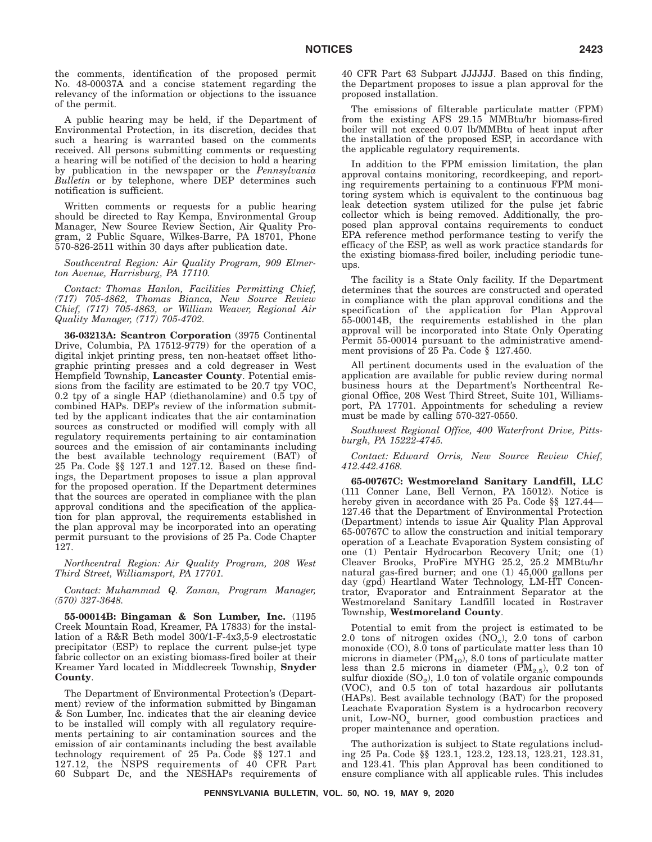the comments, identification of the proposed permit No. 48-00037A and a concise statement regarding the relevancy of the information or objections to the issuance of the permit.

A public hearing may be held, if the Department of Environmental Protection, in its discretion, decides that such a hearing is warranted based on the comments received. All persons submitting comments or requesting a hearing will be notified of the decision to hold a hearing by publication in the newspaper or the *Pennsylvania Bulletin* or by telephone, where DEP determines such notification is sufficient.

Written comments or requests for a public hearing should be directed to Ray Kempa, Environmental Group Manager, New Source Review Section, Air Quality Program, 2 Public Square, Wilkes-Barre, PA 18701, Phone 570-826-2511 within 30 days after publication date.

*Southcentral Region: Air Quality Program, 909 Elmerton Avenue, Harrisburg, PA 17110.*

*Contact: Thomas Hanlon, Facilities Permitting Chief, (717) 705-4862, Thomas Bianca, New Source Review Chief, (717) 705-4863, or William Weaver, Regional Air Quality Manager, (717) 705-4702.*

**36-03213A: Scantron Corporation** (3975 Continental Drive, Columbia, PA 17512-9779) for the operation of a digital inkjet printing press, ten non-heatset offset lithographic printing presses and a cold degreaser in West Hempfield Township, **Lancaster County**. Potential emissions from the facility are estimated to be 20.7 tpy VOC, 0.2 tpy of a single HAP (diethanolamine) and 0.5 tpy of combined HAPs. DEP's review of the information submitted by the applicant indicates that the air contamination sources as constructed or modified will comply with all regulatory requirements pertaining to air contamination sources and the emission of air contaminants including the best available technology requirement (BAT) of 25 Pa. Code §§ 127.1 and 127.12. Based on these findings, the Department proposes to issue a plan approval for the proposed operation. If the Department determines that the sources are operated in compliance with the plan approval conditions and the specification of the application for plan approval, the requirements established in the plan approval may be incorporated into an operating permit pursuant to the provisions of 25 Pa. Code Chapter 127.

*Northcentral Region: Air Quality Program, 208 West Third Street, Williamsport, PA 17701.*

*Contact: Muhammad Q. Zaman, Program Manager, (570) 327-3648.*

**55-00014B: Bingaman & Son Lumber, Inc.** (1195 Creek Mountain Road, Kreamer, PA 17833) for the installation of a R&R Beth model 300/1-F-4x3,5-9 electrostatic precipitator (ESP) to replace the current pulse-jet type fabric collector on an existing biomass-fired boiler at their Kreamer Yard located in Middlecreek Township, **Snyder County**.

The Department of Environmental Protection's (Department) review of the information submitted by Bingaman & Son Lumber, Inc. indicates that the air cleaning device to be installed will comply with all regulatory requirements pertaining to air contamination sources and the emission of air contaminants including the best available technology requirement of 25 Pa. Code §§ 127.1 and 127.12, the NSPS requirements of 40 CFR Part 60 Subpart Dc, and the NESHAPs requirements of 40 CFR Part 63 Subpart JJJJJJ. Based on this finding, the Department proposes to issue a plan approval for the proposed installation.

The emissions of filterable particulate matter (FPM) from the existing AFS 29.15 MMBtu/hr biomass-fired boiler will not exceed 0.07 lb/MMBtu of heat input after the installation of the proposed ESP, in accordance with the applicable regulatory requirements.

In addition to the FPM emission limitation, the plan approval contains monitoring, recordkeeping, and reporting requirements pertaining to a continuous FPM monitoring system which is equivalent to the continuous bag leak detection system utilized for the pulse jet fabric collector which is being removed. Additionally, the proposed plan approval contains requirements to conduct EPA reference method performance testing to verify the efficacy of the ESP, as well as work practice standards for the existing biomass-fired boiler, including periodic tuneups.

The facility is a State Only facility. If the Department determines that the sources are constructed and operated in compliance with the plan approval conditions and the specification of the application for Plan Approval 55-00014B, the requirements established in the plan approval will be incorporated into State Only Operating Permit 55-00014 pursuant to the administrative amendment provisions of 25 Pa. Code § 127.450.

All pertinent documents used in the evaluation of the application are available for public review during normal business hours at the Department's Northcentral Regional Office, 208 West Third Street, Suite 101, Williamsport, PA 17701. Appointments for scheduling a review must be made by calling 570-327-0550.

*Southwest Regional Office, 400 Waterfront Drive, Pittsburgh, PA 15222-4745.*

*Contact: Edward Orris, New Source Review Chief, 412.442.4168.*

**65-00767C: Westmoreland Sanitary Landfill, LLC** (111 Conner Lane, Bell Vernon, PA 15012). Notice is hereby given in accordance with 25 Pa. Code §§ 127.44— 127.46 that the Department of Environmental Protection (Department) intends to issue Air Quality Plan Approval 65-00767C to allow the construction and initial temporary operation of a Leachate Evaporation System consisting of one (1) Pentair Hydrocarbon Recovery Unit; one (1) Cleaver Brooks, ProFire MYHG 25.2, 25.2 MMBtu/hr natural gas-fired burner; and one (1) 45,000 gallons per day (gpd) Heartland Water Technology, LM-HT Concentrator, Evaporator and Entrainment Separator at the Westmoreland Sanitary Landfill located in Rostraver Township, **Westmoreland County**.

Potential to emit from the project is estimated to be 2.0 tons of nitrogen oxides  $\widetilde{N}O_x$ , 2.0 tons of carbon monoxide (CO), 8.0 tons of particulate matter less than 10 microns in diameter  $(PM_{10})$ , 8.0 tons of particulate matter less than 2.5 microns in diameter  $(PM_{2.5})$ , 0.2 ton of sulfur dioxide  $(SO_2)$ , 1.0 ton of volatile organic compounds (VOC), and 0.5 ton of total hazardous air pollutants (HAPs). Best available technology (BAT) for the proposed Leachate Evaporation System is a hydrocarbon recovery unit, Low- $NO_x$  burner, good combustion practices and proper maintenance and operation.

The authorization is subject to State regulations including 25 Pa. Code §§ 123.1, 123.2, 123.13, 123.21, 123.31, and 123.41. This plan Approval has been conditioned to ensure compliance with all applicable rules. This includes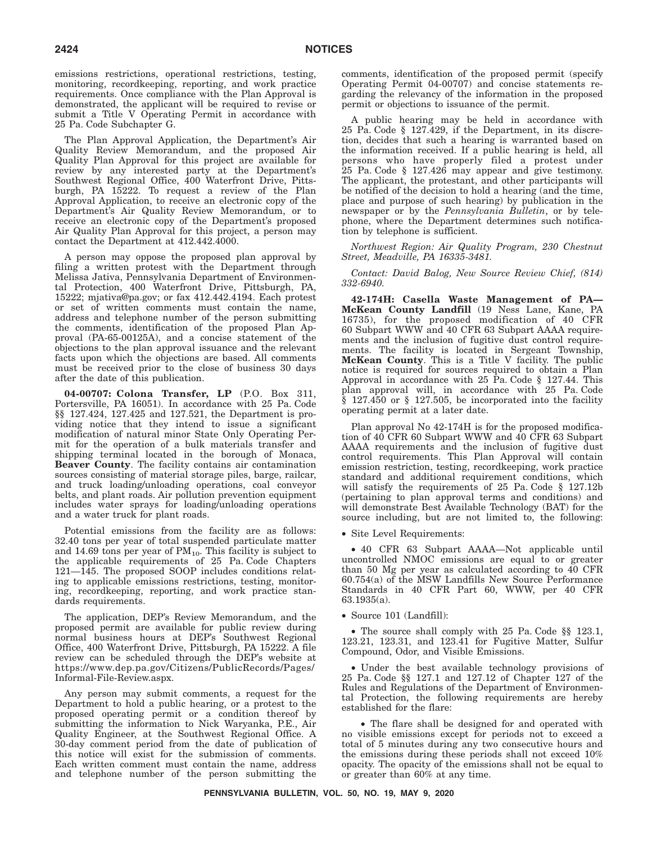emissions restrictions, operational restrictions, testing, monitoring, recordkeeping, reporting, and work practice requirements. Once compliance with the Plan Approval is demonstrated, the applicant will be required to revise or submit a Title V Operating Permit in accordance with 25 Pa. Code Subchapter G.

The Plan Approval Application, the Department's Air Quality Review Memorandum, and the proposed Air Quality Plan Approval for this project are available for review by any interested party at the Department's Southwest Regional Office, 400 Waterfront Drive, Pittsburgh, PA 15222. To request a review of the Plan Approval Application, to receive an electronic copy of the Department's Air Quality Review Memorandum, or to receive an electronic copy of the Department's proposed Air Quality Plan Approval for this project, a person may contact the Department at 412.442.4000.

A person may oppose the proposed plan approval by filing a written protest with the Department through Melissa Jativa, Pennsylvania Department of Environmental Protection, 400 Waterfront Drive, Pittsburgh, PA, 15222; mjativa@pa.gov; or fax 412.442.4194. Each protest or set of written comments must contain the name, address and telephone number of the person submitting the comments, identification of the proposed Plan Approval (PA-65-00125A), and a concise statement of the objections to the plan approval issuance and the relevant facts upon which the objections are based. All comments must be received prior to the close of business 30 days after the date of this publication.

**04-00707: Colona Transfer, LP** (P.O. Box 311, Portersville, PA 16051). In accordance with 25 Pa. Code §§ 127.424, 127.425 and 127.521, the Department is providing notice that they intend to issue a significant modification of natural minor State Only Operating Permit for the operation of a bulk materials transfer and shipping terminal located in the borough of Monaca, **Beaver County**. The facility contains air contamination sources consisting of material storage piles, barge, railcar, and truck loading/unloading operations, coal conveyor belts, and plant roads. Air pollution prevention equipment includes water sprays for loading/unloading operations and a water truck for plant roads.

Potential emissions from the facility are as follows: 32.40 tons per year of total suspended particulate matter and 14.69 tons per year of  $PM_{10}$ . This facility is subject to the applicable requirements of 25 Pa. Code Chapters 121—145. The proposed SOOP includes conditions relating to applicable emissions restrictions, testing, monitoring, recordkeeping, reporting, and work practice standards requirements.

The application, DEP's Review Memorandum, and the proposed permit are available for public review during normal business hours at DEP's Southwest Regional Office, 400 Waterfront Drive, Pittsburgh, PA 15222. A file review can be scheduled through the DEP's website at https://www.dep.pa.gov/Citizens/PublicRecords/Pages/ Informal-File-Review.aspx.

Any person may submit comments, a request for the Department to hold a public hearing, or a protest to the proposed operating permit or a condition thereof by submitting the information to Nick Waryanka, P.E., Air Quality Engineer, at the Southwest Regional Office. A 30-day comment period from the date of publication of this notice will exist for the submission of comments. Each written comment must contain the name, address and telephone number of the person submitting the

comments, identification of the proposed permit (specify Operating Permit 04-00707) and concise statements regarding the relevancy of the information in the proposed permit or objections to issuance of the permit.

A public hearing may be held in accordance with 25 Pa. Code § 127.429, if the Department, in its discretion, decides that such a hearing is warranted based on the information received. If a public hearing is held, all persons who have properly filed a protest under 25 Pa. Code § 127.426 may appear and give testimony. The applicant, the protestant, and other participants will be notified of the decision to hold a hearing (and the time, place and purpose of such hearing) by publication in the newspaper or by the *Pennsylvania Bulletin*, or by telephone, where the Department determines such notification by telephone is sufficient.

*Northwest Region: Air Quality Program, 230 Chestnut Street, Meadville, PA 16335-3481.*

*Contact: David Balog, New Source Review Chief, (814) 332-6940.*

**42-174H: Casella Waste Management of PA— McKean County Landfill** (19 Ness Lane, Kane, PA 16735), for the proposed modification of 40 CFR 60 Subpart WWW and 40 CFR 63 Subpart AAAA requirements and the inclusion of fugitive dust control requirements. The facility is located in Sergeant Township, **McKean County**. This is a Title V facility. The public notice is required for sources required to obtain a Plan Approval in accordance with 25 Pa. Code § 127.44. This plan approval will, in accordance with 25 Pa. Code § 127.450 or § 127.505, be incorporated into the facility operating permit at a later date.

Plan approval No 42-174H is for the proposed modification of 40 CFR 60 Subpart WWW and 40 CFR 63 Subpart AAAA requirements and the inclusion of fugitive dust control requirements. This Plan Approval will contain emission restriction, testing, recordkeeping, work practice standard and additional requirement conditions, which will satisfy the requirements of 25 Pa. Code § 127.12b (pertaining to plan approval terms and conditions) and will demonstrate Best Available Technology (BAT) for the source including, but are not limited to, the following:

• Site Level Requirements:

• 40 CFR 63 Subpart AAAA—Not applicable until uncontrolled NMOC emissions are equal to or greater than 50 Mg per year as calculated according to 40 CFR 60.754(a) of the MSW Landfills New Source Performance Standards in 40 CFR Part 60, WWW, per 40 CFR 63.1935(a).

• Source 101 (Landfill):

• The source shall comply with 25 Pa. Code §§ 123.1, 123.21, 123.31, and 123.41 for Fugitive Matter, Sulfur Compound, Odor, and Visible Emissions.

• Under the best available technology provisions of 25 Pa. Code §§ 127.1 and 127.12 of Chapter 127 of the Rules and Regulations of the Department of Environmental Protection, the following requirements are hereby established for the flare:

• The flare shall be designed for and operated with no visible emissions except for periods not to exceed a total of 5 minutes during any two consecutive hours and the emissions during these periods shall not exceed 10% opacity. The opacity of the emissions shall not be equal to or greater than 60% at any time.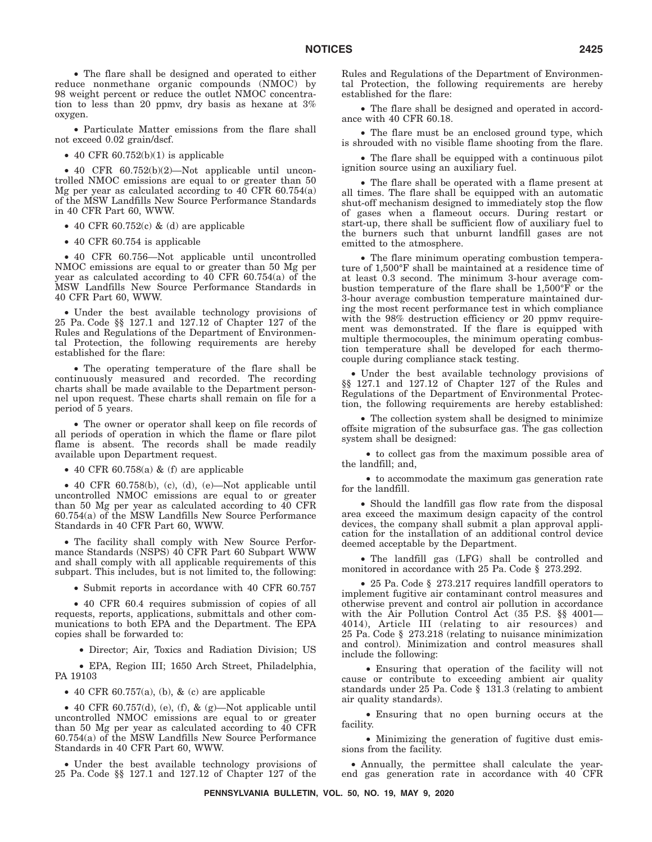• The flare shall be designed and operated to either reduce nonmethane organic compounds (NMOC) by 98 weight percent or reduce the outlet NMOC concentration to less than 20 ppmv, dry basis as hexane at 3% oxygen.

• Particulate Matter emissions from the flare shall not exceed 0.02 grain/dscf.

• 40 CFR  $60.752(b)(1)$  is applicable

• 40 CFR 60.752(b)(2)—Not applicable until uncontrolled NMOC emissions are equal to or greater than 50 Mg per year as calculated according to 40 CFR 60.754(a) of the MSW Landfills New Source Performance Standards in 40 CFR Part 60, WWW.

• 40 CFR 60.752 $(c)$  &  $(d)$  are applicable

• 40 CFR 60.754 is applicable

• 40 CFR 60.756—Not applicable until uncontrolled NMOC emissions are equal to or greater than 50 Mg per year as calculated according to 40 CFR 60.754(a) of the MSW Landfills New Source Performance Standards in 40 CFR Part 60, WWW.

• Under the best available technology provisions of 25 Pa. Code §§ 127.1 and 127.12 of Chapter 127 of the Rules and Regulations of the Department of Environmental Protection, the following requirements are hereby established for the flare:

• The operating temperature of the flare shall be continuously measured and recorded. The recording charts shall be made available to the Department personnel upon request. These charts shall remain on file for a period of 5 years.

• The owner or operator shall keep on file records of all periods of operation in which the flame or flare pilot flame is absent. The records shall be made readily available upon Department request.

• 40 CFR 60.758(a)  $\&$  (f) are applicable

• 40 CFR 60.758(b), (c), (d), (e)—Not applicable until uncontrolled NMOC emissions are equal to or greater than 50 Mg per year as calculated according to 40 CFR 60.754(a) of the MSW Landfills New Source Performance Standards in 40 CFR Part 60, WWW.

• The facility shall comply with New Source Performance Standards (NSPS) 40 CFR Part 60 Subpart WWW and shall comply with all applicable requirements of this subpart. This includes, but is not limited to, the following:

• Submit reports in accordance with 40 CFR 60.757

• 40 CFR 60.4 requires submission of copies of all requests, reports, applications, submittals and other communications to both EPA and the Department. The EPA copies shall be forwarded to:

• Director; Air, Toxics and Radiation Division; US

• EPA, Region III; 1650 Arch Street, Philadelphia, PA 19103

• 40 CFR 60.757(a), (b),  $\&$  (c) are applicable

• 40 CFR 60.757(d), (e), (f),  $\&$  (g)—Not applicable until uncontrolled NMOC emissions are equal to or greater than 50 Mg per year as calculated according to 40 CFR 60.754(a) of the MSW Landfills New Source Performance Standards in 40 CFR Part 60, WWW.

• Under the best available technology provisions of 25 Pa. Code §§ 127.1 and 127.12 of Chapter 127 of the

Rules and Regulations of the Department of Environmental Protection, the following requirements are hereby established for the flare:

• The flare shall be designed and operated in accordance with 40 CFR 60.18.

• The flare must be an enclosed ground type, which is shrouded with no visible flame shooting from the flare.

• The flare shall be equipped with a continuous pilot ignition source using an auxiliary fuel.

• The flare shall be operated with a flame present at all times. The flare shall be equipped with an automatic shut-off mechanism designed to immediately stop the flow of gases when a flameout occurs. During restart or start-up, there shall be sufficient flow of auxiliary fuel to the burners such that unburnt landfill gases are not emitted to the atmosphere.

• The flare minimum operating combustion temperature of 1,500°F shall be maintained at a residence time of at least 0.3 second. The minimum 3-hour average combustion temperature of the flare shall be 1,500°F or the 3-hour average combustion temperature maintained during the most recent performance test in which compliance with the 98% destruction efficiency or 20 ppmy requirement was demonstrated. If the flare is equipped with multiple thermocouples, the minimum operating combustion temperature shall be developed for each thermocouple during compliance stack testing.

• Under the best available technology provisions of §§ 127.1 and 127.12 of Chapter 127 of the Rules and Regulations of the Department of Environmental Protection, the following requirements are hereby established:

• The collection system shall be designed to minimize offsite migration of the subsurface gas. The gas collection system shall be designed:

• to collect gas from the maximum possible area of the landfill; and,

• to accommodate the maximum gas generation rate for the landfill.

• Should the landfill gas flow rate from the disposal area exceed the maximum design capacity of the control devices, the company shall submit a plan approval application for the installation of an additional control device deemed acceptable by the Department.

• The landfill gas (LFG) shall be controlled and monitored in accordance with 25 Pa. Code § 273.292.

• 25 Pa. Code § 273.217 requires landfill operators to implement fugitive air contaminant control measures and otherwise prevent and control air pollution in accordance with the Air Pollution Control Act (35 P.S. §§ 4001— 4014), Article III (relating to air resources) and 25 Pa. Code § 273.218 (relating to nuisance minimization and control). Minimization and control measures shall include the following:

• Ensuring that operation of the facility will not cause or contribute to exceeding ambient air quality standards under 25 Pa. Code § 131.3 (relating to ambient air quality standards).

• Ensuring that no open burning occurs at the facility.

• Minimizing the generation of fugitive dust emissions from the facility.

• Annually, the permittee shall calculate the yearend gas generation rate in accordance with 40 CFR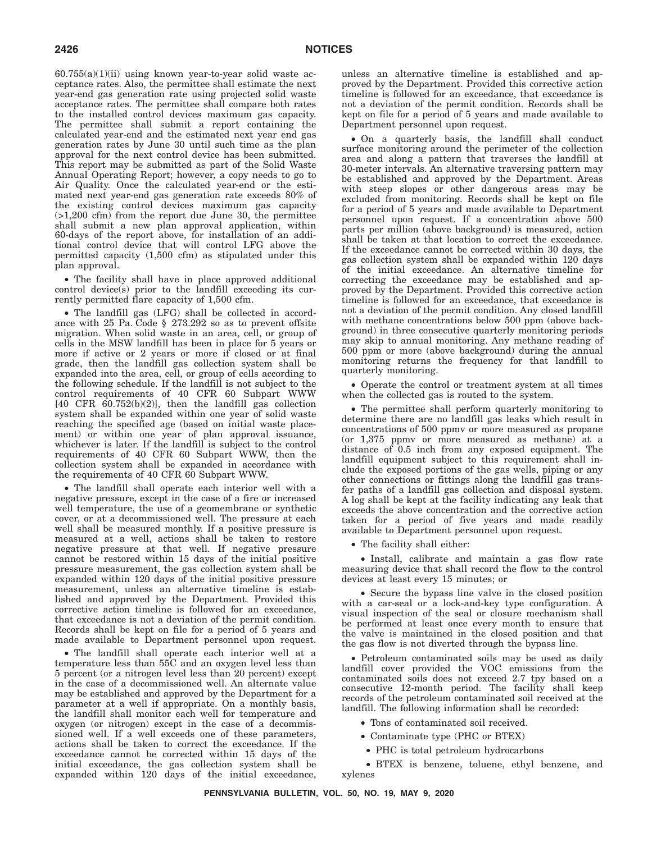$60.755(a)(1)(ii)$  using known year-to-year solid waste acceptance rates. Also, the permittee shall estimate the next year-end gas generation rate using projected solid waste acceptance rates. The permittee shall compare both rates to the installed control devices maximum gas capacity. The permittee shall submit a report containing the calculated year-end and the estimated next year end gas generation rates by June 30 until such time as the plan approval for the next control device has been submitted. This report may be submitted as part of the Solid Waste Annual Operating Report; however, a copy needs to go to Air Quality. Once the calculated year-end or the estimated next year-end gas generation rate exceeds 80% of the existing control devices maximum gas capacity (>1,200 cfm) from the report due June 30, the permittee shall submit a new plan approval application, within 60-days of the report above, for installation of an additional control device that will control LFG above the permitted capacity (1,500 cfm) as stipulated under this plan approval.

• The facility shall have in place approved additional control device(s) prior to the landfill exceeding its currently permitted flare capacity of 1,500 cfm.

• The landfill gas (LFG) shall be collected in accordance with 25 Pa. Code § 273.292 so as to prevent offsite migration. When solid waste in an area, cell, or group of cells in the MSW landfill has been in place for 5 years or more if active or 2 years or more if closed or at final grade, then the landfill gas collection system shall be expanded into the area, cell, or group of cells according to the following schedule. If the landfill is not subject to the control requirements of 40 CFR 60 Subpart WWW [40 CFR 60.752(b)(2)], then the landfill gas collection system shall be expanded within one year of solid waste reaching the specified age (based on initial waste placement) or within one year of plan approval issuance, whichever is later. If the landfill is subject to the control requirements of 40 CFR 60 Subpart WWW, then the collection system shall be expanded in accordance with the requirements of 40 CFR 60 Subpart WWW.

• The landfill shall operate each interior well with a negative pressure, except in the case of a fire or increased well temperature, the use of a geomembrane or synthetic cover, or at a decommissioned well. The pressure at each well shall be measured monthly. If a positive pressure is measured at a well, actions shall be taken to restore negative pressure at that well. If negative pressure cannot be restored within 15 days of the initial positive pressure measurement, the gas collection system shall be expanded within 120 days of the initial positive pressure measurement, unless an alternative timeline is established and approved by the Department. Provided this corrective action timeline is followed for an exceedance, that exceedance is not a deviation of the permit condition. Records shall be kept on file for a period of 5 years and made available to Department personnel upon request.

• The landfill shall operate each interior well at a temperature less than 55C and an oxygen level less than 5 percent (or a nitrogen level less than 20 percent) except in the case of a decommissioned well. An alternate value may be established and approved by the Department for a parameter at a well if appropriate. On a monthly basis, the landfill shall monitor each well for temperature and oxygen (or nitrogen) except in the case of a decommissioned well. If a well exceeds one of these parameters, actions shall be taken to correct the exceedance. If the exceedance cannot be corrected within 15 days of the initial exceedance, the gas collection system shall be expanded within 120 days of the initial exceedance,

unless an alternative timeline is established and approved by the Department. Provided this corrective action timeline is followed for an exceedance, that exceedance is not a deviation of the permit condition. Records shall be kept on file for a period of 5 years and made available to Department personnel upon request.

• On a quarterly basis, the landfill shall conduct surface monitoring around the perimeter of the collection area and along a pattern that traverses the landfill at 30-meter intervals. An alternative traversing pattern may be established and approved by the Department. Areas with steep slopes or other dangerous areas may be excluded from monitoring. Records shall be kept on file for a period of 5 years and made available to Department personnel upon request. If a concentration above 500 parts per million (above background) is measured, action shall be taken at that location to correct the exceedance. If the exceedance cannot be corrected within 30 days, the gas collection system shall be expanded within 120 days of the initial exceedance. An alternative timeline for correcting the exceedance may be established and approved by the Department. Provided this corrective action timeline is followed for an exceedance, that exceedance is not a deviation of the permit condition. Any closed landfill with methane concentrations below 500 ppm (above background) in three consecutive quarterly monitoring periods may skip to annual monitoring. Any methane reading of 500 ppm or more (above background) during the annual monitoring returns the frequency for that landfill to quarterly monitoring.

• Operate the control or treatment system at all times when the collected gas is routed to the system.

• The permittee shall perform quarterly monitoring to determine there are no landfill gas leaks which result in concentrations of 500 ppmv or more measured as propane (or 1,375 ppmv or more measured as methane) at a distance of 0.5 inch from any exposed equipment. The landfill equipment subject to this requirement shall include the exposed portions of the gas wells, piping or any other connections or fittings along the landfill gas transfer paths of a landfill gas collection and disposal system. A log shall be kept at the facility indicating any leak that exceeds the above concentration and the corrective action taken for a period of five years and made readily available to Department personnel upon request.

• The facility shall either:

• Install, calibrate and maintain a gas flow rate measuring device that shall record the flow to the control devices at least every 15 minutes; or

• Secure the bypass line valve in the closed position with a car-seal or a lock-and-key type configuration. A visual inspection of the seal or closure mechanism shall be performed at least once every month to ensure that the valve is maintained in the closed position and that the gas flow is not diverted through the bypass line.

• Petroleum contaminated soils may be used as daily landfill cover provided the VOC emissions from the contaminated soils does not exceed 2.7 tpy based on a consecutive 12-month period. The facility shall keep records of the petroleum contaminated soil received at the landfill. The following information shall be recorded:

• Tons of contaminated soil received.

- Contaminate type (PHC or BTEX)
- PHC is total petroleum hydrocarbons

• BTEX is benzene, toluene, ethyl benzene, and xylenes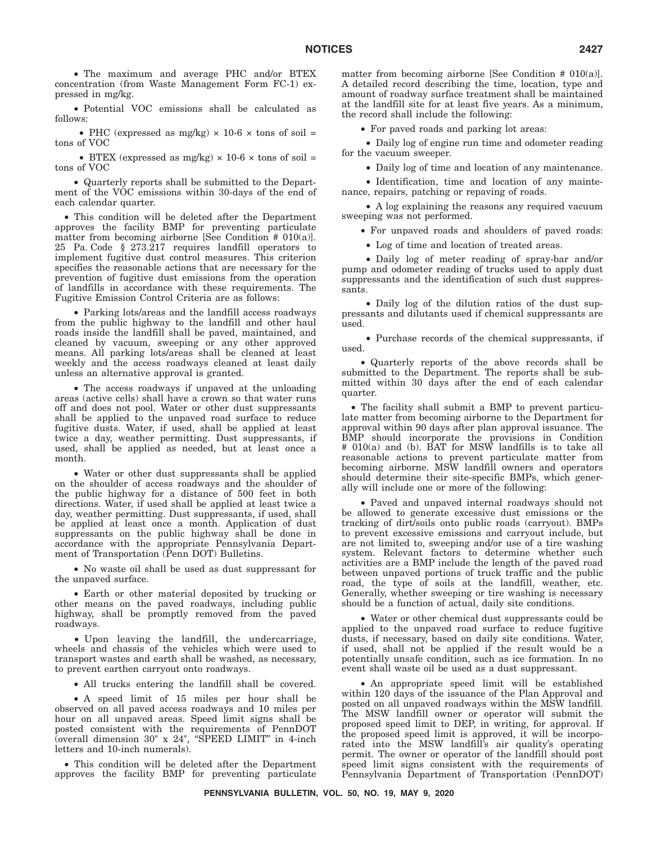• The maximum and average PHC and/or BTEX concentration (from Waste Management Form FC-1) expressed in mg/kg.

• Potential VOC emissions shall be calculated as follows:

• PHC (expressed as mg/kg)  $\times$  10-6  $\times$  tons of soil = tons of VOC

• BTEX (expressed as mg/kg)  $\times$  10-6  $\times$  tons of soil = tons of VOC

• Quarterly reports shall be submitted to the Department of the VOC emissions within 30-days of the end of each calendar quarter.

• This condition will be deleted after the Department approves the facility BMP for preventing particulate matter from becoming airborne [See Condition # 010(a)]. 25 Pa. Code § 273.217 requires landfill operators to implement fugitive dust control measures. This criterion specifies the reasonable actions that are necessary for the prevention of fugitive dust emissions from the operation of landfills in accordance with these requirements. The Fugitive Emission Control Criteria are as follows:

• Parking lots/areas and the landfill access roadways from the public highway to the landfill and other haul roads inside the landfill shall be paved, maintained, and cleaned by vacuum, sweeping or any other approved means. All parking lots/areas shall be cleaned at least weekly and the access roadways cleaned at least daily unless an alternative approval is granted.

• The access roadways if unpaved at the unloading areas (active cells) shall have a crown so that water runs off and does not pool. Water or other dust suppressants shall be applied to the unpaved road surface to reduce fugitive dusts. Water, if used, shall be applied at least twice a day, weather permitting. Dust suppressants, if used, shall be applied as needed, but at least once a month.

• Water or other dust suppressants shall be applied on the shoulder of access roadways and the shoulder of the public highway for a distance of 500 feet in both directions. Water, if used shall be applied at least twice a day, weather permitting. Dust suppressants, if used, shall be applied at least once a month. Application of dust suppressants on the public highway shall be done in accordance with the appropriate Pennsylvania Department of Transportation (Penn DOT) Bulletins.

• No waste oil shall be used as dust suppressant for the unpaved surface.

• Earth or other material deposited by trucking or other means on the paved roadways, including public highway, shall be promptly removed from the paved roadways.

• Upon leaving the landfill, the undercarriage, wheels and chassis of the vehicles which were used to transport wastes and earth shall be washed, as necessary, to prevent earthen carryout onto roadways.

• All trucks entering the landfill shall be covered.

• A speed limit of 15 miles per hour shall be observed on all paved access roadways and 10 miles per hour on all unpaved areas. Speed limit signs shall be posted consistent with the requirements of PennDOT (overall dimension 30" x 24", "SPEED LIMIT" in 4-inch letters and 10-inch numerals).

• This condition will be deleted after the Department approves the facility BMP for preventing particulate

matter from becoming airborne [See Condition  $# 010(a)$ ]. A detailed record describing the time, location, type and amount of roadway surface treatment shall be maintained at the landfill site for at least five years. As a minimum, the record shall include the following:

• For paved roads and parking lot areas:

• Daily log of engine run time and odometer reading for the vacuum sweeper.

• Daily log of time and location of any maintenance.

• Identification, time and location of any maintenance, repairs, patching or repaving of roads.

• A log explaining the reasons any required vacuum sweeping was not performed.

• For unpaved roads and shoulders of paved roads:

• Log of time and location of treated areas.

• Daily log of meter reading of spray-bar and/or pump and odometer reading of trucks used to apply dust suppressants and the identification of such dust suppressants.

• Daily log of the dilution ratios of the dust suppressants and dilutants used if chemical suppressants are used.

• Purchase records of the chemical suppressants, if used.

• Quarterly reports of the above records shall be submitted to the Department. The reports shall be submitted within 30 days after the end of each calendar quarter.

• The facility shall submit a BMP to prevent particulate matter from becoming airborne to the Department for approval within 90 days after plan approval issuance. The BMP should incorporate the provisions in Condition # 010(a) and (b). BAT for MSW landfills is to take all reasonable actions to prevent particulate matter from becoming airborne. MSW landfill owners and operators should determine their site-specific BMPs, which generally will include one or more of the following:

• Paved and unpaved internal roadways should not be allowed to generate excessive dust emissions or the tracking of dirt/soils onto public roads (carryout). BMPs to prevent excessive emissions and carryout include, but are not limited to, sweeping and/or use of a tire washing system. Relevant factors to determine whether such activities are a BMP include the length of the paved road between unpaved portions of truck traffic and the public road, the type of soils at the landfill, weather, etc. Generally, whether sweeping or tire washing is necessary should be a function of actual, daily site conditions.

• Water or other chemical dust suppressants could be applied to the unpaved road surface to reduce fugitive dusts, if necessary, based on daily site conditions. Water, if used, shall not be applied if the result would be a potentially unsafe condition, such as ice formation. In no event shall waste oil be used as a dust suppressant.

• An appropriate speed limit will be established within 120 days of the issuance of the Plan Approval and posted on all unpaved roadways within the MSW landfill. The MSW landfill owner or operator will submit the proposed speed limit to DEP, in writing, for approval. If the proposed speed limit is approved, it will be incorporated into the MSW landfill's air quality's operating permit. The owner or operator of the landfill should post speed limit signs consistent with the requirements of Pennsylvania Department of Transportation (PennDOT)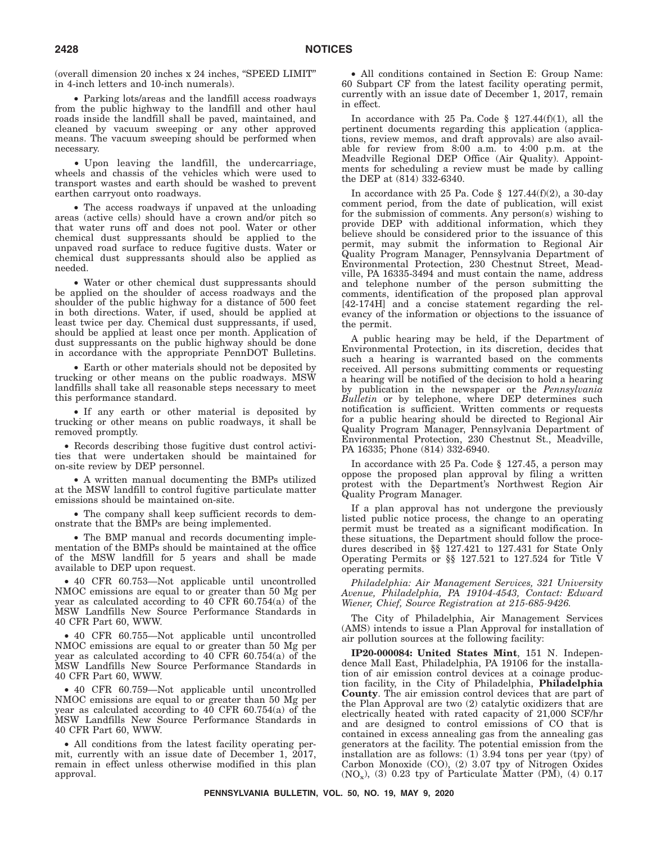(overall dimension 20 inches x 24 inches, ''SPEED LIMIT'' in 4-inch letters and 10-inch numerals).

• Parking lots/areas and the landfill access roadways from the public highway to the landfill and other haul roads inside the landfill shall be paved, maintained, and cleaned by vacuum sweeping or any other approved means. The vacuum sweeping should be performed when necessary.

• Upon leaving the landfill, the undercarriage, wheels and chassis of the vehicles which were used to transport wastes and earth should be washed to prevent earthen carryout onto roadways.

• The access roadways if unpaved at the unloading areas (active cells) should have a crown and/or pitch so that water runs off and does not pool. Water or other chemical dust suppressants should be applied to the unpaved road surface to reduce fugitive dusts. Water or chemical dust suppressants should also be applied as needed.

• Water or other chemical dust suppressants should be applied on the shoulder of access roadways and the shoulder of the public highway for a distance of 500 feet in both directions. Water, if used, should be applied at least twice per day. Chemical dust suppressants, if used, should be applied at least once per month. Application of dust suppressants on the public highway should be done in accordance with the appropriate PennDOT Bulletins.

• Earth or other materials should not be deposited by trucking or other means on the public roadways. MSW landfills shall take all reasonable steps necessary to meet this performance standard.

• If any earth or other material is deposited by trucking or other means on public roadways, it shall be removed promptly.

• Records describing those fugitive dust control activities that were undertaken should be maintained for on-site review by DEP personnel.

• A written manual documenting the BMPs utilized at the MSW landfill to control fugitive particulate matter emissions should be maintained on-site.

• The company shall keep sufficient records to demonstrate that the BMPs are being implemented.

• The BMP manual and records documenting implementation of the BMPs should be maintained at the office of the MSW landfill for 5 years and shall be made available to DEP upon request.

• 40 CFR 60.753—Not applicable until uncontrolled NMOC emissions are equal to or greater than 50 Mg per year as calculated according to 40 CFR 60.754(a) of the MSW Landfills New Source Performance Standards in 40 CFR Part 60, WWW.

• 40 CFR 60.755—Not applicable until uncontrolled NMOC emissions are equal to or greater than 50 Mg per year as calculated according to 40 CFR 60.754(a) of the MSW Landfills New Source Performance Standards in 40 CFR Part 60, WWW.

• 40 CFR 60.759—Not applicable until uncontrolled NMOC emissions are equal to or greater than 50 Mg per year as calculated according to 40 CFR 60.754(a) of the MSW Landfills New Source Performance Standards in 40 CFR Part 60, WWW.

• All conditions from the latest facility operating permit, currently with an issue date of December 1, 2017, remain in effect unless otherwise modified in this plan approval.

• All conditions contained in Section E: Group Name: 60 Subpart CF from the latest facility operating permit, currently with an issue date of December 1, 2017, remain in effect.

In accordance with 25 Pa. Code  $\S$  127.44(f)(1), all the pertinent documents regarding this application (applications, review memos, and draft approvals) are also available for review from 8:00 a.m. to 4:00 p.m. at the Meadville Regional DEP Office (Air Quality). Appointments for scheduling a review must be made by calling the DEP at (814) 332-6340.

In accordance with 25 Pa. Code  $\S$  127.44(f)(2), a 30-day comment period, from the date of publication, will exist for the submission of comments. Any person(s) wishing to provide DEP with additional information, which they believe should be considered prior to the issuance of this permit, may submit the information to Regional Air Quality Program Manager, Pennsylvania Department of Environmental Protection, 230 Chestnut Street, Meadville, PA 16335-3494 and must contain the name, address and telephone number of the person submitting the comments, identification of the proposed plan approval [42-174H] and a concise statement regarding the relevancy of the information or objections to the issuance of the permit.

A public hearing may be held, if the Department of Environmental Protection, in its discretion, decides that such a hearing is warranted based on the comments received. All persons submitting comments or requesting a hearing will be notified of the decision to hold a hearing by publication in the newspaper or the *Pennsylvania Bulletin* or by telephone, where DEP determines such notification is sufficient. Written comments or requests for a public hearing should be directed to Regional Air Quality Program Manager, Pennsylvania Department of Environmental Protection, 230 Chestnut St., Meadville, PA 16335; Phone (814) 332-6940.

In accordance with 25 Pa. Code § 127.45, a person may oppose the proposed plan approval by filing a written protest with the Department's Northwest Region Air Quality Program Manager.

If a plan approval has not undergone the previously listed public notice process, the change to an operating permit must be treated as a significant modification. In these situations, the Department should follow the procedures described in §§ 127.421 to 127.431 for State Only Operating Permits or §§ 127.521 to 127.524 for Title V operating permits.

*Philadelphia: Air Management Services, 321 University Avenue, Philadelphia, PA 19104-4543, Contact: Edward Wiener, Chief, Source Registration at 215-685-9426.*

The City of Philadelphia, Air Management Services (AMS) intends to issue a Plan Approval for installation of air pollution sources at the following facility:

**IP20-000084: United States Mint**, 151 N. Independence Mall East, Philadelphia, PA 19106 for the installation of air emission control devices at a coinage production facility, in the City of Philadelphia, **Philadelphia County**. The air emission control devices that are part of the Plan Approval are two (2) catalytic oxidizers that are electrically heated with rated capacity of 21,000 SCF/hr and are designed to control emissions of CO that is contained in excess annealing gas from the annealing gas generators at the facility. The potential emission from the installation are as follows: (1) 3.94 tons per year (tpy) of Carbon Monoxide (CO), (2) 3.07 tpy of Nitrogen Oxides  $(NO<sub>x</sub>)$ , (3) 0.23 tpy of Particulate Matter (PM), (4) 0.17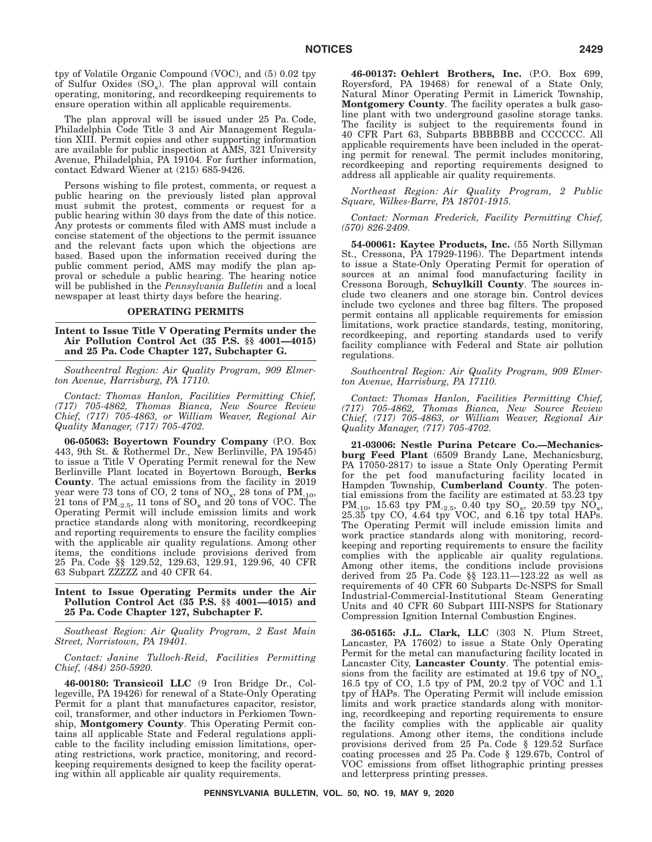tpy of Volatile Organic Compound (VOC), and (5) 0.02 tpy of Sulfur Oxides  $(SO_x)$ . The plan approval will contain operating, monitoring, and recordkeeping requirements to ensure operation within all applicable requirements.

The plan approval will be issued under 25 Pa. Code, Philadelphia Code Title 3 and Air Management Regulation XIII. Permit copies and other supporting information are available for public inspection at AMS, 321 University Avenue, Philadelphia, PA 19104. For further information, contact Edward Wiener at (215) 685-9426.

Persons wishing to file protest, comments, or request a public hearing on the previously listed plan approval must submit the protest, comments or request for a public hearing within 30 days from the date of this notice. Any protests or comments filed with AMS must include a concise statement of the objections to the permit issuance and the relevant facts upon which the objections are based. Based upon the information received during the public comment period, AMS may modify the plan approval or schedule a public hearing. The hearing notice will be published in the *Pennsylvania Bulletin* and a local newspaper at least thirty days before the hearing.

#### **OPERATING PERMITS**

**Intent to Issue Title V Operating Permits under the Air Pollution Control Act (35 P.S. §§ 4001—4015) and 25 Pa. Code Chapter 127, Subchapter G.**

*Southcentral Region: Air Quality Program, 909 Elmerton Avenue, Harrisburg, PA 17110.*

*Contact: Thomas Hanlon, Facilities Permitting Chief, (717) 705-4862, Thomas Bianca, New Source Review Chief, (717) 705-4863, or William Weaver, Regional Air Quality Manager, (717) 705-4702.*

**06-05063: Boyertown Foundry Company** (P.O. Box 443, 9th St. & Rothermel Dr., New Berlinville, PA 19545) to issue a Title V Operating Permit renewal for the New Berlinville Plant located in Boyertown Borough, **Berks County**. The actual emissions from the facility in 2019 year were 73 tons of CO, 2 tons of  $NO_x$ , 28 tons of  $PM_{-10}$ , 21 tons of  $PM_{2.5}$ , 11 tons of  $SO_x$  and 20 tons of VOC. The Operating Permit will include emission limits and work practice standards along with monitoring, recordkeeping and reporting requirements to ensure the facility complies with the applicable air quality regulations. Among other items, the conditions include provisions derived from 25 Pa. Code §§ 129.52, 129.63, 129.91, 129.96, 40 CFR 63 Subpart ZZZZZ and 40 CFR 64.

#### **Intent to Issue Operating Permits under the Air Pollution Control Act (35 P.S. §§ 4001—4015) and 25 Pa. Code Chapter 127, Subchapter F.**

*Southeast Region: Air Quality Program, 2 East Main Street, Norristown, PA 19401.*

*Contact: Janine Tulloch-Reid, Facilities Permitting Chief, (484) 250-5920.*

**46-00180: Transicoil LLC** (9 Iron Bridge Dr., Collegeville, PA 19426) for renewal of a State-Only Operating Permit for a plant that manufactures capacitor, resistor, coil, transformer, and other inductors in Perkiomen Township, **Montgomery County**. This Operating Permit contains all applicable State and Federal regulations applicable to the facility including emission limitations, operating restrictions, work practice, monitoring, and recordkeeping requirements designed to keep the facility operating within all applicable air quality requirements.

**46-00137: Oehlert Brothers, Inc.** (P.O. Box 699, Royersford, PA 19468) for renewal of a State Only, Natural Minor Operating Permit in Limerick Township, **Montgomery County**. The facility operates a bulk gasoline plant with two underground gasoline storage tanks. The facility is subject to the requirements found in 40 CFR Part 63, Subparts BBBBBB and CCCCCC. All applicable requirements have been included in the operating permit for renewal. The permit includes monitoring, recordkeeping and reporting requirements designed to address all applicable air quality requirements.

*Northeast Region: Air Quality Program, 2 Public Square, Wilkes-Barre, PA 18701-1915.*

*Contact: Norman Frederick, Facility Permitting Chief, (570) 826-2409.*

**54-00061: Kaytee Products, Inc.** (55 North Sillyman St., Cressona, PA 17929-1196). The Department intends to issue a State-Only Operating Permit for operation of sources at an animal food manufacturing facility in Cressona Borough, **Schuylkill County**. The sources include two cleaners and one storage bin. Control devices include two cyclones and three bag filters. The proposed permit contains all applicable requirements for emission limitations, work practice standards, testing, monitoring, recordkeeping, and reporting standards used to verify facility compliance with Federal and State air pollution regulations.

*Southcentral Region: Air Quality Program, 909 Elmerton Avenue, Harrisburg, PA 17110.*

*Contact: Thomas Hanlon, Facilities Permitting Chief, (717) 705-4862, Thomas Bianca, New Source Review Chief, (717) 705-4863, or William Weaver, Regional Air Quality Manager, (717) 705-4702.*

**21-03006: Nestle Purina Petcare Co.—Mechanicsburg Feed Plant** (6509 Brandy Lane, Mechanicsburg, PA 17050-2817) to issue a State Only Operating Permit for the pet food manufacturing facility located in Hampden Township, **Cumberland County**. The potential emissions from the facility are estimated at 53.23 tpy PM<sub>-10</sub>, 15.63 tpy PM<sub>-2.5</sub>, 0.40 tpy SO<sub>x</sub>, 20.59 tpy NO<sub>x</sub>, 25.35 tpy CO, 4.64 tpy VOC, and 6.16 tpy total HAPs. The Operating Permit will include emission limits and work practice standards along with monitoring, recordkeeping and reporting requirements to ensure the facility complies with the applicable air quality regulations. Among other items, the conditions include provisions derived from 25 Pa. Code §§ 123.11—123.22 as well as requirements of 40 CFR 60 Subparts Dc-NSPS for Small Industrial-Commercial-Institutional Steam Generating Units and 40 CFR 60 Subpart IIII-NSPS for Stationary Compression Ignition Internal Combustion Engines.

**36-05165: J.L. Clark, LLC** (303 N. Plum Street, Lancaster, PA 17602) to issue a State Only Operating Permit for the metal can manufacturing facility located in Lancaster City, **Lancaster County**. The potential emissions from the facility are estimated at 19.6 tpy of  $NO<sub>xy</sub>$ , 16.5 tpy of CO, 1.5 tpy of PM, 20.2 tpy of VOC and  $1.\overline{1}$ tpy of HAPs. The Operating Permit will include emission limits and work practice standards along with monitoring, recordkeeping and reporting requirements to ensure the facility complies with the applicable air quality regulations. Among other items, the conditions include provisions derived from 25 Pa. Code § 129.52 Surface coating processes and 25 Pa. Code § 129.67b, Control of VOC emissions from offset lithographic printing presses and letterpress printing presses.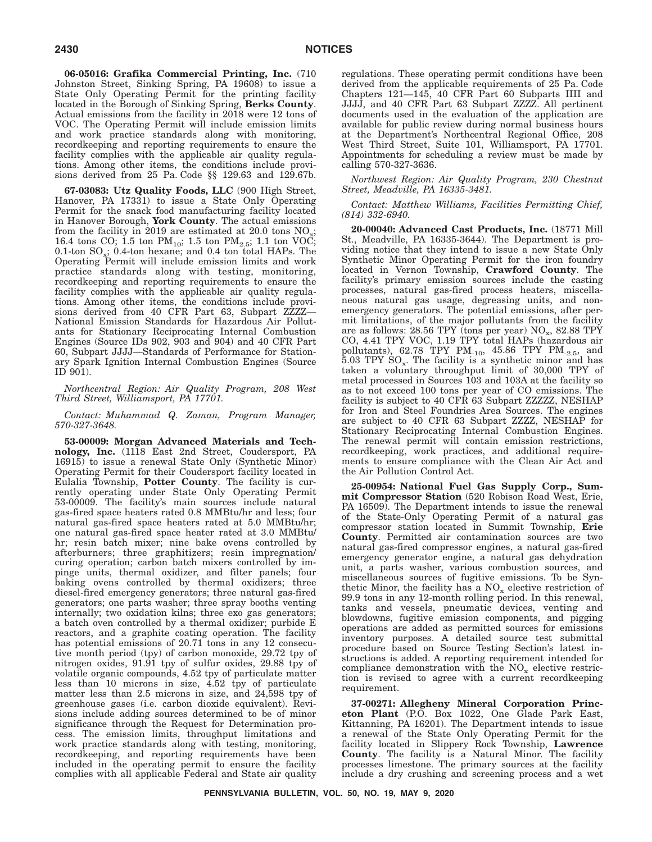**06-05016: Grafika Commercial Printing, Inc.** (710 Johnston Street, Sinking Spring, PA 19608) to issue a State Only Operating Permit for the printing facility located in the Borough of Sinking Spring, **Berks County**. Actual emissions from the facility in 2018 were 12 tons of VOC. The Operating Permit will include emission limits and work practice standards along with monitoring, recordkeeping and reporting requirements to ensure the facility complies with the applicable air quality regulations. Among other items, the conditions include provisions derived from 25 Pa. Code §§ 129.63 and 129.67b.

**67-03083: Utz Quality Foods, LLC** (900 High Street, Hanover, PA 17331) to issue a State Only Operating Permit for the snack food manufacturing facility located in Hanover Borough, **York County**. The actual emissions from the facility in 2019 are estimated at 20.0 tons  $NO_x$ ; 16.4 tons CO; 1.5 ton  $PM_{10}$ ; 1.5 ton  $PM_{2.5}$ ; 1.1 ton VOC;  $0.1$ -ton  $SO_x$ ; 0.4-ton hexane; and 0.4 ton total HAPs. The Operating Permit will include emission limits and work practice standards along with testing, monitoring, recordkeeping and reporting requirements to ensure the facility complies with the applicable air quality regulations. Among other items, the conditions include provisions derived from 40 CFR Part 63, Subpart ZZZZ— National Emission Standards for Hazardous Air Pollutants for Stationary Reciprocating Internal Combustion Engines (Source IDs 902, 903 and 904) and 40 CFR Part 60, Subpart JJJJ—Standards of Performance for Stationary Spark Ignition Internal Combustion Engines (Source ID 901).

*Northcentral Region: Air Quality Program, 208 West Third Street, Williamsport, PA 17701.*

#### *Contact: Muhammad Q. Zaman, Program Manager, 570-327-3648.*

**53-00009: Morgan Advanced Materials and Technology, Inc.** (1118 East 2nd Street, Coudersport, PA 16915) to issue a renewal State Only (Synthetic Minor) Operating Permit for their Coudersport facility located in Eulalia Township, **Potter County**. The facility is currently operating under State Only Operating Permit 53-00009. The facility's main sources include natural gas-fired space heaters rated 0.8 MMBtu/hr and less; four natural gas-fired space heaters rated at 5.0 MMBtu/hr; one natural gas-fired space heater rated at 3.0 MMBtu/ hr; resin batch mixer; nine bake ovens controlled by afterburners; three graphitizers; resin impregnation/ curing operation; carbon batch mixers controlled by impinge units, thermal oxidizer, and filter panels; four baking ovens controlled by thermal oxidizers; three diesel-fired emergency generators; three natural gas-fired generators; one parts washer; three spray booths venting internally; two oxidation kilns; three exo gas generators; a batch oven controlled by a thermal oxidizer; purbide E reactors, and a graphite coating operation. The facility has potential emissions of 20.71 tons in any 12 consecutive month period (tpy) of carbon monoxide, 29.72 tpy of nitrogen oxides, 91.91 tpy of sulfur oxides, 29.88 tpy of volatile organic compounds, 4.52 tpy of particulate matter less than 10 microns in size, 4.52 tpy of particulate matter less than 2.5 microns in size, and 24,598 tpy of greenhouse gases (i.e. carbon dioxide equivalent). Revisions include adding sources determined to be of minor significance through the Request for Determination process. The emission limits, throughput limitations and work practice standards along with testing, monitoring, recordkeeping, and reporting requirements have been included in the operating permit to ensure the facility complies with all applicable Federal and State air quality

regulations. These operating permit conditions have been derived from the applicable requirements of 25 Pa. Code Chapters 121—145, 40 CFR Part 60 Subparts IIII and JJJJ, and 40 CFR Part 63 Subpart ZZZZ. All pertinent documents used in the evaluation of the application are available for public review during normal business hours at the Department's Northcentral Regional Office, 208 West Third Street, Suite 101, Williamsport, PA 17701. Appointments for scheduling a review must be made by calling 570-327-3636.

*Northwest Region: Air Quality Program, 230 Chestnut Street, Meadville, PA 16335-3481.*

#### *Contact: Matthew Williams, Facilities Permitting Chief, (814) 332-6940.*

**20-00040: Advanced Cast Products, Inc.** (18771 Mill St., Meadville, PA 16335-3644). The Department is providing notice that they intend to issue a new State Only Synthetic Minor Operating Permit for the iron foundry located in Vernon Township, **Crawford County**. The facility's primary emission sources include the casting processes, natural gas-fired process heaters, miscellaneous natural gas usage, degreasing units, and nonemergency generators. The potential emissions, after permit limitations, of the major pollutants from the facility are as follows: 28.56 TPY (tons per year)  $NO_x$ , 82.88 TPY CO, 4.41 TPY VOC, 1.19 TPY total HAPs (hazardous air pollutants),  $62.78$  TPY PM<sub>-10</sub>,  $45.86$  TPY PM<sub>-2.5</sub>, and  $5.03$  TPY  $SO_{x}$ . The facility is a synthetic minor and has taken a voluntary throughput limit of 30,000 TPY of metal processed in Sources 103 and 103A at the facility so as to not exceed 100 tons per year of CO emissions. The facility is subject to 40 CFR 63 Subpart ZZZZZ, NESHAP for Iron and Steel Foundries Area Sources. The engines are subject to 40 CFR 63 Subpart ZZZZ, NESHAP for Stationary Reciprocating Internal Combustion Engines. The renewal permit will contain emission restrictions, recordkeeping, work practices, and additional requirements to ensure compliance with the Clean Air Act and the Air Pollution Control Act.

**25-00954: National Fuel Gas Supply Corp., Summit Compressor Station** (520 Robison Road West, Erie, PA 16509). The Department intends to issue the renewal of the State-Only Operating Permit of a natural gas compressor station located in Summit Township, **Erie County**. Permitted air contamination sources are two natural gas-fired compressor engines, a natural gas-fired emergency generator engine, a natural gas dehydration unit, a parts washer, various combustion sources, and miscellaneous sources of fugitive emissions. To be Synthetic Minor, the facility has a  $NO<sub>x</sub>$  elective restriction of 99.9 tons in any 12-month rolling period. In this renewal, tanks and vessels, pneumatic devices, venting and blowdowns, fugitive emission components, and pigging operations are added as permitted sources for emissions inventory purposes. A detailed source test submittal procedure based on Source Testing Section's latest instructions is added. A reporting requirement intended for compliance demonstration with the  $NO<sub>x</sub>$  elective restriction is revised to agree with a current recordkeeping requirement.

**37-00271: Allegheny Mineral Corporation Princeton Plant** (P.O. Box 1022, One Glade Park East, Kittanning, PA 16201). The Department intends to issue a renewal of the State Only Operating Permit for the facility located in Slippery Rock Township, **Lawrence County**. The facility is a Natural Minor. The facility processes limestone. The primary sources at the facility include a dry crushing and screening process and a wet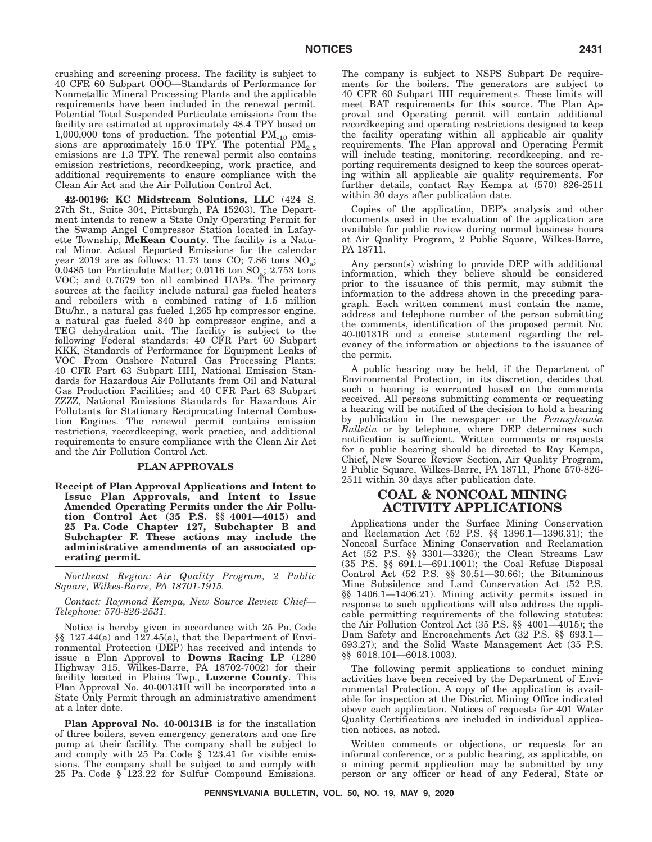crushing and screening process. The facility is subject to 40 CFR 60 Subpart OOO—Standards of Performance for Nonmetallic Mineral Processing Plants and the applicable requirements have been included in the renewal permit. Potential Total Suspended Particulate emissions from the facility are estimated at approximately 48.4 TPY based on 1,000,000 tons of production. The potential  $PM_{10}$  emissions are approximately 15.0 TPY. The potential  $PM_{2.5}$ emissions are 1.3 TPY. The renewal permit also contains emission restrictions, recordkeeping, work practice, and additional requirements to ensure compliance with the Clean Air Act and the Air Pollution Control Act.

**42-00196: KC Midstream Solutions, LLC** (424 S. 27th St., Suite 304, Pittsburgh, PA 15203). The Department intends to renew a State Only Operating Permit for the Swamp Angel Compressor Station located in Lafayette Township, **McKean County**. The facility is a Natural Minor. Actual Reported Emissions for the calendar year 2019 are as follows: 11.73 tons CO; 7.86 tons  $NO_x$ ; 0.0485 ton Particulate Matter; 0.0116 ton  $SO_x$ ; 2.753 tons VOC; and 0.7679 ton all combined HAPs. The primary sources at the facility include natural gas fueled heaters and reboilers with a combined rating of 1.5 million Btu/hr., a natural gas fueled 1,265 hp compressor engine, a natural gas fueled 840 hp compressor engine, and a TEG dehydration unit. The facility is subject to the following Federal standards: 40 CFR Part 60 Subpart KKK, Standards of Performance for Equipment Leaks of VOC From Onshore Natural Gas Processing Plants; 40 CFR Part 63 Subpart HH, National Emission Standards for Hazardous Air Pollutants from Oil and Natural Gas Production Facilities; and 40 CFR Part 63 Subpart ZZZZ, National Emissions Standards for Hazardous Air Pollutants for Stationary Reciprocating Internal Combustion Engines. The renewal permit contains emission restrictions, recordkeeping, work practice, and additional requirements to ensure compliance with the Clean Air Act and the Air Pollution Control Act.

## **PLAN APPROVALS**

**Receipt of Plan Approval Applications and Intent to Issue Plan Approvals, and Intent to Issue Amended Operating Permits under the Air Pollution Control Act (35 P.S. §§ 4001—4015) and 25 Pa. Code Chapter 127, Subchapter B and Subchapter F. These actions may include the administrative amendments of an associated operating permit.**

*Northeast Region: Air Quality Program, 2 Public Square, Wilkes-Barre, PA 18701-1915.*

*Contact: Raymond Kempa, New Source Review Chief— Telephone: 570-826-2531.*

Notice is hereby given in accordance with 25 Pa. Code §§ 127.44(a) and 127.45(a), that the Department of Environmental Protection (DEP) has received and intends to issue a Plan Approval to **Downs Racing LP** (1280 Highway 315, Wilkes-Barre, PA 18702-7002) for their facility located in Plains Twp., **Luzerne County**. This Plan Approval No. 40-00131B will be incorporated into a State Only Permit through an administrative amendment at a later date.

**Plan Approval No. 40-00131B** is for the installation of three boilers, seven emergency generators and one fire pump at their facility. The company shall be subject to and comply with 25 Pa. Code § 123.41 for visible emissions. The company shall be subject to and comply with 25 Pa. Code § 123.22 for Sulfur Compound Emissions. The company is subject to NSPS Subpart Dc requirements for the boilers. The generators are subject to 40 CFR 60 Subpart IIII requirements. These limits will meet BAT requirements for this source. The Plan Approval and Operating permit will contain additional recordkeeping and operating restrictions designed to keep the facility operating within all applicable air quality requirements. The Plan approval and Operating Permit will include testing, monitoring, recordkeeping, and reporting requirements designed to keep the sources operating within all applicable air quality requirements. For further details, contact Ray Kempa at (570) 826-2511 within 30 days after publication date.

Copies of the application, DEP's analysis and other documents used in the evaluation of the application are available for public review during normal business hours at Air Quality Program, 2 Public Square, Wilkes-Barre, PA 18711.

Any person(s) wishing to provide DEP with additional information, which they believe should be considered prior to the issuance of this permit, may submit the information to the address shown in the preceding paragraph. Each written comment must contain the name, address and telephone number of the person submitting the comments, identification of the proposed permit No. 40-00131B and a concise statement regarding the relevancy of the information or objections to the issuance of the permit.

A public hearing may be held, if the Department of Environmental Protection, in its discretion, decides that such a hearing is warranted based on the comments received. All persons submitting comments or requesting a hearing will be notified of the decision to hold a hearing by publication in the newspaper or the *Pennsylvania Bulletin* or by telephone, where DEP determines such notification is sufficient. Written comments or requests for a public hearing should be directed to Ray Kempa, Chief, New Source Review Section, Air Quality Program, 2 Public Square, Wilkes-Barre, PA 18711, Phone 570-826- 2511 within 30 days after publication date.

## **COAL & NONCOAL MINING ACTIVITY APPLICATIONS**

Applications under the Surface Mining Conservation and Reclamation Act (52 P.S. §§ 1396.1—1396.31); the Noncoal Surface Mining Conservation and Reclamation Act (52 P.S. §§ 3301—3326); the Clean Streams Law (35 P.S. §§ 691.1—691.1001); the Coal Refuse Disposal Control Act (52 P.S. §§ 30.51—30.66); the Bituminous Mine Subsidence and Land Conservation Act (52 P.S. §§ 1406.1—1406.21). Mining activity permits issued in response to such applications will also address the applicable permitting requirements of the following statutes: the Air Pollution Control Act (35 P.S. §§ 4001—4015); the Dam Safety and Encroachments Act (32 P.S. §§ 693.1— 693.27); and the Solid Waste Management Act (35 P.S. §§ 6018.101—6018.1003).

The following permit applications to conduct mining activities have been received by the Department of Environmental Protection. A copy of the application is available for inspection at the District Mining Office indicated above each application. Notices of requests for 401 Water Quality Certifications are included in individual application notices, as noted.

Written comments or objections, or requests for an informal conference, or a public hearing, as applicable, on a mining permit application may be submitted by any person or any officer or head of any Federal, State or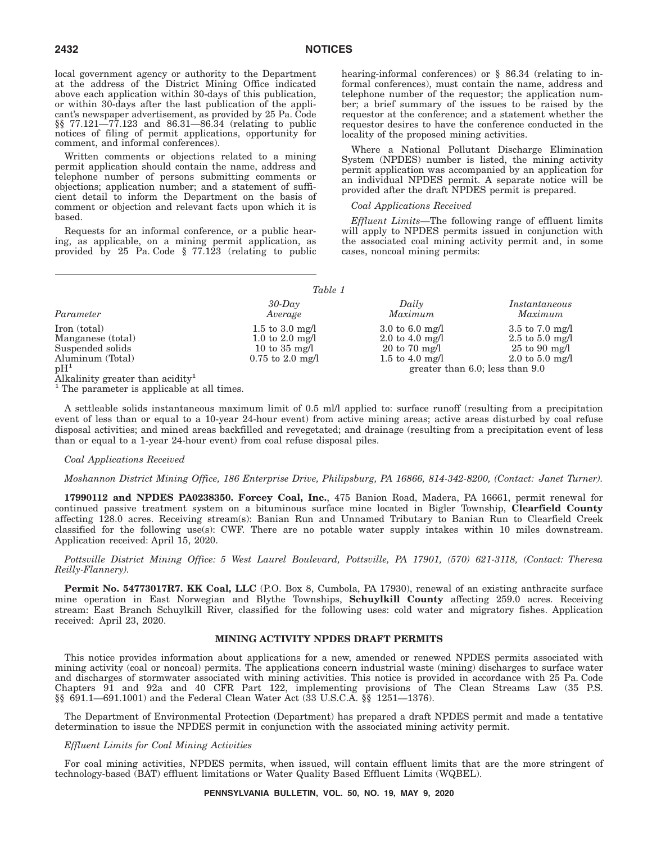local government agency or authority to the Department at the address of the District Mining Office indicated above each application within 30-days of this publication, or within 30-days after the last publication of the applicant's newspaper advertisement, as provided by 25 Pa. Code §§ 77.121—77.123 and 86.31—86.34 (relating to public notices of filing of permit applications, opportunity for comment, and informal conferences).

Written comments or objections related to a mining permit application should contain the name, address and telephone number of persons submitting comments or objections; application number; and a statement of sufficient detail to inform the Department on the basis of comment or objection and relevant facts upon which it is based.

Requests for an informal conference, or a public hearing, as applicable, on a mining permit application, as provided by 25 Pa. Code § 77.123 (relating to public hearing-informal conferences) or § 86.34 (relating to informal conferences), must contain the name, address and telephone number of the requestor; the application number; a brief summary of the issues to be raised by the requestor at the conference; and a statement whether the requestor desires to have the conference conducted in the locality of the proposed mining activities.

Where a National Pollutant Discharge Elimination System (NPDES) number is listed, the mining activity permit application was accompanied by an application for an individual NPDES permit. A separate notice will be provided after the draft NPDES permit is prepared.

#### *Coal Applications Received*

*Effluent Limits*—The following range of effluent limits will apply to NPDES permits issued in conjunction with the associated coal mining activity permit and, in some cases, noncoal mining permits:

|                        | ravie r                 |                                    |                                      |
|------------------------|-------------------------|------------------------------------|--------------------------------------|
| Parameter              | $30$ -Day               | Daily                              | Instantaneous                        |
|                        | Average                 | Maximum                            | Maximum                              |
| Iron (total)           | 1.5 to 3.0 mg/l         | $3.0 \text{ to } 6.0 \text{ mg/l}$ | $3.5$ to $7.0$ mg/l                  |
| Manganese (total)      | 1.0 to 2.0 mg/l         | 2.0 to 4.0 mg/l                    | $2.5$ to $5.0$ mg/l                  |
| Suspended solids       | 10 to $35 \text{ mg/l}$ | $20 \text{ to } 70 \text{ mg/l}$   | $25 \text{ to } 90 \text{ mg/l}$     |
| Aluminum (Total)       | $0.75$ to $2.0$ mg/l    | 1.5 to 4.0 mg/l                    | 2.0 to 5.0 mg/l                      |
| pH <sup>1</sup><br>. 1 |                         |                                    | greater than $6.0$ ; less than $9.0$ |

 $T_a L l_a$  1

Alkalinity greater than acidity<sup>1</sup>

<sup>1</sup> The parameter is applicable at all times.

A settleable solids instantaneous maximum limit of 0.5 ml/l applied to: surface runoff (resulting from a precipitation event of less than or equal to a 10-year 24-hour event) from active mining areas; active areas disturbed by coal refuse disposal activities; and mined areas backfilled and revegetated; and drainage (resulting from a precipitation event of less than or equal to a 1-year 24-hour event) from coal refuse disposal piles.

#### *Coal Applications Received*

#### *Moshannon District Mining Office, 186 Enterprise Drive, Philipsburg, PA 16866, 814-342-8200, (Contact: Janet Turner).*

**17990112 and NPDES PA0238350. Forcey Coal, Inc.**, 475 Banion Road, Madera, PA 16661, permit renewal for continued passive treatment system on a bituminous surface mine located in Bigler Township, **Clearfield County** affecting 128.0 acres. Receiving stream(s): Banian Run and Unnamed Tributary to Banian Run to Clearfield Creek classified for the following use(s): CWF. There are no potable water supply intakes within 10 miles downstream. Application received: April 15, 2020.

*Pottsville District Mining Office: 5 West Laurel Boulevard, Pottsville, PA 17901, (570) 621-3118, (Contact: Theresa Reilly-Flannery).*

Permit No. 54773017R7. KK Coal, LLC (P.O. Box 8, Cumbola, PA 17930), renewal of an existing anthracite surface mine operation in East Norwegian and Blythe Townships, **Schuylkill County** affecting 259.0 acres. Receiving stream: East Branch Schuylkill River, classified for the following uses: cold water and migratory fishes. Application received: April 23, 2020.

#### **MINING ACTIVITY NPDES DRAFT PERMITS**

This notice provides information about applications for a new, amended or renewed NPDES permits associated with mining activity (coal or noncoal) permits. The applications concern industrial waste (mining) discharges to surface water and discharges of stormwater associated with mining activities. This notice is provided in accordance with 25 Pa. Code Chapters 91 and 92a and 40 CFR Part 122, implementing provisions of The Clean Streams Law (35 P.S. §§ 691.1—691.1001) and the Federal Clean Water Act (33 U.S.C.A. §§ 1251—1376).

The Department of Environmental Protection (Department) has prepared a draft NPDES permit and made a tentative determination to issue the NPDES permit in conjunction with the associated mining activity permit.

#### *Effluent Limits for Coal Mining Activities*

For coal mining activities, NPDES permits, when issued, will contain effluent limits that are the more stringent of technology-based (BAT) effluent limitations or Water Quality Based Effluent Limits (WQBEL).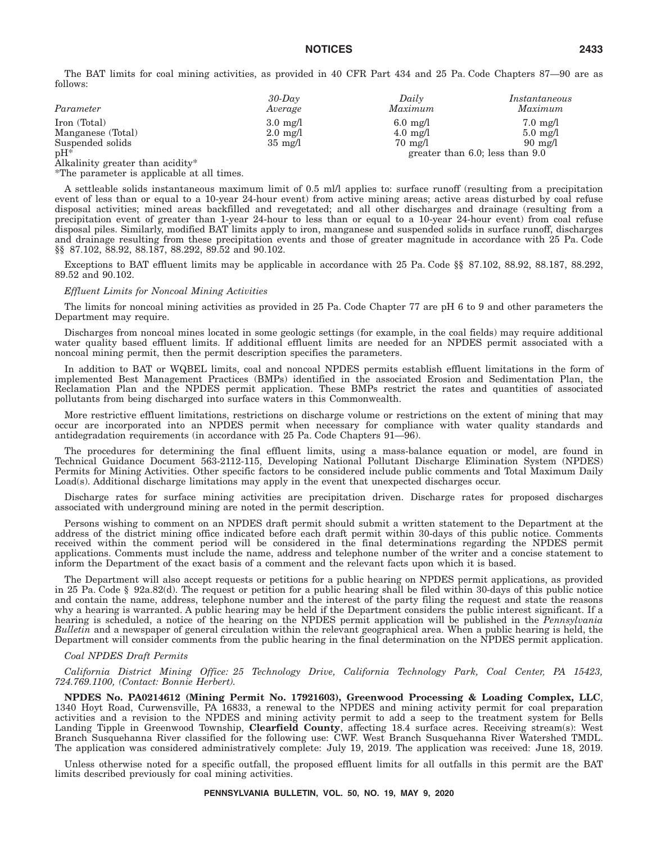The BAT limits for coal mining activities, as provided in 40 CFR Part 434 and 25 Pa. Code Chapters 87—90 are as follows:

| Parameter         | $30$ -Dav<br>Average | Daily<br>Maximum   | Instantaneous<br>Maximum             |
|-------------------|----------------------|--------------------|--------------------------------------|
|                   |                      |                    |                                      |
| Iron (Total)      | $3.0 \text{ mg}/1$   | $6.0 \text{ mg}/1$ | $7.0 \text{ mg}/1$                   |
| Manganese (Total) | $2.0 \text{ mg}/1$   | $4.0 \text{ mg}/1$ | $5.0 \text{ mg}/l$                   |
| Suspended solids  | $35 \text{ mg}/1$    | $70 \text{ mg}/1$  | $90 \text{ mg}/1$                    |
| $pH^*$            |                      |                    | greater than $6.0$ ; less than $9.0$ |

Alkalinity greater than acidity\*

\*The parameter is applicable at all times.

A settleable solids instantaneous maximum limit of 0.5 ml/l applies to: surface runoff (resulting from a precipitation event of less than or equal to a 10-year 24-hour event) from active mining areas; active areas disturbed by coal refuse disposal activities; mined areas backfilled and revegetated; and all other discharges and drainage (resulting from a precipitation event of greater than 1-year 24-hour to less than or equal to a 10-year 24-hour event) from coal refuse disposal piles. Similarly, modified BAT limits apply to iron, manganese and suspended solids in surface runoff, discharges and drainage resulting from these precipitation events and those of greater magnitude in accordance with 25 Pa. Code §§ 87.102, 88.92, 88.187, 88.292, 89.52 and 90.102.

Exceptions to BAT effluent limits may be applicable in accordance with 25 Pa. Code §§ 87.102, 88.92, 88.187, 88.292, 89.52 and 90.102.

#### *Effluent Limits for Noncoal Mining Activities*

The limits for noncoal mining activities as provided in 25 Pa. Code Chapter 77 are pH 6 to 9 and other parameters the Department may require.

Discharges from noncoal mines located in some geologic settings (for example, in the coal fields) may require additional water quality based effluent limits. If additional effluent limits are needed for an NPDES permit associated with a noncoal mining permit, then the permit description specifies the parameters.

In addition to BAT or WQBEL limits, coal and noncoal NPDES permits establish effluent limitations in the form of implemented Best Management Practices (BMPs) identified in the associated Erosion and Sedimentation Plan, the Reclamation Plan and the NPDES permit application. These BMPs restrict the rates and quantities of associated pollutants from being discharged into surface waters in this Commonwealth.

More restrictive effluent limitations, restrictions on discharge volume or restrictions on the extent of mining that may occur are incorporated into an NPDES permit when necessary for compliance with water quality standards and antidegradation requirements (in accordance with 25 Pa. Code Chapters 91—96).

The procedures for determining the final effluent limits, using a mass-balance equation or model, are found in Technical Guidance Document 563-2112-115, Developing National Pollutant Discharge Elimination System (NPDES) Permits for Mining Activities. Other specific factors to be considered include public comments and Total Maximum Daily Load(s). Additional discharge limitations may apply in the event that unexpected discharges occur.

Discharge rates for surface mining activities are precipitation driven. Discharge rates for proposed discharges associated with underground mining are noted in the permit description.

Persons wishing to comment on an NPDES draft permit should submit a written statement to the Department at the address of the district mining office indicated before each draft permit within 30-days of this public notice. Comments received within the comment period will be considered in the final determinations regarding the NPDES permit applications. Comments must include the name, address and telephone number of the writer and a concise statement to inform the Department of the exact basis of a comment and the relevant facts upon which it is based.

The Department will also accept requests or petitions for a public hearing on NPDES permit applications, as provided in 25 Pa. Code § 92a.82(d). The request or petition for a public hearing shall be filed within 30-days of this public notice and contain the name, address, telephone number and the interest of the party filing the request and state the reasons why a hearing is warranted. A public hearing may be held if the Department considers the public interest significant. If a hearing is scheduled, a notice of the hearing on the NPDES permit application will be published in the *Pennsylvania Bulletin* and a newspaper of general circulation within the relevant geographical area. When a public hearing is held, the Department will consider comments from the public hearing in the final determination on the NPDES permit application.

#### *Coal NPDES Draft Permits*

*California District Mining Office: 25 Technology Drive, California Technology Park, Coal Center, PA 15423, 724.769.1100, (Contact: Bonnie Herbert).*

**NPDES No. PA0214612 (Mining Permit No. 17921603), Greenwood Processing & Loading Complex, LLC**, 1340 Hoyt Road, Curwensville, PA 16833, a renewal to the NPDES and mining activity permit for coal preparation activities and a revision to the NPDES and mining activity permit to add a seep to the treatment system for Bells Landing Tipple in Greenwood Township, **Clearfield County**, affecting 18.4 surface acres. Receiving stream(s): West Branch Susquehanna River classified for the following use: CWF. West Branch Susquehanna River Watershed TMDL. The application was considered administratively complete: July 19, 2019. The application was received: June 18, 2019.

Unless otherwise noted for a specific outfall, the proposed effluent limits for all outfalls in this permit are the BAT limits described previously for coal mining activities.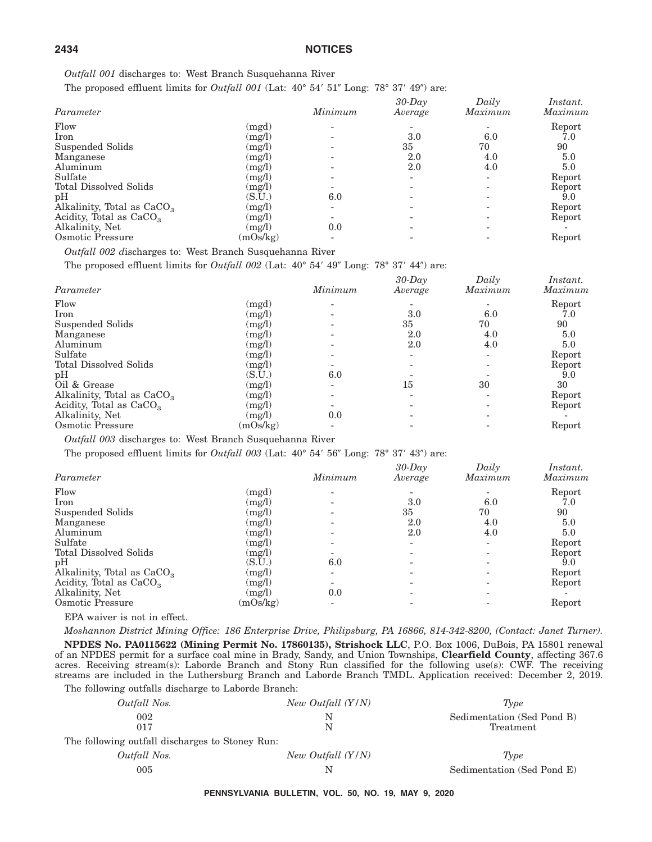*Outfall 001* discharges to: West Branch Susquehanna River

The proposed effluent limits for *Outfall 001* (Lat:  $40^{\circ}$   $54'$   $51''$  Long:  $78^{\circ}$   $37'$   $49''$ ) are:

| Parameter                              |          | Minimum | $30$ -Day<br>Average | Daily<br>Maximum | <i>Instant.</i><br>Maximum |
|----------------------------------------|----------|---------|----------------------|------------------|----------------------------|
| Flow                                   | (mgd)    |         |                      |                  | Report                     |
| Iron                                   | (mg/l)   |         | 3.0                  | 6.0              | 7.0                        |
| Suspended Solids                       | (mg/l)   |         | 35                   | 70               | 90                         |
| Manganese                              | (mg/l)   |         | 2.0                  | 4.0              | 5.0                        |
| Aluminum                               | (mg/l)   |         | 2.0                  | 4.0              | 5.0                        |
| Sulfate                                | (mg/l)   |         |                      | -                | Report                     |
| Total Dissolved Solids                 | (mg/l)   |         |                      |                  | Report                     |
| pH                                     | (S.U.)   | 6.0     |                      |                  | 9.0                        |
| Alkalinity, Total as CaCO <sub>3</sub> | (mg/l)   |         |                      |                  | Report                     |
| Acidity, Total as CaCO <sub>3</sub>    | (mg/l)   |         |                      |                  | Report                     |
| Alkalinity, Net                        | (mg/l)   | 0.0     |                      |                  |                            |
| Osmotic Pressure                       | (mOs/kg) |         |                      |                  | Report                     |

*Outfall 002 d*ischarges to: West Branch Susquehanna River

The proposed effluent limits for *Outfall 002* (Lat:  $40^{\circ}$  54'  $49^{\circ}$  Long: 78° 37'  $44^{\circ}$ ) are:

| Parameter                              |          | Minimum | $30$ -Day<br>Average | Daily<br>Maximum | Instant.<br>Maximum |
|----------------------------------------|----------|---------|----------------------|------------------|---------------------|
| Flow                                   | (mgd)    |         |                      |                  | Report              |
| Iron                                   | (mg/l)   |         | 3.0                  | 6.0              | 7.0                 |
| Suspended Solids                       | (mg/l)   |         | 35                   | 70               | 90                  |
| Manganese                              | (mg/l)   |         | 2.0                  | 4.0              | 5.0                 |
| Aluminum                               | (mg/l)   |         | 2.0                  | 4.0              | 5.0                 |
| Sulfate                                | (mg/l)   |         |                      |                  | Report              |
| Total Dissolved Solids                 | (mg/l)   |         |                      |                  | Report              |
| pH                                     | (S.U.)   | 6.0     |                      |                  | 9.0                 |
| Oil & Grease                           | (mg/l)   |         | 15                   | 30               | 30                  |
| Alkalinity, Total as CaCO <sub>3</sub> | (mg/l)   |         |                      |                  | Report              |
| Acidity, Total as $CaCO3$              | (mg/l)   |         |                      |                  | Report              |
| Alkalinity, Net                        | (mg/l)   | 0.0     |                      |                  |                     |
| Osmotic Pressure                       | (mOs/kg) |         |                      |                  | Report              |

*Outfall 003* discharges to: West Branch Susquehanna River

The proposed effluent limits for *Outfall 003* (Lat:  $40^{\circ}$  54' 56" Long: 78° 37' 43") are:

| Parameter                    |          | Minimum | $30$ -Day<br>Average | Daily<br>Maximum | <i>Instant.</i><br>Maximum |
|------------------------------|----------|---------|----------------------|------------------|----------------------------|
| Flow                         | (mgd)    |         |                      |                  | Report                     |
| Iron                         | (mg/l)   |         | 3.0                  | 6.0              | 7.0                        |
| Suspended Solids             | (mg/l)   |         | 35                   | 70               | 90                         |
| Manganese                    | (mg/l)   |         | 2.0                  | 4.0              | 5.0                        |
| Aluminum                     | (mg/l)   |         | 2.0                  | 4.0              | 5.0                        |
| Sulfate                      | (mg/l)   |         |                      | ۰                | Report                     |
| Total Dissolved Solids       | (mg/l)   |         |                      |                  | Report                     |
| pH                           | (S.U.)   | 6.0     |                      |                  | 9.0                        |
| Alkalinity, Total as $CaCO3$ | (mg/l)   |         |                      |                  | Report                     |
| Acidity, Total as $CaCO3$    | (mg/l)   |         |                      |                  | Report                     |
| Alkalinity, Net              | (mg/l)   | 0.0     |                      |                  |                            |
| Osmotic Pressure             | (mOs/kg) |         |                      |                  | Report                     |

EPA waiver is not in effect.

The following The Stone

*Moshannon District Mining Office: 186 Enterprise Drive, Philipsburg, PA 16866, 814-342-8200, (Contact: Janet Turner).*

**NPDES No. PA0115622 (Mining Permit No. 17860135), Strishock LLC**, P.O. Box 1006, DuBois, PA 15801 renewal of an NPDES permit for a surface coal mine in Brady, Sandy, and Union Townships, **Clearfield County**, affecting 367.6 acres. Receiving stream(s): Laborde Branch and Stony Run classified for the following use(s): CWF. The receiving streams are included in the Luthersburg Branch and Laborde Branch TMDL. Application received: December 2, 2019.

The following outfalls discharge to Laborde Branch:

| Outfall Nos.                              | New Outfall $(Y/N)$ | Type                                    |
|-------------------------------------------|---------------------|-----------------------------------------|
| 002<br>017                                | N<br>N              | Sedimentation (Sed Pond B)<br>Treatment |
| llowing outfall discharges to Stoney Run: |                     |                                         |
| Outfall Nos.                              | New Outfall (Y/N)   | Type                                    |
| 005                                       | N                   | Sedimentation (Sed Pond E)              |

**PENNSYLVANIA BULLETIN, VOL. 50, NO. 19, MAY 9, 2020**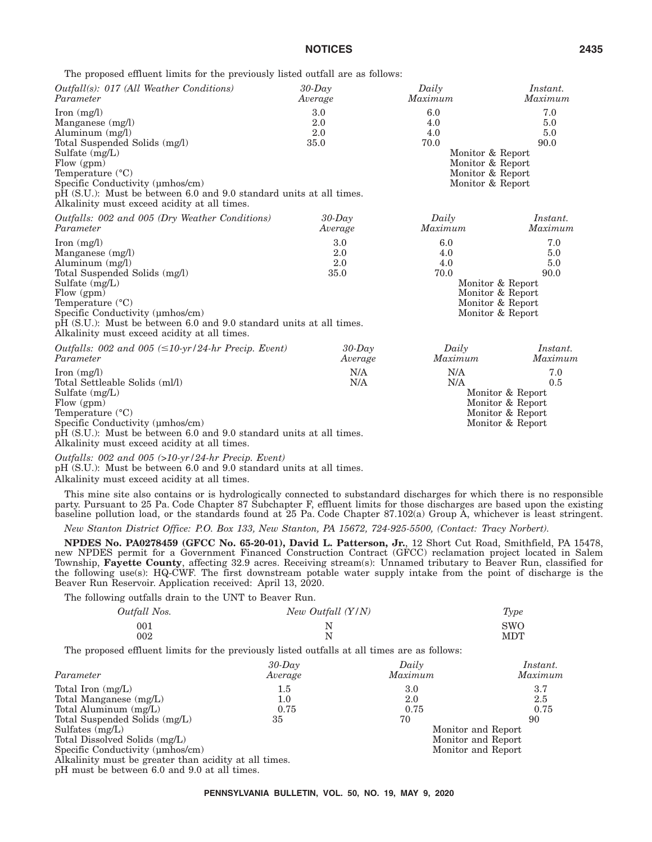The proposed effluent limits for the previously listed outfall are as follows:

| <i>Outfall(s): 017 (All Weather Conditions)</i>                                                                                                                                                                                                                                                                     | $30$ -Day                 | Daily                                                                                                     | Instant.                                                                                                  |
|---------------------------------------------------------------------------------------------------------------------------------------------------------------------------------------------------------------------------------------------------------------------------------------------------------------------|---------------------------|-----------------------------------------------------------------------------------------------------------|-----------------------------------------------------------------------------------------------------------|
| Parameter                                                                                                                                                                                                                                                                                                           | Average                   | Maximum                                                                                                   | Maximum                                                                                                   |
| Iron $(mg/l)$<br>Manganese $(mg/l)$<br>Aluminum $(mg/l)$<br>Total Suspended Solids (mg/l)<br>Sulfate (mg/L)<br>Flow $(gpm)$<br>Temperature $(^{\circ}C)$<br>Specific Conductivity (umhos/cm)<br>pH (S.U.): Must be between 6.0 and 9.0 standard units at all times.<br>Alkalinity must exceed acidity at all times. | 3.0<br>2.0<br>2.0<br>35.0 | 6.0<br>4.0<br>4.0<br>70.0<br>Monitor & Report<br>Monitor & Report<br>Monitor & Report<br>Monitor & Report | 7.0<br>5.0<br>5.0<br>90.0                                                                                 |
| Outfalls: 002 and 005 (Dry Weather Conditions)                                                                                                                                                                                                                                                                      | $30$ -Day                 | Daily                                                                                                     | Instant.                                                                                                  |
| Parameter                                                                                                                                                                                                                                                                                                           | Average                   | Maximum                                                                                                   | Maximum                                                                                                   |
| Iron $(mg/l)$<br>Manganese $(mg/l)$<br>Aluminum $(mg/l)$<br>Total Suspended Solids (mg/l)<br>Sulfate $(mg/L)$<br>Flow $(gpm)$<br>Temperature (°C)<br>Specific Conductivity (umhos/cm)<br>pH (S.U.): Must be between 6.0 and 9.0 standard units at all times.<br>Alkalinity must exceed acidity at all times.        | 3.0<br>2.0<br>2.0<br>35.0 | 6.0<br>4.0<br>4.0<br>70.0                                                                                 | 7.0<br>5.0<br>5.0<br>90.0<br>Monitor & Report<br>Monitor & Report<br>Monitor & Report<br>Monitor & Report |
| Outfalls: 002 and 005 $(\leq 10 \text{-yr}/24 \text{-}hr$ Precip. Event)                                                                                                                                                                                                                                            | $30$ -Day                 | Daily                                                                                                     | Instant.                                                                                                  |
| Parameter                                                                                                                                                                                                                                                                                                           | Average                   | Maximum                                                                                                   | Maximum                                                                                                   |
| $\text{Iron} \ (\text{mg/l})$<br>Total Settleable Solids (ml/l)<br>Sulfate $(mg/L)$<br>Flow $(gpm)$<br>Temperature $(^{\circ}C)$<br>Specific Conductivity (umhos/cm)<br>pH (S.U.): Must be between 6.0 and 9.0 standard units at all times.                                                                         | N/A<br>N/A                | N/A<br>N/A                                                                                                | 7.0<br>0.5<br>Monitor & Report<br>Monitor & Report<br>Monitor & Report<br>Monitor & Report                |

Alkalinity must exceed acidity at all times.

*Outfalls: 002 and 005 (>10-yr/24-hr Precip. Event)*

pH (S.U.): Must be between 6.0 and 9.0 standard units at all times. Alkalinity must exceed acidity at all times.

This mine site also contains or is hydrologically connected to substandard discharges for which there is no responsible party. Pursuant to 25 Pa. Code Chapter 87 Subchapter F, effluent limits for those discharges are based upon the existing baseline pollution load, or the standards found at 25 Pa. Code Chapter 87.102(a) Group A, whichever is least stringent.

*New Stanton District Office: P.O. Box 133, New Stanton, PA 15672, 724-925-5500, (Contact: Tracy Norbert).*

**NPDES No. PA0278459 (GFCC No. 65-20-01), David L. Patterson, Jr.**, 12 Short Cut Road, Smithfield, PA 15478, new NPDES permit for a Government Financed Construction Contract (GFCC) reclamation project located in Salem Township, **Fayette County**, affecting 32.9 acres. Receiving stream(s): Unnamed tributary to Beaver Run, classified for the following use(s): HQ-CWF. The first downstream potable water supply intake from the point of discharge is the Beaver Run Reservoir. Application received: April 13, 2020.

The following outfalls drain to the UNT to Beaver Run.

| Outfall Nos. | New Outfall (Y/N) | Type       |
|--------------|-------------------|------------|
| 001          | N                 | <b>SWO</b> |
| 002          | N                 | MDT        |

The proposed effluent limits for the previously listed outfalls at all times are as follows:

| Parameter                                             | $30$ -Day<br>Average | Daily<br>Maximum   | Instant.<br>Maximum |
|-------------------------------------------------------|----------------------|--------------------|---------------------|
|                                                       |                      |                    | 3.7                 |
| Total Iron $(mg/L)$                                   | $1.5\,$              | 3.0                |                     |
| Total Manganese (mg/L)                                | $1.0\,$              | 2.0                | 2.5                 |
| Total Aluminum $(mg/L)$                               | 0.75                 | 0.75               | 0.75                |
| Total Suspended Solids (mg/L)                         | 35                   | 70                 | 90                  |
| Sulfates $(mg/L)$                                     |                      | Monitor and Report |                     |
| Total Dissolved Solids (mg/L)                         |                      | Monitor and Report |                     |
| Specific Conductivity (umhos/cm)                      |                      | Monitor and Report |                     |
| Alkalinity must be greater than acidity at all times. |                      |                    |                     |
| $nH$ must be between $6.0$ and $0.0$ et all times     |                      |                    |                     |

pH must be between 6.0 and 9.0 at all times.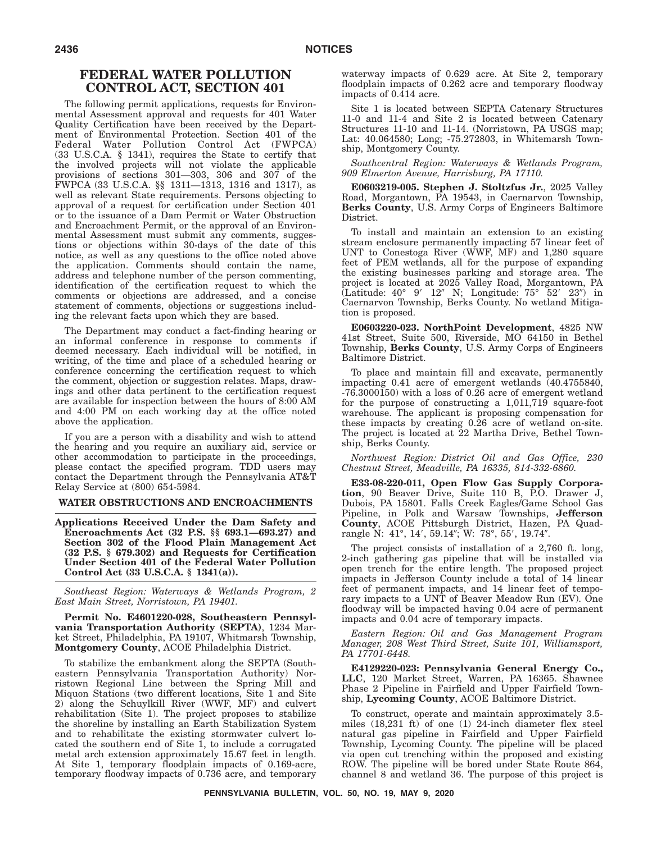# **FEDERAL WATER POLLUTION CONTROL ACT, SECTION 401**

The following permit applications, requests for Environmental Assessment approval and requests for 401 Water Quality Certification have been received by the Department of Environmental Protection. Section 401 of the Federal Water Pollution Control Act (FWPCA) (33 U.S.C.A. § 1341), requires the State to certify that the involved projects will not violate the applicable provisions of sections 301—303, 306 and 307 of the FWPCA (33 U.S.C.A. §§ 1311—1313, 1316 and 1317), as well as relevant State requirements. Persons objecting to approval of a request for certification under Section 401 or to the issuance of a Dam Permit or Water Obstruction and Encroachment Permit, or the approval of an Environmental Assessment must submit any comments, suggestions or objections within 30-days of the date of this notice, as well as any questions to the office noted above the application. Comments should contain the name, address and telephone number of the person commenting, identification of the certification request to which the comments or objections are addressed, and a concise statement of comments, objections or suggestions including the relevant facts upon which they are based.

The Department may conduct a fact-finding hearing or an informal conference in response to comments if deemed necessary. Each individual will be notified, in writing, of the time and place of a scheduled hearing or conference concerning the certification request to which the comment, objection or suggestion relates. Maps, drawings and other data pertinent to the certification request are available for inspection between the hours of 8:00 AM and 4:00 PM on each working day at the office noted above the application.

If you are a person with a disability and wish to attend the hearing and you require an auxiliary aid, service or other accommodation to participate in the proceedings, please contact the specified program. TDD users may contact the Department through the Pennsylvania AT&T Relay Service at (800) 654-5984.

#### **WATER OBSTRUCTIONS AND ENCROACHMENTS**

**Applications Received Under the Dam Safety and Encroachments Act (32 P.S. §§ 693.1—693.27) and Section 302 of the Flood Plain Management Act (32 P.S. § 679.302) and Requests for Certification Under Section 401 of the Federal Water Pollution Control Act (33 U.S.C.A. § 1341(a)).**

*Southeast Region: Waterways & Wetlands Program, 2 East Main Street, Norristown, PA 19401.*

**Permit No. E4601220-028, Southeastern Pennsylvania Transportation Authority (SEPTA)**, 1234 Market Street, Philadelphia, PA 19107, Whitmarsh Township, **Montgomery County**, ACOE Philadelphia District.

To stabilize the embankment along the SEPTA (Southeastern Pennsylvania Transportation Authority) Norristown Regional Line between the Spring Mill and Miquon Stations (two different locations, Site 1 and Site 2) along the Schuylkill River (WWF, MF) and culvert rehabilitation (Site 1). The project proposes to stabilize the shoreline by installing an Earth Stabilization System and to rehabilitate the existing stormwater culvert located the southern end of Site  $\overline{1}$ , to include a corrugated metal arch extension approximately 15.67 feet in length. At Site 1, temporary floodplain impacts of 0.169-acre, temporary floodway impacts of 0.736 acre, and temporary

waterway impacts of 0.629 acre. At Site 2, temporary floodplain impacts of 0.262 acre and temporary floodway impacts of 0.414 acre.

Site 1 is located between SEPTA Catenary Structures 11-0 and 11-4 and Site 2 is located between Catenary Structures 11-10 and 11-14. (Norristown, PA USGS map; Lat: 40.064580; Long; -75.272803, in Whitemarsh Township, Montgomery County.

*Southcentral Region: Waterways & Wetlands Program, 909 Elmerton Avenue, Harrisburg, PA 17110.*

**E0603219-005. Stephen J. Stoltzfus Jr.**, 2025 Valley Road, Morgantown, PA 19543, in Caernarvon Township, **Berks County**, U.S. Army Corps of Engineers Baltimore District.

To install and maintain an extension to an existing stream enclosure permanently impacting 57 linear feet of UNT to Conestoga River (WWF, MF) and 1,280 square feet of PEM wetlands, all for the purpose of expanding the existing businesses parking and storage area. The project is located at 2025 Valley Road, Morgantown, PA (Latitude: 40° 9' 12" N; Longitude: 75° 52' 23") in Caernarvon Township, Berks County. No wetland Mitigation is proposed.

**E0603220-023. NorthPoint Development**, 4825 NW 41st Street, Suite 500, Riverside, MO 64150 in Bethel Township, **Berks County**, U.S. Army Corps of Engineers Baltimore District.

To place and maintain fill and excavate, permanently impacting 0.41 acre of emergent wetlands (40.4755840, -76.3000150) with a loss of 0.26 acre of emergent wetland for the purpose of constructing a 1,011,719 square-foot warehouse. The applicant is proposing compensation for these impacts by creating 0.26 acre of wetland on-site. The project is located at 22 Martha Drive, Bethel Township, Berks County.

*Northwest Region: District Oil and Gas Office, 230 Chestnut Street, Meadville, PA 16335, 814-332-6860.*

**E33-08-220-011, Open Flow Gas Supply Corporation**, 90 Beaver Drive, Suite 110 B, P.O. Drawer J, Dubois, PA 15801. Falls Creek Eagles/Game School Gas Pipeline, in Polk and Warsaw Townships, **Jefferson County**, ACOE Pittsburgh District, Hazen, PA Quadrangle N: 41°, 14′, 59.14″; W: 78°, 55′, 19.74″.

The project consists of installation of a 2,760 ft. long, 2-inch gathering gas pipeline that will be installed via open trench for the entire length. The proposed project impacts in Jefferson County include a total of 14 linear feet of permanent impacts, and 14 linear feet of temporary impacts to a UNT of Beaver Meadow Run (EV). One floodway will be impacted having 0.04 acre of permanent impacts and 0.04 acre of temporary impacts.

*Eastern Region: Oil and Gas Management Program Manager, 208 West Third Street, Suite 101, Williamsport, PA 17701-6448.*

**E4129220-023: Pennsylvania General Energy Co., LLC**, 120 Market Street, Warren, PA 16365. Shawnee Phase 2 Pipeline in Fairfield and Upper Fairfield Township, **Lycoming County**, ACOE Baltimore District.

To construct, operate and maintain approximately 3.5 miles (18,231 ft) of one (1) 24-inch diameter flex steel natural gas pipeline in Fairfield and Upper Fairfield Township, Lycoming County. The pipeline will be placed via open cut trenching within the proposed and existing ROW. The pipeline will be bored under State Route 864, channel 8 and wetland 36. The purpose of this project is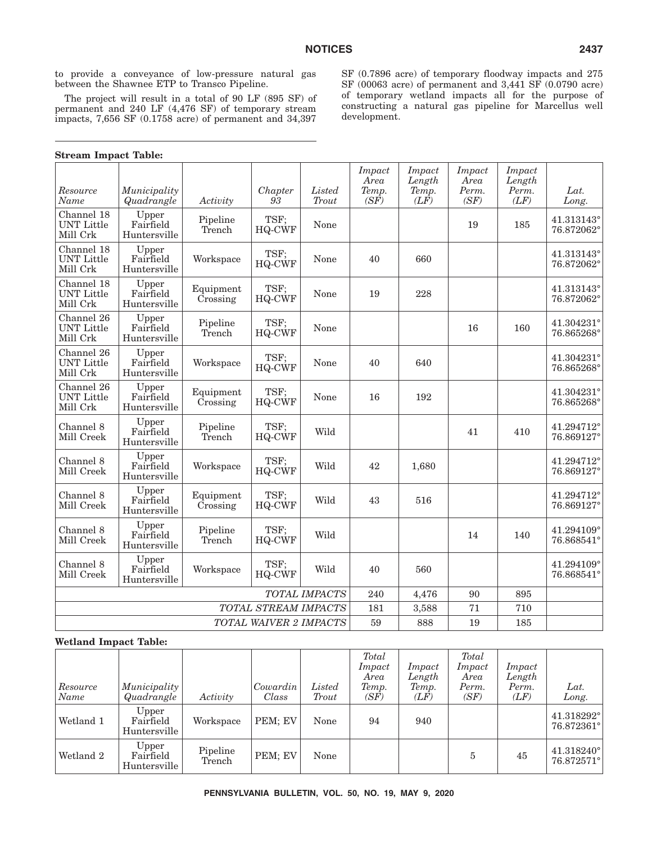to provide a conveyance of low-pressure natural gas between the Shawnee ETP to Transco Pipeline.

The project will result in a total of 90 LF (895 SF) of permanent and 240 LF (4,476 SF) of temporary stream impacts, 7,656 SF (0.1758 acre) of permanent and 34,397 SF (0.7896 acre) of temporary floodway impacts and 275 SF (00063 acre) of permanent and 3,441 SF (0.0790 acre) of temporary wetland impacts all for the purpose of constructing a natural gas pipeline for Marcellus well development.

| Resource<br>Name                            | Municipality<br>Quadrangle         | Activity              | Chapter<br>93         | Listed<br>Trout | Impact<br>Area<br>Temp.<br>(SF) | <i>Impact</i><br>Length<br>Temp.<br>$(L\bar{F})$ | <b>Impact</b><br>Area<br>Perm.<br>(SF) | Impact<br>Length<br>Perm.<br>(LF) | Lat.<br>Long.            |
|---------------------------------------------|------------------------------------|-----------------------|-----------------------|-----------------|---------------------------------|--------------------------------------------------|----------------------------------------|-----------------------------------|--------------------------|
| Channel 18<br><b>UNT Little</b><br>Mill Crk | Upper<br>Fairfield<br>Huntersville | Pipeline<br>Trench    | TSF;<br><b>HQ-CWF</b> | None            |                                 |                                                  | 19                                     | 185                               | 41.313143°<br>76.872062° |
| Channel 18<br><b>UNT Little</b><br>Mill Crk | Upper<br>Fairfield<br>Huntersville | Workspace             | TSF:<br>HQ-CWF        | None            | 40                              | 660                                              |                                        |                                   | 41.313143°<br>76.872062° |
| Channel 18<br><b>UNT Little</b><br>Mill Crk | Upper<br>Fairfield<br>Huntersville | Equipment<br>Crossing | TSF;<br><b>HQ-CWF</b> | None            | 19                              | 228                                              |                                        |                                   | 41.313143°<br>76.872062° |
| Channel 26<br><b>UNT Little</b><br>Mill Crk | Upper<br>Fairfield<br>Huntersville | Pipeline<br>Trench    | TSF;<br>HQ-CWF        | None            |                                 |                                                  | 16                                     | 160                               | 41.304231°<br>76.865268° |
| Channel 26<br><b>UNT Little</b><br>Mill Crk | Upper<br>Fairfield<br>Huntersville | Workspace             | TSF:<br>HQ-CWF        | None            | 40                              | 640                                              |                                        |                                   | 41.304231°<br>76.865268° |
| Channel 26<br><b>UNT Little</b><br>Mill Crk | Upper<br>Fairfield<br>Huntersville | Equipment<br>Crossing | TSF:<br><b>HQ-CWF</b> | None            | 16                              | 192                                              |                                        |                                   | 41.304231°<br>76.865268° |
| Channel 8<br>Mill Creek                     | Upper<br>Fairfield<br>Huntersville | Pipeline<br>Trench    | TSF:<br>HQ-CWF        | Wild            |                                 |                                                  | 41                                     | 410                               | 41.294712°<br>76.869127° |
| Channel 8<br>Mill Creek                     | Upper<br>Fairfield<br>Huntersville | Workspace             | TSF;<br><b>HQ-CWF</b> | Wild            | 42                              | 1,680                                            |                                        |                                   | 41.294712°<br>76.869127° |
| Channel 8<br>Mill Creek                     | Upper<br>Fairfield<br>Huntersville | Equipment<br>Crossing | TSF:<br><b>HQ-CWF</b> | Wild            | 43                              | 516                                              |                                        |                                   | 41.294712°<br>76.869127° |
| Channel 8<br>Mill Creek                     | Upper<br>Fairfield<br>Huntersville | Pipeline<br>Trench    | TSF:<br><b>HQ-CWF</b> | Wild            |                                 |                                                  | 14                                     | 140                               | 41.294109°<br>76.868541° |
| Channel 8<br>Mill Creek                     | Upper<br>Fairfield<br>Huntersville | Workspace             | TSF:<br>HQ-CWF        | Wild            | 40                              | 560                                              |                                        |                                   | 41.294109°<br>76.868541° |
|                                             |                                    |                       |                       | TOTAL IMPACTS   | 240                             | 4,476                                            | 90                                     | 895                               |                          |
|                                             |                                    |                       | TOTAL STREAM IMPACTS  |                 | 181                             | 3,588                                            | 71                                     | 710                               |                          |
| TOTAL WAIVER 2 IMPACTS                      |                                    |                       |                       |                 | 59                              | 888                                              | 19                                     | 185                               |                          |

# **Wetland Impact Table:**

| Resource<br> Name | Municipality<br>Quadrangle         | Activity           | Cowardin<br>Class | Listed<br>Trout | Total<br>Impact<br>Area<br>Temp.<br>(SF) | Impact<br>Length<br>Temp.<br>(LF) | Total<br>Impact<br>Area<br>Perm.<br>(SF) | Impact<br>Length<br>Perm.<br>(LF) | Lat.<br>Long.            |
|-------------------|------------------------------------|--------------------|-------------------|-----------------|------------------------------------------|-----------------------------------|------------------------------------------|-----------------------------------|--------------------------|
| Wetland 1         | Upper<br>Fairfield<br>Huntersville | Workspace          | PEM; EV           | None            | 94                                       | 940                               |                                          |                                   | 41.318292°<br>76.872361° |
| Wetland 2         | Upper<br>Fairfield<br>Huntersville | Pipeline<br>Trench | PEM: EV           | None            |                                          |                                   | 5                                        | 45                                | 41.318240°<br>76.872571° |

# **Stream Impact Table:**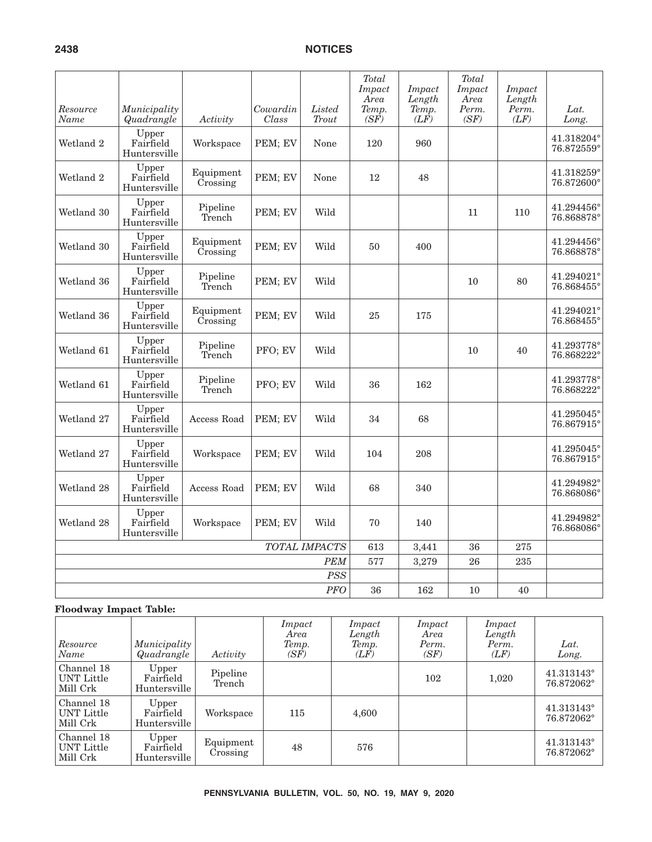| Resource<br>Name | Municipality<br>Quadrangle         | Activity              | Cowardin<br>Class | Listed<br>Trout | <b>Total</b><br>Impact<br>Area<br>Temp.<br>$(S\vec{F})$ | <i>Impact</i><br>Length<br>Temp.<br>$(L\tilde{F})$ | Total<br>Impact<br>Area<br>Perm.<br>(SF) | Impact<br>Length<br>Perm.<br>(LF) | Lat.<br>Long.                     |
|------------------|------------------------------------|-----------------------|-------------------|-----------------|---------------------------------------------------------|----------------------------------------------------|------------------------------------------|-----------------------------------|-----------------------------------|
| Wetland 2        | Upper<br>Fairfield<br>Huntersville | Workspace             | PEM; EV           | None            | 120                                                     | 960                                                |                                          |                                   | 41.318204°<br>76.872559°          |
| Wetland 2        | Upper<br>Fairfield<br>Huntersville | Equipment<br>Crossing | PEM; EV           | None            | 12                                                      | 48                                                 |                                          |                                   | 41.318259°<br>76.872600°          |
| Wetland 30       | Upper<br>Fairfield<br>Huntersville | Pipeline<br>Trench    | PEM; EV           | Wild            |                                                         |                                                    | 11                                       | 110                               | $41.294456^{\circ}$<br>76.868878° |
| Wetland 30       | Upper<br>Fairfield<br>Huntersville | Equipment<br>Crossing | PEM; EV           | Wild            | 50                                                      | 400                                                |                                          |                                   | 41.294456°<br>76.868878°          |
| Wetland 36       | Upper<br>Fairfield<br>Huntersville | Pipeline<br>Trench    | PEM; EV           | Wild            |                                                         |                                                    | 10                                       | 80                                | 41.294021°<br>76.868455°          |
| Wetland 36       | Upper<br>Fairfield<br>Huntersville | Equipment<br>Crossing | PEM; EV           | Wild            | 25                                                      | 175                                                |                                          |                                   | 41.294021°<br>76.868455°          |
| Wetland 61       | Upper<br>Fairfield<br>Huntersville | Pipeline<br>Trench    | PFO; EV           | Wild            |                                                         |                                                    | 10                                       | 40                                | 41.293778°<br>76.868222°          |
| Wetland 61       | Upper<br>Fairfield<br>Huntersville | Pipeline<br>Trench    | PFO; EV           | Wild            | 36                                                      | 162                                                |                                          |                                   | 41.293778°<br>76.868222°          |
| Wetland 27       | Upper<br>Fairfield<br>Huntersville | Access Road           | PEM; EV           | Wild            | 34                                                      | 68                                                 |                                          |                                   | 41.295045°<br>76.867915°          |
| Wetland 27       | Upper<br>Fairfield<br>Huntersville | Workspace             | PEM; EV           | Wild            | 104                                                     | 208                                                |                                          |                                   | $41.295045^{\circ}$<br>76.867915° |
| Wetland 28       | Upper<br>Fairfield<br>Huntersville | Access Road           | PEM; EV           | Wild            | 68                                                      | 340                                                |                                          |                                   | 41.294982°<br>76.868086°          |
| Wetland 28       | Upper<br>Fairfield<br>Huntersville | Workspace             | PEM; EV           | Wild            | 70                                                      | 140                                                |                                          |                                   | 41.294982°<br>76.868086°          |
|                  |                                    |                       |                   | TOTAL IMPACTS   | 613                                                     | 3,441                                              | 36                                       | 275                               |                                   |
|                  |                                    |                       |                   | <b>PEM</b>      | 577                                                     | 3,279                                              | 26                                       | 235                               |                                   |
|                  |                                    |                       |                   | <b>PSS</b>      |                                                         |                                                    |                                          |                                   |                                   |
|                  |                                    |                       |                   | <b>PFO</b>      | 36                                                      | 162                                                | 10                                       | 40                                |                                   |

# **Floodway Impact Table:**

| Resource<br>Name                            | <i>Municipality</i><br>Quadrangle  | Activity              | Impact<br>Area<br>Temp.<br>(SF) | Impact<br>Length<br>Temp.<br>(LF) | Impact<br>Area<br>Perm.<br>(SF) | Impact<br>Length<br>Perm.<br>(LF) | Lat.<br>Long.            |
|---------------------------------------------|------------------------------------|-----------------------|---------------------------------|-----------------------------------|---------------------------------|-----------------------------------|--------------------------|
| Channel 18<br>UNT Little<br>  Mill Crk      | Upper<br>Fairfield<br>Huntersville | Pipeline<br>Trench    |                                 |                                   | 102                             | 1,020                             | 41.313143°<br>76.872062° |
| Channel 18<br>UNT Little<br>Mill Crk        | Upper<br>Fairfield<br>Huntersville | Workspace             | 115                             | 4,600                             |                                 |                                   | 41.313143°<br>76.872062° |
| Channel 18<br><b>UNT Little</b><br>Mill Crk | Upper<br>Fairfield<br>Huntersville | Equipment<br>Crossing | 48                              | 576                               |                                 |                                   | 41.313143°<br>76.872062° |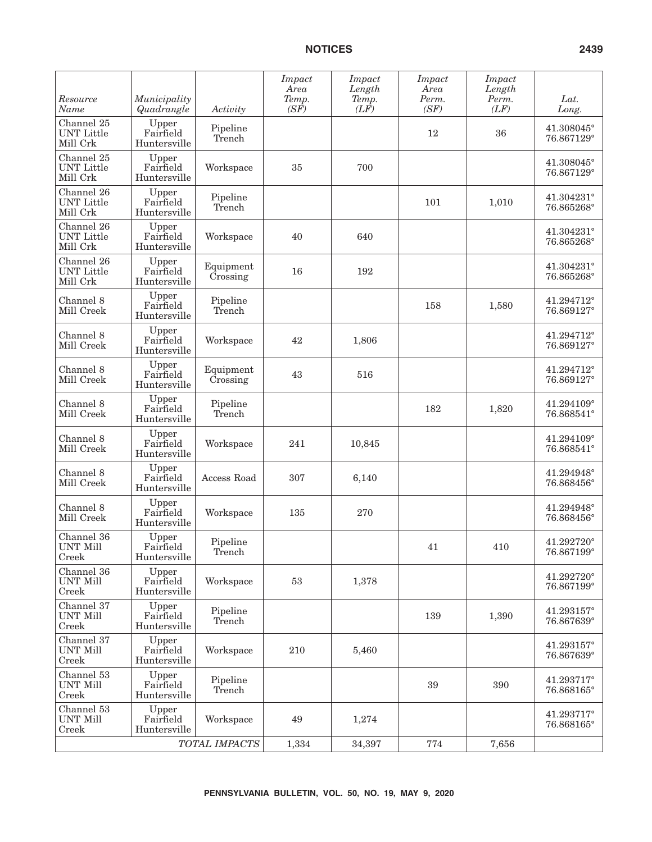| Resource<br>Name                            | Municipality<br>Quadrangle         | Activity              | <i>Impact</i><br>Area<br>Temp.<br>(SF) | Impact<br>Length<br>Temp.<br>(LF) | Impact<br>Area<br>Perm.<br>(SF) | Impact<br>Length<br>Perm.<br>(LF) | Lat.<br>Long.            |
|---------------------------------------------|------------------------------------|-----------------------|----------------------------------------|-----------------------------------|---------------------------------|-----------------------------------|--------------------------|
| Channel 25<br><b>UNT Little</b><br>Mill Crk | Upper<br>Fairfield<br>Huntersville | Pipeline<br>Trench    |                                        |                                   | 12                              | 36                                | 41.308045°<br>76.867129° |
| Channel 25<br><b>UNT</b> Little<br>Mill Crk | Upper<br>Fairfield<br>Huntersville | Workspace             | 35                                     | 700                               |                                 |                                   | 41.308045°<br>76.867129° |
| Channel 26<br><b>UNT</b> Little<br>Mill Crk | Upper<br>Fairfield<br>Huntersville | Pipeline<br>Trench    |                                        |                                   | 101                             | 1,010                             | 41.304231°<br>76.865268° |
| Channel 26<br><b>UNT</b> Little<br>Mill Crk | Upper<br>Fairfield<br>Huntersville | Workspace             | 40                                     | 640                               |                                 |                                   | 41.304231°<br>76.865268° |
| Channel 26<br><b>UNT</b> Little<br>Mill Crk | Upper<br>Fairfield<br>Huntersville | Equipment<br>Crossing | 16                                     | 192                               |                                 |                                   | 41.304231°<br>76.865268° |
| Channel 8<br>Mill Creek                     | Upper<br>Fairfield<br>Huntersville | Pipeline<br>Trench    |                                        |                                   | 158                             | 1,580                             | 41.294712°<br>76.869127° |
| Channel 8<br>Mill Creek                     | Upper<br>Fairfield<br>Huntersville | Workspace             | 42                                     | 1,806                             |                                 |                                   | 41.294712°<br>76.869127° |
| Channel 8<br>Mill Creek                     | Upper<br>Fairfield<br>Huntersville | Equipment<br>Crossing | 43                                     | 516                               |                                 |                                   | 41.294712°<br>76.869127° |
| Channel 8<br>Mill Creek                     | Upper<br>Fairfield<br>Huntersville | Pipeline<br>Trench    |                                        |                                   | 182                             | 1,820                             | 41.294109°<br>76.868541° |
| Channel 8<br>Mill Creek                     | Upper<br>Fairfield<br>Huntersville | Workspace             | 241                                    | 10,845                            |                                 |                                   | 41.294109°<br>76.868541° |
| Channel 8<br>Mill Creek                     | Upper<br>Fairfield<br>Huntersville | Access Road           | 307                                    | 6,140                             |                                 |                                   | 41.294948°<br>76.868456° |
| Channel 8<br>Mill Creek                     | Upper<br>Fairfield<br>Huntersville | Workspace             | 135                                    | 270                               |                                 |                                   | 41.294948°<br>76.868456° |
| Channel 36<br><b>UNT Mill</b><br>Creek      | Upper<br>Fairfield<br>Huntersville | Pipeline<br>'I'rench  |                                        |                                   | 41                              | 410                               | 41.292720°<br>76.867199° |
| Channel 36<br><b>UNT Mill</b><br>Creek      | Upper<br>Fairfield<br>Huntersville | Workspace             | 53                                     | 1,378                             |                                 |                                   | 41.292720°<br>76.867199° |
| Channel 37<br><b>UNT Mill</b><br>Creek      | Upper<br>Fairfield<br>Huntersville | Pipeline<br>Trench    |                                        |                                   | 139                             | 1,390                             | 41.293157°<br>76.867639° |
| Channel 37<br><b>UNT Mill</b><br>Creek      | Upper<br>Fairfield<br>Huntersville | Workspace             | 210                                    | 5,460                             |                                 |                                   | 41.293157°<br>76.867639° |
| Channel 53<br><b>UNT Mill</b><br>Creek      | Upper<br>Fairfield<br>Huntersville | Pipeline<br>Trench    |                                        |                                   | 39                              | 390                               | 41.293717°<br>76.868165° |
| Channel 53<br><b>UNT Mill</b><br>Creek      | Upper<br>Fairfield<br>Huntersville | Workspace             | 49                                     | 1,274                             |                                 |                                   | 41.293717°<br>76.868165° |
|                                             |                                    | TOTAL IMPACTS         | 1,334                                  | 34,397                            | 774                             | 7,656                             |                          |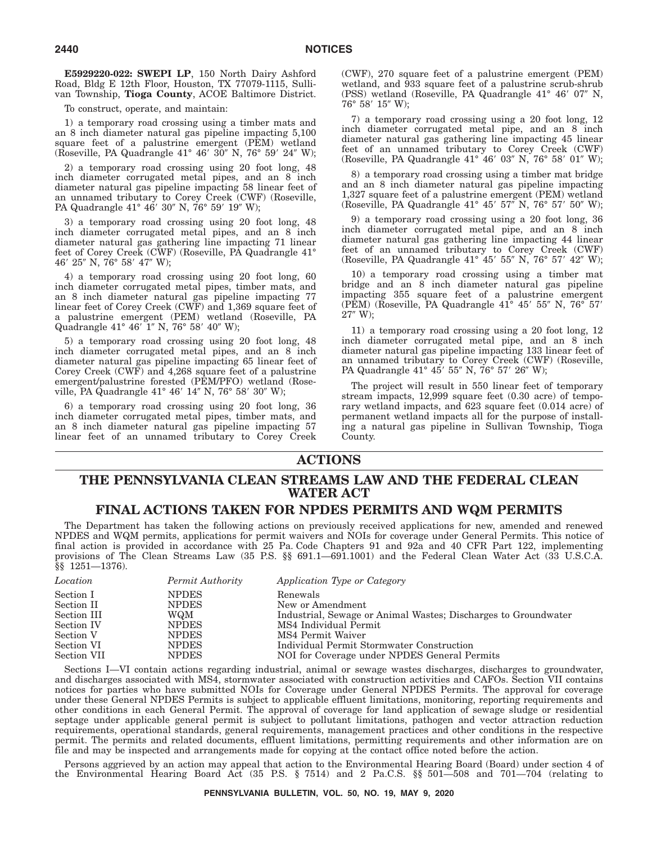**E5929220-022: SWEPI LP**, 150 North Dairy Ashford Road, Bldg E 12th Floor, Houston, TX 77079-1115, Sullivan Township, **Tioga County**, ACOE Baltimore District.

To construct, operate, and maintain:

1) a temporary road crossing using a timber mats and an 8 inch diameter natural gas pipeline impacting 5,100 square feet of a palustrine emergent (PEM) wetland (Roseville, PA Quadrangle 41° 46′ 30″ N, 76° 59′ 24″ W);

2) a temporary road crossing using 20 foot long, 48 inch diameter corrugated metal pipes, and an 8 inch diameter natural gas pipeline impacting 58 linear feet of an unnamed tributary to Corey Creek (CWF) (Roseville, PA Quadrangle 41° 46′ 30″ N, 76° 59′ 19″ W);

3) a temporary road crossing using 20 foot long, 48 inch diameter corrugated metal pipes, and an 8 inch diameter natural gas gathering line impacting 71 linear feet of Corey Creek (CWF) (Roseville, PA Quadrangle 41° 46′ 25″ N, 76° 58′ 47″ W);

4) a temporary road crossing using 20 foot long, 60 inch diameter corrugated metal pipes, timber mats, and an 8 inch diameter natural gas pipeline impacting 77 linear feet of Corey Creek (CWF) and 1,369 square feet of a palustrine emergent (PEM) wetland (Roseville, PA Quadrangle 41° 46' 1" N, 76° 58' 40" W);

5) a temporary road crossing using 20 foot long, 48 inch diameter corrugated metal pipes, and an 8 inch diameter natural gas pipeline impacting 65 linear feet of Corey Creek (CWF) and 4,268 square feet of a palustrine emergent/palustrine forested (PEM/PFO) wetland (Roseville, PA Quadrangle 41° 46′ 14″ N, 76° 58′ 30″ W);

6) a temporary road crossing using 20 foot long, 36 inch diameter corrugated metal pipes, timber mats, and an 8 inch diameter natural gas pipeline impacting 57 linear feet of an unnamed tributary to Corey Creek (CWF), 270 square feet of a palustrine emergent (PEM) wetland, and 933 square feet of a palustrine scrub-shrub (PSS) wetland (Roseville, PA Quadrangle 41° 46' 07" N,  $76^{\circ}$  58'  $15''$  W);

7) a temporary road crossing using a 20 foot long, 12 inch diameter corrugated metal pipe, and an 8 inch diameter natural gas gathering line impacting 45 linear feet of an unnamed tributary to Corey Creek (CWF) (Roseville, PA Quadrangle 41° 46' 03" N, 76° 58' 01" W);

8) a temporary road crossing using a timber mat bridge and an 8 inch diameter natural gas pipeline impacting 1,327 square feet of a palustrine emergent (PEM) wetland (Roseville, PA Quadrangle 41° 45' 57" N, 76° 57' 50" W);

9) a temporary road crossing using a 20 foot long, 36 inch diameter corrugated metal pipe, and an 8 inch diameter natural gas gathering line impacting 44 linear feet of an unnamed tributary to Corey Creek (CWF) (Roseville, PA Quadrangle 41° 45' 55" N, 76° 57' 42" W);

10) a temporary road crossing using a timber mat bridge and an  $\dot{8}$  inch diameter natural gas pipeline impacting 355 square feet of a palustrine emergent (PEM) (Roseville, PA Quadrangle 41° 45' 55" N, 76° 57'  $27^{\prime\prime}$  W);

11) a temporary road crossing using a 20 foot long, 12 inch diameter corrugated metal pipe, and an 8 inch diameter natural gas pipeline impacting 133 linear feet of an unnamed tributary to Corey Creek (CWF) (Roseville, PA Quadrangle 41° 45' 55" N, 76° 57' 26" W);

The project will result in 550 linear feet of temporary stream impacts, 12,999 square feet (0.30 acre) of temporary wetland impacts, and 623 square feet (0.014 acre) of permanent wetland impacts all for the purpose of installing a natural gas pipeline in Sullivan Township, Tioga County.

# **ACTIONS**

# **THE PENNSYLVANIA CLEAN STREAMS LAW AND THE FEDERAL CLEAN WATER ACT**

# **FINAL ACTIONS TAKEN FOR NPDES PERMITS AND WQM PERMITS**

The Department has taken the following actions on previously received applications for new, amended and renewed NPDES and WQM permits, applications for permit waivers and NOIs for coverage under General Permits. This notice of final action is provided in accordance with 25 Pa. Code Chapters 91 and 92a and 40 CFR Part 122, implementing provisions of The Clean Streams Law (35 P.S. §§ 691.1-691.1001) and the Federal Clean Water Act (33 U.S.C.A. §§ 1251—1376).

| Location    | Permit Authority | Application Type or Category                                   |
|-------------|------------------|----------------------------------------------------------------|
| Section I   | <b>NPDES</b>     | Renewals                                                       |
| Section II  | <b>NPDES</b>     | New or Amendment                                               |
| Section III | WQM              | Industrial, Sewage or Animal Wastes; Discharges to Groundwater |
| Section IV  | <b>NPDES</b>     | MS4 Individual Permit                                          |
| Section V   | <b>NPDES</b>     | MS4 Permit Waiver                                              |
| Section VI  | <b>NPDES</b>     | Individual Permit Stormwater Construction                      |
| Section VII | <b>NPDES</b>     | NOI for Coverage under NPDES General Permits                   |

Sections I—VI contain actions regarding industrial, animal or sewage wastes discharges, discharges to groundwater, and discharges associated with MS4, stormwater associated with construction activities and CAFOs. Section VII contains notices for parties who have submitted NOIs for Coverage under General NPDES Permits. The approval for coverage under these General NPDES Permits is subject to applicable effluent limitations, monitoring, reporting requirements and other conditions in each General Permit. The approval of coverage for land application of sewage sludge or residential septage under applicable general permit is subject to pollutant limitations, pathogen and vector attraction reduction requirements, operational standards, general requirements, management practices and other conditions in the respective permit. The permits and related documents, effluent limitations, permitting requirements and other information are on file and may be inspected and arrangements made for copying at the contact office noted before the action.

Persons aggrieved by an action may appeal that action to the Environmental Hearing Board (Board) under section 4 of the Environmental Hearing Board Act (35 P.S. § 7514) and 2 Pa.C.S. §§ 501—508 and 701—704 (relating to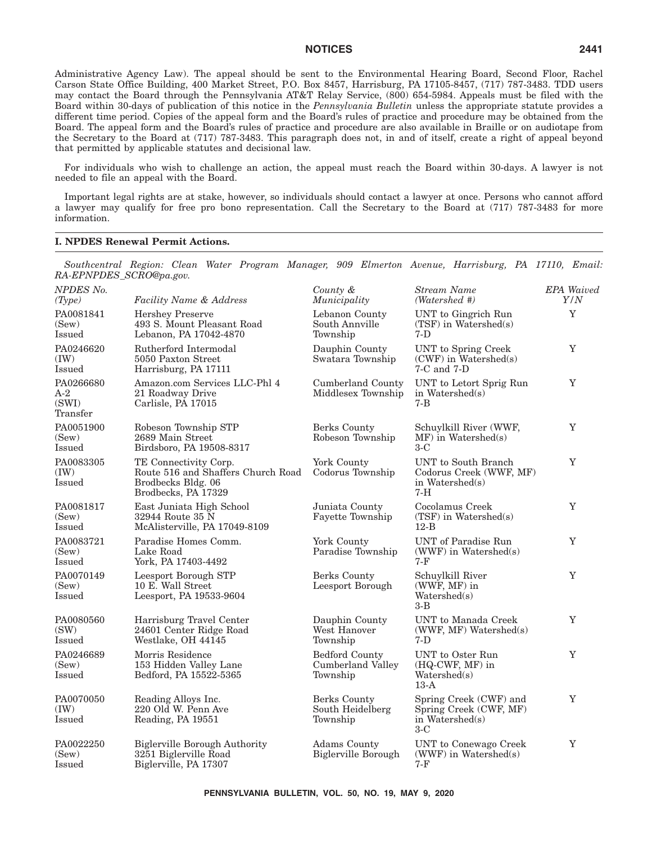Administrative Agency Law). The appeal should be sent to the Environmental Hearing Board, Second Floor, Rachel Carson State Office Building, 400 Market Street, P.O. Box 8457, Harrisburg, PA 17105-8457, (717) 787-3483. TDD users may contact the Board through the Pennsylvania AT&T Relay Service, (800) 654-5984. Appeals must be filed with the Board within 30-days of publication of this notice in the *Pennsylvania Bulletin* unless the appropriate statute provides a different time period. Copies of the appeal form and the Board's rules of practice and procedure may be obtained from the Board. The appeal form and the Board's rules of practice and procedure are also available in Braille or on audiotape from the Secretary to the Board at (717) 787-3483. This paragraph does not, in and of itself, create a right of appeal beyond that permitted by applicable statutes and decisional law.

For individuals who wish to challenge an action, the appeal must reach the Board within 30-days. A lawyer is not needed to file an appeal with the Board.

Important legal rights are at stake, however, so individuals should contact a lawyer at once. Persons who cannot afford a lawyer may qualify for free pro bono representation. Call the Secretary to the Board at (717) 787-3483 for more information.

#### **I. NPDES Renewal Permit Actions.**

*Southcentral Region: Clean Water Program Manager, 909 Elmerton Avenue, Harrisburg, PA 17110, Email: RA-EPNPDES\_SCRO@pa.gov.*

| <b>NPDES No.</b><br>(Type)              | <b>Facility Name &amp; Address</b>                                                                       | County &<br>Municipality                               | <b>Stream Name</b><br>(Watershed #)                                          | <b>EPA</b> Waived<br>Y/N |
|-----------------------------------------|----------------------------------------------------------------------------------------------------------|--------------------------------------------------------|------------------------------------------------------------------------------|--------------------------|
| PA0081841<br>(Sew)<br>Issued            | <b>Hershey Preserve</b><br>493 S. Mount Pleasant Road<br>Lebanon, PA 17042-4870                          | Lebanon County<br>South Annville<br>Township           | UNT to Gingrich Run<br>$(TSF)$ in Watershed(s)<br>$7-D$                      | Y                        |
| PA0246620<br>(IW)<br>Issued             | Rutherford Intermodal<br>5050 Paxton Street<br>Harrisburg, PA 17111                                      | Dauphin County<br>Swatara Township                     | UNT to Spring Creek<br>$(CWF)$ in Watershed(s)<br>7-C and 7-D                | Y                        |
| PA0266680<br>$A-2$<br>(SWI)<br>Transfer | Amazon.com Services LLC-Phl 4<br>21 Roadway Drive<br>Carlisle, PA 17015                                  | Cumberland County<br>Middlesex Township                | UNT to Letort Sprig Run<br>in Watershed(s)<br>7-B                            | Y                        |
| PA0051900<br>(Sew)<br>Issued            | Robeson Township STP<br>2689 Main Street<br>Birdsboro, PA 19508-8317                                     | Berks County<br>Robeson Township                       | Schuylkill River (WWF,<br>$MF)$ in Watershed(s)<br>$3-C$                     | Y                        |
| PA0083305<br>(IW)<br>Issued             | TE Connectivity Corp.<br>Route 516 and Shaffers Church Road<br>Brodbecks Bldg. 06<br>Brodbecks, PA 17329 | York County<br>Codorus Township                        | UNT to South Branch<br>Codorus Creek (WWF, MF)<br>in Watershed(s)<br>$7-H$   | Y                        |
| PA0081817<br>(Sew)<br>Issued            | East Juniata High School<br>32944 Route 35 N<br>McAlisterville, PA 17049-8109                            | Juniata County<br>Fayette Township                     | Cocolamus Creek<br>$(TSF)$ in Watershed(s)<br>$12-B$                         | $\mathbf Y$              |
| PA0083721<br>(Sew)<br>Issued            | Paradise Homes Comm.<br>Lake Road<br>York, PA 17403-4492                                                 | York County<br>Paradise Township                       | <b>UNT</b> of Paradise Run<br>$(WWF)$ in Watershed(s)<br>7-F                 | $\mathbf Y$              |
| PA0070149<br>(Sew)<br>Issued            | Leesport Borough STP<br>10 E. Wall Street<br>Leesport, PA 19533-9604                                     | <b>Berks County</b><br>Leesport Borough                | Schuylkill River<br>(WWF, MF) in<br>Watershed(s)<br>$3-B$                    | Y                        |
| PA0080560<br>(SW)<br><b>Issued</b>      | Harrisburg Travel Center<br>24601 Center Ridge Road<br>Westlake, OH 44145                                | Dauphin County<br>West Hanover<br>Township             | UNT to Manada Creek<br>(WWF, MF) Watershed(s)<br>7-D                         | Y                        |
| PA0246689<br>(Sew)<br>Issued            | Morris Residence<br>153 Hidden Valley Lane<br>Bedford, PA 15522-5365                                     | <b>Bedford County</b><br>Cumberland Valley<br>Township | UNT to Oster Run<br>(HQ-CWF, MF) in<br>Watershed(s)<br>$13-A$                | Y                        |
| PA0070050<br>(IW)<br><b>Issued</b>      | Reading Alloys Inc.<br>220 Old W. Penn Ave<br>Reading, PA 19551                                          | Berks County<br>South Heidelberg<br>Township           | Spring Creek (CWF) and<br>Spring Creek (CWF, MF)<br>in Watershed(s)<br>$3-C$ | Y                        |
| PA0022250<br>(Sew)<br>Issued            | <b>Biglerville Borough Authority</b><br>3251 Biglerville Road<br>Biglerville, PA 17307                   | Adams County<br><b>Biglerville Borough</b>             | UNT to Conewago Creek<br>$(WWF)$ in Watershed(s)<br>$7-F$                    | Y                        |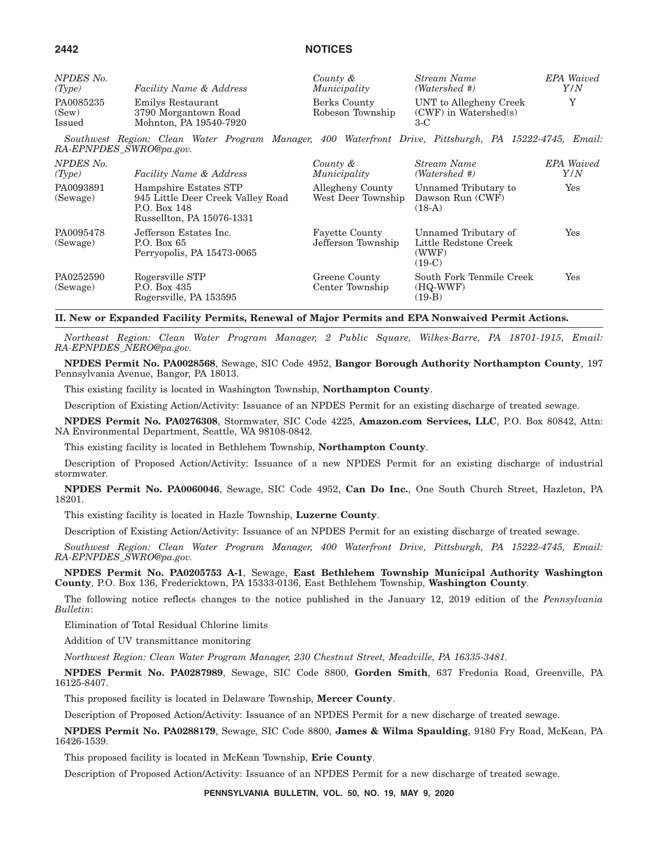| NPDES No.                    | <b>Facility Name &amp; Address</b>                                  | County &                         | Stream Name                                                | <b>EPA</b> Waived |
|------------------------------|---------------------------------------------------------------------|----------------------------------|------------------------------------------------------------|-------------------|
| (Type)                       |                                                                     | Municipality                     | (Watershed #)                                              | Y/N               |
| PA0085235<br>(Sew)<br>Issued | Emilys Restaurant<br>3790 Morgantown Road<br>Mohnton, PA 19540-7920 | Berks County<br>Robeson Township | UNT to Allegheny Creek<br>$(CWF)$ in Watershed(s)<br>$3-C$ |                   |

*Southwest Region: Clean Water Program Manager, 400 Waterfront Drive, Pittsburgh, PA 15222-4745, Email: RA-EPNPDES\_SWRO@pa.gov.*

| NPDES No.<br>(Type)   | <b>Facility Name &amp; Address</b>                                                                      | County &<br>Municipality                    | Stream Name<br>(Watershed #)                                       | <b>EPA</b> Waived<br>Y/N |
|-----------------------|---------------------------------------------------------------------------------------------------------|---------------------------------------------|--------------------------------------------------------------------|--------------------------|
| PA0093891<br>(Sewage) | Hampshire Estates STP<br>945 Little Deer Creek Valley Road<br>P.O. Box 148<br>Russellton, PA 15076-1331 | Allegheny County<br>West Deer Township      | Unnamed Tributary to<br>Dawson Run (CWF)<br>$(18-A)$               | Yes                      |
| PA0095478<br>(Sewage) | Jefferson Estates Inc.<br>P.O. Box 65<br>Perryopolis, PA 15473-0065                                     | <b>Fayette County</b><br>Jefferson Township | Unnamed Tributary of<br>Little Redstone Creek<br>(WWF)<br>$(19-C)$ | Yes                      |
| PA0252590<br>(Sewage) | Rogersville STP<br>P.O. Box $435$<br>Rogersville, PA 153595                                             | Greene County<br>Center Township            | South Fork Tenmile Creek<br>$(HQ-WWF)$<br>$(19-B)$                 | Yes                      |

**II. New or Expanded Facility Permits, Renewal of Major Permits and EPA Nonwaived Permit Actions.**

*Northeast Region: Clean Water Program Manager, 2 Public Square, Wilkes-Barre, PA 18701-1915, Email: RA-EPNPDES\_NERO@pa.gov.*

**NPDES Permit No. PA0028568**, Sewage, SIC Code 4952, **Bangor Borough Authority Northampton County**, 197 Pennsylvania Avenue, Bangor, PA 18013.

This existing facility is located in Washington Township, **Northampton County**.

Description of Existing Action/Activity: Issuance of an NPDES Permit for an existing discharge of treated sewage.

**NPDES Permit No. PA0276308**, Stormwater, SIC Code 4225, **Amazon.com Services, LLC**, P.O. Box 80842, Attn: NA Environmental Department, Seattle, WA 98108-0842.

This existing facility is located in Bethlehem Township, **Northampton County**.

Description of Proposed Action/Activity: Issuance of a new NPDES Permit for an existing discharge of industrial stormwater.

**NPDES Permit No. PA0060046**, Sewage, SIC Code 4952, **Can Do Inc.**, One South Church Street, Hazleton, PA 18201.

This existing facility is located in Hazle Township, **Luzerne County**.

Description of Existing Action/Activity: Issuance of an NPDES Permit for an existing discharge of treated sewage.

*Southwest Region: Clean Water Program Manager, 400 Waterfront Drive, Pittsburgh, PA 15222-4745, Email: RA-EPNPDES\_SWRO@pa.gov.*

**NPDES Permit No. PA0205753 A-1**, Sewage, **East Bethlehem Township Municipal Authority Washington County**, P.O. Box 136, Fredericktown, PA 15333-0136, East Bethlehem Township, **Washington County**.

The following notice reflects changes to the notice published in the January 12, 2019 edition of the *Pennsylvania Bulletin*:

Elimination of Total Residual Chlorine limits

Addition of UV transmittance monitoring

*Northwest Region: Clean Water Program Manager, 230 Chestnut Street, Meadville, PA 16335-3481.*

**NPDES Permit No. PA0287989**, Sewage, SIC Code 8800, **Gorden Smith**, 637 Fredonia Road, Greenville, PA 16125-8407.

This proposed facility is located in Delaware Township, **Mercer County**.

Description of Proposed Action/Activity: Issuance of an NPDES Permit for a new discharge of treated sewage.

**NPDES Permit No. PA0288179**, Sewage, SIC Code 8800, **James & Wilma Spaulding**, 9180 Fry Road, McKean, PA 16426-1539.

This proposed facility is located in McKean Township, **Erie County**.

Description of Proposed Action/Activity: Issuance of an NPDES Permit for a new discharge of treated sewage.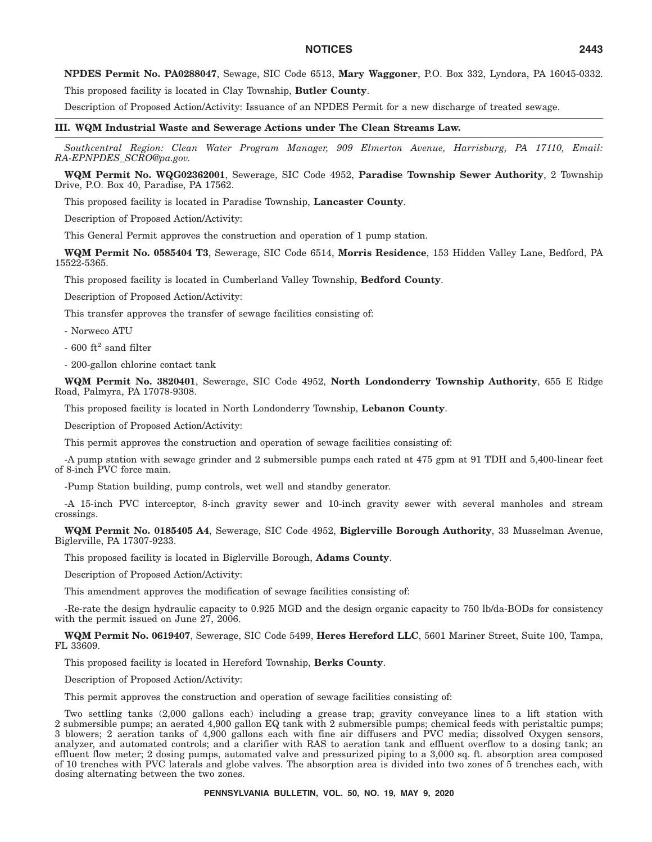**NPDES Permit No. PA0288047**, Sewage, SIC Code 6513, **Mary Waggoner**, P.O. Box 332, Lyndora, PA 16045-0332.

This proposed facility is located in Clay Township, **Butler County**.

Description of Proposed Action/Activity: Issuance of an NPDES Permit for a new discharge of treated sewage.

**III. WQM Industrial Waste and Sewerage Actions under The Clean Streams Law.**

*Southcentral Region: Clean Water Program Manager, 909 Elmerton Avenue, Harrisburg, PA 17110, Email: RA-EPNPDES\_SCRO@pa.gov.*

**WQM Permit No. WQG02362001**, Sewerage, SIC Code 4952, **Paradise Township Sewer Authority**, 2 Township Drive, P.O. Box 40, Paradise, PA 17562.

This proposed facility is located in Paradise Township, **Lancaster County**.

Description of Proposed Action/Activity:

This General Permit approves the construction and operation of 1 pump station.

**WQM Permit No. 0585404 T3**, Sewerage, SIC Code 6514, **Morris Residence**, 153 Hidden Valley Lane, Bedford, PA 15522-5365.

This proposed facility is located in Cumberland Valley Township, **Bedford County**.

Description of Proposed Action/Activity:

This transfer approves the transfer of sewage facilities consisting of:

- Norweco ATU

 $-600$  ft<sup>2</sup> sand filter

- 200-gallon chlorine contact tank

**WQM Permit No. 3820401**, Sewerage, SIC Code 4952, **North Londonderry Township Authority**, 655 E Ridge Road, Palmyra, PA 17078-9308.

This proposed facility is located in North Londonderry Township, **Lebanon County**.

Description of Proposed Action/Activity:

This permit approves the construction and operation of sewage facilities consisting of:

-A pump station with sewage grinder and 2 submersible pumps each rated at 475 gpm at 91 TDH and 5,400-linear feet of 8-inch PVC force main.

-Pump Station building, pump controls, wet well and standby generator.

-A 15-inch PVC interceptor, 8-inch gravity sewer and 10-inch gravity sewer with several manholes and stream crossings.

**WQM Permit No. 0185405 A4**, Sewerage, SIC Code 4952, **Biglerville Borough Authority**, 33 Musselman Avenue, Biglerville, PA 17307-9233.

This proposed facility is located in Biglerville Borough, **Adams County**.

Description of Proposed Action/Activity:

This amendment approves the modification of sewage facilities consisting of:

-Re-rate the design hydraulic capacity to 0.925 MGD and the design organic capacity to 750 lb/da-BODs for consistency with the permit issued on June  $27, 2006$ .

**WQM Permit No. 0619407**, Sewerage, SIC Code 5499, **Heres Hereford LLC**, 5601 Mariner Street, Suite 100, Tampa, FL 33609.

This proposed facility is located in Hereford Township, **Berks County**.

Description of Proposed Action/Activity:

This permit approves the construction and operation of sewage facilities consisting of:

Two settling tanks (2,000 gallons each) including a grease trap; gravity conveyance lines to a lift station with 2 submersible pumps; an aerated 4,900 gallon EQ tank with 2 submersible pumps; chemical feeds with peristaltic pumps; 3 blowers; 2 aeration tanks of 4,900 gallons each with fine air diffusers and PVC media; dissolved Oxygen sensors, analyzer, and automated controls; and a clarifier with RAS to aeration tank and effluent overflow to a dosing tank; an effluent flow meter; 2 dosing pumps, automated valve and pressurized piping to a 3,000 sq. ft. absorption area composed of 10 trenches with PVC laterals and globe valves. The absorption area is divided into two zones of 5 trenches each, with dosing alternating between the two zones.

**PENNSYLVANIA BULLETIN, VOL. 50, NO. 19, MAY 9, 2020**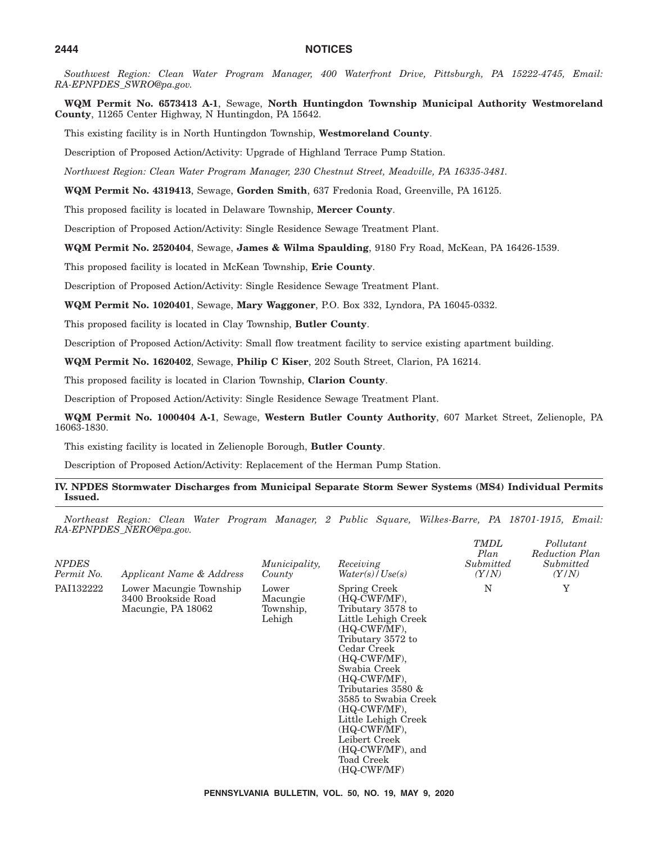*Southwest Region: Clean Water Program Manager, 400 Waterfront Drive, Pittsburgh, PA 15222-4745, Email: RA-EPNPDES\_SWRO@pa.gov.*

**WQM Permit No. 6573413 A-1**, Sewage, **North Huntingdon Township Municipal Authority Westmoreland County**, 11265 Center Highway, N Huntingdon, PA 15642.

This existing facility is in North Huntingdon Township, **Westmoreland County**.

Description of Proposed Action/Activity: Upgrade of Highland Terrace Pump Station.

*Northwest Region: Clean Water Program Manager, 230 Chestnut Street, Meadville, PA 16335-3481.*

**WQM Permit No. 4319413**, Sewage, **Gorden Smith**, 637 Fredonia Road, Greenville, PA 16125.

This proposed facility is located in Delaware Township, **Mercer County**.

Description of Proposed Action/Activity: Single Residence Sewage Treatment Plant.

**WQM Permit No. 2520404**, Sewage, **James & Wilma Spaulding**, 9180 Fry Road, McKean, PA 16426-1539.

This proposed facility is located in McKean Township, **Erie County**.

Description of Proposed Action/Activity: Single Residence Sewage Treatment Plant.

**WQM Permit No. 1020401**, Sewage, **Mary Waggoner**, P.O. Box 332, Lyndora, PA 16045-0332.

This proposed facility is located in Clay Township, **Butler County**.

Description of Proposed Action/Activity: Small flow treatment facility to service existing apartment building.

**WQM Permit No. 1620402**, Sewage, **Philip C Kiser**, 202 South Street, Clarion, PA 16214.

This proposed facility is located in Clarion Township, **Clarion County**.

Description of Proposed Action/Activity: Single Residence Sewage Treatment Plant.

**WQM Permit No. 1000404 A-1**, Sewage, **Western Butler County Authority**, 607 Market Street, Zelienople, PA 16063-1830.

This existing facility is located in Zelienople Borough, **Butler County**.

Description of Proposed Action/Activity: Replacement of the Herman Pump Station.

## **IV. NPDES Stormwater Discharges from Municipal Separate Storm Sewer Systems (MS4) Individual Permits Issued.**

*Northeast Region: Clean Water Program Manager, 2 Public Square, Wilkes-Barre, PA 18701-1915, Email: RA-EPNPDES\_NERO@pa.gov.*

*TMDL*

*Pollutant*

| <i>NPDES</i><br>Permit No. | Applicant Name & Address                                             | Municipality,<br>County                  | Receiving<br>Water(s)/Use(s)                                                                                                                                                                                                                                                                                                                        | Plan<br>Submitted<br>(Y/N) | Reduction Plan<br>Submitted<br>(Y/N) |
|----------------------------|----------------------------------------------------------------------|------------------------------------------|-----------------------------------------------------------------------------------------------------------------------------------------------------------------------------------------------------------------------------------------------------------------------------------------------------------------------------------------------------|----------------------------|--------------------------------------|
| PAI132222                  | Lower Macungie Township<br>3400 Brookside Road<br>Macungie, PA 18062 | Lower<br>Macungie<br>Township,<br>Lehigh | Spring Creek<br>(HQ-CWF/MF).<br>Tributary 3578 to<br>Little Lehigh Creek<br>(HQ-CWF/MF).<br>Tributary 3572 to<br>Cedar Creek<br>(HQ-CWF/MF).<br>Swabia Creek<br>(HQ-CWF/MF).<br>Tributaries 3580 &<br>3585 to Swabia Creek<br>(HQ-CWF/MF),<br>Little Lehigh Creek<br>(HQ-CWF/MF).<br>Leibert Creek<br>(HQ-CWF/MF), and<br>Toad Creek<br>(HQ-CWF/MF) | N                          | Y                                    |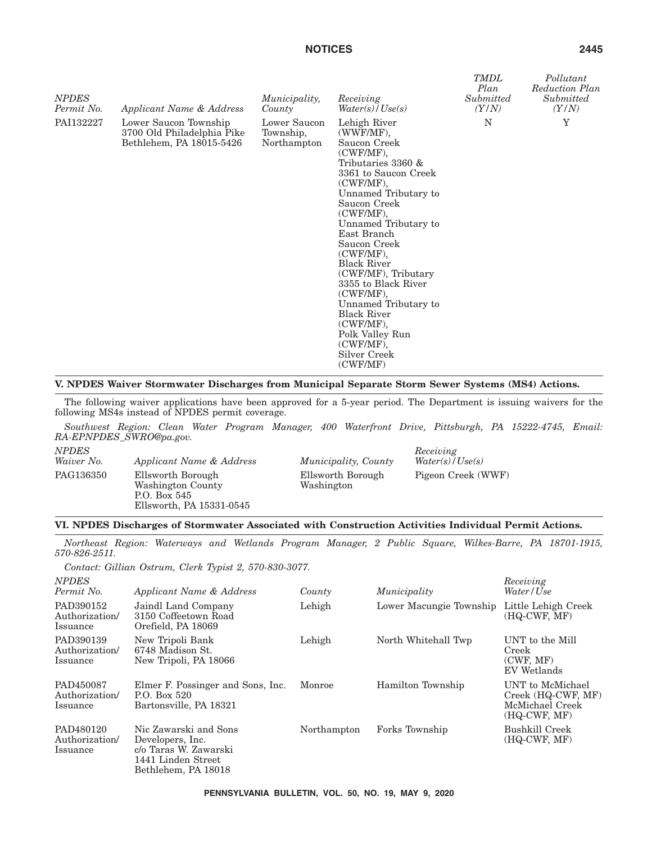| <b>NPDES</b><br>Permit No. | Applicant Name & Address                                                        | Municipality,<br>County                  | Receiving<br>Water(s) / Use(s)                                                                                                                                                                                                                                                                                                                                                                                                                           | <b>TMDL</b><br>Plan<br>Submitted<br>(Y/N) | Pollutant<br>Reduction Plan<br>Submitted<br>(Y/N) |
|----------------------------|---------------------------------------------------------------------------------|------------------------------------------|----------------------------------------------------------------------------------------------------------------------------------------------------------------------------------------------------------------------------------------------------------------------------------------------------------------------------------------------------------------------------------------------------------------------------------------------------------|-------------------------------------------|---------------------------------------------------|
| PAI132227                  | Lower Saucon Township<br>3700 Old Philadelphia Pike<br>Bethlehem, PA 18015-5426 | Lower Saucon<br>Township,<br>Northampton | Lehigh River<br>(WWF/MF),<br>Saucon Creek<br>(CWF/MF),<br>Tributaries 3360 &<br>3361 to Saucon Creek<br>$(CWF/MF)$ ,<br>Unnamed Tributary to<br>Saucon Creek<br>(CWF/MF),<br>Unnamed Tributary to<br>East Branch<br>Saucon Creek<br>(CWF/MF),<br><b>Black River</b><br>(CWF/MF), Tributary<br>3355 to Black River<br>$(CWF/MF)$ ,<br>Unnamed Tributary to<br><b>Black River</b><br>(CWF/MF),<br>Polk Valley Run<br>(CWF/MF),<br>Silver Creek<br>(CWF/MF) | N                                         | Y                                                 |

## **V. NPDES Waiver Stormwater Discharges from Municipal Separate Storm Sewer Systems (MS4) Actions.**

The following waiver applications have been approved for a 5-year period. The Department is issuing waivers for the following MS4s instead of NPDES permit coverage.

*Southwest Region: Clean Water Program Manager, 400 Waterfront Drive, Pittsburgh, PA 15222-4745, Email: RA-EPNPDES\_SWRO@pa.gov.*

| <b>NPDES</b> |                          |   |
|--------------|--------------------------|---|
| Waiver No.   | Applicant Name & Address | M |
| PAG136350    | Ellsworth Borough        | E |
|              | Washington County        | w |
|              | $P.O.$ Box 545           |   |
|              | Ellsworth, PA 15331-0545 |   |

*Waiver No. Applicant Name & Address Municipality, County* Ellsworth Borough Washington

*Receiving Water(s)/Use(s)* Pigeon Creek (WWF)

# **VI. NPDES Discharges of Stormwater Associated with Construction Activities Individual Permit Actions.**

*Northeast Region: Waterways and Wetlands Program Manager, 2 Public Square, Wilkes-Barre, PA 18701-1915, 570-826-2511.*

*Contact: Gillian Ostrum, Clerk Typist 2, 570-830-3077.*

| <b>NPDES</b><br>Permit No.                     | Applicant Name & Address                                                                                        | County      | Municipality            | Receiving<br>Water/Use                                                      |
|------------------------------------------------|-----------------------------------------------------------------------------------------------------------------|-------------|-------------------------|-----------------------------------------------------------------------------|
| PAD390152<br>Authorization/<br><i>s</i> suance | Jaindl Land Company<br>3150 Coffeetown Road<br>Orefield, PA 18069                                               | Lehigh      | Lower Macungie Township | Little Lehigh Creek<br>$(HQ-CWF, MF)$                                       |
| PAD390139<br>Authorization/<br>Issuance        | New Tripoli Bank<br>6748 Madison St.<br>New Tripoli, PA 18066                                                   | Lehigh      | North Whitehall Twp     | UNT to the Mill<br>Creek<br>(CWF, MF)<br>EV Wetlands                        |
| PAD450087<br>Authorization/<br>Issuance        | Elmer F. Possinger and Sons, Inc.<br>P.O. Box 520<br>Bartonsville, PA 18321                                     | Monroe      | Hamilton Township       | UNT to McMichael<br>Creek (HQ-CWF, MF)<br>McMichael Creek<br>$(HQ-CWF, MF)$ |
| PAD480120<br>Authorization/<br>Issuance        | Nic Zawarski and Sons<br>Developers, Inc.<br>c/o Taras W. Zawarski<br>1441 Linden Street<br>Bethlehem, PA 18018 | Northampton | Forks Township          | Bushkill Creek<br>$(HQ-CWF, MF)$                                            |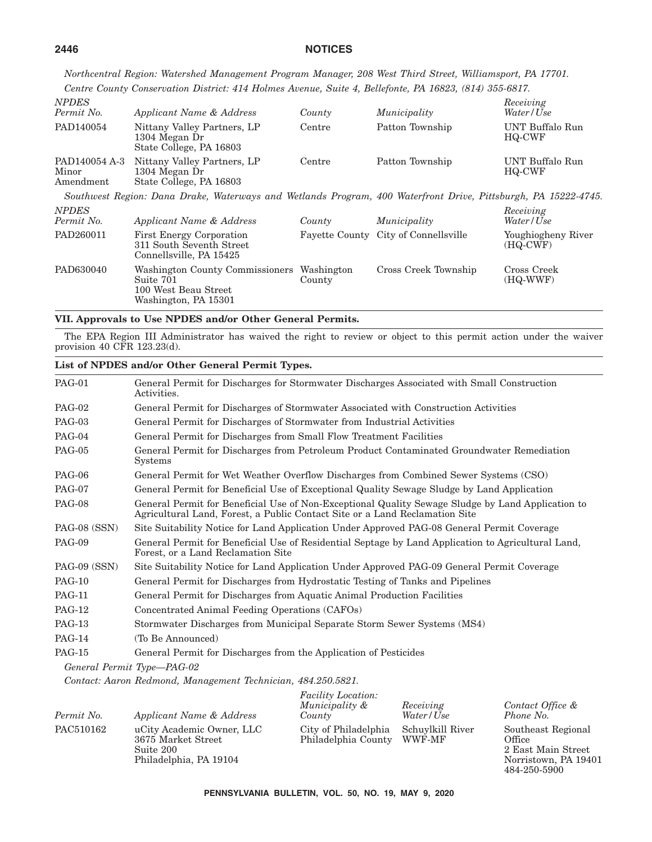*Northcentral Region: Watershed Management Program Manager, 208 West Third Street, Williamsport, PA 17701. Centre County Conservation District: 414 Holmes Avenue, Suite 4, Bellefonte, PA 16823, (814) 355-6817.*

| <b>NPDES</b><br>Permit No.          | Applicant Name & Address                                                                                       | County               | Municipality                          | Receiving<br>Water/Use           |
|-------------------------------------|----------------------------------------------------------------------------------------------------------------|----------------------|---------------------------------------|----------------------------------|
| PAD140054                           | Nittany Valley Partners, LP<br>1304 Megan Dr<br>State College, PA 16803                                        | Centre               | Patton Township                       | UNT Buffalo Run<br>HQ-CWF        |
| PAD140054 A-3<br>Minor<br>Amendment | Nittany Valley Partners, LP<br>1304 Megan Dr<br>State College, PA 16803                                        | Centre               | Patton Township                       | UNT Buffalo Run<br>HQ-CWF        |
|                                     | Southwest Region: Dana Drake, Waterways and Wetlands Program, 400 Waterfront Drive, Pittsburgh, PA 15222-4745. |                      |                                       |                                  |
| <b>NPDES</b><br>Permit No.          | Applicant Name & Address                                                                                       | County               | Municipality                          | Receiving<br>Water/Use           |
| PAD260011                           | First Energy Corporation<br>311 South Seventh Street<br>Connellsville, PA 15425                                |                      | Fayette County City of Connells ville | Youghiogheny River<br>$(HQ-CWF)$ |
| PAD630040                           | Washington County Commissioners<br>Suite 701<br>100 West Beau Street<br>Washington, PA 15301                   | Washington<br>County | Cross Creek Township                  | Cross Creek<br>(HQ-WWF)          |

# **VII. Approvals to Use NPDES and/or Other General Permits.**

The EPA Region III Administrator has waived the right to review or object to this permit action under the waiver provision 40 CFR 123.23(d).

|               | List of NPDES and/or Other General Permit Types.                                                                                                                                 |
|---------------|----------------------------------------------------------------------------------------------------------------------------------------------------------------------------------|
| <b>PAG-01</b> | General Permit for Discharges for Stormwater Discharges Associated with Small Construction<br>Activities.                                                                        |
| <b>PAG-02</b> | General Permit for Discharges of Stormwater Associated with Construction Activities                                                                                              |
| $PAG-03$      | General Permit for Discharges of Stormwater from Industrial Activities                                                                                                           |
| <b>PAG-04</b> | General Permit for Discharges from Small Flow Treatment Facilities                                                                                                               |
| <b>PAG-05</b> | General Permit for Discharges from Petroleum Product Contaminated Groundwater Remediation<br>Systems                                                                             |
| <b>PAG-06</b> | General Permit for Wet Weather Overflow Discharges from Combined Sewer Systems (CSO)                                                                                             |
| <b>PAG-07</b> | General Permit for Beneficial Use of Exceptional Quality Sewage Sludge by Land Application                                                                                       |
| <b>PAG-08</b> | General Permit for Beneficial Use of Non-Exceptional Quality Sewage Sludge by Land Application to<br>Agricultural Land, Forest, a Public Contact Site or a Land Reclamation Site |
| PAG-08 (SSN)  | Site Suitability Notice for Land Application Under Approved PAG-08 General Permit Coverage                                                                                       |
| <b>PAG-09</b> | General Permit for Beneficial Use of Residential Septage by Land Application to Agricultural Land,<br>Forest, or a Land Reclamation Site                                         |
| PAG-09 (SSN)  | Site Suitability Notice for Land Application Under Approved PAG-09 General Permit Coverage                                                                                       |
| <b>PAG-10</b> | General Permit for Discharges from Hydrostatic Testing of Tanks and Pipelines                                                                                                    |
| <b>PAG-11</b> | General Permit for Discharges from Aquatic Animal Production Facilities                                                                                                          |
| <b>PAG-12</b> | Concentrated Animal Feeding Operations (CAFOs)                                                                                                                                   |
| <b>PAG-13</b> | Stormwater Discharges from Municipal Separate Storm Sewer Systems (MS4)                                                                                                          |
| <b>PAG-14</b> | (To Be Announced)                                                                                                                                                                |
| <b>PAG-15</b> | General Permit for Discharges from the Application of Pesticides                                                                                                                 |
|               | General Permit Type-PAG-02                                                                                                                                                       |
|               | Contact: Aaron Redmond, Management Technician, 484.250.5821.                                                                                                                     |
|               | <b>Facility Location:</b>                                                                                                                                                        |

| Permit No. | Applicant Name & Address                                                               | <i>Fuculty Location:</i><br>Municipality &<br>County | Receiving<br>Water/Use     | Contact Office &<br>Phone No.                                                              |
|------------|----------------------------------------------------------------------------------------|------------------------------------------------------|----------------------------|--------------------------------------------------------------------------------------------|
| PAC510162  | uCity Academic Owner, LLC<br>3675 Market Street<br>Suite 200<br>Philadelphia, PA 19104 | City of Philadelphia<br>Philadelphia County          | Schuylkill River<br>WWF-MF | Southeast Regional<br>Office<br>2 East Main Street<br>Norristown, PA 19401<br>484-250-5900 |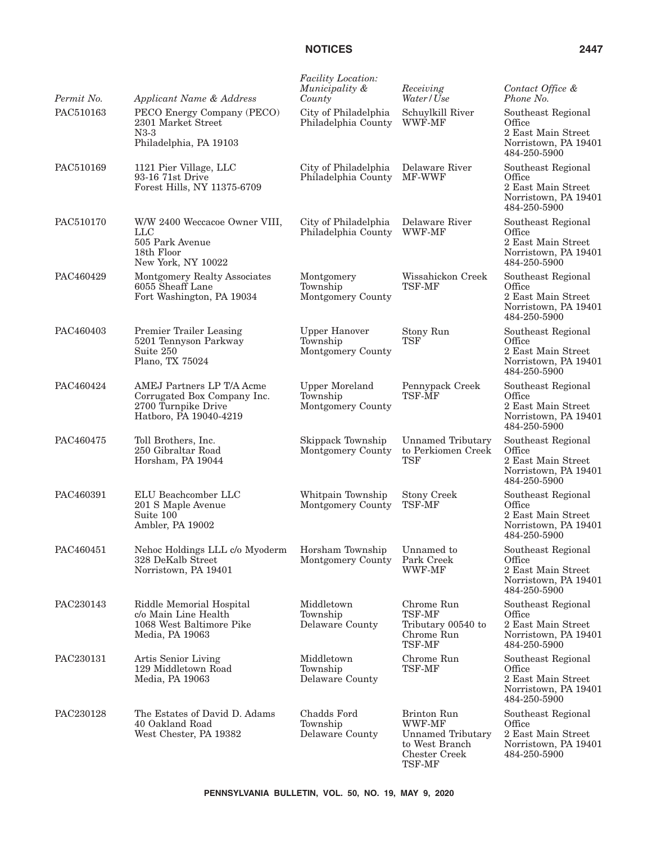| Permit No. | Applicant Name & Address                                                                                  | Facility Location:<br>Municipality &<br>County         | Receiving<br>Water/Use                                                                         | Contact Office &<br>Phone No.                                                              |
|------------|-----------------------------------------------------------------------------------------------------------|--------------------------------------------------------|------------------------------------------------------------------------------------------------|--------------------------------------------------------------------------------------------|
| PAC510163  | PECO Energy Company (PECO)<br>2301 Market Street<br>$N3-3$<br>Philadelphia, PA 19103                      | City of Philadelphia<br>Philadelphia County            | Schuylkill River<br>WWF-MF                                                                     | Southeast Regional<br>Office<br>2 East Main Street<br>Norristown, PA 19401<br>484-250-5900 |
| PAC510169  | 1121 Pier Village, LLC<br>93-16 71st Drive<br>Forest Hills, NY 11375-6709                                 | City of Philadelphia<br>Philadelphia County            | Delaware River<br><b>MF-WWF</b>                                                                | Southeast Regional<br>Office<br>2 East Main Street<br>Norristown, PA 19401<br>484-250-5900 |
| PAC510170  | W/W 2400 Weccacoe Owner VIII,<br>$_{\rm LLC}$<br>505 Park Avenue<br>18th Floor<br>New York, NY 10022      | City of Philadelphia<br>Philadelphia County            | Delaware River<br>WWF-MF                                                                       | Southeast Regional<br>Office<br>2 East Main Street<br>Norristown, PA 19401<br>484-250-5900 |
| PAC460429  | Montgomery Realty Associates<br>6055 Sheaff Lane<br>Fort Washington, PA 19034                             | Montgomery<br>Township<br>Montgomery County            | Wissahickon Creek<br><b>TSF-MF</b>                                                             | Southeast Regional<br>Office<br>2 East Main Street<br>Norristown, PA 19401<br>484-250-5900 |
| PAC460403  | Premier Trailer Leasing<br>5201 Tennyson Parkway<br>Suite 250<br>Plano, TX 75024                          | <b>Upper Hanover</b><br>Township<br>Montgomery County  | Stony Run<br><b>TSF</b>                                                                        | Southeast Regional<br>Office<br>2 East Main Street<br>Norristown, PA 19401<br>484-250-5900 |
| PAC460424  | AMEJ Partners LP T/A Acme<br>Corrugated Box Company Inc.<br>2700 Turnpike Drive<br>Hatboro, PA 19040-4219 | <b>Upper Moreland</b><br>Township<br>Montgomery County | Pennypack Creek<br>TSF-MF                                                                      | Southeast Regional<br>Office<br>2 East Main Street<br>Norristown, PA 19401<br>484-250-5900 |
| PAC460475  | Toll Brothers, Inc.<br>250 Gibraltar Road<br>Horsham, PA 19044                                            | Skippack Township<br>Montgomery County                 | <b>Unnamed Tributary</b><br>to Perkiomen Creek<br><b>TSF</b>                                   | Southeast Regional<br>Office<br>2 East Main Street<br>Norristown, PA 19401<br>484-250-5900 |
| PAC460391  | ELU Beachcomber LLC<br>201 S Maple Avenue<br>Suite 100<br>Ambler, PA 19002                                | Whitpain Township<br>Montgomery County                 | <b>Stony Creek</b><br>TSF-MF                                                                   | Southeast Regional<br>Office<br>2 East Main Street<br>Norristown, PA 19401<br>484-250-5900 |
| PAC460451  | Nehoc Holdings LLL c/o Myoderm<br>328 DeKalb Street<br>Norristown, PA 19401                               | Horsham Township<br>Montgomery County                  | Unnamed to<br>Park Creek<br>WWF-MF                                                             | Southeast Regional<br>Office<br>2 East Main Street<br>Norristown, PA 19401<br>484-250-5900 |
| PAC230143  | Riddle Memorial Hospital<br>c/o Main Line Health<br>1068 West Baltimore Pike<br>Media, PA 19063           | Middletown<br>Township<br>Delaware County              | Chrome Run<br>TSF-MF<br>Tributary 00540 to<br>Chrome Run<br><b>TSF-MF</b>                      | Southeast Regional<br>Office<br>2 East Main Street<br>Norristown, PA 19401<br>484-250-5900 |
| PAC230131  | Artis Senior Living<br>129 Middletown Road<br>Media, PA 19063                                             | Middletown<br>Township<br>Delaware County              | Chrome Run<br>TSF-MF                                                                           | Southeast Regional<br>Office<br>2 East Main Street<br>Norristown, PA 19401<br>484-250-5900 |
| PAC230128  | The Estates of David D. Adams<br>40 Oakland Road<br>West Chester, PA 19382                                | Chadds Ford<br>Township<br>Delaware County             | Brinton Run<br>WWF-MF<br><b>Unnamed Tributary</b><br>to West Branch<br>Chester Creek<br>TSF-MF | Southeast Regional<br>Office<br>2 East Main Street<br>Norristown, PA 19401<br>484-250-5900 |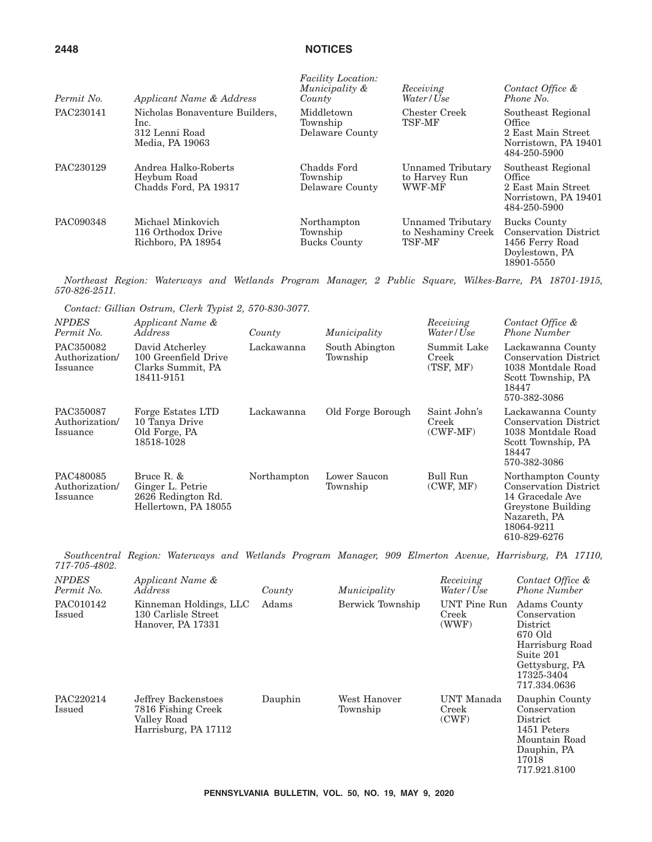| Permit No. | Applicant Name & Address                                                    | <b>Facility Location:</b><br>Municipality &<br>County | Receiving<br>Water/Use                            | Contact Office &<br>Phone No.                                                                   |
|------------|-----------------------------------------------------------------------------|-------------------------------------------------------|---------------------------------------------------|-------------------------------------------------------------------------------------------------|
| PAC230141  | Nicholas Bonaventure Builders,<br>lnc.<br>312 Lenni Road<br>Media, PA 19063 | Middletown<br>Township<br>Delaware County             | Chester Creek<br>TSF-MF                           | Southeast Regional<br>Office<br>2 East Main Street<br>Norristown, PA 19401<br>484-250-5900      |
| PAC230129  | Andrea Halko-Roberts<br>Heybum Road<br>Chadds Ford, PA 19317                | Chadds Ford<br>Township<br>Delaware County            | Unnamed Tributary<br>to Harvey Run<br>WWF-MF      | Southeast Regional<br>Office<br>2 East Main Street<br>Norristown, PA 19401<br>484-250-5900      |
| PAC090348  | Michael Minkovich<br>116 Orthodox Drive<br>Richboro, PA 18954               | Northampton<br>Township<br><b>Bucks County</b>        | Unnamed Tributary<br>to Neshaminy Creek<br>TSF-MF | Bucks County<br><b>Conservation District</b><br>1456 Ferry Road<br>Doylestown, PA<br>18901-5550 |

*Northeast Region: Waterways and Wetlands Program Manager, 2 Public Square, Wilkes-Barre, PA 18701-1915, 570-826-2511.*

*Contact: Gillian Ostrum, Clerk Typist 2, 570-830-3077.*

| NPDES<br>Permit No.                     | Applicant Name &<br>Address                                                  | County      | Municipality               | Receiving<br>Water / Use            | Contact Office &<br><b>Phone Number</b>                                                                                                    |
|-----------------------------------------|------------------------------------------------------------------------------|-------------|----------------------------|-------------------------------------|--------------------------------------------------------------------------------------------------------------------------------------------|
| PAC350082<br>Authorization/<br>Issuance | David Atcherley<br>100 Greenfield Drive<br>Clarks Summit, PA<br>18411-9151   | Lackawanna  | South Abington<br>Township | Summit Lake<br>Creek<br>(TSF, MF)   | Lackawanna County<br><b>Conservation District</b><br>1038 Montdale Road<br>Scott Township, PA<br>18447<br>570-382-3086                     |
| PAC350087<br>Authorization/<br>Issuance | Forge Estates LTD<br>10 Tanya Drive<br>Old Forge, PA<br>18518-1028           | Lackawanna  | Old Forge Borough          | Saint John's<br>Creek<br>$(CWF-MF)$ | Lackawanna County<br><b>Conservation District</b><br>1038 Montdale Road<br>Scott Township, PA<br>18447<br>570-382-3086                     |
| PAC480085<br>Authorization/<br>Issuance | Bruce R. &<br>Ginger L. Petrie<br>2626 Redington Rd.<br>Hellertown, PA 18055 | Northampton | Lower Saucon<br>Township   | Bull Run<br>(CWF, MF)               | Northampton County<br><b>Conservation District</b><br>14 Gracedale Ave<br>Greystone Building<br>Nazareth, PA<br>18064-9211<br>610-829-6276 |

*Southcentral Region: Waterways and Wetlands Program Manager, 909 Elmerton Avenue, Harrisburg, PA 17110, 717-705-4802.*

| <b>NPDES</b><br>Permit No. | Applicant Name &<br>Address                                                      | County  | Municipality             | Receiving<br>Water/Use         | Contact Office &<br><b>Phone Number</b>                                                                                             |
|----------------------------|----------------------------------------------------------------------------------|---------|--------------------------|--------------------------------|-------------------------------------------------------------------------------------------------------------------------------------|
| PAC010142<br>Issued        | Kinneman Holdings, LLC<br>130 Carlisle Street<br>Hanover, PA 17331               | Adams   | Berwick Township         | UNT Pine Run<br>Creek<br>(WWF) | Adams County<br>Conservation<br>District<br>670 Old<br>Harrisburg Road<br>Suite 201<br>Gettysburg, PA<br>17325-3404<br>717.334.0636 |
| PAC220214<br>Issued        | Jeffrey Backenstoes<br>7816 Fishing Creek<br>Valley Road<br>Harrisburg, PA 17112 | Dauphin | West Hanover<br>Township | UNT Manada<br>Creek<br>(CWF)   | Dauphin County<br>Conservation<br>District<br>1451 Peters<br>Mountain Road<br>Dauphin, PA<br>17018<br>717.921.8100                  |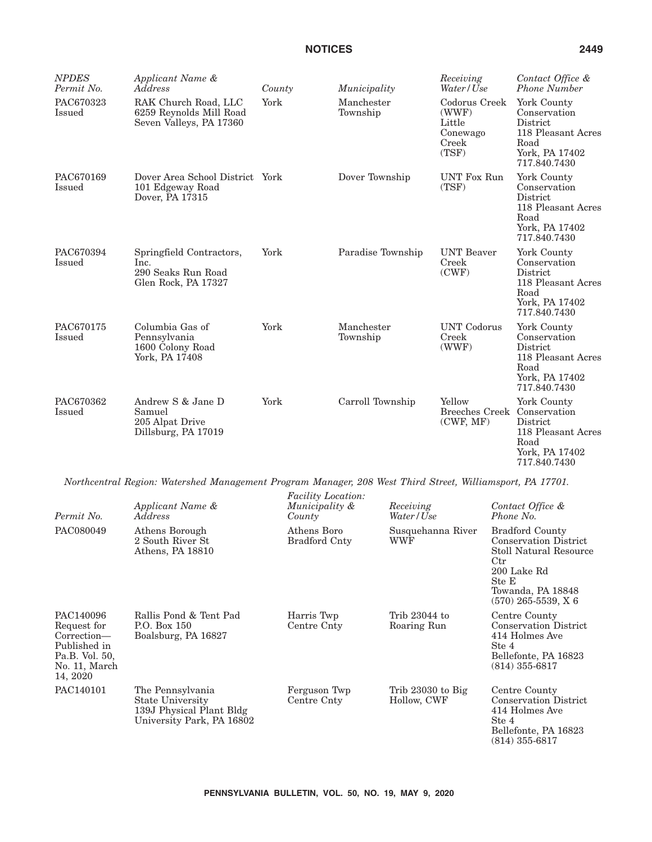| <b>NPDES</b><br>Permit No. | Applicant Name &<br>Address                                                                               | County                                      | Municipality           | Receiving<br>Water / Use                                       | Contact Office &<br><b>Phone Number</b>                                                                 |
|----------------------------|-----------------------------------------------------------------------------------------------------------|---------------------------------------------|------------------------|----------------------------------------------------------------|---------------------------------------------------------------------------------------------------------|
| PAC670323<br>Issued        | RAK Church Road, LLC<br>6259 Reynolds Mill Road<br>Seven Valleys, PA 17360                                | York                                        | Manchester<br>Township | Codorus Creek<br>(WWF)<br>Little<br>Conewago<br>Creek<br>(TSF) | York County<br>Conservation<br>District<br>118 Pleasant Acres<br>Road<br>York, PA 17402<br>717.840.7430 |
| PAC670169<br>Issued        | Dover Area School District York<br>101 Edgeway Road<br>Dover, PA 17315                                    |                                             | Dover Township         | <b>UNT Fox Run</b><br>(TSF)                                    | York County<br>Conservation<br>District<br>118 Pleasant Acres<br>Road<br>York, PA 17402<br>717.840.7430 |
| PAC670394<br>Issued        | Springfield Contractors,<br>Inc.<br>290 Seaks Run Road<br>Glen Rock, PA 17327                             | York                                        | Paradise Township      | <b>UNT</b> Beaver<br>Creek<br>(CWF)                            | York County<br>Conservation<br>District<br>118 Pleasant Acres<br>Road<br>York, PA 17402<br>717.840.7430 |
| PAC670175<br>Issued        | Columbia Gas of<br>Pennsylvania<br>1600 Colony Road<br>York, PA 17408                                     | York                                        | Manchester<br>Township | <b>UNT</b> Codorus<br>Creek<br>(WWF)                           | York County<br>Conservation<br>District<br>118 Pleasant Acres<br>Road<br>York, PA 17402<br>717.840.7430 |
| PAC670362<br>Issued        | Andrew S & Jane D<br>Samuel<br>205 Alpat Drive<br>Dillsburg, PA 17019                                     | York                                        | Carroll Township       | Yellow<br>Breeches Creek Conservation<br>(CWF, MF)             | York County<br>District<br>118 Pleasant Acres<br>Road<br>York, PA 17402<br>717.840.7430                 |
|                            | Northcentral Region: Watershed Management Program Manager, 208 West Third Street, Williamsport, PA 17701. |                                             |                        |                                                                |                                                                                                         |
|                            | Applicant Name &                                                                                          | <b>Facility Location:</b><br>Municipality & | Receiving              |                                                                | Contact Office &                                                                                        |

| Permit No.                                                                                             | Applicant Name &<br>Address                                                                   | Municipality &<br>County            | Receiving<br>Water / Use           | Contact Office &<br>Phone No.                                                                                                                                          |
|--------------------------------------------------------------------------------------------------------|-----------------------------------------------------------------------------------------------|-------------------------------------|------------------------------------|------------------------------------------------------------------------------------------------------------------------------------------------------------------------|
| PAC080049                                                                                              | Athens Borough<br>2 South River St<br>Athens, PA 18810                                        | Athens Boro<br><b>Bradford Cnty</b> | Susquehanna River<br>WWF           | <b>Bradford County</b><br><b>Conservation District</b><br>Stoll Natural Resource<br>$_{\rm Ctr}$<br>200 Lake Rd<br>Ste E<br>Towanda, PA 18848<br>$(570)$ 265-5539, X 6 |
| PAC140096<br>Request for<br>Correction—<br>Published in<br>Pa.B. Vol. 50,<br>No. 11, March<br>14, 2020 | Rallis Pond & Tent Pad<br>P.O. Box 150<br>Boalsburg, PA 16827                                 | Harris Twp<br>Centre Cnty           | Trib 23044 to<br>Roaring Run       | Centre County<br><b>Conservation District</b><br>414 Holmes Ave<br>Ste 4<br>Bellefonte, PA 16823<br>$(814)$ 355-6817                                                   |
| PAC140101                                                                                              | The Pennsylvania<br>State University<br>139J Physical Plant Bldg<br>University Park, PA 16802 | Ferguson Twp<br>Centre Cnty         | Trib $23030$ to Big<br>Hollow, CWF | Centre County<br><b>Conservation District</b><br>414 Holmes Ave<br>Ste 4<br>Bellefonte, PA 16823<br>$(814) 355 - 6817$                                                 |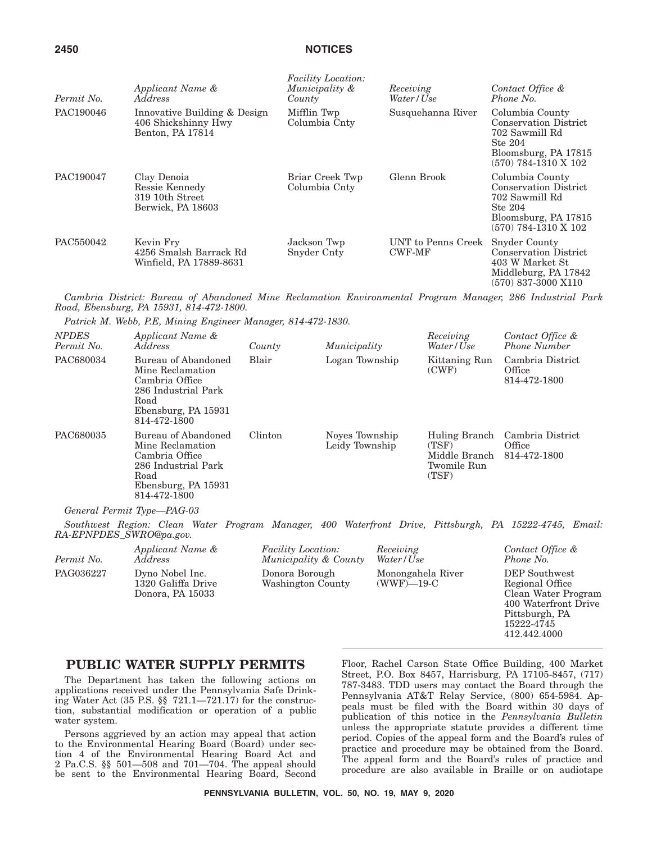| Permit No. | Applicant Name &<br><i>Address</i>                                      | <b>Facility Location:</b><br>Municipality &<br>County | Receiving<br>Water / Use            | Contact Office &<br>Phone No.                                                                                                |
|------------|-------------------------------------------------------------------------|-------------------------------------------------------|-------------------------------------|------------------------------------------------------------------------------------------------------------------------------|
| PAC190046  | Innovative Building & Design<br>406 Shickshinny Hwy<br>Benton, PA 17814 | Mifflin Twp<br>Columbia Cnty                          | Susquehanna River                   | Columbia County<br><b>Conservation District</b><br>702 Sawmill Rd<br>Ste 204<br>Bloomsburg, PA 17815<br>(570) 784-1310 X 102 |
| PAC190047  | Clay Denoia<br>Ressie Kennedy<br>319 10th Street<br>Berwick, PA 18603   | Briar Creek Twp<br>Columbia Cnty                      | Glenn Brook                         | Columbia County<br><b>Conservation District</b><br>702 Sawmill Rd<br>Ste 204<br>Bloomsburg, PA 17815<br>(570) 784-1310 X 102 |
| PAC550042  | Kevin Fry<br>4256 Smalsh Barrack Rd<br>Winfield, PA 17889-8631          | Jackson Twp<br>Snyder Cnty                            | UNT to Penns Creek<br><b>CWF-MF</b> | Snyder County<br><b>Conservation District</b><br>403 W Market St<br>Middleburg, PA 17842<br>(570) 837-3000 X110              |

*Cambria District: Bureau of Abandoned Mine Reclamation Environmental Program Manager, 286 Industrial Park Road, Ebensburg, PA 15931, 814-472-1800.*

*Patrick M. Webb, P.E, Mining Engineer Manager, 814-472-1830.*

| Applicant Name &<br><i>Address</i>                                                                                              | County  | Municipality                     | Receiving<br>Water/Use                                          | Contact Office &<br><b>Phone Number</b>    |
|---------------------------------------------------------------------------------------------------------------------------------|---------|----------------------------------|-----------------------------------------------------------------|--------------------------------------------|
| Bureau of Abandoned<br>Mine Reclamation<br>Cambria Office<br>286 Industrial Park<br>Road<br>Ebensburg, PA 15931<br>814-472-1800 | Blair   | Logan Township                   | Kittaning Run<br>(CWF)                                          | Cambria District<br>Office<br>814-472-1800 |
| Bureau of Abandoned<br>Mine Reclamation<br>Cambria Office<br>286 Industrial Park<br>Road<br>Ebensburg, PA 15931<br>814-472-1800 | Clinton | Noves Township<br>Leidy Township | Huling Branch<br>(TSF)<br>Middle Branch<br>Twomile Run<br>(TSF) | Cambria District<br>Office<br>814-472-1800 |
|                                                                                                                                 |         |                                  |                                                                 |                                            |

*General Permit Type—PAG-03*

*Southwest Region: Clean Water Program Manager, 400 Waterfront Drive, Pittsburgh, PA 15222-4745, Email: RA-EPNPDES\_SWRO@pa.gov.*

| Permit No. | Applicant Name &                                          | <i>Facility Location:</i>           | Receiving                          | Contact Office &                                                                                         |
|------------|-----------------------------------------------------------|-------------------------------------|------------------------------------|----------------------------------------------------------------------------------------------------------|
|            | <i>Address</i>                                            | Municipality & County               | Water/Use                          | Phone No.                                                                                                |
| PAG036227  | Dyno Nobel Inc.<br>1320 Galiffa Drive<br>Donora, PA 15033 | Donora Borough<br>Washington County | Monongahela River<br>$(WWF)$ —19-C | <b>DEP</b> Southwest<br>Regional Office<br>Clean Water Program<br>400 Waterfront Drive<br>Pittsburgh, PA |

## **PUBLIC WATER SUPPLY PERMITS**

The Department has taken the following actions on applications received under the Pennsylvania Safe Drinking Water Act (35 P.S. §§ 721.1—721.17) for the construction, substantial modification or operation of a public water system.

Persons aggrieved by an action may appeal that action to the Environmental Hearing Board (Board) under section 4 of the Environmental Hearing Board Act and 2 Pa.C.S. §§ 501—508 and 701—704. The appeal should be sent to the Environmental Hearing Board, Second Floor, Rachel Carson State Office Building, 400 Market Street, P.O. Box 8457, Harrisburg, PA 17105-8457, (717) 787-3483. TDD users may contact the Board through the Pennsylvania AT&T Relay Service, (800) 654-5984. Appeals must be filed with the Board within 30 days of publication of this notice in the *Pennsylvania Bulletin* unless the appropriate statute provides a different time period. Copies of the appeal form and the Board's rules of practice and procedure may be obtained from the Board. The appeal form and the Board's rules of practice and procedure are also available in Braille or on audiotape

15222-4745 412.442.4000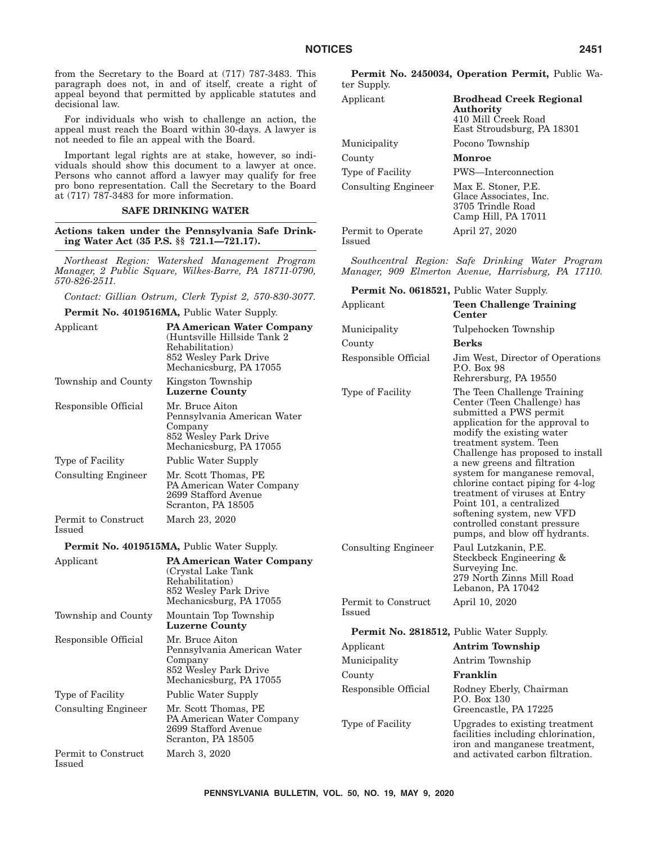from the Secretary to the Board at (717) 787-3483. This paragraph does not, in and of itself, create a right of appeal beyond that permitted by applicable statutes and decisional law.

For individuals who wish to challenge an action, the appeal must reach the Board within 30-days. A lawyer is not needed to file an appeal with the Board.

Important legal rights are at stake, however, so individuals should show this document to a lawyer at once. Persons who cannot afford a lawyer may qualify for free pro bono representation. Call the Secretary to the Board at (717) 787-3483 for more information.

### **SAFE DRINKING WATER**

**Actions taken under the Pennsylvania Safe Drinking Water Act (35 P.S. §§ 721.1—721.17).**

*Northeast Region: Watershed Management Program Manager, 2 Public Square, Wilkes-Barre, PA 18711-0790, 570-826-2511.*

*Contact: Gillian Ostrum, Clerk Typist 2, 570-830-3077.*

| Contact. Guttan Ostram, Clerk Typist 2, 310-890-9011.                                                                                 |                                                                                                     | Applicant                                       | <b>Teen Challenge Training</b>                                                                                                                  |  |
|---------------------------------------------------------------------------------------------------------------------------------------|-----------------------------------------------------------------------------------------------------|-------------------------------------------------|-------------------------------------------------------------------------------------------------------------------------------------------------|--|
|                                                                                                                                       | <b>Permit No. 4019516MA, Public Water Supply.</b>                                                   |                                                 | Center                                                                                                                                          |  |
| Applicant                                                                                                                             | <b>PA American Water Company</b><br>(Huntsville Hillside Tank 2)<br>Rehabilitation)                 | Municipality                                    | Tulpehocken Township                                                                                                                            |  |
|                                                                                                                                       |                                                                                                     | County                                          | <b>Berks</b>                                                                                                                                    |  |
| 852 Wesley Park Drive<br>Mechanicsburg, PA 17055                                                                                      |                                                                                                     | Responsible Official                            | Jim West, Director of Operations<br>P.O. Box 98<br>Rehrersburg, PA 19550                                                                        |  |
| Township and County                                                                                                                   | Kingston Township<br><b>Luzerne County</b>                                                          | Type of Facility                                |                                                                                                                                                 |  |
| Responsible Official<br>Mr. Bruce Aiton<br>Pennsylvania American Water<br>Company<br>852 Wesley Park Drive<br>Mechanicsburg, PA 17055 |                                                                                                     |                                                 | Center (Teen Challenge) has<br>submitted a PWS permit<br>application for the approval to<br>modify the existing water<br>treatment system. Teen |  |
| Type of Facility                                                                                                                      | <b>Public Water Supply</b>                                                                          |                                                 | Challenge has proposed to install<br>a new greens and filtration                                                                                |  |
| <b>Consulting Engineer</b>                                                                                                            | Mr. Scott Thomas, PE<br>PA American Water Company<br>2699 Stafford Avenue<br>Scranton, PA 18505     |                                                 | system for manganese removal,<br>chlorine contact piping for 4-log<br>treatment of viruses at Entry<br>Point 101, a centralized                 |  |
| Permit to Construct<br>Issued                                                                                                         | March 23, 2020                                                                                      |                                                 | softening system, new VFD<br>controlled constant pressure<br>pumps, and blow off hydrants.                                                      |  |
| <b>Permit No. 4019515MA, Public Water Supply.</b>                                                                                     |                                                                                                     | <b>Consulting Engineer</b>                      | Paul Lutzkanin, P.E.                                                                                                                            |  |
| Applicant                                                                                                                             | <b>PA American Water Company</b><br>(Crystal Lake Tank)<br>Rehabilitation)<br>852 Wesley Park Drive |                                                 | Steckbeck Engineering &<br>Surveying Inc.<br>279 North Zinns Mill Road<br>Lebanon, PA 17042                                                     |  |
|                                                                                                                                       | Mechanicsburg, PA 17055                                                                             | Permit to Construct                             | April 10, 2020                                                                                                                                  |  |
| Township and County                                                                                                                   | Mountain Top Township<br><b>Luzerne County</b>                                                      | <b>Issued</b>                                   |                                                                                                                                                 |  |
| Responsible Official                                                                                                                  | Mr. Bruce Aiton                                                                                     | <b>Permit No. 2818512, Public Water Supply.</b> |                                                                                                                                                 |  |
|                                                                                                                                       | Pennsylvania American Water                                                                         | Applicant                                       | <b>Antrim Township</b>                                                                                                                          |  |
|                                                                                                                                       | Company<br>852 Wesley Park Drive                                                                    | Municipality                                    | Antrim Township                                                                                                                                 |  |
|                                                                                                                                       | Mechanicsburg, PA 17055                                                                             | County                                          | Franklin                                                                                                                                        |  |
| Type of Facility                                                                                                                      | <b>Public Water Supply</b>                                                                          | Responsible Official                            | Rodney Eberly, Chairman<br>P.O. Box 130                                                                                                         |  |
| <b>Consulting Engineer</b>                                                                                                            | Mr. Scott Thomas, PE                                                                                |                                                 | Greencastle, PA 17225                                                                                                                           |  |
|                                                                                                                                       | PA American Water Company<br>2699 Stafford Avenue<br>Scranton, PA 18505                             | Type of Facility                                | Upgrades to existing treatment<br>facilities including chlorination,<br>iron and manganese treatment,                                           |  |
| Permit to Construct<br>Issued                                                                                                         | March 3, 2020                                                                                       |                                                 | and activated carbon filtration.                                                                                                                |  |

410 Mill Creek Road East Stroudsburg, PA 18301

Glace Associates, Inc. 3705 Trindle Road Camp Hill, PA 17011

April 27, 2020

*Southcentral Region: Safe Drinking Water Program Manager, 909 Elmerton Avenue, Harrisburg, PA 17110.*

Applicant **Brodhead Creek Regional Authority**

Municipality Pocono Township

Type of Facility PWS—Interconnection Consulting Engineer Max E. Stoner, P.E.

**Permit No. 0618521,** Public Water Supply.

County **Monroe**

Permit to Operate

Issued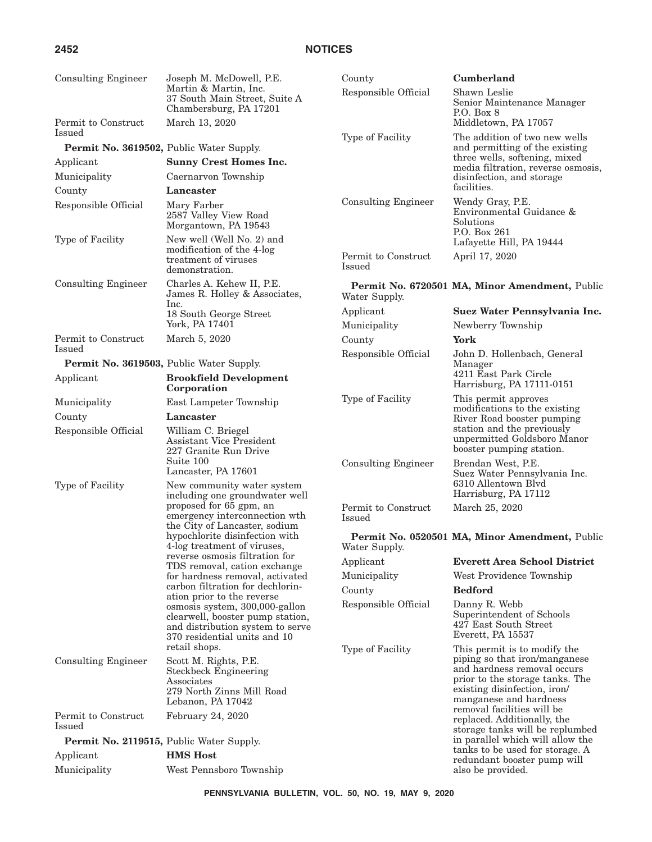# **2452 NOTICES**

| <b>Consulting Engineer</b>                         | Joseph M. McDowell, P.E.                                                                                                               | County                               | Cumberland                                                                                                                                                                                |  |
|----------------------------------------------------|----------------------------------------------------------------------------------------------------------------------------------------|--------------------------------------|-------------------------------------------------------------------------------------------------------------------------------------------------------------------------------------------|--|
|                                                    | Martin & Martin, Inc.<br>37 South Main Street, Suite A<br>Chambersburg, PA 17201                                                       | Responsible Official                 | Shawn Leslie<br>Senior Maintenance Manager<br>P.O. Box 8                                                                                                                                  |  |
| Permit to Construct<br>Issued                      | March 13, 2020                                                                                                                         |                                      | Middletown, PA 17057                                                                                                                                                                      |  |
| Permit No. 3619502, Public Water Supply.           |                                                                                                                                        | Type of Facility                     | The addition of two new wells<br>and permitting of the existing                                                                                                                           |  |
| Applicant                                          | <b>Sunny Crest Homes Inc.</b>                                                                                                          |                                      | three wells, softening, mixed                                                                                                                                                             |  |
| Municipality                                       | Caernarvon Township                                                                                                                    |                                      | media filtration, reverse osmosis,<br>disinfection, and storage                                                                                                                           |  |
| County                                             | Lancaster                                                                                                                              |                                      | facilities.                                                                                                                                                                               |  |
| Responsible Official                               | Mary Farber<br>2587 Valley View Road<br>Morgantown, PA 19543                                                                           | <b>Consulting Engineer</b>           | Wendy Gray, P.E.<br>Environmental Guidance &<br>Solutions<br>P.O. Box 261                                                                                                                 |  |
| Type of Facility                                   | New well (Well No. 2) and<br>modification of the 4-log<br>treatment of viruses<br>demonstration.                                       | Permit to Construct<br>Issued        | Lafayette Hill, PA 19444<br>April 17, 2020                                                                                                                                                |  |
| <b>Consulting Engineer</b>                         | Charles A. Kehew II, P.E.<br>James R. Holley & Associates,                                                                             | Water Supply.                        | Permit No. 6720501 MA, Minor Amendment, Public                                                                                                                                            |  |
|                                                    | Inc.<br>18 South George Street                                                                                                         | Applicant                            | Suez Water Pennsylvania Inc.                                                                                                                                                              |  |
|                                                    | York, PA 17401                                                                                                                         | Municipality                         | Newberry Township                                                                                                                                                                         |  |
| Permit to Construct                                | March 5, 2020                                                                                                                          | County                               | York                                                                                                                                                                                      |  |
| Issued<br>Permit No. 3619503, Public Water Supply. |                                                                                                                                        | Responsible Official                 | John D. Hollenbach, General                                                                                                                                                               |  |
| Applicant                                          | <b>Brookfield Development</b><br>Corporation                                                                                           |                                      | Manager<br>4211 East Park Circle<br>Harrisburg, PA 17111-0151                                                                                                                             |  |
| Municipality                                       | East Lampeter Township                                                                                                                 | Type of Facility                     | This permit approves                                                                                                                                                                      |  |
| County                                             | Lancaster                                                                                                                              |                                      | modifications to the existing<br>River Road booster pumping                                                                                                                               |  |
| Responsible Official                               | William C. Briegel<br>Assistant Vice President<br>227 Granite Run Drive<br>Suite 100                                                   |                                      | station and the previously<br>unpermitted Goldsboro Manor<br>booster pumping station.                                                                                                     |  |
| Type of Facility                                   | Lancaster, PA 17601<br>New community water system                                                                                      | <b>Consulting Engineer</b>           | Brendan West, P.E.<br>Suez Water Pennsylvania Inc.<br>6310 Allentown Blvd<br>Harrisburg, PA 17112                                                                                         |  |
|                                                    | including one groundwater well<br>proposed for 65 gpm, an<br>emergency interconnection wth<br>the City of Lancaster, sodium            | Permit to Construct<br><b>Issued</b> | March 25, 2020                                                                                                                                                                            |  |
|                                                    | hypochlorite disinfection with<br>4-log treatment of viruses,                                                                          | Water Supply.                        | Permit No. 0520501 MA, Minor Amendment, Public                                                                                                                                            |  |
|                                                    | reverse osmosis filtration for<br>TDS removal, cation exchange                                                                         | Applicant                            | <b>Everett Area School District</b>                                                                                                                                                       |  |
|                                                    | for hardness removal, activated                                                                                                        | Municipality                         | West Providence Township                                                                                                                                                                  |  |
|                                                    | carbon filtration for dechlorin-<br>ation prior to the reverse                                                                         | County                               | <b>Bedford</b>                                                                                                                                                                            |  |
|                                                    | osmosis system, 300,000-gallon<br>clearwell, booster pump station,<br>and distribution system to serve<br>370 residential units and 10 | Responsible Official                 | Danny R. Webb<br>Superintendent of Schools<br>427 East South Street<br>Everett, PA 15537                                                                                                  |  |
| <b>Consulting Engineer</b>                         | retail shops.<br>Scott M. Rights, P.E.<br><b>Steckbeck Engineering</b><br>Associates<br>279 North Zinns Mill Road<br>Lebanon, PA 17042 | Type of Facility                     | This permit is to modify the<br>piping so that iron/manganese<br>and hardness removal occurs<br>prior to the storage tanks. The<br>existing disinfection, iron/<br>manganese and hardness |  |
| Permit to Construct<br>Issued                      | February 24, 2020                                                                                                                      |                                      | removal facilities will be<br>replaced. Additionally, the<br>storage tanks will be replumbed                                                                                              |  |
| <b>Permit No. 2119515, Public Water Supply.</b>    |                                                                                                                                        |                                      | in parallel which will allow the                                                                                                                                                          |  |
| Applicant                                          | <b>HMS Host</b>                                                                                                                        |                                      | tanks to be used for storage. A<br>redundant booster pump will                                                                                                                            |  |
| Municipality                                       | West Pennsboro Township                                                                                                                |                                      | also be provided.                                                                                                                                                                         |  |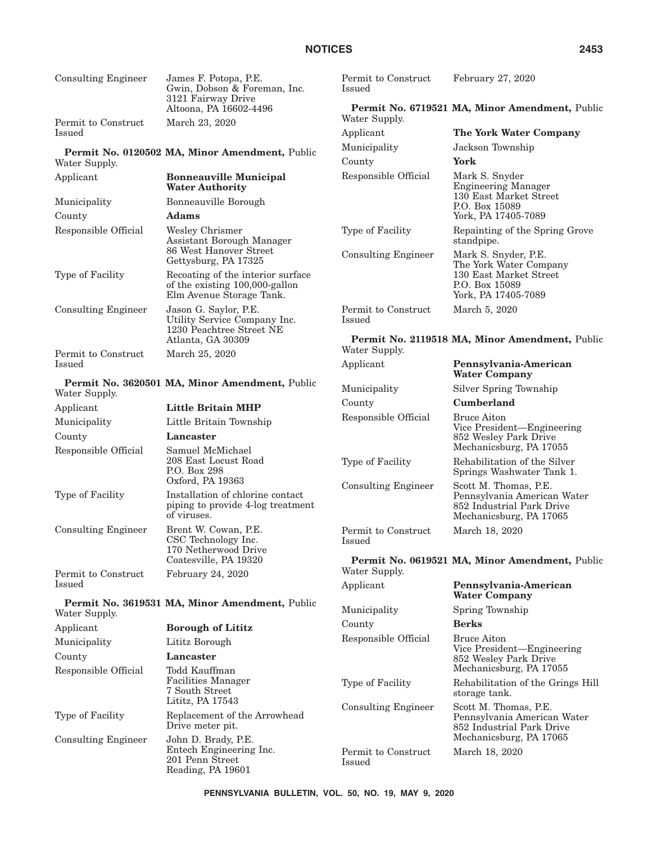| <b>Consulting Engineer</b> | James F. Potopa, P.E.<br>Gwin, Dobson & Foreman, Inc.<br>3121 Fairway Drive                              | Permit to Construct<br>Issued                  | February 27, 2020                                                                                            |
|----------------------------|----------------------------------------------------------------------------------------------------------|------------------------------------------------|--------------------------------------------------------------------------------------------------------------|
| Permit to Construct        | Altoona, PA 16602-4496<br>March 23, 2020                                                                 | Water Supply.                                  | Permit No. 6719521 MA, Minor Amendment, Public                                                               |
| Issued                     |                                                                                                          | Applicant                                      | The York Water Company                                                                                       |
|                            |                                                                                                          | Municipality                                   | Jackson Township                                                                                             |
| Water Supply.              | Permit No. 0120502 MA, Minor Amendment, Public                                                           | County                                         | York                                                                                                         |
| Applicant                  | <b>Bonneauville Municipal</b><br><b>Water Authority</b>                                                  | Responsible Official                           | Mark S. Snyder<br><b>Engineering Manager</b>                                                                 |
| Municipality               | Bonneauville Borough                                                                                     |                                                | 130 East Market Street<br>P.O. Box 15089                                                                     |
| County                     | <b>Adams</b>                                                                                             |                                                | York, PA 17405-7089                                                                                          |
| Responsible Official       | Wesley Chrismer<br>Assistant Borough Manager<br>86 West Hanover Street                                   | Type of Facility<br><b>Consulting Engineer</b> | Repainting of the Spring Grove<br>standpipe.<br>Mark S. Snyder, P.E.                                         |
|                            | Gettysburg, PA 17325                                                                                     |                                                | The York Water Company                                                                                       |
| Type of Facility           | Recoating of the interior surface<br>of the existing 100,000-gallon<br>Elm Avenue Storage Tank.          |                                                | 130 East Market Street<br>P.O. Box 15089<br>York, PA 17405-7089                                              |
| <b>Consulting Engineer</b> | Jason G. Saylor, P.E.<br>Utility Service Company Inc.<br>1230 Peachtree Street NE                        | Permit to Construct<br>Issued                  | March 5, 2020                                                                                                |
| Permit to Construct        | Atlanta, GA 30309<br>March 25, 2020                                                                      | Water Supply.                                  | Permit No. 2119518 MA, Minor Amendment, Public                                                               |
| Issued                     |                                                                                                          | Applicant                                      | Pennsylvania-American<br><b>Water Company</b>                                                                |
| Water Supply.              | Permit No. 3620501 MA, Minor Amendment, Public                                                           | Municipality                                   | Silver Spring Township                                                                                       |
| Applicant                  | <b>Little Britain MHP</b>                                                                                | County                                         | Cumberland                                                                                                   |
| Municipality               | Little Britain Township                                                                                  | Responsible Official                           | <b>Bruce Aiton</b>                                                                                           |
| County                     | Lancaster                                                                                                |                                                | Vice President-Engineering<br>852 Wesley Park Drive<br>Mechanicsburg, PA 17055                               |
| Responsible Official       | Samuel McMichael<br>208 East Locust Road<br>P.O. Box 298                                                 | Type of Facility                               | Rehabilitation of the Silver<br>Springs Washwater Tank 1.                                                    |
| Type of Facility           | Oxford, PA 19363<br>Installation of chlorine contact<br>piping to provide 4-log treatment<br>of viruses. | <b>Consulting Engineer</b>                     | Scott M. Thomas, P.E.<br>Pennsylvania American Water<br>852 Industrial Park Drive<br>Mechanicsburg, PA 17065 |
| <b>Consulting Engineer</b> | Brent W. Cowan, P.E.<br>CSC Technology Inc.<br>170 Netherwood Drive                                      | Permit to Construct<br>Issued                  | March 18, 2020                                                                                               |
| Permit to Construct        | Coatesville, PA 19320<br>February 24, 2020                                                               | Water Supply.                                  | Permit No. 0619521 MA, Minor Amendment, Public                                                               |
| Issued                     |                                                                                                          | Applicant                                      | Pennsylvania-American<br><b>Water Company</b>                                                                |
| Water Supply.              | Permit No. 3619531 MA, Minor Amendment, Public                                                           | Municipality                                   | Spring Township                                                                                              |
| Applicant                  | <b>Borough of Lititz</b>                                                                                 | County                                         | <b>Berks</b>                                                                                                 |
| Municipality               | Lititz Borough                                                                                           | Responsible Official                           | <b>Bruce Aiton</b>                                                                                           |
| County                     | Lancaster                                                                                                |                                                | Vice President-Engineering<br>852 Wesley Park Drive                                                          |
| Responsible Official       | Todd Kauffman                                                                                            |                                                | Mechanicsburg, PA 17055                                                                                      |
|                            | Facilities Manager<br>7 South Street<br>Lititz, PA 17543                                                 | Type of Facility                               | Rehabilitation of the Grings Hill<br>storage tank.                                                           |
| Type of Facility           | Replacement of the Arrowhead<br>Drive meter pit.                                                         | <b>Consulting Engineer</b>                     | Scott M. Thomas, P.E.<br>Pennsylvania American Water<br>852 Industrial Park Drive                            |
| <b>Consulting Engineer</b> | John D. Brady, P.E.<br>Entech Engineering Inc.<br>201 Penn Street<br>Reading, PA 19601                   | Permit to Construct<br><b>Issued</b>           | Mechanicsburg, PA 17065<br>March 18, 2020                                                                    |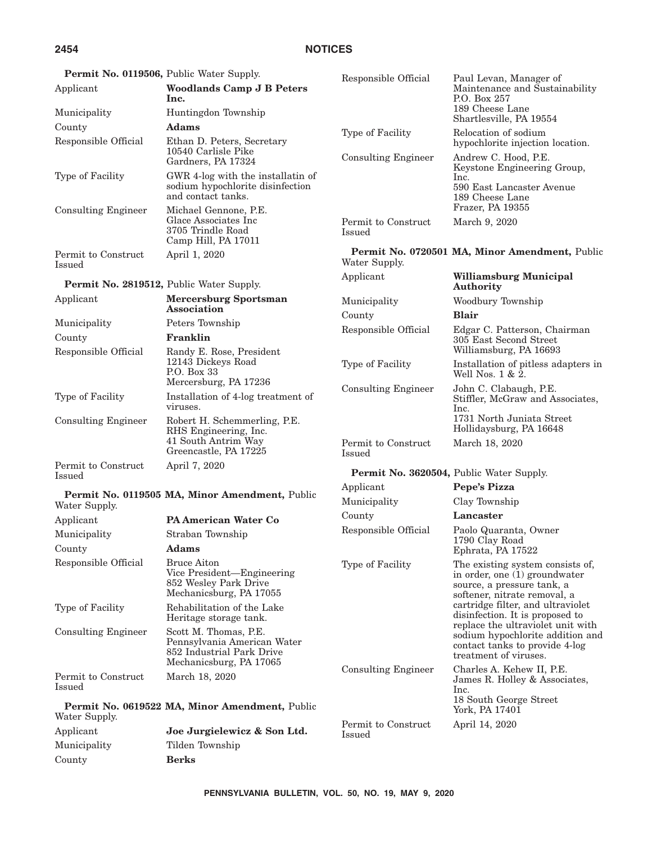# **2454 NOTICES**

| Permit No. 0119506, Public Water Supply.        |                                                                                                              | Responsible Official          | Paul Levan, Manager of                                                                                                           |  |
|-------------------------------------------------|--------------------------------------------------------------------------------------------------------------|-------------------------------|----------------------------------------------------------------------------------------------------------------------------------|--|
| Applicant                                       | <b>Woodlands Camp J B Peters</b><br>lnc.                                                                     |                               | Maintenance and Sustainability<br>P.O. Box 257                                                                                   |  |
| Municipality                                    | Huntingdon Township                                                                                          |                               | 189 Cheese Lane<br>Shartlesville, PA 19554                                                                                       |  |
| County<br>Responsible Official                  | <b>Adams</b><br>Ethan D. Peters, Secretary                                                                   | Type of Facility              | Relocation of sodium<br>hypochlorite injection location.                                                                         |  |
|                                                 | 10540 Carlisle Pike<br>Gardners, PA 17324                                                                    | <b>Consulting Engineer</b>    | Andrew C. Hood, P.E.<br>Keystone Engineering Group,                                                                              |  |
| Type of Facility                                | GWR 4-log with the installatin of<br>sodium hypochlorite disinfection<br>and contact tanks.                  |                               | Inc.<br>590 East Lancaster Avenue<br>189 Cheese Lane                                                                             |  |
| <b>Consulting Engineer</b>                      | Michael Gennone, P.E.<br>Glace Associates Inc<br>3705 Trindle Road<br>Camp Hill, PA 17011                    | Permit to Construct<br>Issued | Frazer, PA 19355<br>March 9, 2020                                                                                                |  |
| Permit to Construct<br>Issued                   | April 1, 2020                                                                                                | Water Supply.                 | Permit No. 0720501 MA, Minor Amendment, Public                                                                                   |  |
| <b>Permit No. 2819512, Public Water Supply.</b> |                                                                                                              | Applicant                     | Williamsburg Municipal<br>Authority                                                                                              |  |
| Applicant                                       | <b>Mercersburg Sportsman</b><br>Association                                                                  | Municipality                  | Woodbury Township                                                                                                                |  |
| Municipality                                    | Peters Township                                                                                              | County                        | <b>Blair</b>                                                                                                                     |  |
| County                                          | Franklin                                                                                                     | Responsible Official          | Edgar C. Patterson, Chairman<br>305 East Second Street                                                                           |  |
| Responsible Official                            | Randy E. Rose, President                                                                                     |                               | Williamsburg, PA 16693                                                                                                           |  |
|                                                 | 12143 Dickeys Road<br>P.O. Box 33                                                                            | Type of Facility              | Installation of pitless adapters in<br>Well Nos. $1 & 2$ .                                                                       |  |
| Type of Facility                                | Mercersburg, PA 17236<br>Installation of 4-log treatment of<br>viruses.                                      | <b>Consulting Engineer</b>    | John C. Clabaugh, P.E.<br>Stiffler, McGraw and Associates,<br>Inc.                                                               |  |
| <b>Consulting Engineer</b>                      | Robert H. Schemmerling, P.E.<br>RHS Engineering, Inc.                                                        |                               | 1731 North Juniata Street<br>Hollidaysburg, PA 16648                                                                             |  |
|                                                 | 41 South Antrim Way<br>Greencastle, PA 17225                                                                 | Permit to Construct<br>Issued | March 18, 2020                                                                                                                   |  |
| Permit to Construct<br>Issued                   | April 7, 2020                                                                                                |                               | <b>Permit No. 3620504, Public Water Supply.</b>                                                                                  |  |
|                                                 |                                                                                                              | Applicant                     | Pepe's Pizza                                                                                                                     |  |
| Water Supply.                                   | Permit No. 0119505 MA, Minor Amendment, Public                                                               | Municipality                  | Clay Township                                                                                                                    |  |
| Applicant                                       | <b>PA American Water Co</b>                                                                                  | County                        | Lancaster                                                                                                                        |  |
| Municipality                                    | Straban Township                                                                                             | Responsible Official          | Paolo Quaranta, Owner<br>1790 Clay Road                                                                                          |  |
| County                                          | <b>Adams</b>                                                                                                 |                               | Ephrata, PA 17522                                                                                                                |  |
| Responsible Official                            | <b>Bruce Aiton</b><br>Vice President-Engineering<br>852 Wesley Park Drive<br>Mechanicsburg, PA 17055         | Type of Facility              | The existing system consists of,<br>in order, one (1) groundwater<br>source, a pressure tank, a<br>softener, nitrate removal, a  |  |
| Type of Facility                                | Rehabilitation of the Lake<br>Heritage storage tank.                                                         |                               | cartridge filter, and ultraviolet<br>disinfection. It is proposed to                                                             |  |
| <b>Consulting Engineer</b>                      | Scott M. Thomas, P.E.<br>Pennsylvania American Water<br>852 Industrial Park Drive<br>Mechanicsburg, PA 17065 |                               | replace the ultraviolet unit with<br>sodium hypochlorite addition and<br>contact tanks to provide 4-log<br>treatment of viruses. |  |
| Permit to Construct<br>Issued                   | March 18, 2020                                                                                               | <b>Consulting Engineer</b>    | Charles A. Kehew II, P.E.<br>James R. Holley & Associates,<br>Inc.                                                               |  |
| Water Supply.                                   | Permit No. 0619522 MA, Minor Amendment, Public                                                               |                               | 18 South George Street<br>York, PA 17401                                                                                         |  |
| Applicant                                       | Joe Jurgielewicz & Son Ltd.                                                                                  | Permit to Construct<br>Issued | April 14, 2020                                                                                                                   |  |
| Municipality                                    | Tilden Township                                                                                              |                               |                                                                                                                                  |  |
| County                                          | <b>Berks</b>                                                                                                 |                               |                                                                                                                                  |  |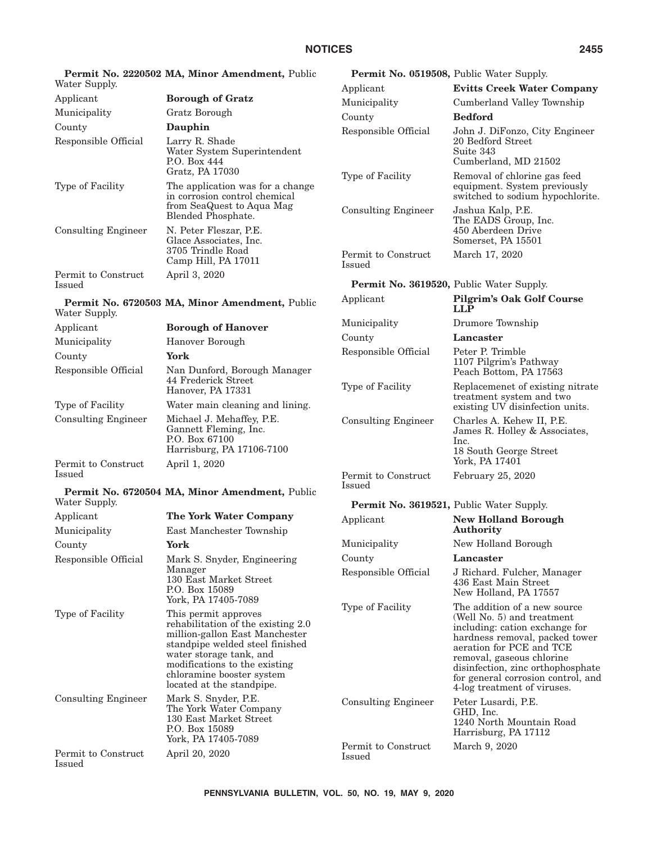|                               | Permit No. 2220502 MA, Minor Amendment, Public                                                                                                                                                                                                        | <b>Permit No. 0519508, Public Water Supply.</b> |                                                                                                                                                                                                                                                                                                   |
|-------------------------------|-------------------------------------------------------------------------------------------------------------------------------------------------------------------------------------------------------------------------------------------------------|-------------------------------------------------|---------------------------------------------------------------------------------------------------------------------------------------------------------------------------------------------------------------------------------------------------------------------------------------------------|
| Water Supply.                 |                                                                                                                                                                                                                                                       | Applicant                                       | <b>Evitts Creek Water Company</b>                                                                                                                                                                                                                                                                 |
| Applicant                     | <b>Borough of Gratz</b>                                                                                                                                                                                                                               | Municipality                                    | Cumberland Valley Township                                                                                                                                                                                                                                                                        |
| Municipality                  | Gratz Borough                                                                                                                                                                                                                                         | County                                          | <b>Bedford</b>                                                                                                                                                                                                                                                                                    |
| County                        | Dauphin                                                                                                                                                                                                                                               | Responsible Official                            | John J. DiFonzo, City Engineer                                                                                                                                                                                                                                                                    |
| Responsible Official          | Larry R. Shade<br>Water System Superintendent<br>P.O. Box 444<br>Gratz, PA 17030                                                                                                                                                                      |                                                 | 20 Bedford Street<br>Suite 343<br>Cumberland, MD 21502                                                                                                                                                                                                                                            |
| Type of Facility              | The application was for a change<br>in corrosion control chemical<br>from SeaQuest to Aqua Mag                                                                                                                                                        | Type of Facility                                | Removal of chlorine gas feed<br>equipment. System previously<br>switched to sodium hypochlorite.                                                                                                                                                                                                  |
| <b>Consulting Engineer</b>    | Blended Phosphate.<br>N. Peter Fleszar, P.E.                                                                                                                                                                                                          | <b>Consulting Engineer</b>                      | Jashua Kalp, P.E.<br>The EADS Group, Inc.<br>450 Aberdeen Drive                                                                                                                                                                                                                                   |
|                               | Glace Associates, Inc.<br>3705 Trindle Road<br>Camp Hill, PA 17011                                                                                                                                                                                    | Permit to Construct<br>Issued                   | Somerset, PA 15501<br>March 17, 2020                                                                                                                                                                                                                                                              |
| Permit to Construct<br>Issued | April 3, 2020                                                                                                                                                                                                                                         | Permit No. 3619520, Public Water Supply.        |                                                                                                                                                                                                                                                                                                   |
| Water Supply.                 | Permit No. 6720503 MA, Minor Amendment, Public                                                                                                                                                                                                        | Applicant                                       | <b>Pilgrim's Oak Golf Course</b><br><b>LLP</b>                                                                                                                                                                                                                                                    |
| Applicant                     | <b>Borough of Hanover</b>                                                                                                                                                                                                                             | Municipality                                    | Drumore Township                                                                                                                                                                                                                                                                                  |
| Municipality                  | Hanover Borough                                                                                                                                                                                                                                       | County                                          | Lancaster                                                                                                                                                                                                                                                                                         |
| County                        | York                                                                                                                                                                                                                                                  | Responsible Official                            | Peter P. Trimble                                                                                                                                                                                                                                                                                  |
| Responsible Official          | Nan Dunford, Borough Manager<br>44 Frederick Street                                                                                                                                                                                                   |                                                 | 1107 Pilgrim's Pathway<br>Peach Bottom, PA 17563                                                                                                                                                                                                                                                  |
|                               | Hanover, PA 17331                                                                                                                                                                                                                                     | Type of Facility                                | Replacemenet of existing nitrate<br>treatment system and two                                                                                                                                                                                                                                      |
| Type of Facility              | Water main cleaning and lining.                                                                                                                                                                                                                       |                                                 | existing UV disinfection units.                                                                                                                                                                                                                                                                   |
| <b>Consulting Engineer</b>    | Michael J. Mehaffey, P.E.<br>Gannett Fleming, Inc.<br>P.O. Box 67100<br>Harrisburg, PA 17106-7100                                                                                                                                                     | <b>Consulting Engineer</b>                      | Charles A. Kehew II, P.E.<br>James R. Holley & Associates,<br>Inc.<br>18 South George Street                                                                                                                                                                                                      |
| Permit to Construct           | April 1, 2020                                                                                                                                                                                                                                         |                                                 | York, PA 17401                                                                                                                                                                                                                                                                                    |
| Issued                        |                                                                                                                                                                                                                                                       | Permit to Construct<br><b>Issued</b>            | February 25, 2020                                                                                                                                                                                                                                                                                 |
| Water Supply.                 | Permit No. 6720504 MA, Minor Amendment, Public                                                                                                                                                                                                        | Permit No. 3619521, Public Water Supply.        |                                                                                                                                                                                                                                                                                                   |
| Applicant                     | The York Water Company                                                                                                                                                                                                                                | Applicant                                       | <b>New Holland Borough</b>                                                                                                                                                                                                                                                                        |
| Municipality                  | East Manchester Township                                                                                                                                                                                                                              |                                                 | Authority                                                                                                                                                                                                                                                                                         |
| County                        | York                                                                                                                                                                                                                                                  | Municipality                                    | New Holland Borough                                                                                                                                                                                                                                                                               |
| Responsible Official          | Mark S. Snyder, Engineering                                                                                                                                                                                                                           | County                                          | Lancaster                                                                                                                                                                                                                                                                                         |
|                               | Manager<br>130 East Market Street<br>P.O. Box 15089<br>York, PA 17405-7089                                                                                                                                                                            | Responsible Official                            | J Richard. Fulcher, Manager<br>436 East Main Street<br>New Holland, PA 17557                                                                                                                                                                                                                      |
| Type of Facility              | This permit approves<br>rehabilitation of the existing 2.0<br>million-gallon East Manchester<br>standpipe welded steel finished<br>water storage tank, and<br>modifications to the existing<br>chloramine booster system<br>located at the standpipe. | Type of Facility                                | The addition of a new source<br>(Well No. 5) and treatment<br>including: cation exchange for<br>hardness removal, packed tower<br>aeration for PCE and TCE<br>removal, gaseous chlorine<br>disinfection, zinc orthophosphate<br>for general corrosion control, and<br>4-log treatment of viruses. |
| <b>Consulting Engineer</b>    | Mark S. Snyder, P.E.<br>The York Water Company<br>130 East Market Street<br>P.O. Box 15089<br>York, PA 17405-7089                                                                                                                                     | <b>Consulting Engineer</b>                      | Peter Lusardi, P.E.<br>GHD, Inc.<br>1240 North Mountain Road<br>Harrisburg, PA 17112                                                                                                                                                                                                              |
| Permit to Construct<br>Issued | April 20, 2020                                                                                                                                                                                                                                        | Permit to Construct<br>Issued                   | March 9, 2020                                                                                                                                                                                                                                                                                     |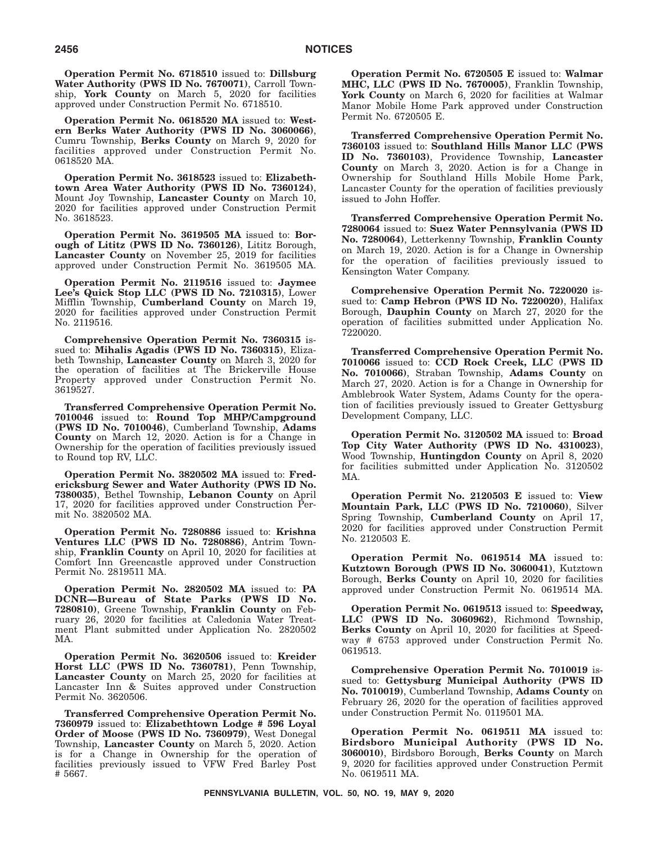**Operation Permit No. 6718510** issued to: **Dillsburg Water Authority (PWS ID No. 7670071)**, Carroll Township, **York County** on March 5, 2020 for facilities approved under Construction Permit No. 6718510.

**Operation Permit No. 0618520 MA** issued to: **Western Berks Water Authority (PWS ID No. 3060066)**, Cumru Township, **Berks County** on March 9, 2020 for facilities approved under Construction Permit No. 0618520 MA.

**Operation Permit No. 3618523** issued to: **Elizabethtown Area Water Authority (PWS ID No. 7360124)**, Mount Joy Township, **Lancaster County** on March 10, 2020 for facilities approved under Construction Permit No. 3618523.

**Operation Permit No. 3619505 MA** issued to: **Borough of Lititz (PWS ID No. 7360126)**, Lititz Borough, **Lancaster County** on November 25, 2019 for facilities approved under Construction Permit No. 3619505 MA.

**Operation Permit No. 2119516** issued to: **Jaymee Lee's Quick Stop LLC (PWS ID No. 7210315)**, Lower Mifflin Township, **Cumberland County** on March 19, 2020 for facilities approved under Construction Permit No. 2119516.

**Comprehensive Operation Permit No. 7360315** issued to: **Mihalis Agadis (PWS ID No. 7360315)**, Elizabeth Township, **Lancaster County** on March 3, 2020 for the operation of facilities at The Brickerville House Property approved under Construction Permit No. 3619527.

**Transferred Comprehensive Operation Permit No. 7010046** issued to: **Round Top MHP/Campground (PWS ID No. 7010046)**, Cumberland Township, **Adams County** on March 12, 2020. Action is for a Change in Ownership for the operation of facilities previously issued to Round top RV, LLC.

**Operation Permit No. 3820502 MA** issued to: **Fredericksburg Sewer and Water Authority (PWS ID No. 7380035)**, Bethel Township, **Lebanon County** on April 17, 2020 for facilities approved under Construction Permit No. 3820502 MA.

**Operation Permit No. 7280886** issued to: **Krishna Ventures LLC (PWS ID No. 7280886)**, Antrim Township, **Franklin County** on April 10, 2020 for facilities at Comfort Inn Greencastle approved under Construction Permit No. 2819511 MA.

**Operation Permit No. 2820502 MA** issued to: **PA DCNR—Bureau of State Parks (PWS ID No. 7280810)**, Greene Township, **Franklin County** on February 26, 2020 for facilities at Caledonia Water Treatment Plant submitted under Application No. 2820502 MA.

**Operation Permit No. 3620506** issued to: **Kreider Horst LLC (PWS ID No. 7360781)**, Penn Township, **Lancaster County** on March 25, 2020 for facilities at Lancaster Inn & Suites approved under Construction Permit No. 3620506.

**Transferred Comprehensive Operation Permit No. 7360979** issued to: **Elizabethtown Lodge # 596 Loyal Order of Moose (PWS ID No. 7360979)**, West Donegal Township, **Lancaster County** on March 5, 2020. Action is for a Change in Ownership for the operation of facilities previously issued to VFW Fred Barley Post # 5667.

**Operation Permit No. 6720505 E** issued to: **Walmar MHC, LLC (PWS ID No. 7670005)**, Franklin Township, York County on March 6, 2020 for facilities at Walmar Manor Mobile Home Park approved under Construction Permit No. 6720505 E.

**Transferred Comprehensive Operation Permit No. 7360103** issued to: **Southland Hills Manor LLC (PWS ID No. 7360103)**, Providence Township, **Lancaster County** on March 3, 2020. Action is for a Change in Ownership for Southland Hills Mobile Home Park, Lancaster County for the operation of facilities previously issued to John Hoffer.

**Transferred Comprehensive Operation Permit No. 7280064** issued to: **Suez Water Pennsylvania (PWS ID No. 7280064)**, Letterkenny Township, **Franklin County** on March 19, 2020. Action is for a Change in Ownership for the operation of facilities previously issued to Kensington Water Company.

**Comprehensive Operation Permit No. 7220020** issued to: **Camp Hebron (PWS ID No. 7220020)**, Halifax Borough, **Dauphin County** on March 27, 2020 for the operation of facilities submitted under Application No. 7220020.

**Transferred Comprehensive Operation Permit No. 7010066** issued to: **CCD Rock Creek, LLC (PWS ID No. 7010066)**, Straban Township, **Adams County** on March 27, 2020. Action is for a Change in Ownership for Amblebrook Water System, Adams County for the operation of facilities previously issued to Greater Gettysburg Development Company, LLC.

**Operation Permit No. 3120502 MA** issued to: **Broad Top City Water Authority (PWS ID No. 4310023)**, Wood Township, **Huntingdon County** on April 8, 2020 for facilities submitted under Application No. 3120502 MA.

**Operation Permit No. 2120503 E** issued to: **View Mountain Park, LLC (PWS ID No. 7210060)**, Silver Spring Township, **Cumberland County** on April 17, 2020 for facilities approved under Construction Permit No. 2120503 E.

**Operation Permit No. 0619514 MA** issued to: **Kutztown Borough (PWS ID No. 3060041)**, Kutztown Borough, **Berks County** on April 10, 2020 for facilities approved under Construction Permit No. 0619514 MA.

**Operation Permit No. 0619513** issued to: **Speedway, LLC (PWS ID No. 3060962)**, Richmond Township, **Berks County** on April 10, 2020 for facilities at Speedway # 6753 approved under Construction Permit No. 0619513.

**Comprehensive Operation Permit No. 7010019** issued to: **Gettysburg Municipal Authority (PWS ID No. 7010019)**, Cumberland Township, **Adams County** on February 26, 2020 for the operation of facilities approved under Construction Permit No. 0119501 MA.

**Operation Permit No. 0619511 MA** issued to: **Birdsboro Municipal Authority (PWS ID No. 3060010)**, Birdsboro Borough, **Berks County** on March 9, 2020 for facilities approved under Construction Permit No. 0619511 MA.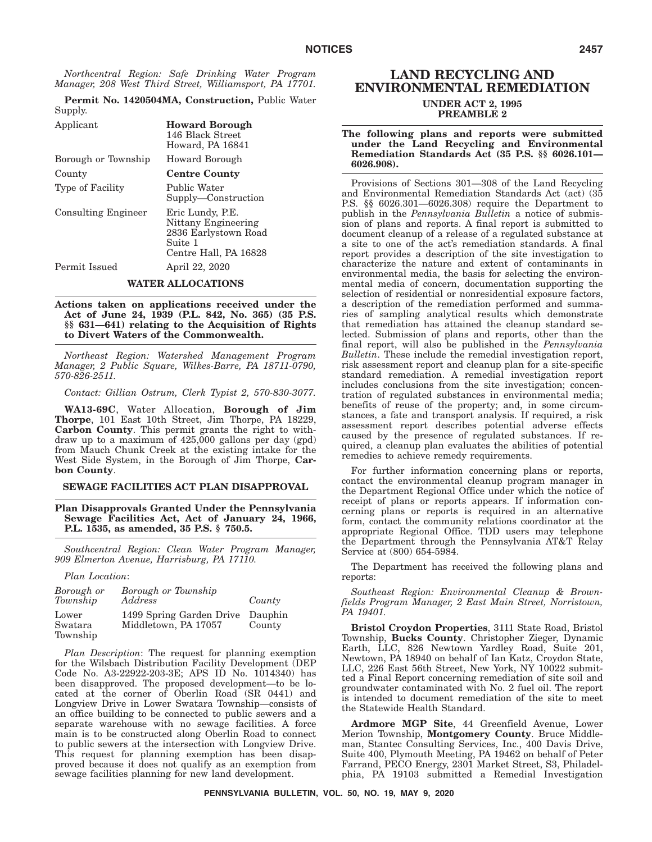*Northcentral Region: Safe Drinking Water Program Manager, 208 West Third Street, Williamsport, PA 17701.*

**Permit No. 1420504MA, Construction,** Public Water Supply. Applicant **Howard Borough**

| Applicatio                 | 110 wai u Dolough<br>146 Black Street<br>Howard, PA 16841                                           |
|----------------------------|-----------------------------------------------------------------------------------------------------|
| Borough or Township        | Howard Borough                                                                                      |
| County                     | <b>Centre County</b>                                                                                |
| Type of Facility           | Public Water<br>Supply—Construction                                                                 |
| <b>Consulting Engineer</b> | Eric Lundy, P.E.<br>Nittany Engineering<br>2836 Earlystown Road<br>Suite 1<br>Centre Hall, PA 16828 |
| Permit Issued              | April 22, 2020                                                                                      |
|                            |                                                                                                     |

### **WATER ALLOCATIONS**

**Actions taken on applications received under the Act of June 24, 1939 (P.L. 842, No. 365) (35 P.S. §§ 631—641) relating to the Acquisition of Rights to Divert Waters of the Commonwealth.**

*Northeast Region: Watershed Management Program Manager, 2 Public Square, Wilkes-Barre, PA 18711-0790, 570-826-2511.*

*Contact: Gillian Ostrum, Clerk Typist 2, 570-830-3077.*

**WA13-69C**, Water Allocation, **Borough of Jim Thorpe**, 101 East 10th Street, Jim Thorpe, PA 18229, **Carbon County**. This permit grants the right to withdraw up to a maximum of 425,000 gallons per day (gpd) from Mauch Chunk Creek at the existing intake for the West Side System, in the Borough of Jim Thorpe, **Carbon County**.

### **SEWAGE FACILITIES ACT PLAN DISAPPROVAL**

**Plan Disapprovals Granted Under the Pennsylvania Sewage Facilities Act, Act of January 24, 1966, P.L. 1535, as amended, 35 P.S. § 750.5.**

*Southcentral Region: Clean Water Program Manager, 909 Elmerton Avenue, Harrisburg, PA 17110.*

*Plan Location*:

| Borough or<br>Township       | Borough or Township<br>Address                   | County            |
|------------------------------|--------------------------------------------------|-------------------|
| Lower<br>Swatara<br>Township | 1499 Spring Garden Drive<br>Middletown, PA 17057 | Dauphin<br>County |

*Plan Description*: The request for planning exemption for the Wilsbach Distribution Facility Development (DEP Code No. A3-22922-203-3E; APS ID No. 1014340) has been disapproved. The proposed development—to be located at the corner of Oberlin Road (SR 0441) and Longview Drive in Lower Swatara Township—consists of an office building to be connected to public sewers and a separate warehouse with no sewage facilities. A force main is to be constructed along Oberlin Road to connect to public sewers at the intersection with Longview Drive. This request for planning exemption has been disapproved because it does not qualify as an exemption from sewage facilities planning for new land development.

### **LAND RECYCLING AND ENVIRONMENTAL REMEDIATION UNDER ACT 2, 1995 PREAMBLE 2**

### **The following plans and reports were submitted under the Land Recycling and Environmental Remediation Standards Act (35 P.S. §§ 6026.101— 6026.908).**

Provisions of Sections 301—308 of the Land Recycling and Environmental Remediation Standards Act (act) (35 P.S. §§ 6026.301—6026.308) require the Department to publish in the *Pennsylvania Bulletin* a notice of submission of plans and reports. A final report is submitted to document cleanup of a release of a regulated substance at a site to one of the act's remediation standards. A final report provides a description of the site investigation to characterize the nature and extent of contaminants in environmental media, the basis for selecting the environmental media of concern, documentation supporting the selection of residential or nonresidential exposure factors, a description of the remediation performed and summaries of sampling analytical results which demonstrate that remediation has attained the cleanup standard selected. Submission of plans and reports, other than the final report, will also be published in the *Pennsylvania Bulletin*. These include the remedial investigation report, risk assessment report and cleanup plan for a site-specific standard remediation. A remedial investigation report includes conclusions from the site investigation; concentration of regulated substances in environmental media; benefits of reuse of the property; and, in some circumstances, a fate and transport analysis. If required, a risk assessment report describes potential adverse effects caused by the presence of regulated substances. If required, a cleanup plan evaluates the abilities of potential remedies to achieve remedy requirements.

For further information concerning plans or reports, contact the environmental cleanup program manager in the Department Regional Office under which the notice of receipt of plans or reports appears. If information concerning plans or reports is required in an alternative form, contact the community relations coordinator at the appropriate Regional Office. TDD users may telephone the Department through the Pennsylvania AT&T Relay Service at (800) 654-5984.

The Department has received the following plans and reports:

*Southeast Region: Environmental Cleanup & Brownfields Program Manager, 2 East Main Street, Norristown, PA 19401.*

**Bristol Croydon Properties**, 3111 State Road, Bristol Township, **Bucks County**. Christopher Zieger, Dynamic Earth, LLC, 826 Newtown Yardley Road, Suite 201, Newtown, PA 18940 on behalf of Ian Katz, Croydon State, LLC, 226 East 56th Street, New York, NY 10022 submitted a Final Report concerning remediation of site soil and groundwater contaminated with No. 2 fuel oil. The report is intended to document remediation of the site to meet the Statewide Health Standard.

**Ardmore MGP Site**, 44 Greenfield Avenue, Lower Merion Township, **Montgomery County**. Bruce Middleman, Stantec Consulting Services, Inc., 400 Davis Drive, Suite 400, Plymouth Meeting, PA 19462 on behalf of Peter Farrand, PECO Energy, 2301 Market Street, S3, Philadelphia, PA 19103 submitted a Remedial Investigation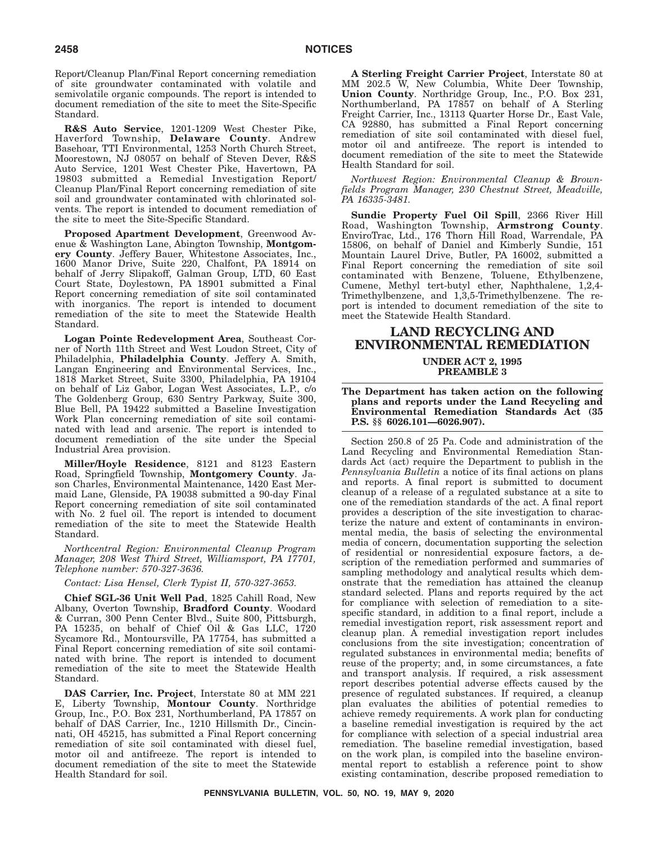Report/Cleanup Plan/Final Report concerning remediation of site groundwater contaminated with volatile and semivolatile organic compounds. The report is intended to document remediation of the site to meet the Site-Specific Standard.

**R&S Auto Service**, 1201-1209 West Chester Pike, Haverford Township, **Delaware County**. Andrew Basehoar, TTI Environmental, 1253 North Church Street, Moorestown, NJ 08057 on behalf of Steven Dever, R&S Auto Service, 1201 West Chester Pike, Havertown, PA 19803 submitted a Remedial Investigation Report/ Cleanup Plan/Final Report concerning remediation of site soil and groundwater contaminated with chlorinated solvents. The report is intended to document remediation of the site to meet the Site-Specific Standard.

**Proposed Apartment Development**, Greenwood Avenue & Washington Lane, Abington Township, **Montgomery County**. Jeffery Bauer, Whitestone Associates, Inc., 1600 Manor Drive, Suite 220, Chalfont, PA 18914 on behalf of Jerry Slipakoff, Galman Group, LTD, 60 East Court State, Doylestown, PA 18901 submitted a Final Report concerning remediation of site soil contaminated with inorganics. The report is intended to document remediation of the site to meet the Statewide Health Standard.

**Logan Pointe Redevelopment Area**, Southeast Corner of North 11th Street and West Loudon Street, City of Philadelphia, **Philadelphia County**. Jeffery A. Smith, Langan Engineering and Environmental Services, Inc., 1818 Market Street, Suite 3300, Philadelphia, PA 19104 on behalf of Liz Gabor, Logan West Associates, L.P., c/o The Goldenberg Group, 630 Sentry Parkway, Suite 300, Blue Bell, PA 19422 submitted a Baseline Investigation Work Plan concerning remediation of site soil contaminated with lead and arsenic. The report is intended to document remediation of the site under the Special Industrial Area provision.

**Miller/Hoyle Residence**, 8121 and 8123 Eastern Road, Springfield Township, **Montgomery County**. Jason Charles, Environmental Maintenance, 1420 East Mermaid Lane, Glenside, PA 19038 submitted a 90-day Final Report concerning remediation of site soil contaminated with No. 2 fuel oil. The report is intended to document remediation of the site to meet the Statewide Health Standard.

*Northcentral Region: Environmental Cleanup Program Manager, 208 West Third Street, Williamsport, PA 17701, Telephone number: 570-327-3636.*

*Contact: Lisa Hensel, Clerk Typist II, 570-327-3653.*

**Chief SGL-36 Unit Well Pad**, 1825 Cahill Road, New Albany, Overton Township, **Bradford County**. Woodard & Curran, 300 Penn Center Blvd., Suite 800, Pittsburgh, PA 15235, on behalf of Chief Oil & Gas LLC, 1720 Sycamore Rd., Montoursville, PA 17754, has submitted a Final Report concerning remediation of site soil contaminated with brine. The report is intended to document remediation of the site to meet the Statewide Health Standard.

**DAS Carrier, Inc. Project**, Interstate 80 at MM 221 E, Liberty Township, **Montour County**. Northridge Group, Inc., P.O. Box 231, Northumberland, PA 17857 on behalf of DAS Carrier, Inc., 1210 Hillsmith Dr., Cincinnati, OH 45215, has submitted a Final Report concerning remediation of site soil contaminated with diesel fuel, motor oil and antifreeze. The report is intended to document remediation of the site to meet the Statewide Health Standard for soil.

**A Sterling Freight Carrier Project**, Interstate 80 at MM 202.5 W, New Columbia, White Deer Township, **Union County**. Northridge Group, Inc., P.O. Box 231, Northumberland, PA 17857 on behalf of A Sterling Freight Carrier, Inc., 13113 Quarter Horse Dr., East Vale, CA 92880, has submitted a Final Report concerning remediation of site soil contaminated with diesel fuel, motor oil and antifreeze. The report is intended to document remediation of the site to meet the Statewide Health Standard for soil.

*Northwest Region: Environmental Cleanup & Brownfields Program Manager, 230 Chestnut Street, Meadville, PA 16335-3481.*

**Sundie Property Fuel Oil Spill**, 2366 River Hill Road, Washington Township, **Armstrong County**. EnviroTrac, Ltd., 176 Thorn Hill Road, Warrendale, PA 15806, on behalf of Daniel and Kimberly Sundie, 151 Mountain Laurel Drive, Butler, PA 16002, submitted a Final Report concerning the remediation of site soil contaminated with Benzene, Toluene, Ethylbenzene, Cumene, Methyl tert-butyl ether, Naphthalene, 1,2,4- Trimethylbenzene, and 1,3,5-Trimethylbenzene. The report is intended to document remediation of the site to meet the Statewide Health Standard.

# **LAND RECYCLING AND ENVIRONMENTAL REMEDIATION**

### **UNDER ACT 2, 1995 PREAMBLE 3**

**The Department has taken action on the following plans and reports under the Land Recycling and Environmental Remediation Standards Act (35 P.S. §§ 6026.101—6026.907).**

Section 250.8 of 25 Pa. Code and administration of the Land Recycling and Environmental Remediation Standards Act (act) require the Department to publish in the *Pennsylvania Bulletin* a notice of its final actions on plans and reports. A final report is submitted to document cleanup of a release of a regulated substance at a site to one of the remediation standards of the act. A final report provides a description of the site investigation to characterize the nature and extent of contaminants in environmental media, the basis of selecting the environmental media of concern, documentation supporting the selection of residential or nonresidential exposure factors, a description of the remediation performed and summaries of sampling methodology and analytical results which demonstrate that the remediation has attained the cleanup standard selected. Plans and reports required by the act for compliance with selection of remediation to a sitespecific standard, in addition to a final report, include a remedial investigation report, risk assessment report and cleanup plan. A remedial investigation report includes conclusions from the site investigation; concentration of regulated substances in environmental media; benefits of reuse of the property; and, in some circumstances, a fate and transport analysis. If required, a risk assessment report describes potential adverse effects caused by the presence of regulated substances. If required, a cleanup plan evaluates the abilities of potential remedies to achieve remedy requirements. A work plan for conducting a baseline remedial investigation is required by the act for compliance with selection of a special industrial area remediation. The baseline remedial investigation, based on the work plan, is compiled into the baseline environmental report to establish a reference point to show existing contamination, describe proposed remediation to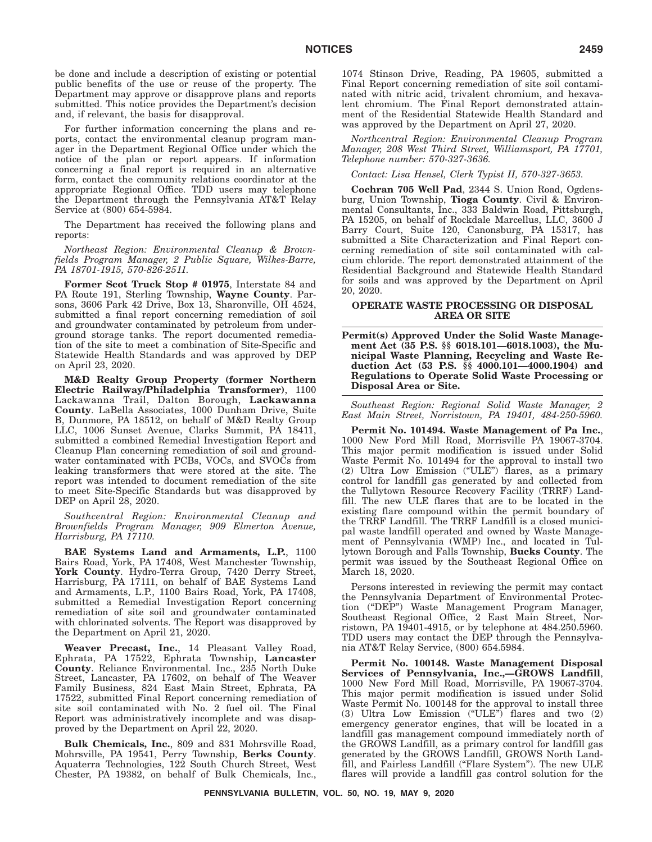be done and include a description of existing or potential public benefits of the use or reuse of the property. The Department may approve or disapprove plans and reports submitted. This notice provides the Department's decision and, if relevant, the basis for disapproval.

For further information concerning the plans and reports, contact the environmental cleanup program manager in the Department Regional Office under which the notice of the plan or report appears. If information concerning a final report is required in an alternative form, contact the community relations coordinator at the appropriate Regional Office. TDD users may telephone the Department through the Pennsylvania AT&T Relay Service at (800) 654-5984.

The Department has received the following plans and reports:

*Northeast Region: Environmental Cleanup & Brownfields Program Manager, 2 Public Square, Wilkes-Barre, PA 18701-1915, 570-826-2511.*

**Former Scot Truck Stop # 01975**, Interstate 84 and PA Route 191, Sterling Township, **Wayne County**. Parsons, 3606 Park 42 Drive, Box 13, Sharonville, OH 4524, submitted a final report concerning remediation of soil and groundwater contaminated by petroleum from underground storage tanks. The report documented remediation of the site to meet a combination of Site-Specific and Statewide Health Standards and was approved by DEP on April 23, 2020.

**M&D Realty Group Property (former Northern Electric Railway/Philadelphia Transformer)**, 1100 Lackawanna Trail, Dalton Borough, **Lackawanna County**. LaBella Associates, 1000 Dunham Drive, Suite B, Dunmore, PA 18512, on behalf of M&D Realty Group LLC, 1006 Sunset Avenue, Clarks Summit, PA 18411, submitted a combined Remedial Investigation Report and Cleanup Plan concerning remediation of soil and groundwater contaminated with PCBs, VOCs, and SVOCs from leaking transformers that were stored at the site. The report was intended to document remediation of the site to meet Site-Specific Standards but was disapproved by DEP on April 28, 2020.

*Southcentral Region: Environmental Cleanup and Brownfields Program Manager, 909 Elmerton Avenue, Harrisburg, PA 17110.*

**BAE Systems Land and Armaments, L.P.**, 1100 Bairs Road, York, PA 17408, West Manchester Township, **York County**. Hydro-Terra Group, 7420 Derry Street, Harrisburg, PA 17111, on behalf of BAE Systems Land and Armaments, L.P., 1100 Bairs Road, York, PA 17408, submitted a Remedial Investigation Report concerning remediation of site soil and groundwater contaminated with chlorinated solvents. The Report was disapproved by the Department on April 21, 2020.

**Weaver Precast, Inc.**, 14 Pleasant Valley Road, Ephrata, PA 17522, Ephrata Township, **Lancaster County**. Reliance Environmental. Inc., 235 North Duke Street, Lancaster, PA 17602, on behalf of The Weaver Family Business, 824 East Main Street, Ephrata, PA 17522, submitted Final Report concerning remediation of site soil contaminated with No. 2 fuel oil. The Final Report was administratively incomplete and was disapproved by the Department on April 22, 2020.

**Bulk Chemicals, Inc.**, 809 and 831 Mohrsville Road, Mohrsville, PA 19541, Perry Township, **Berks County**. Aquaterra Technologies, 122 South Church Street, West Chester, PA 19382, on behalf of Bulk Chemicals, Inc., 1074 Stinson Drive, Reading, PA 19605, submitted a Final Report concerning remediation of site soil contaminated with nitric acid, trivalent chromium, and hexavalent chromium. The Final Report demonstrated attainment of the Residential Statewide Health Standard and was approved by the Department on April 27, 2020.

*Northcentral Region: Environmental Cleanup Program Manager, 208 West Third Street, Williamsport, PA 17701, Telephone number: 570-327-3636.*

*Contact: Lisa Hensel, Clerk Typist II, 570-327-3653.*

**Cochran 705 Well Pad**, 2344 S. Union Road, Ogdensburg, Union Township, **Tioga County**. Civil & Environmental Consultants, Inc., 333 Baldwin Road, Pittsburgh, PA 15205, on behalf of Rockdale Marcellus, LLC, 3600 J Barry Court, Suite 120, Canonsburg, PA 15317, has submitted a Site Characterization and Final Report concerning remediation of site soil contaminated with calcium chloride. The report demonstrated attainment of the Residential Background and Statewide Health Standard for soils and was approved by the Department on April 20, 2020.

### **OPERATE WASTE PROCESSING OR DISPOSAL AREA OR SITE**

**Permit(s) Approved Under the Solid Waste Management Act (35 P.S. §§ 6018.101—6018.1003), the Municipal Waste Planning, Recycling and Waste Reduction Act (53 P.S. §§ 4000.101—4000.1904) and Regulations to Operate Solid Waste Processing or Disposal Area or Site.**

*Southeast Region: Regional Solid Waste Manager, 2 East Main Street, Norristown, PA 19401, 484-250-5960.*

**Permit No. 101494. Waste Management of Pa Inc.**, 1000 New Ford Mill Road, Morrisville PA 19067-3704. This major permit modification is issued under Solid Waste Permit No. 101494 for the approval to install two (2) Ultra Low Emission (''ULE'') flares, as a primary control for landfill gas generated by and collected from the Tullytown Resource Recovery Facility (TRRF) Landfill. The new ULE flares that are to be located in the existing flare compound within the permit boundary of the TRRF Landfill. The TRRF Landfill is a closed municipal waste landfill operated and owned by Waste Management of Pennsylvania (WMP) Inc., and located in Tullytown Borough and Falls Township, **Bucks County**. The permit was issued by the Southeast Regional Office on March 18, 2020.

Persons interested in reviewing the permit may contact the Pennsylvania Department of Environmental Protection (''DEP'') Waste Management Program Manager, Southeast Regional Office, 2 East Main Street, Norristown, PA 19401-4915, or by telephone at 484.250.5960. TDD users may contact the DEP through the Pennsylvania AT&T Relay Service, (800) 654.5984.

**Permit No. 100148. Waste Management Disposal Services of Pennsylvania, Inc.,—GROWS Landfill**, 1000 New Ford Mill Road, Morrisville, PA 19067-3704. This major permit modification is issued under Solid Waste Permit No. 100148 for the approval to install three (3) Ultra Low Emission (''ULE'') flares and two (2) emergency generator engines, that will be located in a landfill gas management compound immediately north of the GROWS Landfill, as a primary control for landfill gas generated by the GROWS Landfill, GROWS North Landfill, and Fairless Landfill (''Flare System''). The new ULE flares will provide a landfill gas control solution for the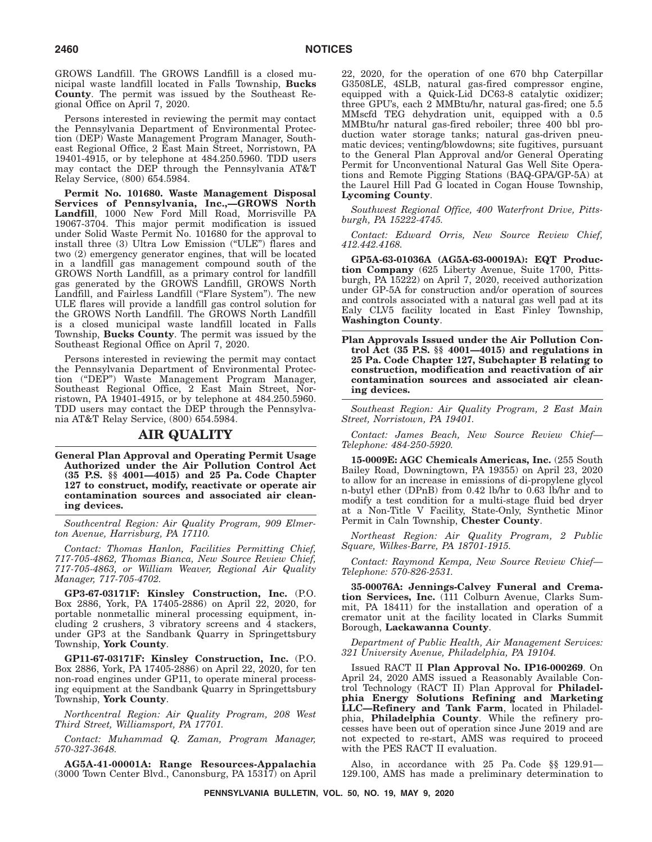GROWS Landfill. The GROWS Landfill is a closed municipal waste landfill located in Falls Township, **Bucks County**. The permit was issued by the Southeast Regional Office on April 7, 2020.

Persons interested in reviewing the permit may contact the Pennsylvania Department of Environmental Protection (DEP) Waste Management Program Manager, Southeast Regional Office, 2 East Main Street, Norristown, PA 19401-4915, or by telephone at 484.250.5960. TDD users may contact the DEP through the Pennsylvania AT&T Relay Service, (800) 654.5984.

**Permit No. 101680. Waste Management Disposal Services of Pennsylvania, Inc.,—GROWS North Landfill**, 1000 New Ford Mill Road, Morrisville PA 19067-3704. This major permit modification is issued under Solid Waste Permit No. 101680 for the approval to install three (3) Ultra Low Emission (''ULE'') flares and two (2) emergency generator engines, that will be located in a landfill gas management compound south of the GROWS North Landfill, as a primary control for landfill gas generated by the GROWS Landfill, GROWS North Landfill, and Fairless Landfill ("Flare System"). The new ULE flares will provide a landfill gas control solution for the GROWS North Landfill. The GROWS North Landfill is a closed municipal waste landfill located in Falls Township, **Bucks County**. The permit was issued by the Southeast Regional Office on April 7, 2020.

Persons interested in reviewing the permit may contact the Pennsylvania Department of Environmental Protection (''DEP'') Waste Management Program Manager, Southeast Regional Office, 2 East Main Street, Norristown, PA 19401-4915, or by telephone at 484.250.5960. TDD users may contact the DEP through the Pennsylvania AT&T Relay Service, (800) 654.5984.

### **AIR QUALITY**

**General Plan Approval and Operating Permit Usage Authorized under the Air Pollution Control Act (35 P.S. §§ 4001—4015) and 25 Pa. Code Chapter 127 to construct, modify, reactivate or operate air contamination sources and associated air cleaning devices.**

*Southcentral Region: Air Quality Program, 909 Elmerton Avenue, Harrisburg, PA 17110.*

*Contact: Thomas Hanlon, Facilities Permitting Chief, 717-705-4862, Thomas Bianca, New Source Review Chief, 717-705-4863, or William Weaver, Regional Air Quality Manager, 717-705-4702.*

**GP3-67-03171F: Kinsley Construction, Inc.** (P.O. Box 2886, York, PA 17405-2886) on April 22, 2020, for portable nonmetallic mineral processing equipment, including 2 crushers, 3 vibratory screens and 4 stackers, under GP3 at the Sandbank Quarry in Springettsbury Township, **York County**.

**GP11-67-03171F: Kinsley Construction, Inc.** (P.O. Box 2886, York, PA 17405-2886) on April 22, 2020, for ten non-road engines under GP11, to operate mineral processing equipment at the Sandbank Quarry in Springettsbury Township, **York County**.

*Northcentral Region: Air Quality Program, 208 West Third Street, Williamsport, PA 17701.*

*Contact: Muhammad Q. Zaman, Program Manager, 570-327-3648.*

**AG5A-41-00001A: Range Resources-Appalachia** (3000 Town Center Blvd., Canonsburg, PA 15317) on April

22, 2020, for the operation of one 670 bhp Caterpillar G3508LE, 4SLB, natural gas-fired compressor engine, equipped with a Quick-Lid DC63-8 catalytic oxidizer; three GPU's, each 2 MMBtu/hr, natural gas-fired; one 5.5 MMscfd TEG dehydration unit, equipped with a 0.5 MMBtu/hr natural gas-fired reboiler; three 400 bbl production water storage tanks; natural gas-driven pneumatic devices; venting/blowdowns; site fugitives, pursuant to the General Plan Approval and/or General Operating Permit for Unconventional Natural Gas Well Site Operations and Remote Pigging Stations (BAQ-GPA/GP-5A) at the Laurel Hill Pad G located in Cogan House Township, **Lycoming County**.

*Southwest Regional Office, 400 Waterfront Drive, Pittsburgh, PA 15222-4745.*

*Contact: Edward Orris, New Source Review Chief, 412.442.4168.*

**GP5A-63-01036A (AG5A-63-00019A): EQT Production Company** (625 Liberty Avenue, Suite 1700, Pittsburgh, PA 15222) on April 7, 2020, received authorization under GP-5A for construction and/or operation of sources and controls associated with a natural gas well pad at its Ealy CLV5 facility located in East Finley Township, **Washington County**.

**Plan Approvals Issued under the Air Pollution Control Act (35 P.S. §§ 4001—4015) and regulations in 25 Pa. Code Chapter 127, Subchapter B relating to construction, modification and reactivation of air contamination sources and associated air cleaning devices.**

*Southeast Region: Air Quality Program, 2 East Main Street, Norristown, PA 19401.*

*Contact: James Beach, New Source Review Chief— Telephone: 484-250-5920.*

**15-0009E: AGC Chemicals Americas, Inc.** (255 South Bailey Road, Downingtown, PA 19355) on April 23, 2020 to allow for an increase in emissions of di-propylene glycol n-butyl ether (DPnB) from 0.42 lb/hr to 0.63 lb/hr and to modify a test condition for a multi-stage fluid bed dryer at a Non-Title V Facility, State-Only, Synthetic Minor Permit in Caln Township, **Chester County**.

*Northeast Region: Air Quality Program, 2 Public Square, Wilkes-Barre, PA 18701-1915.*

*Contact: Raymond Kempa, New Source Review Chief— Telephone: 570-826-2531.*

**35-00076A: Jennings-Calvey Funeral and Cremation Services, Inc.** (111 Colburn Avenue, Clarks Summit, PA 18411) for the installation and operation of a cremator unit at the facility located in Clarks Summit Borough, **Lackawanna County**.

*Department of Public Health, Air Management Services: 321 University Avenue, Philadelphia, PA 19104.*

Issued RACT II **Plan Approval No. IP16-000269**. On April 24, 2020 AMS issued a Reasonably Available Control Technology (RACT II) Plan Approval for **Philadelphia Energy Solutions Refining and Marketing LLC—Refinery and Tank Farm**, located in Philadelphia, **Philadelphia County**. While the refinery processes have been out of operation since June 2019 and are not expected to re-start, AMS was required to proceed with the PES RACT II evaluation.

Also, in accordance with 25 Pa. Code §§ 129.91— 129.100, AMS has made a preliminary determination to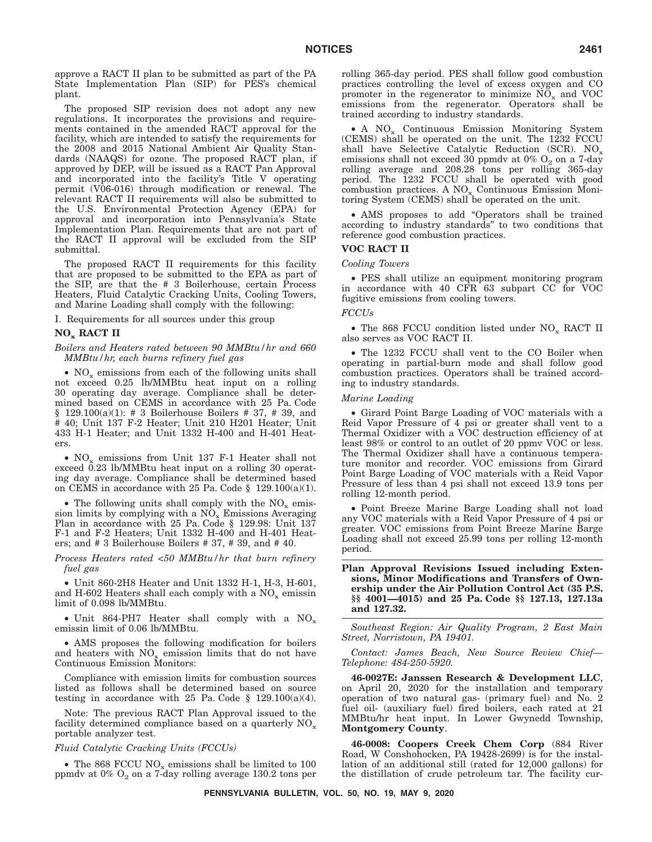approve a RACT II plan to be submitted as part of the PA State Implementation Plan (SIP) for PES's chemical plant.

The proposed SIP revision does not adopt any new regulations. It incorporates the provisions and requirements contained in the amended RACT approval for the facility, which are intended to satisfy the requirements for the 2008 and 2015 National Ambient Air Quality Standards (NAAQS) for ozone. The proposed RACT plan, if approved by DEP, will be issued as a RACT Pan Approval and incorporated into the facility's Title V operating permit (V06-016) through modification or renewal. The relevant RACT II requirements will also be submitted to the U.S. Environmental Protection Agency (EPA) for approval and incorporation into Pennsylvania's State Implementation Plan. Requirements that are not part of the RACT II approval will be excluded from the SIP submittal.

The proposed RACT II requirements for this facility that are proposed to be submitted to the EPA as part of the SIP, are that the # 3 Boilerhouse, certain Process Heaters, Fluid Catalytic Cracking Units, Cooling Towers, and Marine Loading shall comply with the following:

I. Requirements for all sources under this group

### **NOx RACT II**

### *Boilers and Heaters rated between 90 MMBtu/hr and 660 MMBtu/hr, each burns refinery fuel gas*

•  $NO<sub>x</sub>$  emissions from each of the following units shall not exceed 0.25 lb/MMBtu heat input on a rolling 30 operating day average. Compliance shall be determined based on CEMS in accordance with 25 Pa. Code  $§$  129.100(a)(1): # 3 Boilerhouse Boilers # 37, # 39, and # 40; Unit 137 F-2 Heater; Unit 210 H201 Heater; Unit 433 H-1 Heater; and Unit 1332 H-400 and H-401 Heaters.

•  $NO_x$  emissions from Unit 137 F-1 Heater shall not exceed 0.23 lb/MMBtu heat input on a rolling 30 operating day average. Compliance shall be determined based on CEMS in accordance with 25 Pa. Code  $\S$  129.100(a)(1).

• The following units shall comply with the  $NO_x$  emission limits by complying with a  $N\overline{O}_x$  Emissions Averaging Plan in accordance with 25 Pa. Code § 129.98: Unit 137 F-1 and F-2 Heaters; Unit 1332 H-400 and H-401 Heaters; and # 3 Boilerhouse Boilers # 37, # 39, and # 40.

*Process Heaters rated <50 MMBtu/hr that burn refinery fuel gas*

• Unit 860-2H8 Heater and Unit 1332 H-1, H-3, H-601, and H-602 Heaters shall each comply with a  $NO<sub>x</sub>$  emissin limit of 0.098 lb/MMBtu.

• Unit 864-PH7 Heater shall comply with a  $NO_x$ emissin limit of 0.06 lb/MMBtu.

• AMS proposes the following modification for boilers and heaters with  $NO_x$  emission limits that do not have Continuous Emission Monitors:

Compliance with emission limits for combustion sources listed as follows shall be determined based on source testing in accordance with 25 Pa. Code  $\S$  129.100(a)(4).

Note: The previous RACT Plan Approval issued to the facility determined compliance based on a quarterly  $NO_x$ portable analyzer test.

#### *Fluid Catalytic Cracking Units (FCCUs)*

• The 868 FCCU  $NO_x$  emissions shall be limited to 100 ppmdv at  $0\%$  O<sub>2</sub> on a 7-day rolling average 130.2 tons per rolling 365-day period. PES shall follow good combustion practices controlling the level of excess oxygen and CO promoter in the regenerator to minimize  $NO<sub>x</sub>$  and  $VOC$ emissions from the regenerator. Operators shall be trained according to industry standards.

• A NO<sub>x</sub> Continuous Emission Monitoring System (CEMS) shall be operated on the unit. The 1232 FCCU shall have Selective Catalytic Reduction (SCR).  $NO_x$ emissions shall not exceed 30 ppmdv at  $0\%$  O<sub>2</sub> on a 7-day rolling average and 208.28 tons per rolling 365-day period. The 1232 FCCU shall be operated with good  $combustion\,\, practices.\,\,A\,\,NO_x$  Continuous Emission Monitoring System (CEMS) shall be operated on the unit.

• AMS proposes to add ''Operators shall be trained according to industry standards'' to two conditions that reference good combustion practices.

# **VOC RACT II**

### *Cooling Towers*

• PES shall utilize an equipment monitoring program in accordance with 40 CFR 63 subpart CC for VOC fugitive emissions from cooling towers.

#### *FCCUs*

• The 868 FCCU condition listed under  $NO_x$  RACT II also serves as VOC RACT II.

• The 1232 FCCU shall vent to the CO Boiler when operating in partial-burn mode and shall follow good combustion practices. Operators shall be trained according to industry standards.

### *Marine Loading*

• Girard Point Barge Loading of VOC materials with a Reid Vapor Pressure of 4 psi or greater shall vent to a Thermal Oxidizer with a VOC destruction efficiency of at least 98% or control to an outlet of 20 ppmv VOC or less. The Thermal Oxidizer shall have a continuous temperature monitor and recorder. VOC emissions from Girard Point Barge Loading of VOC materials with a Reid Vapor Pressure of less than 4 psi shall not exceed 13.9 tons per rolling 12-month period.

• Point Breeze Marine Barge Loading shall not load any VOC materials with a Reid Vapor Pressure of 4 psi or greater. VOC emissions from Point Breeze Marine Barge Loading shall not exceed 25.99 tons per rolling 12-month period.

**Plan Approval Revisions Issued including Extensions, Minor Modifications and Transfers of Ownership under the Air Pollution Control Act (35 P.S. §§ 4001—4015) and 25 Pa. Code §§ 127.13, 127.13a and 127.32.**

*Southeast Region: Air Quality Program, 2 East Main Street, Norristown, PA 19401.*

*Contact: James Beach, New Source Review Chief— Telephone: 484-250-5920.*

**46-0027E: Janssen Research & Development LLC**, on April 20, 2020 for the installation and temporary operation of two natural gas- (primary fuel) and No. 2 fuel oil- (auxiliary fuel) fired boilers, each rated at 21 MMBtu/hr heat input. In Lower Gwynedd Township, **Montgomery County**.

**46-0008: Coopers Creek Chem Corp** (884 River Road, W Conshohocken, PA 19428-2699) is for the installation of an additional still (rated for 12,000 gallons) for the distillation of crude petroleum tar. The facility cur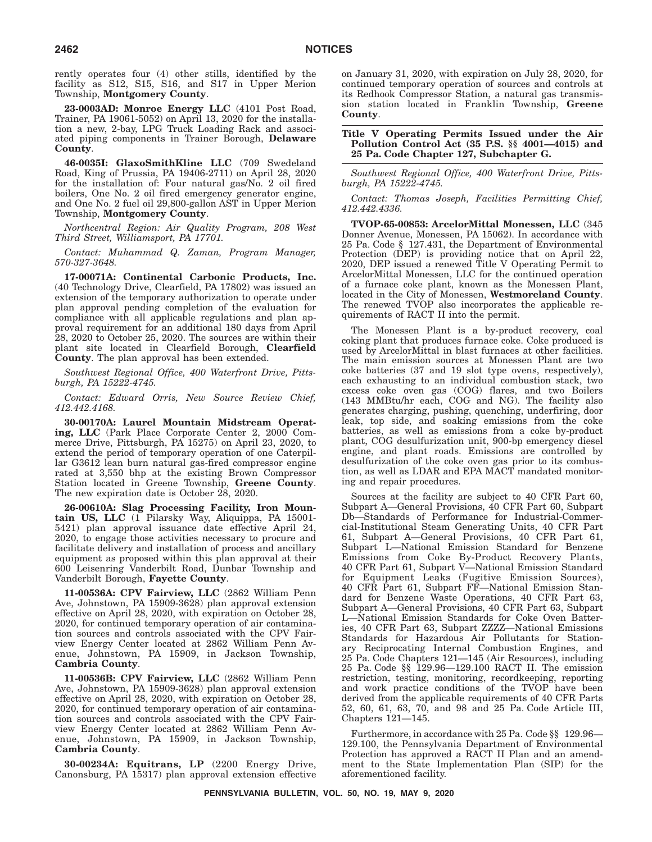rently operates four (4) other stills, identified by the facility as S12, S15, S16, and S17 in Upper Merion Township, **Montgomery County**.

**23-0003AD: Monroe Energy LLC** (4101 Post Road, Trainer, PA 19061-5052) on April 13, 2020 for the installation a new, 2-bay, LPG Truck Loading Rack and associated piping components in Trainer Borough, **Delaware County**.

**46-0035I: GlaxoSmithKline LLC** (709 Swedeland Road, King of Prussia, PA 19406-2711) on April 28, 2020 for the installation of: Four natural gas/No. 2 oil fired boilers, One No. 2 oil fired emergency generator engine, and One No. 2 fuel oil 29,800-gallon AST in Upper Merion Township, **Montgomery County**.

*Northcentral Region: Air Quality Program, 208 West Third Street, Williamsport, PA 17701.*

*Contact: Muhammad Q. Zaman, Program Manager, 570-327-3648.*

**17-00071A: Continental Carbonic Products, Inc.** (40 Technology Drive, Clearfield, PA 17802) was issued an extension of the temporary authorization to operate under plan approval pending completion of the evaluation for compliance with all applicable regulations and plan approval requirement for an additional 180 days from April 28, 2020 to October 25, 2020. The sources are within their plant site located in Clearfield Borough, **Clearfield County**. The plan approval has been extended.

*Southwest Regional Office, 400 Waterfront Drive, Pittsburgh, PA 15222-4745.*

*Contact: Edward Orris, New Source Review Chief, 412.442.4168.*

**30-00170A: Laurel Mountain Midstream Operating, LLC** (Park Place Corporate Center 2, 2000 Commerce Drive, Pittsburgh, PA 15275) on April 23, 2020, to extend the period of temporary operation of one Caterpillar G3612 lean burn natural gas-fired compressor engine rated at 3,550 bhp at the existing Brown Compressor Station located in Greene Township, **Greene County**. The new expiration date is October 28, 2020.

**26-00610A: Slag Processing Facility, Iron Mountain US, LLC** (1 Pilarsky Way, Aliquippa, PA 15001- 5421) plan approval issuance date effective April 24, 2020, to engage those activities necessary to procure and facilitate delivery and installation of process and ancillary equipment as proposed within this plan approval at their 600 Leisenring Vanderbilt Road, Dunbar Township and Vanderbilt Borough, **Fayette County**.

**11-00536A: CPV Fairview, LLC** (2862 William Penn Ave, Johnstown, PA 15909-3628) plan approval extension effective on April 28, 2020, with expiration on October 28, 2020, for continued temporary operation of air contamination sources and controls associated with the CPV Fairview Energy Center located at 2862 William Penn Avenue, Johnstown, PA 15909, in Jackson Township, **Cambria County**.

**11-00536B: CPV Fairview, LLC** (2862 William Penn Ave, Johnstown, PA 15909-3628) plan approval extension effective on April 28, 2020, with expiration on October 28, 2020, for continued temporary operation of air contamination sources and controls associated with the CPV Fairview Energy Center located at 2862 William Penn Avenue, Johnstown, PA 15909, in Jackson Township, **Cambria County**.

**30-00234A: Equitrans, LP** (2200 Energy Drive, Canonsburg, PA 15317) plan approval extension effective on January 31, 2020, with expiration on July 28, 2020, for continued temporary operation of sources and controls at its Redhook Compressor Station, a natural gas transmission station located in Franklin Township, **Greene County**.

**Title V Operating Permits Issued under the Air Pollution Control Act (35 P.S. §§ 4001—4015) and 25 Pa. Code Chapter 127, Subchapter G.**

*Southwest Regional Office, 400 Waterfront Drive, Pittsburgh, PA 15222-4745.*

*Contact: Thomas Joseph, Facilities Permitting Chief, 412.442.4336.*

**TVOP-65-00853: ArcelorMittal Monessen, LLC** (345 Donner Avenue, Monessen, PA 15062). In accordance with 25 Pa. Code § 127.431, the Department of Environmental Protection (DEP) is providing notice that on April 22, 2020, DEP issued a renewed Title V Operating Permit to ArcelorMittal Monessen, LLC for the continued operation of a furnace coke plant, known as the Monessen Plant, located in the City of Monessen, **Westmoreland County**. The renewed TVOP also incorporates the applicable requirements of RACT II into the permit.

The Monessen Plant is a by-product recovery, coal coking plant that produces furnace coke. Coke produced is used by ArcelorMittal in blast furnaces at other facilities. The main emission sources at Monessen Plant are two coke batteries (37 and 19 slot type ovens, respectively), each exhausting to an individual combustion stack, two excess coke oven gas (COG) flares, and two Boilers (143 MMBtu/hr each, COG and NG). The facility also generates charging, pushing, quenching, underfiring, door leak, top side, and soaking emissions from the coke batteries, as well as emissions from a coke by-product plant, COG desulfurization unit, 900-bp emergency diesel engine, and plant roads. Emissions are controlled by desulfurization of the coke oven gas prior to its combustion, as well as LDAR and EPA MACT mandated monitoring and repair procedures.

Sources at the facility are subject to 40 CFR Part 60, Subpart A—General Provisions, 40 CFR Part 60, Subpart Db—Standards of Performance for Industrial-Commercial-Institutional Steam Generating Units, 40 CFR Part 61, Subpart A—General Provisions, 40 CFR Part 61, Subpart L—National Emission Standard for Benzene Emissions from Coke By-Product Recovery Plants, 40 CFR Part 61, Subpart V—National Emission Standard for Equipment Leaks (Fugitive Emission Sources), 40 CFR Part 61, Subpart FF—National Emission Standard for Benzene Waste Operations, 40 CFR Part 63, Subpart A—General Provisions, 40 CFR Part 63, Subpart L—National Emission Standards for Coke Oven Batteries, 40 CFR Part 63, Subpart ZZZZ—National Emissions Standards for Hazardous Air Pollutants for Stationary Reciprocating Internal Combustion Engines, and 25 Pa. Code Chapters 121—145 (Air Resources), including 25 Pa. Code §§ 129.96—129.100 RACT II. The emission restriction, testing, monitoring, recordkeeping, reporting and work practice conditions of the TVOP have been derived from the applicable requirements of 40 CFR Parts 52, 60, 61, 63, 70, and 98 and 25 Pa. Code Article III, Chapters 121—145.

Furthermore, in accordance with 25 Pa. Code §§ 129.96— 129.100, the Pennsylvania Department of Environmental Protection has approved a RACT II Plan and an amendment to the State Implementation Plan (SIP) for the aforementioned facility.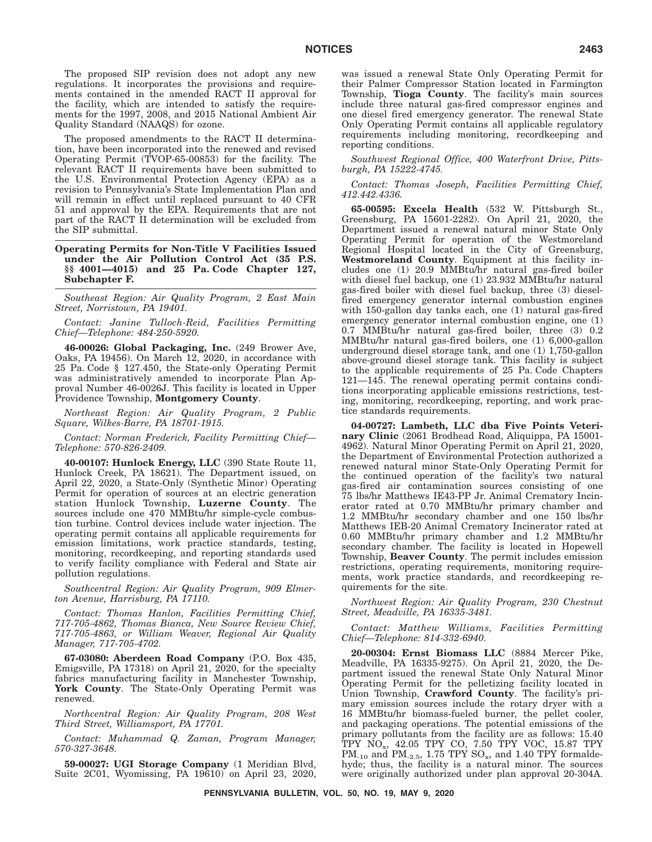The proposed SIP revision does not adopt any new regulations. It incorporates the provisions and requirements contained in the amended RACT II approval for the facility, which are intended to satisfy the requirements for the 1997, 2008, and 2015 National Ambient Air Quality Standard (NAAQS) for ozone.

The proposed amendments to the RACT II determination, have been incorporated into the renewed and revised Operating Permit (TVOP-65-00853) for the facility. The relevant RACT II requirements have been submitted to the U.S. Environmental Protection Agency (EPA) as a revision to Pennsylvania's State Implementation Plan and will remain in effect until replaced pursuant to 40 CFR 51 and approval by the EPA. Requirements that are not part of the RACT II determination will be excluded from the SIP submittal.

**Operating Permits for Non-Title V Facilities Issued under the Air Pollution Control Act (35 P.S. §§ 4001—4015) and 25 Pa. Code Chapter 127, Subchapter F.**

*Southeast Region: Air Quality Program, 2 East Main Street, Norristown, PA 19401.*

*Contact: Janine Tulloch-Reid, Facilities Permitting Chief—Telephone: 484-250-5920.*

**46-00026: Global Packaging, Inc.** (249 Brower Ave, Oaks, PA 19456). On March 12, 2020, in accordance with 25 Pa. Code § 127.450, the State-only Operating Permit was administratively amended to incorporate Plan Approval Number 46-0026J. This facility is located in Upper Providence Township, **Montgomery County**.

*Northeast Region: Air Quality Program, 2 Public Square, Wilkes-Barre, PA 18701-1915.*

*Contact: Norman Frederick, Facility Permitting Chief— Telephone: 570-826-2409.*

**40-00107: Hunlock Energy, LLC** (390 State Route 11, Hunlock Creek, PA 18621). The Department issued, on April 22, 2020, a State-Only (Synthetic Minor) Operating Permit for operation of sources at an electric generation station Hunlock Township, **Luzerne County**. The sources include one 470 MMBtu/hr simple-cycle combustion turbine. Control devices include water injection. The operating permit contains all applicable requirements for emission limitations, work practice standards, testing, monitoring, recordkeeping, and reporting standards used to verify facility compliance with Federal and State air pollution regulations.

*Southcentral Region: Air Quality Program, 909 Elmerton Avenue, Harrisburg, PA 17110.*

*Contact: Thomas Hanlon, Facilities Permitting Chief, 717-705-4862, Thomas Bianca, New Source Review Chief, 717-705-4863, or William Weaver, Regional Air Quality Manager, 717-705-4702.*

**67-03080: Aberdeen Road Company** (P.O. Box 435, Emigsville, PA 17318) on April 21, 2020, for the specialty fabrics manufacturing facility in Manchester Township, **York County**. The State-Only Operating Permit was renewed.

*Northcentral Region: Air Quality Program, 208 West Third Street, Williamsport, PA 17701.*

*Contact: Muhammad Q. Zaman, Program Manager, 570-327-3648.*

**59-00027: UGI Storage Company** (1 Meridian Blvd, Suite 2C01, Wyomissing, PA 19610) on April 23, 2020, was issued a renewal State Only Operating Permit for their Palmer Compressor Station located in Farmington Township, **Tioga County**. The facility's main sources include three natural gas-fired compressor engines and one diesel fired emergency generator. The renewal State Only Operating Permit contains all applicable regulatory requirements including monitoring, recordkeeping and reporting conditions.

*Southwest Regional Office, 400 Waterfront Drive, Pittsburgh, PA 15222-4745.*

*Contact: Thomas Joseph, Facilities Permitting Chief, 412.442.4336.*

**65-00595: Excela Health** (532 W. Pittsburgh St., Greensburg, PA 15601-2282). On April 21, 2020, the Department issued a renewal natural minor State Only Operating Permit for operation of the Westmoreland Regional Hospital located in the City of Greensburg, **Westmoreland County**. Equipment at this facility includes one (1) 20.9 MMBtu/hr natural gas-fired boiler with diesel fuel backup, one (1) 23.932 MMBtu/hr natural gas-fired boiler with diesel fuel backup, three (3) dieselfired emergency generator internal combustion engines with 150-gallon day tanks each, one (1) natural gas-fired emergency generator internal combustion engine, one (1) 0.7 MMBtu/hr natural gas-fired boiler, three (3) 0.2 MMBtu/hr natural gas-fired boilers, one (1) 6,000-gallon underground diesel storage tank, and one (1) 1,750-gallon above-ground diesel storage tank. This facility is subject to the applicable requirements of 25 Pa. Code Chapters 121—145. The renewal operating permit contains conditions incorporating applicable emissions restrictions, testing, monitoring, recordkeeping, reporting, and work practice standards requirements.

**04-00727: Lambeth, LLC dba Five Points Veterinary Clinic** (2061 Brodhead Road, Aliquippa, PA 15001- 4962). Natural Minor Operating Permit on April 21, 2020, the Department of Environmental Protection authorized a renewed natural minor State-Only Operating Permit for the continued operation of the facility's two natural gas-fired air contamination sources consisting of one 75 lbs/hr Matthews IE43-PP Jr. Animal Crematory Incinerator rated at 0.70 MMBtu/hr primary chamber and 1.2 MMBtu/hr secondary chamber and one 150 lbs/hr Matthews IEB-20 Animal Crematory Incinerator rated at 0.60 MMBtu/hr primary chamber and 1.2 MMBtu/hr secondary chamber. The facility is located in Hopewell Township, **Beaver County**. The permit includes emission restrictions, operating requirements, monitoring requirements, work practice standards, and recordkeeping requirements for the site.

*Northwest Region: Air Quality Program, 230 Chestnut Street, Meadville, PA 16335-3481.*

#### *Contact: Matthew Williams, Facilities Permitting Chief—Telephone: 814-332-6940.*

**20-00304: Ernst Biomass LLC** (8884 Mercer Pike, Meadville, PA 16335-9275). On April 21, 2020, the Department issued the renewal State Only Natural Minor Operating Permit for the pelletizing facility located in Union Township, **Crawford County**. The facility's primary emission sources include the rotary dryer with a 16 MMBtu/hr biomass-fueled burner, the pellet cooler, and packaging operations. The potential emissions of the primary pollutants from the facility are as follows: 15.40 TPY NOx, 42.05 TPY CO, 7.50 TPY VOC, 15.87 TPY PM<sub>-10</sub> and PM<sub>-2.5</sub>, 1.75 TPY SO<sub>x</sub>, and 1.40 TPY formaldehyde; thus, the facility is a natural minor. The sources were originally authorized under plan approval 20-304A.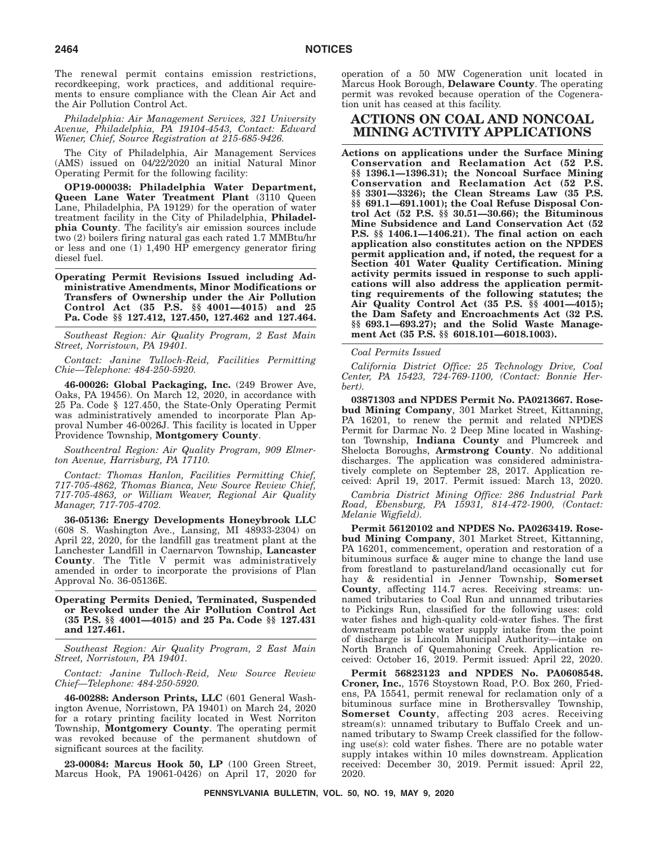The renewal permit contains emission restrictions, recordkeeping, work practices, and additional requirements to ensure compliance with the Clean Air Act and the Air Pollution Control Act.

*Philadelphia: Air Management Services, 321 University Avenue, Philadelphia, PA 19104-4543, Contact: Edward Wiener, Chief, Source Registration at 215-685-9426.*

The City of Philadelphia, Air Management Services (AMS) issued on 04/22/2020 an initial Natural Minor Operating Permit for the following facility:

**OP19-000038: Philadelphia Water Department, Queen Lane Water Treatment Plant** (3110 Queen Lane, Philadelphia, PA 19129) for the operation of water treatment facility in the City of Philadelphia, **Philadelphia County**. The facility's air emission sources include two (2) boilers firing natural gas each rated 1.7 MMBtu/hr or less and one (1) 1,490 HP emergency generator firing diesel fuel.

**Operating Permit Revisions Issued including Administrative Amendments, Minor Modifications or Transfers of Ownership under the Air Pollution Control Act (35 P.S. §§ 4001—4015) and 25 Pa. Code §§ 127.412, 127.450, 127.462 and 127.464.**

*Southeast Region: Air Quality Program, 2 East Main Street, Norristown, PA 19401.*

*Contact: Janine Tulloch-Reid, Facilities Permitting Chie—Telephone: 484-250-5920.*

**46-00026: Global Packaging, Inc.** (249 Brower Ave, Oaks, PA 19456). On March 12, 2020, in accordance with 25 Pa. Code § 127.450, the State-Only Operating Permit was administratively amended to incorporate Plan Approval Number 46-0026J. This facility is located in Upper Providence Township, **Montgomery County**.

*Southcentral Region: Air Quality Program, 909 Elmerton Avenue, Harrisburg, PA 17110.*

*Contact: Thomas Hanlon, Facilities Permitting Chief, 717-705-4862, Thomas Bianca, New Source Review Chief, 717-705-4863, or William Weaver, Regional Air Quality Manager, 717-705-4702.*

**36-05136: Energy Developments Honeybrook LLC** (608 S. Washington Ave., Lansing, MI 48933-2304) on April 22, 2020, for the landfill gas treatment plant at the Lanchester Landfill in Caernarvon Township, **Lancaster County**. The Title V permit was administratively amended in order to incorporate the provisions of Plan Approval No. 36-05136E.

**Operating Permits Denied, Terminated, Suspended or Revoked under the Air Pollution Control Act (35 P.S. §§ 4001—4015) and 25 Pa. Code §§ 127.431 and 127.461.**

*Southeast Region: Air Quality Program, 2 East Main Street, Norristown, PA 19401.*

*Contact: Janine Tulloch-Reid, New Source Review Chief—Telephone: 484-250-5920.*

**46-00288: Anderson Prints, LLC** (601 General Washington Avenue, Norristown, PA 19401) on March 24, 2020 for a rotary printing facility located in West Norriton Township, **Montgomery County**. The operating permit was revoked because of the permanent shutdown of significant sources at the facility.

**23-00084: Marcus Hook 50, LP** (100 Green Street, Marcus Hook, PA 19061-0426) on April 17, 2020 for operation of a 50 MW Cogeneration unit located in Marcus Hook Borough, **Delaware County**. The operating permit was revoked because operation of the Cogeneration unit has ceased at this facility.

### **ACTIONS ON COAL AND NONCOAL MINING ACTIVITY APPLICATIONS**

**Actions on applications under the Surface Mining Conservation and Reclamation Act (52 P.S. §§ 1396.1—1396.31); the Noncoal Surface Mining Conservation and Reclamation Act (52 P.S. §§ 3301—3326); the Clean Streams Law (35 P.S. §§ 691.1—691.1001); the Coal Refuse Disposal Control Act (52 P.S. §§ 30.51—30.66); the Bituminous Mine Subsidence and Land Conservation Act (52 P.S. §§ 1406.1—1406.21). The final action on each application also constitutes action on the NPDES permit application and, if noted, the request for a Section 401 Water Quality Certification. Mining activity permits issued in response to such applications will also address the application permitting requirements of the following statutes; the Air Quality Control Act (35 P.S. §§ 4001—4015); the Dam Safety and Encroachments Act (32 P.S. §§ 693.1—693.27); and the Solid Waste Management Act (35 P.S. §§ 6018.101—6018.1003).**

*Coal Permits Issued*

*California District Office: 25 Technology Drive, Coal Center, PA 15423, 724-769-1100, (Contact: Bonnie Herbert).*

**03871303 and NPDES Permit No. PA0213667. Rosebud Mining Company**, 301 Market Street, Kittanning, PA 16201, to renew the permit and related NPDES Permit for Darmac No. 2 Deep Mine located in Washington Township, **Indiana County** and Plumcreek and Shelocta Boroughs, **Armstrong County**. No additional discharges. The application was considered administratively complete on September 28, 2017. Application received: April 19, 2017. Permit issued: March 13, 2020.

*Cambria District Mining Office: 286 Industrial Park Road, Ebensburg, PA 15931, 814-472-1900, (Contact: Melanie Wigfield).*

**Permit 56120102 and NPDES No. PA0263419. Rosebud Mining Company**, 301 Market Street, Kittanning, PA 16201, commencement, operation and restoration of a bituminous surface & auger mine to change the land use from forestland to pastureland/land occasionally cut for hay & residential in Jenner Township, **Somerset County**, affecting 114.7 acres. Receiving streams: unnamed tributaries to Coal Run and unnamed tributaries to Pickings Run, classified for the following uses: cold water fishes and high-quality cold-water fishes. The first downstream potable water supply intake from the point of discharge is Lincoln Municipal Authority—intake on North Branch of Quemahoning Creek. Application received: October 16, 2019. Permit issued: April 22, 2020.

**Permit 56823123 and NPDES No. PA0608548. Croner, Inc.**, 1576 Stoystown Road, P.O. Box 260, Friedens, PA 15541, permit renewal for reclamation only of a bituminous surface mine in Brothersvalley Township, **Somerset County**, affecting 203 acres. Receiving stream(s): unnamed tributary to Buffalo Creek and unnamed tributary to Swamp Creek classified for the following use(s): cold water fishes. There are no potable water supply intakes within 10 miles downstream. Application received: December 30, 2019. Permit issued: April 22, 2020.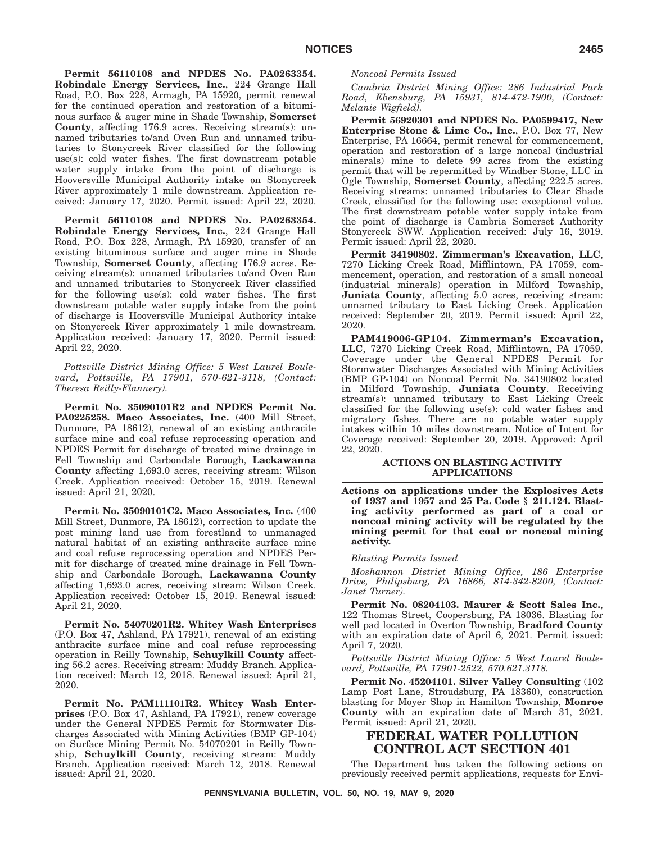**Permit 56110108 and NPDES No. PA0263354. Robindale Energy Services, Inc.**, 224 Grange Hall Road, P.O. Box 228, Armagh, PA 15920, permit renewal for the continued operation and restoration of a bituminous surface & auger mine in Shade Township, **Somerset County**, affecting 176.9 acres. Receiving stream(s): unnamed tributaries to/and Oven Run and unnamed tributaries to Stonycreek River classified for the following use(s): cold water fishes. The first downstream potable water supply intake from the point of discharge is Hooversville Municipal Authority intake on Stonycreek River approximately 1 mile downstream. Application received: January 17, 2020. Permit issued: April 22, 2020.

**Permit 56110108 and NPDES No. PA0263354. Robindale Energy Services, Inc.**, 224 Grange Hall Road, P.O. Box 228, Armagh, PA 15920, transfer of an existing bituminous surface and auger mine in Shade Township, **Somerset County**, affecting 176.9 acres. Receiving stream(s): unnamed tributaries to/and Oven Run and unnamed tributaries to Stonycreek River classified for the following use(s): cold water fishes. The first downstream potable water supply intake from the point of discharge is Hooversville Municipal Authority intake on Stonycreek River approximately 1 mile downstream. Application received: January 17, 2020. Permit issued: April 22, 2020.

*Pottsville District Mining Office: 5 West Laurel Boulevard, Pottsville, PA 17901, 570-621-3118, (Contact: Theresa Reilly-Flannery).*

**Permit No. 35090101R2 and NPDES Permit No. PA0225258. Maco Associates, Inc.** (400 Mill Street, Dunmore, PA 18612), renewal of an existing anthracite surface mine and coal refuse reprocessing operation and NPDES Permit for discharge of treated mine drainage in Fell Township and Carbondale Borough, **Lackawanna County** affecting 1,693.0 acres, receiving stream: Wilson Creek. Application received: October 15, 2019. Renewal issued: April 21, 2020.

**Permit No. 35090101C2. Maco Associates, Inc.** (400 Mill Street, Dunmore, PA 18612), correction to update the post mining land use from forestland to unmanaged natural habitat of an existing anthracite surface mine and coal refuse reprocessing operation and NPDES Permit for discharge of treated mine drainage in Fell Township and Carbondale Borough, **Lackawanna County** affecting 1,693.0 acres, receiving stream: Wilson Creek. Application received: October 15, 2019. Renewal issued: April 21, 2020.

**Permit No. 54070201R2. Whitey Wash Enterprises** (P.O. Box 47, Ashland, PA 17921), renewal of an existing anthracite surface mine and coal refuse reprocessing operation in Reilly Township, **Schuylkill County** affecting 56.2 acres. Receiving stream: Muddy Branch. Application received: March 12, 2018. Renewal issued: April 21, 2020.

**Permit No. PAM111101R2. Whitey Wash Enterprises** (P.O. Box 47, Ashland, PA 17921), renew coverage under the General NPDES Permit for Stormwater Discharges Associated with Mining Activities (BMP GP-104) on Surface Mining Permit No. 54070201 in Reilly Township, **Schuylkill County**, receiving stream: Muddy Branch. Application received: March 12, 2018. Renewal issued: April 21, 2020.

#### *Noncoal Permits Issued*

*Cambria District Mining Office: 286 Industrial Park Road, Ebensburg, PA 15931, 814-472-1900, (Contact: Melanie Wigfield).*

**Permit 56920301 and NPDES No. PA0599417, New Enterprise Stone & Lime Co., Inc.**, P.O. Box 77, New Enterprise, PA 16664, permit renewal for commencement, operation and restoration of a large noncoal (industrial minerals) mine to delete 99 acres from the existing permit that will be repermitted by Windber Stone, LLC in Ogle Township, **Somerset County**, affecting 222.5 acres. Receiving streams: unnamed tributaries to Clear Shade Creek, classified for the following use: exceptional value. The first downstream potable water supply intake from the point of discharge is Cambria Somerset Authority Stonycreek SWW. Application received: July 16, 2019. Permit issued: April 22, 2020.

**Permit 34190802. Zimmerman's Excavation, LLC**, 7270 Licking Creek Road, Mifflintown, PA 17059, commencement, operation, and restoration of a small noncoal (industrial minerals) operation in Milford Township, **Juniata County**, affecting 5.0 acres, receiving stream: unnamed tributary to East Licking Creek. Application received: September 20, 2019. Permit issued: April 22, 2020.

**PAM419006-GP104. Zimmerman's Excavation, LLC**, 7270 Licking Creek Road, Mifflintown, PA 17059. Coverage under the General NPDES Permit for Stormwater Discharges Associated with Mining Activities (BMP GP-104) on Noncoal Permit No. 34190802 located in Milford Township, **Juniata County**. Receiving stream(s): unnamed tributary to East Licking Creek classified for the following use(s): cold water fishes and migratory fishes. There are no potable water supply intakes within 10 miles downstream. Notice of Intent for Coverage received: September 20, 2019. Approved: April 22, 2020.

### **ACTIONS ON BLASTING ACTIVITY APPLICATIONS**

**Actions on applications under the Explosives Acts of 1937 and 1957 and 25 Pa. Code § 211.124. Blasting activity performed as part of a coal or noncoal mining activity will be regulated by the mining permit for that coal or noncoal mining activity.**

### *Blasting Permits Issued*

*Moshannon District Mining Office, 186 Enterprise Drive, Philipsburg, PA 16866, 814-342-8200, (Contact: Janet Turner).*

**Permit No. 08204103. Maurer & Scott Sales Inc.**, 122 Thomas Street, Coopersburg, PA 18036. Blasting for well pad located in Overton Township, **Bradford County** with an expiration date of April 6, 2021. Permit issued: April 7, 2020.

*Pottsville District Mining Office: 5 West Laurel Boulevard, Pottsville, PA 17901-2522, 570.621.3118.*

**Permit No. 45204101. Silver Valley Consulting** (102 Lamp Post Lane, Stroudsburg, PA 18360), construction blasting for Moyer Shop in Hamilton Township, **Monroe County** with an expiration date of March 31, 2021. Permit issued: April 21, 2020.

### **FEDERAL WATER POLLUTION CONTROL ACT SECTION 401**

The Department has taken the following actions on previously received permit applications, requests for Envi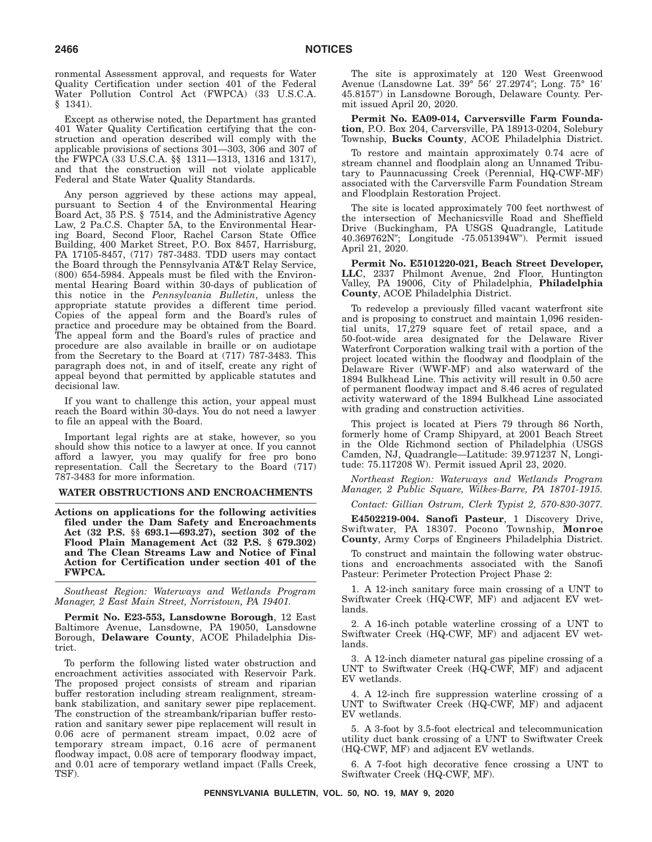ronmental Assessment approval, and requests for Water Quality Certification under section 401 of the Federal Water Pollution Control Act (FWPCA) (33 U.S.C.A. § 1341).

Except as otherwise noted, the Department has granted 401 Water Quality Certification certifying that the construction and operation described will comply with the applicable provisions of sections 301—303, 306 and 307 of the FWPCA (33 U.S.C.A. §§ 1311—1313, 1316 and 1317), and that the construction will not violate applicable Federal and State Water Quality Standards.

Any person aggrieved by these actions may appeal, pursuant to Section 4 of the Environmental Hearing Board Act, 35 P.S. § 7514, and the Administrative Agency Law, 2 Pa.C.S. Chapter 5A, to the Environmental Hearing Board, Second Floor, Rachel Carson State Office Building, 400 Market Street, P.O. Box 8457, Harrisburg, PA 17105-8457, (717) 787-3483. TDD users may contact the Board through the Pennsylvania AT&T Relay Service, (800) 654-5984. Appeals must be filed with the Environmental Hearing Board within 30-days of publication of this notice in the *Pennsylvania Bulletin*, unless the appropriate statute provides a different time period. Copies of the appeal form and the Board's rules of practice and procedure may be obtained from the Board. The appeal form and the Board's rules of practice and procedure are also available in braille or on audiotape from the Secretary to the Board at (717) 787-3483. This paragraph does not, in and of itself, create any right of appeal beyond that permitted by applicable statutes and decisional law.

If you want to challenge this action, your appeal must reach the Board within 30-days. You do not need a lawyer to file an appeal with the Board.

Important legal rights are at stake, however, so you should show this notice to a lawyer at once. If you cannot afford a lawyer, you may qualify for free pro bono representation. Call the Secretary to the Board (717) 787-3483 for more information.

### **WATER OBSTRUCTIONS AND ENCROACHMENTS**

**Actions on applications for the following activities filed under the Dam Safety and Encroachments Act (32 P.S. §§ 693.1—693.27), section 302 of the Flood Plain Management Act (32 P.S. § 679.302) and The Clean Streams Law and Notice of Final Action for Certification under section 401 of the FWPCA.**

*Southeast Region: Waterways and Wetlands Program Manager, 2 East Main Street, Norristown, PA 19401.*

**Permit No. E23-553, Lansdowne Borough**, 12 East Baltimore Avenue, Lansdowne, PA 19050, Lansdowne Borough, **Delaware County**, ACOE Philadelphia District.

To perform the following listed water obstruction and encroachment activities associated with Reservoir Park. The proposed project consists of stream and riparian buffer restoration including stream realignment, streambank stabilization, and sanitary sewer pipe replacement. The construction of the streambank/riparian buffer restoration and sanitary sewer pipe replacement will result in 0.06 acre of permanent stream impact, 0.02 acre of temporary stream impact, 0.16 acre of permanent floodway impact, 0.08 acre of temporary floodway impact, and 0.01 acre of temporary wetland impact (Falls Creek, TSF).

The site is approximately at 120 West Greenwood Avenue (Lansdowne Lat. 39° 56′ 27.2974″; Long. 75° 16′ 45.8157") in Lansdowne Borough, Delaware County. Permit issued April 20, 2020.

**Permit No. EA09-014, Carversville Farm Foundation**, P.O. Box 204, Carversville, PA 18913-0204, Solebury Township, **Bucks County**, ACOE Philadelphia District.

To restore and maintain approximately 0.74 acre of stream channel and floodplain along an Unnamed Tributary to Paunnacussing Creek (Perennial, HQ-CWF-MF) associated with the Carversville Farm Foundation Stream and Floodplain Restoration Project.

The site is located approximately 700 feet northwest of the intersection of Mechanicsville Road and Sheffield Drive (Buckingham, PA USGS Quadrangle, Latitude 40.369762N"; Longitude -75.051394W"). Permit issued April 21, 2020.

**Permit No. E5101220-021, Beach Street Developer, LLC**, 2337 Philmont Avenue, 2nd Floor, Huntington Valley, PA 19006, City of Philadelphia, **Philadelphia County**, ACOE Philadelphia District.

To redevelop a previously filled vacant waterfront site and is proposing to construct and maintain 1,096 residential units, 17,279 square feet of retail space, and a 50-foot-wide area designated for the Delaware River Waterfront Corporation walking trail with a portion of the project located within the floodway and floodplain of the Delaware River (WWF-MF) and also waterward of the 1894 Bulkhead Line. This activity will result in 0.50 acre of permanent floodway impact and 8.46 acres of regulated activity waterward of the 1894 Bulkhead Line associated with grading and construction activities.

This project is located at Piers 79 through 86 North, formerly home of Cramp Shipyard, at 2001 Beach Street in the Olde Richmond section of Philadelphia (USGS Camden, NJ, Quadrangle—Latitude: 39.971237 N, Longitude: 75.117208 W). Permit issued April 23, 2020.

*Northeast Region: Waterways and Wetlands Program Manager, 2 Public Square, Wilkes-Barre, PA 18701-1915.*

*Contact: Gillian Ostrum, Clerk Typist 2, 570-830-3077.*

**E4502219-004. Sanofi Pasteur**, 1 Discovery Drive, Swiftwater, PA 18307. Pocono Township, **Monroe County**, Army Corps of Engineers Philadelphia District.

To construct and maintain the following water obstructions and encroachments associated with the Sanofi Pasteur: Perimeter Protection Project Phase 2:

1. A 12-inch sanitary force main crossing of a UNT to Swiftwater Creek (HQ-CWF, MF) and adjacent EV wetlands.

2. A 16-inch potable waterline crossing of a UNT to Swiftwater Creek (HQ-CWF, MF) and adjacent EV wetlands.

3. A 12-inch diameter natural gas pipeline crossing of a UNT to Swiftwater Creek (HQ-CWF, MF) and adjacent EV wetlands.

4. A 12-inch fire suppression waterline crossing of a UNT to Swiftwater Creek (HQ-CWF, MF) and adjacent EV wetlands.

5. A 3-foot by 3.5-foot electrical and telecommunication utility duct bank crossing of a UNT to Swiftwater Creek (HQ-CWF, MF) and adjacent EV wetlands.

6. A 7-foot high decorative fence crossing a UNT to Swiftwater Creek (HQ-CWF, MF).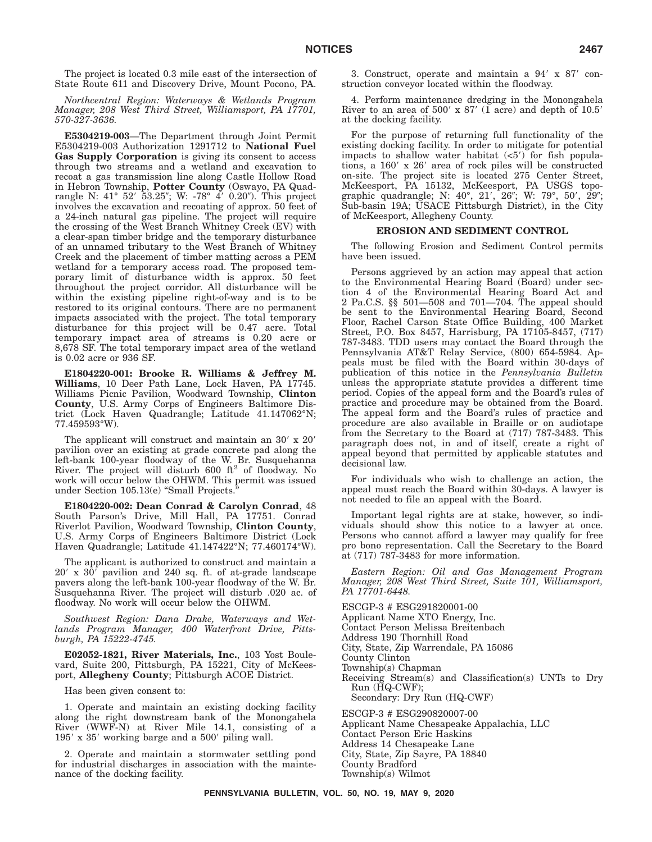The project is located 0.3 mile east of the intersection of State Route 611 and Discovery Drive, Mount Pocono, PA.

*Northcentral Region: Waterways & Wetlands Program Manager, 208 West Third Street, Williamsport, PA 17701, 570-327-3636.*

**E5304219-003**—The Department through Joint Permit E5304219-003 Authorization 1291712 to **National Fuel Gas Supply Corporation** is giving its consent to access through two streams and a wetland and excavation to recoat a gas transmission line along Castle Hollow Road in Hebron Township, **Potter County** (Oswayo, PA Quadrangle N: 41° 52′ 53.25″; W: -78° 4′ 0.20″). This project involves the excavation and recoating of approx. 50 feet of a 24-inch natural gas pipeline. The project will require the crossing of the West Branch Whitney Creek (EV) with a clear-span timber bridge and the temporary disturbance of an unnamed tributary to the West Branch of Whitney Creek and the placement of timber matting across a PEM wetland for a temporary access road. The proposed temporary limit of disturbance width is approx. 50 feet throughout the project corridor. All disturbance will be within the existing pipeline right-of-way and is to be restored to its original contours. There are no permanent impacts associated with the project. The total temporary disturbance for this project will be 0.47 acre. Total temporary impact area of streams is 0.20 acre or 8,678 SF. The total temporary impact area of the wetland is 0.02 acre or 936 SF.

**E1804220-001: Brooke R. Williams & Jeffrey M. Williams**, 10 Deer Path Lane, Lock Haven, PA 17745. Williams Picnic Pavilion, Woodward Township, **Clinton County**, U.S. Army Corps of Engineers Baltimore District (Lock Haven Quadrangle; Latitude 41.147062°N; 77.459593°W).

The applicant will construct and maintain an  $30' \times 20'$ pavilion over an existing at grade concrete pad along the left-bank 100-year floodway of the W. Br. Susquehanna<br>River. The project will disturb 600 ft<sup>2</sup> of floodway. No work will occur below the OHWM. This permit was issued under Section 105.13(e) "Small Projects.

**E1804220-002: Dean Conrad & Carolyn Conrad**, 48 South Parson's Drive, Mill Hall, PA 17751. Conrad Riverlot Pavilion, Woodward Township, **Clinton County**, U.S. Army Corps of Engineers Baltimore District (Lock Haven Quadrangle; Latitude 41.147422°N; 77.460174°W).

The applicant is authorized to construct and maintain a  $20'$  x  $30'$  pavilion and 240 sq. ft. of at-grade landscape pavers along the left-bank 100-year floodway of the W. Br. Susquehanna River. The project will disturb .020 ac. of floodway. No work will occur below the OHWM.

*Southwest Region: Dana Drake, Waterways and Wetlands Program Manager, 400 Waterfront Drive, Pittsburgh, PA 15222-4745.*

**E02052-1821, River Materials, Inc.**, 103 Yost Boulevard, Suite 200, Pittsburgh, PA 15221, City of McKeesport, **Allegheny County**; Pittsburgh ACOE District.

Has been given consent to:

1. Operate and maintain an existing docking facility along the right downstream bank of the Monongahela River (WWF-N) at River Mile 14.1, consisting of a  $195'$  x  $35'$  working barge and a  $500'$  piling wall.

2. Operate and maintain a stormwater settling pond for industrial discharges in association with the maintenance of the docking facility.

3. Construct, operate and maintain a 94 x 87 construction conveyor located within the floodway.

4. Perform maintenance dredging in the Monongahela River to an area of  $500'$  x  $87'$  (1 acre) and depth of  $10.5'$ at the docking facility.

For the purpose of returning full functionality of the existing docking facility. In order to mitigate for potential impacts to shallow water habitat  $(*5*)$  for fish populations, a  $160'$  x  $26'$  area of rock piles will be constructed on-site. The project site is located 275 Center Street, McKeesport, PA 15132, McKeesport, PA USGS topographic quadrangle; N: 40°, 21', 26"; W: 79°, 50', 29"; Sub-basin 19A; USACE Pittsburgh District), in the City of McKeesport, Allegheny County.

### **EROSION AND SEDIMENT CONTROL**

The following Erosion and Sediment Control permits have been issued.

Persons aggrieved by an action may appeal that action to the Environmental Hearing Board (Board) under section 4 of the Environmental Hearing Board Act and 2 Pa.C.S. §§ 501—508 and 701—704. The appeal should be sent to the Environmental Hearing Board, Second Floor, Rachel Carson State Office Building, 400 Market Street, P.O. Box 8457, Harrisburg, PA 17105-8457, (717) 787-3483. TDD users may contact the Board through the Pennsylvania AT&T Relay Service, (800) 654-5984. Appeals must be filed with the Board within 30-days of publication of this notice in the *Pennsylvania Bulletin* unless the appropriate statute provides a different time period. Copies of the appeal form and the Board's rules of practice and procedure may be obtained from the Board. The appeal form and the Board's rules of practice and procedure are also available in Braille or on audiotape from the Secretary to the Board at (717) 787-3483. This paragraph does not, in and of itself, create a right of appeal beyond that permitted by applicable statutes and decisional law.

For individuals who wish to challenge an action, the appeal must reach the Board within 30-days. A lawyer is not needed to file an appeal with the Board.

Important legal rights are at stake, however, so individuals should show this notice to a lawyer at once. Persons who cannot afford a lawyer may qualify for free pro bono representation. Call the Secretary to the Board at (717) 787-3483 for more information.

*Eastern Region: Oil and Gas Management Program Manager, 208 West Third Street, Suite 101, Williamsport, PA 17701-6448.*

ESCGP-3 # ESG291820001-00 Applicant Name XTO Energy, Inc. Contact Person Melissa Breitenbach Address 190 Thornhill Road City, State, Zip Warrendale, PA 15086 County Clinton Township(s) Chapman Receiving Stream(s) and Classification(s) UNTs to Dry Run (HQ-CWF); Secondary: Dry Run (HQ-CWF) ESCGP-3 # ESG290820007-00 Applicant Name Chesapeake Appalachia, LLC Contact Person Eric Haskins Address 14 Chesapeake Lane City, State, Zip Sayre, PA 18840 County Bradford

Township(s) Wilmot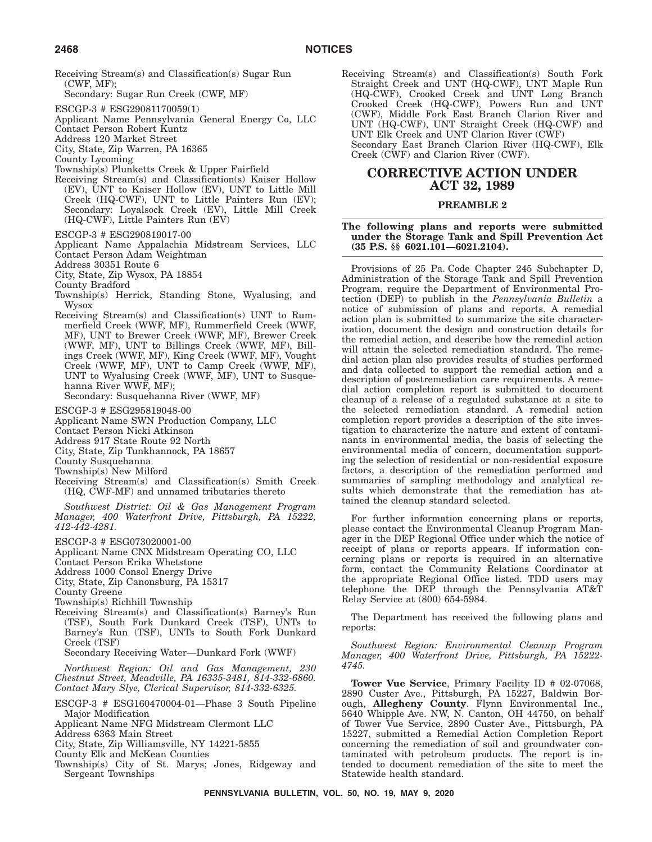- Receiving Stream(s) and Classification(s) Sugar Run (CWF, MF);
	- Secondary: Sugar Run Creek (CWF, MF)
- ESCGP-3 # ESG29081170059(1)
- Applicant Name Pennsylvania General Energy Co, LLC
- Contact Person Robert Kuntz
- Address 120 Market Street
- City, State, Zip Warren, PA 16365
- County Lycoming
- Township(s) Plunketts Creek & Upper Fairfield Receiving Stream(s) and Classification(s) Kaiser Hollow (EV), UNT to Kaiser Hollow (EV), UNT to Little Mill Creek (HQ-CWF), UNT to Little Painters Run (EV); Secondary: Loyalsock Creek (EV), Little Mill Creek (HQ-CWF), Little Painters Run (EV)
- ESCGP-3 # ESG290819017-00
- Applicant Name Appalachia Midstream Services, LLC Contact Person Adam Weightman
- Address 30351 Route 6
- City, State, Zip Wysox, PA 18854
- County Bradford
- Township(s) Herrick, Standing Stone, Wyalusing, and Wysox
- Receiving Stream(s) and Classification(s) UNT to Rummerfield Creek (WWF, MF), Rummerfield Creek (WWF, MF), UNT to Brewer Creek (WWF, MF), Brewer Creek (WWF, MF), UNT to Billings Creek (WWF, MF), Billings Creek (WWF, MF), King Creek (WWF, MF), Vought Creek (WWF, MF), UNT to Camp Creek (WWF, MF), UNT to Wyalusing Creek (WWF, MF), UNT to Susquehanna River WWF, MF);

Secondary: Susquehanna River (WWF, MF)

- ESCGP-3 # ESG295819048-00
- Applicant Name SWN Production Company, LLC
- Contact Person Nicki Atkinson
- Address 917 State Route 92 North
- City, State, Zip Tunkhannock, PA 18657
- County Susquehanna
- Township(s) New Milford
- Receiving Stream(s) and Classification(s) Smith Creek (HQ, CWF-MF) and unnamed tributaries thereto

*Southwest District: Oil & Gas Management Program Manager, 400 Waterfront Drive, Pittsburgh, PA 15222, 412-442-4281.*

- ESCGP-3 # ESG073020001-00
- Applicant Name CNX Midstream Operating CO, LLC
- Contact Person Erika Whetstone

Address 1000 Consol Energy Drive

- City, State, Zip Canonsburg, PA 15317
- County Greene
- Township(s) Richhill Township
- Receiving Stream(s) and Classification(s) Barney's Run (TSF), South Fork Dunkard Creek (TSF), UNTs to Barney's Run (TSF), UNTs to South Fork Dunkard Creek (TSF)
	- Secondary Receiving Water—Dunkard Fork (WWF)

*Northwest Region: Oil and Gas Management, 230 Chestnut Street, Meadville, PA 16335-3481, 814-332-6860. Contact Mary Slye, Clerical Supervisor, 814-332-6325.*

- ESCGP-3 # ESG160470004-01—Phase 3 South Pipeline Major Modification
- Applicant Name NFG Midstream Clermont LLC
- Address 6363 Main Street
- City, State, Zip Williamsville, NY 14221-5855
- County Elk and McKean Counties
- Township(s) City of St. Marys; Jones, Ridgeway and Sergeant Townships

Receiving Stream(s) and Classification(s) South Fork Straight Creek and UNT (HQ-CWF), UNT Maple Run (HQ-CWF), Crooked Creek and UNT Long Branch Crooked Creek (HQ-CWF), Powers Run and UNT (CWF), Middle Fork East Branch Clarion River and UNT (HQ-CWF), UNT Straight Creek (HQ-CWF) and UNT Elk Creek and UNT Clarion River (CWF) Secondary East Branch Clarion River (HQ-CWF), Elk Creek (CWF) and Clarion River (CWF).

# **CORRECTIVE ACTION UNDER ACT 32, 1989**

### **PREAMBLE 2**

### **The following plans and reports were submitted under the Storage Tank and Spill Prevention Act (35 P.S. §§ 6021.101—6021.2104).**

Provisions of 25 Pa. Code Chapter 245 Subchapter D, Administration of the Storage Tank and Spill Prevention Program, require the Department of Environmental Protection (DEP) to publish in the *Pennsylvania Bulletin* a notice of submission of plans and reports. A remedial action plan is submitted to summarize the site characterization, document the design and construction details for the remedial action, and describe how the remedial action will attain the selected remediation standard. The remedial action plan also provides results of studies performed and data collected to support the remedial action and a description of postremediation care requirements. A remedial action completion report is submitted to document cleanup of a release of a regulated substance at a site to the selected remediation standard. A remedial action completion report provides a description of the site investigation to characterize the nature and extent of contaminants in environmental media, the basis of selecting the environmental media of concern, documentation supporting the selection of residential or non-residential exposure factors, a description of the remediation performed and summaries of sampling methodology and analytical results which demonstrate that the remediation has attained the cleanup standard selected.

For further information concerning plans or reports, please contact the Environmental Cleanup Program Manager in the DEP Regional Office under which the notice of receipt of plans or reports appears. If information concerning plans or reports is required in an alternative form, contact the Community Relations Coordinator at the appropriate Regional Office listed. TDD users may telephone the DEP through the Pennsylvania AT&T Relay Service at (800) 654-5984.

The Department has received the following plans and reports:

*Southwest Region: Environmental Cleanup Program Manager, 400 Waterfront Drive, Pittsburgh, PA 15222- 4745.*

**Tower Vue Service**, Primary Facility ID # 02-07068, 2890 Custer Ave., Pittsburgh, PA 15227, Baldwin Borough, **Allegheny County**. Flynn Environmental Inc., 5640 Whipple Ave. NW, N. Canton, OH 44750, on behalf of Tower Vue Service, 2890 Custer Ave., Pittsburgh, PA 15227, submitted a Remedial Action Completion Report concerning the remediation of soil and groundwater contaminated with petroleum products. The report is intended to document remediation of the site to meet the Statewide health standard.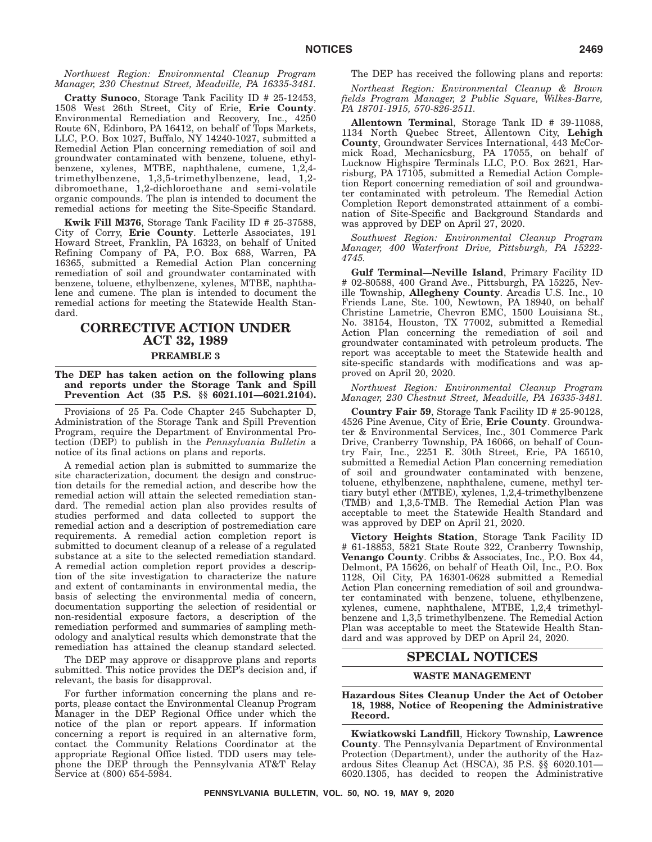*Northwest Region: Environmental Cleanup Program Manager, 230 Chestnut Street, Meadville, PA 16335-3481.*

**Cratty Sunoco**, Storage Tank Facility ID # 25-12453, 1508 West 26th Street, City of Erie, **Erie County**. Environmental Remediation and Recovery, Inc., 4250 Route 6N, Edinboro, PA 16412, on behalf of Tops Markets, LLC, P.O. Box 1027, Buffalo, NY 14240-1027, submitted a Remedial Action Plan concerning remediation of soil and groundwater contaminated with benzene, toluene, ethylbenzene, xylenes, MTBE, naphthalene, cumene, 1,2,4 trimethylbenzene, 1,3,5-trimethylbenzene, lead, 1,2 dibromoethane, 1,2-dichloroethane and semi-volatile organic compounds. The plan is intended to document the remedial actions for meeting the Site-Specific Standard.

**Kwik Fill M376**, Storage Tank Facility ID # 25-37588, City of Corry, **Erie County**. Letterle Associates, 191 Howard Street, Franklin, PA 16323, on behalf of United Refining Company of PA, P.O. Box 688, Warren, PA 16365, submitted a Remedial Action Plan concerning remediation of soil and groundwater contaminated with benzene, toluene, ethylbenzene, xylenes, MTBE, naphthalene and cumene. The plan is intended to document the remedial actions for meeting the Statewide Health Standard.

# **CORRECTIVE ACTION UNDER ACT 32, 1989 PREAMBLE 3**

#### **The DEP has taken action on the following plans and reports under the Storage Tank and Spill Prevention Act (35 P.S. §§ 6021.101—6021.2104).**

Provisions of 25 Pa. Code Chapter 245 Subchapter D, Administration of the Storage Tank and Spill Prevention Program, require the Department of Environmental Protection (DEP) to publish in the *Pennsylvania Bulletin* a notice of its final actions on plans and reports.

A remedial action plan is submitted to summarize the site characterization, document the design and construction details for the remedial action, and describe how the remedial action will attain the selected remediation standard. The remedial action plan also provides results of studies performed and data collected to support the remedial action and a description of postremediation care requirements. A remedial action completion report is submitted to document cleanup of a release of a regulated substance at a site to the selected remediation standard. A remedial action completion report provides a description of the site investigation to characterize the nature and extent of contaminants in environmental media, the basis of selecting the environmental media of concern, documentation supporting the selection of residential or non-residential exposure factors, a description of the remediation performed and summaries of sampling methodology and analytical results which demonstrate that the remediation has attained the cleanup standard selected.

The DEP may approve or disapprove plans and reports submitted. This notice provides the DEP's decision and, if relevant, the basis for disapproval.

For further information concerning the plans and reports, please contact the Environmental Cleanup Program Manager in the DEP Regional Office under which the notice of the plan or report appears. If information concerning a report is required in an alternative form, contact the Community Relations Coordinator at the appropriate Regional Office listed. TDD users may telephone the DEP through the Pennsylvania AT&T Relay Service at (800) 654-5984.

The DEP has received the following plans and reports:

*Northeast Region: Environmental Cleanup & Brown fields Program Manager, 2 Public Square, Wilkes-Barre, PA 18701-1915, 570-826-2511.*

**Allentown Termina**l, Storage Tank ID # 39-11088, 1134 North Quebec Street, Allentown City, **Lehigh County**, Groundwater Services International, 443 McCormick Road, Mechanicsburg, PA 17055, on behalf of Lucknow Highspire Terminals LLC, P.O. Box 2621, Harrisburg, PA 17105, submitted a Remedial Action Completion Report concerning remediation of soil and groundwater contaminated with petroleum. The Remedial Action Completion Report demonstrated attainment of a combination of Site-Specific and Background Standards and was approved by DEP on April 27, 2020.

*Southwest Region: Environmental Cleanup Program Manager, 400 Waterfront Drive, Pittsburgh, PA 15222- 4745.*

**Gulf Terminal—Neville Island**, Primary Facility ID # 02-80588, 400 Grand Ave., Pittsburgh, PA 15225, Neville Township, **Allegheny County**. Arcadis U.S. Inc., 10 Friends Lane, Ste. 100, Newtown, PA 18940, on behalf Christine Lametrie, Chevron EMC, 1500 Louisiana St., No. 38154, Houston, TX 77002, submitted a Remedial Action Plan concerning the remediation of soil and groundwater contaminated with petroleum products. The report was acceptable to meet the Statewide health and site-specific standards with modifications and was approved on April 20, 2020.

### *Northwest Region: Environmental Cleanup Program Manager, 230 Chestnut Street, Meadville, PA 16335-3481.*

**Country Fair 59**, Storage Tank Facility ID # 25-90128, 4526 Pine Avenue, City of Erie, **Erie County**. Groundwater & Environmental Services, Inc., 301 Commerce Park Drive, Cranberry Township, PA 16066, on behalf of Country Fair, Inc., 2251 E. 30th Street, Erie, PA 16510, submitted a Remedial Action Plan concerning remediation of soil and groundwater contaminated with benzene, toluene, ethylbenzene, naphthalene, cumene, methyl tertiary butyl ether (MTBE), xylenes, 1,2,4-trimethylbenzene (TMB) and 1,3,5-TMB. The Remedial Action Plan was acceptable to meet the Statewide Health Standard and was approved by DEP on April 21, 2020.

**Victory Heights Station**, Storage Tank Facility ID # 61-18853, 5821 State Route 322, Cranberry Township, **Venango County**. Cribbs & Associates, Inc., P.O. Box 44, Delmont, PA 15626, on behalf of Heath Oil, Inc., P.O. Box 1128, Oil City, PA 16301-0628 submitted a Remedial Action Plan concerning remediation of soil and groundwater contaminated with benzene, toluene, ethylbenzene, xylenes, cumene, naphthalene, MTBE, 1,2,4 trimethylbenzene and 1,3,5 trimethylbenzene. The Remedial Action Plan was acceptable to meet the Statewide Health Standard and was approved by DEP on April 24, 2020.

### **SPECIAL NOTICES**

### **WASTE MANAGEMENT**

### **Hazardous Sites Cleanup Under the Act of October 18, 1988, Notice of Reopening the Administrative Record.**

**Kwiatkowski Landfill**, Hickory Township, **Lawrence County**. The Pennsylvania Department of Environmental Protection (Department), under the authority of the Hazardous Sites Cleanup Act (HSCA), 35 P.S. §§ 6020.101— 6020.1305, has decided to reopen the Administrative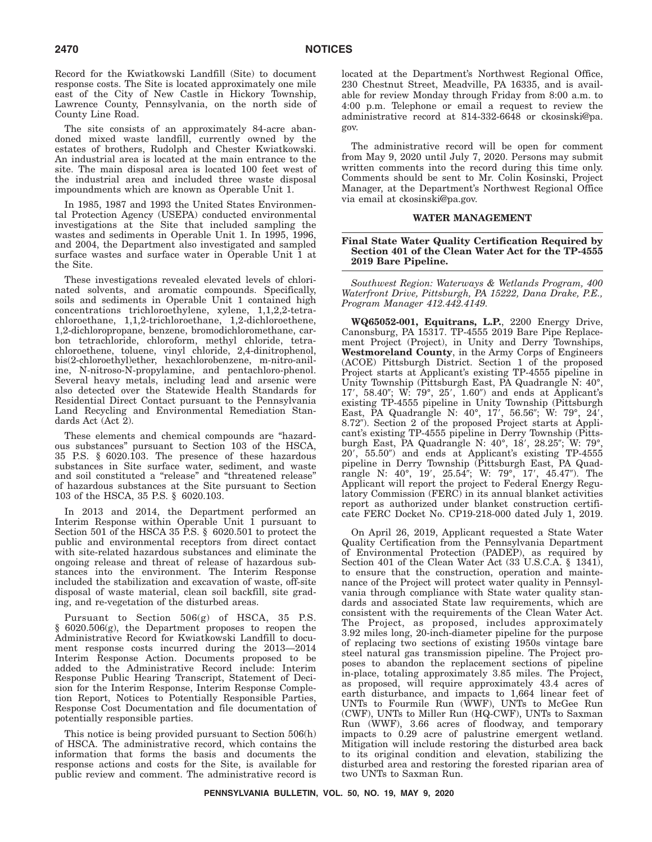Record for the Kwiatkowski Landfill (Site) to document response costs. The Site is located approximately one mile east of the City of New Castle in Hickory Township, Lawrence County, Pennsylvania, on the north side of County Line Road.

The site consists of an approximately 84-acre abandoned mixed waste landfill, currently owned by the estates of brothers, Rudolph and Chester Kwiatkowski. An industrial area is located at the main entrance to the site. The main disposal area is located 100 feet west of the industrial area and included three waste disposal impoundments which are known as Operable Unit 1.

In 1985, 1987 and 1993 the United States Environmental Protection Agency (USEPA) conducted environmental investigations at the Site that included sampling the wastes and sediments in Operable Unit 1. In 1995, 1996, and 2004, the Department also investigated and sampled surface wastes and surface water in Operable Unit 1 at the Site.

These investigations revealed elevated levels of chlorinated solvents, and aromatic compounds. Specifically, soils and sediments in Operable Unit 1 contained high concentrations trichloroethylene, xylene, 1,1,2,2-tetrachloroethane, 1,1,2-trichloroethane, 1,2-dichloroethene, 1,2-dichloropropane, benzene, bromodichloromethane, carbon tetrachloride, chloroform, methyl chloride, tetrachloroethene, toluene, vinyl chloride, 2,4-dinitrophenol, bis(2-chloroethyl)ether, hexachlorobenzene, m-nitro-aniline, N-nitroso-N-propylamine, and pentachloro-phenol. Several heavy metals, including lead and arsenic were also detected over the Statewide Health Standards for Residential Direct Contact pursuant to the Pennsylvania Land Recycling and Environmental Remediation Standards Act (Act 2).

These elements and chemical compounds are ''hazardous substances'' pursuant to Section 103 of the HSCA, 35 P.S. § 6020.103. The presence of these hazardous substances in Site surface water, sediment, and waste and soil constituted a ''release'' and ''threatened release'' of hazardous substances at the Site pursuant to Section 103 of the HSCA, 35 P.S. § 6020.103.

In 2013 and 2014, the Department performed an Interim Response within Operable Unit 1 pursuant to Section 501 of the HSCA 35 P.S. § 6020.501 to protect the public and environmental receptors from direct contact with site-related hazardous substances and eliminate the ongoing release and threat of release of hazardous substances into the environment. The Interim Response included the stabilization and excavation of waste, off-site disposal of waste material, clean soil backfill, site grading, and re-vegetation of the disturbed areas.

Pursuant to Section 506(g) of HSCA, 35 P.S. § 6020.506(g), the Department proposes to reopen the Administrative Record for Kwiatkowski Landfill to document response costs incurred during the 2013—2014 Interim Response Action. Documents proposed to be added to the Administrative Record include: Interim Response Public Hearing Transcript, Statement of Decision for the Interim Response, Interim Response Completion Report, Notices to Potentially Responsible Parties, Response Cost Documentation and file documentation of potentially responsible parties.

This notice is being provided pursuant to Section 506(h) of HSCA. The administrative record, which contains the information that forms the basis and documents the response actions and costs for the Site, is available for public review and comment. The administrative record is located at the Department's Northwest Regional Office, 230 Chestnut Street, Meadville, PA 16335, and is available for review Monday through Friday from 8:00 a.m. to 4:00 p.m. Telephone or email a request to review the administrative record at 814-332-6648 or ckosinski@pa. gov.

The administrative record will be open for comment from May 9, 2020 until July 7, 2020. Persons may submit written comments into the record during this time only. Comments should be sent to Mr. Colin Kosinski, Project Manager, at the Department's Northwest Regional Office via email at ckosinski@pa.gov.

### **WATER MANAGEMENT**

### **Final State Water Quality Certification Required by Section 401 of the Clean Water Act for the TP-4555 2019 Bare Pipeline.**

*Southwest Region: Waterways & Wetlands Program, 400 Waterfront Drive, Pittsburgh, PA 15222, Dana Drake, P.E., Program Manager 412.442.4149.*

**WQ65052-001, Equitrans, L.P.**, 2200 Energy Drive, Canonsburg, PA 15317. TP-4555 2019 Bare Pipe Replacement Project (Project), in Unity and Derry Townships, **Westmoreland County**, in the Army Corps of Engineers (ACOE) Pittsburgh District. Section 1 of the proposed Project starts at Applicant's existing TP-4555 pipeline in Unity Township (Pittsburgh East, PA Quadrangle N: 40°, 17', 58.40"; W: 79°, 25', 1.60") and ends at Applicant's existing TP-4555 pipeline in Unity Township (Pittsburgh East, PA Quadrangle N: 40°, 17', 56.56"; W: 79°, 24', 8.72"). Section 2 of the proposed Project starts at Applicant's existing TP-4555 pipeline in Derry Township (Pittsburgh East, PA Quadrangle N: 40°, 18′, 28.25″; W: 79°, 20', 55.50") and ends at Applicant's existing TP-4555 pipeline in Derry Township (Pittsburgh East, PA Quadrangle N: 40°, 19′, 25.54″; W: 79°, 17′, 45.47″). The Applicant will report the project to Federal Energy Regulatory Commission (FERC) in its annual blanket activities report as authorized under blanket construction certificate FERC Docket No. CP19-218-000 dated July 1, 2019.

On April 26, 2019, Applicant requested a State Water Quality Certification from the Pennsylvania Department of Environmental Protection (PADEP), as required by Section 401 of the Clean Water Act (33 U.S.C.A. § 1341), to ensure that the construction, operation and maintenance of the Project will protect water quality in Pennsylvania through compliance with State water quality standards and associated State law requirements, which are consistent with the requirements of the Clean Water Act. The Project, as proposed, includes approximately 3.92 miles long, 20-inch-diameter pipeline for the purpose of replacing two sections of existing 1950s vintage bare steel natural gas transmission pipeline. The Project proposes to abandon the replacement sections of pipeline in-place, totaling approximately 3.85 miles. The Project, as proposed, will require approximately 43.4 acres of earth disturbance, and impacts to 1,664 linear feet of UNTs to Fourmile Run (WWF), UNTs to McGee Run (CWF), UNTs to Miller Run (HQ-CWF), UNTs to Saxman Run (WWF), 3.66 acres of floodway, and temporary impacts to 0.29 acre of palustrine emergent wetland. Mitigation will include restoring the disturbed area back to its original condition and elevation, stabilizing the disturbed area and restoring the forested riparian area of two UNTs to Saxman Run.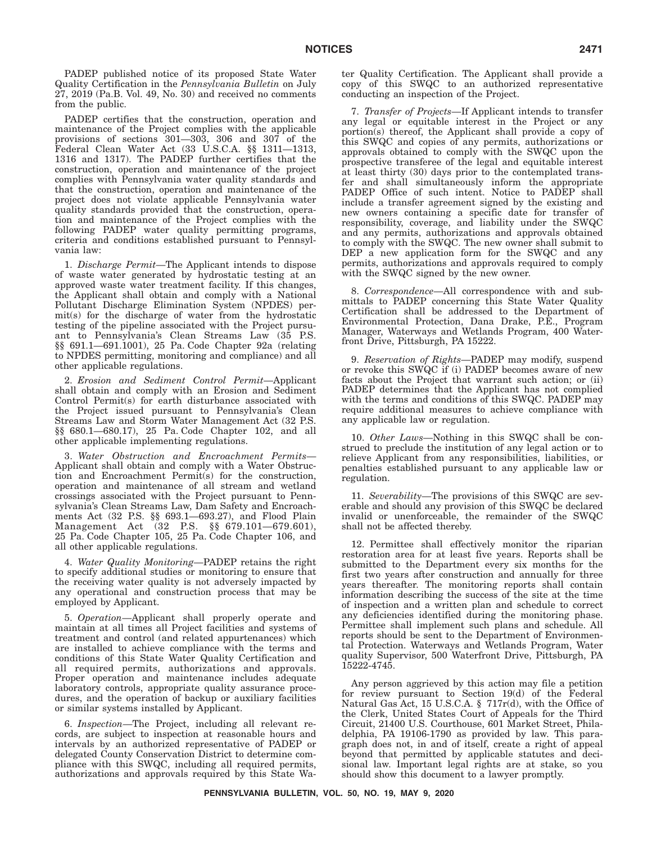PADEP published notice of its proposed State Water Quality Certification in the *Pennsylvania Bulletin* on July 27, 2019 (Pa.B. Vol. 49, No. 30) and received no comments from the public.

PADEP certifies that the construction, operation and maintenance of the Project complies with the applicable provisions of sections 301—303, 306 and 307 of the Federal Clean Water Act (33 U.S.C.A. §§ 1311—1313, 1316 and 1317). The PADEP further certifies that the construction, operation and maintenance of the project complies with Pennsylvania water quality standards and that the construction, operation and maintenance of the project does not violate applicable Pennsylvania water quality standards provided that the construction, operation and maintenance of the Project complies with the following PADEP water quality permitting programs, criteria and conditions established pursuant to Pennsylvania law:

1. *Discharge Permit*—The Applicant intends to dispose of waste water generated by hydrostatic testing at an approved waste water treatment facility. If this changes, the Applicant shall obtain and comply with a National Pollutant Discharge Elimination System (NPDES) permit(s) for the discharge of water from the hydrostatic testing of the pipeline associated with the Project pursuant to Pennsylvania's Clean Streams Law (35 P.S. §§ 691.1—691.1001), 25 Pa. Code Chapter 92a (relating to NPDES permitting, monitoring and compliance) and all other applicable regulations.

2. *Erosion and Sediment Control Permit*—Applicant shall obtain and comply with an Erosion and Sediment Control Permit(s) for earth disturbance associated with the Project issued pursuant to Pennsylvania's Clean Streams Law and Storm Water Management Act (32 P.S. §§ 680.1—680.17), 25 Pa. Code Chapter 102, and all other applicable implementing regulations.

3. *Water Obstruction and Encroachment Permits*— Applicant shall obtain and comply with a Water Obstruction and Encroachment Permit(s) for the construction, operation and maintenance of all stream and wetland crossings associated with the Project pursuant to Pennsylvania's Clean Streams Law, Dam Safety and Encroachments Act (32 P.S. §§ 693.1—693.27), and Flood Plain Management Act (32 P.S. §§ 679.101—679.601), 25 Pa. Code Chapter 105, 25 Pa. Code Chapter 106, and all other applicable regulations.

4. *Water Quality Monitoring*—PADEP retains the right to specify additional studies or monitoring to ensure that the receiving water quality is not adversely impacted by any operational and construction process that may be employed by Applicant.

5. *Operation*—Applicant shall properly operate and maintain at all times all Project facilities and systems of treatment and control (and related appurtenances) which are installed to achieve compliance with the terms and conditions of this State Water Quality Certification and all required permits, authorizations and approvals. Proper operation and maintenance includes adequate laboratory controls, appropriate quality assurance procedures, and the operation of backup or auxiliary facilities or similar systems installed by Applicant.

6. *Inspection*—The Project, including all relevant records, are subject to inspection at reasonable hours and intervals by an authorized representative of PADEP or delegated County Conservation District to determine compliance with this SWQC, including all required permits, authorizations and approvals required by this State Water Quality Certification. The Applicant shall provide a copy of this SWQC to an authorized representative conducting an inspection of the Project.

7. *Transfer of Projects*—If Applicant intends to transfer any legal or equitable interest in the Project or any portion(s) thereof, the Applicant shall provide a copy of this SWQC and copies of any permits, authorizations or approvals obtained to comply with the SWQC upon the prospective transferee of the legal and equitable interest at least thirty (30) days prior to the contemplated transfer and shall simultaneously inform the appropriate PADEP Office of such intent. Notice to PADEP shall include a transfer agreement signed by the existing and new owners containing a specific date for transfer of responsibility, coverage, and liability under the SWQC and any permits, authorizations and approvals obtained to comply with the SWQC. The new owner shall submit to DEP a new application form for the SWQC and any permits, authorizations and approvals required to comply with the SWQC signed by the new owner.

8. *Correspondence*—All correspondence with and submittals to PADEP concerning this State Water Quality Certification shall be addressed to the Department of Environmental Protection, Dana Drake, P.E., Program Manager, Waterways and Wetlands Program, 400 Waterfront Drive, Pittsburgh, PA 15222.

9. *Reservation of Rights*—PADEP may modify, suspend or revoke this SWQC if (i) PADEP becomes aware of new facts about the Project that warrant such action; or (ii) PADEP determines that the Applicant has not complied with the terms and conditions of this SWQC. PADEP may require additional measures to achieve compliance with any applicable law or regulation.

10. *Other Laws*—Nothing in this SWQC shall be construed to preclude the institution of any legal action or to relieve Applicant from any responsibilities, liabilities, or penalties established pursuant to any applicable law or regulation.

11. *Severability*—The provisions of this SWQC are severable and should any provision of this SWQC be declared invalid or unenforceable, the remainder of the SWQC shall not be affected thereby.

12. Permittee shall effectively monitor the riparian restoration area for at least five years. Reports shall be submitted to the Department every six months for the first two years after construction and annually for three years thereafter. The monitoring reports shall contain information describing the success of the site at the time of inspection and a written plan and schedule to correct any deficiencies identified during the monitoring phase. Permittee shall implement such plans and schedule. All reports should be sent to the Department of Environmental Protection. Waterways and Wetlands Program, Water quality Supervisor, 500 Waterfront Drive, Pittsburgh, PA 15222-4745.

Any person aggrieved by this action may file a petition for review pursuant to Section 19(d) of the Federal Natural Gas Act, 15 U.S.C.A. § 717r(d), with the Office of the Clerk, United States Court of Appeals for the Third Circuit, 21400 U.S. Courthouse, 601 Market Street, Philadelphia, PA 19106-1790 as provided by law. This paragraph does not, in and of itself, create a right of appeal beyond that permitted by applicable statutes and decisional law. Important legal rights are at stake, so you should show this document to a lawyer promptly.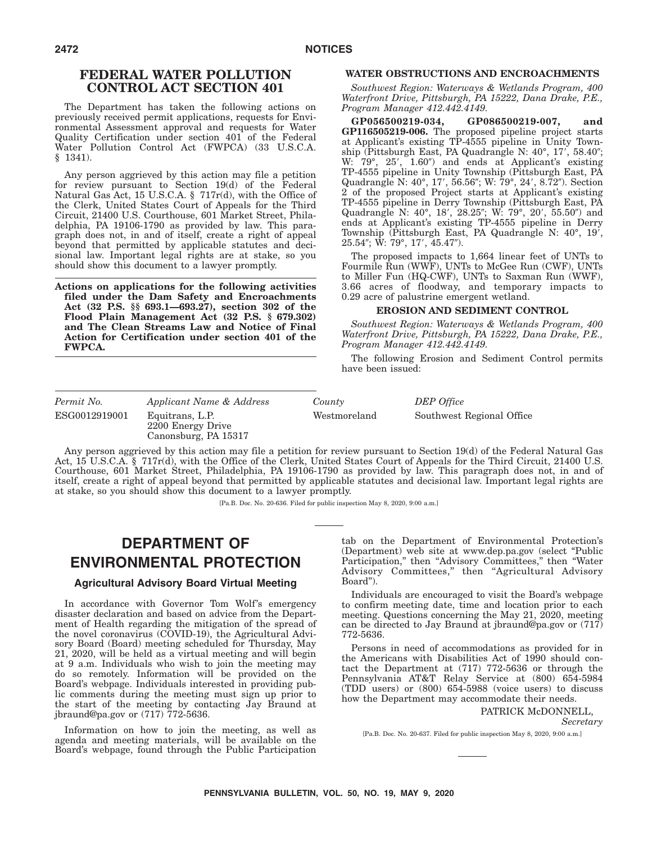# **FEDERAL WATER POLLUTION CONTROL ACT SECTION 401**

The Department has taken the following actions on previously received permit applications, requests for Environmental Assessment approval and requests for Water Quality Certification under section 401 of the Federal Water Pollution Control Act (FWPCA) (33 U.S.C.A. § 1341).

Any person aggrieved by this action may file a petition for review pursuant to Section 19(d) of the Federal Natural Gas Act, 15 U.S.C.A. § 717r(d), with the Office of the Clerk, United States Court of Appeals for the Third Circuit, 21400 U.S. Courthouse, 601 Market Street, Philadelphia, PA 19106-1790 as provided by law. This paragraph does not, in and of itself, create a right of appeal beyond that permitted by applicable statutes and decisional law. Important legal rights are at stake, so you should show this document to a lawyer promptly.

**Actions on applications for the following activities filed under the Dam Safety and Encroachments Act (32 P.S. §§ 693.1—693.27), section 302 of the Flood Plain Management Act (32 P.S. § 679.302) and The Clean Streams Law and Notice of Final Action for Certification under section 401 of the FWPCA.**

### **WATER OBSTRUCTIONS AND ENCROACHMENTS**

*Southwest Region: Waterways & Wetlands Program, 400 Waterfront Drive, Pittsburgh, PA 15222, Dana Drake, P.E., Program Manager 412.442.4149.*

**GP056500219-034, GP086500219-007, and GP116505219-006.** The proposed pipeline project starts at Applicant's existing TP-4555 pipeline in Unity Township (Pittsburgh East, PA Quadrangle N: 40°, 17', 58.40"; W: 79°, 25′, 1.60″) and ends at Applicant's existing TP-4555 pipeline in Unity Township (Pittsburgh East, PA Quadrangle N: 40°, 17', 56.56"; W: 79°, 24', 8.72"). Section 2 of the proposed Project starts at Applicant's existing TP-4555 pipeline in Derry Township (Pittsburgh East, PA Quadrangle N: 40°, 18′, 28.25″; W: 79°, 20′, 55.50″) and ends at Applicant's existing TP-4555 pipeline in Derry Township (Pittsburgh East, PA Quadrangle N: 40°, 19, 25.54"; W: 79°, 17′, 45.47").

The proposed impacts to 1,664 linear feet of UNTs to Fourmile Run (WWF), UNTs to McGee Run (CWF), UNTs to Miller Fun (HQ-CWF), UNTs to Saxman Run (WWF), 3.66 acres of floodway, and temporary impacts to 0.29 acre of palustrine emergent wetland.

### **EROSION AND SEDIMENT CONTROL**

*Southwest Region: Waterways & Wetlands Program, 400 Waterfront Drive, Pittsburgh, PA 15222, Dana Drake, P.E., Program Manager 412.442.4149.*

The following Erosion and Sediment Control permits have been issued:

| Permit No.    | Applicant Name & Address                                     | County       | DEP Office                |
|---------------|--------------------------------------------------------------|--------------|---------------------------|
| ESG0012919001 | Equitrans, L.P.<br>2200 Energy Drive<br>Canonsburg, PA 15317 | Westmoreland | Southwest Regional Office |

Any person aggrieved by this action may file a petition for review pursuant to Section 19(d) of the Federal Natural Gas Act, 15 U.S.C.A. § 717r(d), with the Office of the Clerk, United States Court of Appeals for the Third Circuit, 21400 U.S. Courthouse, 601 Market Street, Philadelphia, PA 19106-1790 as provided by law. This paragraph does not, in and of itself, create a right of appeal beyond that permitted by applicable statutes and decisional law. Important legal rights are at stake, so you should show this document to a lawyer promptly.

[Pa.B. Doc. No. 20-636. Filed for public inspection May 8, 2020, 9:00 a.m.]

# **DEPARTMENT OF ENVIRONMENTAL PROTECTION**

### **Agricultural Advisory Board Virtual Meeting**

In accordance with Governor Tom Wolf's emergency disaster declaration and based on advice from the Department of Health regarding the mitigation of the spread of the novel coronavirus (COVID-19), the Agricultural Advisory Board (Board) meeting scheduled for Thursday, May 21, 2020, will be held as a virtual meeting and will begin at 9 a.m. Individuals who wish to join the meeting may do so remotely. Information will be provided on the Board's webpage. Individuals interested in providing public comments during the meeting must sign up prior to the start of the meeting by contacting Jay Braund at jbraund@pa.gov or (717) 772-5636.

Information on how to join the meeting, as well as agenda and meeting materials, will be available on the Board's webpage, found through the Public Participation tab on the Department of Environmental Protection's (Department) web site at www.dep.pa.gov (select ''Public Participation," then "Advisory Committees," then "Water Advisory Committees,'' then ''Agricultural Advisory Board'').

Individuals are encouraged to visit the Board's webpage to confirm meeting date, time and location prior to each meeting. Questions concerning the May 21, 2020, meeting can be directed to Jay Braund at jbraund@pa.gov or (717) 772-5636.

Persons in need of accommodations as provided for in the Americans with Disabilities Act of 1990 should contact the Department at (717) 772-5636 or through the Pennsylvania AT&T Relay Service at (800) 654-5984 (TDD users) or (800) 654-5988 (voice users) to discuss how the Department may accommodate their needs.

#### PATRICK McDONNELL,

*Secretary*

[Pa.B. Doc. No. 20-637. Filed for public inspection May 8, 2020, 9:00 a.m.]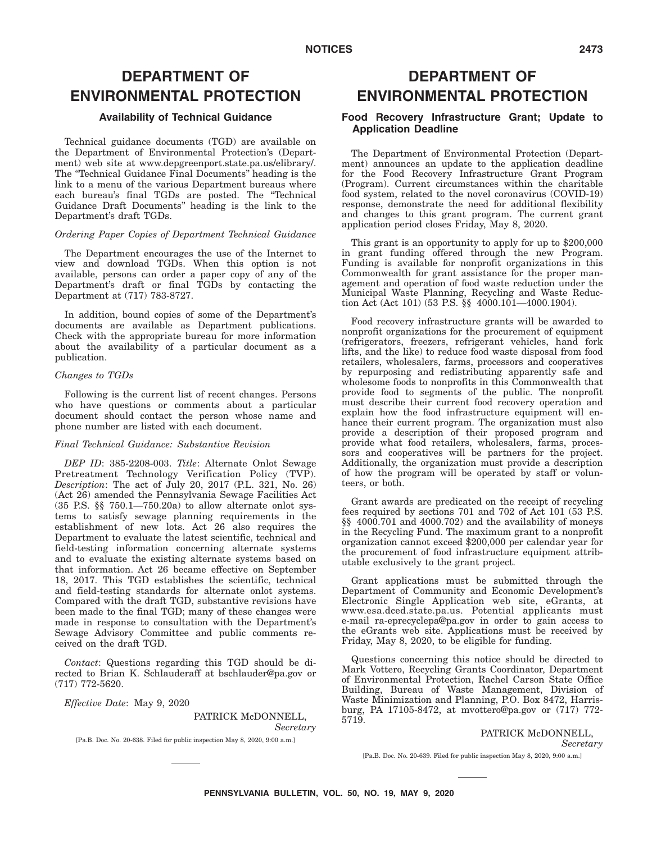# **DEPARTMENT OF ENVIRONMENTAL PROTECTION**

### **Availability of Technical Guidance**

Technical guidance documents (TGD) are available on the Department of Environmental Protection's (Department) web site at www.depgreenport.state.pa.us/elibrary/. The "Technical Guidance Final Documents" heading is the link to a menu of the various Department bureaus where each bureau's final TGDs are posted. The ''Technical Guidance Draft Documents'' heading is the link to the Department's draft TGDs.

### *Ordering Paper Copies of Department Technical Guidance*

The Department encourages the use of the Internet to view and download TGDs. When this option is not available, persons can order a paper copy of any of the Department's draft or final TGDs by contacting the Department at (717) 783-8727.

In addition, bound copies of some of the Department's documents are available as Department publications. Check with the appropriate bureau for more information about the availability of a particular document as a publication.

### *Changes to TGDs*

Following is the current list of recent changes. Persons who have questions or comments about a particular document should contact the person whose name and phone number are listed with each document.

### *Final Technical Guidance: Substantive Revision*

*DEP ID*: 385-2208-003. *Title*: Alternate Onlot Sewage Pretreatment Technology Verification Policy (TVP). *Description*: The act of July 20, 2017 (P.L. 321, No. 26) (Act 26) amended the Pennsylvania Sewage Facilities Act (35 P.S. §§ 750.1—750.20a) to allow alternate onlot systems to satisfy sewage planning requirements in the establishment of new lots. Act 26 also requires the Department to evaluate the latest scientific, technical and field-testing information concerning alternate systems and to evaluate the existing alternate systems based on that information. Act 26 became effective on September 18, 2017. This TGD establishes the scientific, technical and field-testing standards for alternate onlot systems. Compared with the draft TGD, substantive revisions have been made to the final TGD; many of these changes were made in response to consultation with the Department's Sewage Advisory Committee and public comments received on the draft TGD.

*Contact*: Questions regarding this TGD should be directed to Brian K. Schlauderaff at bschlauder@pa.gov or (717) 772-5620.

*Effective Date*: May 9, 2020

PATRICK McDONNELL, *Secretary*

[Pa.B. Doc. No. 20-638. Filed for public inspection May 8, 2020, 9:00 a.m.]

# **DEPARTMENT OF ENVIRONMENTAL PROTECTION**

### **Food Recovery Infrastructure Grant; Update to Application Deadline**

The Department of Environmental Protection (Department) announces an update to the application deadline for the Food Recovery Infrastructure Grant Program (Program). Current circumstances within the charitable food system, related to the novel coronavirus (COVID-19) response, demonstrate the need for additional flexibility and changes to this grant program. The current grant application period closes Friday, May 8, 2020.

This grant is an opportunity to apply for up to \$200,000 in grant funding offered through the new Program. Funding is available for nonprofit organizations in this Commonwealth for grant assistance for the proper management and operation of food waste reduction under the Municipal Waste Planning, Recycling and Waste Reduction Act (Act 101) (53 P.S. §§ 4000.101—4000.1904).

Food recovery infrastructure grants will be awarded to nonprofit organizations for the procurement of equipment (refrigerators, freezers, refrigerant vehicles, hand fork lifts, and the like) to reduce food waste disposal from food retailers, wholesalers, farms, processors and cooperatives by repurposing and redistributing apparently safe and wholesome foods to nonprofits in this Commonwealth that provide food to segments of the public. The nonprofit must describe their current food recovery operation and explain how the food infrastructure equipment will enhance their current program. The organization must also provide a description of their proposed program and provide what food retailers, wholesalers, farms, processors and cooperatives will be partners for the project. Additionally, the organization must provide a description of how the program will be operated by staff or volunteers, or both.

Grant awards are predicated on the receipt of recycling fees required by sections 701 and 702 of Act 101 (53 P.S. §§ 4000.701 and 4000.702) and the availability of moneys in the Recycling Fund. The maximum grant to a nonprofit organization cannot exceed \$200,000 per calendar year for the procurement of food infrastructure equipment attributable exclusively to the grant project.

Grant applications must be submitted through the Department of Community and Economic Development's Electronic Single Application web site, eGrants, at www.esa.dced.state.pa.us. Potential applicants must e-mail ra-eprecyclepa@pa.gov in order to gain access to the eGrants web site. Applications must be received by Friday, May 8, 2020, to be eligible for funding.

Questions concerning this notice should be directed to Mark Vottero, Recycling Grants Coordinator, Department of Environmental Protection, Rachel Carson State Office Building, Bureau of Waste Management, Division of Waste Minimization and Planning, P.O. Box 8472, Harrisburg, PA 17105-8472, at mvottero@pa.gov or (717) 772- 5719.

> PATRICK McDONNELL, *Secretary*

[Pa.B. Doc. No. 20-639. Filed for public inspection May 8, 2020, 9:00 a.m.]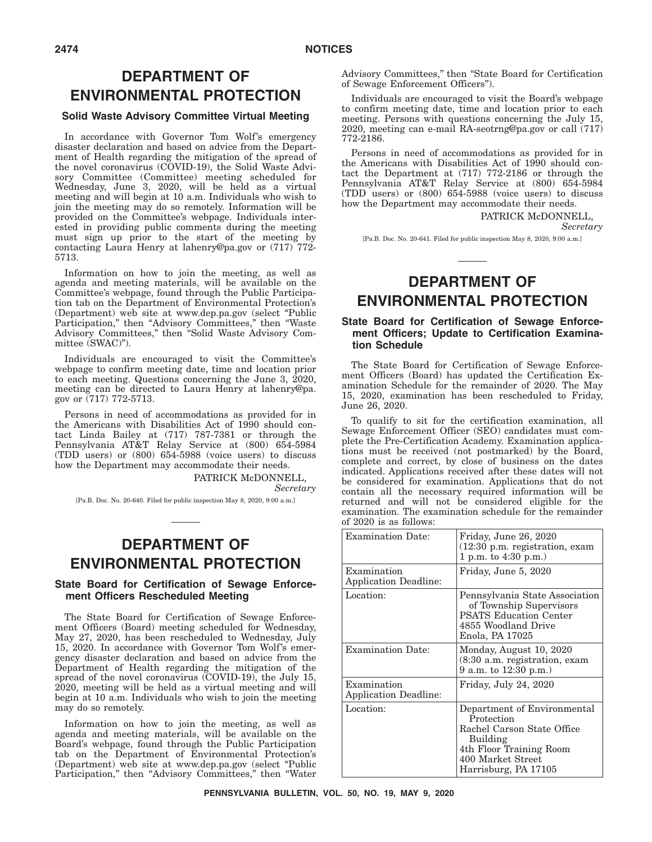# **DEPARTMENT OF ENVIRONMENTAL PROTECTION**

### **Solid Waste Advisory Committee Virtual Meeting**

In accordance with Governor Tom Wolf's emergency disaster declaration and based on advice from the Department of Health regarding the mitigation of the spread of the novel coronavirus (COVID-19), the Solid Waste Advisory Committee (Committee) meeting scheduled for Wednesday, June 3, 2020, will be held as a virtual meeting and will begin at 10 a.m. Individuals who wish to join the meeting may do so remotely. Information will be provided on the Committee's webpage. Individuals interested in providing public comments during the meeting must sign up prior to the start of the meeting by contacting Laura Henry at lahenry@pa.gov or (717) 772- 5713.

Information on how to join the meeting, as well as agenda and meeting materials, will be available on the Committee's webpage, found through the Public Participation tab on the Department of Environmental Protection's (Department) web site at www.dep.pa.gov (select ''Public Participation,'' then ''Advisory Committees,'' then ''Waste Advisory Committees,'' then ''Solid Waste Advisory Committee (SWAC)'').

Individuals are encouraged to visit the Committee's webpage to confirm meeting date, time and location prior to each meeting. Questions concerning the June 3, 2020, meeting can be directed to Laura Henry at lahenry@pa. gov or  $(717)$  772-5713.

Persons in need of accommodations as provided for in the Americans with Disabilities Act of 1990 should contact Linda Bailey at (717) 787-7381 or through the Pennsylvania AT&T Relay Service at (800) 654-5984 (TDD users) or (800) 654-5988 (voice users) to discuss how the Department may accommodate their needs.

> PATRICK McDONNELL, *Secretary*

[Pa.B. Doc. No. 20-640. Filed for public inspection May 8, 2020, 9:00 a.m.]

# **DEPARTMENT OF ENVIRONMENTAL PROTECTION**

### **State Board for Certification of Sewage Enforcement Officers Rescheduled Meeting**

The State Board for Certification of Sewage Enforcement Officers (Board) meeting scheduled for Wednesday, May 27, 2020, has been rescheduled to Wednesday, July 15, 2020. In accordance with Governor Tom Wolf's emergency disaster declaration and based on advice from the Department of Health regarding the mitigation of the spread of the novel coronavirus (COVID-19), the July 15, 2020, meeting will be held as a virtual meeting and will begin at 10 a.m. Individuals who wish to join the meeting may do so remotely.

Information on how to join the meeting, as well as agenda and meeting materials, will be available on the Board's webpage, found through the Public Participation tab on the Department of Environmental Protection's (Department) web site at www.dep.pa.gov (select ''Public Participation," then "Advisory Committees," then "Water

Advisory Committees,'' then ''State Board for Certification of Sewage Enforcement Officers'').

Individuals are encouraged to visit the Board's webpage to confirm meeting date, time and location prior to each meeting. Persons with questions concerning the July 15, 2020, meeting can e-mail RA-seotrng@pa.gov or call (717) 772-2186.

Persons in need of accommodations as provided for in the Americans with Disabilities Act of 1990 should contact the Department at (717) 772-2186 or through the Pennsylvania AT&T Relay Service at (800) 654-5984 (TDD users) or (800) 654-5988 (voice users) to discuss how the Department may accommodate their needs.

> PATRICK McDONNELL, *Secretary*

[Pa.B. Doc. No. 20-641. Filed for public inspection May 8, 2020, 9:00 a.m.]

# **DEPARTMENT OF ENVIRONMENTAL PROTECTION**

### **State Board for Certification of Sewage Enforcement Officers; Update to Certification Examination Schedule**

The State Board for Certification of Sewage Enforcement Officers (Board) has updated the Certification Examination Schedule for the remainder of 2020. The May 15, 2020, examination has been rescheduled to Friday, June 26, 2020.

To qualify to sit for the certification examination, all Sewage Enforcement Officer (SEO) candidates must complete the Pre-Certification Academy. Examination applications must be received (not postmarked) by the Board, complete and correct, by close of business on the dates indicated. Applications received after these dates will not be considered for examination. Applications that do not contain all the necessary required information will be returned and will not be considered eligible for the examination. The examination schedule for the remainder of 2020 is as follows:

| <b>Examination Date:</b>                    | Friday, June 26, 2020<br>$(12:30)$ p.m. registration, exam<br>1 p.m. to $4:30$ p.m.)                                                                        |
|---------------------------------------------|-------------------------------------------------------------------------------------------------------------------------------------------------------------|
| Examination<br><b>Application Deadline:</b> | Friday, June 5, 2020                                                                                                                                        |
| Location:                                   | Pennsylvania State Association<br>of Township Supervisors<br><b>PSATS Education Center</b><br>4855 Woodland Drive<br>Enola, PA 17025                        |
| <b>Examination Date:</b>                    | Monday, August 10, 2020<br>$(8:30$ a.m. registration, exam<br>9 a.m. to 12:30 p.m.)                                                                         |
| Examination<br><b>Application Deadline:</b> | Friday, July 24, 2020                                                                                                                                       |
| Location:                                   | Department of Environmental<br>Protection<br>Rachel Carson State Office<br>Building<br>4th Floor Training Room<br>400 Market Street<br>Harrisburg, PA 17105 |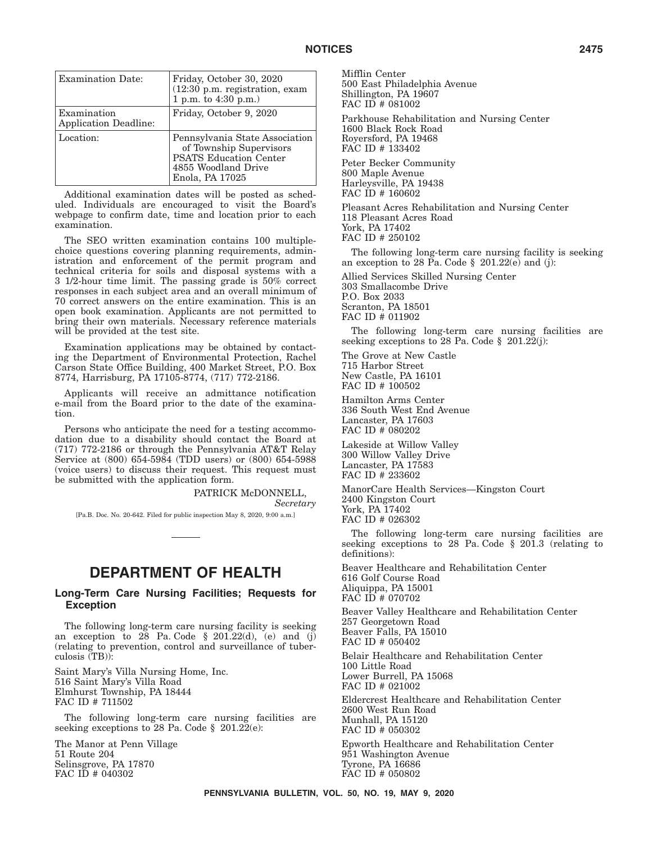| <b>Examination Date:</b>                    | Friday, October 30, 2020<br>(12:30 p.m. registration, exam<br>1 p.m. to $4:30$ p.m.)                                                 |
|---------------------------------------------|--------------------------------------------------------------------------------------------------------------------------------------|
| Examination<br><b>Application Deadline:</b> | Friday, October 9, 2020                                                                                                              |
| Location:                                   | Pennsylvania State Association<br>of Township Supervisors<br><b>PSATS Education Center</b><br>4855 Woodland Drive<br>Enola, PA 17025 |

Additional examination dates will be posted as scheduled. Individuals are encouraged to visit the Board's webpage to confirm date, time and location prior to each examination.

The SEO written examination contains 100 multiplechoice questions covering planning requirements, administration and enforcement of the permit program and technical criteria for soils and disposal systems with a 3 1/2-hour time limit. The passing grade is 50% correct responses in each subject area and an overall minimum of 70 correct answers on the entire examination. This is an open book examination. Applicants are not permitted to bring their own materials. Necessary reference materials will be provided at the test site.

Examination applications may be obtained by contacting the Department of Environmental Protection, Rachel Carson State Office Building, 400 Market Street, P.O. Box 8774, Harrisburg, PA 17105-8774, (717) 772-2186.

Applicants will receive an admittance notification e-mail from the Board prior to the date of the examination.

Persons who anticipate the need for a testing accommodation due to a disability should contact the Board at (717) 772-2186 or through the Pennsylvania AT&T Relay Service at (800) 654-5984 (TDD users) or (800) 654-5988 (voice users) to discuss their request. This request must be submitted with the application form.

> PATRICK McDONNELL, *Secretary*

[Pa.B. Doc. No. 20-642. Filed for public inspection May 8, 2020, 9:00 a.m.]

# **DEPARTMENT OF HEALTH**

### **Long-Term Care Nursing Facilities; Requests for Exception**

The following long-term care nursing facility is seeking an exception to 28 Pa. Code  $\S$  201.22(d), (e) and (j) (relating to prevention, control and surveillance of tuberculosis (TB)):

Saint Mary's Villa Nursing Home, Inc. 516 Saint Mary's Villa Road Elmhurst Township, PA 18444 FAC ID # 711502

The following long-term care nursing facilities are seeking exceptions to 28 Pa. Code § 201.22(e):

The Manor at Penn Village 51 Route 204 Selinsgrove, PA 17870 FAC ID # 040302

Mifflin Center 500 East Philadelphia Avenue Shillington, PA 19607 FAC ID # 081002

Parkhouse Rehabilitation and Nursing Center 1600 Black Rock Road Royersford, PA 19468 FAC ID # 133402

Peter Becker Community 800 Maple Avenue Harleysville, PA 19438 FAC ID # 160602

Pleasant Acres Rehabilitation and Nursing Center 118 Pleasant Acres Road York, PA 17402 FAC ID # 250102

The following long-term care nursing facility is seeking an exception to 28 Pa. Code § 201.22 $(e)$  and  $(j)$ :

Allied Services Skilled Nursing Center 303 Smallacombe Drive P.O. Box 2033 Scranton, PA 18501 FAC ID # 011902

The following long-term care nursing facilities are seeking exceptions to 28 Pa. Code § 201.22(j):

The Grove at New Castle 715 Harbor Street New Castle, PA 16101 FAC ID # 100502

Hamilton Arms Center 336 South West End Avenue Lancaster, PA 17603 FAC ID # 080202

Lakeside at Willow Valley 300 Willow Valley Drive Lancaster, PA 17583 FAC ID # 233602

ManorCare Health Services—Kingston Court 2400 Kingston Court York, PA 17402 FAC ID # 026302

The following long-term care nursing facilities are seeking exceptions to 28 Pa. Code § 201.3 (relating to definitions):

Beaver Healthcare and Rehabilitation Center 616 Golf Course Road Aliquippa, PA 15001 FAC ID # 070702

Beaver Valley Healthcare and Rehabilitation Center 257 Georgetown Road Beaver Falls, PA 15010 FAC ID # 050402 Belair Healthcare and Rehabilitation Center 100 Little Road

Lower Burrell, PA 15068 FAC ID # 021002

Eldercrest Healthcare and Rehabilitation Center 2600 West Run Road Munhall, PA 15120 FAC ID # 050302 Epworth Healthcare and Rehabilitation Center 951 Washington Avenue

Tyrone, PA 16686 FAC ID # 050802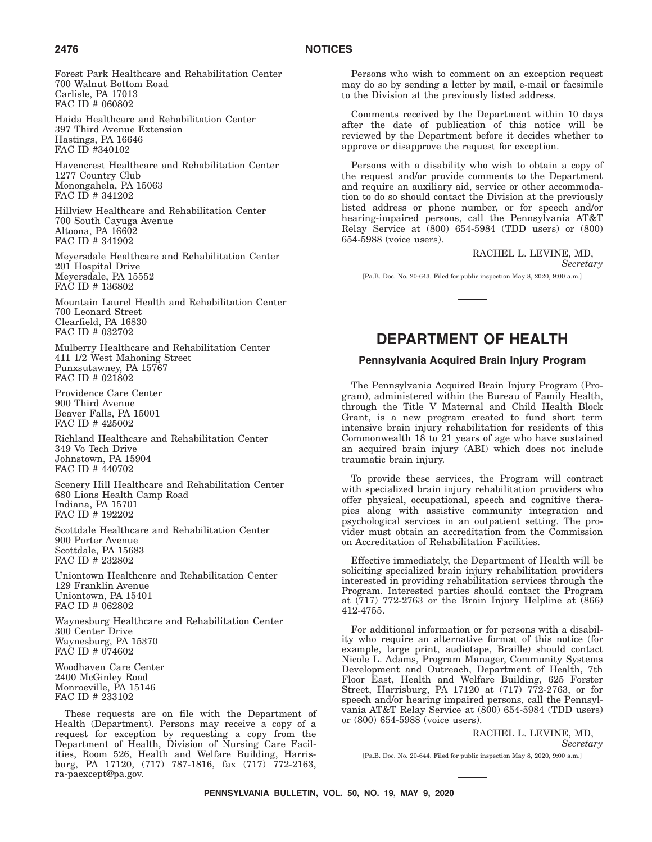### **2476 NOTICES**

Forest Park Healthcare and Rehabilitation Center 700 Walnut Bottom Road Carlisle, PA 17013 FAC ID # 060802

Haida Healthcare and Rehabilitation Center 397 Third Avenue Extension Hastings, PA 16646 FAC ID #340102

Havencrest Healthcare and Rehabilitation Center 1277 Country Club Monongahela, PA 15063 FAC ID # 341202

Hillview Healthcare and Rehabilitation Center 700 South Cayuga Avenue Altoona, PA 16602 FAC ID # 341902

Meyersdale Healthcare and Rehabilitation Center 201 Hospital Drive Meyersdale, PA 15552 FAC ID # 136802

Mountain Laurel Health and Rehabilitation Center 700 Leonard Street Clearfield, PA 16830 FAC ID # 032702

Mulberry Healthcare and Rehabilitation Center 411 1/2 West Mahoning Street Punxsutawney, PA 15767 FAC ID # 021802

Providence Care Center 900 Third Avenue Beaver Falls, PA 15001 FAC ID # 425002

Richland Healthcare and Rehabilitation Center 349 Vo Tech Drive Johnstown, PA 15904 FAC ID # 440702

Scenery Hill Healthcare and Rehabilitation Center 680 Lions Health Camp Road Indiana, PA 15701 FAC ID # 192202

Scottdale Healthcare and Rehabilitation Center 900 Porter Avenue Scottdale, PA 15683 FAC ID # 232802

Uniontown Healthcare and Rehabilitation Center 129 Franklin Avenue Uniontown, PA 15401 FAC ID # 062802

Waynesburg Healthcare and Rehabilitation Center 300 Center Drive Waynesburg, PA 15370 FAC ID # 074602

Woodhaven Care Center 2400 McGinley Road Monroeville, PA 15146 FAC ID # 233102

These requests are on file with the Department of Health (Department). Persons may receive a copy of a request for exception by requesting a copy from the Department of Health, Division of Nursing Care Facilities, Room 526, Health and Welfare Building, Harrisburg, PA 17120, (717) 787-1816, fax (717) 772-2163, ra-paexcept@pa.gov.

Persons who wish to comment on an exception request may do so by sending a letter by mail, e-mail or facsimile to the Division at the previously listed address.

Comments received by the Department within 10 days after the date of publication of this notice will be reviewed by the Department before it decides whether to approve or disapprove the request for exception.

Persons with a disability who wish to obtain a copy of the request and/or provide comments to the Department and require an auxiliary aid, service or other accommodation to do so should contact the Division at the previously listed address or phone number, or for speech and/or hearing-impaired persons, call the Pennsylvania AT&T Relay Service at (800) 654-5984 (TDD users) or (800) 654-5988 (voice users).

RACHEL L. LEVINE, MD,

*Secretary*

[Pa.B. Doc. No. 20-643. Filed for public inspection May 8, 2020, 9:00 a.m.]

# **DEPARTMENT OF HEALTH**

### **Pennsylvania Acquired Brain Injury Program**

The Pennsylvania Acquired Brain Injury Program (Program), administered within the Bureau of Family Health, through the Title V Maternal and Child Health Block Grant, is a new program created to fund short term intensive brain injury rehabilitation for residents of this Commonwealth 18 to 21 years of age who have sustained an acquired brain injury (ABI) which does not include traumatic brain injury.

To provide these services, the Program will contract with specialized brain injury rehabilitation providers who offer physical, occupational, speech and cognitive therapies along with assistive community integration and psychological services in an outpatient setting. The provider must obtain an accreditation from the Commission on Accreditation of Rehabilitation Facilities.

Effective immediately, the Department of Health will be soliciting specialized brain injury rehabilitation providers interested in providing rehabilitation services through the Program. Interested parties should contact the Program at  $(717)$  772-2763 or the Brain Injury Helpline at  $(866)$ 412-4755.

For additional information or for persons with a disability who require an alternative format of this notice (for example, large print, audiotape, Braille) should contact Nicole L. Adams, Program Manager, Community Systems Development and Outreach, Department of Health, 7th Floor East, Health and Welfare Building, 625 Forster Street, Harrisburg, PA 17120 at (717) 772-2763, or for speech and/or hearing impaired persons, call the Pennsylvania AT&T Relay Service at (800) 654-5984 (TDD users) or (800) 654-5988 (voice users).

> RACHEL L. LEVINE, MD, *Secretary*

[Pa.B. Doc. No. 20-644. Filed for public inspection May 8, 2020, 9:00 a.m.]

**PENNSYLVANIA BULLETIN, VOL. 50, NO. 19, MAY 9, 2020**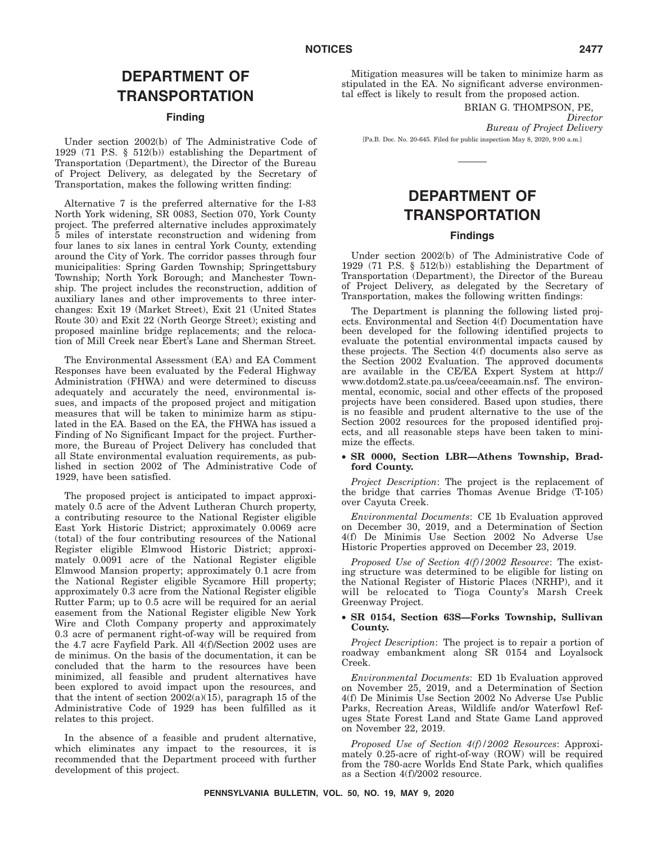# **DEPARTMENT OF TRANSPORTATION**

### **Finding**

Under section 2002(b) of The Administrative Code of 1929 (71 P.S. § 512(b)) establishing the Department of Transportation (Department), the Director of the Bureau of Project Delivery, as delegated by the Secretary of Transportation, makes the following written finding:

Alternative 7 is the preferred alternative for the I-83 North York widening, SR 0083, Section 070, York County project. The preferred alternative includes approximately 5 miles of interstate reconstruction and widening from four lanes to six lanes in central York County, extending around the City of York. The corridor passes through four municipalities: Spring Garden Township; Springettsbury Township; North York Borough; and Manchester Township. The project includes the reconstruction, addition of auxiliary lanes and other improvements to three interchanges: Exit 19 (Market Street), Exit 21 (United States Route 30) and Exit 22 (North George Street); existing and proposed mainline bridge replacements; and the relocation of Mill Creek near Ebert's Lane and Sherman Street.

The Environmental Assessment (EA) and EA Comment Responses have been evaluated by the Federal Highway Administration (FHWA) and were determined to discuss adequately and accurately the need, environmental issues, and impacts of the proposed project and mitigation measures that will be taken to minimize harm as stipulated in the EA. Based on the EA, the FHWA has issued a Finding of No Significant Impact for the project. Furthermore, the Bureau of Project Delivery has concluded that all State environmental evaluation requirements, as published in section 2002 of The Administrative Code of 1929, have been satisfied.

The proposed project is anticipated to impact approximately 0.5 acre of the Advent Lutheran Church property, a contributing resource to the National Register eligible East York Historic District; approximately 0.0069 acre (total) of the four contributing resources of the National Register eligible Elmwood Historic District; approximately 0.0091 acre of the National Register eligible Elmwood Mansion property; approximately 0.1 acre from the National Register eligible Sycamore Hill property; approximately 0.3 acre from the National Register eligible Rutter Farm; up to 0.5 acre will be required for an aerial easement from the National Register eligible New York Wire and Cloth Company property and approximately 0.3 acre of permanent right-of-way will be required from the 4.7 acre Fayfield Park. All 4(f)/Section 2002 uses are de minimus. On the basis of the documentation, it can be concluded that the harm to the resources have been minimized, all feasible and prudent alternatives have been explored to avoid impact upon the resources, and that the intent of section  $2002(a)(15)$ , paragraph 15 of the Administrative Code of 1929 has been fulfilled as it relates to this project.

In the absence of a feasible and prudent alternative, which eliminates any impact to the resources, it is recommended that the Department proceed with further development of this project.

Mitigation measures will be taken to minimize harm as stipulated in the EA. No significant adverse environmental effect is likely to result from the proposed action.

BRIAN G. THOMPSON, PE,

*Director*

*Bureau of Project Delivery*

[Pa.B. Doc. No. 20-645. Filed for public inspection May 8, 2020, 9:00 a.m.]

# **DEPARTMENT OF TRANSPORTATION**

### **Findings**

Under section 2002(b) of The Administrative Code of 1929 (71 P.S. § 512(b)) establishing the Department of Transportation (Department), the Director of the Bureau of Project Delivery, as delegated by the Secretary of Transportation, makes the following written findings:

The Department is planning the following listed projects. Environmental and Section 4(f) Documentation have been developed for the following identified projects to evaluate the potential environmental impacts caused by these projects. The Section 4(f) documents also serve as the Section 2002 Evaluation. The approved documents are available in the CE/EA Expert System at http:// www.dotdom2.state.pa.us/ceea/ceeamain.nsf. The environmental, economic, social and other effects of the proposed projects have been considered. Based upon studies, there is no feasible and prudent alternative to the use of the Section 2002 resources for the proposed identified projects, and all reasonable steps have been taken to minimize the effects.

### • **SR 0000, Section LBR—Athens Township, Bradford County.**

*Project Description*: The project is the replacement of the bridge that carries Thomas Avenue Bridge (T-105) over Cayuta Creek.

*Environmental Documents*: CE 1b Evaluation approved on December 30, 2019, and a Determination of Section 4(f) De Minimis Use Section 2002 No Adverse Use Historic Properties approved on December 23, 2019.

*Proposed Use of Section 4(f)/2002 Resource*: The existing structure was determined to be eligible for listing on the National Register of Historic Places (NRHP), and it will be relocated to Tioga County's Marsh Creek Greenway Project.

### • **SR 0154, Section 63S—Forks Township, Sullivan County.**

*Project Description*: The project is to repair a portion of roadway embankment along SR 0154 and Loyalsock Creek.

*Environmental Documents*: ED 1b Evaluation approved on November 25, 2019, and a Determination of Section 4(f) De Minimis Use Section 2002 No Adverse Use Public Parks, Recreation Areas, Wildlife and/or Waterfowl Refuges State Forest Land and State Game Land approved on November 22, 2019.

*Proposed Use of Section 4(f)/2002 Resources*: Approximately 0.25-acre of right-of-way (ROW) will be required from the 780-acre Worlds End State Park, which qualifies as a Section 4(f)/2002 resource.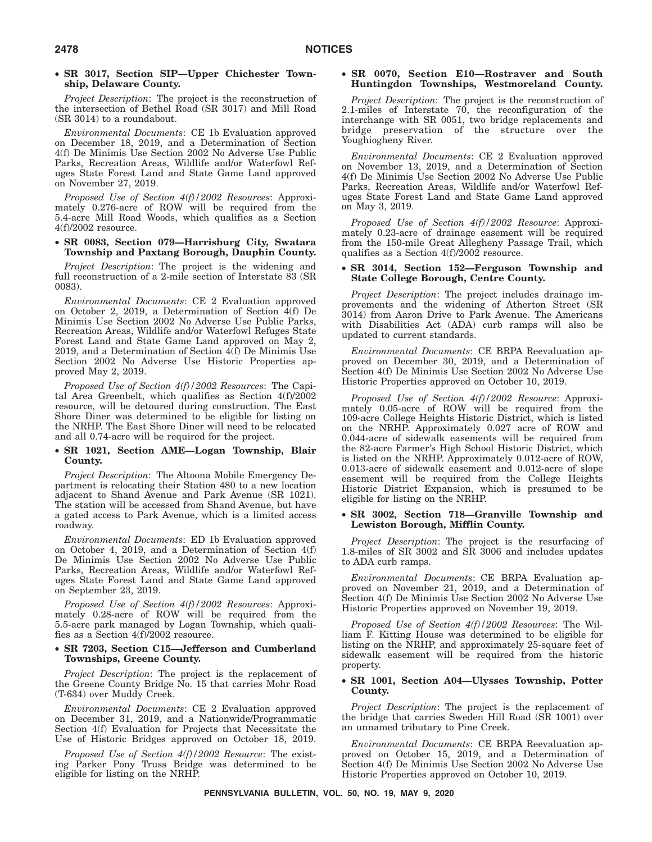### • **SR 3017, Section SIP—Upper Chichester Township, Delaware County.**

*Project Description*: The project is the reconstruction of the intersection of Bethel Road (SR 3017) and Mill Road (SR 3014) to a roundabout.

*Environmental Documents*: CE 1b Evaluation approved on December 18, 2019, and a Determination of Section 4(f) De Minimis Use Section 2002 No Adverse Use Public Parks, Recreation Areas, Wildlife and/or Waterfowl Refuges State Forest Land and State Game Land approved on November 27, 2019.

*Proposed Use of Section 4(f)/2002 Resources*: Approximately 0.276-acre of ROW will be required from the 5.4-acre Mill Road Woods, which qualifies as a Section 4(f)/2002 resource.

### • **SR 0083, Section 079—Harrisburg City, Swatara Township and Paxtang Borough, Dauphin County.**

*Project Description*: The project is the widening and full reconstruction of a 2-mile section of Interstate 83 (SR 0083).

*Environmental Documents*: CE 2 Evaluation approved on October 2, 2019, a Determination of Section 4(f) De Minimis Use Section 2002 No Adverse Use Public Parks, Recreation Areas, Wildlife and/or Waterfowl Refuges State Forest Land and State Game Land approved on May 2, 2019, and a Determination of Section  $\overline{4(f)}$  De Minimis Use Section 2002 No Adverse Use Historic Properties approved May 2, 2019.

*Proposed Use of Section 4(f)/2002 Resources*: The Capital Area Greenbelt, which qualifies as Section 4(f)/2002 resource, will be detoured during construction. The East Shore Diner was determined to be eligible for listing on the NRHP. The East Shore Diner will need to be relocated and all 0.74-acre will be required for the project.

### • **SR 1021, Section AME—Logan Township, Blair County.**

*Project Description*: The Altoona Mobile Emergency Department is relocating their Station 480 to a new location adjacent to Shand Avenue and Park Avenue (SR 1021). The station will be accessed from Shand Avenue, but have a gated access to Park Avenue, which is a limited access roadway.

*Environmental Documents*: ED 1b Evaluation approved on October 4, 2019, and a Determination of Section 4(f) De Minimis Use Section 2002 No Adverse Use Public Parks, Recreation Areas, Wildlife and/or Waterfowl Refuges State Forest Land and State Game Land approved on September 23, 2019.

*Proposed Use of Section 4(f)/2002 Resources*: Approximately 0.28-acre of ROW will be required from the 5.5-acre park managed by Logan Township, which qualifies as a Section 4(f)/2002 resource.

### • **SR 7203, Section C15—Jefferson and Cumberland Townships, Greene County.**

*Project Description*: The project is the replacement of the Greene County Bridge No. 15 that carries Mohr Road (T-634) over Muddy Creek.

*Environmental Documents*: CE 2 Evaluation approved on December 31, 2019, and a Nationwide/Programmatic Section 4(f) Evaluation for Projects that Necessitate the Use of Historic Bridges approved on October 18, 2019.

*Proposed Use of Section 4(f)/2002 Resource*: The existing Parker Pony Truss Bridge was determined to be eligible for listing on the NRHP.

### • **SR 0070, Section E10—Rostraver and South Huntingdon Townships, Westmoreland County.**

*Project Description*: The project is the reconstruction of 2.1-miles of Interstate 70, the reconfiguration of the interchange with SR 0051, two bridge replacements and bridge preservation of the structure over the Youghiogheny River.

*Environmental Documents*: CE 2 Evaluation approved on November 13, 2019, and a Determination of Section 4(f) De Minimis Use Section 2002 No Adverse Use Public Parks, Recreation Areas, Wildlife and/or Waterfowl Refuges State Forest Land and State Game Land approved on May 3, 2019.

*Proposed Use of Section 4(f)/2002 Resource*: Approximately 0.23-acre of drainage easement will be required from the 150-mile Great Allegheny Passage Trail, which qualifies as a Section 4(f)/2002 resource.

### • **SR 3014, Section 152—Ferguson Township and State College Borough, Centre County.**

*Project Description*: The project includes drainage improvements and the widening of Atherton Street (SR 3014) from Aaron Drive to Park Avenue. The Americans with Disabilities Act (ADA) curb ramps will also be updated to current standards.

*Environmental Documents*: CE BRPA Reevaluation approved on December 30, 2019, and a Determination of Section 4(f) De Minimis Use Section 2002 No Adverse Use Historic Properties approved on October 10, 2019.

*Proposed Use of Section 4(f)/2002 Resource*: Approximately 0.05-acre of ROW will be required from the 109-acre College Heights Historic District, which is listed on the NRHP. Approximately 0.027 acre of ROW and 0.044-acre of sidewalk easements will be required from the 82-acre Farmer's High School Historic District, which is listed on the NRHP. Approximately 0.012-acre of ROW, 0.013-acre of sidewalk easement and 0.012-acre of slope easement will be required from the College Heights Historic District Expansion, which is presumed to be eligible for listing on the NRHP.

### • **SR 3002, Section 718—Granville Township and Lewiston Borough, Mifflin County.**

*Project Description*: The project is the resurfacing of 1.8-miles of SR 3002 and SR 3006 and includes updates to ADA curb ramps.

*Environmental Documents*: CE BRPA Evaluation approved on November 21, 2019, and a Determination of Section 4(f) De Minimis Use Section 2002 No Adverse Use Historic Properties approved on November 19, 2019.

*Proposed Use of Section 4(f)/2002 Resources*: The William F. Kitting House was determined to be eligible for listing on the NRHP, and approximately 25-square feet of sidewalk easement will be required from the historic property.

### • **SR 1001, Section A04—Ulysses Township, Potter County.**

*Project Description*: The project is the replacement of the bridge that carries Sweden Hill Road (SR 1001) over an unnamed tributary to Pine Creek.

*Environmental Documents*: CE BRPA Reevaluation approved on October 15, 2019, and a Determination of Section 4(f) De Minimis Use Section 2002 No Adverse Use Historic Properties approved on October 10, 2019.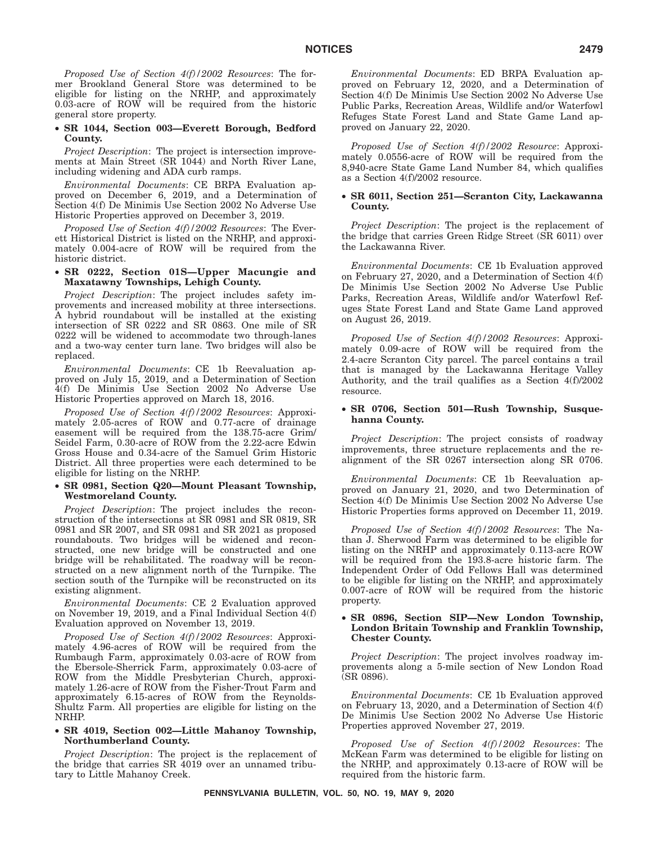*Proposed Use of Section 4(f)/2002 Resources*: The former Brookland General Store was determined to be eligible for listing on the NRHP, and approximately 0.03-acre of ROW will be required from the historic general store property.

### • **SR 1044, Section 003—Everett Borough, Bedford County.**

*Project Description*: The project is intersection improvements at Main Street (SR 1044) and North River Lane, including widening and ADA curb ramps.

*Environmental Documents*: CE BRPA Evaluation approved on December 6, 2019, and a Determination of Section 4(f) De Minimis Use Section 2002 No Adverse Use Historic Properties approved on December 3, 2019.

*Proposed Use of Section 4(f)/2002 Resources*: The Everett Historical District is listed on the NRHP, and approximately 0.004-acre of ROW will be required from the historic district.

### • **SR 0222, Section 01S—Upper Macungie and Maxatawny Townships, Lehigh County.**

*Project Description*: The project includes safety improvements and increased mobility at three intersections. A hybrid roundabout will be installed at the existing intersection of SR 0222 and SR 0863. One mile of SR 0222 will be widened to accommodate two through-lanes and a two-way center turn lane. Two bridges will also be replaced.

*Environmental Documents*: CE 1b Reevaluation approved on July 15, 2019, and a Determination of Section 4(f) De Minimis Use Section 2002 No Adverse Use Historic Properties approved on March 18, 2016.

*Proposed Use of Section 4(f)/2002 Resources*: Approximately 2.05-acres of ROW and 0.77-acre of drainage easement will be required from the 138.75-acre Grim/ Seidel Farm, 0.30-acre of ROW from the 2.22-acre Edwin Gross House and 0.34-acre of the Samuel Grim Historic District. All three properties were each determined to be eligible for listing on the NRHP.

### • **SR 0981, Section Q20—Mount Pleasant Township, Westmoreland County.**

*Project Description*: The project includes the reconstruction of the intersections at SR 0981 and SR 0819, SR 0981 and SR 2007, and SR 0981 and SR 2021 as proposed roundabouts. Two bridges will be widened and reconstructed, one new bridge will be constructed and one bridge will be rehabilitated. The roadway will be reconstructed on a new alignment north of the Turnpike. The section south of the Turnpike will be reconstructed on its existing alignment.

*Environmental Documents*: CE 2 Evaluation approved on November 19, 2019, and a Final Individual Section 4(f) Evaluation approved on November 13, 2019.

*Proposed Use of Section 4(f)/2002 Resources*: Approximately 4.96-acres of ROW will be required from the Rumbaugh Farm, approximately 0.03-acre of ROW from the Ebersole-Sherrick Farm, approximately 0.03-acre of ROW from the Middle Presbyterian Church, approximately 1.26-acre of ROW from the Fisher-Trout Farm and approximately 6.15-acres of ROW from the Reynolds-Shultz Farm. All properties are eligible for listing on the NRHP.

### • **SR 4019, Section 002—Little Mahanoy Township, Northumberland County.**

*Project Description*: The project is the replacement of the bridge that carries SR 4019 over an unnamed tributary to Little Mahanoy Creek.

*Environmental Documents*: ED BRPA Evaluation approved on February 12, 2020, and a Determination of Section 4(f) De Minimis Use Section 2002 No Adverse Use Public Parks, Recreation Areas, Wildlife and/or Waterfowl Refuges State Forest Land and State Game Land approved on January 22, 2020.

*Proposed Use of Section 4(f)/2002 Resource*: Approximately 0.0556-acre of ROW will be required from the 8,940-acre State Game Land Number 84, which qualifies as a Section 4(f)/2002 resource.

### • **SR 6011, Section 251—Scranton City, Lackawanna County.**

*Project Description*: The project is the replacement of the bridge that carries Green Ridge Street (SR 6011) over the Lackawanna River.

*Environmental Documents*: CE 1b Evaluation approved on February 27, 2020, and a Determination of Section 4(f) De Minimis Use Section 2002 No Adverse Use Public Parks, Recreation Areas, Wildlife and/or Waterfowl Refuges State Forest Land and State Game Land approved on August 26, 2019.

*Proposed Use of Section 4(f)/2002 Resources*: Approximately 0.09-acre of ROW will be required from the 2.4-acre Scranton City parcel. The parcel contains a trail that is managed by the Lackawanna Heritage Valley Authority, and the trail qualifies as a Section 4(f)/2002 resource.

### • **SR 0706, Section 501—Rush Township, Susquehanna County.**

*Project Description*: The project consists of roadway improvements, three structure replacements and the realignment of the SR 0267 intersection along SR 0706.

*Environmental Documents*: CE 1b Reevaluation approved on January 21, 2020, and two Determination of Section 4(f) De Minimis Use Section 2002 No Adverse Use Historic Properties forms approved on December 11, 2019.

*Proposed Use of Section 4(f)/2002 Resources*: The Nathan J. Sherwood Farm was determined to be eligible for listing on the NRHP and approximately 0.113-acre ROW will be required from the 193.8-acre historic farm. The Independent Order of Odd Fellows Hall was determined to be eligible for listing on the NRHP, and approximately 0.007-acre of ROW will be required from the historic property.

### • **SR 0896, Section SIP—New London Township, London Britain Township and Franklin Township, Chester County.**

*Project Description*: The project involves roadway improvements along a 5-mile section of New London Road (SR 0896).

*Environmental Documents*: CE 1b Evaluation approved on February 13, 2020, and a Determination of Section 4(f) De Minimis Use Section 2002 No Adverse Use Historic Properties approved November 27, 2019.

*Proposed Use of Section 4(f)/2002 Resources*: The McKean Farm was determined to be eligible for listing on the NRHP, and approximately 0.13-acre of ROW will be required from the historic farm.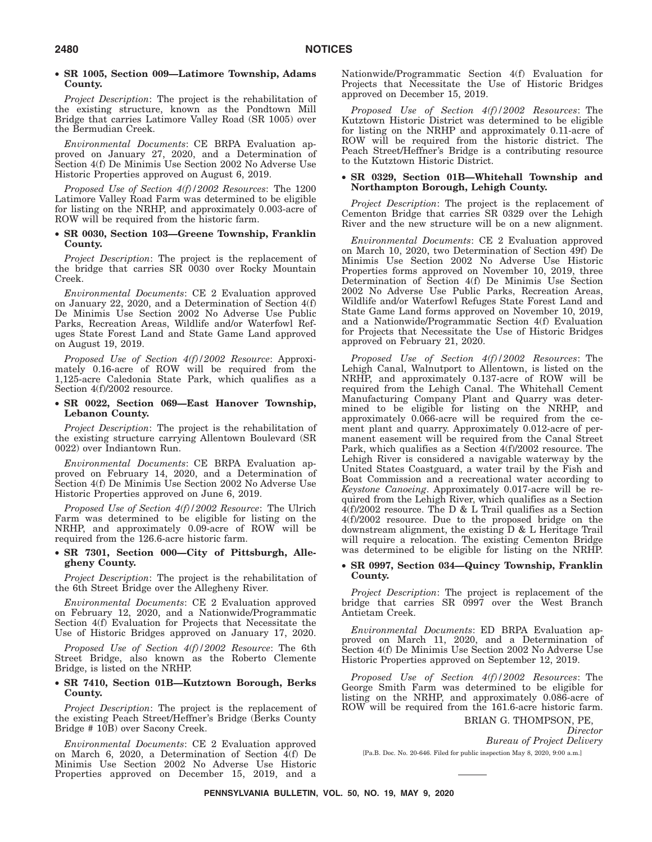### • **SR 1005, Section 009—Latimore Township, Adams County.**

*Project Description*: The project is the rehabilitation of the existing structure, known as the Pondtown Mill Bridge that carries Latimore Valley Road (SR 1005) over the Bermudian Creek.

*Environmental Documents*: CE BRPA Evaluation approved on January 27, 2020, and a Determination of Section 4(f) De Minimis Use Section 2002 No Adverse Use Historic Properties approved on August 6, 2019.

*Proposed Use of Section 4(f)/2002 Resources*: The 1200 Latimore Valley Road Farm was determined to be eligible for listing on the NRHP, and approximately 0.003-acre of ROW will be required from the historic farm.

### • **SR 0030, Section 103—Greene Township, Franklin County.**

*Project Description*: The project is the replacement of the bridge that carries SR 0030 over Rocky Mountain Creek.

*Environmental Documents*: CE 2 Evaluation approved on January 22, 2020, and a Determination of Section 4(f) De Minimis Use Section 2002 No Adverse Use Public Parks, Recreation Areas, Wildlife and/or Waterfowl Refuges State Forest Land and State Game Land approved on August 19, 2019.

*Proposed Use of Section 4(f)/2002 Resource*: Approximately 0.16-acre of ROW will be required from the 1,125-acre Caledonia State Park, which qualifies as a Section 4(f)/2002 resource.

### • **SR 0022, Section 069—East Hanover Township, Lebanon County.**

*Project Description*: The project is the rehabilitation of the existing structure carrying Allentown Boulevard (SR 0022) over Indiantown Run.

*Environmental Documents*: CE BRPA Evaluation approved on February 14, 2020, and a Determination of Section 4(f) De Minimis Use Section 2002 No Adverse Use Historic Properties approved on June 6, 2019.

*Proposed Use of Section 4(f)/2002 Resource*: The Ulrich Farm was determined to be eligible for listing on the NRHP, and approximately 0.09-acre of ROW will be required from the 126.6-acre historic farm.

### • **SR 7301, Section 000—City of Pittsburgh, Allegheny County.**

*Project Description*: The project is the rehabilitation of the 6th Street Bridge over the Allegheny River.

*Environmental Documents*: CE 2 Evaluation approved on February 12, 2020, and a Nationwide/Programmatic Section 4(f) Evaluation for Projects that Necessitate the Use of Historic Bridges approved on January 17, 2020.

*Proposed Use of Section 4(f)/2002 Resource*: The 6th Street Bridge, also known as the Roberto Clemente Bridge, is listed on the NRHP.

### • **SR 7410, Section 01B—Kutztown Borough, Berks County.**

*Project Description*: The project is the replacement of the existing Peach Street/Heffner's Bridge (Berks County Bridge # 10B) over Sacony Creek.

*Environmental Documents*: CE 2 Evaluation approved on March 6, 2020, a Determination of Section 4(f) De Minimis Use Section 2002 No Adverse Use Historic Properties approved on December 15, 2019, and a Nationwide/Programmatic Section 4(f) Evaluation for Projects that Necessitate the Use of Historic Bridges approved on December 15, 2019.

*Proposed Use of Section 4(f)/2002 Resources*: The Kutztown Historic District was determined to be eligible for listing on the NRHP and approximately 0.11-acre of ROW will be required from the historic district. The Peach Street/Heffner's Bridge is a contributing resource to the Kutztown Historic District.

### • **SR 0329, Section 01B—Whitehall Township and Northampton Borough, Lehigh County.**

*Project Description*: The project is the replacement of Cementon Bridge that carries SR 0329 over the Lehigh River and the new structure will be on a new alignment.

*Environmental Documents*: CE 2 Evaluation approved on March 10, 2020, two Determination of Section 49f) De Minimis Use Section 2002 No Adverse Use Historic Properties forms approved on November 10, 2019, three Determination of Section 4(f) De Minimis Use Section 2002 No Adverse Use Public Parks, Recreation Areas, Wildlife and/or Waterfowl Refuges State Forest Land and State Game Land forms approved on November 10, 2019, and a Nationwide/Programmatic Section 4(f) Evaluation for Projects that Necessitate the Use of Historic Bridges approved on February 21, 2020.

*Proposed Use of Section 4(f)/2002 Resources*: The Lehigh Canal, Walnutport to Allentown, is listed on the NRHP, and approximately 0.137-acre of ROW will be required from the Lehigh Canal. The Whitehall Cement Manufacturing Company Plant and Quarry was determined to be eligible for listing on the NRHP, and approximately 0.066-acre will be required from the cement plant and quarry. Approximately 0.012-acre of permanent easement will be required from the Canal Street Park, which qualifies as a Section 4(f)/2002 resource. The Lehigh River is considered a navigable waterway by the United States Coastguard, a water trail by the Fish and Boat Commission and a recreational water according to *Keystone Canoeing*. Approximately 0.017-acre will be required from the Lehigh River, which qualifies as a Section  $4(f)/2002$  resource. The D & L Trail qualifies as a Section 4(f)/2002 resource. Due to the proposed bridge on the downstream alignment, the existing  $D & L$  Heritage Trail will require a relocation. The existing Cementon Bridge was determined to be eligible for listing on the NRHP.

### • **SR 0997, Section 034—Quincy Township, Franklin County.**

*Project Description*: The project is replacement of the bridge that carries SR 0997 over the West Branch Antietam Creek.

*Environmental Documents*: ED BRPA Evaluation approved on March 11, 2020, and a Determination of Section 4(f) De Minimis Use Section 2002 No Adverse Use Historic Properties approved on September 12, 2019.

*Proposed Use of Section 4(f)/2002 Resources*: The George Smith Farm was determined to be eligible for listing on the NRHP, and approximately 0.086-acre of ROW will be required from the 161.6-acre historic farm.

> BRIAN G. THOMPSON, PE, *Director Bureau of Project Delivery*

[Pa.B. Doc. No. 20-646. Filed for public inspection May 8, 2020, 9:00 a.m.]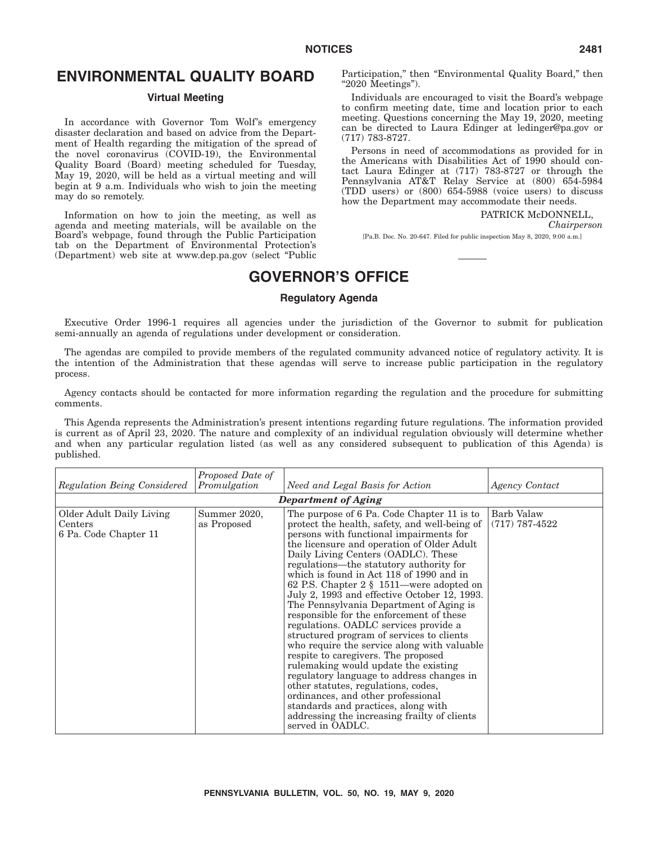# **ENVIRONMENTAL QUALITY BOARD**

### **Virtual Meeting**

In accordance with Governor Tom Wolf's emergency disaster declaration and based on advice from the Department of Health regarding the mitigation of the spread of the novel coronavirus (COVID-19), the Environmental Quality Board (Board) meeting scheduled for Tuesday, May 19, 2020, will be held as a virtual meeting and will begin at 9 a.m. Individuals who wish to join the meeting may do so remotely.

Information on how to join the meeting, as well as agenda and meeting materials, will be available on the Board's webpage, found through the Public Participation tab on the Department of Environmental Protection's (Department) web site at www.dep.pa.gov (select ''Public Participation," then "Environmental Quality Board," then ''2020 Meetings'').

Individuals are encouraged to visit the Board's webpage to confirm meeting date, time and location prior to each meeting. Questions concerning the May 19, 2020, meeting can be directed to Laura Edinger at ledinger@pa.gov or (717) 783-8727.

Persons in need of accommodations as provided for in the Americans with Disabilities Act of 1990 should contact Laura Edinger at (717) 783-8727 or through the Pennsylvania AT&T Relay Service at (800) 654-5984 (TDD users) or (800) 654-5988 (voice users) to discuss how the Department may accommodate their needs.

PATRICK McDONNELL.

*Chairperson*

[Pa.B. Doc. No. 20-647. Filed for public inspection May 8, 2020, 9:00 a.m.]

# **GOVERNOR'S OFFICE**

### **Regulatory Agenda**

Executive Order 1996-1 requires all agencies under the jurisdiction of the Governor to submit for publication semi-annually an agenda of regulations under development or consideration.

The agendas are compiled to provide members of the regulated community advanced notice of regulatory activity. It is the intention of the Administration that these agendas will serve to increase public participation in the regulatory process.

Agency contacts should be contacted for more information regarding the regulation and the procedure for submitting comments.

This Agenda represents the Administration's present intentions regarding future regulations. The information provided is current as of April 23, 2020. The nature and complexity of an individual regulation obviously will determine whether and when any particular regulation listed (as well as any considered subsequent to publication of this Agenda) is published.

| Regulation Being Considered                                  | Proposed Date of<br>Promulgation | Need and Legal Basis for Action                                                                                                                                                                                                                                                                                                                                                                                                                                                                                                                                                                                                                                                                                                                                                                                                                                                                                                                                | Agency Contact                 |
|--------------------------------------------------------------|----------------------------------|----------------------------------------------------------------------------------------------------------------------------------------------------------------------------------------------------------------------------------------------------------------------------------------------------------------------------------------------------------------------------------------------------------------------------------------------------------------------------------------------------------------------------------------------------------------------------------------------------------------------------------------------------------------------------------------------------------------------------------------------------------------------------------------------------------------------------------------------------------------------------------------------------------------------------------------------------------------|--------------------------------|
|                                                              |                                  | Department of Aging                                                                                                                                                                                                                                                                                                                                                                                                                                                                                                                                                                                                                                                                                                                                                                                                                                                                                                                                            |                                |
| Older Adult Daily Living<br>Centers<br>6 Pa. Code Chapter 11 | Summer 2020,<br>as Proposed      | The purpose of 6 Pa. Code Chapter 11 is to<br>protect the health, safety, and well-being of<br>persons with functional impairments for<br>the licensure and operation of Older Adult<br>Daily Living Centers (OADLC). These<br>regulations—the statutory authority for<br>which is found in Act 118 of 1990 and in<br>62 P.S. Chapter 2 § 1511—were adopted on<br>July 2, 1993 and effective October 12, 1993.<br>The Pennsylvania Department of Aging is<br>responsible for the enforcement of these<br>regulations. OADLC services provide a<br>structured program of services to clients<br>who require the service along with valuable<br>respite to caregivers. The proposed<br>rulemaking would update the existing<br>regulatory language to address changes in<br>other statutes, regulations, codes,<br>ordinances, and other professional<br>standards and practices, along with<br>addressing the increasing frailty of clients<br>served in OADLC. | Barb Valaw<br>$(717)$ 787-4522 |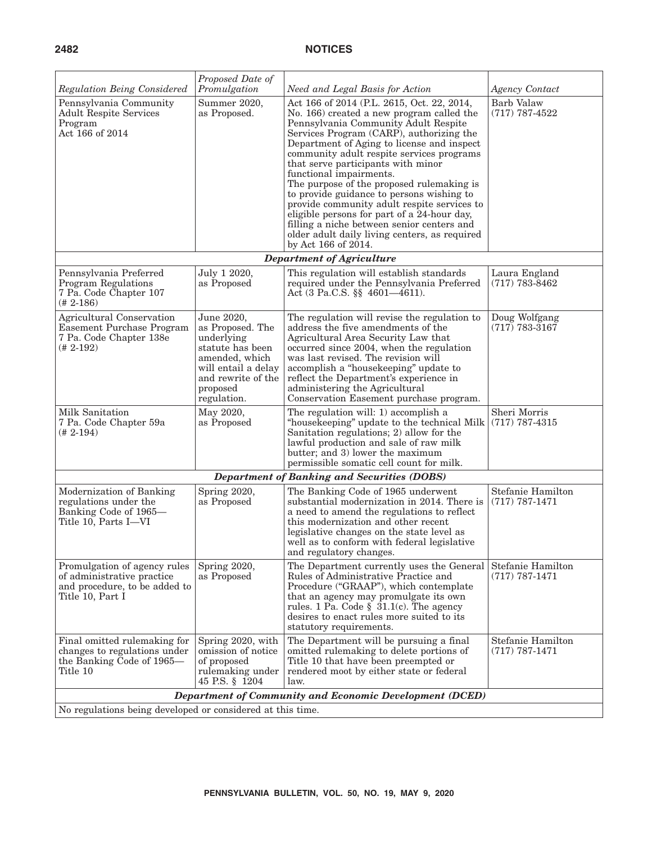# **2482 NOTICES**

| Regulation Being Considered                                                                                     | Proposed Date of<br>Promulgation                                                                                                                           | Need and Legal Basis for Action                                                                                                                                                                                                                                                                                                                                                                                                                                                                                                                                                                                                                       | <b>Agency Contact</b>                   |  |
|-----------------------------------------------------------------------------------------------------------------|------------------------------------------------------------------------------------------------------------------------------------------------------------|-------------------------------------------------------------------------------------------------------------------------------------------------------------------------------------------------------------------------------------------------------------------------------------------------------------------------------------------------------------------------------------------------------------------------------------------------------------------------------------------------------------------------------------------------------------------------------------------------------------------------------------------------------|-----------------------------------------|--|
| Pennsylvania Community<br><b>Adult Respite Services</b><br>Program<br>Act 166 of 2014                           | Summer 2020,<br>as Proposed.                                                                                                                               | Act 166 of 2014 (P.L. 2615, Oct. 22, 2014,<br>No. 166) created a new program called the<br>Pennsylvania Community Adult Respite<br>Services Program (CARP), authorizing the<br>Department of Aging to license and inspect<br>community adult respite services programs<br>that serve participants with minor<br>functional impairments.<br>The purpose of the proposed rulemaking is<br>to provide guidance to persons wishing to<br>provide community adult respite services to<br>eligible persons for part of a 24-hour day,<br>filling a niche between senior centers and<br>older adult daily living centers, as required<br>by Act 166 of 2014. | <b>Barb Valaw</b><br>$(717)$ 787-4522   |  |
|                                                                                                                 |                                                                                                                                                            | <b>Department of Agriculture</b>                                                                                                                                                                                                                                                                                                                                                                                                                                                                                                                                                                                                                      |                                         |  |
| Pennsylvania Preferred<br><b>Program Regulations</b><br>7 Pa. Code Chapter 107<br>$(# 2-186)$                   | July 1 2020,<br>as Proposed                                                                                                                                | This regulation will establish standards<br>required under the Pennsylvania Preferred<br>Act (3 Pa.C.S. §§ 4601-4611).                                                                                                                                                                                                                                                                                                                                                                                                                                                                                                                                | Laura England<br>$(717) 783 - 8462$     |  |
| <b>Agricultural Conservation</b><br><b>Easement Purchase Program</b><br>7 Pa. Code Chapter 138e<br>(# 2-192)    | June 2020,<br>as Proposed. The<br>underlying<br>statute has been<br>amended, which<br>will entail a delay<br>and rewrite of the<br>proposed<br>regulation. | The regulation will revise the regulation to<br>address the five amendments of the<br>Agricultural Area Security Law that<br>occurred since 2004, when the regulation<br>was last revised. The revision will<br>accomplish a "housekeeping" update to<br>reflect the Department's experience in<br>administering the Agricultural<br>Conservation Easement purchase program.                                                                                                                                                                                                                                                                          | Doug Wolfgang<br>$(717)$ 783-3167       |  |
| Milk Sanitation<br>7 Pa. Code Chapter 59a<br>$(# 2-194)$                                                        | May 2020,<br>as Proposed                                                                                                                                   | The regulation will: 1) accomplish a<br>"housekeeping" update to the technical Milk<br>Sanitation regulations; 2) allow for the<br>lawful production and sale of raw milk<br>butter; and 3) lower the maximum<br>permissible somatic cell count for milk.                                                                                                                                                                                                                                                                                                                                                                                             | Sheri Morris<br>$(717)$ 787-4315        |  |
|                                                                                                                 |                                                                                                                                                            | <b>Department of Banking and Securities (DOBS)</b>                                                                                                                                                                                                                                                                                                                                                                                                                                                                                                                                                                                                    |                                         |  |
| Modernization of Banking<br>regulations under the<br>Banking Code of 1965-<br>Title 10, Parts I—VI              | Spring 2020,<br>as Proposed                                                                                                                                | The Banking Code of 1965 underwent<br>substantial modernization in 2014. There is<br>a need to amend the regulations to reflect<br>this modernization and other recent<br>legislative changes on the state level as<br>well as to conform with federal legislative<br>and regulatory changes.                                                                                                                                                                                                                                                                                                                                                         | Stefanie Hamilton<br>$(717) 787 - 1471$ |  |
| Promulgation of agency rules<br>of administrative practice<br>and procedure, to be added to<br>Title 10, Part I | Spring 2020,<br>as Proposed                                                                                                                                | The Department currently uses the General<br>Rules of Administrative Practice and<br>Procedure ("GRAAP"), which contemplate<br>that an agency may promulgate its own<br>rules. 1 Pa. Code $\S$ 31.1(c). The agency<br>desires to enact rules more suited to its<br>statutory requirements.                                                                                                                                                                                                                                                                                                                                                            | Stefanie Hamilton<br>$(717) 787 - 1471$ |  |
| Final omitted rulemaking for<br>changes to regulations under<br>the Banking Code of 1965-<br>Title 10           | Spring 2020, with<br>omission of notice<br>of proposed<br>rulemaking under<br>45 P.S. § 1204                                                               | The Department will be pursuing a final<br>omitted rulemaking to delete portions of<br>Title 10 that have been preempted or<br>rendered moot by either state or federal<br>law.                                                                                                                                                                                                                                                                                                                                                                                                                                                                       | Stefanie Hamilton<br>$(717) 787 - 1471$ |  |
|                                                                                                                 |                                                                                                                                                            | Department of Community and Economic Development (DCED)                                                                                                                                                                                                                                                                                                                                                                                                                                                                                                                                                                                               |                                         |  |
| No regulations being developed or considered at this time.                                                      |                                                                                                                                                            |                                                                                                                                                                                                                                                                                                                                                                                                                                                                                                                                                                                                                                                       |                                         |  |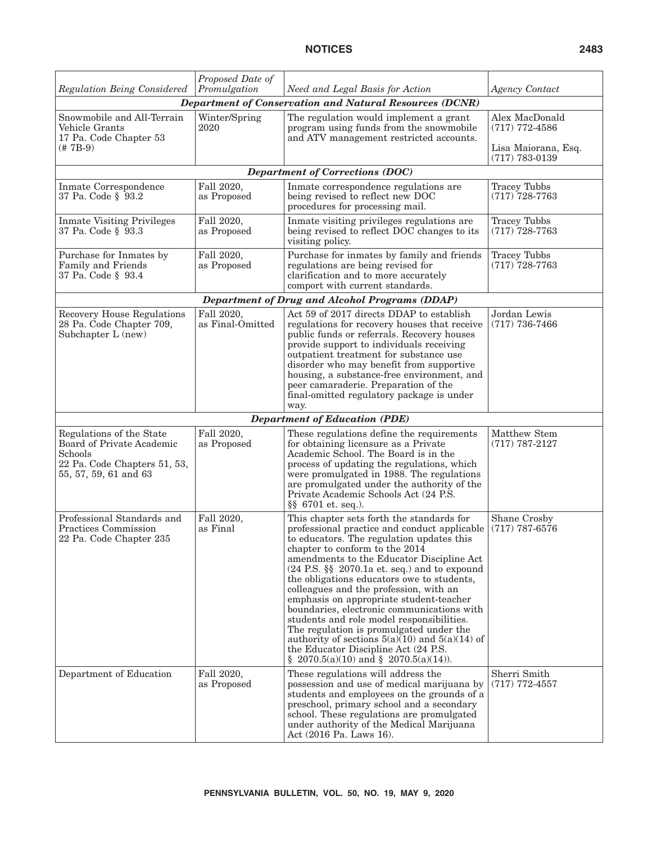| <b>Regulation Being Considered</b>                                                                                               | Proposed Date of<br>Promulgation | Need and Legal Basis for Action                                                                                                                                                                                                                                                                                                                                                                                                                                                                                                                                                                                                                                                                   | Agency Contact                                                                  |
|----------------------------------------------------------------------------------------------------------------------------------|----------------------------------|---------------------------------------------------------------------------------------------------------------------------------------------------------------------------------------------------------------------------------------------------------------------------------------------------------------------------------------------------------------------------------------------------------------------------------------------------------------------------------------------------------------------------------------------------------------------------------------------------------------------------------------------------------------------------------------------------|---------------------------------------------------------------------------------|
|                                                                                                                                  |                                  | Department of Conservation and Natural Resources (DCNR)                                                                                                                                                                                                                                                                                                                                                                                                                                                                                                                                                                                                                                           |                                                                                 |
| Snowmobile and All-Terrain<br>Vehicle Grants<br>17 Pa. Code Chapter 53<br>$($ # 7B-9)                                            | Winter/Spring<br>2020            | The regulation would implement a grant<br>program using funds from the snowmobile<br>and ATV management restricted accounts.                                                                                                                                                                                                                                                                                                                                                                                                                                                                                                                                                                      | Alex MacDonald<br>$(717)$ 772-4586<br>Lisa Maiorana, Esq.<br>$(717) 783 - 0139$ |
|                                                                                                                                  |                                  | <b>Department of Corrections (DOC)</b>                                                                                                                                                                                                                                                                                                                                                                                                                                                                                                                                                                                                                                                            |                                                                                 |
| Inmate Correspondence<br>37 Pa. Code § 93.2                                                                                      | Fall 2020,<br>as Proposed        | Inmate correspondence regulations are<br>being revised to reflect new DOC<br>procedures for processing mail.                                                                                                                                                                                                                                                                                                                                                                                                                                                                                                                                                                                      | <b>Tracey Tubbs</b><br>$(717)$ 728-7763                                         |
| <b>Inmate Visiting Privileges</b><br>37 Pa. Code § 93.3                                                                          | Fall 2020,<br>as Proposed        | Inmate visiting privileges regulations are<br>being revised to reflect DOC changes to its<br>visiting policy.                                                                                                                                                                                                                                                                                                                                                                                                                                                                                                                                                                                     | <b>Tracey Tubbs</b><br>$(717)$ 728-7763                                         |
| Purchase for Inmates by<br>Family and Friends<br>37 Pa. Code § 93.4                                                              | Fall 2020,<br>as Proposed        | Purchase for inmates by family and friends<br>regulations are being revised for<br>clarification and to more accurately<br>comport with current standards.                                                                                                                                                                                                                                                                                                                                                                                                                                                                                                                                        | <b>Tracey Tubbs</b><br>$(717)$ 728-7763                                         |
|                                                                                                                                  |                                  | <b>Department of Drug and Alcohol Programs (DDAP)</b>                                                                                                                                                                                                                                                                                                                                                                                                                                                                                                                                                                                                                                             |                                                                                 |
| <b>Recovery House Regulations</b><br>28 Pa. Code Chapter 709,<br>Subchapter L (new)                                              | Fall 2020,<br>as Final-Omitted   | Act 59 of 2017 directs DDAP to establish<br>regulations for recovery houses that receive<br>public funds or referrals. Recovery houses<br>provide support to individuals receiving<br>outpatient treatment for substance use<br>disorder who may benefit from supportive<br>housing, a substance-free environment, and<br>peer camaraderie. Preparation of the<br>final-omitted regulatory package is under<br>way.                                                                                                                                                                                                                                                                               | Jordan Lewis<br>$(717)$ 736-7466                                                |
|                                                                                                                                  |                                  | <b>Department of Education (PDE)</b>                                                                                                                                                                                                                                                                                                                                                                                                                                                                                                                                                                                                                                                              |                                                                                 |
| Regulations of the State<br><b>Board of Private Academic</b><br>Schools<br>22 Pa. Code Chapters 51, 53,<br>55, 57, 59, 61 and 63 | Fall 2020,<br>as Proposed        | These regulations define the requirements<br>for obtaining licensure as a Private<br>Academic School. The Board is in the<br>process of updating the regulations, which<br>were promulgated in 1988. The regulations<br>are promulgated under the authority of the<br>Private Academic Schools Act (24 P.S.<br>$\S$ 6701 et. seq.).                                                                                                                                                                                                                                                                                                                                                               | Matthew Stem<br>$(717)$ 787-2127                                                |
| Professional Standards and<br>Practices Commission<br>22 Pa. Code Chapter 235                                                    | Fall 2020,<br>as Final           | This chapter sets forth the standards for<br>professional practice and conduct applicable<br>to educators. The regulation updates this<br>chapter to conform to the 2014<br>amendments to the Educator Discipline Act<br>$(24 \text{ P.S. }$ §§ 2070.1a et. seq.) and to expound<br>the obligations educators owe to students,<br>colleagues and the profession, with an<br>emphasis on appropriate student-teacher<br>boundaries, electronic communications with<br>students and role model responsibilities.<br>The regulation is promulgated under the<br>authority of sections $5(a)(10)$ and $5(a)(14)$ of<br>the Educator Discipline Act (24 P.S.)<br>§ 2070.5(a)(10) and § 2070.5(a)(14)). | Shane Crosby<br>$(717)$ 787-6576                                                |
| Department of Education                                                                                                          | Fall 2020,<br>as Proposed        | These regulations will address the<br>possession and use of medical marijuana by<br>students and employees on the grounds of a<br>preschool, primary school and a secondary<br>school. These regulations are promulgated<br>under authority of the Medical Marijuana<br>Act (2016 Pa. Laws 16).                                                                                                                                                                                                                                                                                                                                                                                                   | Sherri Smith<br>$(717)$ 772-4557                                                |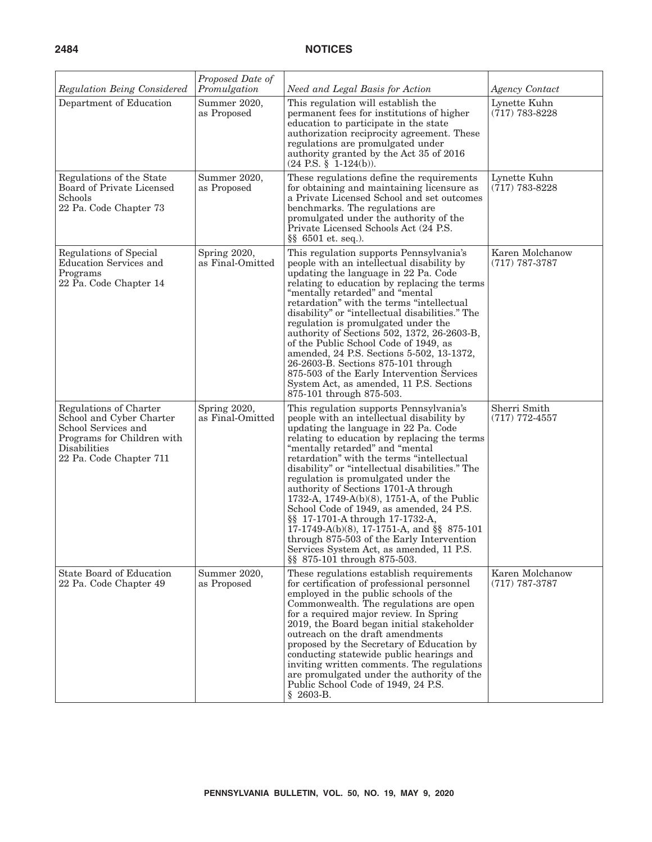|                                                                                                                                                    | Proposed Date of                 |                                                                                                                                                                                                                                                                                                                                                                                                                                                                                                                                                                                                                                                                                                    |                                     |
|----------------------------------------------------------------------------------------------------------------------------------------------------|----------------------------------|----------------------------------------------------------------------------------------------------------------------------------------------------------------------------------------------------------------------------------------------------------------------------------------------------------------------------------------------------------------------------------------------------------------------------------------------------------------------------------------------------------------------------------------------------------------------------------------------------------------------------------------------------------------------------------------------------|-------------------------------------|
| Regulation Being Considered                                                                                                                        | Promulgation                     | Need and Legal Basis for Action                                                                                                                                                                                                                                                                                                                                                                                                                                                                                                                                                                                                                                                                    | <b>Agency Contact</b>               |
| Department of Education                                                                                                                            | Summer 2020,<br>as Proposed      | This regulation will establish the<br>permanent fees for institutions of higher<br>education to participate in the state<br>authorization reciprocity agreement. These<br>regulations are promulgated under<br>authority granted by the Act 35 of 2016<br>$(24$ P.S. § 1-124(b)).                                                                                                                                                                                                                                                                                                                                                                                                                  | Lynette Kuhn<br>$(717) 783 - 8228$  |
| Regulations of the State<br>Board of Private Licensed<br>Schools<br>22 Pa. Code Chapter 73                                                         | Summer 2020,<br>as Proposed      | These regulations define the requirements<br>for obtaining and maintaining licensure as<br>a Private Licensed School and set outcomes<br>benchmarks. The regulations are<br>promulgated under the authority of the<br>Private Licensed Schools Act (24 P.S.<br>$\S$ 6501 et. seq.).                                                                                                                                                                                                                                                                                                                                                                                                                | Lynette Kuhn<br>$(717) 783 - 8228$  |
| Regulations of Special<br><b>Education Services and</b><br>Programs<br>22 Pa. Code Chapter 14                                                      | Spring 2020,<br>as Final-Omitted | This regulation supports Pennsylvania's<br>people with an intellectual disability by<br>updating the language in 22 Pa. Code<br>relating to education by replacing the terms<br>"mentally retarded" and "mental<br>retardation" with the terms "intellectual<br>disability" or "intellectual disabilities." The<br>regulation is promulgated under the<br>authority of Sections 502, 1372, 26-2603-B,<br>of the Public School Code of 1949, as<br>amended, 24 P.S. Sections 5-502, 13-1372,<br>26-2603-B. Sections 875-101 through<br>875-503 of the Early Intervention Services<br>System Act, as amended, 11 P.S. Sections<br>875-101 through 875-503.                                           | Karen Molchanow<br>$(717)$ 787-3787 |
| Regulations of Charter<br>School and Cyber Charter<br>School Services and<br>Programs for Children with<br>Disabilities<br>22 Pa. Code Chapter 711 | Spring 2020,<br>as Final-Omitted | This regulation supports Pennsylvania's<br>people with an intellectual disability by<br>updating the language in 22 Pa. Code<br>relating to education by replacing the terms<br>"mentally retarded" and "mental<br>retardation" with the terms "intellectual<br>disability" or "intellectual disabilities." The<br>regulation is promulgated under the<br>authority of Sections 1701-A through<br>1732-A, 1749-A(b)(8), 1751-A, of the Public<br>School Code of 1949, as amended, 24 P.S.<br>§§ 17-1701-A through 17-1732-A,<br>17-1749-A(b)(8), 17-1751-A, and §§ 875-101<br>through 875-503 of the Early Intervention<br>Services System Act, as amended, 11 P.S.<br>§§ 875-101 through 875-503. | Sherri Smith<br>$(717)$ 772-4557    |
| <b>State Board of Education</b><br>22 Pa. Code Chapter 49                                                                                          | Summer 2020,<br>as Proposed      | These regulations establish requirements<br>for certification of professional personnel<br>employed in the public schools of the<br>Commonwealth. The regulations are open<br>for a required major review. In Spring<br>2019, the Board began initial stakeholder<br>outreach on the draft amendments<br>proposed by the Secretary of Education by<br>conducting statewide public hearings and<br>inviting written comments. The regulations<br>are promulgated under the authority of the<br>Public School Code of 1949, 24 P.S.<br>$$2603-B.$                                                                                                                                                    | Karen Molchanow<br>$(717)$ 787-3787 |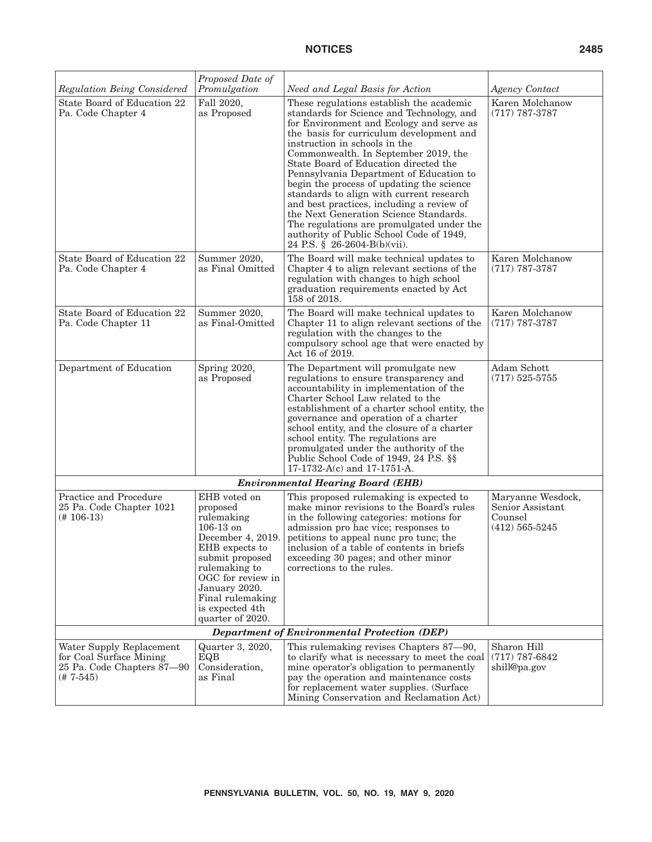# **NOTICES 2485**

| Regulation Being Considered                                                                      | Proposed Date of<br>Promulgation                                                                                                                                                                                                  | Need and Legal Basis for Action                                                                                                                                                                                                                                                                                                                                                                                                                                                                                                                                                                                                                     | Agency Contact                                                         |  |  |  |
|--------------------------------------------------------------------------------------------------|-----------------------------------------------------------------------------------------------------------------------------------------------------------------------------------------------------------------------------------|-----------------------------------------------------------------------------------------------------------------------------------------------------------------------------------------------------------------------------------------------------------------------------------------------------------------------------------------------------------------------------------------------------------------------------------------------------------------------------------------------------------------------------------------------------------------------------------------------------------------------------------------------------|------------------------------------------------------------------------|--|--|--|
| State Board of Education 22<br>Pa. Code Chapter 4                                                | Fall 2020,<br>as Proposed                                                                                                                                                                                                         | These regulations establish the academic<br>standards for Science and Technology, and<br>for Environment and Ecology and serve as<br>the basis for curriculum development and<br>instruction in schools in the<br>Commonwealth. In September 2019, the<br>State Board of Education directed the<br>Pennsylvania Department of Education to<br>begin the process of updating the science<br>standards to align with current research<br>and best practices, including a review of<br>the Next Generation Science Standards.<br>The regulations are promulgated under the<br>authority of Public School Code of 1949,<br>24 P.S. § 26-2604-B(b)(vii). | Karen Molchanow<br>$(717)$ 787-3787                                    |  |  |  |
| State Board of Education 22<br>Pa. Code Chapter 4                                                | Summer 2020,<br>as Final Omitted                                                                                                                                                                                                  | The Board will make technical updates to<br>Chapter 4 to align relevant sections of the<br>regulation with changes to high school<br>graduation requirements enacted by Act<br>158 of 2018.                                                                                                                                                                                                                                                                                                                                                                                                                                                         | Karen Molchanow<br>$(717)$ 787-3787                                    |  |  |  |
| State Board of Education 22<br>Pa. Code Chapter 11                                               | Summer 2020,<br>as Final-Omitted                                                                                                                                                                                                  | The Board will make technical updates to<br>Chapter 11 to align relevant sections of the<br>regulation with the changes to the<br>compulsory school age that were enacted by<br>Act 16 of 2019.                                                                                                                                                                                                                                                                                                                                                                                                                                                     | Karen Molchanow<br>$(717)$ 787-3787                                    |  |  |  |
| Department of Education                                                                          | Spring 2020,<br>as Proposed                                                                                                                                                                                                       | The Department will promulgate new<br>regulations to ensure transparency and<br>accountability in implementation of the<br>Charter School Law related to the<br>establishment of a charter school entity, the<br>governance and operation of a charter<br>school entity, and the closure of a charter<br>school entity. The regulations are<br>promulgated under the authority of the<br>Public School Code of 1949, 24 P.S. §§<br>17-1732-A(c) and 17-1751-A.                                                                                                                                                                                      | Adam Schott<br>$(717) 525 - 5755$                                      |  |  |  |
|                                                                                                  |                                                                                                                                                                                                                                   | <b>Environmental Hearing Board (EHB)</b>                                                                                                                                                                                                                                                                                                                                                                                                                                                                                                                                                                                                            |                                                                        |  |  |  |
| Practice and Procedure<br>25 Pa. Code Chapter 1021<br>(# 106-13)                                 | EHB voted on<br>proposed<br>rulemaking<br>$106-13$ on<br>December 4, 2019.<br>EHB expects to<br>submit proposed<br>rulemaking to<br>OGC for review in<br>January 2020.<br>Final rulemaking<br>is expected 4th<br>quarter of 2020. | This proposed rulemaking is expected to<br>make minor revisions to the Board's rules<br>in the following categories: motions for<br>admission pro hac vice; responses to<br>petitions to appeal nunc pro tunc; the<br>inclusion of a table of contents in briefs<br>exceeding 30 pages; and other minor<br>corrections to the rules.                                                                                                                                                                                                                                                                                                                | Maryanne Wesdock,<br>Senior Assistant<br>Counsel<br>$(412) 565 - 5245$ |  |  |  |
| <b>Department of Environmental Protection (DEP)</b>                                              |                                                                                                                                                                                                                                   |                                                                                                                                                                                                                                                                                                                                                                                                                                                                                                                                                                                                                                                     |                                                                        |  |  |  |
| Water Supply Replacement<br>for Coal Surface Mining<br>25 Pa. Code Chapters 87-90<br>$(# 7-545)$ | Quarter 3, 2020,<br>EQB<br>Consideration,<br>as Final                                                                                                                                                                             | This rulemaking revises Chapters 87-90,<br>to clarify what is necessary to meet the coal<br>mine operator's obligation to permanently<br>pay the operation and maintenance costs<br>for replacement water supplies. (Surface<br>Mining Conservation and Reclamation Act)                                                                                                                                                                                                                                                                                                                                                                            | Sharon Hill<br>$(717)$ 787-6842<br>shill@pa.gov                        |  |  |  |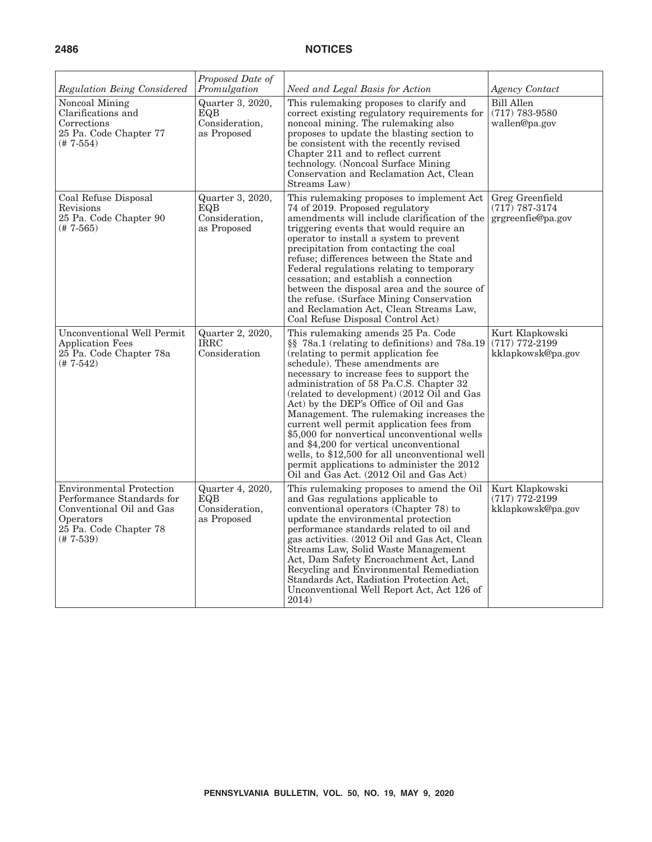| Regulation Being Considered                                                                                                                    | Proposed Date of<br>Promulgation                         | Need and Legal Basis for Action                                                                                                                                                                                                                                                                                                                                                                                                                                                                                                                                                                                                                                               | <b>Agency Contact</b>                                    |
|------------------------------------------------------------------------------------------------------------------------------------------------|----------------------------------------------------------|-------------------------------------------------------------------------------------------------------------------------------------------------------------------------------------------------------------------------------------------------------------------------------------------------------------------------------------------------------------------------------------------------------------------------------------------------------------------------------------------------------------------------------------------------------------------------------------------------------------------------------------------------------------------------------|----------------------------------------------------------|
| Noncoal Mining<br>Clarifications and<br>Corrections<br>25 Pa. Code Chapter 77<br>(# 7-554)                                                     | Quarter 3, 2020,<br>EQB<br>Consideration,<br>as Proposed | This rulemaking proposes to clarify and<br>correct existing regulatory requirements for<br>noncoal mining. The rulemaking also<br>proposes to update the blasting section to<br>be consistent with the recently revised<br>Chapter 211 and to reflect current<br>technology. (Noncoal Surface Mining<br>Conservation and Reclamation Act, Clean<br>Streams Law)                                                                                                                                                                                                                                                                                                               | <b>Bill Allen</b><br>$(717)$ 783-9580<br>wallen@pa.gov   |
| Coal Refuse Disposal<br>Revisions<br>25 Pa. Code Chapter 90<br>$(# 7-565)$                                                                     | Quarter 3, 2020,<br>EQB<br>Consideration,<br>as Proposed | This rulemaking proposes to implement Act<br>74 of 2019. Proposed regulatory<br>amendments will include clarification of the<br>triggering events that would require an<br>operator to install a system to prevent<br>precipitation from contacting the coal<br>refuse; differences between the State and<br>Federal regulations relating to temporary<br>cessation; and establish a connection<br>between the disposal area and the source of<br>the refuse. (Surface Mining Conservation<br>and Reclamation Act, Clean Streams Law,<br>Coal Refuse Disposal Control Act)                                                                                                    | Greg Greenfield<br>$(717)$ 787-3174<br>grgreenfie@pa.gov |
| <b>Unconventional Well Permit</b><br><b>Application Fees</b><br>25 Pa. Code Chapter 78a<br>$(+7-542)$                                          | Quarter 2, 2020,<br><b>IRRC</b><br>Consideration         | This rulemaking amends 25 Pa. Code<br>§§ 78a.1 (relating to definitions) and 78a.19<br>(relating to permit application fee<br>schedule). These amendments are<br>necessary to increase fees to support the<br>administration of 58 Pa.C.S. Chapter 32<br>(related to development) (2012 Oil and Gas<br>Act) by the DEP's Office of Oil and Gas<br>Management. The rulemaking increases the<br>current well permit application fees from<br>\$5,000 for nonvertical unconventional wells<br>and \$4,200 for vertical unconventional<br>wells, to \$12,500 for all unconventional well<br>permit applications to administer the 2012<br>Oil and Gas Act. (2012 Oil and Gas Act) | Kurt Klapkowski<br>$(717)$ 772-2199<br>kklapkowsk@pa.gov |
| <b>Environmental Protection</b><br>Performance Standards for<br>Conventional Oil and Gas<br>Operators<br>25 Pa. Code Chapter 78<br>$(# 7-539)$ | Quarter 4, 2020,<br>EQB<br>Consideration,<br>as Proposed | This rulemaking proposes to amend the Oil<br>and Gas regulations applicable to<br>conventional operators (Chapter 78) to<br>update the environmental protection<br>performance standards related to oil and<br>gas activities. (2012 Oil and Gas Act, Clean<br>Streams Law, Solid Waste Management<br>Act, Dam Safety Encroachment Act, Land<br>Recycling and Environmental Remediation<br>Standards Act, Radiation Protection Act,<br>Unconventional Well Report Act, Act 126 of<br>2014)                                                                                                                                                                                    | Kurt Klapkowski<br>$(717)$ 772-2199<br>kklapkowsk@pa.gov |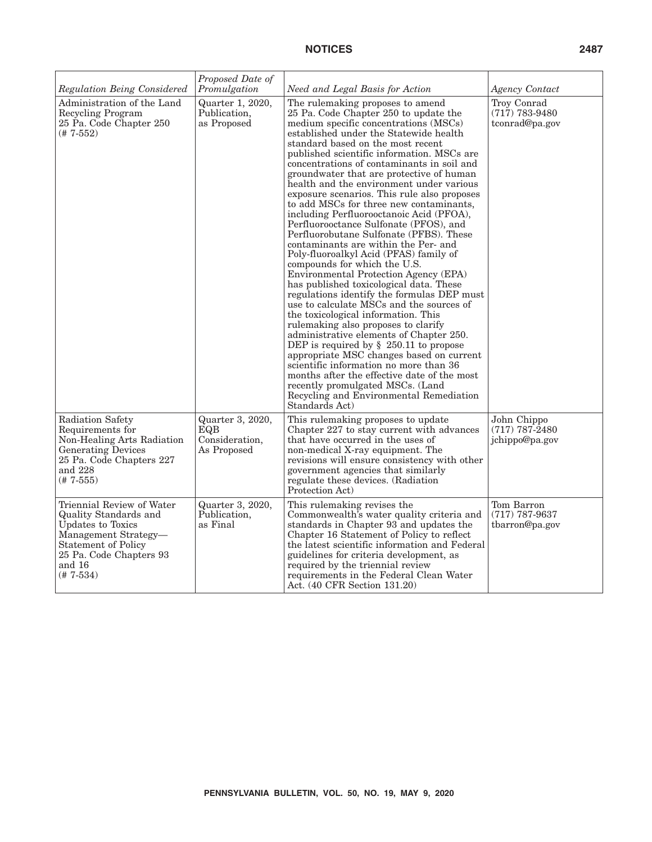| Regulation Being Considered                                                                                                                                                       | Proposed Date of<br>Promulgation                         | Need and Legal Basis for Action                                                                                                                                                                                                                                                                                                                                                                                                                                                                                                                                                                                                                                                                                                                                                                                                                                                                                                                                                                                                                                                                                                                                                                                                                                                                                              | <b>Agency Contact</b>                               |
|-----------------------------------------------------------------------------------------------------------------------------------------------------------------------------------|----------------------------------------------------------|------------------------------------------------------------------------------------------------------------------------------------------------------------------------------------------------------------------------------------------------------------------------------------------------------------------------------------------------------------------------------------------------------------------------------------------------------------------------------------------------------------------------------------------------------------------------------------------------------------------------------------------------------------------------------------------------------------------------------------------------------------------------------------------------------------------------------------------------------------------------------------------------------------------------------------------------------------------------------------------------------------------------------------------------------------------------------------------------------------------------------------------------------------------------------------------------------------------------------------------------------------------------------------------------------------------------------|-----------------------------------------------------|
| Administration of the Land<br><b>Recycling Program</b><br>25 Pa. Code Chapter 250<br>$(# 7-552)$                                                                                  | Quarter 1, 2020,<br>Publication,<br>as Proposed          | The rulemaking proposes to amend<br>25 Pa. Code Chapter 250 to update the<br>medium specific concentrations (MSCs)<br>established under the Statewide health<br>standard based on the most recent<br>published scientific information. MSCs are<br>concentrations of contaminants in soil and<br>groundwater that are protective of human<br>health and the environment under various<br>exposure scenarios. This rule also proposes<br>to add MSCs for three new contaminants,<br>including Perfluorooctanoic Acid (PFOA),<br>Perfluorooctance Sulfonate (PFOS), and<br>Perfluorobutane Sulfonate (PFBS). These<br>contaminants are within the Per- and<br>Poly-fluoroalkyl Acid (PFAS) family of<br>compounds for which the U.S.<br>Environmental Protection Agency (EPA)<br>has published toxicological data. These<br>regulations identify the formulas DEP must<br>use to calculate MSCs and the sources of<br>the toxicological information. This<br>rulemaking also proposes to clarify<br>administrative elements of Chapter 250.<br>DEP is required by $\S$ 250.11 to propose<br>appropriate MSC changes based on current<br>scientific information no more than 36<br>months after the effective date of the most<br>recently promulgated MSCs. (Land<br>Recycling and Environmental Remediation<br>Standards Act) | Troy Conrad<br>$(717)$ 783-9480<br>tconrad@pa.gov   |
| Radiation Safety<br>Requirements for<br>Non-Healing Arts Radiation<br><b>Generating Devices</b><br>25 Pa. Code Chapters 227<br>and 228<br>$(# 7 - 555)$                           | Quarter 3, 2020,<br>EQB<br>Consideration,<br>As Proposed | This rulemaking proposes to update<br>Chapter 227 to stay current with advances<br>that have occurred in the uses of<br>non-medical X-ray equipment. The<br>revisions will ensure consistency with other<br>government agencies that similarly<br>regulate these devices. (Radiation<br>Protection Act)                                                                                                                                                                                                                                                                                                                                                                                                                                                                                                                                                                                                                                                                                                                                                                                                                                                                                                                                                                                                                      | John Chippo<br>$(717) 787 - 2480$<br>jchippo@pa.gov |
| Triennial Review of Water<br>Quality Standards and<br>Updates to Toxics<br>Management Strategy-<br><b>Statement of Policy</b><br>25 Pa. Code Chapters 93<br>and 16<br>$(# 7-534)$ | Quarter 3, 2020,<br>Publication,<br>as Final             | This rulemaking revises the<br>Commonwealth's water quality criteria and<br>standards in Chapter 93 and updates the<br>Chapter 16 Statement of Policy to reflect<br>the latest scientific information and Federal<br>guidelines for criteria development, as<br>required by the triennial review<br>requirements in the Federal Clean Water<br>Act. (40 CFR Section 131.20)                                                                                                                                                                                                                                                                                                                                                                                                                                                                                                                                                                                                                                                                                                                                                                                                                                                                                                                                                  | Tom Barron<br>$(717)$ 787-9637<br>tbarron@pa.gov    |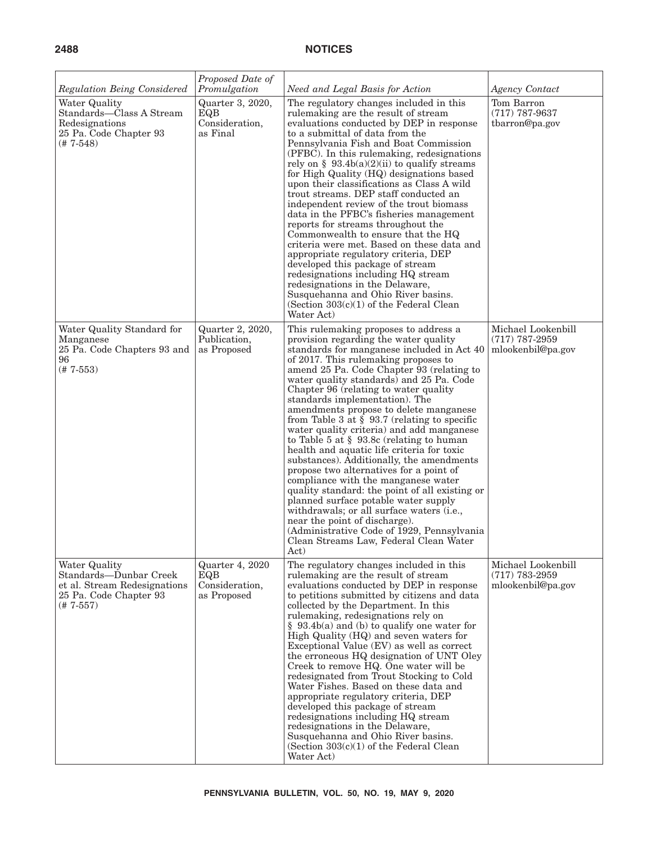| Regulation Being Considered                                                                                      | Proposed Date of<br>Promulgation                        | Need and Legal Basis for Action                                                                                                                                                                                                                                                                                                                                                                                                                                                                                                                                                                                                                                                                                                                                                                                                                                                                                                                                                        | <b>Agency Contact</b>                                       |
|------------------------------------------------------------------------------------------------------------------|---------------------------------------------------------|----------------------------------------------------------------------------------------------------------------------------------------------------------------------------------------------------------------------------------------------------------------------------------------------------------------------------------------------------------------------------------------------------------------------------------------------------------------------------------------------------------------------------------------------------------------------------------------------------------------------------------------------------------------------------------------------------------------------------------------------------------------------------------------------------------------------------------------------------------------------------------------------------------------------------------------------------------------------------------------|-------------------------------------------------------------|
| Water Quality<br>Standards-Class A Stream<br>Redesignations<br>25 Pa. Code Chapter 93<br>$(# 7-548)$             | Quarter 3, 2020,<br>EQB<br>Consideration,<br>as Final   | The regulatory changes included in this<br>rule making are the result of stream<br>evaluations conducted by DEP in response<br>to a submittal of data from the<br>Pennsylvania Fish and Boat Commission<br>(PFBC). In this rulemaking, redesignations<br>rely on § 93.4b(a)(2)(ii) to qualify streams<br>for High Quality (HQ) designations based<br>upon their classifications as Class A wild<br>trout streams. DEP staff conducted an<br>independent review of the trout biomass<br>data in the PFBC's fisheries management<br>reports for streams throughout the<br>Commonwealth to ensure that the HQ<br>criteria were met. Based on these data and<br>appropriate regulatory criteria, DEP<br>developed this package of stream<br>redesignations including HQ stream<br>redesignations in the Delaware,<br>Susquehanna and Ohio River basins.<br>(Section $303(c)(1)$ of the Federal Clean<br>Water Act)                                                                         | Tom Barron<br>$(717)$ 787-9637<br>tbarron@pa.gov            |
| Water Quality Standard for<br>Manganese<br>25 Pa. Code Chapters 93 and<br>96<br>$(# 7-553)$                      | Quarter 2, 2020,<br>Publication.<br>as Proposed         | This rulemaking proposes to address a<br>provision regarding the water quality<br>standards for manganese included in Act 40<br>of 2017. This rulemaking proposes to<br>amend 25 Pa. Code Chapter 93 (relating to<br>water quality standards) and 25 Pa. Code<br>Chapter 96 (relating to water quality<br>standards implementation). The<br>amendments propose to delete manganese<br>from Table 3 at $\S$ 93.7 (relating to specific<br>water quality criteria) and add manganese<br>to Table 5 at $\S$ 93.8c (relating to human<br>health and aquatic life criteria for toxic<br>substances). Additionally, the amendments<br>propose two alternatives for a point of<br>compliance with the manganese water<br>quality standard: the point of all existing or<br>planned surface potable water supply<br>withdrawals; or all surface waters (i.e.,<br>near the point of discharge).<br>(Administrative Code of 1929, Pennsylvania<br>Clean Streams Law, Federal Clean Water<br>Act) | Michael Lookenbill<br>$(717)$ 787-2959<br>mlookenbil@pa.gov |
| Water Quality<br>Standards-Dunbar Creek<br>et al. Stream Redesignations<br>25 Pa. Code Chapter 93<br>$(# 7-557)$ | Quarter 4, 2020<br>EQB<br>Consideration,<br>as Proposed | The regulatory changes included in this<br>rulemaking are the result of stream<br>evaluations conducted by DEP in response<br>to petitions submitted by citizens and data<br>collected by the Department. In this<br>rulemaking, redesignations rely on<br>$§$ 93.4b(a) and (b) to qualify one water for<br>High Quality (HQ) and seven waters for<br>Exceptional Value (EV) as well as correct<br>the erroneous HQ designation of UNT Oley<br>Creek to remove HQ. One water will be<br>redesignated from Trout Stocking to Cold<br>Water Fishes. Based on these data and<br>appropriate regulatory criteria, DEP<br>developed this package of stream<br>redesignations including HQ stream<br>redesignations in the Delaware,<br>Susquehanna and Ohio River basins.<br>(Section $303(c)(1)$ of the Federal Clean<br>Water Act)                                                                                                                                                        | Michael Lookenbill<br>$(717)$ 783-2959<br>mlookenbil@pa.gov |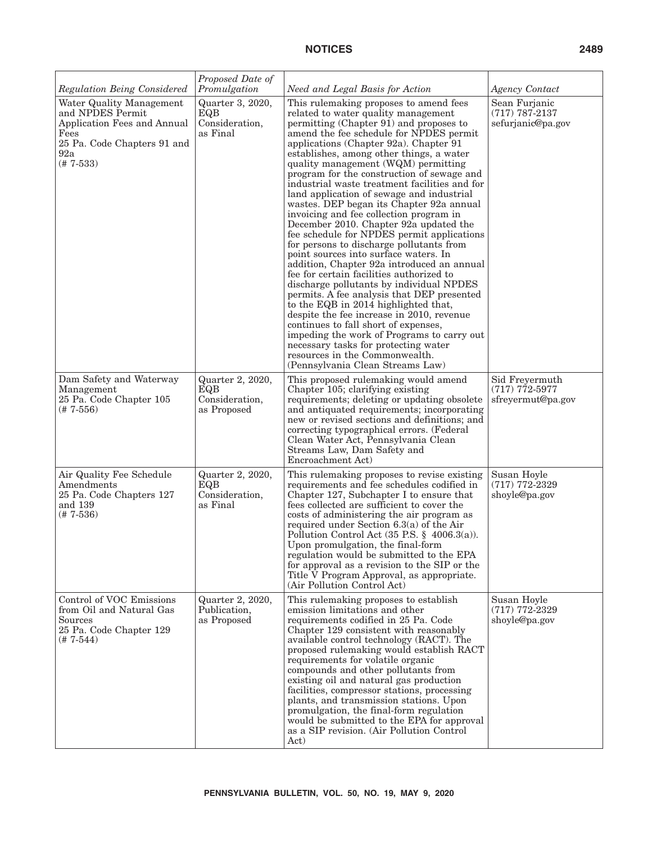| Regulation Being Considered                                                                                                              | Proposed Date of<br>Promulgation                         | Need and Legal Basis for Action                                                                                                                                                                                                                                                                                                                                                                                                                                                                                                                                                                                                                                                                                                                                                                                                                                                                                                                                                                                                                                                                                                                                                               | Agency Contact                                           |
|------------------------------------------------------------------------------------------------------------------------------------------|----------------------------------------------------------|-----------------------------------------------------------------------------------------------------------------------------------------------------------------------------------------------------------------------------------------------------------------------------------------------------------------------------------------------------------------------------------------------------------------------------------------------------------------------------------------------------------------------------------------------------------------------------------------------------------------------------------------------------------------------------------------------------------------------------------------------------------------------------------------------------------------------------------------------------------------------------------------------------------------------------------------------------------------------------------------------------------------------------------------------------------------------------------------------------------------------------------------------------------------------------------------------|----------------------------------------------------------|
| Water Quality Management<br>and NPDES Permit<br>Application Fees and Annual<br>Fees<br>25 Pa. Code Chapters 91 and<br>92a<br>$(# 7-533)$ | Quarter 3, 2020,<br>EQB<br>Consideration,<br>as Final    | This rulemaking proposes to amend fees<br>related to water quality management<br>permitting (Chapter 91) and proposes to<br>amend the fee schedule for NPDES permit<br>applications (Chapter 92a). Chapter 91<br>establishes, among other things, a water<br>quality management (WQM) permitting<br>program for the construction of sewage and<br>industrial waste treatment facilities and for<br>land application of sewage and industrial<br>wastes. DEP began its Chapter 92a annual<br>invoicing and fee collection program in<br>December 2010. Chapter 92a updated the<br>fee schedule for NPDES permit applications<br>for persons to discharge pollutants from<br>point sources into surface waters. In<br>addition, Chapter 92a introduced an annual<br>fee for certain facilities authorized to<br>discharge pollutants by individual NPDES<br>permits. A fee analysis that DEP presented<br>to the EQB in 2014 highlighted that,<br>despite the fee increase in 2010, revenue<br>continues to fall short of expenses,<br>impeding the work of Programs to carry out<br>necessary tasks for protecting water<br>resources in the Commonwealth.<br>(Pennsylvania Clean Streams Law) | Sean Furjanic<br>$(717) 787 - 2137$<br>sefurjanic@pa.gov |
| Dam Safety and Waterway<br>Management<br>25 Pa. Code Chapter 105<br>$(# 7-556)$                                                          | Quarter 2, 2020,<br>EQB<br>Consideration,<br>as Proposed | This proposed rulemaking would amend<br>Chapter 105; clarifying existing<br>requirements; deleting or updating obsolete<br>and antiquated requirements; incorporating<br>new or revised sections and definitions; and<br>correcting typographical errors. (Federal<br>Clean Water Act, Pennsylvania Clean<br>Streams Law, Dam Safety and<br>Encroachment Act)                                                                                                                                                                                                                                                                                                                                                                                                                                                                                                                                                                                                                                                                                                                                                                                                                                 | Sid Freyermuth<br>$(717)$ 772-5977<br>sfreyermut@pa.gov  |
| Air Quality Fee Schedule<br>Amendments<br>25 Pa. Code Chapters 127<br>and 139<br>$(# 7-536)$                                             | Quarter 2, 2020,<br>EQB<br>Consideration,<br>as Final    | This rulemaking proposes to revise existing<br>requirements and fee schedules codified in<br>Chapter 127, Subchapter I to ensure that<br>fees collected are sufficient to cover the<br>costs of administering the air program as<br>required under Section $6.3(a)$ of the Air<br>Pollution Control Act $(35 \text{ P.S.} \$ 4006.3(a))$ .<br>Upon promulgation, the final-form<br>regulation would be submitted to the EPA<br>for approval as a revision to the SIP or the<br>Title V Program Approval, as appropriate.<br>(Air Pollution Control Act)                                                                                                                                                                                                                                                                                                                                                                                                                                                                                                                                                                                                                                       | Susan Hoyle<br>$(717)$ 772-2329<br>shoyle@pa.gov         |
| Control of VOC Emissions<br>from Oil and Natural Gas<br>Sources<br>25 Pa. Code Chapter 129<br>(# 7-544)                                  | Quarter 2, 2020,<br>Publication,<br>as Proposed          | This rulemaking proposes to establish<br>emission limitations and other<br>requirements codified in 25 Pa. Code<br>Chapter 129 consistent with reasonably<br>available control technology (RACT). The<br>proposed rulemaking would establish RACT<br>requirements for volatile organic<br>compounds and other pollutants from<br>existing oil and natural gas production<br>facilities, compressor stations, processing<br>plants, and transmission stations. Upon<br>promulgation, the final-form regulation<br>would be submitted to the EPA for approval<br>as a SIP revision. (Air Pollution Control)<br>Act)                                                                                                                                                                                                                                                                                                                                                                                                                                                                                                                                                                             | Susan Hoyle<br>$(717)$ 772-2329<br>shoyle@pa.gov         |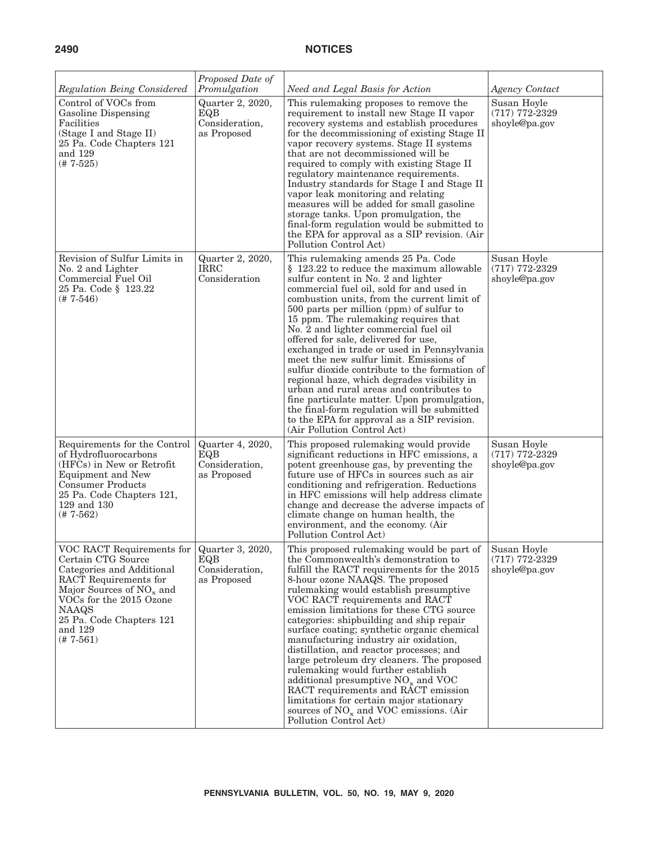| Regulation Being Considered                                                                                                                                                                                                             | Proposed Date of<br>Promulgation                         | Need and Legal Basis for Action                                                                                                                                                                                                                                                                                                                                                                                                                                                                                                                                                                                                                                                                                                                                                                        | <b>Agency Contact</b>                            |
|-----------------------------------------------------------------------------------------------------------------------------------------------------------------------------------------------------------------------------------------|----------------------------------------------------------|--------------------------------------------------------------------------------------------------------------------------------------------------------------------------------------------------------------------------------------------------------------------------------------------------------------------------------------------------------------------------------------------------------------------------------------------------------------------------------------------------------------------------------------------------------------------------------------------------------------------------------------------------------------------------------------------------------------------------------------------------------------------------------------------------------|--------------------------------------------------|
| Control of VOCs from<br>Gasoline Dispensing<br>Facilities<br>(Stage I and Stage II)<br>25 Pa. Code Chapters 121<br>and 129<br>$(# 7-525)$                                                                                               | Quarter 2, 2020,<br>EQB<br>Consideration,<br>as Proposed | This rulemaking proposes to remove the<br>requirement to install new Stage II vapor<br>recovery systems and establish procedures<br>for the decommissioning of existing Stage II<br>vapor recovery systems. Stage II systems<br>that are not decommissioned will be<br>required to comply with existing Stage II<br>regulatory maintenance requirements.<br>Industry standards for Stage I and Stage II<br>vapor leak monitoring and relating<br>measures will be added for small gasoline<br>storage tanks. Upon promulgation, the<br>final-form regulation would be submitted to<br>the EPA for approval as a SIP revision. (Air<br>Pollution Control Act)                                                                                                                                           | Susan Hoyle<br>$(717)$ 772-2329<br>shoyle@pa.gov |
| Revision of Sulfur Limits in<br>No. 2 and Lighter<br>Commercial Fuel Oil<br>25 Pa. Code § 123.22<br>$(# 7-546)$                                                                                                                         | Quarter 2, 2020,<br><b>IRRC</b><br>Consideration         | This rulemaking amends 25 Pa. Code<br>§ 123.22 to reduce the maximum allowable<br>sulfur content in No. 2 and lighter<br>commercial fuel oil, sold for and used in<br>combustion units, from the current limit of<br>500 parts per million (ppm) of sulfur to<br>15 ppm. The rulemaking requires that<br>No. 2 and lighter commercial fuel oil<br>offered for sale, delivered for use,<br>exchanged in trade or used in Pennsylvania<br>meet the new sulfur limit. Emissions of<br>sulfur dioxide contribute to the formation of<br>regional haze, which degrades visibility in<br>urban and rural areas and contributes to<br>fine particulate matter. Upon promulgation,<br>the final-form regulation will be submitted<br>to the EPA for approval as a SIP revision.<br>(Air Pollution Control Act) | Susan Hoyle<br>$(717)$ 772-2329<br>shoyle@pa.gov |
| Requirements for the Control<br>of Hydrofluorocarbons<br>(HFCs) in New or Retrofit<br>Equipment and New<br><b>Consumer Products</b><br>25 Pa. Code Chapters 121,<br>129 and 130<br>$(# 7-562)$                                          | Quarter 4, 2020,<br>EQB<br>Consideration,<br>as Proposed | This proposed rulemaking would provide<br>significant reductions in HFC emissions, a<br>potent greenhouse gas, by preventing the<br>future use of HFCs in sources such as air<br>conditioning and refrigeration. Reductions<br>in HFC emissions will help address climate<br>change and decrease the adverse impacts of<br>climate change on human health, the<br>environment, and the economy. (Air<br>Pollution Control Act)                                                                                                                                                                                                                                                                                                                                                                         | Susan Hoyle<br>$(717)$ 772-2329<br>shoyle@pa.gov |
| VOC RACT Requirements for<br>Certain CTG Source<br>Categories and Additional<br>RACT Requirements for<br>Major Sources of NO <sub>x</sub> and<br>VOCs for the 2015 Ozone<br>NAAQS<br>25 Pa. Code Chapters 121<br>and 129<br>$(* 7-561)$ | Quarter 3, 2020,<br>EQB<br>Consideration,<br>as Proposed | This proposed rulemaking would be part of<br>the Commonwealth's demonstration to<br>fulfill the RACT requirements for the 2015<br>8-hour ozone NAAQS. The proposed<br>rulemaking would establish presumptive<br>VOC RACT requirements and RACT<br>emission limitations for these CTG source<br>categories: shipbuilding and ship repair<br>surface coating; synthetic organic chemical<br>manufacturing industry air oxidation,<br>distillation, and reactor processes; and<br>large petroleum dry cleaners. The proposed<br>rulemaking would further establish<br>additional presumptive $NO_x$ and $VOC$<br>RACT requirements and RACT emission<br>limitations for certain major stationary<br>sources of $NO_x$ and VOC emissions. (Air<br>Pollution Control Act)                                   | Susan Hoyle<br>$(717)$ 772-2329<br>shoyle@pa.gov |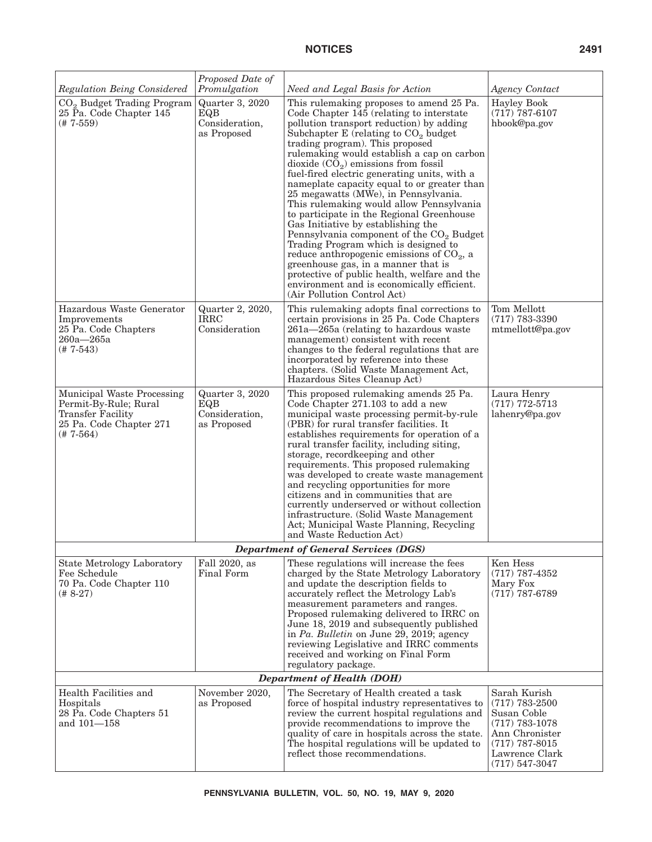| <b>Regulation Being Considered</b>                                                                                        | Proposed Date of<br>Promulgation                        | Need and Legal Basis for Action                                                                                                                                                                                                                                                                                                                                                                                                                                                                                                                                                                                                                                                                                                                                                                                                                                                                  | <b>Agency Contact</b>                                                                                                                             |
|---------------------------------------------------------------------------------------------------------------------------|---------------------------------------------------------|--------------------------------------------------------------------------------------------------------------------------------------------------------------------------------------------------------------------------------------------------------------------------------------------------------------------------------------------------------------------------------------------------------------------------------------------------------------------------------------------------------------------------------------------------------------------------------------------------------------------------------------------------------------------------------------------------------------------------------------------------------------------------------------------------------------------------------------------------------------------------------------------------|---------------------------------------------------------------------------------------------------------------------------------------------------|
| $CO2$ Budget Trading Program<br>25 Pa. Code Chapter 145<br>$(# 7-559)$                                                    | Quarter 3, 2020<br>EQB<br>Consideration,<br>as Proposed | This rulemaking proposes to amend 25 Pa.<br>Code Chapter 145 (relating to interstate<br>pollution transport reduction) by adding<br>Subchapter $E$ (relating to $CO2$ budget<br>trading program). This proposed<br>rulemaking would establish a cap on carbon<br>dioxide $(CO_2)$ emissions from fossil<br>fuel-fired electric generating units, with a<br>nameplate capacity equal to or greater than<br>25 megawatts (MWe), in Pennsylvania.<br>This rulemaking would allow Pennsylvania<br>to participate in the Regional Greenhouse<br>Gas Initiative by establishing the<br>Pennsylvania component of the CO <sub>2</sub> Budget<br>Trading Program which is designed to<br>reduce anthropogenic emissions of $CO2$ , a<br>greenhouse gas, in a manner that is<br>protective of public health, welfare and the<br>environment and is economically efficient.<br>(Air Pollution Control Act) | <b>Hayley Book</b><br>$(717)$ 787-6107<br>hbook@pa.gov                                                                                            |
| Hazardous Waste Generator<br>Improvements<br>25 Pa. Code Chapters<br>$260a - 265a$<br>$(# 7-543)$                         | Quarter 2, 2020,<br><b>IRRC</b><br>Consideration        | This rulemaking adopts final corrections to<br>certain provisions in 25 Pa. Code Chapters<br>$261a - 265a$ (relating to hazardous waste<br>management) consistent with recent<br>changes to the federal regulations that are<br>incorporated by reference into these<br>chapters. (Solid Waste Management Act,<br>Hazardous Sites Cleanup Act)                                                                                                                                                                                                                                                                                                                                                                                                                                                                                                                                                   | Tom Mellott<br>$(717) 783 - 3390$<br>mtmellott@pa.gov                                                                                             |
| Municipal Waste Processing<br>Permit-By-Rule; Rural<br><b>Transfer Facility</b><br>25 Pa. Code Chapter 271<br>$(# 7-564)$ | Quarter 3, 2020<br>EQB<br>Consideration,<br>as Proposed | This proposed rulemaking amends 25 Pa.<br>Code Chapter 271.103 to add a new<br>municipal waste processing permit-by-rule<br>(PBR) for rural transfer facilities. It<br>establishes requirements for operation of a<br>rural transfer facility, including siting,<br>storage, record keeping and other<br>requirements. This proposed rulemaking<br>was developed to create waste management<br>and recycling opportunities for more<br>citizens and in communities that are<br>currently underserved or without collection<br>infrastructure. (Solid Waste Management<br>Act; Municipal Waste Planning, Recycling<br>and Waste Reduction Act)                                                                                                                                                                                                                                                    | Laura Henry<br>$(717)$ 772-5713<br>lahenry@pa.gov                                                                                                 |
|                                                                                                                           |                                                         | <b>Department of General Services (DGS)</b>                                                                                                                                                                                                                                                                                                                                                                                                                                                                                                                                                                                                                                                                                                                                                                                                                                                      |                                                                                                                                                   |
| <b>State Metrology Laboratory</b><br>Fee Schedule<br>70 Pa. Code Chapter 110<br>$(# 8-27)$                                | Fall 2020, as<br>Final Form                             | These regulations will increase the fees<br>charged by the State Metrology Laboratory<br>and update the description fields to<br>accurately reflect the Metrology Lab's<br>measurement parameters and ranges.<br>Proposed rulemaking delivered to IRRC on<br>June 18, 2019 and subsequently published<br>in Pa. Bulletin on June 29, 2019; agency<br>reviewing Legislative and IRRC comments<br>received and working on Final Form<br>regulatory package.                                                                                                                                                                                                                                                                                                                                                                                                                                        | Ken Hess<br>$(717)$ 787-4352<br>Mary Fox<br>$(717)$ 787-6789                                                                                      |
|                                                                                                                           |                                                         | <b>Department of Health (DOH)</b>                                                                                                                                                                                                                                                                                                                                                                                                                                                                                                                                                                                                                                                                                                                                                                                                                                                                |                                                                                                                                                   |
| Health Facilities and<br>Hospitals<br>28 Pa. Code Chapters 51<br>and 101-158                                              | November 2020,<br>as Proposed                           | The Secretary of Health created a task<br>force of hospital industry representatives to<br>review the current hospital regulations and<br>provide recommendations to improve the<br>quality of care in hospitals across the state.<br>The hospital regulations will be updated to<br>reflect those recommendations.                                                                                                                                                                                                                                                                                                                                                                                                                                                                                                                                                                              | Sarah Kurish<br>$(717)$ 783-2500<br>Susan Coble<br>$(717)$ 783-1078<br>Ann Chronister<br>$(717)$ 787-8015<br>Lawrence Clark<br>$(717) 547 - 3047$ |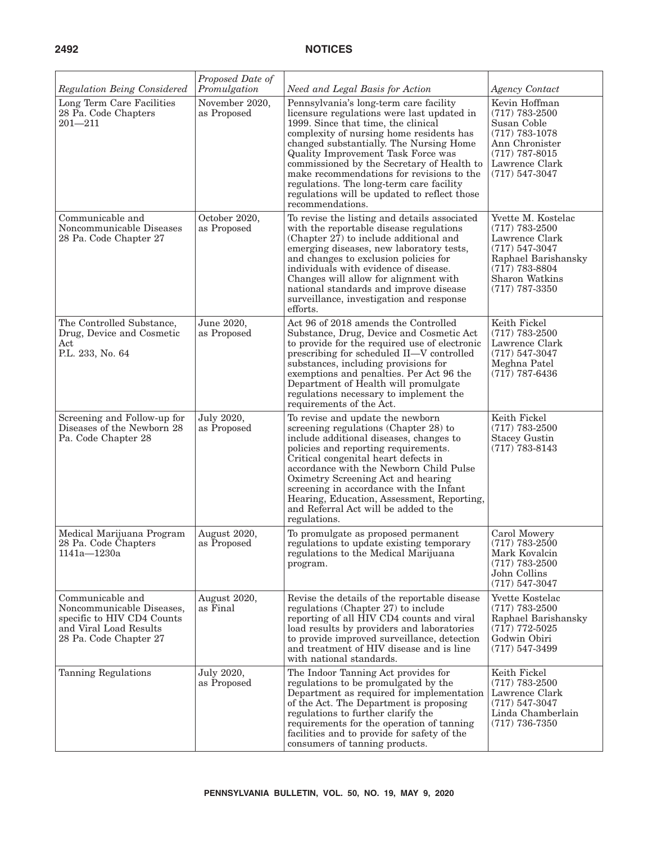| Regulation Being Considered                                                                                                     | Proposed Date of<br>Promulgation | Need and Legal Basis for Action                                                                                                                                                                                                                                                                                                                                                                                                                                     | Agency Contact                                                                                                                                                    |
|---------------------------------------------------------------------------------------------------------------------------------|----------------------------------|---------------------------------------------------------------------------------------------------------------------------------------------------------------------------------------------------------------------------------------------------------------------------------------------------------------------------------------------------------------------------------------------------------------------------------------------------------------------|-------------------------------------------------------------------------------------------------------------------------------------------------------------------|
| Long Term Care Facilities<br>28 Pa. Code Chapters<br>$201 - 211$                                                                | November 2020,<br>as Proposed    | Pennsylvania's long-term care facility<br>licensure regulations were last updated in<br>1999. Since that time, the clinical<br>complexity of nursing home residents has<br>changed substantially. The Nursing Home<br>Quality Improvement Task Force was<br>commissioned by the Secretary of Health to<br>make recommendations for revisions to the<br>regulations. The long-term care facility<br>regulations will be updated to reflect those<br>recommendations. | Kevin Hoffman<br>$(717) 783 - 2500$<br>Susan Coble<br>$(717)$ 783-1078<br>Ann Chronister<br>$(717)$ 787-8015<br>Lawrence Clark<br>$(717) 547 - 3047$              |
| Communicable and<br>Noncommunicable Diseases<br>28 Pa. Code Chapter 27                                                          | October 2020,<br>as Proposed     | To revise the listing and details associated<br>with the reportable disease regulations<br>(Chapter 27) to include additional and<br>emerging diseases, new laboratory tests,<br>and changes to exclusion policies for<br>individuals with evidence of disease.<br>Changes will allow for alignment with<br>national standards and improve disease<br>surveillance, investigation and response<br>efforts.                                                          | Yvette M. Kostelac<br>$(717) 783 - 2500$<br>Lawrence Clark<br>$(717) 547 - 3047$<br>Raphael Barishansky<br>$(717)$ 783-8804<br>Sharon Watkins<br>$(717)$ 787-3350 |
| The Controlled Substance,<br>Drug, Device and Cosmetic<br>Act<br>P.L. 233, No. 64                                               | June 2020,<br>as Proposed        | Act 96 of 2018 amends the Controlled<br>Substance, Drug, Device and Cosmetic Act<br>to provide for the required use of electronic<br>prescribing for scheduled II-V controlled<br>substances, including provisions for<br>exemptions and penalties. Per Act 96 the<br>Department of Health will promulgate<br>regulations necessary to implement the<br>requirements of the Act.                                                                                    | Keith Fickel<br>$(717) 783 - 2500$<br>Lawrence Clark<br>$(717) 547 - 3047$<br>Meghna Patel<br>$(717)$ 787-6436                                                    |
| Screening and Follow-up for<br>Diseases of the Newborn 28<br>Pa. Code Chapter 28                                                | July 2020,<br>as Proposed        | To revise and update the newborn<br>screening regulations (Chapter 28) to<br>include additional diseases, changes to<br>policies and reporting requirements.<br>Critical congenital heart defects in<br>accordance with the Newborn Child Pulse<br>Oximetry Screening Act and hearing<br>screening in accordance with the Infant<br>Hearing, Education, Assessment, Reporting,<br>and Referral Act will be added to the<br>regulations.                             | Keith Fickel<br>$(717)$ 783-2500<br><b>Stacey Gustin</b><br>$(717)$ 783-8143                                                                                      |
| Medical Marijuana Program<br>28 Pa. Code Chapters<br>1141a-1230a                                                                | August 2020,<br>as Proposed      | To promulgate as proposed permanent<br>regulations to update existing temporary<br>regulations to the Medical Marijuana<br>program.                                                                                                                                                                                                                                                                                                                                 | Carol Mowery<br>$(717) 783 - 2500$<br>Mark Kovalcin<br>$(717) 783 - 2500$<br>John Collins<br>$(717) 547 - 3047$                                                   |
| Communicable and<br>Noncommunicable Diseases,<br>specific to HIV CD4 Counts<br>and Viral Load Results<br>28 Pa. Code Chapter 27 | August 2020,<br>as Final         | Revise the details of the reportable disease<br>regulations (Chapter 27) to include<br>reporting of all HIV CD4 counts and viral<br>load results by providers and laboratories<br>to provide improved surveillance, detection<br>and treatment of HIV disease and is line<br>with national standards.                                                                                                                                                               | Yvette Kostelac<br>$(717)$ 783-2500<br>Raphael Barishansky<br>$(717)$ 772-5025<br>Godwin Obiri<br>$(717) 547 - 3499$                                              |
| Tanning Regulations                                                                                                             | July 2020,<br>as Proposed        | The Indoor Tanning Act provides for<br>regulations to be promulgated by the<br>Department as required for implementation<br>of the Act. The Department is proposing<br>regulations to further clarify the<br>requirements for the operation of tanning<br>facilities and to provide for safety of the<br>consumers of tanning products.                                                                                                                             | Keith Fickel<br>$(717)$ 783-2500<br>Lawrence Clark<br>$(717) 547 - 3047$<br>Linda Chamberlain<br>$(717)$ 736-7350                                                 |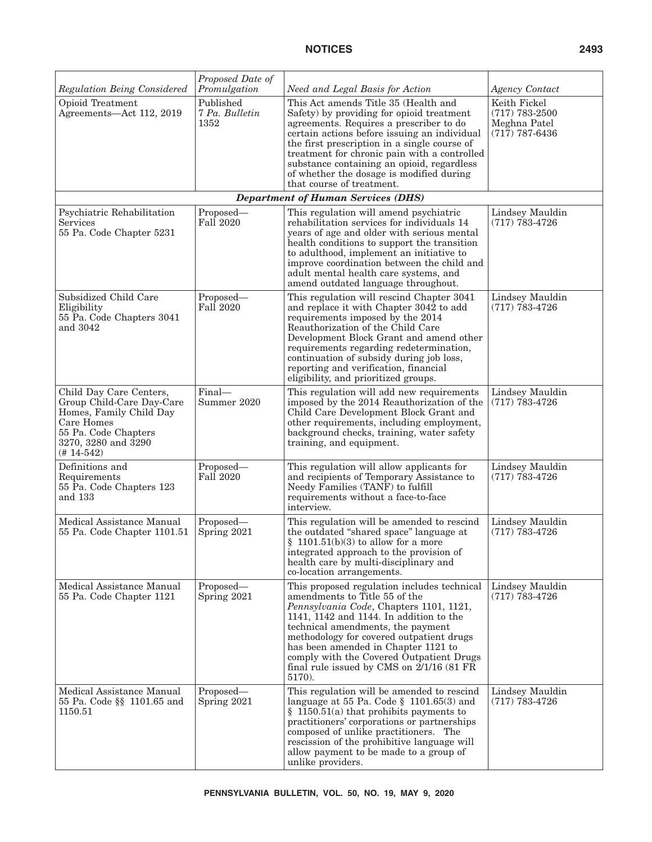| Regulation Being Considered                                                                                                                                  | Proposed Date of<br>Promulgation    | Need and Legal Basis for Action                                                                                                                                                                                                                                                                                                                                                                     | Agency Contact                                                         |
|--------------------------------------------------------------------------------------------------------------------------------------------------------------|-------------------------------------|-----------------------------------------------------------------------------------------------------------------------------------------------------------------------------------------------------------------------------------------------------------------------------------------------------------------------------------------------------------------------------------------------------|------------------------------------------------------------------------|
| Opioid Treatment<br>Agreements-Act 112, 2019                                                                                                                 | Published<br>7 Pa. Bulletin<br>1352 | This Act amends Title 35 (Health and<br>Safety) by providing for opioid treatment<br>agreements. Requires a prescriber to do<br>certain actions before issuing an individual<br>the first prescription in a single course of<br>treatment for chronic pain with a controlled<br>substance containing an opioid, regardless<br>of whether the dosage is modified during<br>that course of treatment. | Keith Fickel<br>$(717) 783 - 2500$<br>Meghna Patel<br>$(717)$ 787-6436 |
|                                                                                                                                                              |                                     | <b>Department of Human Services (DHS)</b>                                                                                                                                                                                                                                                                                                                                                           |                                                                        |
| Psychiatric Rehabilitation<br>Services<br>55 Pa. Code Chapter 5231                                                                                           | Proposed-<br><b>Fall 2020</b>       | This regulation will amend psychiatric<br>rehabilitation services for individuals 14<br>years of age and older with serious mental<br>health conditions to support the transition<br>to adulthood, implement an initiative to<br>improve coordination between the child and<br>adult mental health care systems, and<br>amend outdated language throughout.                                         | Lindsey Mauldin<br>$(717) 783 - 4726$                                  |
| Subsidized Child Care<br>Eligibility<br>55 Pa. Code Chapters 3041<br>and 3042                                                                                | Proposed—<br><b>Fall 2020</b>       | This regulation will rescind Chapter 3041<br>and replace it with Chapter 3042 to add<br>requirements imposed by the 2014<br>Reauthorization of the Child Care<br>Development Block Grant and amend other<br>requirements regarding redetermination,<br>continuation of subsidy during job loss,<br>reporting and verification, financial<br>eligibility, and prioritized groups.                    | Lindsey Mauldin<br>$(717) 783 - 4726$                                  |
| Child Day Care Centers,<br>Group Child-Care Day-Care<br>Homes, Family Child Day<br>Care Homes<br>55 Pa. Code Chapters<br>3270, 3280 and 3290<br>$(# 14-542)$ | Final-<br>Summer 2020               | This regulation will add new requirements<br>imposed by the 2014 Reauthorization of the<br>Child Care Development Block Grant and<br>other requirements, including employment,<br>background checks, training, water safety<br>training, and equipment.                                                                                                                                             | Lindsey Mauldin<br>$(717)$ 783-4726                                    |
| Definitions and<br>Requirements<br>55 Pa. Code Chapters 123<br>and 133                                                                                       | Proposed—<br>Fall 2020              | This regulation will allow applicants for<br>and recipients of Temporary Assistance to<br>Needy Families (TANF) to fulfill<br>requirements without a face-to-face<br>interview.                                                                                                                                                                                                                     | Lindsey Mauldin<br>$(717)$ 783-4726                                    |
| Medical Assistance Manual<br>55 Pa. Code Chapter 1101.51                                                                                                     | Proposed-<br>Spring 2021            | This regulation will be amended to rescind<br>the outdated "shared space" language at<br>$$1101.51(b)(3)$ to allow for a more<br>integrated approach to the provision of<br>health care by multi-disciplinary and<br>co-location arrangements.                                                                                                                                                      | Lindsey Mauldin<br>$(717) 783 - 4726$                                  |
| Medical Assistance Manual<br>55 Pa. Code Chapter 1121                                                                                                        | Proposed—<br>Spring 2021            | This proposed regulation includes technical<br>amendments to Title 55 of the<br>Pennsylvania Code, Chapters 1101, 1121,<br>1141, 1142 and 1144. In addition to the<br>technical amendments, the payment<br>methodology for covered outpatient drugs<br>has been amended in Chapter 1121 to<br>comply with the Covered Outpatient Drugs<br>final rule issued by CMS on $2/1/16$ (81 FR<br>5170).     | Lindsey Mauldin<br>$(717)$ 783-4726                                    |
| Medical Assistance Manual<br>55 Pa. Code §§ 1101.65 and<br>1150.51                                                                                           | Proposed—<br>Spring 2021            | This regulation will be amended to rescind<br>language at 55 Pa. Code $\S$ 1101.65(3) and<br>$\S$ 1150.51(a) that prohibits payments to<br>practitioners' corporations or partnerships<br>composed of unlike practitioners. The<br>rescission of the prohibitive language will<br>allow payment to be made to a group of<br>unlike providers.                                                       | Lindsey Mauldin<br>$(717)$ 783-4726                                    |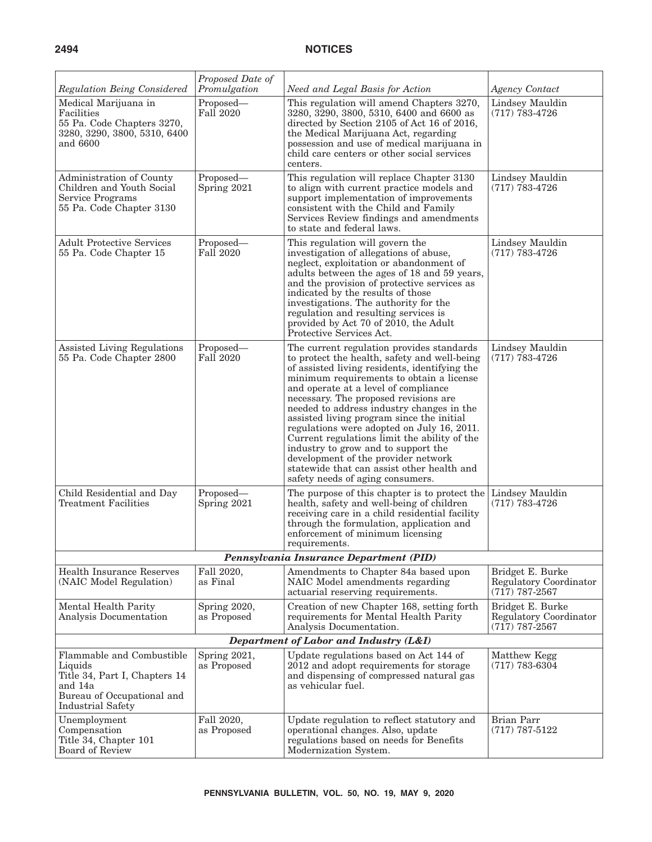| Regulation Being Considered                                                                                                                | Proposed Date of<br>Promulgation | Need and Legal Basis for Action                                                                                                                                                                                                                                                                                                                                                                                                                                                                                                                                                                                                 | <b>Agency Contact</b>                                          |
|--------------------------------------------------------------------------------------------------------------------------------------------|----------------------------------|---------------------------------------------------------------------------------------------------------------------------------------------------------------------------------------------------------------------------------------------------------------------------------------------------------------------------------------------------------------------------------------------------------------------------------------------------------------------------------------------------------------------------------------------------------------------------------------------------------------------------------|----------------------------------------------------------------|
| Medical Marijuana in<br>Facilities<br>55 Pa. Code Chapters 3270,<br>3280, 3290, 3800, 5310, 6400<br>and 6600                               | Proposed—<br><b>Fall 2020</b>    | This regulation will amend Chapters 3270,<br>3280, 3290, 3800, 5310, 6400 and 6600 as<br>directed by Section 2105 of Act 16 of 2016,<br>the Medical Marijuana Act, regarding<br>possession and use of medical marijuana in<br>child care centers or other social services<br>centers.                                                                                                                                                                                                                                                                                                                                           | Lindsey Mauldin<br>$(717)$ 783-4726                            |
| Administration of County<br>Children and Youth Social<br>Service Programs<br>55 Pa. Code Chapter 3130                                      | Proposed-<br>Spring 2021         | This regulation will replace Chapter 3130<br>to align with current practice models and<br>support implementation of improvements<br>consistent with the Child and Family<br>Services Review findings and amendments<br>to state and federal laws.                                                                                                                                                                                                                                                                                                                                                                               | Lindsey Mauldin<br>$(717) 783 - 4726$                          |
| <b>Adult Protective Services</b><br>55 Pa. Code Chapter 15                                                                                 | Proposed—<br><b>Fall 2020</b>    | This regulation will govern the<br>investigation of allegations of abuse,<br>neglect, exploitation or abandonment of<br>adults between the ages of 18 and 59 years,<br>and the provision of protective services as<br>indicated by the results of those<br>investigations. The authority for the<br>regulation and resulting services is<br>provided by Act 70 of 2010, the Adult<br>Protective Services Act.                                                                                                                                                                                                                   | Lindsey Mauldin<br>$(717)$ 783-4726                            |
| Assisted Living Regulations<br>55 Pa. Code Chapter 2800                                                                                    | Proposed-<br><b>Fall 2020</b>    | The current regulation provides standards<br>to protect the health, safety and well-being<br>of assisted living residents, identifying the<br>minimum requirements to obtain a license<br>and operate at a level of compliance<br>necessary. The proposed revisions are<br>needed to address industry changes in the<br>assisted living program since the initial<br>regulations were adopted on July 16, 2011.<br>Current regulations limit the ability of the<br>industry to grow and to support the<br>development of the provider network<br>statewide that can assist other health and<br>safety needs of aging consumers. | Lindsey Mauldin<br>$(717)$ 783-4726                            |
| Child Residential and Day<br><b>Treatment Facilities</b>                                                                                   | Proposed-<br>Spring 2021         | The purpose of this chapter is to protect the<br>health, safety and well-being of children<br>receiving care in a child residential facility<br>through the formulation, application and<br>enforcement of minimum licensing<br>requirements.                                                                                                                                                                                                                                                                                                                                                                                   | Lindsey Mauldin<br>$(717) 783 - 4726$                          |
|                                                                                                                                            |                                  | Pennsylvania Insurance Department (PID)                                                                                                                                                                                                                                                                                                                                                                                                                                                                                                                                                                                         |                                                                |
| Health Insurance Reserves<br>(NAIC Model Regulation)                                                                                       | Fall 2020,<br>as Final           | Amendments to Chapter 84a based upon<br>NAIC Model amendments regarding<br>actuarial reserving requirements.                                                                                                                                                                                                                                                                                                                                                                                                                                                                                                                    | Bridget E. Burke<br>Regulatory Coordinator<br>$(717)$ 787-2567 |
| Mental Health Parity<br>Analysis Documentation                                                                                             | Spring 2020,<br>as Proposed      | Creation of new Chapter 168, setting forth<br>requirements for Mental Health Parity<br>Analysis Documentation.                                                                                                                                                                                                                                                                                                                                                                                                                                                                                                                  | Bridget E. Burke<br>Regulatory Coordinator<br>$(717)$ 787-2567 |
|                                                                                                                                            |                                  | Department of Labor and Industry (L&I)                                                                                                                                                                                                                                                                                                                                                                                                                                                                                                                                                                                          |                                                                |
| Flammable and Combustible<br>Liquids<br>Title 34, Part I, Chapters 14<br>and 14a<br>Bureau of Occupational and<br><b>Industrial Safety</b> | Spring 2021,<br>as Proposed      | Update regulations based on Act 144 of<br>2012 and adopt requirements for storage<br>and dispensing of compressed natural gas<br>as vehicular fuel.                                                                                                                                                                                                                                                                                                                                                                                                                                                                             | Matthew Kegg<br>$(717) 783 - 6304$                             |
| Unemployment<br>Compensation<br>Title 34, Chapter 101<br>Board of Review                                                                   | Fall 2020,<br>as Proposed        | Update regulation to reflect statutory and<br>operational changes. Also, update<br>regulations based on needs for Benefits<br>Modernization System.                                                                                                                                                                                                                                                                                                                                                                                                                                                                             | Brian Parr<br>$(717)$ 787-5122                                 |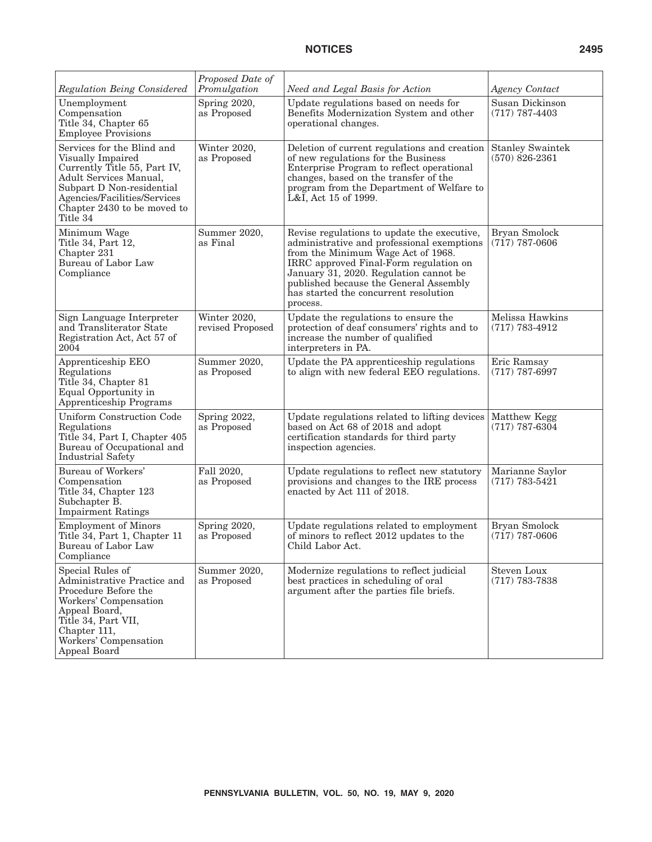| Regulation Being Considered                                                                                                                                                                                       | Proposed Date of<br>Promulgation | Need and Legal Basis for Action                                                                                                                                                                                                                                                                                    | <b>Agency Contact</b>                       |
|-------------------------------------------------------------------------------------------------------------------------------------------------------------------------------------------------------------------|----------------------------------|--------------------------------------------------------------------------------------------------------------------------------------------------------------------------------------------------------------------------------------------------------------------------------------------------------------------|---------------------------------------------|
| Unemployment<br>Compensation<br>Title 34, Chapter 65<br><b>Employee Provisions</b>                                                                                                                                | Spring 2020,<br>as Proposed      | Update regulations based on needs for<br>Benefits Modernization System and other<br>operational changes.                                                                                                                                                                                                           | Susan Dickinson<br>$(717)$ 787-4403         |
| Services for the Blind and<br>Visually Impaired<br>Currently Title 55, Part IV,<br>Adult Services Manual,<br>Subpart D Non-residential<br>Agencies/Facilities/Services<br>Chapter 2430 to be moved to<br>Title 34 | Winter 2020,<br>as Proposed      | Deletion of current regulations and creation<br>of new regulations for the Business<br>Enterprise Program to reflect operational<br>changes, based on the transfer of the<br>program from the Department of Welfare to<br>L&I, Act 15 of 1999.                                                                     | <b>Stanley Swaintek</b><br>$(570)$ 826-2361 |
| Minimum Wage<br>Title 34, Part 12,<br>Chapter 231<br>Bureau of Labor Law<br>Compliance                                                                                                                            | Summer 2020,<br>as Final         | Revise regulations to update the executive,<br>administrative and professional exemptions<br>from the Minimum Wage Act of 1968.<br>IRRC approved Final-Form regulation on<br>January 31, 2020. Regulation cannot be<br>published because the General Assembly<br>has started the concurrent resolution<br>process. | Bryan Smolock<br>$(717)$ 787-0606           |
| Sign Language Interpreter<br>and Transliterator State<br>Registration Act, Act 57 of<br>2004                                                                                                                      | Winter 2020,<br>revised Proposed | Update the regulations to ensure the<br>protection of deaf consumers' rights and to<br>increase the number of qualified<br>interpreters in PA.                                                                                                                                                                     | Melissa Hawkins<br>$(717) 783 - 4912$       |
| Apprenticeship EEO<br>Regulations<br>Title 34, Chapter 81<br>Equal Opportunity in<br><b>Apprenticeship Programs</b>                                                                                               | Summer 2020,<br>as Proposed      | Update the PA apprenticeship regulations<br>to align with new federal EEO regulations.                                                                                                                                                                                                                             | Eric Ramsay<br>$(717)$ 787-6997             |
| <b>Uniform Construction Code</b><br>Regulations<br>Title 34, Part I, Chapter 405<br>Bureau of Occupational and<br><b>Industrial Safety</b>                                                                        | Spring 2022,<br>as Proposed      | Update regulations related to lifting devices<br>based on Act 68 of 2018 and adopt<br>certification standards for third party<br>inspection agencies.                                                                                                                                                              | Matthew Kegg<br>$(717)$ 787-6304            |
| <b>Bureau of Workers'</b><br>Compensation<br>Title 34, Chapter 123<br>Subchapter B.<br><b>Impairment Ratings</b>                                                                                                  | Fall 2020,<br>as Proposed        | Update regulations to reflect new statutory<br>provisions and changes to the IRE process<br>enacted by Act 111 of 2018.                                                                                                                                                                                            | Marianne Saylor<br>$(717) 783 - 5421$       |
| <b>Employment of Minors</b><br>Title 34, Part 1, Chapter 11<br>Bureau of Labor Law<br>Compliance                                                                                                                  | Spring 2020,<br>as Proposed      | Update regulations related to employment<br>of minors to reflect 2012 updates to the<br>Child Labor Act.                                                                                                                                                                                                           | Bryan Smolock<br>$(717)$ 787-0606           |
| Special Rules of<br>Administrative Practice and<br>Procedure Before the<br>Workers' Compensation<br>Appeal Board,<br>Title 34, Part VII,<br>Chapter 111,<br>Workers' Compensation<br>Appeal Board                 | Summer 2020,<br>as Proposed      | Modernize regulations to reflect judicial<br>best practices in scheduling of oral<br>argument after the parties file briefs.                                                                                                                                                                                       | Steven Loux<br>$(717)$ 783-7838             |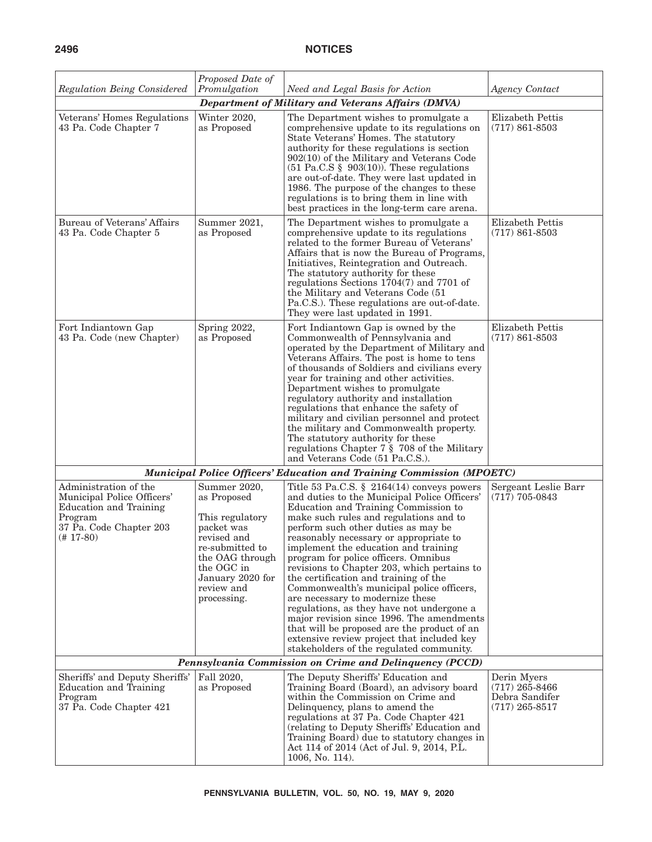| Regulation Being Considered                                                                                                        | Proposed Date of<br>Promulgation                                                                                                                                                 | Need and Legal Basis for Action                                                                                                                                                                                                                                                                                                                                                                                                                                                                                                                                                                                                                                                                                                                              | <b>Agency Contact</b>                                                 |  |
|------------------------------------------------------------------------------------------------------------------------------------|----------------------------------------------------------------------------------------------------------------------------------------------------------------------------------|--------------------------------------------------------------------------------------------------------------------------------------------------------------------------------------------------------------------------------------------------------------------------------------------------------------------------------------------------------------------------------------------------------------------------------------------------------------------------------------------------------------------------------------------------------------------------------------------------------------------------------------------------------------------------------------------------------------------------------------------------------------|-----------------------------------------------------------------------|--|
|                                                                                                                                    |                                                                                                                                                                                  | <b>Department of Military and Veterans Affairs (DMVA)</b>                                                                                                                                                                                                                                                                                                                                                                                                                                                                                                                                                                                                                                                                                                    |                                                                       |  |
| Veterans' Homes Regulations<br>43 Pa. Code Chapter 7                                                                               | Winter 2020,<br>as Proposed                                                                                                                                                      | The Department wishes to promulgate a<br>comprehensive update to its regulations on<br>State Veterans' Homes. The statutory<br>authority for these regulations is section<br>$902(10)$ of the Military and Veterans Code<br>$(51 \text{ Pa.C.S} \text{ } \text{\&} 903(10))$ . These regulations<br>are out-of-date. They were last updated in<br>1986. The purpose of the changes to these<br>regulations is to bring them in line with<br>best practices in the long-term care arena.                                                                                                                                                                                                                                                                      | Elizabeth Pettis<br>$(717) 861 - 8503$                                |  |
| Bureau of Veterans' Affairs<br>43 Pa. Code Chapter 5                                                                               | Summer 2021,<br>as Proposed                                                                                                                                                      | The Department wishes to promulgate a<br>comprehensive update to its regulations<br>related to the former Bureau of Veterans'<br>Affairs that is now the Bureau of Programs,<br>Initiatives, Reintegration and Outreach.<br>The statutory authority for these<br>regulations Sections $1704(7)$ and 7701 of<br>the Military and Veterans Code (51<br>Pa.C.S.). These regulations are out-of-date.<br>They were last updated in 1991.                                                                                                                                                                                                                                                                                                                         | Elizabeth Pettis<br>$(717) 861 - 8503$                                |  |
| Fort Indiantown Gap<br>43 Pa. Code (new Chapter)                                                                                   | Spring 2022,<br>as Proposed                                                                                                                                                      | Fort Indiantown Gap is owned by the<br>Commonwealth of Pennsylvania and<br>operated by the Department of Military and<br>Veterans Affairs. The post is home to tens<br>of thousands of Soldiers and civilians every<br>year for training and other activities.<br>Department wishes to promulgate<br>regulatory authority and installation<br>regulations that enhance the safety of<br>military and civilian personnel and protect<br>the military and Commonwealth property.<br>The statutory authority for these<br>regulations Chapter $7 \tS 708$ of the Military<br>and Veterans Code (51 Pa.C.S.).                                                                                                                                                    | Elizabeth Pettis<br>$(717) 861 - 8503$                                |  |
|                                                                                                                                    |                                                                                                                                                                                  | <b>Municipal Police Officers' Education and Training Commission (MPOETC)</b>                                                                                                                                                                                                                                                                                                                                                                                                                                                                                                                                                                                                                                                                                 |                                                                       |  |
| Administration of the<br>Municipal Police Officers'<br>Education and Training<br>Program<br>37 Pa. Code Chapter 203<br>$(+ 17-80)$ | Summer 2020,<br>as Proposed<br>This regulatory<br>packet was<br>revised and<br>re-submitted to<br>the OAG through<br>the OGC in<br>January 2020 for<br>review and<br>processing. | Title 53 Pa.C.S. $\S$ 2164(14) conveys powers<br>and duties to the Municipal Police Officers'<br>Education and Training Commission to<br>make such rules and regulations and to<br>perform such other duties as may be<br>reasonably necessary or appropriate to<br>implement the education and training<br>program for police officers. Omnibus<br>revisions to Chapter 203, which pertains to<br>the certification and training of the<br>Commonwealth's municipal police officers,<br>are necessary to modernize these<br>regulations, as they have not undergone a<br>major revision since 1996. The amendments<br>that will be proposed are the product of an<br>extensive review project that included key<br>stakeholders of the regulated community. | Sergeant Leslie Barr<br>$(717)$ 705-0843                              |  |
| Pennsylvania Commission on Crime and Delinquency (PCCD)                                                                            |                                                                                                                                                                                  |                                                                                                                                                                                                                                                                                                                                                                                                                                                                                                                                                                                                                                                                                                                                                              |                                                                       |  |
| Sheriffs' and Deputy Sheriffs'<br>Education and Training<br>Program<br>37 Pa. Code Chapter 421                                     | Fall 2020,<br>as Proposed                                                                                                                                                        | The Deputy Sheriffs' Education and<br>Training Board (Board), an advisory board<br>within the Commission on Crime and<br>Delinquency, plans to amend the<br>regulations at 37 Pa. Code Chapter 421<br>(relating to Deputy Sheriffs' Education and<br>Training Board) due to statutory changes in<br>Act 114 of 2014 (Act of Jul. 9, 2014, P.L.<br>1006, No. 114).                                                                                                                                                                                                                                                                                                                                                                                            | Derin Myers<br>$(717)$ 265-8466<br>Debra Sandifer<br>$(717)$ 265-8517 |  |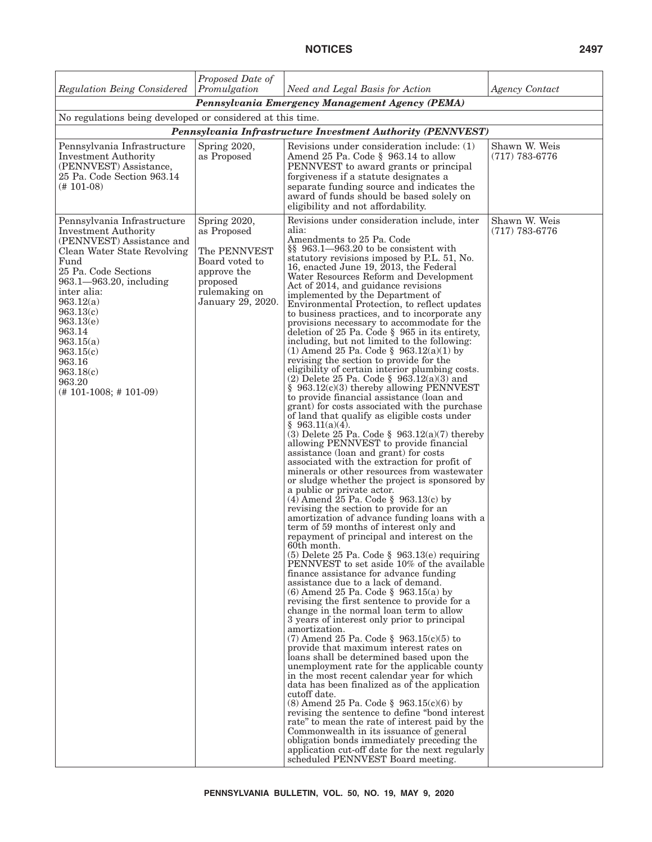|                                                                                                                                                                                                                                                                                                                                                | Proposed Date of                                                                                                               |                                                                                                                                                                                                                                                                                                                                                                                                                                                                                                                                                                                                                                                                                                                                                                                                                                                                                                                                                                                                                                                                                                                                                                                                                                                                                                                                                                                                                                                                                                                                                                                                                                                                                                                                                                                                                                                                                                                                                                                                                                                                                                                                                                                                                                                                                                                                                                                                                                                                                                                                                                                                      |                                     |
|------------------------------------------------------------------------------------------------------------------------------------------------------------------------------------------------------------------------------------------------------------------------------------------------------------------------------------------------|--------------------------------------------------------------------------------------------------------------------------------|------------------------------------------------------------------------------------------------------------------------------------------------------------------------------------------------------------------------------------------------------------------------------------------------------------------------------------------------------------------------------------------------------------------------------------------------------------------------------------------------------------------------------------------------------------------------------------------------------------------------------------------------------------------------------------------------------------------------------------------------------------------------------------------------------------------------------------------------------------------------------------------------------------------------------------------------------------------------------------------------------------------------------------------------------------------------------------------------------------------------------------------------------------------------------------------------------------------------------------------------------------------------------------------------------------------------------------------------------------------------------------------------------------------------------------------------------------------------------------------------------------------------------------------------------------------------------------------------------------------------------------------------------------------------------------------------------------------------------------------------------------------------------------------------------------------------------------------------------------------------------------------------------------------------------------------------------------------------------------------------------------------------------------------------------------------------------------------------------------------------------------------------------------------------------------------------------------------------------------------------------------------------------------------------------------------------------------------------------------------------------------------------------------------------------------------------------------------------------------------------------------------------------------------------------------------------------------------------------|-------------------------------------|
| Regulation Being Considered                                                                                                                                                                                                                                                                                                                    | Promulgation                                                                                                                   | Need and Legal Basis for Action                                                                                                                                                                                                                                                                                                                                                                                                                                                                                                                                                                                                                                                                                                                                                                                                                                                                                                                                                                                                                                                                                                                                                                                                                                                                                                                                                                                                                                                                                                                                                                                                                                                                                                                                                                                                                                                                                                                                                                                                                                                                                                                                                                                                                                                                                                                                                                                                                                                                                                                                                                      | <b>Agency Contact</b>               |
|                                                                                                                                                                                                                                                                                                                                                |                                                                                                                                | Pennsylvania Emergency Management Agency (PEMA)                                                                                                                                                                                                                                                                                                                                                                                                                                                                                                                                                                                                                                                                                                                                                                                                                                                                                                                                                                                                                                                                                                                                                                                                                                                                                                                                                                                                                                                                                                                                                                                                                                                                                                                                                                                                                                                                                                                                                                                                                                                                                                                                                                                                                                                                                                                                                                                                                                                                                                                                                      |                                     |
| No regulations being developed or considered at this time.                                                                                                                                                                                                                                                                                     |                                                                                                                                |                                                                                                                                                                                                                                                                                                                                                                                                                                                                                                                                                                                                                                                                                                                                                                                                                                                                                                                                                                                                                                                                                                                                                                                                                                                                                                                                                                                                                                                                                                                                                                                                                                                                                                                                                                                                                                                                                                                                                                                                                                                                                                                                                                                                                                                                                                                                                                                                                                                                                                                                                                                                      |                                     |
|                                                                                                                                                                                                                                                                                                                                                |                                                                                                                                | Pennsylvania Infrastructure Investment Authority (PENNVEST)                                                                                                                                                                                                                                                                                                                                                                                                                                                                                                                                                                                                                                                                                                                                                                                                                                                                                                                                                                                                                                                                                                                                                                                                                                                                                                                                                                                                                                                                                                                                                                                                                                                                                                                                                                                                                                                                                                                                                                                                                                                                                                                                                                                                                                                                                                                                                                                                                                                                                                                                          |                                     |
| Pennsylvania Infrastructure<br><b>Investment Authority</b><br>(PENNVEST) Assistance,<br>25 Pa. Code Section 963.14<br>$(# 101-08)$                                                                                                                                                                                                             | Spring 2020,<br>as Proposed                                                                                                    | Revisions under consideration include: (1)<br>Amend 25 Pa. Code § 963.14 to allow<br>PENNVEST to award grants or principal<br>forgiveness if a statute designates a<br>separate funding source and indicates the<br>award of funds should be based solely on<br>eligibility and not affordability.                                                                                                                                                                                                                                                                                                                                                                                                                                                                                                                                                                                                                                                                                                                                                                                                                                                                                                                                                                                                                                                                                                                                                                                                                                                                                                                                                                                                                                                                                                                                                                                                                                                                                                                                                                                                                                                                                                                                                                                                                                                                                                                                                                                                                                                                                                   | Shawn W. Weis<br>$(717) 783 - 6776$ |
| Pennsylvania Infrastructure<br><b>Investment Authority</b><br>(PENNVEST) Assistance and<br>Clean Water State Revolving<br>Fund<br>25 Pa. Code Sections<br>963.1-963.20, including<br>inter alia:<br>963.12(a)<br>963.13(c)<br>963.13(e)<br>963.14<br>963.15(a)<br>963.15(c)<br>963.16<br>963.18(c)<br>963.20<br>$(\# 101 - 1008; \# 101 - 09)$ | Spring 2020,<br>as Proposed<br>The PENNVEST<br>Board voted to<br>approve the<br>proposed<br>rulemaking on<br>January 29, 2020. | Revisions under consideration include, inter<br>alia:<br>Amendments to 25 Pa. Code<br>§§ 963.1-963.20 to be consistent with<br>statutory revisions imposed by P.L. 51, No.<br>16, enacted June 19, 2013, the Federal<br>Water Resources Reform and Development<br>Act of 2014, and guidance revisions<br>implemented by the Department of<br>Environmental Protection, to reflect updates<br>to business practices, and to incorporate any<br>provisions necessary to accommodate for the<br>deletion of 25 Pa. Code $\S$ 965 in its entirety,<br>including, but not limited to the following:<br>(1) Amend 25 Pa. Code § 963.12(a)(1) by<br>revising the section to provide for the<br>eligibility of certain interior plumbing costs.<br>$(2)$ Delete 25 Pa. Code § 963.12(a)(3) and<br>§ 963.12(c)(3) thereby allowing PENNVEST<br>to provide financial assistance (loan and<br>grant) for costs associated with the purchase<br>of land that qualify as eligible costs under<br>$§$ 963.11(a)(4).<br>(3) Delete 25 Pa. Code § $963.12(a)(7)$ thereby<br>allowing PENNVEST to provide financial<br>assistance (loan and grant) for costs<br>associated with the extraction for profit of<br>minerals or other resources from wastewater<br>or sludge whether the project is sponsored by<br>a public or private actor.<br>$(4)$ Amend 25 Pa. Code § 963.13(c) by<br>revising the section to provide for an<br>amortization of advance funding loans with a<br>term of 59 months of interest only and<br>repayment of principal and interest on the<br>60th month.<br>$(5)$ Delete 25 Pa. Code § 963.13(e) requiring<br>PENNVEST to set aside 10% of the available<br>finance assistance for advance funding<br>assistance due to a lack of demand.<br>$(6)$ Amend 25 Pa. Code § 963.15(a) by<br>revising the first sentence to provide for a<br>change in the normal loan term to allow<br>3 years of interest only prior to principal<br>amortization.<br>$(7)$ Amend 25 Pa. Code $\,$ 963.15(c)(5) to<br>provide that maximum interest rates on<br>loans shall be determined based upon the<br>unemployment rate for the applicable county<br>in the most recent calendar year for which<br>data has been finalized as of the application<br>cutoff date.<br>$(8)$ Amend 25 Pa. Code § 963.15 $(c)(6)$ by<br>revising the sentence to define "bond interest"<br>rate" to mean the rate of interest paid by the<br>Commonwealth in its issuance of general<br>obligation bonds immediately preceding the<br>application cut-off date for the next regularly<br>scheduled PENNVEST Board meeting. | Shawn W. Weis<br>$(717) 783 - 6776$ |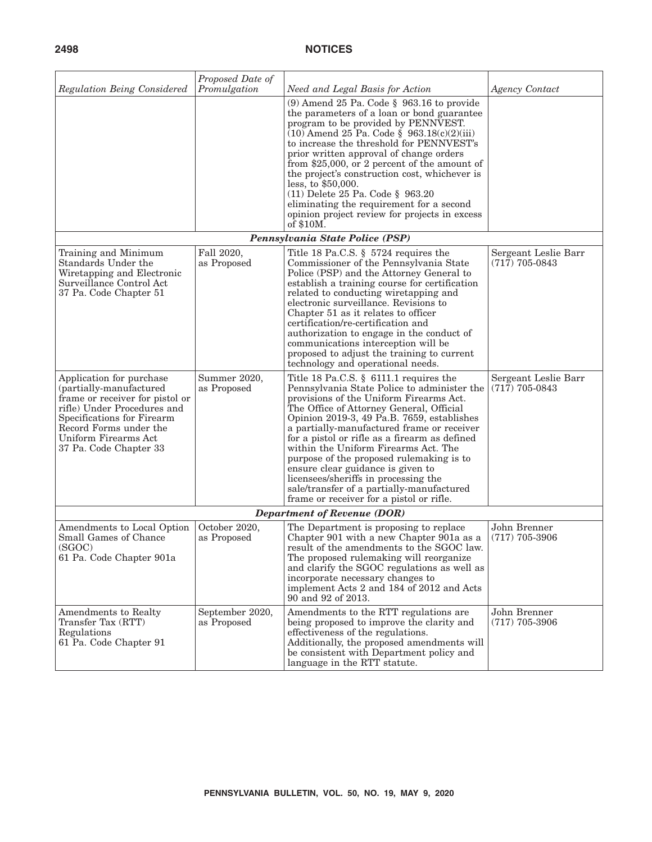| Regulation Being Considered                                                                                                                                                                                                     | Proposed Date of<br>Promulgation | Need and Legal Basis for Action                                                                                                                                                                                                                                                                                                                                                                                                                                                                                                                                                     | <b>Agency Contact</b>                    |
|---------------------------------------------------------------------------------------------------------------------------------------------------------------------------------------------------------------------------------|----------------------------------|-------------------------------------------------------------------------------------------------------------------------------------------------------------------------------------------------------------------------------------------------------------------------------------------------------------------------------------------------------------------------------------------------------------------------------------------------------------------------------------------------------------------------------------------------------------------------------------|------------------------------------------|
|                                                                                                                                                                                                                                 |                                  | $(9)$ Amend 25 Pa. Code § 963.16 to provide<br>the parameters of a loan or bond guarantee<br>program to be provided by PENNVEST.<br>$(10)$ Amend 25 Pa. Code § 963.18 $(c)(2)(iii)$<br>to increase the threshold for PENNVEST's<br>prior written approval of change orders<br>from \$25,000, or 2 percent of the amount of<br>the project's construction cost, whichever is<br>less, to \$50,000.<br>$(11)$ Delete 25 Pa. Code § 963.20<br>eliminating the requirement for a second<br>opinion project review for projects in excess<br>of \$10M.                                   |                                          |
|                                                                                                                                                                                                                                 |                                  | Pennsylvania State Police (PSP)                                                                                                                                                                                                                                                                                                                                                                                                                                                                                                                                                     |                                          |
| Training and Minimum<br>Standards Under the<br>Wiretapping and Electronic<br>Surveillance Control Act<br>37 Pa. Code Chapter 51                                                                                                 | Fall 2020,<br>as Proposed        | Title 18 Pa.C.S. $\S$ 5724 requires the<br>Commissioner of the Pennsylvania State<br>Police (PSP) and the Attorney General to<br>establish a training course for certification<br>related to conducting wiretapping and<br>electronic surveillance. Revisions to<br>Chapter 51 as it relates to officer<br>certification/re-certification and<br>authorization to engage in the conduct of<br>communications interception will be<br>proposed to adjust the training to current<br>technology and operational needs.                                                                | Sergeant Leslie Barr<br>$(717)$ 705-0843 |
| Application for purchase<br>(partially-manufactured<br>frame or receiver for pistol or<br>rifle) Under Procedures and<br>Specifications for Firearm<br>Record Forms under the<br>Uniform Firearms Act<br>37 Pa. Code Chapter 33 | Summer 2020,<br>as Proposed      | Title 18 Pa.C.S. § 6111.1 requires the<br>Pennsylvania State Police to administer the<br>provisions of the Uniform Firearms Act.<br>The Office of Attorney General, Official<br>Opinion 2019-3, 49 Pa.B. 7659, establishes<br>a partially-manufactured frame or receiver<br>for a pistol or rifle as a firearm as defined<br>within the Uniform Firearms Act. The<br>purpose of the proposed rulemaking is to<br>ensure clear guidance is given to<br>licensees/sheriffs in processing the<br>sale/transfer of a partially-manufactured<br>frame or receiver for a pistol or rifle. | Sergeant Leslie Barr<br>$(717)$ 705-0843 |
|                                                                                                                                                                                                                                 |                                  | <b>Department of Revenue (DOR)</b>                                                                                                                                                                                                                                                                                                                                                                                                                                                                                                                                                  |                                          |
| Amendments to Local Option<br>Small Games of Chance<br>(SGOC)<br>61 Pa. Code Chapter 901a                                                                                                                                       | October 2020,<br>as Proposed     | The Department is proposing to replace<br>Chapter 901 with a new Chapter 901a as a<br>result of the amendments to the SGOC law.<br>The proposed rulemaking will reorganize<br>and clarify the SGOC regulations as well as<br>incorporate necessary changes to<br>implement Acts 2 and 184 of 2012 and Acts<br>90 and 92 of 2013.                                                                                                                                                                                                                                                    | John Brenner<br>$(717)$ 705-3906         |
| Amendments to Realty<br>Transfer Tax (RTT)<br>Regulations<br>61 Pa. Code Chapter 91                                                                                                                                             | September 2020,<br>as Proposed   | Amendments to the RTT regulations are<br>being proposed to improve the clarity and<br>effectiveness of the regulations.<br>Additionally, the proposed amendments will<br>be consistent with Department policy and<br>language in the RTT statute.                                                                                                                                                                                                                                                                                                                                   | John Brenner<br>$(717)$ 705-3906         |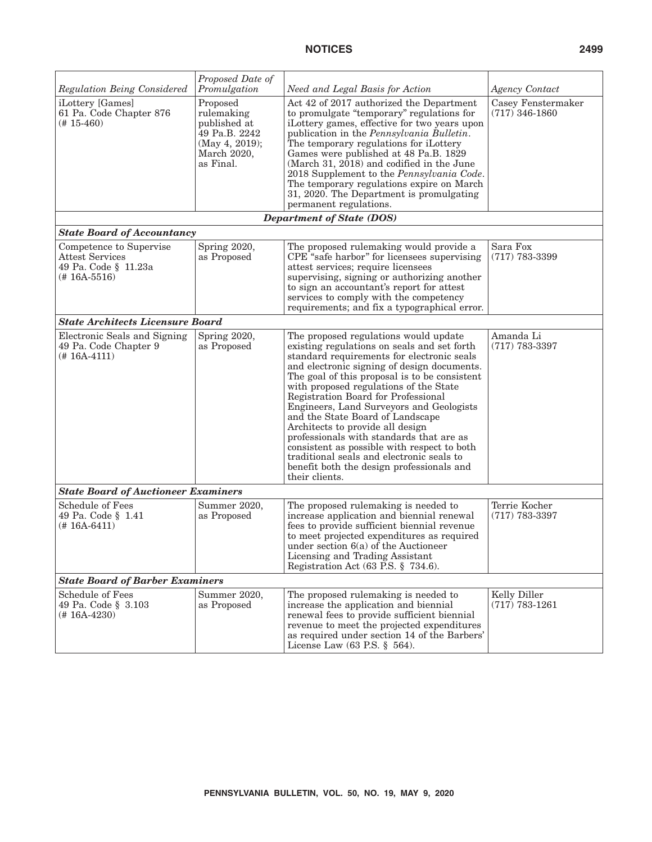| <b>Regulation Being Considered</b>                                                            | Proposed Date of<br>Promulgation                                                                      | Need and Legal Basis for Action                                                                                                                                                                                                                                                                                                                                                                                                                                                                                                                                                                                                                | <b>Agency Contact</b>                  |
|-----------------------------------------------------------------------------------------------|-------------------------------------------------------------------------------------------------------|------------------------------------------------------------------------------------------------------------------------------------------------------------------------------------------------------------------------------------------------------------------------------------------------------------------------------------------------------------------------------------------------------------------------------------------------------------------------------------------------------------------------------------------------------------------------------------------------------------------------------------------------|----------------------------------------|
| iLottery [Games]<br>61 Pa. Code Chapter 876<br>$(# 15-460)$                                   | Proposed<br>rulemaking<br>published at<br>49 Pa.B. 2242<br>(May 4, 2019);<br>March 2020,<br>as Final. | Act 42 of 2017 authorized the Department<br>to promulgate "temporary" regulations for<br>iLottery games, effective for two years upon<br>publication in the Pennsylvania Bulletin.<br>The temporary regulations for iLottery<br>Games were published at 48 Pa.B. 1829<br>(March 31, 2018) and codified in the June<br>2018 Supplement to the Pennsylvania Code.<br>The temporary regulations expire on March<br>31, 2020. The Department is promulgating<br>permanent regulations.                                                                                                                                                             | Casey Fenstermaker<br>$(717)$ 346-1860 |
|                                                                                               |                                                                                                       | <b>Department of State (DOS)</b>                                                                                                                                                                                                                                                                                                                                                                                                                                                                                                                                                                                                               |                                        |
| <b>State Board of Accountancy</b>                                                             |                                                                                                       |                                                                                                                                                                                                                                                                                                                                                                                                                                                                                                                                                                                                                                                |                                        |
| Competence to Supervise<br><b>Attest Services</b><br>49 Pa. Code § 11.23a<br>$(+ 16A - 5516)$ | Spring 2020,<br>as Proposed                                                                           | The proposed rulemaking would provide a<br>CPE <sup>*</sup> safe harbor" for licensees supervising<br>attest services; require licensees<br>supervising, signing or authorizing another<br>to sign an accountant's report for attest<br>services to comply with the competency<br>requirements; and fix a typographical error.                                                                                                                                                                                                                                                                                                                 | Sara Fox<br>$(717)$ 783-3399           |
| <b>State Architects Licensure Board</b>                                                       |                                                                                                       |                                                                                                                                                                                                                                                                                                                                                                                                                                                                                                                                                                                                                                                |                                        |
| Electronic Seals and Signing<br>49 Pa. Code Chapter 9<br>$(# 16A-4111)$                       | Spring 2020,<br>as Proposed                                                                           | The proposed regulations would update<br>existing regulations on seals and set forth<br>standard requirements for electronic seals<br>and electronic signing of design documents.<br>The goal of this proposal is to be consistent<br>with proposed regulations of the State<br>Registration Board for Professional<br>Engineers, Land Surveyors and Geologists<br>and the State Board of Landscape<br>Architects to provide all design<br>professionals with standards that are as<br>consistent as possible with respect to both<br>traditional seals and electronic seals to<br>benefit both the design professionals and<br>their clients. | Amanda Li<br>$(717)$ 783-3397          |
| <b>State Board of Auctioneer Examiners</b>                                                    |                                                                                                       |                                                                                                                                                                                                                                                                                                                                                                                                                                                                                                                                                                                                                                                |                                        |
| Schedule of Fees<br>49 Pa. Code § 1.41<br>$(+ 16A - 6411)$                                    | Summer 2020,<br>as Proposed                                                                           | The proposed rulemaking is needed to<br>increase application and biennial renewal<br>fees to provide sufficient biennial revenue<br>to meet projected expenditures as required<br>under section $6(a)$ of the Auctioneer<br>Licensing and Trading Assistant<br>Registration Act (63 P.S. § 734.6).                                                                                                                                                                                                                                                                                                                                             | Terrie Kocher<br>$(717)$ 783-3397      |
| <b>State Board of Barber Examiners</b>                                                        |                                                                                                       |                                                                                                                                                                                                                                                                                                                                                                                                                                                                                                                                                                                                                                                |                                        |
| <b>Schedule of Fees</b><br>49 Pa. Code § 3.103<br>$(\# 16A - 4230)$                           | Summer 2020,<br>as Proposed                                                                           | The proposed rulemaking is needed to<br>increase the application and biennial<br>renewal fees to provide sufficient biennial<br>revenue to meet the projected expenditures<br>as required under section 14 of the Barbers'<br>License Law $(63$ P.S. $\S$ 564).                                                                                                                                                                                                                                                                                                                                                                                | Kelly Diller<br>$(717) 783 - 1261$     |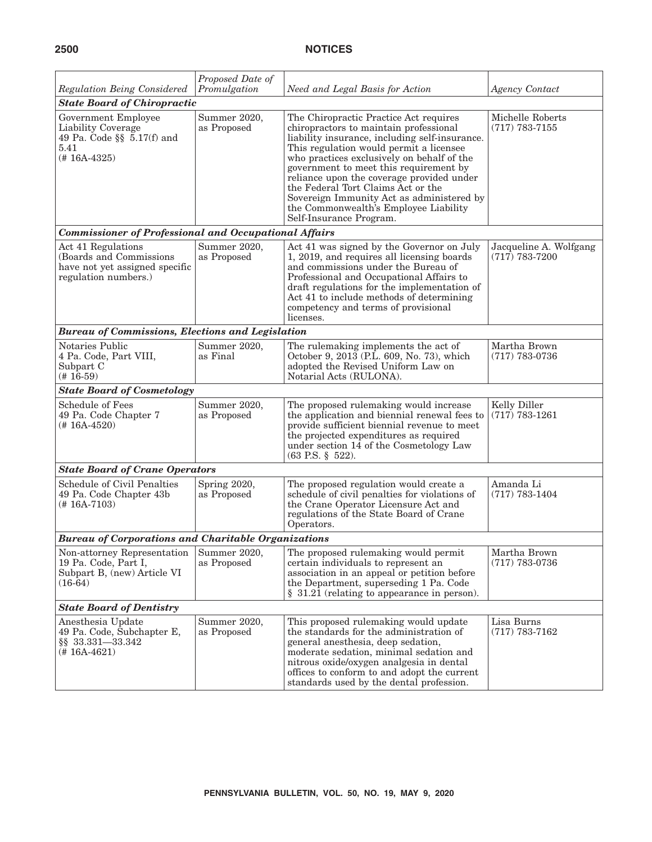| Regulation Being Considered                                                                             | Proposed Date of<br>Promulgation | Need and Legal Basis for Action                                                                                                                                                                                                                                                                                                                                                                                                                                           | <b>Agency Contact</b>                        |
|---------------------------------------------------------------------------------------------------------|----------------------------------|---------------------------------------------------------------------------------------------------------------------------------------------------------------------------------------------------------------------------------------------------------------------------------------------------------------------------------------------------------------------------------------------------------------------------------------------------------------------------|----------------------------------------------|
| <b>State Board of Chiropractic</b>                                                                      |                                  |                                                                                                                                                                                                                                                                                                                                                                                                                                                                           |                                              |
| Government Employee<br>Liability Coverage<br>49 Pa. Code $\S$ 5.17(f) and<br>5.41<br>$(# 16A-4325)$     | Summer 2020,<br>as Proposed      | The Chiropractic Practice Act requires<br>chiropractors to maintain professional<br>liability insurance, including self-insurance.<br>This regulation would permit a licensee<br>who practices exclusively on behalf of the<br>government to meet this requirement by<br>reliance upon the coverage provided under<br>the Federal Tort Claims Act or the<br>Sovereign Immunity Act as administered by<br>the Commonwealth's Employee Liability<br>Self-Insurance Program. | Michelle Roberts<br>$(717) 783 - 7155$       |
| <b>Commissioner of Professional and Occupational Affairs</b>                                            |                                  |                                                                                                                                                                                                                                                                                                                                                                                                                                                                           |                                              |
| Act 41 Regulations<br>(Boards and Commissions<br>have not yet assigned specific<br>regulation numbers.) | Summer 2020,<br>as Proposed      | Act 41 was signed by the Governor on July<br>1, 2019, and requires all licensing boards<br>and commissions under the Bureau of<br>Professional and Occupational Affairs to<br>draft regulations for the implementation of<br>Act 41 to include methods of determining<br>competency and terms of provisional<br>licenses.                                                                                                                                                 | Jacqueline A. Wolfgang<br>$(717) 783 - 7200$ |
| <b>Bureau of Commissions, Elections and Legislation</b>                                                 |                                  |                                                                                                                                                                                                                                                                                                                                                                                                                                                                           |                                              |
| Notaries Public<br>4 Pa. Code, Part VIII,<br>Subpart C<br>$(# 16-59)$                                   | Summer 2020,<br>as Final         | The rulemaking implements the act of<br>October 9, 2013 (P.L. 609, No. 73), which<br>adopted the Revised Uniform Law on<br>Notarial Acts (RULONA).                                                                                                                                                                                                                                                                                                                        | Martha Brown<br>$(717) 783 - 0736$           |
| <b>State Board of Cosmetology</b>                                                                       |                                  |                                                                                                                                                                                                                                                                                                                                                                                                                                                                           |                                              |
| <b>Schedule of Fees</b><br>49 Pa. Code Chapter 7<br>$(# 16A-4520)$                                      | Summer 2020,<br>as Proposed      | The proposed rulemaking would increase<br>the application and biennial renewal fees to<br>provide sufficient biennial revenue to meet<br>the projected expenditures as required<br>under section 14 of the Cosmetology Law<br>$(63 \text{ P.S. } \S 522).$                                                                                                                                                                                                                | Kelly Diller<br>$(717) 783 - 1261$           |
| <b>State Board of Crane Operators</b>                                                                   |                                  |                                                                                                                                                                                                                                                                                                                                                                                                                                                                           |                                              |
| Schedule of Civil Penalties<br>49 Pa. Code Chapter 43b<br>$(# 16A-7103)$                                | Spring 2020,<br>as Proposed      | The proposed regulation would create a<br>schedule of civil penalties for violations of<br>the Crane Operator Licensure Act and<br>regulations of the State Board of Crane<br>Operators.                                                                                                                                                                                                                                                                                  | Amanda Li<br>$(717) 783 - 1404$              |
| <b>Bureau of Corporations and Charitable Organizations</b>                                              |                                  |                                                                                                                                                                                                                                                                                                                                                                                                                                                                           |                                              |
| Non-attorney Representation<br>19 Pa. Code, Part I,<br>Subpart B, (new) Article VI<br>$(16-64)$         | Summer 2020,<br>as Proposed      | The proposed rulemaking would permit<br>certain individuals to represent an<br>association in an appeal or petition before<br>the Department, superseding 1 Pa. Code<br>§ 31.21 (relating to appearance in person).                                                                                                                                                                                                                                                       | Martha Brown<br>$(717) 783 - 0736$           |
| <b>State Board of Dentistry</b>                                                                         |                                  |                                                                                                                                                                                                                                                                                                                                                                                                                                                                           |                                              |
| Anesthesia Update<br>49 Pa. Code, Subchapter E,<br>§§ 33.331-33.342<br>$(# 16A-4621)$                   | Summer 2020,<br>as Proposed      | This proposed rulemaking would update<br>the standards for the administration of<br>general anesthesia, deep sedation,<br>moderate sedation, minimal sedation and<br>nitrous oxide/oxygen analgesia in dental<br>offices to conform to and adopt the current<br>standards used by the dental profession.                                                                                                                                                                  | Lisa Burns<br>$(717)$ 783-7162               |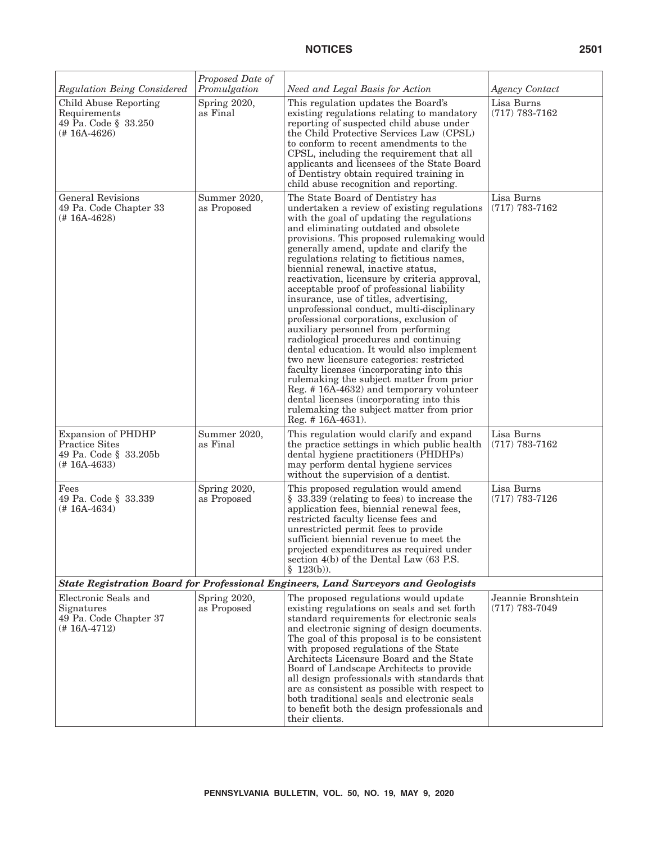| Regulation Being Considered                                                                   | Proposed Date of<br>Promulgation | Need and Legal Basis for Action                                                                                                                                                                                                                                                                                                                                                                                                                                                                                                                                                                                                                                                                                                                                                                                                                                                                                                                                                                                    | <b>Agency Contact</b>                  |
|-----------------------------------------------------------------------------------------------|----------------------------------|--------------------------------------------------------------------------------------------------------------------------------------------------------------------------------------------------------------------------------------------------------------------------------------------------------------------------------------------------------------------------------------------------------------------------------------------------------------------------------------------------------------------------------------------------------------------------------------------------------------------------------------------------------------------------------------------------------------------------------------------------------------------------------------------------------------------------------------------------------------------------------------------------------------------------------------------------------------------------------------------------------------------|----------------------------------------|
| Child Abuse Reporting<br>Requirements<br>49 Pa. Code § 33.250<br>(#16A-4626)                  | Spring 2020,<br>as Final         | This regulation updates the Board's<br>existing regulations relating to mandatory<br>reporting of suspected child abuse under<br>the Child Protective Services Law (CPSL)<br>to conform to recent amendments to the<br>CPSL, including the requirement that all<br>applicants and licensees of the State Board<br>of Dentistry obtain required training in<br>child abuse recognition and reporting.                                                                                                                                                                                                                                                                                                                                                                                                                                                                                                                                                                                                               | Lisa Burns<br>$(717) 783 - 7162$       |
| <b>General Revisions</b><br>49 Pa. Code Chapter 33<br>(# 16A-4628)                            | Summer 2020,<br>as Proposed      | The State Board of Dentistry has<br>undertaken a review of existing regulations<br>with the goal of updating the regulations<br>and eliminating outdated and obsolete<br>provisions. This proposed rulemaking would<br>generally amend, update and clarify the<br>regulations relating to fictitious names,<br>biennial renewal, inactive status,<br>reactivation, licensure by criteria approval,<br>acceptable proof of professional liability<br>insurance, use of titles, advertising,<br>unprofessional conduct, multi-disciplinary<br>professional corporations, exclusion of<br>auxiliary personnel from performing<br>radiological procedures and continuing<br>dental education. It would also implement<br>two new licensure categories: restricted<br>faculty licenses (incorporating into this<br>rulemaking the subject matter from prior<br>Reg. #16A-4632) and temporary volunteer<br>dental licenses (incorporating into this<br>rule making the subject matter from prior<br>Reg. $\#$ 16A-4631). | Lisa Burns<br>$(717) 783 - 7162$       |
| <b>Expansion of PHDHP</b><br><b>Practice Sites</b><br>49 Pa. Code § 33.205b<br>$(# 16A-4633)$ | Summer 2020,<br>as Final         | This regulation would clarify and expand<br>the practice settings in which public health<br>dental hygiene practitioners (PHDHPs)<br>may perform dental hygiene services<br>without the supervision of a dentist.                                                                                                                                                                                                                                                                                                                                                                                                                                                                                                                                                                                                                                                                                                                                                                                                  | Lisa Burns<br>$(717) 783 - 7162$       |
| Fees<br>49 Pa. Code § 33.339<br>$(# 16A-4634)$                                                | Spring 2020,<br>as Proposed      | This proposed regulation would amend<br>§ 33.339 (relating to fees) to increase the<br>application fees, biennial renewal fees,<br>restricted faculty license fees and<br>unrestricted permit fees to provide<br>sufficient biennial revenue to meet the<br>projected expenditures as required under<br>section $4(b)$ of the Dental Law $(63$ P.S.<br>$$123(b)$ ).                                                                                                                                                                                                                                                                                                                                                                                                                                                                                                                                                                                                                                                | Lisa Burns<br>$(717) 783 - 7126$       |
| State Registration Board for Professional Engineers, Land Surveyors and Geologists            |                                  |                                                                                                                                                                                                                                                                                                                                                                                                                                                                                                                                                                                                                                                                                                                                                                                                                                                                                                                                                                                                                    |                                        |
| Electronic Seals and<br>Signatures<br>49 Pa. Code Chapter 37<br>$(# 16A-4712)$                | Spring 2020,<br>as Proposed      | The proposed regulations would update<br>existing regulations on seals and set forth<br>standard requirements for electronic seals<br>and electronic signing of design documents.<br>The goal of this proposal is to be consistent<br>with proposed regulations of the State<br>Architects Licensure Board and the State<br>Board of Landscape Architects to provide<br>all design professionals with standards that<br>are as consistent as possible with respect to<br>both traditional seals and electronic seals<br>to benefit both the design professionals and<br>their clients.                                                                                                                                                                                                                                                                                                                                                                                                                             | Jeannie Bronshtein<br>$(717)$ 783-7049 |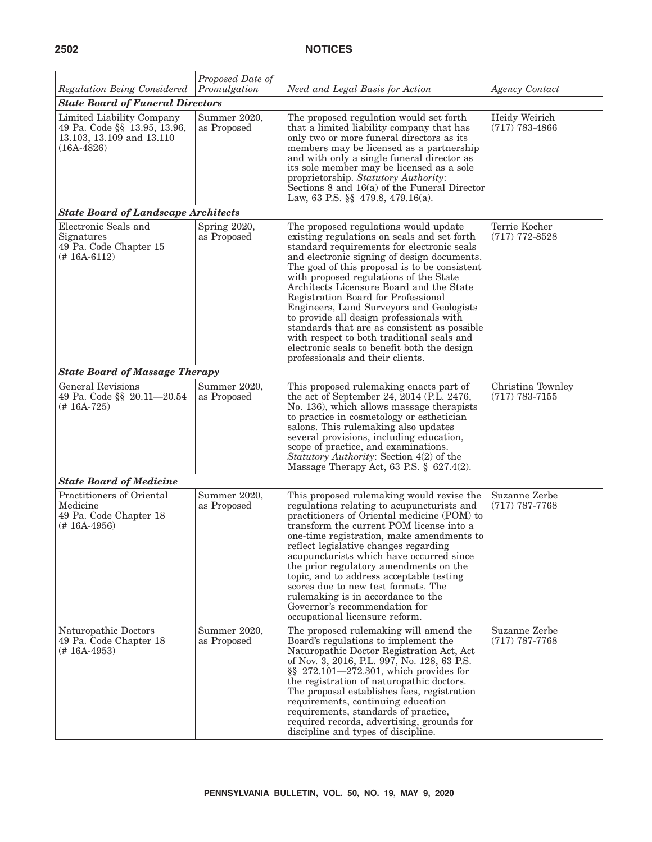| Regulation Being Considered                                                                            | Proposed Date of<br>Promulgation | Need and Legal Basis for Action                                                                                                                                                                                                                                                                                                                                                                                                                                                                                                                                                                                                          | <b>Agency Contact</b>                 |
|--------------------------------------------------------------------------------------------------------|----------------------------------|------------------------------------------------------------------------------------------------------------------------------------------------------------------------------------------------------------------------------------------------------------------------------------------------------------------------------------------------------------------------------------------------------------------------------------------------------------------------------------------------------------------------------------------------------------------------------------------------------------------------------------------|---------------------------------------|
| <b>State Board of Funeral Directors</b>                                                                |                                  |                                                                                                                                                                                                                                                                                                                                                                                                                                                                                                                                                                                                                                          |                                       |
| Limited Liability Company<br>49 Pa. Code §§ 13.95, 13.96,<br>13.103, 13.109 and 13.110<br>$(16A-4826)$ | Summer 2020,<br>as Proposed      | The proposed regulation would set forth<br>that a limited liability company that has<br>only two or more funeral directors as its<br>members may be licensed as a partnership<br>and with only a single funeral director as<br>its sole member may be licensed as a sole<br>proprietorship. Statutory Authority:<br>Sections 8 and 16(a) of the Funeral Director<br>Law, 63 P.S. $\S$ 479.8, 479.16(a).                                                                                                                                                                                                                                  | Heidy Weirich<br>$(717) 783 - 4866$   |
| <b>State Board of Landscape Architects</b>                                                             |                                  |                                                                                                                                                                                                                                                                                                                                                                                                                                                                                                                                                                                                                                          |                                       |
| Electronic Seals and<br>Signatures<br>49 Pa. Code Chapter 15<br>$(# 16A-6112)$                         | Spring 2020,<br>as Proposed      | The proposed regulations would update<br>existing regulations on seals and set forth<br>standard requirements for electronic seals<br>and electronic signing of design documents.<br>The goal of this proposal is to be consistent<br>with proposed regulations of the State<br>Architects Licensure Board and the State<br>Registration Board for Professional<br>Engineers, Land Surveyors and Geologists<br>to provide all design professionals with<br>standards that are as consistent as possible<br>with respect to both traditional seals and<br>electronic seals to benefit both the design<br>professionals and their clients. | Terrie Kocher<br>$(717)$ 772-8528     |
| <b>State Board of Massage Therapy</b>                                                                  |                                  |                                                                                                                                                                                                                                                                                                                                                                                                                                                                                                                                                                                                                                          |                                       |
| <b>General Revisions</b><br>49 Pa. Code §§ 20.11-20.54<br>$(# 16A-725)$                                | Summer 2020,<br>as Proposed      | This proposed rulemaking enacts part of<br>the act of September 24, 2014 (P.L. 2476,<br>No. 136), which allows massage therapists<br>to practice in cosmetology or esthetician<br>salons. This rulemaking also updates<br>several provisions, including education,<br>scope of practice, and examinations.<br>Statutory Authority: Section 4(2) of the<br>Massage Therapy Act, 63 P.S. § 627.4(2).                                                                                                                                                                                                                                       | Christina Townley<br>$(717)$ 783-7155 |
| <b>State Board of Medicine</b>                                                                         |                                  |                                                                                                                                                                                                                                                                                                                                                                                                                                                                                                                                                                                                                                          |                                       |
| Practitioners of Oriental<br>Medicine<br>49 Pa. Code Chapter 18<br>(# 16A-4956)                        | Summer 2020,<br>as Proposed      | This proposed rulemaking would revise the<br>regulations relating to acupuncturists and<br>practitioners of Oriental medicine (POM) to<br>transform the current POM license into a<br>one-time registration, make amendments to<br>reflect legislative changes regarding<br>acupuncturists which have occurred since<br>the prior regulatory amendments on the<br>topic, and to address acceptable testing<br>scores due to new test formats. The<br>rule making is in accordance to the<br>Governor's recommendation for<br>occupational licensure reform.                                                                              | Suzanne Zerbe<br>$(717)$ 787-7768     |
| Naturopathic Doctors<br>49 Pa. Code Chapter 18<br>$(# 16A-4953)$                                       | Summer 2020,<br>as Proposed      | The proposed rulemaking will amend the<br>Board's regulations to implement the<br>Naturopathic Doctor Registration Act, Act<br>of Nov. 3, 2016, P.L. 997, No. 128, 63 P.S.<br>$\S\$ 272.101-272.301, which provides for<br>the registration of naturopathic doctors.<br>The proposal establishes fees, registration<br>requirements, continuing education<br>requirements, standards of practice,<br>required records, advertising, grounds for<br>discipline and types of discipline.                                                                                                                                                   | Suzanne Zerbe<br>$(717)$ 787-7768     |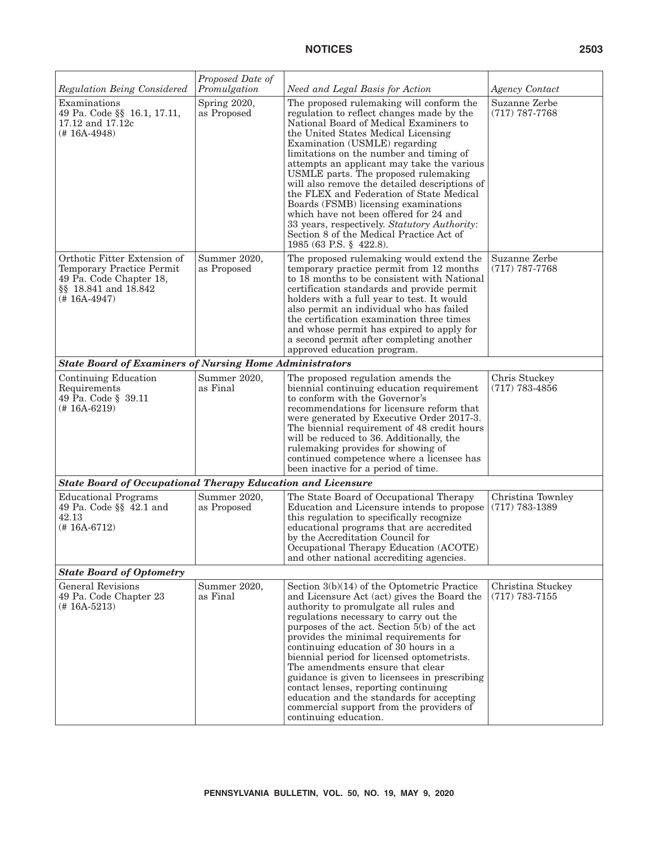| Regulation Being Considered                                                                                                  | Proposed Date of<br>Promulgation | Need and Legal Basis for Action                                                                                                                                                                                                                                                                                                                                                                                                                                                                                                                                                                                                                | <b>Agency Contact</b>                   |
|------------------------------------------------------------------------------------------------------------------------------|----------------------------------|------------------------------------------------------------------------------------------------------------------------------------------------------------------------------------------------------------------------------------------------------------------------------------------------------------------------------------------------------------------------------------------------------------------------------------------------------------------------------------------------------------------------------------------------------------------------------------------------------------------------------------------------|-----------------------------------------|
| Examinations<br>49 Pa. Code §§ 16.1, 17.11,<br>17.12 and 17.12c<br>$(# 16A-4948)$                                            | Spring 2020,<br>as Proposed      | The proposed rulemaking will conform the<br>regulation to reflect changes made by the<br>National Board of Medical Examiners to<br>the United States Medical Licensing<br>Examination (USMLE) regarding<br>limitations on the number and timing of<br>attempts an applicant may take the various<br>USMLE parts. The proposed rulemaking<br>will also remove the detailed descriptions of<br>the FLEX and Federation of State Medical<br>Boards (FSMB) licensing examinations<br>which have not been offered for 24 and<br>33 years, respectively. Statutory Authority:<br>Section 8 of the Medical Practice Act of<br>1985 (63 P.S. § 422.8). | Suzanne Zerbe<br>$(717)$ 787-7768       |
| Orthotic Fitter Extension of<br>Temporary Practice Permit<br>49 Pa. Code Chapter 18,<br>§§ 18.841 and 18.842<br>(# 16A-4947) | Summer 2020,<br>as Proposed      | The proposed rulemaking would extend the<br>temporary practice permit from 12 months<br>to 18 months to be consistent with National<br>certification standards and provide permit<br>holders with a full year to test. It would<br>also permit an individual who has failed<br>the certification examination three times<br>and whose permit has expired to apply for<br>a second permit after completing another<br>approved education program.                                                                                                                                                                                               | Suzanne Zerbe<br>$(717)$ 787-7768       |
| <b>State Board of Examiners of Nursing Home Administrators</b>                                                               |                                  |                                                                                                                                                                                                                                                                                                                                                                                                                                                                                                                                                                                                                                                |                                         |
| Continuing Education<br>Requirements<br>49 Pa. Code § 39.11<br>$(# 16A-6219)$                                                | Summer 2020,<br>as Final         | The proposed regulation amends the<br>biennial continuing education requirement<br>to conform with the Governor's<br>recommendations for licensure reform that<br>were generated by Executive Order 2017-3.<br>The biennial requirement of 48 credit hours<br>will be reduced to 36. Additionally, the<br>rulemaking provides for showing of<br>continued competence where a licensee has<br>been inactive for a period of time.                                                                                                                                                                                                               | Chris Stuckey<br>$(717)$ 783-4856       |
| <b>State Board of Occupational Therapy Education and Licensure</b>                                                           |                                  |                                                                                                                                                                                                                                                                                                                                                                                                                                                                                                                                                                                                                                                |                                         |
| <b>Educational Programs</b><br>49 Pa. Code $\S$ $\overline{4}$ 2.1 and<br>42.13<br>$(# 16A-6712)$                            | Summer 2020,<br>as Proposed      | The State Board of Occupational Therapy<br>Education and Licensure intends to propose<br>this regulation to specifically recognize<br>educational programs that are accredited<br>by the Accreditation Council for<br>Occupational Therapy Education (ACOTE)<br>and other national accrediting agencies.                                                                                                                                                                                                                                                                                                                                       | Christina Townley<br>$(717)$ $783-1389$ |
| <b>State Board of Optometry</b>                                                                                              |                                  |                                                                                                                                                                                                                                                                                                                                                                                                                                                                                                                                                                                                                                                |                                         |
| <b>General Revisions</b><br>49 Pa. Code Chapter 23<br>$(# 16A-5213)$                                                         | Summer 2020,<br>as Final         | Section $3(b)(14)$ of the Optometric Practice<br>and Licensure Act (act) gives the Board the<br>authority to promulgate all rules and<br>regulations necessary to carry out the<br>purposes of the act. Section $\bar{5}$ (b) of the act<br>provides the minimal requirements for<br>continuing education of 30 hours in a<br>biennial period for licensed optometrists.<br>The amendments ensure that clear<br>guidance is given to licensees in prescribing<br>contact lenses, reporting continuing<br>education and the standards for accepting<br>commercial support from the providers of<br>continuing education.                        | Christina Stuckey<br>$(717)$ 783-7155   |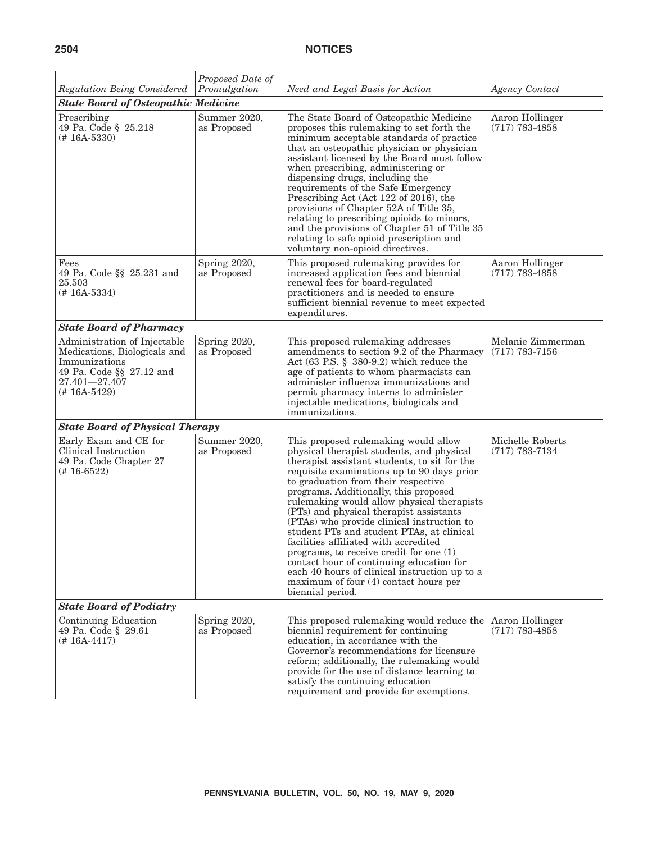| Regulation Being Considered                                                                                                                  | Proposed Date of<br>Promulgation | Need and Legal Basis for Action                                                                                                                                                                                                                                                                                                                                                                                                                                                                                                                                                                                                                                                                     | <b>Agency Contact</b>                  |
|----------------------------------------------------------------------------------------------------------------------------------------------|----------------------------------|-----------------------------------------------------------------------------------------------------------------------------------------------------------------------------------------------------------------------------------------------------------------------------------------------------------------------------------------------------------------------------------------------------------------------------------------------------------------------------------------------------------------------------------------------------------------------------------------------------------------------------------------------------------------------------------------------------|----------------------------------------|
| <b>State Board of Osteopathic Medicine</b>                                                                                                   |                                  |                                                                                                                                                                                                                                                                                                                                                                                                                                                                                                                                                                                                                                                                                                     |                                        |
| Prescribing<br>49 Pa. Code § 25.218<br>$(# 16A - 5330)$                                                                                      | Summer 2020,<br>as Proposed      | The State Board of Osteopathic Medicine<br>proposes this rulemaking to set forth the<br>minimum acceptable standards of practice<br>that an osteopathic physician or physician<br>assistant licensed by the Board must follow<br>when prescribing, administering or<br>dispensing drugs, including the<br>requirements of the Safe Emergency<br>Prescribing Act (Act 122 of 2016), the<br>provisions of Chapter 52A of Title 35,<br>relating to prescribing opioids to minors,<br>and the provisions of Chapter 51 of Title 35<br>relating to safe opioid prescription and<br>voluntary non-opioid directives.                                                                                      | Aaron Hollinger<br>$(717) 783 - 4858$  |
| Fees<br>49 Pa. Code §§ 25.231 and<br>25.503<br>$(# 16A-5334)$                                                                                | Spring 2020,<br>as Proposed      | This proposed rulemaking provides for<br>increased application fees and biennial<br>renewal fees for board-regulated<br>practitioners and is needed to ensure<br>sufficient biennial revenue to meet expected<br>expenditures.                                                                                                                                                                                                                                                                                                                                                                                                                                                                      | Aaron Hollinger<br>$(717)$ 783-4858    |
| <b>State Board of Pharmacy</b>                                                                                                               |                                  |                                                                                                                                                                                                                                                                                                                                                                                                                                                                                                                                                                                                                                                                                                     |                                        |
| Administration of Injectable<br>Medications, Biologicals and<br>Immunizations<br>49 Pa. Code §§ 27.12 and<br>27.401-27.407<br>$(# 16A-5429)$ | Spring 2020,<br>as Proposed      | This proposed rulemaking addresses<br>amendments to section 9.2 of the Pharmacy<br>Act $(63$ P.S. § 380-9.2) which reduce the<br>age of patients to whom pharmacists can<br>administer influenza immunizations and<br>permit pharmacy interns to administer<br>injectable medications, biologicals and<br>immunizations.                                                                                                                                                                                                                                                                                                                                                                            | Melanie Zimmerman<br>$(717)$ 783-7156  |
| <b>State Board of Physical Therapy</b>                                                                                                       |                                  |                                                                                                                                                                                                                                                                                                                                                                                                                                                                                                                                                                                                                                                                                                     |                                        |
| Early Exam and CE for<br>Clinical Instruction<br>49 Pa. Code Chapter 27<br>$(# 16-6522)$                                                     | Summer 2020,<br>as Proposed      | This proposed rulemaking would allow<br>physical therapist students, and physical<br>therapist assistant students, to sit for the<br>requisite examinations up to 90 days prior<br>to graduation from their respective<br>programs. Additionally, this proposed<br>rulemaking would allow physical therapists<br>(PTs) and physical therapist assistants<br>(PTAs) who provide clinical instruction to<br>student PTs and student PTAs, at clinical<br>facilities affiliated with accredited<br>programs, to receive credit for one $(1)$<br>contact hour of continuing education for<br>each 40 hours of clinical instruction up to a<br>maximum of four (4) contact hours per<br>biennial period. | Michelle Roberts<br>$(717) 783 - 7134$ |
| <b>State Board of Podiatry</b>                                                                                                               |                                  |                                                                                                                                                                                                                                                                                                                                                                                                                                                                                                                                                                                                                                                                                                     |                                        |
| Continuing Education<br>49 Pa. Code § 29.61<br>$(# 16A-4417)$                                                                                | Spring 2020,<br>as Proposed      | This proposed rulemaking would reduce the<br>biennial requirement for continuing<br>education, in accordance with the<br>Governor's recommendations for licensure<br>reform; additionally, the rulemaking would<br>provide for the use of distance learning to<br>satisfy the continuing education<br>requirement and provide for exemptions.                                                                                                                                                                                                                                                                                                                                                       | Aaron Hollinger<br>$(717)$ 783-4858    |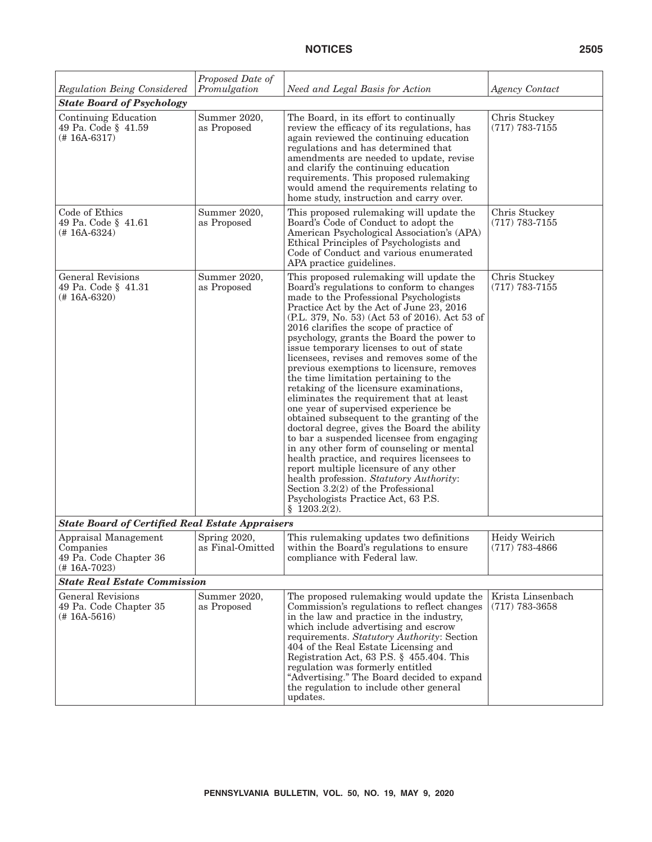| <b>Regulation Being Considered</b>                                            | Proposed Date of<br>Promulgation | Need and Legal Basis for Action                                                                                                                                                                                                                                                                                                                                                                                                                                                                                                                                                                                                                                                                                                                                                                                                                                                                                                                                                                                                                                | Agency Contact                        |
|-------------------------------------------------------------------------------|----------------------------------|----------------------------------------------------------------------------------------------------------------------------------------------------------------------------------------------------------------------------------------------------------------------------------------------------------------------------------------------------------------------------------------------------------------------------------------------------------------------------------------------------------------------------------------------------------------------------------------------------------------------------------------------------------------------------------------------------------------------------------------------------------------------------------------------------------------------------------------------------------------------------------------------------------------------------------------------------------------------------------------------------------------------------------------------------------------|---------------------------------------|
| <b>State Board of Psychology</b>                                              |                                  |                                                                                                                                                                                                                                                                                                                                                                                                                                                                                                                                                                                                                                                                                                                                                                                                                                                                                                                                                                                                                                                                |                                       |
| Continuing Education<br>49 Pa. Code § 41.59<br>$(# 16A-6317)$                 | Summer 2020,<br>as Proposed      | The Board, in its effort to continually<br>review the efficacy of its regulations, has<br>again reviewed the continuing education<br>regulations and has determined that<br>amendments are needed to update, revise<br>and clarify the continuing education<br>requirements. This proposed rulemaking<br>would amend the requirements relating to<br>home study, instruction and carry over.                                                                                                                                                                                                                                                                                                                                                                                                                                                                                                                                                                                                                                                                   | Chris Stuckey<br>$(717)$ 783-7155     |
| Code of Ethics<br>49 Pa. Code § 41.61<br>$(# 16A-6324)$                       | Summer 2020,<br>as Proposed      | This proposed rulemaking will update the<br>Board's Code of Conduct to adopt the<br>American Psychological Association's (APA)<br>Ethical Principles of Psychologists and<br>Code of Conduct and various enumerated<br>APA practice guidelines.                                                                                                                                                                                                                                                                                                                                                                                                                                                                                                                                                                                                                                                                                                                                                                                                                | Chris Stuckey<br>$(717)$ 783-7155     |
| <b>General Revisions</b><br>49 Pa. Code § 41.31<br>$(# 16A-6320)$             | Summer 2020,<br>as Proposed      | This proposed rulemaking will update the<br>Board's regulations to conform to changes<br>made to the Professional Psychologists<br>Practice Act by the Act of June 23, 2016<br>(P.L. 379, No. 53) (Act 53 of 2016). Act 53 of<br>2016 clarifies the scope of practice of<br>psychology, grants the Board the power to<br>issue temporary licenses to out of state<br>licensees, revises and removes some of the<br>previous exemptions to licensure, removes<br>the time limitation pertaining to the<br>retaking of the licensure examinations,<br>eliminates the requirement that at least<br>one year of supervised experience be<br>obtained subsequent to the granting of the<br>doctoral degree, gives the Board the ability<br>to bar a suspended licensee from engaging<br>in any other form of counseling or mental<br>health practice, and requires licensees to<br>report multiple licensure of any other<br>health profession. Statutory Authority:<br>Section $3.2(2)$ of the Professional<br>Psychologists Practice Act, 63 P.S.<br>\$1203.2(2). | Chris Stuckey<br>$(717)$ 783-7155     |
| <b>State Board of Certified Real Estate Appraisers</b>                        |                                  |                                                                                                                                                                                                                                                                                                                                                                                                                                                                                                                                                                                                                                                                                                                                                                                                                                                                                                                                                                                                                                                                |                                       |
| Appraisal Management<br>Companies<br>49 Pa. Code Chapter 36<br>$(# 16A-7023)$ | Spring 2020,<br>as Final-Omitted | This rulemaking updates two definitions<br>within the Board's regulations to ensure<br>compliance with Federal law.                                                                                                                                                                                                                                                                                                                                                                                                                                                                                                                                                                                                                                                                                                                                                                                                                                                                                                                                            | Heidy Weirich<br>$(717)$ 783-4866     |
| <b>State Real Estate Commission</b>                                           |                                  |                                                                                                                                                                                                                                                                                                                                                                                                                                                                                                                                                                                                                                                                                                                                                                                                                                                                                                                                                                                                                                                                |                                       |
| <b>General Revisions</b><br>49 Pa. Code Chapter 35<br>$(# 16A-5616)$          | Summer 2020,<br>as Proposed      | The proposed rulemaking would update the<br>Commission's regulations to reflect changes<br>in the law and practice in the industry,<br>which include advertising and escrow<br>requirements. Statutory Authority: Section<br>404 of the Real Estate Licensing and<br>Registration Act, 63 P.S. § 455.404. This<br>regulation was formerly entitled<br>"Advertising." The Board decided to expand<br>the regulation to include other general<br>updates.                                                                                                                                                                                                                                                                                                                                                                                                                                                                                                                                                                                                        | Krista Linsenbach<br>$(717)$ 783-3658 |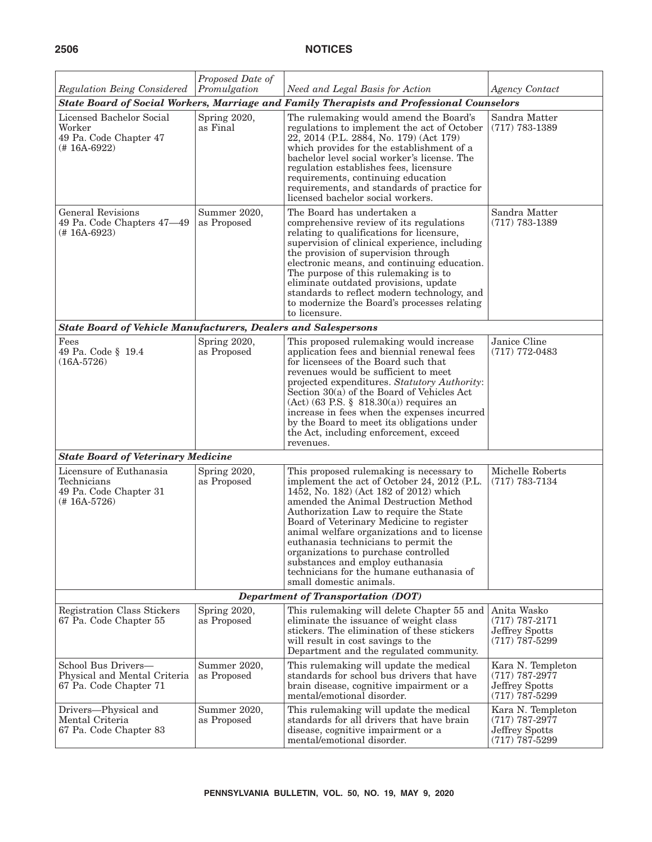| Regulation Being Considered                                                        | Proposed Date of<br>Promulgation | Need and Legal Basis for Action                                                                                                                                                                                                                                                                                                                                                                                                                                                                            | <b>Agency Contact</b>                                                       |
|------------------------------------------------------------------------------------|----------------------------------|------------------------------------------------------------------------------------------------------------------------------------------------------------------------------------------------------------------------------------------------------------------------------------------------------------------------------------------------------------------------------------------------------------------------------------------------------------------------------------------------------------|-----------------------------------------------------------------------------|
|                                                                                    |                                  | State Board of Social Workers, Marriage and Family Therapists and Professional Counselors                                                                                                                                                                                                                                                                                                                                                                                                                  |                                                                             |
| Licensed Bachelor Social<br>Worker<br>49 Pa. Code Chapter 47<br>$(# 16A-6922)$     | Spring 2020,<br>as Final         | The rulemaking would amend the Board's<br>regulations to implement the act of October<br>22, 2014 (P.L. 2884, No. 179) (Act 179)<br>which provides for the establishment of a<br>bachelor level social worker's license. The<br>regulation establishes fees, licensure<br>requirements, continuing education<br>requirements, and standards of practice for<br>licensed bachelor social workers.                                                                                                           | Sandra Matter<br>$(717)$ 783-1389                                           |
| <b>General Revisions</b><br>49 Pa. Code Chapters 47-49<br>(#16A-6923)              | Summer 2020,<br>as Proposed      | The Board has undertaken a<br>comprehensive review of its regulations<br>relating to qualifications for licensure,<br>supervision of clinical experience, including<br>the provision of supervision through<br>electronic means, and continuing education.<br>The purpose of this rulemaking is to<br>eliminate outdated provisions, update<br>standards to reflect modern technology, and<br>to modernize the Board's processes relating<br>to licensure.                                                 | Sandra Matter<br>$(717)$ 783-1389                                           |
| <b>State Board of Vehicle Manufacturers, Dealers and Salespersons</b>              |                                  |                                                                                                                                                                                                                                                                                                                                                                                                                                                                                                            |                                                                             |
| Fees<br>49 Pa. Code § 19.4<br>$(16A-5726)$                                         | Spring 2020,<br>as Proposed      | This proposed rulemaking would increase<br>application fees and biennial renewal fees<br>for licensees of the Board such that<br>revenues would be sufficient to meet<br>projected expenditures. Statutory Authority:<br>Section 30(a) of the Board of Vehicles Act<br>$(Act)$ (63 P.S. § 818.30(a)) requires an<br>increase in fees when the expenses incurred<br>by the Board to meet its obligations under<br>the Act, including enforcement, exceed<br>revenues.                                       | Janice Cline<br>$(717)$ 772-0483                                            |
| <b>State Board of Veterinary Medicine</b>                                          |                                  |                                                                                                                                                                                                                                                                                                                                                                                                                                                                                                            |                                                                             |
| Licensure of Euthanasia<br>Technicians<br>49 Pa. Code Chapter 31<br>$(# 16A-5726)$ | Spring 2020,<br>as Proposed      | This proposed rulemaking is necessary to<br>implement the act of October 24, 2012 (P.L.<br>1452, No. 182) (Act 182 of 2012) which<br>amended the Animal Destruction Method<br>Authorization Law to require the State<br>Board of Veterinary Medicine to register<br>animal welfare organizations and to license<br>euthanasia technicians to permit the<br>organizations to purchase controlled<br>substances and employ euthanasia<br>technicians for the humane euthanasia of<br>small domestic animals. | Michelle Roberts<br>$(717) 783 - 7134$                                      |
| <b>Department of Transportation (DOT)</b>                                          |                                  |                                                                                                                                                                                                                                                                                                                                                                                                                                                                                                            |                                                                             |
| Registration Class Stickers<br>67 Pa. Code Chapter 55                              | Spring 2020,<br>as Proposed      | This rulemaking will delete Chapter 55 and<br>eliminate the issuance of weight class<br>stickers. The elimination of these stickers<br>will result in cost savings to the<br>Department and the regulated community.                                                                                                                                                                                                                                                                                       | Anita Wasko<br>$(717) 787 - 2171$<br>Jeffrey Spotts<br>$(717)$ 787-5299     |
| School Bus Drivers-<br>Physical and Mental Criteria<br>67 Pa. Code Chapter 71      | Summer 2020,<br>as Proposed      | This rulemaking will update the medical<br>standards for school bus drivers that have<br>brain disease, cognitive impairment or a<br>mental/emotional disorder.                                                                                                                                                                                                                                                                                                                                            | Kara N. Templeton<br>$(717)$ 787-2977<br>Jeffrey Spotts<br>$(717)$ 787-5299 |
| Drivers-Physical and<br>Mental Criteria<br>67 Pa. Code Chapter 83                  | Summer 2020,<br>as Proposed      | This rulemaking will update the medical<br>standards for all drivers that have brain<br>disease, cognitive impairment or a<br>mental/emotional disorder.                                                                                                                                                                                                                                                                                                                                                   | Kara N. Templeton<br>$(717)$ 787-2977<br>Jeffrey Spotts<br>$(717)$ 787-5299 |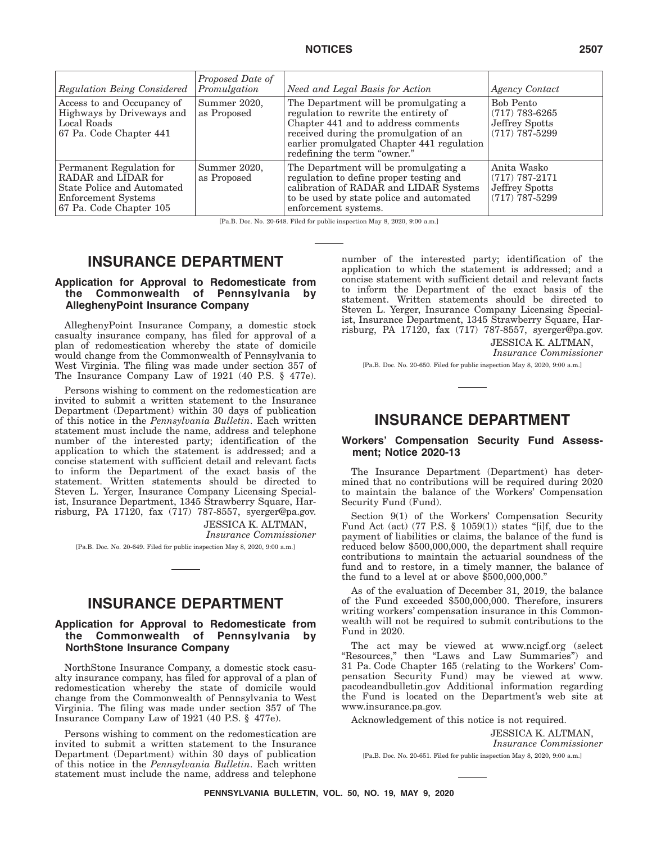| Regulation Being Considered                                                                                                            | Proposed Date of<br>Promulgation | Need and Legal Basis for Action                                                                                                                                                                                                               | Agency Contact                                                             |
|----------------------------------------------------------------------------------------------------------------------------------------|----------------------------------|-----------------------------------------------------------------------------------------------------------------------------------------------------------------------------------------------------------------------------------------------|----------------------------------------------------------------------------|
| Access to and Occupancy of<br>Highways by Driveways and<br>Local Roads<br>67 Pa. Code Chapter 441                                      | Summer 2020,<br>as Proposed      | The Department will be promulgating a<br>regulation to rewrite the entirety of<br>Chapter 441 and to address comments<br>received during the promulgation of an<br>earlier promulgated Chapter 441 regulation<br>redefining the term "owner." | <b>Bob Pento</b><br>$(717)$ 783-6265<br>Jeffrey Spotts<br>$(717)$ 787-5299 |
| Permanent Regulation for<br>RADAR and LIDAR for<br>State Police and Automated<br><b>Enforcement Systems</b><br>67 Pa. Code Chapter 105 | Summer 2020,<br>as Proposed      | The Department will be promulgating a<br>regulation to define proper testing and<br>calibration of RADAR and LIDAR Systems<br>to be used by state police and automated<br>enforcement systems.                                                | Anita Wasko<br>$(717) 787 - 2171$<br>Jeffrey Spotts<br>$(717)$ 787-5299    |

[Pa.B. Doc. No. 20-648. Filed for public inspection May 8, 2020, 9:00 a.m.]

# **INSURANCE DEPARTMENT**

### **Application for Approval to Redomesticate from the Commonwealth of Pennsylvania by AlleghenyPoint Insurance Company**

AlleghenyPoint Insurance Company, a domestic stock casualty insurance company, has filed for approval of a plan of redomestication whereby the state of domicile would change from the Commonwealth of Pennsylvania to West Virginia. The filing was made under section 357 of The Insurance Company Law of 1921 (40 P.S. § 477e).

Persons wishing to comment on the redomestication are invited to submit a written statement to the Insurance Department (Department) within 30 days of publication of this notice in the *Pennsylvania Bulletin*. Each written statement must include the name, address and telephone number of the interested party; identification of the application to which the statement is addressed; and a concise statement with sufficient detail and relevant facts to inform the Department of the exact basis of the statement. Written statements should be directed to Steven L. Yerger, Insurance Company Licensing Specialist, Insurance Department, 1345 Strawberry Square, Harrisburg, PA 17120, fax (717) 787-8557, syerger@pa.gov.

> JESSICA K. ALTMAN, *Insurance Commissioner*

[Pa.B. Doc. No. 20-649. Filed for public inspection May 8, 2020, 9:00 a.m.]

# **INSURANCE DEPARTMENT**

### **Application for Approval to Redomesticate from the Commonwealth of Pennsylvania by NorthStone Insurance Company**

NorthStone Insurance Company, a domestic stock casualty insurance company, has filed for approval of a plan of redomestication whereby the state of domicile would change from the Commonwealth of Pennsylvania to West Virginia. The filing was made under section 357 of The Insurance Company Law of 1921 (40 P.S. § 477e).

Persons wishing to comment on the redomestication are invited to submit a written statement to the Insurance Department (Department) within 30 days of publication of this notice in the *Pennsylvania Bulletin*. Each written statement must include the name, address and telephone number of the interested party; identification of the application to which the statement is addressed; and a concise statement with sufficient detail and relevant facts to inform the Department of the exact basis of the statement. Written statements should be directed to Steven L. Yerger, Insurance Company Licensing Specialist, Insurance Department, 1345 Strawberry Square, Harrisburg, PA 17120, fax (717) 787-8557, syerger@pa.gov.

JESSICA K. ALTMAN,

*Insurance Commissioner*

[Pa.B. Doc. No. 20-650. Filed for public inspection May 8, 2020, 9:00 a.m.]

# **INSURANCE DEPARTMENT**

### **Workers' Compensation Security Fund Assessment; Notice 2020-13**

The Insurance Department (Department) has determined that no contributions will be required during 2020 to maintain the balance of the Workers' Compensation Security Fund (Fund).

Section 9(1) of the Workers' Compensation Security Fund Act (act) (77 P.S.  $\S$  1059(1)) states "[i]f, due to the payment of liabilities or claims, the balance of the fund is reduced below \$500,000,000, the department shall require contributions to maintain the actuarial soundness of the fund and to restore, in a timely manner, the balance of the fund to a level at or above \$500,000,000.''

As of the evaluation of December 31, 2019, the balance of the Fund exceeded \$500,000,000. Therefore, insurers writing workers' compensation insurance in this Commonwealth will not be required to submit contributions to the Fund in 2020.

The act may be viewed at www.ncigf.org (select ''Resources,'' then ''Laws and Law Summaries'') and 31 Pa. Code Chapter 165 (relating to the Workers' Compensation Security Fund) may be viewed at www. pacodeandbulletin.gov Additional information regarding the Fund is located on the Department's web site at www.insurance.pa.gov.

Acknowledgement of this notice is not required.

JESSICA K. ALTMAN, *Insurance Commissioner*

[Pa.B. Doc. No. 20-651. Filed for public inspection May 8, 2020, 9:00 a.m.]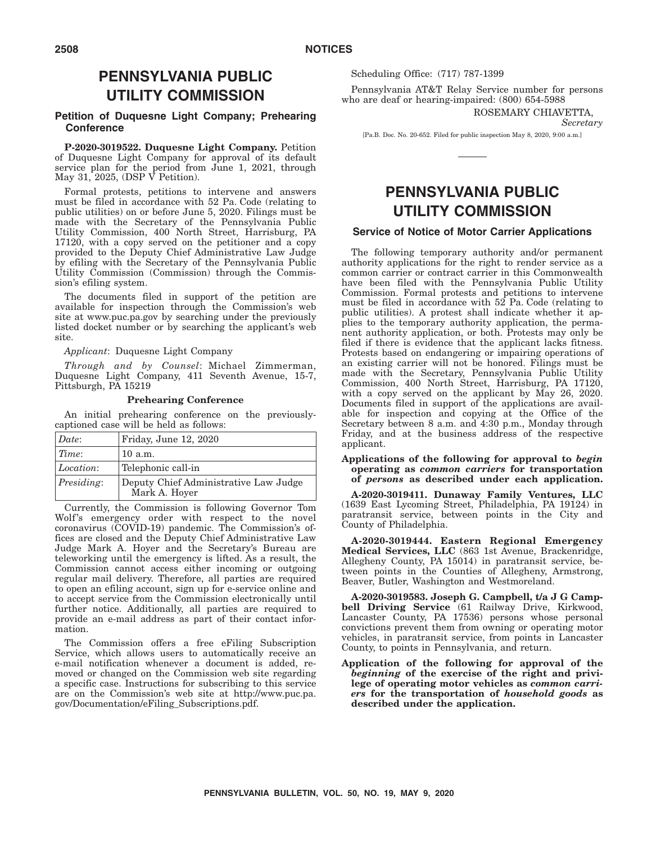# **PENNSYLVANIA PUBLIC UTILITY COMMISSION**

### **Petition of Duquesne Light Company; Prehearing Conference**

**P-2020-3019522. Duquesne Light Company.** Petition of Duquesne Light Company for approval of its default service plan for the period from June 1, 2021, through May 31, 2025, (DSP V Petition).

Formal protests, petitions to intervene and answers must be filed in accordance with 52 Pa. Code (relating to public utilities) on or before June 5, 2020. Filings must be made with the Secretary of the Pennsylvania Public Utility Commission, 400 North Street, Harrisburg, PA 17120, with a copy served on the petitioner and a copy provided to the Deputy Chief Administrative Law Judge by efiling with the Secretary of the Pennsylvania Public Utility Commission (Commission) through the Commission's efiling system.

The documents filed in support of the petition are available for inspection through the Commission's web site at www.puc.pa.gov by searching under the previously listed docket number or by searching the applicant's web site.

*Applicant*: Duquesne Light Company

*Through and by Counsel*: Michael Zimmerman, Duquesne Light Company, 411 Seventh Avenue, 15-7, Pittsburgh, PA 15219

#### **Prehearing Conference**

An initial prehearing conference on the previouslycaptioned case will be held as follows:

| Delta      | Friday, June 12, 2020                                  |
|------------|--------------------------------------------------------|
| Time:      | 10 a.m.                                                |
| Location:  | Telephonic call-in                                     |
| Presiding: | Deputy Chief Administrative Law Judge<br>Mark A. Hover |

Currently, the Commission is following Governor Tom Wolf's emergency order with respect to the novel coronavirus (COVID-19) pandemic. The Commission's offices are closed and the Deputy Chief Administrative Law Judge Mark A. Hoyer and the Secretary's Bureau are teleworking until the emergency is lifted. As a result, the Commission cannot access either incoming or outgoing regular mail delivery. Therefore, all parties are required to open an efiling account, sign up for e-service online and to accept service from the Commission electronically until further notice. Additionally, all parties are required to provide an e-mail address as part of their contact information.

The Commission offers a free eFiling Subscription Service, which allows users to automatically receive an e-mail notification whenever a document is added, removed or changed on the Commission web site regarding a specific case. Instructions for subscribing to this service are on the Commission's web site at http://www.puc.pa. gov/Documentation/eFiling\_Subscriptions.pdf.

Scheduling Office: (717) 787-1399

Pennsylvania AT&T Relay Service number for persons who are deaf or hearing-impaired: (800) 654-5988

> ROSEMARY CHIAVETTA, *Secretary*

[Pa.B. Doc. No. 20-652. Filed for public inspection May 8, 2020, 9:00 a.m.]

# **PENNSYLVANIA PUBLIC UTILITY COMMISSION**

### **Service of Notice of Motor Carrier Applications**

The following temporary authority and/or permanent authority applications for the right to render service as a common carrier or contract carrier in this Commonwealth have been filed with the Pennsylvania Public Utility Commission. Formal protests and petitions to intervene must be filed in accordance with 52 Pa. Code (relating to public utilities). A protest shall indicate whether it applies to the temporary authority application, the permanent authority application, or both. Protests may only be filed if there is evidence that the applicant lacks fitness. Protests based on endangering or impairing operations of an existing carrier will not be honored. Filings must be made with the Secretary, Pennsylvania Public Utility Commission, 400 North Street, Harrisburg, PA 17120, with a copy served on the applicant by May 26, 2020. Documents filed in support of the applications are available for inspection and copying at the Office of the Secretary between 8 a.m. and 4:30 p.m., Monday through Friday, and at the business address of the respective applicant.

#### **Applications of the following for approval to** *begin* **operating as** *common carriers* **for transportation of** *persons* **as described under each application.**

**A-2020-3019411. Dunaway Family Ventures, LLC** (1639 East Lycoming Street, Philadelphia, PA 19124) in paratransit service, between points in the City and County of Philadelphia.

**A-2020-3019444. Eastern Regional Emergency Medical Services, LLC** (863 1st Avenue, Brackenridge, Allegheny County, PA 15014) in paratransit service, between points in the Counties of Allegheny, Armstrong, Beaver, Butler, Washington and Westmoreland.

**A-2020-3019583. Joseph G. Campbell, t/a J G Campbell Driving Service** (61 Railway Drive, Kirkwood, Lancaster County, PA 17536) persons whose personal convictions prevent them from owning or operating motor vehicles, in paratransit service, from points in Lancaster County, to points in Pennsylvania, and return.

**Application of the following for approval of the** *beginning* **of the exercise of the right and privilege of operating motor vehicles as** *common carriers* **for the transportation of** *household goods* **as described under the application.**